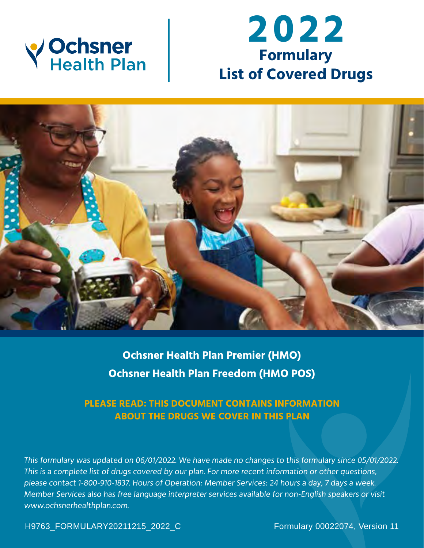

# **2022 Formulary List of Covered Drugs**



**Ochsner Health Plan Premier (HMO) Ochsner Health Plan Freedom (HMO POS)** 

# **PLEASE READ: THIS DOCUMENT CONTAINS INFORMATION ABOUT THE DRUGS WE COVER IN THIS PLAN**

This formulary was updated on 06/01/2022. We have made no changes to this formulary since 05/01/2022. This is a complete list of drugs covered by our plan. For more recent information or other questions, please contact 1-800-910-1837. Hours of Operation: Member Services: 24 hours a day, 7 days a week. Member Services also has free language interpreter services available for non-English speakers or visit <www.ochsnerhealthplan.com>.

H9763\_FORMULARY20211215\_2022\_C Formulary 00022074, Version 11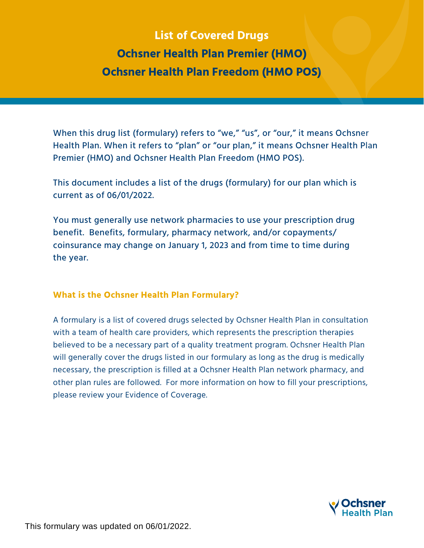# **List of Covered Drugs Ochsner Health Plan Premier (HMO) Ochsner Health Plan Freedom (HMO POS)**

Premier (HMO) and Ochsner Health Plan Freedom (HMO POS). Health Plan. When it refers to "plan" or "our plan," it means Ochsner Health Plan When this drug list (formulary) refers to "we," "us", or "our," it means Ochsner

This document includes a list of the drugs (formulary) for our plan which is current as of 06/01/2022.

You must generally use network pharmacies to use your prescription drug benefit. Benefits, formulary, pharmacy network, and/or copayments/ coinsurance may change on January 1, 2023 and from time to time during the year.

#### **What is the Ochsner Health Plan Formulary?**

 please review your Evidence of Coverage. A formulary is a list of covered drugs selected by Ochsner Health Plan in consultation with a team of health care providers, which represents the prescription therapies believed to be a necessary part of a quality treatment program. Ochsner Health Plan will generally cover the drugs listed in our formulary as long as the drug is medically necessary, the prescription is filled at a Ochsner Health Plan network pharmacy, and other plan rules are followed. For more information on how to fill your prescriptions,



This formulary was updated on 06/01/2022.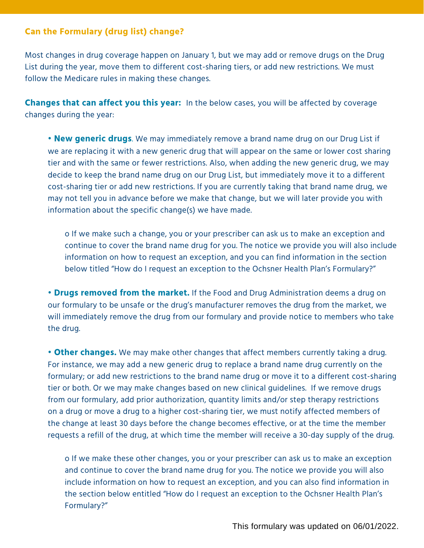# **Can the Formulary (drug list) change?**

Most changes in drug coverage happen on January 1, but we may add or remove drugs on the Drug List during the year, move them to different cost-sharing tiers, or add new restrictions. We must follow the Medicare rules in making these changes.

**Changes that can affect you this year:** In the below cases, you will be affected by coverage changes during the year:

**• New generic drugs**. We may immediately remove a brand name drug on our Drug List if we are replacing it with a new generic drug that will appear on the same or lower cost sharing tier and with the same or fewer restrictions. Also, when adding the new generic drug, we may decide to keep the brand name drug on our Drug List, but immediately move it to a different cost-sharing tier or add new restrictions. If you are currently taking that brand name drug, we may not tell you in advance before we make that change, but we will later provide you with information about the specific change(s) we have made.

o If we make such a change, you or your prescriber can ask us to make an exception and continue to cover the brand name drug for you. The notice we provide you will also include information on how to request an exception, and you can find information in the section below titled "How do I request an exception to the Ochsner Health Plan's Formulary?"

 the drug. **• Drugs removed from the market.** If the Food and Drug Administration deems a drug on our formulary to be unsafe or the drug's manufacturer removes the drug from the market, we will immediately remove the drug from our formulary and provide notice to members who take

**• Other changes.** We may make other changes that affect members currently taking a drug. For instance, we may add a new generic drug to replace a brand name drug currently on the formulary; or add new restrictions to the brand name drug or move it to a different cost-sharing tier or both. Or we may make changes based on new clinical guidelines. If we remove drugs from our formulary, add prior authorization, quantity limits and/or step therapy restrictions on a drug or move a drug to a higher cost-sharing tier, we must notify affected members of the change at least 30 days before the change becomes effective, or at the time the member requests a refill of the drug, at which time the member will receive a 30-day supply of the drug.

o If we make these other changes, you or your prescriber can ask us to make an exception and continue to cover the brand name drug for you. The notice we provide you will also include information on how to request an exception, and you can also find information in the section below entitled "How do I request an exception to the Ochsner Health Plan's Formulary?"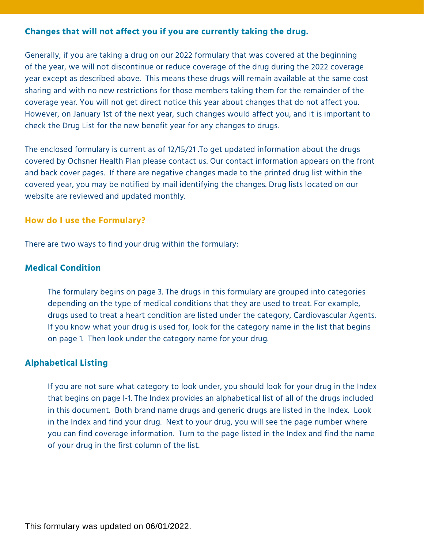# **Changes that will not affect you if you are currently taking the drug.**

Generally, if you are taking a drug on our 2022 formulary that was covered at the beginning of the year, we will not discontinue or reduce coverage of the drug during the 2022 coverage year except as described above. This means these drugs will remain available at the same cost sharing and with no new restrictions for those members taking them for the remainder of the coverage year. You will not get direct notice this year about changes that do not affect you. However, on January 1st of the next year, such changes would affect you, and it is important to check the Drug List for the new benefit year for any changes to drugs.

The enclosed formulary is current as of 12/15/21 .To get updated information about the drugs covered by Ochsner Health Plan please contact us. Our contact information appears on the front and back cover pages. If there are negative changes made to the printed drug list within the covered year, you may be notified by mail identifying the changes. Drug lists located on our website are reviewed and updated monthly.

#### **How do I use the Formulary?**

There are two ways to find your drug within the formulary:

# **Medical Condition**

 drugs used to treat a heart condition are listed under the category, Cardiovascular Agents. The formulary begins on page 3. The drugs in this formulary are grouped into categories depending on the type of medical conditions that they are used to treat. For example, If you know what your drug is used for, look for the category name in the list that begins on page 1. Then look under the category name for your drug.

# **Alphabetical Listing**

If you are not sure what category to look under, you should look for your drug in the Index that begins on page I-1. The Index provides an alphabetical list of all of the drugs included in this document. Both brand name drugs and generic drugs are listed in the Index. Look in the Index and find your drug. Next to your drug, you will see the page number where you can find coverage information. Turn to the page listed in the Index and find the name of your drug in the first column of the list.

This formulary was updated on 06/01/2022.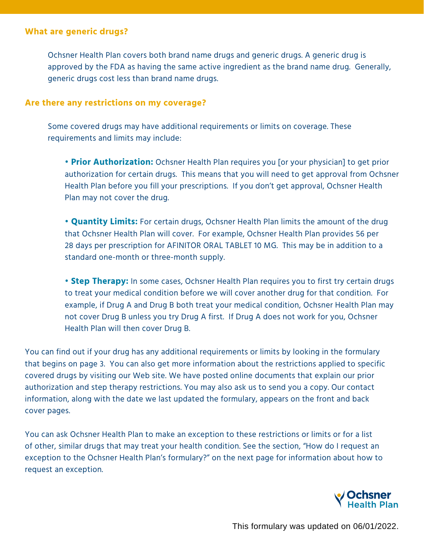#### **What are generic drugs?**

Ochsner Health Plan covers both brand name drugs and generic drugs. A generic drug is approved by the FDA as having the same active ingredient as the brand name drug. Generally, generic drugs cost less than brand name drugs.

#### **Are there any restrictions on my coverage?**

Some covered drugs may have additional requirements or limits on coverage. These requirements and limits may include:

**• Prior Authorization:** Ochsner Health Plan requires you [or your physician] to get prior authorization for certain drugs. This means that you will need to get approval from Ochsner Health Plan before you fill your prescriptions. If you don't get approval, Ochsner Health Plan may not cover the drug.

**• Quantity Limits:** For certain drugs, Ochsner Health Plan limits the amount of the drug that Ochsner Health Plan will cover. For example, Ochsner Health Plan provides 56 per 28 days per prescription for AFINITOR ORAL TABLET 10 MG. This may be in addition to a standard one-month or three-month supply.

**• Step Therapy:** In some cases, Ochsner Health Plan requires you to first try certain drugs to treat your medical condition before we will cover another drug for that condition. For example, if Drug A and Drug B both treat your medical condition, Ochsner Health Plan may not cover Drug B unless you try Drug A first. If Drug A does not work for you, Ochsner Health Plan will then cover Drug B.

You can find out if your drug has any additional requirements or limits by looking in the formulary that begins on page 3. You can also get more information about the restrictions applied to specific covered drugs by visiting our Web site. We have posted online documents that explain our prior authorization and step therapy restrictions. You may also ask us to send you a copy. Our contact information, along with the date we last updated the formulary, appears on the front and back cover pages.

You can ask Ochsner Health Plan to make an exception to these restrictions or limits or for a list of other, similar drugs that may treat your health condition. See the section, "How do I request an exception to the Ochsner Health Plan's formulary?" on the next page for information about how to request an exception.

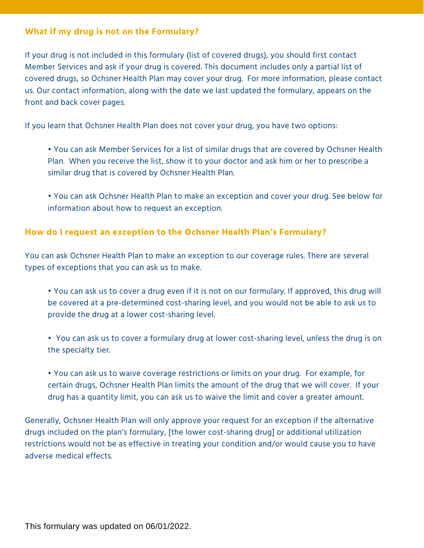# **What if my drug is not on the Formulary?**

If your drug is not included in this formulary (list of covered drugs), you should first contact Member Services and ask if your drug is covered. This document includes only a partial list of covered drugs, so Ochsner Health Plan may cover your drug. For more information, please contact us. Our contact information, along with the date we last updated the formulary, appears on the front and back cover pages.

If you learn that Ochsner Health Plan does not cover your drug, you have two options:

- You can ask Member Services for a list of similar drugs that are covered by Ochsner Health Plan. When you receive the list, show it to your doctor and ask him or her to prescribe a similar drug that is covered by Ochsner Health Plan.
- You can ask Ochsner Health Plan to make an exception and cover your drug. See below for information about how to request an exception.

# **How do I request an exception to the Ochsner Health Plan's Formulary?**

You can ask Ochsner Health Plan to make an exception to our coverage rules. There are several types of exceptions that you can ask us to make.

- You can ask us to cover a drug even if it is not on our formulary. If approved, this drug will be covered at a pre-determined cost-sharing level, and you would not be able to ask us to provide the drug at a lower cost-sharing level.
- You can ask us to cover a formulary drug at lower cost-sharing level, unless the drug is on the specialty tier.
- You can ask us to waive coverage restrictions or limits on your drug. For example, for certain drugs, Ochsner Health Plan limits the amount of the drug that we will cover. If your drug has a quantity limit, you can ask us to waive the limit and cover a greater amount.

Generally, Ochsner Health Plan will only approve your request for an exception if the alternative drugs included on the plan's formulary, [the lower cost-sharing drug] or additional utilization restrictions would not be as effective in treating your condition and/or would cause you to have adverse medical effects.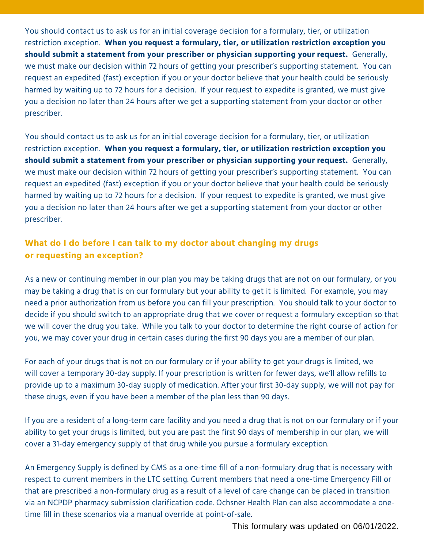You should contact us to ask us for an initial coverage decision for a formulary, tier, or utilization restriction exception. **When you request a formulary, tier, or utilization restriction exception you should submit a statement from your prescriber or physician supporting your request.** Generally, we must make our decision within 72 hours of getting your prescriber's supporting statement. You can request an expedited (fast) exception if you or your doctor believe that your health could be seriously harmed by waiting up to 72 hours for a decision. If your request to expedite is granted, we must give you a decision no later than 24 hours after we get a supporting statement from your doctor or other prescriber.

You should contact us to ask us for an initial coverage decision for a formulary, tier, or utilization restriction exception. **When you request a formulary, tier, or utilization restriction exception you should submit a statement from your prescriber or physician supporting your request.** Generally, we must make our decision within 72 hours of getting your prescriber's supporting statement. You can request an expedited (fast) exception if you or your doctor believe that your health could be seriously harmed by waiting up to 72 hours for a decision. If your request to expedite is granted, we must give you a decision no later than 24 hours after we get a supporting statement from your doctor or other prescriber.

# **What do I do before I can talk to my doctor about changing my drugs or requesting an exception?**

As a new or continuing member in our plan you may be taking drugs that are not on our formulary, or you may be taking a drug that is on our formulary but your ability to get it is limited. For example, you may need a prior authorization from us before you can fill your prescription. You should talk to your doctor to decide if you should switch to an appropriate drug that we cover or request a formulary exception so that we will cover the drug you take. While you talk to your doctor to determine the right course of action for you, we may cover your drug in certain cases during the first 90 days you are a member of our plan.

For each of your drugs that is not on our formulary or if your ability to get your drugs is limited, we will cover a temporary 30-day supply. If your prescription is written for fewer days, we'll allow refills to provide up to a maximum 30-day supply of medication. After your first 30-day supply, we will not pay for these drugs, even if you have been a member of the plan less than 90 days.

If you are a resident of a long-term care facility and you need a drug that is not on our formulary or if your ability to get your drugs is limited, but you are past the first 90 days of membership in our plan, we will cover a 31-day emergency supply of that drug while you pursue a formulary exception.

An Emergency Supply is defined by CMS as a one-time fill of a non-formulary drug that is necessary with respect to current members in the LTC setting. Current members that need a one-time Emergency Fill or that are prescribed a non-formulary drug as a result of a level of care change can be placed in transition via an NCPDP pharmacy submission clarification code. Ochsner Health Plan can also accommodate a onetime fill in these scenarios via a manual override at point-of-sale.

This formulary was updated on 06/01/2022.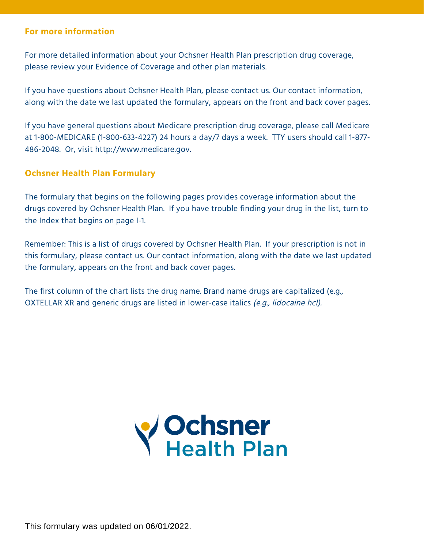#### **For more information**

For more detailed information about your Ochsner Health Plan prescription drug coverage, please review your Evidence of Coverage and other plan materials.

If you have questions about Ochsner Health Plan, please contact us. Our contact information, along with the date we last updated the formulary, appears on the front and back cover pages.

If you have general questions about Medicare prescription drug coverage, please call Medicare at 1-800-MEDICARE (1-800-633-4227) 24 hours a day/7 days a week. TTY users should call 1-877- 486-2048. Or, visit <http://www.medicare.gov>.

#### **Ochsner Health Plan Formulary**

The formulary that begins on the following pages provides coverage information about the drugs covered by Ochsner Health Plan. If you have trouble finding your drug in the list, turn to the Index that begins on page I-1.

Remember: This is a list of drugs covered by Ochsner Health Plan. If your prescription is not in this formulary, please contact us. Our contact information, along with the date we last updated the formulary, appears on the front and back cover pages.

The first column of the chart lists the drug name. Brand name drugs are capitalized (e.g., OXTELLAR XR and generic drugs are listed in lower-case italics (e.g., lidocaine hcl).



This formulary was updated on 06/01/2022.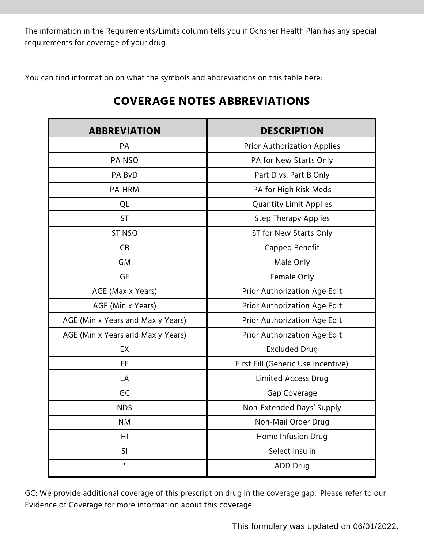The information in the Requirements/Limits column tells you if Ochsner Health Plan has any special requirements for coverage of your drug.

You can find information on what the symbols and abbreviations on this table here:

| <b>ABBREVIATION</b>               | <b>DESCRIPTION</b>                 |
|-----------------------------------|------------------------------------|
| PA                                | <b>Prior Authorization Applies</b> |
| <b>PANSO</b>                      | PA for New Starts Only             |
| PA BvD                            | Part D vs. Part B Only             |
| PA-HRM                            | PA for High Risk Meds              |
| QL                                | <b>Quantity Limit Applies</b>      |
| <b>ST</b>                         | <b>Step Therapy Applies</b>        |
| <b>ST NSO</b>                     | ST for New Starts Only             |
| CB                                | Capped Benefit                     |
| <b>GM</b>                         | Male Only                          |
| GF                                | Female Only                        |
| AGE (Max x Years)                 | Prior Authorization Age Edit       |
| AGE (Min x Years)                 | Prior Authorization Age Edit       |
| AGE (Min x Years and Max y Years) | Prior Authorization Age Edit       |
| AGE (Min x Years and Max y Years) | Prior Authorization Age Edit       |
| <b>EX</b>                         | <b>Excluded Drug</b>               |
| <b>FF</b>                         | First Fill (Generic Use Incentive) |
| LA                                | <b>Limited Access Drug</b>         |
| GC                                | Gap Coverage                       |
| <b>NDS</b>                        | Non-Extended Days' Supply          |
| <b>NM</b>                         | Non-Mail Order Drug                |
| H1                                | Home Infusion Drug                 |
| SI                                | Select Insulin                     |
| $^\star$                          | <b>ADD Drug</b>                    |

# **COVERAGE NOTES ABBREVIATIONS**

GC: We provide additional coverage of this prescription drug in the coverage gap. Please refer to our Evidence of Coverage for more information about this coverage.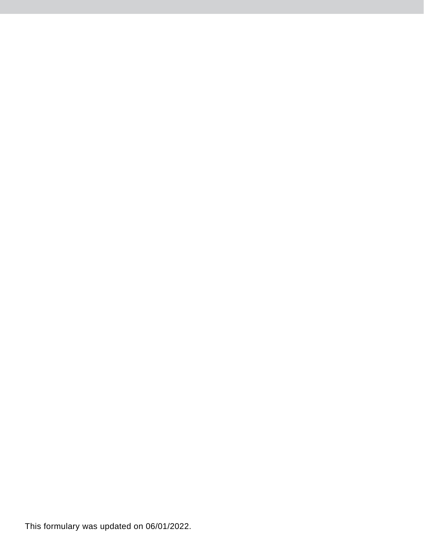This formulary was updated on 06/01/2022.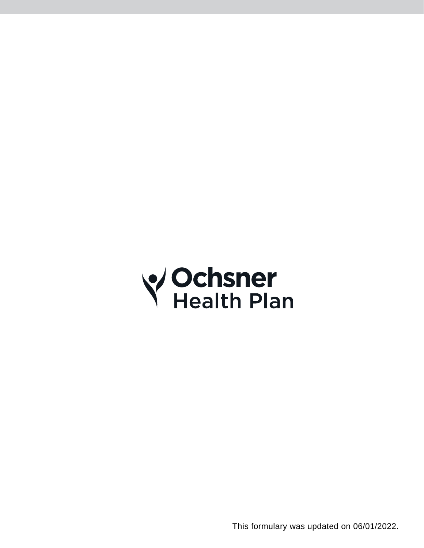

This formulary was updated on 06/01/2022.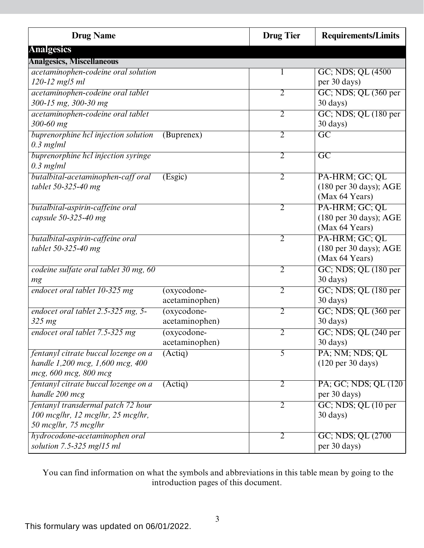| <b>Drug Name</b>                                                                                  |                                 | <b>Drug Tier</b> | <b>Requirements/Limits</b>                                                     |
|---------------------------------------------------------------------------------------------------|---------------------------------|------------------|--------------------------------------------------------------------------------|
| <b>Analgesics</b>                                                                                 |                                 |                  |                                                                                |
| <b>Analgesics, Miscellaneous</b>                                                                  |                                 |                  |                                                                                |
| acetaminophen-codeine oral solution<br>120-12 mg/5 ml                                             |                                 |                  | GC; NDS; QL (4500)<br>per 30 days)                                             |
| acetaminophen-codeine oral tablet<br>300-15 mg, 300-30 mg                                         |                                 | $\overline{2}$   | GC; NDS; QL (360 per<br>30 days)                                               |
| acetaminophen-codeine oral tablet<br>300-60 mg                                                    |                                 | $\overline{2}$   | GC; NDS; QL (180 per<br>30 days)                                               |
| buprenorphine hcl injection solution<br>$0.3$ mg/ml                                               | (Buprenex)                      | $\overline{2}$   | $\overline{\mathrm{GC}}$                                                       |
| buprenorphine hcl injection syringe<br>$0.3$ mg/ml                                                |                                 | 2                | $\overline{\mathrm{GC}}$                                                       |
| butalbital-acetaminophen-caff oral<br>tablet 50-325-40 mg                                         | (Esgic)                         | $\overline{2}$   | PA-HRM; GC; QL<br>(180 per 30 days); AGE<br>(Max 64 Years)                     |
| butalbital-aspirin-caffeine oral<br>capsule 50-325-40 mg                                          |                                 | $\overline{2}$   | PA-HRM; GC; QL<br>(180 per 30 days); AGE<br>(Max 64 Years)                     |
| butalbital-aspirin-caffeine oral<br>tablet 50-325-40 mg                                           |                                 | $\overline{2}$   | PA-HRM; GC; QL<br>$(180 \text{ per } 30 \text{ days})$ ; AGE<br>(Max 64 Years) |
| codeine sulfate oral tablet 30 mg, 60<br>mg                                                       |                                 | $\overline{2}$   | GC; NDS; QL (180 per<br>30 days)                                               |
| endocet oral tablet 10-325 mg                                                                     | $(oxycodone-$<br>acetaminophen) | $\overline{2}$   | GC; NDS; QL (180 per<br>30 days)                                               |
| endocet oral tablet 2.5-325 mg, 5-<br>$325 \, mg$                                                 | $(oxycodone-$<br>acetaminophen) | $\overline{2}$   | $GC$ ; NDS; QL $(360$ per<br>30 days)                                          |
| endocet oral tablet 7.5-325 mg                                                                    | $(oxycodone-$<br>acetaminophen) | $\overline{2}$   | GC; NDS; QL (240 per<br>30 days)                                               |
| fentanyl citrate buccal lozenge on a<br>handle 1,200 mcg, 1,600 mcg, 400<br>mcg, 600 mcg, 800 mcg | (Actiq)                         | 5                | PA; NM; NDS; QL<br>$(120 \text{ per } 30 \text{ days})$                        |
| fentanyl citrate buccal lozenge on a<br>handle 200 mcg                                            | (Actiq)                         | $\overline{2}$   | PA; GC; NDS; QL (120)<br>per 30 days)                                          |
| fentanyl transdermal patch 72 hour<br>100 mcg/hr, 12 mcg/hr, 25 mcg/hr,<br>50 mcglhr, 75 mcglhr   |                                 | $\overline{2}$   | GC; NDS; QL (10 per<br>$30 \text{ days}$                                       |
| hydrocodone-acetaminophen oral<br>solution 7.5-325 mg/15 ml                                       |                                 | $\overline{2}$   | GC; NDS; QL (2700)<br>per 30 days)                                             |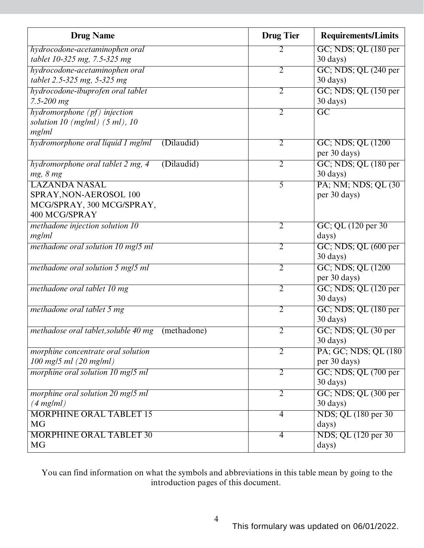| <b>Drug Name</b>                                    | <b>Drug Tier</b> | <b>Requirements/Limits</b> |
|-----------------------------------------------------|------------------|----------------------------|
| hydrocodone-acetaminophen oral                      | 2                | GC; NDS; QL (180 per       |
| tablet 10-325 mg, 7.5-325 mg                        |                  | $30 \text{ days}$ )        |
| hydrocodone-acetaminophen oral                      | $\overline{2}$   | GC; NDS; QL (240 per       |
| tablet 2.5-325 mg, 5-325 mg                         |                  | $30 \text{ days}$ )        |
| hydrocodone-ibuprofen oral tablet                   | $\overline{2}$   | GC; NDS; QL (150 per       |
| $7.5 - 200$ mg                                      |                  | $30 \text{ days}$ )        |
| hydromorphone (pf) injection                        | $\overline{2}$   | $\overline{GC}$            |
| solution 10 $(mg/ml)$ (5 ml), 10                    |                  |                            |
| mg ml                                               |                  |                            |
| (Dilaudid)<br>hydromorphone oral liquid 1 mg/ml     | $\overline{2}$   | GC; NDS; QL (1200)         |
|                                                     |                  | per 30 days)               |
| hydromorphone oral tablet 2 mg, 4<br>(Dilaudid)     | 2                | GC; NDS; QL (180 per       |
| mg, 8 mg                                            |                  | 30 days)                   |
| <b>LAZANDA NASAL</b>                                | 5                | PA; NM; NDS; QL (30)       |
| SPRAY, NON-AEROSOL 100                              |                  | per 30 days)               |
| MCG/SPRAY, 300 MCG/SPRAY,                           |                  |                            |
| 400 MCG/SPRAY                                       |                  |                            |
| methadone injection solution 10                     | $\overline{2}$   | GC; QL (120 per 30)        |
| mg/ml                                               |                  | days)                      |
| methadone oral solution 10 mg/5 ml                  | $\overline{2}$   | GC; NDS; QL (600 per       |
|                                                     |                  | 30 days)                   |
| methadone oral solution 5 mg/5 ml                   | $\overline{2}$   | GC; NDS; QL (1200)         |
|                                                     |                  | per 30 days)               |
| methadone oral tablet 10 mg                         | $\overline{2}$   | GC; NDS; QL (120 per       |
|                                                     |                  | 30 days)                   |
| methadone oral tablet 5 mg                          | $\overline{2}$   | $GC$ ; NDS; QL $(180$ per  |
|                                                     |                  | 30 days)                   |
| methadose oral tablet, soluble 40 mg<br>(methadone) | 2                | GC; NDS; QL (30 per        |
|                                                     |                  | 30 days)                   |
| morphine concentrate oral solution                  | 2                | PA; GC; NDS; QL (180)      |
| 100 mg/5 ml (20 mg/ml)                              |                  | per 30 days)               |
| morphine oral solution 10 mg/5 ml                   | $\overline{2}$   | GC; NDS; QL (700 per       |
|                                                     |                  | 30 days)                   |
| morphine oral solution 20 mg/5 ml                   | $\overline{2}$   | GC; NDS; QL (300 per       |
| $(4$ mg/ml)                                         |                  | $30 \text{ days}$          |
| <b>MORPHINE ORAL TABLET 15</b>                      | $\overline{4}$   | NDS; QL (180 per 30)       |
| <b>MG</b>                                           |                  | days)                      |
| <b>MORPHINE ORAL TABLET 30</b>                      | $\overline{4}$   | NDS; QL (120 per 30)       |
| <b>MG</b>                                           |                  | days)                      |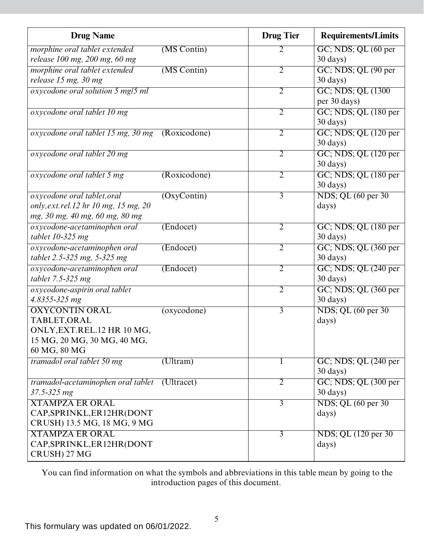| <b>Drug Name</b>                              |                    | <b>Drug Tier</b> | <b>Requirements/Limits</b>                      |
|-----------------------------------------------|--------------------|------------------|-------------------------------------------------|
| morphine oral tablet extended                 | (MS Contin)        |                  | GC; NDS; QL (60 per                             |
| release 100 mg, 200 mg, 60 mg                 |                    |                  | 30 days)                                        |
| morphine oral tablet extended                 | (MS Contin)        | $\overline{2}$   | GC; NDS; QL (90 per                             |
| release 15 mg, 30 mg                          |                    |                  | 30 days)                                        |
| oxycodone oral solution 5 mg/5 ml             |                    | $\overline{2}$   | GC; NDS; QL (1300)                              |
|                                               |                    |                  | per 30 days)                                    |
| oxycodone oral tablet 10 mg                   |                    | 2                | $GC$ ; NDS; QL $(180$ per                       |
|                                               |                    |                  | $30 \text{ days}$ )                             |
| oxycodone oral tablet 15 mg, 30 mg            | (Roxicodone)       | $\overline{2}$   | $\overline{GC}$ ; NDS; $\overline{QL}$ (120 per |
|                                               |                    |                  | 30 days)                                        |
| oxycodone oral tablet 20 mg                   |                    | $\overline{2}$   | GC; NDS; QL (120 per                            |
|                                               |                    |                  | 30 days)                                        |
| oxycodone oral tablet 5 mg                    | (Roxicodone)       | $\overline{2}$   | GC; NDS; QL (180 per                            |
|                                               |                    |                  | 30 days)                                        |
| oxycodone oral tablet, oral                   | (OxyContin)        | $\overline{3}$   | NDS; QL (60 per 30)                             |
| only, ext.rel.12 hr 10 mg, 15 mg, 20          |                    |                  | days)                                           |
| mg, 30 mg, 40 mg, 60 mg, 80 mg                |                    |                  |                                                 |
| oxycodone-acetaminophen oral                  | (Endocet)          | $\overline{2}$   | GC; NDS; QL (180 per                            |
| tablet $10-325$ mg                            |                    |                  | 30 days)                                        |
| oxycodone-acetaminophen oral                  | $(\text{Endocet})$ | $\overline{2}$   | GC; NDS; QL (360 per                            |
| tablet 2.5-325 mg, 5-325 mg                   |                    |                  | 30 days)                                        |
| oxycodone-acetaminophen oral                  | (Endocet)          | $\overline{2}$   | GC; NDS; QL (240 per                            |
| tablet 7.5-325 mg                             |                    |                  | 30 days)                                        |
| oxycodone-aspirin oral tablet                 |                    | $\overline{2}$   | GC; NDS; QL (360 per                            |
| 4.8355-325 mg                                 |                    |                  | 30 days)                                        |
| <b>OXYCONTIN ORAL</b>                         | (oxycodone)        | $\overline{3}$   | NDS; QL (60 per 30)                             |
| TABLET, ORAL                                  |                    |                  | days)                                           |
| ONLY, EXT.REL.12 HR 10 MG,                    |                    |                  |                                                 |
| 15 MG, 20 MG, 30 MG, 40 MG,                   |                    |                  |                                                 |
| 60 MG, 80 MG                                  |                    |                  |                                                 |
| tramadol oral tablet 50 mg                    | (Ultram)           |                  | $GC$ ; NDS; QL $(240$ per                       |
|                                               |                    |                  | $30 \text{ days}$                               |
| tramadol-acetaminophen oral tablet (Ultracet) |                    | $\overline{2}$   | GC; NDS; QL (300 per                            |
| 37.5-325 mg                                   |                    |                  | $30 \text{ days}$ )                             |
| <b>XTAMPZA ER ORAL</b>                        |                    | $\overline{3}$   | NDS; QL (60 per 30)                             |
| CAP, SPRINKL, ER12HR (DONT                    |                    |                  | days)                                           |
| CRUSH) 13.5 MG, 18 MG, 9 MG                   |                    |                  |                                                 |
| <b>XTAMPZA ER ORAL</b>                        |                    | $\overline{3}$   | NDS; QL (120 per 30)                            |
| CAP, SPRINKL, ER12HR (DONT                    |                    |                  | days)                                           |
| CRUSH) 27 MG                                  |                    |                  |                                                 |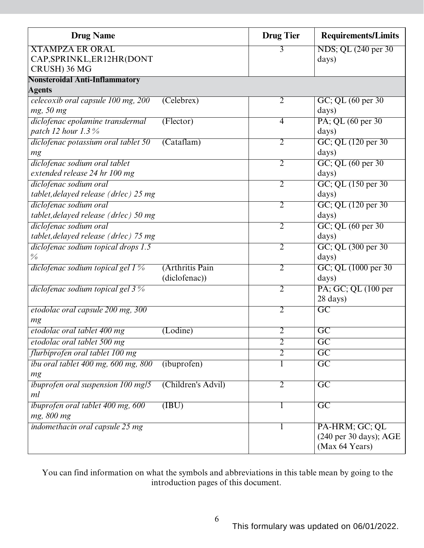| <b>Drug Name</b>                          |                           | <b>Drug Tier</b> | <b>Requirements/Limits</b>                 |
|-------------------------------------------|---------------------------|------------------|--------------------------------------------|
| <b>XTAMPZA ER ORAL</b>                    |                           | 3                | NDS; QL (240 per 30)                       |
| CAP, SPRINKL, ER12HR (DONT                |                           |                  | days)                                      |
| CRUSH) 36 MG                              |                           |                  |                                            |
| <b>Nonsteroidal Anti-Inflammatory</b>     |                           |                  |                                            |
| <b>Agents</b>                             |                           |                  |                                            |
| celecoxib oral capsule 100 mg, 200        | (Celebreak)               | $\overline{2}$   | GC; QL (60 per 30)                         |
| mg, 50 mg                                 |                           |                  | days)                                      |
| diclofenac epolamine transdermal          | (Flector)                 | $\overline{4}$   | PA; QL (60 per 30)                         |
| patch 12 hour 1.3%                        |                           |                  | days)                                      |
| diclofenac potassium oral tablet 50       | (Catalam)                 | $\overline{2}$   | GC; QL (120 per 30)                        |
| mg                                        |                           |                  | days)                                      |
| diclofenac sodium oral tablet             |                           | $\overline{2}$   | GC; QL (60 per 30)                         |
| extended release 24 hr 100 mg             |                           |                  | days)                                      |
| diclofenac sodium oral                    |                           | $\overline{2}$   | GC; QL (150 per 30)                        |
| tablet, delayed release (drlec) 25 mg     |                           |                  | days)                                      |
| diclofenac sodium oral                    |                           | $\overline{2}$   | GC; QL (120 per 30)                        |
| tablet, delayed release (drlec) 50 mg     |                           |                  | days)                                      |
| diclofenac sodium oral                    |                           | $\overline{2}$   | GC; QL (60 per 30)                         |
| tablet, delayed release (drlec) 75 mg     |                           |                  | days)                                      |
| diclofenac sodium topical drops 1.5       |                           | $\overline{2}$   | GC; QL (300 per 30)                        |
| $\frac{0}{0}$                             |                           |                  | days)                                      |
| diclofenac sodium topical gel 1 %         | (Arthritis Pain           | $\overline{2}$   | GC; QL (1000 per 30)                       |
|                                           | (diclofenac))             |                  | days)                                      |
| diclofenac sodium topical gel 3 %         |                           | $\overline{2}$   | PA; GC; QL (100 per                        |
|                                           |                           |                  | 28 days)                                   |
| etodolac oral capsule 200 mg, 300         |                           | $\overline{2}$   | $\overline{\mathrm{GC}}$                   |
| mg                                        |                           |                  |                                            |
| etodolac oral tablet 400 mg               | $($ Lodine $)$            | $\overline{2}$   | $\overline{\text{GC}}$                     |
| etodolac oral tablet 500 mg               |                           | $\overline{2}$   | $\overline{\mathrm{GC}}$                   |
| flurbiprofen oral tablet 100 mg           |                           | $\overline{2}$   | $\overline{\text{GC}}$                     |
| ibu oral tablet 400 mg, 600 mg, 800       | (ibuprofen)               | 1                | $\overline{GC}$                            |
| mg                                        |                           |                  |                                            |
| <i>ibuprofen oral suspension 100 mg/5</i> | (Children's Advil)        | $\overline{2}$   | $\overline{\text{GC}}$                     |
| ml                                        |                           |                  |                                            |
| ibuprofen oral tablet 400 mg, 600         | $(\overline{\text{IBU}})$ | 1                | $\overline{GC}$                            |
| mg, 800 mg                                |                           |                  |                                            |
| indomethacin oral capsule 25 mg           |                           |                  | PA-HRM; GC; QL                             |
|                                           |                           |                  | $(240 \text{ per } 30 \text{ days})$ ; AGE |
|                                           |                           |                  | (Max 64 Years)                             |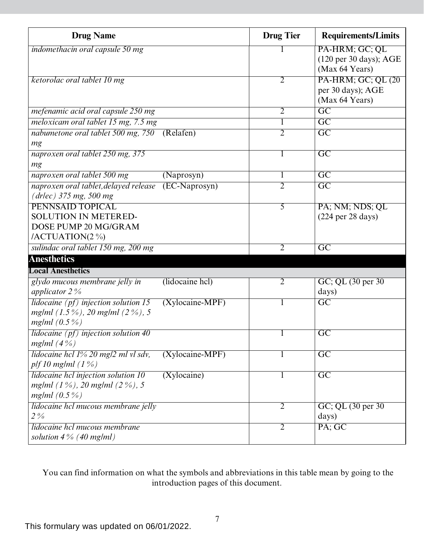| <b>Drug Name</b>                                                                                     |                   | <b>Drug Tier</b> | <b>Requirements/Limits</b>                                                     |
|------------------------------------------------------------------------------------------------------|-------------------|------------------|--------------------------------------------------------------------------------|
| indomethacin oral capsule 50 mg                                                                      |                   |                  | PA-HRM; GC; QL<br>$(120 \text{ per } 30 \text{ days})$ ; AGE<br>(Max 64 Years) |
| ketorolac oral tablet 10 mg                                                                          |                   | $\overline{2}$   | PA-HRM; GC; QL (20)<br>per 30 days); AGE<br>(Max 64 Years)                     |
| mefenamic acid oral capsule 250 mg                                                                   |                   | $\overline{2}$   | $\overline{GC}$                                                                |
| meloxicam oral tablet 15 mg, 7.5 mg                                                                  |                   |                  | $\overline{GC}$                                                                |
| nabumetone oral tablet 500 mg, 750<br>mg                                                             | (Relafen)         | $\overline{2}$   | $\overline{GC}$                                                                |
| naproxen oral tablet 250 mg, 375<br>mg                                                               |                   | 1                | $\overline{GC}$                                                                |
| naproxen oral tablet 500 mg                                                                          | (Naprosyn)        | 1                | $\overline{GC}$                                                                |
| naproxen oral tablet, delayed release<br>$(drlec)$ 375 mg, 500 mg                                    | (EC-Naprosyn)     | $\overline{2}$   | $\overline{GC}$                                                                |
| <b>PENNSAID TOPICAL</b><br><b>SOLUTION IN METERED-</b><br>DOSE PUMP 20 MG/GRAM<br>/ACTUATION $(2\%)$ |                   | 5                | PA; NM; NDS; QL<br>$(224 \text{ per } 28 \text{ days})$                        |
| sulindac oral tablet 150 mg, 200 mg                                                                  |                   | $\overline{2}$   | $\overline{\rm GC}$                                                            |
| <b>Anesthetics</b>                                                                                   |                   |                  |                                                                                |
| <b>Local Anesthetics</b>                                                                             |                   |                  |                                                                                |
| glydo mucous membrane jelly in<br>applicator $2\%$                                                   | (lidocaine hcl)   | $\overline{2}$   | GC; QL (30 per 30)<br>days)                                                    |
| lidocaine $(pt)$ injection solution 15<br>mg/ml $(1.5\%)$ , 20 mg/ml $(2\%)$ , 5<br>mg/ml $(0.5\%)$  | $(Xylocaine-MPF)$ |                  | $\overline{GC}$                                                                |
| lidocaine $(pf)$ injection solution 40<br>mg/ml $(4\%)$                                              |                   |                  | C <sub>C</sub>                                                                 |
| lidocaine hcl 1% 20 mg/2 ml vl sdv,<br>plf 10 mg/ml $(1%)$                                           | $(Xylocaine-MPF)$ | 1                | $\overline{GC}$                                                                |
| lidocaine hcl injection solution 10<br>mg/ml $(1\%)$ , 20 mg/ml $(2\%)$ , 5<br>mg/ml $(0.5\%)$       | (Xylocaine)       |                  | $\overline{GC}$                                                                |
| lidocaine hcl mucous membrane jelly<br>$2\%$                                                         |                   | $\overline{2}$   | GC; QL (30 per 30)<br>days)                                                    |
| lidocaine hcl mucous membrane<br>solution $4\%$ (40 mg/ml)                                           |                   | $\overline{2}$   | PA; GC                                                                         |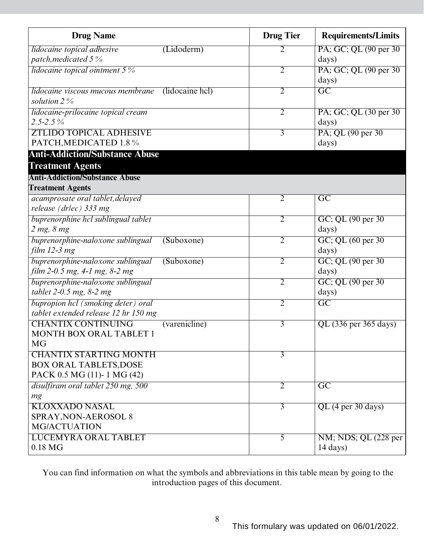| <b>Drug Name</b>                                                       | <b>Drug Tier</b> | <b>Requirements/Limits</b> |
|------------------------------------------------------------------------|------------------|----------------------------|
| lidocaine topical adhesive<br>(Lidoderm)                               | 2                | PA; GC; QL (90 per 30)     |
| patch, medicated 5%                                                    |                  | days)                      |
| <i>lidocaine topical ointment</i> $5\%$                                | $\overline{2}$   | PA; GC; QL (90 per 30)     |
|                                                                        |                  | days)                      |
| lidocaine viscous mucous membrane<br>(lidocaine hcl)<br>solution $2\%$ | $\overline{2}$   | $\overline{GC}$            |
| lidocaine-prilocaine topical cream                                     | $\overline{2}$   | PA; GC; QL (30 per 30)     |
| $2.5 - 2.5\%$                                                          |                  | days)                      |
| <b>ZTLIDO TOPICAL ADHESIVE</b>                                         | 3                | PA; QL (90 per 30)         |
| PATCH, MEDICATED 1.8 %                                                 |                  | days)                      |
| <b>Anti-Addiction/Substance Abuse</b>                                  |                  |                            |
| <b>Treatment Agents</b>                                                |                  |                            |
| <b>Anti-Addiction/Substance Abuse</b>                                  |                  |                            |
| <b>Treatment Agents</b>                                                |                  |                            |
| acamprosate oral tablet, delayed                                       | $\overline{2}$   | $\overline{\mathrm{GC}}$   |
| release (drlec) 333 mg                                                 |                  |                            |
| buprenorphine hcl sublingual tablet                                    | $\overline{2}$   | GC; QL (90 per 30)         |
| $2$ mg, $8$ mg                                                         |                  | days)                      |
| buprenorphine-naloxone sublingual<br>(Suboxone)                        | $\overline{2}$   | GC; QL (60 per 30)         |
| film $12-3$ mg                                                         |                  | days)                      |
| buprenorphine-naloxone sublingual<br>(Suboxone)                        | $\overline{2}$   | GC; QL (90 per 30)         |
| film 2-0.5 mg, 4-1 mg, 8-2 mg                                          |                  | days)                      |
| buprenorphine-naloxone sublingual                                      | $\overline{2}$   | GC; QL (90 per 30)         |
| tablet $2-0.5$ mg, $8-2$ mg                                            |                  | days)                      |
| bupropion hcl (smoking deter) oral                                     | $\overline{2}$   | $\overline{GC}$            |
| tablet extended release 12 hr 150 mg                                   |                  |                            |
| <b>CHANTIX CONTINUING</b><br>$\overline{\text{(varenicline)}}$         | $\overline{3}$   | QL (336 per 365 days)      |
| <b>MONTH BOX ORAL TABLET 1</b>                                         |                  |                            |
| <b>MG</b>                                                              |                  |                            |
| <b>CHANTIX STARTING MONTH</b>                                          | $\overline{3}$   |                            |
| <b>BOX ORAL TABLETS, DOSE</b>                                          |                  |                            |
| PACK 0.5 MG (11)-1 MG (42)                                             |                  |                            |
| disulfiram oral tablet 250 mg, 500                                     | $\overline{2}$   | $\overline{\mathrm{GC}}$   |
| mg                                                                     |                  |                            |
| <b>KLOXXADO NASAL</b>                                                  | $\overline{3}$   | QL (4 per 30 days)         |
| SPRAY, NON-AEROSOL 8                                                   |                  |                            |
| <b>MG/ACTUATION</b>                                                    |                  |                            |
| <b>LUCEMYRA ORAL TABLET</b>                                            | $\overline{5}$   | NM; NDS; QL (228 per       |
| $0.18$ MG                                                              |                  | $14 \text{ days}$ )        |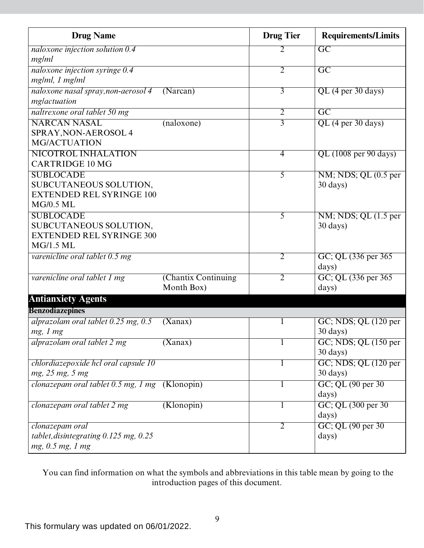| <b>Drug Name</b>                               |                     | <b>Drug Tier</b> | <b>Requirements/Limits</b>                           |
|------------------------------------------------|---------------------|------------------|------------------------------------------------------|
| naloxone injection solution 0.4                |                     | 2                | $\overline{GC}$                                      |
| mg/ml                                          |                     |                  |                                                      |
| naloxone injection syringe 0.4                 |                     | $\overline{2}$   | $\overline{GC}$                                      |
| mg/ml, 1 mg/ml                                 |                     |                  |                                                      |
| naloxone nasal spray, non-aerosol 4            | (Narcan)            | $\overline{3}$   | $QL$ (4 per 30 days)                                 |
| mglactuation                                   |                     |                  |                                                      |
| naltrexone oral tablet 50 mg                   |                     | $\overline{2}$   | $\overline{GC}$                                      |
| <b>NARCAN NASAL</b>                            | (naloxone)          | $\overline{3}$   | $QL$ (4 per 30 days)                                 |
| SPRAY, NON-AEROSOL 4                           |                     |                  |                                                      |
| <b>MG/ACTUATION</b>                            |                     |                  |                                                      |
| NICOTROL INHALATION                            |                     | $\overline{4}$   | QL (1008 per 90 days)                                |
| <b>CARTRIDGE 10 MG</b>                         |                     |                  |                                                      |
| <b>SUBLOCADE</b>                               |                     | 5                | $\overline{\text{NM}}$ ; NDS; QL $(0.5$ per          |
| SUBCUTANEOUS SOLUTION,                         |                     |                  | $30 \text{ days}$                                    |
| <b>EXTENDED REL SYRINGE 100</b>                |                     |                  |                                                      |
| <b>MG/0.5 ML</b>                               |                     |                  |                                                      |
| <b>SUBLOCADE</b>                               |                     | 5                | $\overline{\text{NM}}$ ; NDS; QL $(1.5 \text{ per})$ |
| SUBCUTANEOUS SOLUTION,                         |                     |                  | 30 days)                                             |
| <b>EXTENDED REL SYRINGE 300</b>                |                     |                  |                                                      |
| <b>MG/1.5 ML</b>                               |                     |                  |                                                      |
| varenicline oral tablet 0.5 mg                 |                     | $\overline{2}$   | GC; QL (336 per 365)                                 |
|                                                |                     |                  | days)                                                |
| varenicline oral tablet 1 mg                   | (Chantix Continuing | $\overline{2}$   | GC; QL (336 per 365)                                 |
|                                                | Month Box)          |                  | days)                                                |
| <b>Antianxiety Agents</b>                      |                     |                  |                                                      |
| <b>Benzodiazepines</b>                         |                     |                  |                                                      |
| alprazolam oral tablet $0.25$ mg, $0.5$        | (Xanax)             | 1                | $GC$ ; NDS; QL $(120$ per                            |
| mg, 1 mg                                       |                     |                  | 30 days)                                             |
| alprazolam oral tablet 2 mg                    | (Xanax)             |                  | $GC$ ; NDS; QL $(150$ per                            |
|                                                |                     |                  | $30 \text{ days}$ )                                  |
| chlordiazepoxide hcl oral capsule 10           |                     | T                | GC; NDS; QL (120 per                                 |
| mg, 25 mg, 5 mg                                |                     |                  | 30 days)                                             |
| clonazepam oral tablet 0.5 mg, 1 mg (Klonopin) |                     |                  | GC; QL (90 per 30)                                   |
|                                                |                     |                  | days)                                                |
| clonazepam oral tablet 2 mg                    | (Klonopin)          | 1                | GC; QL (300 per 30)                                  |
|                                                |                     |                  | days)                                                |
| clonazepam oral                                |                     | 2                | GC; QL (90 per 30)                                   |
| tablet, disintegrating $0.125$ mg, $0.25$      |                     |                  | days)                                                |
| mg, 0.5 mg, 1 mg                               |                     |                  |                                                      |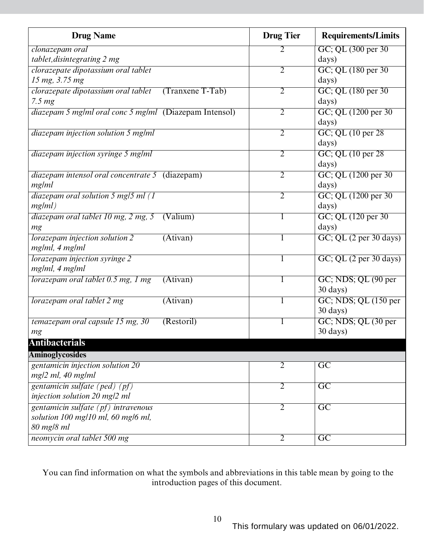| <b>Drug Name</b>                                        | <b>Drug Tier</b> | <b>Requirements/Limits</b>      |
|---------------------------------------------------------|------------------|---------------------------------|
| clonazepam oral                                         | 2                | GC; QL (300 per 30)             |
| tablet, disintegrating 2 mg                             |                  | days)                           |
| clorazepate dipotassium oral tablet                     | 2                | GC; QL (180 per 30)             |
| 15 mg, 3.75 mg                                          |                  | days)                           |
| clorazepate dipotassium oral tablet<br>(Tranxene T-Tab) | $\overline{2}$   | GC; QL (180 per 30)             |
| 7.5 <sub>mg</sub>                                       |                  | days)                           |
| diazepam 5 mg/ml oral conc 5 mg/ml (Diazepam Intensol)  | $\overline{2}$   | GC; QL (1200 per 30)            |
|                                                         |                  | days)                           |
| diazepam injection solution 5 mg/ml                     | 2                | GC; QL (10 per 28)              |
|                                                         |                  | days)                           |
| diazepam injection syringe 5 mg/ml                      | $\overline{2}$   | $GC$ ; QL $(10$ per 28          |
|                                                         |                  | days)                           |
| diazepam intensol oral concentrate 5 (diazepam)         | $\overline{2}$   | GC; QL (1200 per 30)            |
| mg/ml                                                   |                  | days)                           |
| diazepam oral solution 5 mg/5 ml (1                     | $\overline{2}$   | GC; QL (1200 per 30)            |
| mg/ml)                                                  |                  | days)                           |
| diazepam oral tablet 10 mg, 2 mg, 5<br>(Valium)         | T                | GC; QL (120 per 30)             |
| mg                                                      |                  | days)                           |
| lorazepam injection solution 2<br>(Ativan)              | $\mathbf{I}$     | GC; QL (2 per 30 days)          |
| mg/ml, 4 mg/ml                                          |                  |                                 |
| lorazepam injection syringe 2                           | ı                | GC; QL (2 per 30 days)          |
| mg/ml, 4 mg/ml                                          |                  |                                 |
| lorazepam oral tablet 0.5 mg, 1 mg<br>(Ativan)          | $\mathbf{I}$     | GC; NDS; QL (90 per             |
|                                                         |                  | 30 days)                        |
| lorazepam oral tablet 2 mg<br>$(\overline{Ativan})$     |                  | GC; NDS; QL (150 per            |
|                                                         |                  | 30 days)                        |
| temazepam oral capsule 15 mg, 30<br>(Restoril)          |                  | GC; NDS; QL (30 per<br>30 days) |
| mg                                                      |                  |                                 |
| <b>Antibacterials</b>                                   |                  |                                 |
| <b>Aminoglycosides</b>                                  |                  |                                 |
| gentamicin injection solution 20                        | $\overline{2}$   | $\overline{\text{GC}}$          |
| mg/2 ml, 40 mg/ml                                       |                  |                                 |
| gentamicin sulfate (ped) (pf)                           | $\overline{2}$   | $\overline{GC}$                 |
| injection solution 20 mg/2 ml                           |                  |                                 |
| gentamicin sulfate (pf) intravenous                     | $\overline{2}$   | $\overline{GC}$                 |
| solution 100 mg/10 ml, 60 mg/6 ml,                      |                  |                                 |
| 80 mg/8 ml                                              |                  |                                 |
| neomycin oral tablet 500 mg                             | 2                | $\overline{\text{GC}}$          |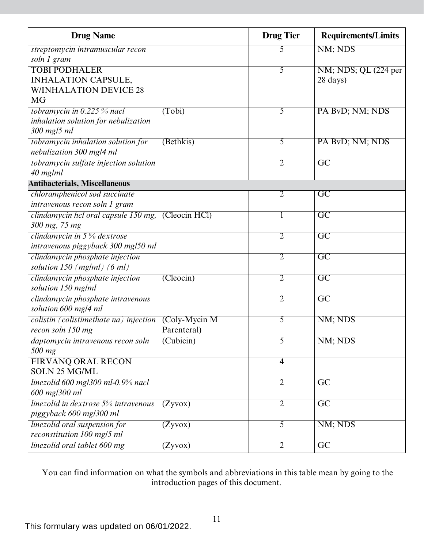| <b>Drug Name</b>                                   |                             | <b>Drug Tier</b> | <b>Requirements/Limits</b> |
|----------------------------------------------------|-----------------------------|------------------|----------------------------|
| streptomycin intramuscular recon                   |                             | 5                | NM; NDS                    |
| soln 1 gram                                        |                             |                  |                            |
| <b>TOBI PODHALER</b>                               |                             | 5                | NM; NDS; QL (224 per       |
| <b>INHALATION CAPSULE,</b>                         |                             |                  | 28 days)                   |
| <b>W/INHALATION DEVICE 28</b>                      |                             |                  |                            |
| <b>MG</b>                                          |                             |                  |                            |
| tobramycin in $0.225\%$ nacl                       | (Tobi)                      | 5                | PA BvD; NM; NDS            |
| inhalation solution for nebulization               |                             |                  |                            |
| 300 mg/5 ml                                        |                             |                  |                            |
| tobramycin inhalation solution for                 | (Bethkis)                   | 5                | PA BvD; NM; NDS            |
| nebulization 300 mg/4 ml                           |                             |                  |                            |
| tobramycin sulfate injection solution              |                             | $\overline{2}$   | $\overline{GC}$            |
| $40$ mg/ml                                         |                             |                  |                            |
| <b>Antibacterials, Miscellaneous</b>               |                             |                  |                            |
| chloramphenicol sod succinate                      |                             | $\overline{2}$   | $\overline{\rm GC}$        |
| intravenous recon soln 1 gram                      |                             |                  |                            |
| clindamycin hel oral capsule 150 mg, (Cleocin HCl) |                             | 1                | $\overline{GC}$            |
| 300 mg, 75 mg                                      |                             |                  |                            |
| clindamycin in $5\%$ dextrose                      |                             | $\overline{2}$   | $\overline{GC}$            |
| intravenous piggyback 300 mg/50 ml                 |                             |                  |                            |
| clindamycin phosphate injection                    |                             | $\overline{2}$   | $\overline{GC}$            |
| solution $150$ (mg/ml) (6 ml)                      |                             |                  |                            |
| clindamycin phosphate injection                    | (Cleocin)                   | $\overline{2}$   | $\overline{GC}$            |
| solution 150 mg/ml                                 |                             |                  |                            |
| clindamycin phosphate intravenous                  |                             | 2                | $\overline{GC}$            |
| solution 600 mg/4 ml                               |                             |                  |                            |
| colistin (colistimethate na) injection             | $\overline{(Coly-Mycin M)}$ | $\overline{5}$   | NM; NDS                    |
| recon soln 150 mg                                  | Parenteral)                 |                  |                            |
| daptomycin intravenous recon soln                  | $(Cu\overline{bicin})$      | 5                | NM; NDS                    |
| 500 mg                                             |                             |                  |                            |
| <b>FIRVANQ ORAL RECON</b>                          |                             | $\overline{4}$   |                            |
| <b>SOLN 25 MG/ML</b>                               |                             |                  |                            |
| linezolid 600 mg/300 ml-0.9% nacl                  |                             | $\overline{2}$   | $\overline{GC}$            |
| 600 mg/300 ml                                      |                             |                  |                            |
| linezolid in dextrose 5% intravenous               | (Zyvox)                     | $\overline{2}$   | $\overline{\text{GC}}$     |
| piggyback 600 mg/300 ml                            |                             |                  |                            |
| linezolid oral suspension for                      | (Zyvox)                     | 5                | NM; NDS                    |
| reconstitution 100 mg/5 ml                         |                             |                  |                            |
| linezolid oral tablet 600 mg                       | (Zyvox)                     | $\overline{2}$   | $\overline{GC}$            |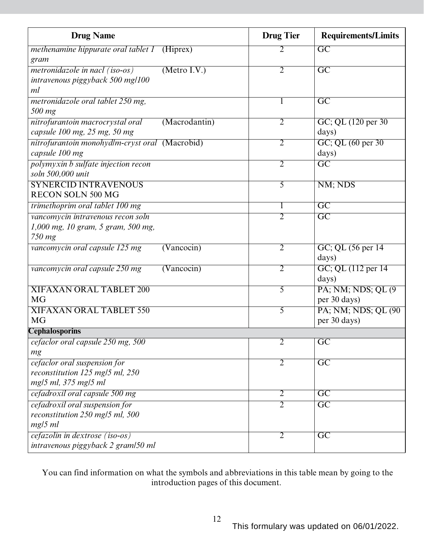| <b>Drug Name</b>                                    | <b>Drug Tier</b> | <b>Requirements/Limits</b> |
|-----------------------------------------------------|------------------|----------------------------|
| <i>methenamine hippurate oral tablet 1</i> (Hiprex) | 2                | $\overline{GC}$            |
| gram                                                |                  |                            |
| (Metro I.V.)<br>metronidazole in nacl (iso-os)      | $\overline{2}$   | $\overline{GC}$            |
| intravenous piggyback 500 mg/100                    |                  |                            |
| ml                                                  |                  |                            |
| metronidazole oral tablet 250 mg,                   | 1                | $\overline{GC}$            |
| 500 mg                                              |                  |                            |
| (Macrodantin)<br>nitrofurantoin macrocrystal oral   | $\overline{2}$   | GC; QL (120 per 30)        |
| capsule 100 mg, 25 mg, 50 mg                        |                  | days)                      |
| nitrofurantoin monohydlm-cryst oral (Macrobid)      | $\overline{2}$   | GC; QL (60 per 30)         |
| capsule 100 mg                                      |                  | days)                      |
| polymyxin b sulfate injection recon                 | 2                | $\overline{\rm GC}$        |
| soln 500,000 unit                                   |                  |                            |
| <b>SYNERCID INTRAVENOUS</b>                         | 5                | NM; NDS                    |
| <b>RECON SOLN 500 MG</b>                            |                  |                            |
| trimethoprim oral tablet 100 mg                     |                  | $\overline{GC}$            |
| vancomycin intravenous recon soln                   | $\overline{2}$   | $\overline{\rm GC}$        |
| 1,000 mg, 10 gram, 5 gram, 500 mg,                  |                  |                            |
| 750 mg                                              |                  |                            |
| vancomycin oral capsule 125 mg<br>(Vancocin)        | $\overline{2}$   | GC; QL (56 per 14)         |
|                                                     |                  | days)                      |
| vancomycin oral capsule 250 mg<br>(Vancocin)        | $\overline{2}$   | GC; QL (112 per 14)        |
|                                                     |                  | days)                      |
| <b>XIFAXAN ORAL TABLET 200</b>                      | 5                | PA; NM; NDS; QL (9)        |
| <b>MG</b>                                           |                  | per 30 days)               |
| <b>XIFAXAN ORAL TABLET 550</b>                      | 5                | PA; NM; NDS; QL (90)       |
| <b>MG</b>                                           |                  | per 30 days)               |
| <b>Cephalosporins</b>                               |                  |                            |
| cefaclor oral capsule 250 mg, 500                   | $\overline{2}$   | $\overline{\mathrm{GC}}$   |
| mg                                                  |                  |                            |
| cefaclor oral suspension for                        | $\overline{2}$   | $\overline{GC}$            |
| reconstitution 125 mg/5 ml, 250                     |                  |                            |
| mg/5 ml, 375 mg/5 ml                                |                  |                            |
| cefadroxil oral capsule 500 mg                      | $\overline{2}$   | $\overline{GC}$            |
| cefadroxil oral suspension for                      | $\overline{2}$   | $\overline{\mathrm{GC}}$   |
| reconstitution 250 mg/5 ml, 500                     |                  |                            |
| mg/5 ml                                             |                  |                            |
| cefazolin in dextrose (iso-os)                      | 2                | $\overline{\text{GC}}$     |
| intravenous piggyback 2 gram/50 ml                  |                  |                            |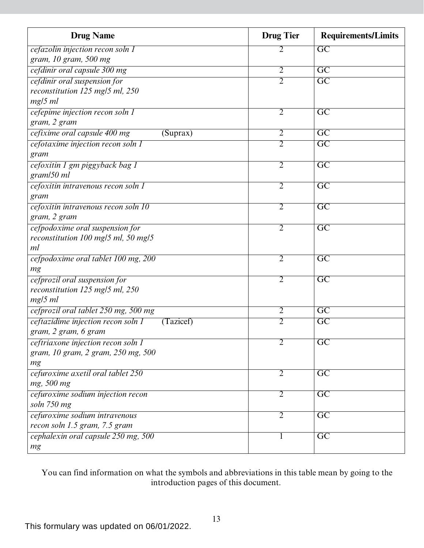| <b>Drug Name</b>                                | <b>Drug Tier</b> | <b>Requirements/Limits</b> |
|-------------------------------------------------|------------------|----------------------------|
| cefazolin injection recon soln 1                | 2                | GC                         |
| gram, 10 gram, 500 mg                           |                  |                            |
| cefdinir oral capsule 300 mg                    | $\overline{2}$   | $\overline{\mathrm{GC}}$   |
| cefdinir oral suspension for                    | $\overline{2}$   | $\overline{\text{GC}}$     |
| reconstitution 125 mg/5 ml, 250                 |                  |                            |
| $mg/5$ ml                                       |                  |                            |
| cefepime injection recon soln 1                 | $\overline{2}$   | $\overline{\text{GC}}$     |
| gram, 2 gram                                    |                  |                            |
| cefixime oral capsule 400 mg<br>(Suprax)        | $\overline{2}$   | $\overline{\text{GC}}$     |
| cefotaxime injection recon soln 1               | $\overline{2}$   | $\overline{GC}$            |
| gram                                            |                  |                            |
| cefoxitin 1 gm piggyback bag 1                  | $\overline{2}$   | $\overline{\text{GC}}$     |
| gram/50 ml                                      |                  |                            |
| cefoxitin intravenous recon soln 1              | $\overline{2}$   | $\overline{\mathrm{GC}}$   |
| gram                                            |                  |                            |
| cefoxitin intravenous recon soln 10             | $\overline{2}$   | $\overline{GC}$            |
| gram, 2 gram                                    |                  |                            |
| cefpodoxime oral suspension for                 | $\overline{2}$   | $\overline{GC}$            |
| reconstitution 100 mg/5 ml, 50 mg/5             |                  |                            |
| ml                                              |                  |                            |
| cefpodoxime oral tablet 100 mg, 200             | $\overline{2}$   | $\overline{GC}$            |
| mg                                              |                  |                            |
| cefprozil oral suspension for                   | $\overline{2}$   | $\overline{\mathrm{GC}}$   |
| reconstitution 125 mg/5 ml, 250<br>$mg/5$ ml    |                  |                            |
| cefprozil oral tablet 250 mg, 500 mg            | $\overline{2}$   | $\overline{\mathrm{GC}}$   |
| ceftazidime injection recon soln 1<br>(Tazicef) | $\overline{2}$   | $\overline{GC}$            |
| gram, 2 gram, 6 gram                            |                  |                            |
| ceftriaxone injection recon soln 1              | $\overline{2}$   | $\overline{GC}$            |
| gram, 10 gram, 2 gram, 250 mg, 500              |                  |                            |
| mg                                              |                  |                            |
| cefuroxime axetil oral tablet 250               | $\overline{2}$   | $\overline{GC}$            |
| mg, 500 mg                                      |                  |                            |
| cefuroxime sodium injection recon               | 2                | $\overline{\mathrm{GC}}$   |
| soln 750 mg                                     |                  |                            |
| cefuroxime sodium intravenous                   | 2                | $\overline{GC}$            |
| recon soln 1.5 gram, 7.5 gram                   |                  |                            |
| cephalexin oral capsule 250 mg, 500             |                  | $\overline{GC}$            |
| mg                                              |                  |                            |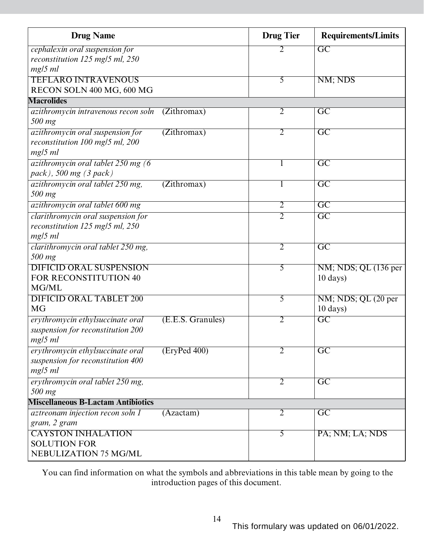| <b>Drug Name</b>                           |                   | <b>Drug Tier</b> | <b>Requirements/Limits</b> |
|--------------------------------------------|-------------------|------------------|----------------------------|
| cephalexin oral suspension for             |                   | 2                | $\overline{GC}$            |
| reconstitution 125 mg/5 ml, 250            |                   |                  |                            |
| $mg/5$ ml                                  |                   |                  |                            |
| <b>TEFLARO INTRAVENOUS</b>                 |                   | $\overline{5}$   | NM; NDS                    |
| RECON SOLN 400 MG, 600 MG                  |                   |                  |                            |
| <b>Macrolides</b>                          |                   |                  |                            |
| <i>azithromycin intravenous recon soln</i> | (Zithromax)       | $\overline{2}$   | $\overline{\text{GC}}$     |
| 500 mg                                     |                   |                  |                            |
| azithromycin oral suspension for           | (Zithromax)       | 2                | $\overline{GC}$            |
| reconstitution 100 mg/5 ml, 200            |                   |                  |                            |
| $mg/5$ ml                                  |                   |                  |                            |
| azithromycin oral tablet 250 mg (6         |                   | 1                | $\overline{GC}$            |
| pack), 500 mg (3 pack)                     |                   |                  |                            |
| azithromycin oral tablet 250 mg,           | (Zithromax)       | 1                | $\overline{GC}$            |
| 500 mg                                     |                   |                  |                            |
| azithromycin oral tablet 600 mg            |                   | $\overline{2}$   | $\overline{\mathrm{GC}}$   |
| clarithromycin oral suspension for         |                   | $\overline{2}$   | $\overline{\mathrm{GC}}$   |
| reconstitution 125 mg/5 ml, 250            |                   |                  |                            |
| $mg/5$ ml                                  |                   |                  |                            |
| clarithromycin oral tablet 250 mg,         |                   | $\overline{2}$   | $\overline{GC}$            |
| 500 mg                                     |                   |                  |                            |
| <b>DIFICID ORAL SUSPENSION</b>             |                   | 5                | NM; NDS; QL (136 per       |
| FOR RECONSTITUTION 40                      |                   |                  | $10 \text{ days}$          |
| MG/ML                                      |                   |                  |                            |
| <b>DIFICID ORAL TABLET 200</b>             |                   | 5                | NM; NDS; QL (20 per        |
| <b>MG</b>                                  |                   |                  | 10 days)                   |
| erythromycin ethylsuccinate oral           | (E.E.S. Granules) | $\overline{2}$   | $\overline{\mathrm{GC}}$   |
| suspension for reconstitution 200          |                   |                  |                            |
| mg/5 ml                                    |                   |                  |                            |
| erythromycin ethylsuccinate oral           | (EryPed 400)      | 2                | $\overline{GC}$            |
| suspension for reconstitution 400          |                   |                  |                            |
| $mg/5$ ml                                  |                   |                  |                            |
| erythromycin oral tablet 250 mg,           |                   | $\overline{2}$   | $\overline{GC}$            |
| 500 mg                                     |                   |                  |                            |
| <b>Miscellaneous B-Lactam Antibiotics</b>  |                   |                  |                            |
| aztreonam injection recon soln 1           | (Azactam)         | $\overline{2}$   | $\overline{GC}$            |
| gram, 2 gram                               |                   |                  |                            |
| <b>CAYSTON INHALATION</b>                  |                   | 5                | PA; NM; LA; NDS            |
| <b>SOLUTION FOR</b>                        |                   |                  |                            |
| NEBULIZATION 75 MG/ML                      |                   |                  |                            |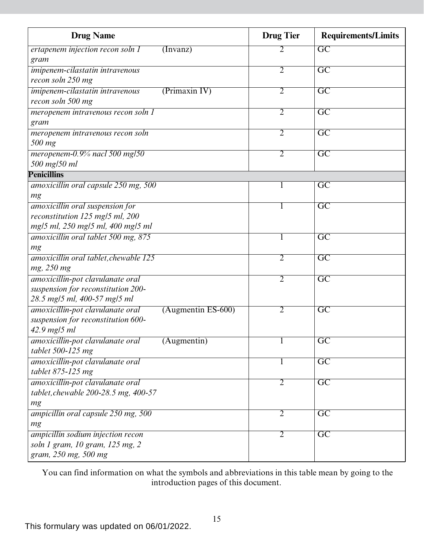| <b>Drug Name</b>                                         | <b>Drug Tier</b> | <b>Requirements/Limits</b> |
|----------------------------------------------------------|------------------|----------------------------|
| ertapenem injection recon soln 1<br>(Invanz)             | 2                | $\overline{GC}$            |
| gram                                                     |                  |                            |
| imipenem-cilastatin intravenous                          | $\overline{2}$   | $\overline{\mathrm{GC}}$   |
| recon soln 250 mg                                        |                  |                            |
| imipenem-cilastatin intravenous<br>(Primaxin IV)         | $\overline{2}$   | $\overline{\text{GC}}$     |
| recon soln 500 mg                                        |                  |                            |
| meropenem intravenous recon soln 1                       | $\overline{2}$   | $\overline{\mathrm{GC}}$   |
| gram                                                     |                  |                            |
| meropenem intravenous recon soln                         | 2                | $\overline{\text{GC}}$     |
| 500 mg                                                   |                  |                            |
| meropenem-0.9% nacl 500 mg/50                            | 2                | $\overline{\mathrm{GC}}$   |
| 500 mg/50 ml                                             |                  |                            |
| <b>Penicillins</b>                                       |                  |                            |
| amoxicillin oral capsule 250 mg, 500                     |                  | $\overline{GC}$            |
| mg                                                       |                  |                            |
| amoxicillin oral suspension for                          |                  | $\overline{\mathrm{GC}}$   |
| reconstitution 125 mg/5 ml, 200                          |                  |                            |
| mg/5 ml, 250 mg/5 ml, 400 mg/5 ml                        |                  |                            |
| amoxicillin oral tablet 500 mg, 875                      |                  | $\overline{\text{GC}}$     |
| mg                                                       |                  |                            |
| amoxicillin oral tablet, chewable 125                    | $\overline{2}$   | $\overline{\mathrm{GC}}$   |
| mg, 250 mg                                               |                  |                            |
| amoxicillin-pot clavulanate oral                         | $\overline{2}$   | $\overline{GC}$            |
| suspension for reconstitution 200-                       |                  |                            |
| 28.5 mg/5 ml, 400-57 mg/5 ml                             |                  |                            |
| amoxicillin-pot clavulanate oral<br>$(Augmentin ES-600)$ | 2                | $\overline{\text{GC}}$     |
| suspension for reconstitution 600-                       |                  |                            |
| $42.9$ mg/5 ml                                           |                  |                            |
| amoxicillin-pot clavulanate oral<br>(Augmentin)          |                  | $\overline{GC}$            |
| tablet 500-125 mg                                        |                  |                            |
| amoxicillin-pot clavulanate oral                         | 1                | $\overline{GC}$            |
| tablet 875-125 mg                                        |                  |                            |
| amoxicillin-pot clavulanate oral                         | $\overline{2}$   | $\overline{GC}$            |
| tablet, chewable 200-28.5 mg, 400-57                     |                  |                            |
| mg                                                       |                  |                            |
| ampicillin oral capsule 250 mg, 500                      | 2                | $\overline{\mathrm{GC}}$   |
| mg                                                       |                  |                            |
| ampicillin sodium injection recon                        | 2                | $\overline{\text{GC}}$     |
| soln 1 gram, 10 gram, 125 mg, 2                          |                  |                            |
| gram, 250 mg, 500 mg                                     |                  |                            |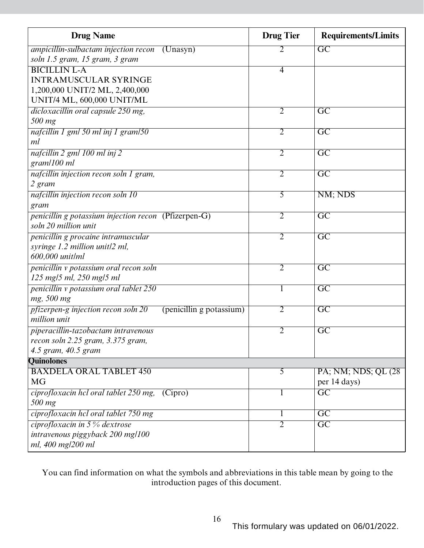| <b>Drug Name</b>                                                | <b>Drug Tier</b> | <b>Requirements/Limits</b> |
|-----------------------------------------------------------------|------------------|----------------------------|
| ampicillin-sulbactam injection recon<br>(Unasyn)                | 2                | GC                         |
| soln 1.5 gram, 15 gram, 3 gram                                  |                  |                            |
| <b>BICILLIN L-A</b>                                             | $\overline{4}$   |                            |
| <b>INTRAMUSCULAR SYRINGE</b>                                    |                  |                            |
| 1,200,000 UNIT/2 ML, 2,400,000                                  |                  |                            |
| UNIT/4 ML, 600,000 UNIT/ML                                      |                  |                            |
| dicloxacillin oral capsule 250 mg,                              | 2                | $\overline{\mathrm{GC}}$   |
| 500 mg                                                          |                  |                            |
| nafcillin 1 gml 50 ml inj 1 gram/50                             | 2                | $\overline{\mathrm{GC}}$   |
| ml                                                              |                  |                            |
| nafcillin 2 gml 100 ml inj 2                                    | $\overline{2}$   | $\overline{GC}$            |
| gram/100 ml                                                     |                  |                            |
| nafcillin injection recon soln 1 gram,                          | $\overline{2}$   | $\overline{GC}$            |
| 2 gram                                                          |                  |                            |
| nafcillin injection recon soln 10                               | 5                | NM; NDS                    |
| gram                                                            |                  |                            |
| penicillin g potassium injection recon (Pfizerpen-G)            | $\overline{2}$   | $\overline{\mathrm{GC}}$   |
| soln 20 million unit                                            |                  |                            |
| penicillin g procaine intramuscular                             | $\overline{2}$   | $\overline{GC}$            |
| syringe 1.2 million unit/2 ml,                                  |                  |                            |
| 600,000 unit/ml                                                 |                  |                            |
| penicillin v potassium oral recon soln                          | 2                | $\overline{\mathrm{GC}}$   |
| 125 mg/5 ml, 250 mg/5 ml                                        |                  |                            |
| penicillin v potassium oral tablet 250                          | 1                | $\overline{GC}$            |
| mg, 500 mg                                                      |                  |                            |
| pfizerpen-g injection recon soln 20<br>(penicillin g potassium) | $\overline{2}$   | $\overline{\mathrm{GC}}$   |
| million unit                                                    |                  |                            |
| piperacillin-tazobactam intravenous                             | 2                | $\overline{\mathrm{GC}}$   |
| recon soln 2.25 gram, 3.375 gram,                               |                  |                            |
| 4.5 gram, 40.5 gram                                             |                  |                            |
| <b>Quinolones</b>                                               |                  |                            |
| <b>BAXDELA ORAL TABLET 450</b>                                  | 5                | PA; NM; NDS; QL (28)       |
| <b>MG</b>                                                       |                  | per 14 days)               |
| ciprofloxacin hel oral tablet 250 mg,<br>(Cipro)                | 1                | $\overline{GC}$            |
| 500 mg                                                          |                  |                            |
| ciprofloxacin hel oral tablet 750 mg                            | 1                | $\overline{\text{GC}}$     |
| ciprofloxacin in $5\%$ dextrose                                 | $\overline{2}$   | $\overline{GC}$            |
| intravenous piggyback 200 mg/100                                |                  |                            |
| ml, 400 mg/200 ml                                               |                  |                            |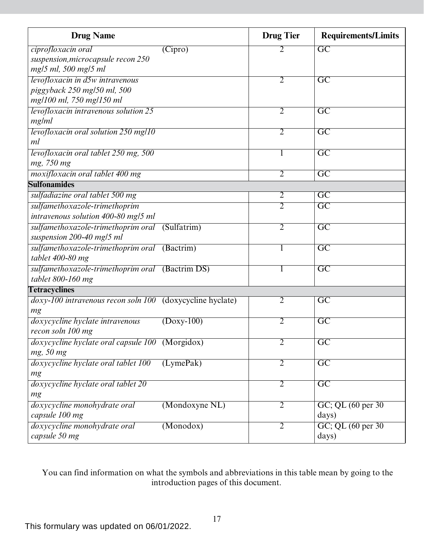| <b>Drug Name</b>                                                 | <b>Drug Tier</b> | <b>Requirements/Limits</b> |
|------------------------------------------------------------------|------------------|----------------------------|
| ciprofloxacin oral<br>(Cipro)                                    | 2                | $\overline{\text{GC}}$     |
| suspension, microcapsule recon 250                               |                  |                            |
| mg/5 ml, 500 mg/5 ml                                             |                  |                            |
| levofloxacin in d5w intravenous                                  | $\overline{2}$   | $\overline{\text{GC}}$     |
| piggyback 250 mg/50 ml, 500                                      |                  |                            |
| mg/100 ml, 750 mg/150 ml                                         |                  |                            |
| levofloxacin intravenous solution 25                             | $\overline{2}$   | $\overline{\text{GC}}$     |
| mg/ml                                                            |                  |                            |
| levofloxacin oral solution 250 mg/10                             | 2                | $\overline{\mathrm{GC}}$   |
| ml                                                               |                  |                            |
| levofloxacin oral tablet 250 mg, 500                             |                  | $\overline{\mathrm{GC}}$   |
| mg, 750 mg                                                       |                  |                            |
| moxifloxacin oral tablet 400 mg                                  | $\overline{2}$   | $\overline{\text{GC}}$     |
| <b>Sulfonamides</b>                                              |                  |                            |
| sulfadiazine oral tablet 500 mg                                  | $\overline{2}$   | $\overline{\mathrm{GC}}$   |
| sulfamethoxazole-trimethoprim                                    | 2                | $\overline{\text{GC}}$     |
| intravenous solution 400-80 mg/5 ml                              |                  |                            |
| sulfamethoxazole-trimethoprim oral (Sulfatrim)                   | $\overline{2}$   | $\overline{GC}$            |
| suspension 200-40 mg/5 ml                                        |                  |                            |
| sulfamethoxazole-trimethoprim oral (Bactrim)                     | 1                | $\overline{GC}$            |
| tablet 400-80 mg                                                 |                  |                            |
| sulfamethoxazole-trimethoprim oral (Bactrim DS)                  |                  | $\overline{GC}$            |
| tablet 800-160 mg                                                |                  |                            |
| <b>Tetracyclines</b>                                             |                  |                            |
| <i>doxy-100 intravenous recon soln 100</i> (doxycycline hyclate) | $\overline{2}$   | $\overline{\text{GC}}$     |
| mg                                                               |                  |                            |
| doxycycline hyclate intravenous<br>$(Doxy-100)$                  | $\overline{2}$   | $\overline{\mathrm{GC}}$   |
| recon soln 100 mg                                                |                  |                            |
| doxycycline hyclate oral capsule 100 (Morgidox)                  | $\overline{2}$   | $\overline{\mathrm{GC}}$   |
| mg, 50 mg                                                        |                  |                            |
| doxycycline hyclate oral tablet 100<br>(LymePak)                 | $\overline{2}$   | $\overline{GC}$            |
| mg                                                               |                  |                            |
| doxycycline hyclate oral tablet 20                               | $\overline{2}$   | $\overline{GC}$            |
| mg                                                               |                  |                            |
| (Mondoxyne NL)<br>doxycycline monohydrate oral                   | $\overline{2}$   | GC; QL (60 per 30)         |
| capsule 100 mg                                                   |                  | days)                      |
| doxycycline monohydrate oral<br>(Monodox)                        | $\overline{2}$   | GC; QL (60 per 30)         |
| capsule 50 mg                                                    |                  | days)                      |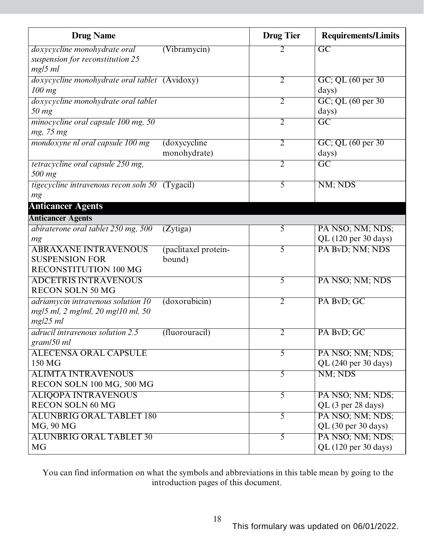| <b>Drug Name</b>                                       |                      | <b>Drug Tier</b> | <b>Requirements/Limits</b>    |
|--------------------------------------------------------|----------------------|------------------|-------------------------------|
| doxycycline monohydrate oral                           | (Vibramycin)         | 2                | $\overline{GC}$               |
| suspension for reconstitution 25                       |                      |                  |                               |
| $mg/5$ ml                                              |                      |                  |                               |
| doxycycline monohydrate oral tablet (Avidoxy)          |                      | $\overline{2}$   | GC; QL $(60 \text{ per } 30)$ |
| $100$ mg                                               |                      |                  | days)                         |
| doxycycline monohydrate oral tablet                    |                      | $\overline{2}$   | GC; QL (60 per 30)            |
| $50$ mg                                                |                      | $\overline{2}$   | days)<br>$\overline{GC}$      |
| minocycline oral capsule 100 mg, 50<br>mg, 75 mg       |                      |                  |                               |
| mondoxyne nl oral capsule 100 mg                       | (doxycycline         | $\overline{2}$   | GC; QL (60 per 30)            |
|                                                        | monohydrate)         |                  | days)                         |
| tetracycline oral capsule 250 mg,                      |                      | $\overline{2}$   | $\overline{\text{GC}}$        |
| 500 mg                                                 |                      |                  |                               |
| <i>tigecycline intravenous recon soln 50</i> (Tygacil) |                      | 5                | NM; NDS                       |
| mg                                                     |                      |                  |                               |
| <b>Anticancer Agents</b>                               |                      |                  |                               |
| <b>Anticancer Agents</b>                               |                      |                  |                               |
| abiraterone oral tablet 250 mg, 500                    | (Zytiga)             | $\overline{5}$   | PA NSO; NM; NDS;              |
| mg                                                     |                      |                  | QL (120 per 30 days)          |
| <b>ABRAXANE INTRAVENOUS</b>                            | (paclitaxel protein- | 5                | PA BvD; NM; NDS               |
| <b>SUSPENSION FOR</b>                                  | bound)               |                  |                               |
| RECONSTITUTION 100 MG                                  |                      |                  |                               |
| <b>ADCETRIS INTRAVENOUS</b>                            |                      | 5                | PA NSO; NM; NDS               |
| <b>RECON SOLN 50 MG</b>                                |                      |                  |                               |
| adriamycin intravenous solution 10                     | (doxorubicin)        | $\overline{2}$   | PA BvD; GC                    |
| mg/5 ml, 2 mg/ml, 20 mg/10 ml, 50                      |                      |                  |                               |
| mg/25 ml                                               |                      |                  |                               |
| adrucil intravenous solution 2.5                       | (fluorouracil)       | 2                | PA BvD; GC                    |
| gram/50 ml<br><b>ALECENSA ORAL CAPSULE</b>             |                      | 5                | PA NSO; NM; NDS;              |
| 150 MG                                                 |                      |                  | QL (240 per 30 days)          |
| <b>ALIMTA INTRAVENOUS</b>                              |                      | $\overline{5}$   | NM; NDS                       |
| RECON SOLN 100 MG, 500 MG                              |                      |                  |                               |
| <b>ALIQOPA INTRAVENOUS</b>                             |                      | $\overline{5}$   | PA NSO; NM; NDS;              |
| <b>RECON SOLN 60 MG</b>                                |                      |                  | QL (3 per 28 days)            |
| <b>ALUNBRIG ORAL TABLET 180</b>                        |                      | 5                | PA NSO; NM; NDS;              |
| MG, 90 MG                                              |                      |                  | QL (30 per 30 days)           |
| <b>ALUNBRIG ORAL TABLET 30</b>                         |                      | 5                | PA NSO; NM; NDS;              |
| <b>MG</b>                                              |                      |                  | QL (120 per 30 days)          |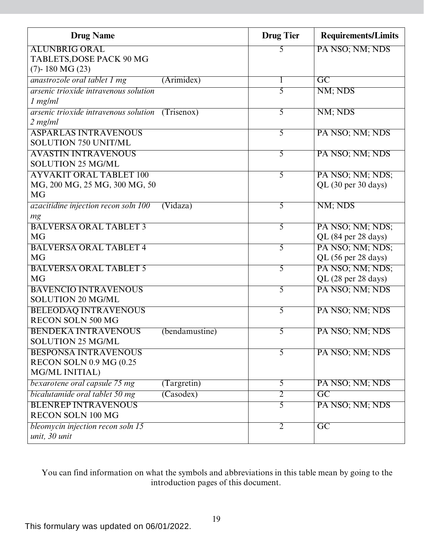| <b>Drug Name</b>                                    | <b>Drug Tier</b> | <b>Requirements/Limits</b> |
|-----------------------------------------------------|------------------|----------------------------|
| <b>ALUNBRIG ORAL</b>                                | 5                | PA NSO; NM; NDS            |
| TABLETS, DOSE PACK 90 MG                            |                  |                            |
| $(7)$ - 180 MG $(23)$                               |                  |                            |
| anastrozole oral tablet 1 mg<br>(Arimidex)          | 1                | $\overline{\text{GC}}$     |
| arsenic trioxide intravenous solution               | $\overline{5}$   | NM; NDS                    |
| 1 mg/ml                                             |                  |                            |
| arsenic trioxide intravenous solution<br>(Trisenox) | $\overline{5}$   | NM; NDS                    |
| 2 mg/ml                                             |                  |                            |
| <b>ASPARLAS INTRAVENOUS</b>                         | 5                | PA NSO; NM; NDS            |
| <b>SOLUTION 750 UNIT/ML</b>                         |                  |                            |
| <b>AVASTIN INTRAVENOUS</b>                          | $\overline{5}$   | PA NSO; NM; NDS            |
| <b>SOLUTION 25 MG/ML</b>                            |                  |                            |
| <b>AYVAKIT ORAL TABLET 100</b>                      | $\overline{5}$   | PA NSO; NM; NDS;           |
| MG, 200 MG, 25 MG, 300 MG, 50                       |                  | QL (30 per 30 days)        |
| <b>MG</b>                                           |                  |                            |
| azacitidine injection recon soln 100<br>(Vi daza)   | 5                | NM; NDS                    |
| mg                                                  |                  |                            |
| <b>BALVERSA ORAL TABLET 3</b>                       | 5                | PA NSO; NM; NDS;           |
| <b>MG</b>                                           |                  | QL (84 per 28 days)        |
| <b>BALVERSA ORAL TABLET 4</b>                       | $\overline{5}$   | PA NSO; NM; NDS;           |
| <b>MG</b>                                           |                  | QL (56 per 28 days)        |
| <b>BALVERSA ORAL TABLET 5</b>                       | 5                | PA NSO; NM; NDS;           |
| <b>MG</b>                                           |                  | QL (28 per 28 days)        |
| <b>BAVENCIO INTRAVENOUS</b>                         | $\overline{5}$   | PA NSO; NM; NDS            |
| <b>SOLUTION 20 MG/ML</b>                            |                  |                            |
| <b>BELEODAQ INTRAVENOUS</b>                         | $\overline{5}$   | PA NSO; NM; NDS            |
| <b>RECON SOLN 500 MG</b>                            |                  |                            |
| <b>BENDEKA INTRAVENOUS</b><br>(bendamustine)        | 5                | PA NSO; NM; NDS            |
| <b>SOLUTION 25 MG/ML</b>                            |                  |                            |
| <b>BESPONSA INTRAVENOUS</b>                         | 5                | PA NSO; NM; NDS            |
| RECON SOLN 0.9 MG (0.25                             |                  |                            |
| <b>MG/ML INITIAL)</b>                               |                  |                            |
| bexarotene oral capsule 75 mg<br>(Targretin)        | $\overline{5}$   | PA NSO; NM; NDS            |
| bicalutamide oral tablet 50 mg<br>(Casodex)         | $\overline{2}$   | $\overline{GC}$            |
| <b>BLENREP INTRAVENOUS</b>                          | $\overline{5}$   | PA NSO; NM; NDS            |
| <b>RECON SOLN 100 MG</b>                            |                  |                            |
| bleomycin injection recon soln 15                   | $\overline{2}$   | $\overline{\mathrm{GC}}$   |
| unit, 30 unit                                       |                  |                            |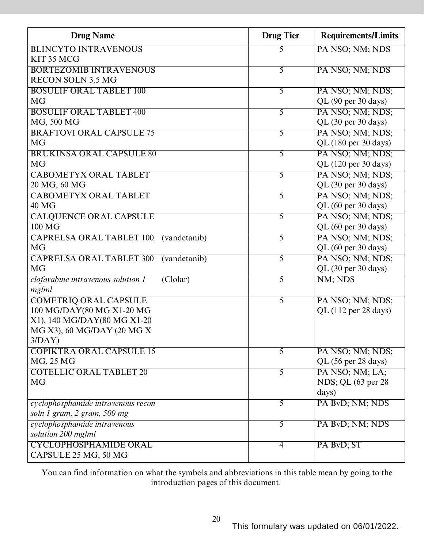| <b>Drug Name</b>                                            | <b>Drug Tier</b> | <b>Requirements/Limits</b> |
|-------------------------------------------------------------|------------------|----------------------------|
| <b>BLINCYTO INTRAVENOUS</b>                                 | 5                | PA NSO; NM; NDS            |
| KIT 35 MCG                                                  |                  |                            |
| <b>BORTEZOMIB INTRAVENOUS</b>                               | 5                | PA NSO; NM; NDS            |
| <b>RECON SOLN 3.5 MG</b>                                    |                  |                            |
| <b>BOSULIF ORAL TABLET 100</b>                              | 5                | PA NSO; NM; NDS;           |
| <b>MG</b>                                                   |                  | QL (90 per 30 days)        |
| <b>BOSULIF ORAL TABLET 400</b>                              | $\overline{5}$   | PA NSO; NM; NDS;           |
| MG, 500 MG                                                  |                  | QL (30 per 30 days)        |
| <b>BRAFTOVI ORAL CAPSULE 75</b>                             | 5                | PA NSO; NM; NDS;           |
| <b>MG</b>                                                   |                  | QL (180 per 30 days)       |
| <b>BRUKINSA ORAL CAPSULE 80</b>                             | 5                | PA NSO; NM; NDS;           |
| <b>MG</b>                                                   |                  | QL (120 per 30 days)       |
| <b>CABOMETYX ORAL TABLET</b>                                | 5                | PA NSO; NM; NDS;           |
| 20 MG, 60 MG                                                |                  | QL (30 per 30 days)        |
| <b>CABOMETYX ORAL TABLET</b>                                | $\overline{5}$   | PA NSO; NM; NDS;           |
| 40 MG                                                       |                  | QL (60 per 30 days)        |
| <b>CALQUENCE ORAL CAPSULE</b>                               | 5                | PA NSO; NM; NDS;           |
| 100 MG                                                      |                  | QL (60 per 30 days)        |
| <b>CAPRELSA ORAL TABLET 100</b><br>(vandetanib)             | 5                | PA NSO; NM; NDS;           |
| <b>MG</b>                                                   |                  | QL (60 per 30 days)        |
| <b>CAPRELSA ORAL TABLET 300</b><br>(vandetanib)             | 5                | PA NSO; NM; NDS;           |
| <b>MG</b>                                                   |                  | QL (30 per 30 days)        |
| clofarabine intravenous solution 1<br>$\overline{(Clolar)}$ | 5                | NM; NDS                    |
| mg/ml                                                       |                  |                            |
| <b>COMETRIQ ORAL CAPSULE</b>                                | 5                | PA NSO; NM; NDS;           |
| 100 MG/DAY(80 MG X1-20 MG                                   |                  | QL (112 per 28 days)       |
| X1), 140 MG/DAY(80 MG X1-20                                 |                  |                            |
| MG X3), 60 MG/DAY (20 MG X                                  |                  |                            |
| 3/DAY                                                       |                  |                            |
| <b>COPIKTRA ORAL CAPSULE 15</b>                             | 5                | PA NSO; NM; NDS;           |
| MG, 25 MG                                                   |                  | QL (56 per 28 days)        |
| <b>COTELLIC ORAL TABLET 20</b>                              | 5                | PA NSO; NM; LA;            |
| <b>MG</b>                                                   |                  | NDS; QL (63 per 28)        |
|                                                             |                  | days)                      |
| cyclophosphamide intravenous recon                          | 5                | PA ByD; NM; NDS            |
| soln 1 gram, 2 gram, 500 mg                                 |                  |                            |
| cyclophosphamide intravenous                                | 5                | PA BvD; NM; NDS            |
| solution 200 mg/ml                                          |                  |                            |
| <b>CYCLOPHOSPHAMIDE ORAL</b>                                | $\overline{4}$   | PA BvD; ST                 |
| CAPSULE 25 MG, 50 MG                                        |                  |                            |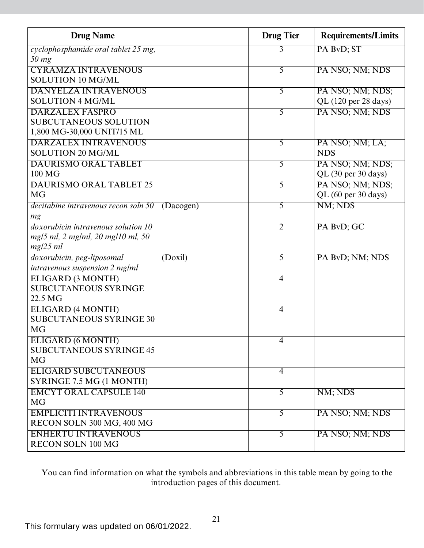| <b>Drug Name</b>                                  | <b>Drug Tier</b> | <b>Requirements/Limits</b> |
|---------------------------------------------------|------------------|----------------------------|
| cyclophosphamide oral tablet 25 mg,               | 3                | PA BvD; ST                 |
| $50$ mg                                           |                  |                            |
| <b>CYRAMZA INTRAVENOUS</b>                        | 5                | PA NSO; NM; NDS            |
| <b>SOLUTION 10 MG/ML</b>                          |                  |                            |
| <b>DANYELZA INTRAVENOUS</b>                       | 5                | PA NSO; NM; NDS;           |
| <b>SOLUTION 4 MG/ML</b>                           |                  | $QL$ (120 per 28 days)     |
| <b>DARZALEX FASPRO</b>                            | $\overline{5}$   | PA NSO; NM; NDS            |
| <b>SUBCUTANEOUS SOLUTION</b>                      |                  |                            |
| 1,800 MG-30,000 UNIT/15 ML                        |                  |                            |
| <b>DARZALEX INTRAVENOUS</b>                       | 5                | PA NSO; NM; LA;            |
| <b>SOLUTION 20 MG/ML</b>                          |                  | <b>NDS</b>                 |
| <b>DAURISMO ORAL TABLET</b>                       | $\overline{5}$   | PA NSO; NM; NDS;           |
| 100 MG                                            |                  | QL (30 per 30 days)        |
| <b>DAURISMO ORAL TABLET 25</b>                    | 5                | PA NSO; NM; NDS;           |
| <b>MG</b>                                         |                  | QL (60 per 30 days)        |
| decitabine intravenous recon soln 50<br>(Dacogen) | 5                | NM; NDS                    |
| mg                                                |                  |                            |
| <i>doxorubicin intravenous solution 10</i>        | $\overline{2}$   | PA BvD; GC                 |
| mg/5 ml, 2 mg/ml, 20 mg/10 ml, 50                 |                  |                            |
| mg/25 ml                                          |                  |                            |
| doxorubicin, peg-liposomal<br>(Doxil)             | 5                | PA BvD; NM; NDS            |
| intravenous suspension 2 mg/ml                    |                  |                            |
| <b>ELIGARD (3 MONTH)</b>                          | $\overline{4}$   |                            |
| <b>SUBCUTANEOUS SYRINGE</b>                       |                  |                            |
| 22.5 MG                                           |                  |                            |
| ELIGARD (4 MONTH)                                 | 4                |                            |
| <b>SUBCUTANEOUS SYRINGE 30</b>                    |                  |                            |
| <b>MG</b>                                         |                  |                            |
| ELIGARD (6 MONTH)                                 | 4                |                            |
| <b>SUBCUTANEOUS SYRINGE 45</b>                    |                  |                            |
| <b>MG</b>                                         |                  |                            |
| <b>ELIGARD SUBCUTANEOUS</b>                       | 4                |                            |
| SYRINGE 7.5 MG (1 MONTH)                          |                  |                            |
| <b>EMCYT ORAL CAPSULE 140</b>                     | $\overline{5}$   | NM; NDS                    |
| <b>MG</b>                                         |                  |                            |
| <b>EMPLICITI INTRAVENOUS</b>                      | $\overline{5}$   | PA NSO; NM; NDS            |
| RECON SOLN 300 MG, 400 MG                         |                  |                            |
| <b>ENHERTU INTRAVENOUS</b>                        | $\overline{5}$   | PA NSO; NM; NDS            |
| <b>RECON SOLN 100 MG</b>                          |                  |                            |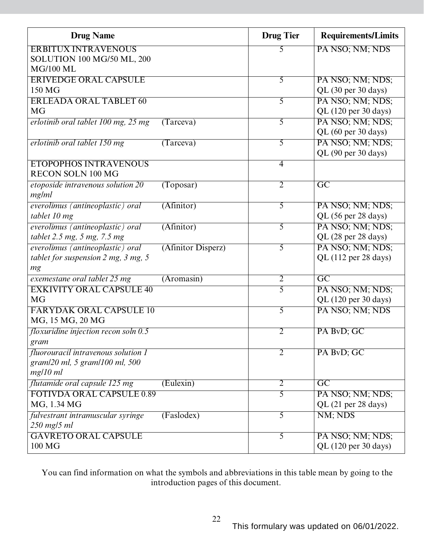| <b>Drug Name</b>                       |                    | <b>Drug Tier</b> | <b>Requirements/Limits</b> |
|----------------------------------------|--------------------|------------------|----------------------------|
| <b>ERBITUX INTRAVENOUS</b>             |                    | 5                | PA NSO; NM; NDS            |
| <b>SOLUTION 100 MG/50 ML, 200</b>      |                    |                  |                            |
| <b>MG/100 ML</b>                       |                    |                  |                            |
| <b>ERIVEDGE ORAL CAPSULE</b>           |                    | $\overline{5}$   | PA NSO; NM; NDS;           |
| 150 MG                                 |                    |                  | QL (30 per 30 days)        |
| <b>ERLEADA ORAL TABLET 60</b>          |                    | 5                | PA NSO; NM; NDS;           |
| <b>MG</b>                              |                    |                  | QL (120 per 30 days)       |
| erlotinib oral tablet 100 mg, 25 mg    | (Tareva)           | 5                | PA NSO; NM; NDS;           |
|                                        |                    |                  | QL (60 per 30 days)        |
| erlotinib oral tablet 150 mg           | (Tareva)           | 5                | PA NSO; NM; NDS;           |
|                                        |                    |                  | QL (90 per 30 days)        |
| <b>ETOPOPHOS INTRAVENOUS</b>           |                    | $\overline{4}$   |                            |
| <b>RECON SOLN 100 MG</b>               |                    |                  |                            |
| etoposide intravenous solution 20      | (Toposar)          | $\overline{2}$   | $\overline{\mathrm{GC}}$   |
| mg/ml                                  |                    |                  |                            |
| everolimus (antineoplastic) oral       | (Afinitor)         | 5                | PA NSO; NM; NDS;           |
| tablet 10 mg                           |                    |                  | QL (56 per 28 days)        |
| everolimus (antineoplastic) oral       | (Afinitor)         | 5                | PA NSO; NM; NDS;           |
| tablet 2.5 mg, 5 mg, 7.5 mg            |                    |                  | QL (28 per 28 days)        |
| everolimus (antineoplastic) oral       | (Afinitor Disperz) | 5                | PA NSO; NM; NDS;           |
| tablet for suspension 2 mg, 3 mg, 5    |                    |                  | QL (112 per 28 days)       |
| mg                                     |                    |                  |                            |
| exemestane oral tablet 25 mg           | (Aromasin)         | $\overline{2}$   | $\overline{GC}$            |
| <b>EXKIVITY ORAL CAPSULE 40</b>        |                    | 5                | PA NSO; NM; NDS;           |
| <b>MG</b>                              |                    |                  | QL (120 per 30 days)       |
| <b>FARYDAK ORAL CAPSULE 10</b>         |                    | $\overline{5}$   | PA NSO; NM; NDS            |
| MG, 15 MG, 20 MG                       |                    |                  |                            |
| floxuridine injection recon soln $0.5$ |                    | $\overline{2}$   | PA BvD; GC                 |
| gram                                   |                    |                  |                            |
| fluorouracil intravenous solution 1    |                    | 2                | PA BvD; GC                 |
| gram/20 ml, 5 gram/100 ml, 500         |                    |                  |                            |
| mg/10 ml                               |                    |                  |                            |
| flutamide oral capsule 125 mg          | (Eulexin)          | $\overline{2}$   | $\overline{GC}$            |
| <b>FOTIVDA ORAL CAPSULE 0.89</b>       |                    | 5                | PA NSO; NM; NDS;           |
| MG, 1.34 MG                            |                    |                  | QL (21 per 28 days)        |
| fulvestrant intramuscular syringe      | (Faslodex)         | 5                | NM; NDS                    |
| $250$ mg/5 ml                          |                    |                  |                            |
| <b>GAVRETO ORAL CAPSULE</b>            |                    | 5                | PA NSO; NM; NDS;           |
| 100 MG                                 |                    |                  | QL (120 per 30 days)       |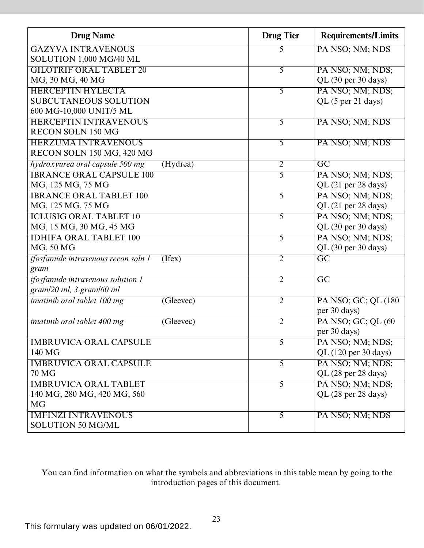| <b>Drug Name</b>                                | <b>Drug Tier</b> | <b>Requirements/Limits</b> |
|-------------------------------------------------|------------------|----------------------------|
| <b>GAZYVA INTRAVENOUS</b>                       | 5                | PA NSO; NM; NDS            |
| SOLUTION 1,000 MG/40 ML                         |                  |                            |
| <b>GILOTRIF ORAL TABLET 20</b>                  | 5                | PA NSO; NM; NDS;           |
| MG, 30 MG, 40 MG                                |                  | QL (30 per 30 days)        |
| <b>HERCEPTIN HYLECTA</b>                        | 5                | PA NSO; NM; NDS;           |
| <b>SUBCUTANEOUS SOLUTION</b>                    |                  | QL (5 per 21 days)         |
| 600 MG-10,000 UNIT/5 ML                         |                  |                            |
| <b>HERCEPTIN INTRAVENOUS</b>                    | 5                | PA NSO; NM; NDS            |
| <b>RECON SOLN 150 MG</b>                        |                  |                            |
| <b>HERZUMA INTRAVENOUS</b>                      | 5                | PA NSO; NM; NDS            |
| RECON SOLN 150 MG, 420 MG                       |                  |                            |
| hydroxyurea oral capsule 500 mg<br>(Hydrea)     | $\overline{2}$   | $\overline{GC}$            |
| <b>IBRANCE ORAL CAPSULE 100</b>                 | 5                | PA NSO; NM; NDS;           |
| MG, 125 MG, 75 MG                               |                  | QL (21 per 28 days)        |
| <b>IBRANCE ORAL TABLET 100</b>                  | $\overline{5}$   | PA NSO; NM; NDS;           |
| MG, 125 MG, 75 MG                               |                  | QL (21 per 28 days)        |
| <b>ICLUSIG ORAL TABLET 10</b>                   | 5                | PA NSO; NM; NDS;           |
| MG, 15 MG, 30 MG, 45 MG                         |                  | QL (30 per 30 days)        |
| <b>IDHIFA ORAL TABLET 100</b>                   | $\overline{5}$   | PA NSO; NM; NDS;           |
| MG, 50 MG                                       |                  | QL (30 per 30 days)        |
| ifosfamide intravenous recon soln 1<br>(Ifex)   | $\overline{2}$   | $\overline{GC}$            |
| gram                                            |                  |                            |
| <i>ifosfamide intravenous solution 1</i>        | $\overline{2}$   | $\overline{GC}$            |
| gram/20 ml, 3 gram/60 ml                        |                  |                            |
| <i>imatinib oral tablet 100 mg</i><br>(Gleevec) | $\overline{2}$   | PA NSO; GC; QL (180)       |
|                                                 |                  | per 30 days)               |
| <i>imatinib oral tablet 400 mg</i><br>(Glevec)  | $\overline{2}$   | PA NSO; GC; QL (60         |
|                                                 |                  | per 30 days)               |
| <b>IMBRUVICA ORAL CAPSULE</b>                   | 5                | PA NSO; NM; NDS;           |
| 140 MG                                          |                  | QL (120 per 30 days)       |
| <b>IMBRUVICA ORAL CAPSULE</b>                   | $\overline{5}$   | PA NSO; NM; NDS;           |
| 70 MG                                           |                  | QL (28 per 28 days)        |
| <b>IMBRUVICA ORAL TABLET</b>                    | 5                | PA NSO; NM; NDS;           |
| 140 MG, 280 MG, 420 MG, 560                     |                  | QL (28 per 28 days)        |
| <b>MG</b>                                       |                  |                            |
| <b>IMFINZI INTRAVENOUS</b>                      | $\overline{5}$   | PA NSO; NM; NDS            |
| <b>SOLUTION 50 MG/ML</b>                        |                  |                            |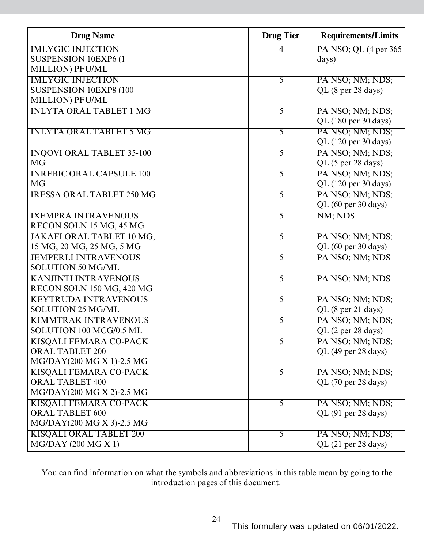| <b>Drug Name</b>                 | <b>Drug Tier</b> | <b>Requirements/Limits</b> |
|----------------------------------|------------------|----------------------------|
| <b>IMLYGIC INJECTION</b>         | 4                | PA NSO; QL (4 per 365)     |
| SUSPENSION 10EXP6 (1             |                  | days)                      |
| MILLION) PFU/ML                  |                  |                            |
| <b>IMLYGIC INJECTION</b>         | $\overline{5}$   | PA NSO; NM; NDS;           |
| SUSPENSION 10EXP8 (100           |                  | QL (8 per 28 days)         |
| <b>MILLION) PFU/ML</b>           |                  |                            |
| <b>INLYTA ORAL TABLET 1 MG</b>   | 5                | PA NSO; NM; NDS;           |
|                                  |                  | QL (180 per 30 days)       |
| <b>INLYTA ORAL TABLET 5 MG</b>   | 5                | PA NSO; NM; NDS;           |
|                                  |                  | QL (120 per 30 days)       |
| <b>INQOVI ORAL TABLET 35-100</b> | 5                | PA NSO; NM; NDS;           |
| <b>MG</b>                        |                  | QL (5 per 28 days)         |
| <b>INREBIC ORAL CAPSULE 100</b>  | 5                | PA NSO; NM; NDS;           |
| <b>MG</b>                        |                  | QL (120 per 30 days)       |
| <b>IRESSA ORAL TABLET 250 MG</b> | 5                | PA NSO; NM; NDS;           |
|                                  |                  | QL (60 per 30 days)        |
| <b>IXEMPRA INTRAVENOUS</b>       | 5                | NM; NDS                    |
| RECON SOLN 15 MG, 45 MG          |                  |                            |
| JAKAFI ORAL TABLET 10 MG,        | $\overline{5}$   | PA NSO; NM; NDS;           |
| 15 MG, 20 MG, 25 MG, 5 MG        |                  | QL (60 per 30 days)        |
| <b>JEMPERLI INTRAVENOUS</b>      | 5                | PA NSO; NM; NDS            |
| <b>SOLUTION 50 MG/ML</b>         |                  |                            |
| <b>KANJINTI INTRAVENOUS</b>      | 5                | PA NSO; NM; NDS            |
| RECON SOLN 150 MG, 420 MG        |                  |                            |
| <b>KEYTRUDA INTRAVENOUS</b>      | $\overline{5}$   | PA NSO; NM; NDS;           |
| <b>SOLUTION 25 MG/ML</b>         |                  | QL (8 per 21 days)         |
| <b>KIMMTRAK INTRAVENOUS</b>      | $\overline{5}$   | PA NSO; NM; NDS;           |
| SOLUTION 100 MCG/0.5 ML          |                  | QL (2 per 28 days)         |
| <b>KISQALI FEMARA CO-PACK</b>    | 5                | PA NSO; NM; NDS;           |
| <b>ORAL TABLET 200</b>           |                  | QL (49 per 28 days)        |
| MG/DAY(200 MG X 1)-2.5 MG        |                  |                            |
| <b>KISQALI FEMARA CO-PACK</b>    | 5                | PA NSO; NM; NDS;           |
| <b>ORAL TABLET 400</b>           |                  | QL (70 per 28 days)        |
| MG/DAY(200 MG X 2)-2.5 MG        |                  |                            |
| KISQALI FEMARA CO-PACK           | $\overline{5}$   | PA NSO; NM; NDS;           |
| <b>ORAL TABLET 600</b>           |                  | QL (91 per 28 days)        |
| MG/DAY(200 MG X 3)-2.5 MG        |                  |                            |
| <b>KISQALI ORAL TABLET 200</b>   | 5                | PA NSO; NM; NDS;           |
| $MG/DAY$ (200 MG X 1)            |                  | $QL$ (21 per 28 days)      |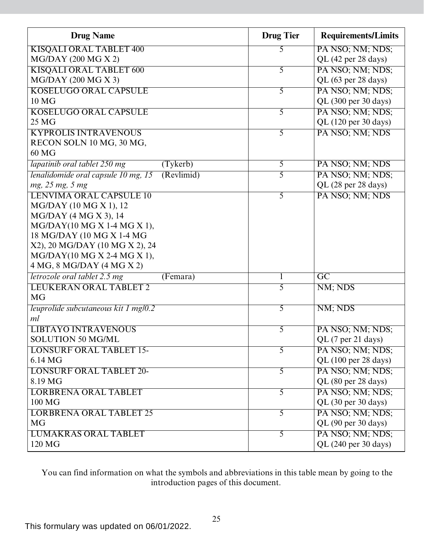| <b>Drug Name</b>                                  | <b>Drug Tier</b> | <b>Requirements/Limits</b> |
|---------------------------------------------------|------------------|----------------------------|
| <b>KISQALI ORAL TABLET 400</b>                    | 5                | PA NSO; NM; NDS;           |
| $MG/DAY$ (200 MG X 2)                             |                  | QL (42 per 28 days)        |
| <b>KISQALI ORAL TABLET 600</b>                    | 5                | PA NSO; NM; NDS;           |
| MG/DAY (200 MG X 3)                               |                  | QL (63 per 28 days)        |
| <b>KOSELUGO ORAL CAPSULE</b>                      | 5                | PA NSO; NM; NDS;           |
| 10 <sub>MG</sub>                                  |                  | QL (300 per 30 days)       |
| <b>KOSELUGO ORAL CAPSULE</b>                      | $\overline{5}$   | PA NSO; NM; NDS;           |
| 25 MG                                             |                  | QL (120 per 30 days)       |
| <b>KYPROLIS INTRAVENOUS</b>                       | 5                | PA NSO; NM; NDS            |
| RECON SOLN 10 MG, 30 MG,                          |                  |                            |
| 60 MG                                             |                  |                            |
| lapatinib oral tablet 250 mg<br>(Tyker b)         | 5                | PA NSO; NM; NDS            |
| (Revlimid)<br>lenalidomide oral capsule 10 mg, 15 | 5                | PA NSO; NM; NDS;           |
| mg, 25 mg, 5 mg                                   |                  | QL (28 per 28 days)        |
| LENVIMA ORAL CAPSULE 10                           | 5                | PA NSO; NM; NDS            |
| MG/DAY (10 MG X 1), 12                            |                  |                            |
| $MG/DAY$ (4 MG X 3), 14                           |                  |                            |
| MG/DAY(10 MG X 1-4 MG X 1),                       |                  |                            |
| 18 MG/DAY (10 MG X 1-4 MG                         |                  |                            |
| X2), 20 MG/DAY (10 MG X 2), 24                    |                  |                            |
| MG/DAY(10 MG X 2-4 MG X 1),                       |                  |                            |
| 4 MG, 8 MG/DAY (4 MG X 2)                         |                  |                            |
| letrozole oral tablet 2.5 mg<br>(Femara)          |                  | $\overline{GC}$            |
| <b>LEUKERAN ORAL TABLET 2</b>                     | 5                | NM; NDS                    |
| <b>MG</b>                                         |                  |                            |
| leuprolide subcutaneous kit 1 mg/0.2              | 5                | NM; NDS                    |
| ml                                                |                  |                            |
| <b>LIBTAYO INTRAVENOUS</b>                        | 5                | PA NSO; NM; NDS;           |
| <b>SOLUTION 50 MG/ML</b>                          |                  | QL (7 per 21 days)         |
| <b>LONSURF ORAL TABLET 15-</b>                    | 5                | PA NSO; NM; NDS;           |
| 6.14 MG                                           |                  | QL (100 per 28 days)       |
| <b>LONSURF ORAL TABLET 20-</b>                    | 5                | PA NSO; NM; NDS;           |
| 8.19 MG                                           |                  | QL (80 per 28 days)        |
| <b>LORBRENA ORAL TABLET</b>                       | $\overline{5}$   | PA NSO; NM; NDS;           |
| 100 MG                                            |                  | QL (30 per 30 days)        |
| <b>LORBRENA ORAL TABLET 25</b>                    | 5                | PA NSO; NM; NDS;           |
| <b>MG</b>                                         |                  | QL (90 per 30 days)        |
| <b>LUMAKRAS ORAL TABLET</b>                       | 5                | PA NSO; NM; NDS;           |
| 120 MG                                            |                  | QL (240 per 30 days)       |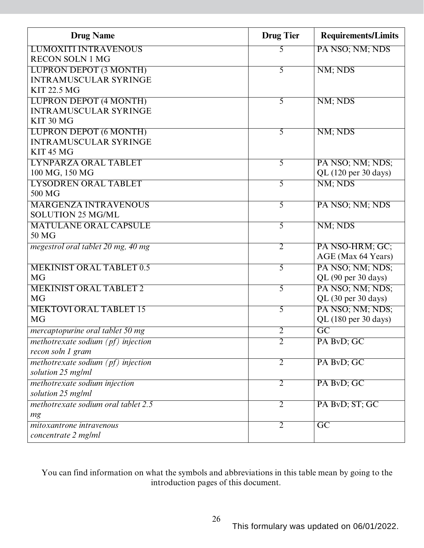| <b>Drug Name</b>                     | <b>Drug Tier</b> | <b>Requirements/Limits</b> |
|--------------------------------------|------------------|----------------------------|
| <b>LUMOXITI INTRAVENOUS</b>          | 5                | PA NSO; NM; NDS            |
| <b>RECON SOLN 1 MG</b>               |                  |                            |
| <b>LUPRON DEPOT (3 MONTH)</b>        | 5                | NM; NDS                    |
| <b>INTRAMUSCULAR SYRINGE</b>         |                  |                            |
| <b>KIT 22.5 MG</b>                   |                  |                            |
| <b>LUPRON DEPOT (4 MONTH)</b>        | $\overline{5}$   | NM; NDS                    |
| <b>INTRAMUSCULAR SYRINGE</b>         |                  |                            |
| KIT 30 MG                            |                  |                            |
| <b>LUPRON DEPOT (6 MONTH)</b>        | 5                | NM; NDS                    |
| <b>INTRAMUSCULAR SYRINGE</b>         |                  |                            |
| KIT <sub>45</sub> MG                 |                  |                            |
| LYNPARZA ORAL TABLET                 | $\overline{5}$   | PA NSO; NM; NDS;           |
| 100 MG, 150 MG                       |                  | QL (120 per 30 days)       |
| <b>LYSODREN ORAL TABLET</b>          | $\overline{5}$   | NM; NDS                    |
| 500 MG                               |                  |                            |
| <b>MARGENZA INTRAVENOUS</b>          | $\overline{5}$   | PA NSO; NM; NDS            |
| <b>SOLUTION 25 MG/ML</b>             |                  |                            |
| <b>MATULANE ORAL CAPSULE</b>         | $\overline{5}$   | NM; NDS                    |
| 50 MG                                |                  |                            |
| megestrol oral tablet 20 mg, 40 mg   | $\overline{2}$   | PA NSO-HRM; GC;            |
|                                      |                  | AGE (Max 64 Years)         |
| <b>MEKINIST ORAL TABLET 0.5</b>      | $\overline{5}$   | PA NSO; NM; NDS;           |
| <b>MG</b>                            |                  | QL (90 per 30 days)        |
| <b>MEKINIST ORAL TABLET 2</b>        | $\overline{5}$   | PA NSO; NM; NDS;           |
| <b>MG</b>                            |                  | QL (30 per 30 days)        |
| <b>MEKTOVI ORAL TABLET 15</b>        | $\overline{5}$   | PA NSO; NM; NDS;           |
| <b>MG</b>                            |                  | QL (180 per 30 days)       |
| mercaptopurine oral tablet 50 mg     | 2                | $\overline{\mathrm{GC}}$   |
| methotrexate sodium $(pf)$ injection | $\overline{2}$   | PA BvD; GC                 |
| recon soln 1 gram                    |                  |                            |
| methotrexate sodium $(pf)$ injection | $\overline{2}$   | PA BvD; GC                 |
| solution 25 mg/ml                    |                  |                            |
| methotrexate sodium injection        | $\overline{2}$   | PA BvD; GC                 |
| solution 25 mg/ml                    |                  |                            |
| methotrexate sodium oral tablet 2.5  | $\overline{2}$   | PA BvD; ST; GC             |
| mg                                   |                  |                            |
| mitoxantrone intravenous             | $\overline{2}$   | $\overline{GC}$            |
| concentrate 2 mg/ml                  |                  |                            |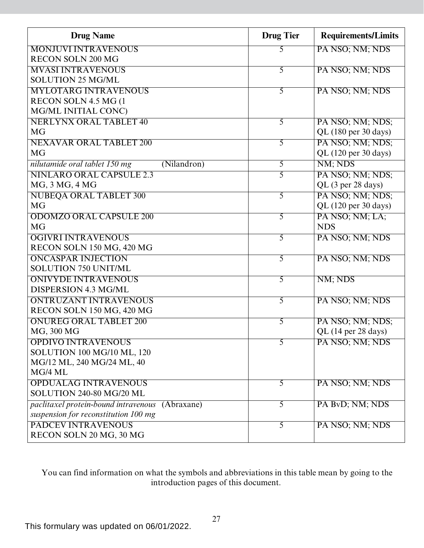| <b>Drug Name</b>                                   | <b>Drug Tier</b> | <b>Requirements/Limits</b> |
|----------------------------------------------------|------------------|----------------------------|
| <b>MONJUVI INTRAVENOUS</b>                         | 5                | PA NSO; NM; NDS            |
| <b>RECON SOLN 200 MG</b>                           |                  |                            |
| <b>MVASI INTRAVENOUS</b>                           | 5                | PA NSO; NM; NDS            |
| <b>SOLUTION 25 MG/ML</b>                           |                  |                            |
| <b>MYLOTARG INTRAVENOUS</b>                        | 5                | PA NSO; NM; NDS            |
| RECON SOLN 4.5 MG (1                               |                  |                            |
| MG/ML INITIAL CONC)                                |                  |                            |
| <b>NERLYNX ORAL TABLET 40</b>                      | $\overline{5}$   | PA NSO; NM; NDS;           |
| <b>MG</b>                                          |                  | QL (180 per 30 days)       |
| <b>NEXAVAR ORAL TABLET 200</b>                     | 5                | PA NSO; NM; NDS;           |
| <b>MG</b>                                          |                  | QL (120 per 30 days)       |
| nilutamide oral tablet 150 mg<br>(Nilandron)       | 5                | NM; NDS                    |
| <b>NINLARO ORAL CAPSULE 2.3</b>                    | 5                | PA NSO; NM; NDS;           |
| MG, 3 MG, 4 MG                                     |                  | QL (3 per 28 days)         |
| <b>NUBEQA ORAL TABLET 300</b>                      | 5                | PA NSO; NM; NDS;           |
| <b>MG</b>                                          |                  | QL (120 per 30 days)       |
| <b>ODOMZO ORAL CAPSULE 200</b>                     | 5                | PA NSO; NM; LA;            |
| <b>MG</b>                                          |                  | <b>NDS</b>                 |
| <b>OGIVRI INTRAVENOUS</b>                          | 5                | PA NSO; NM; NDS            |
| RECON SOLN 150 MG, 420 MG                          |                  |                            |
| <b>ONCASPAR INJECTION</b>                          | 5                | PA NSO; NM; NDS            |
| SOLUTION 750 UNIT/ML                               |                  |                            |
| <b>ONIVYDE INTRAVENOUS</b>                         | 5                | NM; NDS                    |
| DISPERSION 4.3 MG/ML                               |                  |                            |
| <b>ONTRUZANT INTRAVENOUS</b>                       | 5                | PA NSO; NM; NDS            |
| RECON SOLN 150 MG, 420 MG                          |                  |                            |
| <b>ONUREG ORAL TABLET 200</b>                      | 5                | PA NSO; NM; NDS;           |
| MG, 300 MG                                         |                  | $QL$ (14 per 28 days)      |
| <b>OPDIVO INTRAVENOUS</b>                          | 5                | PA NSO; NM; NDS            |
| SOLUTION 100 MG/10 ML, 120                         |                  |                            |
| MG/12 ML, 240 MG/24 ML, 40                         |                  |                            |
| MG/4 ML                                            |                  |                            |
| <b>OPDUALAG INTRAVENOUS</b>                        | 5                | PA NSO; NM; NDS            |
| SOLUTION 240-80 MG/20 ML                           |                  |                            |
| paclitaxel protein-bound intravenous<br>(Abraxane) | 5                | PA ByD; NM; NDS            |
| suspension for reconstitution 100 mg               |                  |                            |
| <b>PADCEV INTRAVENOUS</b>                          | 5                | PA NSO; NM; NDS            |
| RECON SOLN 20 MG, 30 MG                            |                  |                            |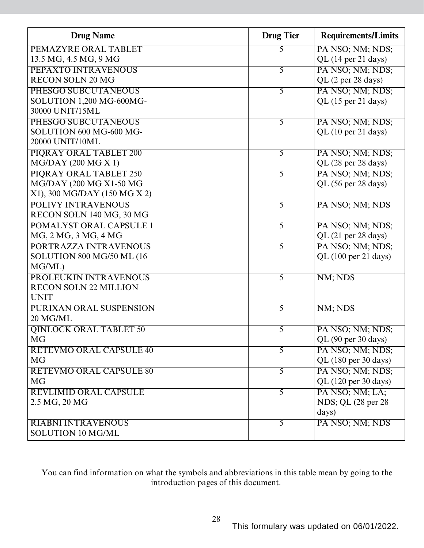| <b>Drug Name</b>               | <b>Drug Tier</b> | <b>Requirements/Limits</b> |
|--------------------------------|------------------|----------------------------|
| PEMAZYRE ORAL TABLET           | 5                | PA NSO; NM; NDS;           |
| 13.5 MG, 4.5 MG, 9 MG          |                  | QL (14 per 21 days)        |
| PEPAXTO INTRAVENOUS            | 5                | PA NSO; NM; NDS;           |
| <b>RECON SOLN 20 MG</b>        |                  | QL (2 per 28 days)         |
| PHESGO SUBCUTANEOUS            | 5                | PA NSO; NM; NDS;           |
| SOLUTION 1,200 MG-600MG-       |                  | QL (15 per 21 days)        |
| 30000 UNIT/15ML                |                  |                            |
| PHESGO SUBCUTANEOUS            | 5                | PA NSO; NM; NDS;           |
| SOLUTION 600 MG-600 MG-        |                  | QL (10 per 21 days)        |
| 20000 UNIT/10ML                |                  |                            |
| PIORAY ORAL TABLET 200         | 5                | PA NSO; NM; NDS;           |
| $MG/DAY$ (200 MG X 1)          |                  | QL (28 per 28 days)        |
| PIQRAY ORAL TABLET 250         | 5                | PA NSO; NM; NDS;           |
| MG/DAY (200 MG X1-50 MG        |                  | QL (56 per 28 days)        |
| X1), 300 MG/DAY (150 MG X 2)   |                  |                            |
| <b>POLIVY INTRAVENOUS</b>      | 5                | PA NSO; NM; NDS            |
| RECON SOLN 140 MG, 30 MG       |                  |                            |
| POMALYST ORAL CAPSULE 1        | 5                | PA NSO; NM; NDS;           |
| MG, 2 MG, 3 MG, 4 MG           |                  | QL (21 per 28 days)        |
| PORTRAZZA INTRAVENOUS          | 5                | PA NSO; NM; NDS;           |
| SOLUTION 800 MG/50 ML (16      |                  | QL (100 per 21 days)       |
| MG/ML)                         |                  |                            |
| PROLEUKIN INTRAVENOUS          | 5                | NM; NDS                    |
| <b>RECON SOLN 22 MILLION</b>   |                  |                            |
| <b>UNIT</b>                    |                  |                            |
| PURIXAN ORAL SUSPENSION        | 5                | NM; NDS                    |
| 20 MG/ML                       |                  |                            |
| <b>QINLOCK ORAL TABLET 50</b>  | 5                | PA NSO; NM; NDS;           |
| <b>MG</b>                      |                  | QL (90 per 30 days)        |
| <b>RETEVMO ORAL CAPSULE 40</b> | 5                | PA NSO; NM; NDS;           |
| <b>MG</b>                      |                  | QL (180 per 30 days)       |
| <b>RETEVMO ORAL CAPSULE 80</b> | $\overline{5}$   | PA NSO; NM; NDS;           |
| <b>MG</b>                      |                  | QL (120 per 30 days)       |
| <b>REVLIMID ORAL CAPSULE</b>   | $\overline{5}$   | PA NSO; NM; LA;            |
| 2.5 MG, 20 MG                  |                  | NDS; QL (28 per 28)        |
|                                |                  | days)                      |
| <b>RIABNI INTRAVENOUS</b>      | 5                | PA NSO; NM; NDS            |
| SOLUTION 10 MG/ML              |                  |                            |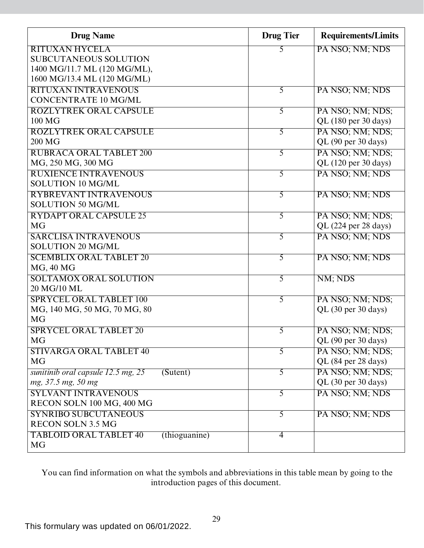| <b>Drug Name</b>                               | <b>Drug Tier</b> | <b>Requirements/Limits</b> |
|------------------------------------------------|------------------|----------------------------|
| <b>RITUXAN HYCELA</b>                          |                  | PA NSO; NM; NDS            |
| <b>SUBCUTANEOUS SOLUTION</b>                   |                  |                            |
| 1400 MG/11.7 ML (120 MG/ML),                   |                  |                            |
| 1600 MG/13.4 ML (120 MG/ML)                    |                  |                            |
| <b>RITUXAN INTRAVENOUS</b>                     | 5                | PA NSO; NM; NDS            |
| <b>CONCENTRATE 10 MG/ML</b>                    |                  |                            |
| <b>ROZLYTREK ORAL CAPSULE</b>                  | 5                | PA NSO; NM; NDS;           |
| 100 MG                                         |                  | QL (180 per 30 days)       |
| <b>ROZLYTREK ORAL CAPSULE</b>                  | 5                | PA NSO; NM; NDS;           |
| 200 MG                                         |                  | QL (90 per 30 days)        |
| <b>RUBRACA ORAL TABLET 200</b>                 | 5                | PA NSO; NM; NDS;           |
| MG, 250 MG, 300 MG                             |                  | QL (120 per 30 days)       |
| <b>RUXIENCE INTRAVENOUS</b>                    | 5                | PA NSO; NM; NDS            |
| <b>SOLUTION 10 MG/ML</b>                       |                  |                            |
| <b>RYBREVANT INTRAVENOUS</b>                   | $\overline{5}$   | PA NSO; NM; NDS            |
| <b>SOLUTION 50 MG/ML</b>                       |                  |                            |
| <b>RYDAPT ORAL CAPSULE 25</b>                  | 5                | PA NSO; NM; NDS;           |
| <b>MG</b>                                      |                  | QL (224 per 28 days)       |
| <b>SARCLISA INTRAVENOUS</b>                    | $\overline{5}$   | PA NSO; NM; NDS            |
| <b>SOLUTION 20 MG/ML</b>                       |                  |                            |
| <b>SCEMBLIX ORAL TABLET 20</b>                 | 5                | PA NSO; NM; NDS            |
| <b>MG, 40 MG</b>                               |                  |                            |
| <b>SOLTAMOX ORAL SOLUTION</b>                  | $\overline{5}$   | NM; NDS                    |
| 20 MG/10 ML                                    |                  |                            |
| <b>SPRYCEL ORAL TABLET 100</b>                 | $\overline{5}$   | PA NSO; NM; NDS;           |
| MG, 140 MG, 50 MG, 70 MG, 80                   |                  | $QL$ (30 per 30 days)      |
| <b>MG</b>                                      |                  |                            |
| <b>SPRYCEL ORAL TABLET 20</b>                  | 5                | PA NSO; NM; NDS;           |
| <b>MG</b>                                      |                  | QL (90 per 30 days)        |
| <b>STIVARGA ORAL TABLET 40</b>                 | 5                | PA NSO; NM; NDS;           |
| <b>MG</b>                                      |                  | QL (84 per 28 days)        |
| (Stuent)<br>sunitinib oral capsule 12.5 mg, 25 | 5                | PA NSO; NM; NDS;           |
| mg, 37.5 mg, 50 mg                             |                  | QL (30 per 30 days)        |
| <b>SYLVANT INTRAVENOUS</b>                     | 5                | PA NSO; NM; NDS            |
| RECON SOLN 100 MG, 400 MG                      |                  |                            |
| <b>SYNRIBO SUBCUTANEOUS</b>                    | 5                | PA NSO; NM; NDS            |
| <b>RECON SOLN 3.5 MG</b>                       |                  |                            |
| <b>TABLOID ORAL TABLET 40</b><br>(thioguanine) | $\overline{4}$   |                            |
| <b>MG</b>                                      |                  |                            |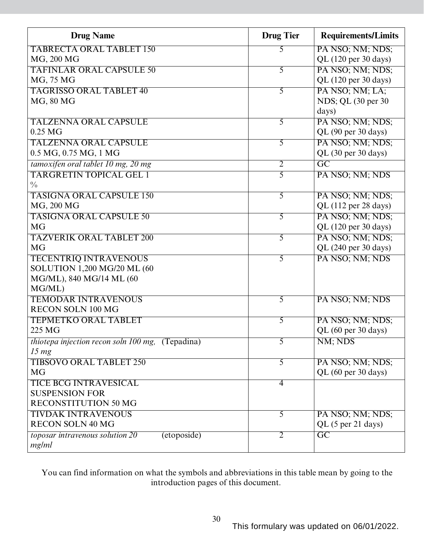| <b>TABRECTA ORAL TABLET 150</b><br>PA NSO; NM; NDS;<br>5<br>MG, 200 MG<br>QL (120 per 30 days)<br>PA NSO; NM; NDS;<br><b>TAFINLAR ORAL CAPSULE 50</b><br>5<br>MG, 75 MG<br>QL (120 per 30 days)<br>PA NSO; NM; LA;<br><b>TAGRISSO ORAL TABLET 40</b><br>5<br>MG, 80 MG<br>NDS; QL (30 per 30)<br>days)<br><b>TALZENNA ORAL CAPSULE</b><br>PA NSO; NM; NDS;<br>5<br>$0.25$ MG<br>QL (90 per 30 days)<br>PA NSO; NM; NDS;<br><b>TALZENNA ORAL CAPSULE</b><br>5<br>0.5 MG, 0.75 MG, 1 MG<br>QL (30 per 30 days)<br>tamoxifen oral tablet 10 mg, 20 mg<br>$\overline{GC}$<br>$\overline{2}$<br><b>TARGRETIN TOPICAL GEL 1</b><br>5<br>PA NSO; NM; NDS<br>$\frac{0}{0}$<br><b>TASIGNA ORAL CAPSULE 150</b><br>$\overline{5}$<br>PA NSO; NM; NDS;<br>MG, 200 MG<br>QL (112 per 28 days)<br>PA NSO; NM; NDS;<br>5<br><b>TASIGNA ORAL CAPSULE 50</b><br><b>MG</b><br>QL (120 per 30 days)<br>PA NSO; NM; NDS;<br><b>TAZVERIK ORAL TABLET 200</b><br>5<br>QL (240 per 30 days)<br><b>MG</b><br>PA NSO; NM; NDS<br><b>TECENTRIQ INTRAVENOUS</b><br>5<br>SOLUTION 1,200 MG/20 ML (60<br>MG/ML), 840 MG/14 ML (60<br>MG/ML)<br><b>TEMODAR INTRAVENOUS</b><br>5<br>PA NSO; NM; NDS<br><b>RECON SOLN 100 MG</b><br>5<br><b>TEPMETKO ORAL TABLET</b><br>PA NSO; NM; NDS;<br>225 MG<br>QL (60 per 30 days)<br>5<br>NM; NDS<br><i>thiotepa injection recon soln 100 mg,</i> (Tepadina) |
|-----------------------------------------------------------------------------------------------------------------------------------------------------------------------------------------------------------------------------------------------------------------------------------------------------------------------------------------------------------------------------------------------------------------------------------------------------------------------------------------------------------------------------------------------------------------------------------------------------------------------------------------------------------------------------------------------------------------------------------------------------------------------------------------------------------------------------------------------------------------------------------------------------------------------------------------------------------------------------------------------------------------------------------------------------------------------------------------------------------------------------------------------------------------------------------------------------------------------------------------------------------------------------------------------------------------------------------------------------------------------|
|                                                                                                                                                                                                                                                                                                                                                                                                                                                                                                                                                                                                                                                                                                                                                                                                                                                                                                                                                                                                                                                                                                                                                                                                                                                                                                                                                                       |
|                                                                                                                                                                                                                                                                                                                                                                                                                                                                                                                                                                                                                                                                                                                                                                                                                                                                                                                                                                                                                                                                                                                                                                                                                                                                                                                                                                       |
|                                                                                                                                                                                                                                                                                                                                                                                                                                                                                                                                                                                                                                                                                                                                                                                                                                                                                                                                                                                                                                                                                                                                                                                                                                                                                                                                                                       |
|                                                                                                                                                                                                                                                                                                                                                                                                                                                                                                                                                                                                                                                                                                                                                                                                                                                                                                                                                                                                                                                                                                                                                                                                                                                                                                                                                                       |
|                                                                                                                                                                                                                                                                                                                                                                                                                                                                                                                                                                                                                                                                                                                                                                                                                                                                                                                                                                                                                                                                                                                                                                                                                                                                                                                                                                       |
|                                                                                                                                                                                                                                                                                                                                                                                                                                                                                                                                                                                                                                                                                                                                                                                                                                                                                                                                                                                                                                                                                                                                                                                                                                                                                                                                                                       |
|                                                                                                                                                                                                                                                                                                                                                                                                                                                                                                                                                                                                                                                                                                                                                                                                                                                                                                                                                                                                                                                                                                                                                                                                                                                                                                                                                                       |
|                                                                                                                                                                                                                                                                                                                                                                                                                                                                                                                                                                                                                                                                                                                                                                                                                                                                                                                                                                                                                                                                                                                                                                                                                                                                                                                                                                       |
|                                                                                                                                                                                                                                                                                                                                                                                                                                                                                                                                                                                                                                                                                                                                                                                                                                                                                                                                                                                                                                                                                                                                                                                                                                                                                                                                                                       |
|                                                                                                                                                                                                                                                                                                                                                                                                                                                                                                                                                                                                                                                                                                                                                                                                                                                                                                                                                                                                                                                                                                                                                                                                                                                                                                                                                                       |
|                                                                                                                                                                                                                                                                                                                                                                                                                                                                                                                                                                                                                                                                                                                                                                                                                                                                                                                                                                                                                                                                                                                                                                                                                                                                                                                                                                       |
|                                                                                                                                                                                                                                                                                                                                                                                                                                                                                                                                                                                                                                                                                                                                                                                                                                                                                                                                                                                                                                                                                                                                                                                                                                                                                                                                                                       |
|                                                                                                                                                                                                                                                                                                                                                                                                                                                                                                                                                                                                                                                                                                                                                                                                                                                                                                                                                                                                                                                                                                                                                                                                                                                                                                                                                                       |
|                                                                                                                                                                                                                                                                                                                                                                                                                                                                                                                                                                                                                                                                                                                                                                                                                                                                                                                                                                                                                                                                                                                                                                                                                                                                                                                                                                       |
|                                                                                                                                                                                                                                                                                                                                                                                                                                                                                                                                                                                                                                                                                                                                                                                                                                                                                                                                                                                                                                                                                                                                                                                                                                                                                                                                                                       |
|                                                                                                                                                                                                                                                                                                                                                                                                                                                                                                                                                                                                                                                                                                                                                                                                                                                                                                                                                                                                                                                                                                                                                                                                                                                                                                                                                                       |
|                                                                                                                                                                                                                                                                                                                                                                                                                                                                                                                                                                                                                                                                                                                                                                                                                                                                                                                                                                                                                                                                                                                                                                                                                                                                                                                                                                       |
|                                                                                                                                                                                                                                                                                                                                                                                                                                                                                                                                                                                                                                                                                                                                                                                                                                                                                                                                                                                                                                                                                                                                                                                                                                                                                                                                                                       |
|                                                                                                                                                                                                                                                                                                                                                                                                                                                                                                                                                                                                                                                                                                                                                                                                                                                                                                                                                                                                                                                                                                                                                                                                                                                                                                                                                                       |
|                                                                                                                                                                                                                                                                                                                                                                                                                                                                                                                                                                                                                                                                                                                                                                                                                                                                                                                                                                                                                                                                                                                                                                                                                                                                                                                                                                       |
|                                                                                                                                                                                                                                                                                                                                                                                                                                                                                                                                                                                                                                                                                                                                                                                                                                                                                                                                                                                                                                                                                                                                                                                                                                                                                                                                                                       |
|                                                                                                                                                                                                                                                                                                                                                                                                                                                                                                                                                                                                                                                                                                                                                                                                                                                                                                                                                                                                                                                                                                                                                                                                                                                                                                                                                                       |
|                                                                                                                                                                                                                                                                                                                                                                                                                                                                                                                                                                                                                                                                                                                                                                                                                                                                                                                                                                                                                                                                                                                                                                                                                                                                                                                                                                       |
|                                                                                                                                                                                                                                                                                                                                                                                                                                                                                                                                                                                                                                                                                                                                                                                                                                                                                                                                                                                                                                                                                                                                                                                                                                                                                                                                                                       |
|                                                                                                                                                                                                                                                                                                                                                                                                                                                                                                                                                                                                                                                                                                                                                                                                                                                                                                                                                                                                                                                                                                                                                                                                                                                                                                                                                                       |
|                                                                                                                                                                                                                                                                                                                                                                                                                                                                                                                                                                                                                                                                                                                                                                                                                                                                                                                                                                                                                                                                                                                                                                                                                                                                                                                                                                       |
|                                                                                                                                                                                                                                                                                                                                                                                                                                                                                                                                                                                                                                                                                                                                                                                                                                                                                                                                                                                                                                                                                                                                                                                                                                                                                                                                                                       |
|                                                                                                                                                                                                                                                                                                                                                                                                                                                                                                                                                                                                                                                                                                                                                                                                                                                                                                                                                                                                                                                                                                                                                                                                                                                                                                                                                                       |
|                                                                                                                                                                                                                                                                                                                                                                                                                                                                                                                                                                                                                                                                                                                                                                                                                                                                                                                                                                                                                                                                                                                                                                                                                                                                                                                                                                       |
| 15 <sub>mg</sub>                                                                                                                                                                                                                                                                                                                                                                                                                                                                                                                                                                                                                                                                                                                                                                                                                                                                                                                                                                                                                                                                                                                                                                                                                                                                                                                                                      |
| <b>TIBSOVO ORAL TABLET 250</b><br>PA NSO; NM; NDS;<br>5                                                                                                                                                                                                                                                                                                                                                                                                                                                                                                                                                                                                                                                                                                                                                                                                                                                                                                                                                                                                                                                                                                                                                                                                                                                                                                               |
| <b>MG</b><br>QL (60 per 30 days)                                                                                                                                                                                                                                                                                                                                                                                                                                                                                                                                                                                                                                                                                                                                                                                                                                                                                                                                                                                                                                                                                                                                                                                                                                                                                                                                      |
| <b>TICE BCG INTRAVESICAL</b><br>4<br><b>SUSPENSION FOR</b>                                                                                                                                                                                                                                                                                                                                                                                                                                                                                                                                                                                                                                                                                                                                                                                                                                                                                                                                                                                                                                                                                                                                                                                                                                                                                                            |
| <b>RECONSTITUTION 50 MG</b>                                                                                                                                                                                                                                                                                                                                                                                                                                                                                                                                                                                                                                                                                                                                                                                                                                                                                                                                                                                                                                                                                                                                                                                                                                                                                                                                           |
| <b>TIVDAK INTRAVENOUS</b><br>PA NSO; NM; NDS;<br>5                                                                                                                                                                                                                                                                                                                                                                                                                                                                                                                                                                                                                                                                                                                                                                                                                                                                                                                                                                                                                                                                                                                                                                                                                                                                                                                    |
| <b>RECON SOLN 40 MG</b><br>QL (5 per 21 days)                                                                                                                                                                                                                                                                                                                                                                                                                                                                                                                                                                                                                                                                                                                                                                                                                                                                                                                                                                                                                                                                                                                                                                                                                                                                                                                         |
| GC<br>$\overline{2}$<br>(etoposide)<br>toposar intravenous solution 20                                                                                                                                                                                                                                                                                                                                                                                                                                                                                                                                                                                                                                                                                                                                                                                                                                                                                                                                                                                                                                                                                                                                                                                                                                                                                                |
| mg/ml                                                                                                                                                                                                                                                                                                                                                                                                                                                                                                                                                                                                                                                                                                                                                                                                                                                                                                                                                                                                                                                                                                                                                                                                                                                                                                                                                                 |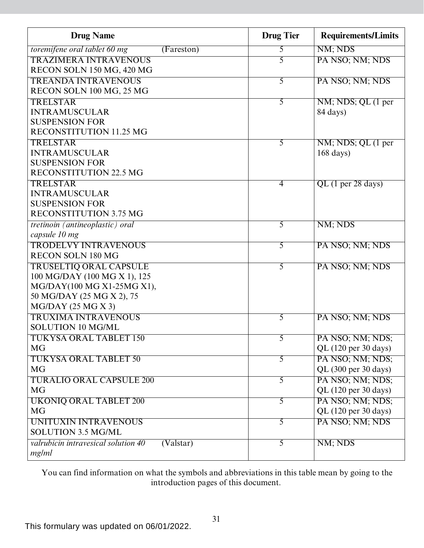| <b>Drug Name</b>                                                     | <b>Drug Tier</b> | <b>Requirements/Limits</b>              |
|----------------------------------------------------------------------|------------------|-----------------------------------------|
| toremifene oral tablet 60 mg<br>(Fareston)                           | 5                | NM; NDS                                 |
| <b>TRAZIMERA INTRAVENOUS</b>                                         | 5                | PA NSO; NM; NDS                         |
| RECON SOLN 150 MG, 420 MG                                            |                  |                                         |
| <b>TREANDA INTRAVENOUS</b>                                           | 5                | PA NSO; NM; NDS                         |
| RECON SOLN 100 MG, 25 MG                                             |                  |                                         |
| <b>TRELSTAR</b>                                                      | 5                | NM; NDS; QL (1 per                      |
| <b>INTRAMUSCULAR</b>                                                 |                  | 84 days)                                |
| <b>SUSPENSION FOR</b>                                                |                  |                                         |
| <b>RECONSTITUTION 11.25 MG</b>                                       |                  |                                         |
| <b>TRELSTAR</b>                                                      | 5                | NM; NDS; QL (1 per                      |
| <b>INTRAMUSCULAR</b>                                                 |                  | $168 \text{ days}$                      |
| <b>SUSPENSION FOR</b>                                                |                  |                                         |
| <b>RECONSTITUTION 22.5 MG</b>                                        |                  |                                         |
| <b>TRELSTAR</b>                                                      | 4                | $QL$ (1 per 28 days)                    |
| <b>INTRAMUSCULAR</b>                                                 |                  |                                         |
| <b>SUSPENSION FOR</b>                                                |                  |                                         |
| <b>RECONSTITUTION 3.75 MG</b>                                        |                  |                                         |
| tretinoin (antineoplastic) oral                                      | 5                | NM; NDS                                 |
| capsule 10 mg                                                        |                  |                                         |
| <b>TRODELVY INTRAVENOUS</b>                                          | $\overline{5}$   | PA NSO; NM; NDS                         |
| <b>RECON SOLN 180 MG</b>                                             |                  |                                         |
| <b>TRUSELTIQ ORAL CAPSULE</b>                                        | 5                | PA NSO; NM; NDS                         |
| 100 MG/DAY (100 MG X 1), 125                                         |                  |                                         |
| MG/DAY(100 MG X1-25MG X1),                                           |                  |                                         |
| 50 MG/DAY (25 MG X 2), 75                                            |                  |                                         |
| $MG/DAY$ (25 MG X 3)                                                 |                  |                                         |
| <b>TRUXIMA INTRAVENOUS</b>                                           | 5                | PA NSO; NM; NDS                         |
| <b>SOLUTION 10 MG/ML</b>                                             |                  |                                         |
| TUKYSA ORAL TABLET 150                                               | $\mathcal{L}$    | PA NSO; NM; NDS;                        |
| <b>MG</b>                                                            |                  | QL $(120 \text{ per } 30 \text{ days})$ |
| <b>TUKYSA ORAL TABLET 50</b>                                         | 5                | PA NSO; NM; NDS;                        |
| <b>MG</b>                                                            |                  | QL (300 per 30 days)                    |
| <b>TURALIO ORAL CAPSULE 200</b>                                      | $\overline{5}$   | PA NSO; NM; NDS;                        |
| <b>MG</b>                                                            |                  | QL (120 per 30 days)                    |
| <b>UKONIQ ORAL TABLET 200</b>                                        | 5                | PA NSO; NM; NDS;                        |
| <b>MG</b>                                                            |                  | QL (120 per 30 days)                    |
| UNITUXIN INTRAVENOUS                                                 | 5                | PA NSO; NM; NDS                         |
| <b>SOLUTION 3.5 MG/ML</b>                                            |                  |                                         |
| valrubicin intravesical solution 40<br>$\overline{\text{(Valstar)}}$ | 5                | NM; NDS                                 |
| mg/ml                                                                |                  |                                         |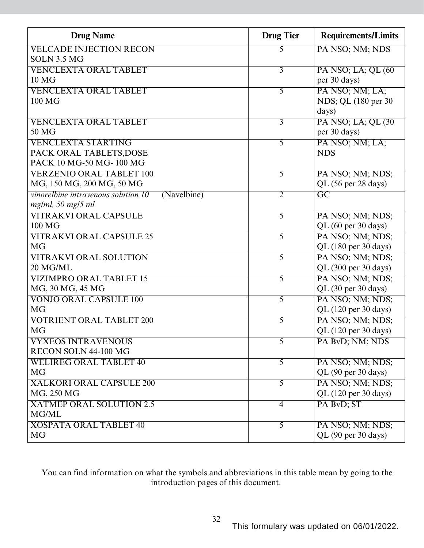| <b>Drug Name</b>                                   | <b>Drug Tier</b> | <b>Requirements/Limits</b>              |
|----------------------------------------------------|------------------|-----------------------------------------|
| <b>VELCADE INJECTION RECON</b>                     | 5                | PA NSO; NM; NDS                         |
| <b>SOLN 3.5 MG</b>                                 |                  |                                         |
| <b>VENCLEXTA ORAL TABLET</b>                       | $\overline{3}$   | PA NSO; LA; QL (60)                     |
| 10 <sub>MG</sub>                                   |                  | per 30 days)                            |
| <b>VENCLEXTA ORAL TABLET</b>                       | 5                | PA NSO; NM; LA;                         |
| 100 MG                                             |                  | NDS; QL (180 per 30)                    |
|                                                    |                  | days)                                   |
| <b>VENCLEXTA ORAL TABLET</b>                       | $\overline{3}$   | PA NSO; LA; QL (30)                     |
| 50 MG                                              |                  | per 30 days)                            |
| <b>VENCLEXTA STARTING</b>                          | $\overline{5}$   | PA NSO; NM; LA;                         |
| PACK ORAL TABLETS, DOSE                            |                  | <b>NDS</b>                              |
| PACK 10 MG-50 MG-100 MG                            |                  |                                         |
| <b>VERZENIO ORAL TABLET 100</b>                    | 5                | PA NSO; NM; NDS;                        |
| MG, 150 MG, 200 MG, 50 MG                          |                  | QL (56 per 28 days)                     |
| vinorelbine intravenous solution 10<br>(Navelbine) | $\overline{2}$   | $\overline{GC}$                         |
| mg/ml, 50 mg/5 ml                                  |                  |                                         |
| <b>VITRAKVI ORAL CAPSULE</b>                       | 5                | PA NSO; NM; NDS;                        |
| 100 MG                                             |                  | QL (60 per 30 days)                     |
| <b>VITRAKVI ORAL CAPSULE 25</b>                    | 5                | PA NSO; NM; NDS;                        |
| <b>MG</b>                                          |                  | QL (180 per 30 days)                    |
| <b>VITRAKVI ORAL SOLUTION</b>                      | 5                | PA NSO; NM; NDS;                        |
| 20 MG/ML                                           |                  | QL (300 per 30 days)                    |
| <b>VIZIMPRO ORAL TABLET 15</b>                     | 5                | PA NSO; NM; NDS;                        |
| MG, 30 MG, 45 MG                                   |                  | QL (30 per 30 days)                     |
| <b>VONJO ORAL CAPSULE 100</b>                      | 5                | PA NSO; NM; NDS;                        |
| <b>MG</b>                                          |                  | QL (120 per 30 days)                    |
| <b>VOTRIENT ORAL TABLET 200</b>                    | 5                | PA NSO; NM; NDS;                        |
| <b>MG</b>                                          |                  | QL $(120 \text{ per } 30 \text{ days})$ |
| <b>VYXEOS INTRAVENOUS</b>                          | 5                | PA BvD; NM; NDS                         |
| RECON SOLN 44-100 MG                               |                  |                                         |
| <b>WELIREG ORAL TABLET 40</b>                      | 5                | PA NSO; NM; NDS;                        |
| <b>MG</b>                                          |                  | QL (90 per 30 days)                     |
| <b>XALKORI ORAL CAPSULE 200</b>                    | $\overline{5}$   | PA NSO; NM; NDS;                        |
| MG, 250 MG                                         |                  | QL (120 per 30 days)                    |
| <b>XATMEP ORAL SOLUTION 2.5</b>                    | 4                | PA BvD; ST                              |
| MG/ML                                              |                  |                                         |
| <b>XOSPATA ORAL TABLET 40</b>                      | 5                | PA NSO; NM; NDS;                        |
| <b>MG</b>                                          |                  | QL (90 per 30 days)                     |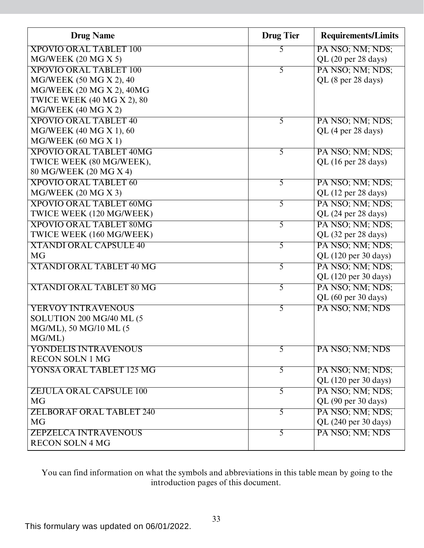| <b>Drug Name</b>                | <b>Drug Tier</b> | <b>Requirements/Limits</b> |
|---------------------------------|------------------|----------------------------|
| <b>XPOVIO ORAL TABLET 100</b>   | 5                | PA NSO; NM; NDS;           |
| MG/WEEK (20 MG X 5)             |                  | QL (20 per 28 days)        |
| <b>XPOVIO ORAL TABLET 100</b>   | 5                | PA NSO; NM; NDS;           |
| MG/WEEK (50 MG X 2), 40         |                  | QL (8 per 28 days)         |
| MG/WEEK (20 MG X 2), 40MG       |                  |                            |
| TWICE WEEK (40 MG X 2), 80      |                  |                            |
| $MG/WEEK$ (40 MG X 2)           |                  |                            |
| <b>XPOVIO ORAL TABLET 40</b>    | $\overline{5}$   | PA NSO; NM; NDS;           |
| MG/WEEK (40 MG X 1), 60         |                  | QL (4 per 28 days)         |
| MG/WEEK (60 MG X 1)             |                  |                            |
| <b>XPOVIO ORAL TABLET 40MG</b>  | 5                | PA NSO; NM; NDS;           |
| TWICE WEEK (80 MG/WEEK),        |                  | QL (16 per 28 days)        |
| 80 MG/WEEK (20 MG X 4)          |                  |                            |
| <b>XPOVIO ORAL TABLET 60</b>    | 5                | PA NSO; NM; NDS;           |
| MG/WEEK (20 MG X 3)             |                  | QL (12 per 28 days)        |
| <b>XPOVIO ORAL TABLET 60MG</b>  | 5                | PA NSO; NM; NDS;           |
| TWICE WEEK (120 MG/WEEK)        |                  | QL (24 per 28 days)        |
| <b>XPOVIO ORAL TABLET 80MG</b>  | 5                | PA NSO; NM; NDS;           |
| TWICE WEEK (160 MG/WEEK)        |                  | QL (32 per 28 days)        |
| <b>XTANDI ORAL CAPSULE 40</b>   | $\overline{5}$   | PA NSO; NM; NDS;           |
| <b>MG</b>                       |                  | QL (120 per 30 days)       |
| <b>XTANDI ORAL TABLET 40 MG</b> | 5                | PA NSO; NM; NDS;           |
|                                 |                  | QL (120 per 30 days)       |
| <b>XTANDI ORAL TABLET 80 MG</b> | 5                | PA NSO; NM; NDS;           |
|                                 |                  | QL (60 per 30 days)        |
| <b>YERVOY INTRAVENOUS</b>       | 5                | PA NSO; NM; NDS            |
| SOLUTION 200 MG/40 ML (5        |                  |                            |
| MG/ML), 50 MG/10 ML (5          |                  |                            |
| MG/ML)                          |                  |                            |
| YONDELIS INTRAVENOUS            | 5                | PA NSO; NM; NDS            |
| <b>RECON SOLN 1 MG</b>          |                  |                            |
| YONSA ORAL TABLET 125 MG        | 5                | PA NSO; NM; NDS;           |
|                                 |                  | QL (120 per 30 days)       |
| <b>ZEJULA ORAL CAPSULE 100</b>  | 5                | PA NSO; NM; NDS;           |
| <b>MG</b>                       |                  | QL (90 per 30 days)        |
| <b>ZELBORAF ORAL TABLET 240</b> | 5                | PA NSO; NM; NDS;           |
| <b>MG</b>                       |                  | QL (240 per 30 days)       |
| <b>ZEPZELCA INTRAVENOUS</b>     | 5                | PA NSO; NM; NDS            |
| <b>RECON SOLN 4 MG</b>          |                  |                            |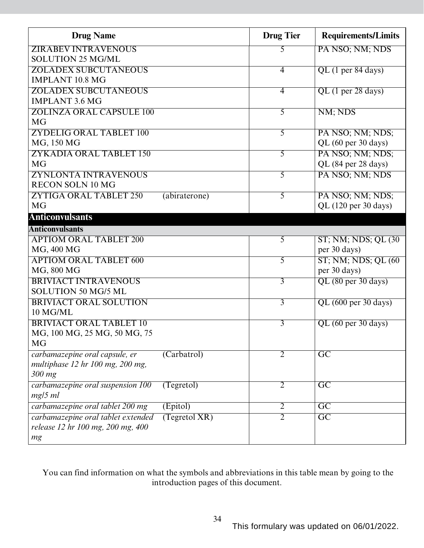| <b>Drug Name</b>                   |               | <b>Drug Tier</b> | <b>Requirements/Limits</b> |
|------------------------------------|---------------|------------------|----------------------------|
| <b>ZIRABEV INTRAVENOUS</b>         |               | 5                | PA NSO; NM; NDS            |
| <b>SOLUTION 25 MG/ML</b>           |               |                  |                            |
| <b>ZOLADEX SUBCUTANEOUS</b>        |               | $\overline{4}$   | QL (1 per 84 days)         |
| <b>IMPLANT 10.8 MG</b>             |               |                  |                            |
| <b>ZOLADEX SUBCUTANEOUS</b>        |               | $\overline{4}$   | $QL$ (1 per 28 days)       |
| <b>IMPLANT 3.6 MG</b>              |               |                  |                            |
| <b>ZOLINZA ORAL CAPSULE 100</b>    |               | 5                | NM; NDS                    |
| <b>MG</b>                          |               |                  |                            |
| <b>ZYDELIG ORAL TABLET 100</b>     |               | 5                | PA NSO; NM; NDS;           |
| MG, 150 MG                         |               |                  | QL (60 per 30 days)        |
| <b>ZYKADIA ORAL TABLET 150</b>     |               | $\overline{5}$   | PA NSO; NM; NDS;           |
| <b>MG</b>                          |               |                  | QL (84 per 28 days)        |
| <b>ZYNLONTA INTRAVENOUS</b>        |               | 5                | PA NSO; NM; NDS            |
| <b>RECON SOLN 10 MG</b>            |               |                  |                            |
| <b>ZYTIGA ORAL TABLET 250</b>      | (abiraterone) | 5                | PA NSO; NM; NDS;           |
| <b>MG</b>                          |               |                  | QL (120 per 30 days)       |
| <b>Anticonvulsants</b>             |               |                  |                            |
| <b>Anticonvulsants</b>             |               |                  |                            |
| <b>APTIOM ORAL TABLET 200</b>      |               | 5                | ST; NM; NDS; QL (30)       |
| MG, 400 MG                         |               |                  | per 30 days)               |
| <b>APTIOM ORAL TABLET 600</b>      |               | 5                | ST; NM; NDS; QL (60)       |
| MG, 800 MG                         |               |                  | per 30 days)               |
| <b>BRIVIACT INTRAVENOUS</b>        |               | $\overline{3}$   | QL (80 per 30 days)        |
| SOLUTION 50 MG/5 ML                |               |                  |                            |
| <b>BRIVIACT ORAL SOLUTION</b>      |               | $\overline{3}$   | QL (600 per 30 days)       |
| 10 MG/ML                           |               |                  |                            |
| <b>BRIVIACT ORAL TABLET 10</b>     |               | $\overline{3}$   | QL (60 per 30 days)        |
| MG, 100 MG, 25 MG, 50 MG, 75       |               |                  |                            |
| <b>MG</b>                          |               |                  |                            |
| carbamazepine oral capsule, er     | (Carbatrol)   | 2                | $\overline{GC}$            |
| multiphase 12 hr 100 mg, 200 mg,   |               |                  |                            |
| $300$ mg                           |               |                  |                            |
| carbamazepine oral suspension 100  | (Tegretol)    | 2                | $\overline{\text{GC}}$     |
| $mg/5$ ml                          |               |                  |                            |
| carbamazepine oral tablet 200 mg   | (Epitol)      | $\overline{2}$   | $\overline{GC}$            |
| carbamazepine oral tablet extended | (Tegretol XR) | $\overline{2}$   | $\overline{GC}$            |
| release 12 hr 100 mg, 200 mg, 400  |               |                  |                            |
| mg                                 |               |                  |                            |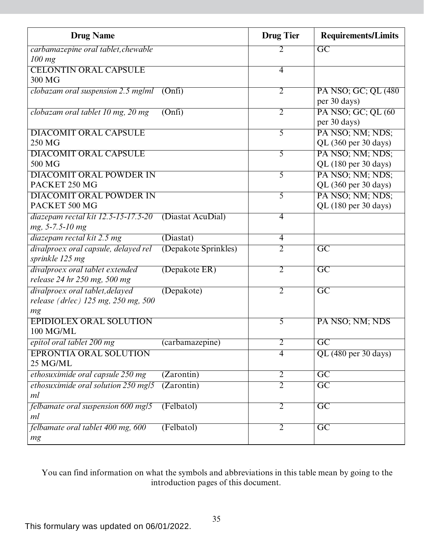| <b>Drug Name</b>                     |                      | <b>Drug Tier</b> | <b>Requirements/Limits</b> |
|--------------------------------------|----------------------|------------------|----------------------------|
| carbamazepine oral tablet, chewable  |                      | 2                | $\overline{\mathrm{GC}}$   |
| $100$ mg                             |                      |                  |                            |
| <b>CELONTIN ORAL CAPSULE</b>         |                      | $\overline{4}$   |                            |
| 300 MG                               |                      |                  |                            |
| clobazam oral suspension 2.5 mg/ml   | (Onfi)               | $\overline{2}$   | PA NSO; GC; QL (480)       |
|                                      |                      |                  | per 30 days)               |
| clobazam oral tablet 10 mg, 20 mg    | (Onfi)               | $\overline{2}$   | PA NSO; GC; QL (60         |
|                                      |                      |                  | per 30 days)               |
| <b>DIACOMIT ORAL CAPSULE</b>         |                      | 5                | PA NSO; NM; NDS;           |
| 250 MG                               |                      |                  | QL (360 per 30 days)       |
| <b>DIACOMIT ORAL CAPSULE</b>         |                      | $\overline{5}$   | PA NSO; NM; NDS;           |
| 500 MG                               |                      |                  | QL (180 per 30 days)       |
| <b>DIACOMIT ORAL POWDER IN</b>       |                      | 5                | PA NSO; NM; NDS;           |
| PACKET 250 MG                        |                      |                  | QL (360 per 30 days)       |
| <b>DIACOMIT ORAL POWDER IN</b>       |                      | $\overline{5}$   | PA NSO; NM; NDS;           |
| PACKET 500 MG                        |                      |                  | QL (180 per 30 days)       |
| diazepam rectal kit 12.5-15-17.5-20  | (Diastat AcuDial)    | $\overline{4}$   |                            |
| mg, 5-7.5-10 mg                      |                      |                  |                            |
| diazepam rectal kit 2.5 mg           | (Diastat)            | 4                |                            |
| divalproex oral capsule, delayed rel | (Depakote Sprinkles) | $\overline{2}$   | $\overline{\text{GC}}$     |
| sprinkle 125 mg                      |                      |                  |                            |
| divalproex oral tablet extended      | (Depakote ER)        | $\overline{2}$   | $\overline{GC}$            |
| release 24 hr 250 mg, 500 mg         |                      |                  |                            |
| divalproex oral tablet, delayed      | (Depakote)           | $\overline{2}$   | $\overline{GC}$            |
| release (drlec) 125 mg, 250 mg, 500  |                      |                  |                            |
| mg                                   |                      |                  |                            |
| <b>EPIDIOLEX ORAL SOLUTION</b>       |                      | $\overline{5}$   | PA NSO; NM; NDS            |
| 100 MG/ML                            |                      |                  |                            |
| epitol oral tablet 200 mg            | (carbamazepine)      | 2                | GC                         |
| <b>EPRONTIA ORAL SOLUTION</b>        |                      | $\overline{4}$   | QL (480 per 30 days)       |
| 25 MG/ML                             |                      |                  |                            |
| ethosuximide oral capsule 250 mg     | (Zarontin)           | $\overline{2}$   | $\overline{GC}$            |
| ethosuximide oral solution 250 mg/5  | (Zarontin)           | $\overline{2}$   | $\overline{GC}$            |
| ml                                   |                      |                  |                            |
| felbamate oral suspension 600 mg/5   | (Felbatol)           | $\overline{2}$   | $\overline{GC}$            |
| ml                                   |                      |                  |                            |
| felbamate oral tablet 400 mg, 600    | (Felbatol)           | $\overline{2}$   | $\overline{GC}$            |
| mg                                   |                      |                  |                            |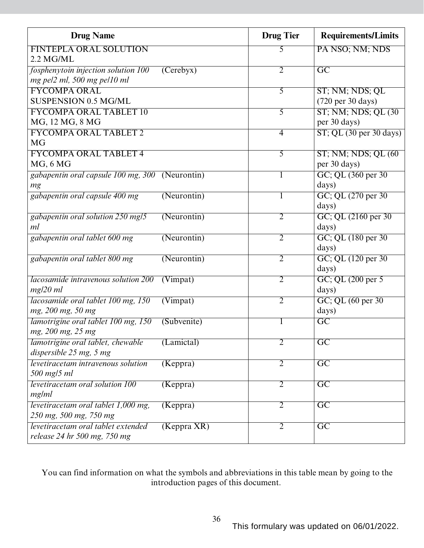| <b>Drug Name</b>                                |                              | <b>Drug Tier</b> | <b>Requirements/Limits</b>                    |
|-------------------------------------------------|------------------------------|------------------|-----------------------------------------------|
| <b>FINTEPLA ORAL SOLUTION</b>                   |                              | 5                | PA NSO; NM; NDS                               |
| 2.2 MG/ML                                       |                              |                  |                                               |
| fosphenytoin injection solution 100             | (Cerebyx)                    | $\overline{2}$   | $\overline{GC}$                               |
| mg pel2 ml, 500 mg pel10 ml                     |                              |                  |                                               |
| <b>FYCOMPA ORAL</b>                             |                              | 5                | ST; NM; NDS; QL                               |
| <b>SUSPENSION 0.5 MG/ML</b>                     |                              |                  | (720 per 30 days)                             |
| <b>FYCOMPA ORAL TABLET 10</b>                   |                              | 5                | ST; NM; NDS; QL (30)                          |
| MG, 12 MG, 8 MG                                 |                              |                  | per 30 days)                                  |
| <b>FYCOMPA ORAL TABLET 2</b>                    |                              | $\overline{4}$   | $ST$ ; QL $(30 \text{ per } 30 \text{ days})$ |
| <b>MG</b>                                       |                              |                  |                                               |
| <b>FYCOMPA ORAL TABLET 4</b>                    |                              | $\overline{5}$   | $ST$ ; NM; NDS; QL $(60)$                     |
| MG, 6MG                                         |                              |                  | per 30 days)                                  |
| gabapentin oral capsule 100 mg, 300 (Neurontin) |                              |                  | GC; QL (360 per 30)                           |
| mg                                              |                              |                  | days)                                         |
| gabapentin oral capsule 400 mg                  | (Neurontin)                  |                  | GC; QL (270 per 30)                           |
|                                                 |                              |                  | days)                                         |
| gabapentin oral solution 250 mg/5<br>ml         | $(N$ eurontin $)$            | $\overline{2}$   | GC; QL (2160 per 30)<br>days)                 |
|                                                 |                              | $\overline{2}$   |                                               |
| gabapentin oral tablet 600 mg                   | (Neurontin)                  |                  | GC; QL (180 per 30)<br>days)                  |
| gabapentin oral tablet 800 mg                   | (Neurontin)                  | $\overline{2}$   | GC; QL (120 per 30)                           |
|                                                 |                              |                  | days)                                         |
| lacosamide intravenous solution 200             | (V <sub>impat</sub> )        | $\overline{2}$   | $GC$ ; QL $(200 \text{ per } 5)$              |
| mg/20 ml                                        |                              |                  | days)                                         |
| lacosamide oral tablet 100 mg, 150              | $\overline{\text{(Vimpat)}}$ | $\overline{2}$   | GC; QL (60 per 30)                            |
| mg, 200 mg, 50 mg                               |                              |                  | days)                                         |
| lamotrigine oral tablet 100 mg, 150             | (Subvenite)                  | $\bf{l}$         | $\overline{GC}$                               |
| mg, 200 mg, 25 mg                               |                              |                  |                                               |
| lamotrigine oral tablet, chewable               | (Lamictal)                   | $\overline{2}$   | GC                                            |
| dispersible 25 mg, 5 mg                         |                              |                  |                                               |
| levetiracetam intravenous solution              | (Keppra)                     | $\overline{2}$   | $\overline{GC}$                               |
| 500 mg/5 ml                                     |                              |                  |                                               |
| <i>levetiracetam oral solution 100</i>          | (Keppra)                     | 2                | $\overline{GC}$                               |
| mg/ml                                           |                              |                  |                                               |
| levetiracetam oral tablet 1,000 mg,             | (Keppra)                     | $\overline{2}$   | $\overline{GC}$                               |
| 250 mg, 500 mg, 750 mg                          |                              |                  |                                               |
| levetiracetam oral tablet extended              | $(Keppra$ $KR)$              | 2                | $\overline{GC}$                               |
| release 24 hr 500 mg, 750 mg                    |                              |                  |                                               |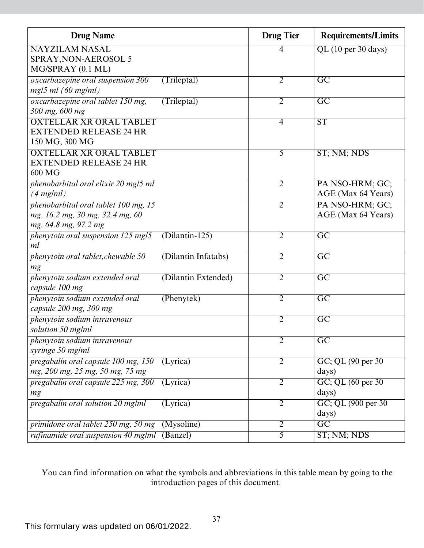| <b>Drug Name</b>                                                                                |                     | <b>Drug Tier</b> | <b>Requirements/Limits</b>            |
|-------------------------------------------------------------------------------------------------|---------------------|------------------|---------------------------------------|
| <b>NAYZILAM NASAL</b><br>SPRAY, NON-AEROSOL 5                                                   |                     | 4                | QL (10 per 30 days)                   |
| MG/SPRAY (0.1 ML)                                                                               |                     |                  |                                       |
| oxcarbazepine oral suspension 300<br>$mg/5$ ml (60 mg/ml)                                       | (Trileptal)         | $\overline{2}$   | $\overline{\text{GC}}$                |
| oxcarbazepine oral tablet 150 mg,<br>300 mg, 600 mg                                             | (Trileptal)         | $\overline{2}$   | $\overline{\mathrm{GC}}$              |
| <b>OXTELLAR XR ORAL TABLET</b><br><b>EXTENDED RELEASE 24 HR</b><br>150 MG, 300 MG               |                     | 4                | ST                                    |
| <b>OXTELLAR XR ORAL TABLET</b><br><b>EXTENDED RELEASE 24 HR</b><br>600 MG                       |                     | 5                | ST; NM; NDS                           |
| phenobarbital oral elixir 20 mg/5 ml<br>$(4$ mg/ml)                                             |                     | $\overline{2}$   | PA NSO-HRM; GC;<br>AGE (Max 64 Years) |
| phenobarbital oral tablet 100 mg, 15<br>mg, 16.2 mg, 30 mg, 32.4 mg, 60<br>mg, 64.8 mg, 97.2 mg |                     | $\overline{2}$   | PA NSO-HRM; GC;<br>AGE (Max 64 Years) |
| phenytoin oral suspension 125 mg/5<br>ml                                                        | $(Dilantin-125)$    | $\overline{2}$   | $\overline{\mathrm{GC}}$              |
| phenytoin oral tablet, chewable 50<br>mg                                                        | (Dilantin Infatabs) | $\overline{2}$   | $\overline{GC}$                       |
| phenytoin sodium extended oral<br>capsule 100 mg                                                | (Dilantin Extended) | $\overline{2}$   | $\overline{\rm GC}$                   |
| phenytoin sodium extended oral<br>capsule 200 mg, 300 mg                                        | (Phenytek)          | $\overline{2}$   | $\overline{\mathrm{GC}}$              |
| phenytoin sodium intravenous<br>solution 50 mg/ml                                               |                     | $\overline{2}$   | $\overline{GC}$                       |
| phenytoin sodium intravenous<br>syringe 50 mg/ml                                                |                     | $\overline{2}$   | $\overline{GC}$                       |
| pregabalin oral capsule 100 mg, 150<br>mg, 200 mg, 25 mg, 50 mg, 75 mg                          | (Lyrica)            | $\overline{2}$   | GC; QL (90 per 30)<br>days)           |
| pregabalin oral capsule 225 mg, 300<br>mg                                                       | (Lyrica)            | $\overline{2}$   | GC; QL (60 per 30)<br>days)           |
| pregabalin oral solution 20 mg/ml                                                               | (Lyrica)            | $\overline{2}$   | GC; QL (900 per 30)<br>days)          |
| primidone oral tablet 250 mg, 50 mg                                                             | (Mysoline)          | $\overline{2}$   | $\overline{\mathrm{GC}}$              |
| rufinamide oral suspension 40 mg/ml                                                             | (Banzel)            | $\overline{5}$   | ST; NM; NDS                           |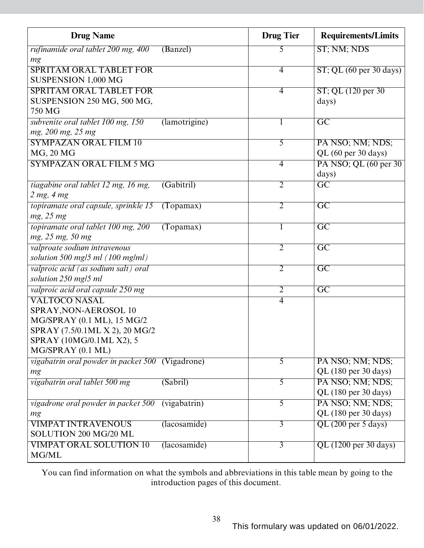| <b>Drug Name</b>                                                                                                                                               |               | <b>Drug</b> Tier | <b>Requirements/Limits</b>               |
|----------------------------------------------------------------------------------------------------------------------------------------------------------------|---------------|------------------|------------------------------------------|
| rufinamide oral tablet 200 mg, 400<br>mg                                                                                                                       | (Banzel)      | 5                | ST; NM; NDS                              |
| <b>SPRITAM ORAL TABLET FOR</b><br>SUSPENSION 1,000 MG                                                                                                          |               | $\overline{4}$   | $ST$ ; QL (60 per 30 days)               |
| <b>SPRITAM ORAL TABLET FOR</b><br>SUSPENSION 250 MG, 500 MG,<br>750 MG                                                                                         |               | 4                | ST; QL (120 per 30)<br>days)             |
| subvenite oral tablet 100 mg, 150<br>mg, 200 mg, 25 mg                                                                                                         | (lamotrigine) | $\mathbf{I}$     | $\overline{\mathrm{GC}}$                 |
| <b>SYMPAZAN ORAL FILM 10</b><br>MG, 20 MG                                                                                                                      |               | $\overline{5}$   | PA NSO; NM; NDS;<br>QL (60 per 30 days)  |
| <b>SYMPAZAN ORAL FILM 5 MG</b>                                                                                                                                 |               | 4                | PA NSO; QL (60 per 30)<br>days)          |
| tiagabine oral tablet 12 mg, 16 mg,<br>2 mg, 4 mg                                                                                                              | (Gabitril)    | $\overline{2}$   | $\overline{\mathrm{GC}}$                 |
| topiramate oral capsule, sprinkle 15<br>mg, 25 mg                                                                                                              | (Topamax)     | $\overline{2}$   | $\overline{GC}$                          |
| topiramate oral tablet 100 mg, 200<br>mg, 25 mg, 50 mg                                                                                                         | (Topamax)     |                  | $\overline{GC}$                          |
| valproate sodium intravenous<br>solution 500 mg/5 ml $(100 \text{ mg/ml})$                                                                                     |               | 2                | $\overline{\mathrm{GC}}$                 |
| valproic acid (as sodium salt) oral<br>solution 250 mg/5 ml                                                                                                    |               | $\overline{2}$   | $\overline{GC}$                          |
| valproic acid oral capsule 250 mg                                                                                                                              |               | $\overline{2}$   | $\overline{GC}$                          |
| <b>VALTOCO NASAL</b><br>SPRAY, NON-AEROSOL 10<br>MG/SPRAY (0.1 ML), 15 MG/2<br>SPRAY (7.5/0.1ML X 2), 20 MG/2<br>SPRAY (10MG/0.1ML X2), 5<br>MG/SPRAY (0.1 ML) |               | $\overline{4}$   |                                          |
| vigabatrin oral powder in packet 500 (Vigadrone)<br>mg                                                                                                         |               | $\overline{5}$   | PA NSO; NM; NDS;<br>QL (180 per 30 days) |
| vigabatrin oral tablet 500 mg                                                                                                                                  | (Sabril)      | $\overline{5}$   | PA NSO; NM; NDS;<br>QL (180 per 30 days) |
| vigadrone oral powder in packet 500<br>mg                                                                                                                      | (vigabatrin)  | $\overline{5}$   | PA NSO; NM; NDS;<br>QL (180 per 30 days) |
| <b>VIMPAT INTRAVENOUS</b><br>SOLUTION 200 MG/20 ML                                                                                                             | (lacosamide)  | $\overline{3}$   | QL (200 per 5 days)                      |
| <b>VIMPAT ORAL SOLUTION 10</b><br>MG/ML                                                                                                                        | (lacosamide)  | $\overline{3}$   | $QL$ (1200 per 30 days)                  |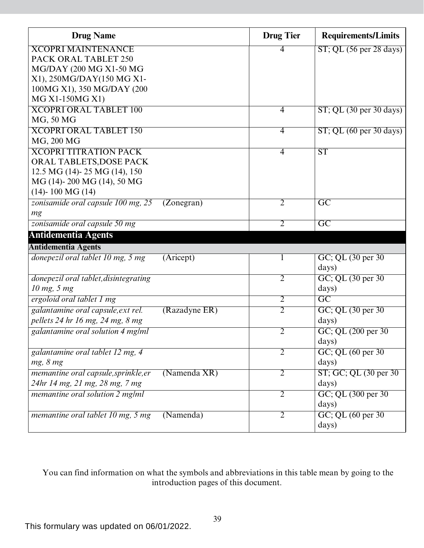| <b>Drug Name</b>                                     | <b>Drug Tier</b> | <b>Requirements/Limits</b>                    |
|------------------------------------------------------|------------------|-----------------------------------------------|
| <b>XCOPRI MAINTENANCE</b>                            | 4                | $ST$ ; QL (56 per 28 days)                    |
| PACK ORAL TABLET 250                                 |                  |                                               |
| MG/DAY (200 MG X1-50 MG                              |                  |                                               |
| X1), 250MG/DAY(150 MG X1-                            |                  |                                               |
| 100MG X1), 350 MG/DAY (200                           |                  |                                               |
| MG X1-150MG X1)                                      |                  |                                               |
| <b>XCOPRI ORAL TABLET 100</b>                        | $\overline{4}$   | $ST$ ; QL $(30 \text{ per } 30 \text{ days})$ |
| MG, 50 MG                                            |                  |                                               |
| <b>XCOPRI ORAL TABLET 150</b>                        | $\overline{4}$   | $ST$ ; QL (60 per 30 days)                    |
| MG, 200 MG                                           |                  |                                               |
| <b>XCOPRI TITRATION PACK</b>                         | $\overline{4}$   | ST                                            |
| ORAL TABLETS, DOSE PACK                              |                  |                                               |
| 12.5 MG (14)-25 MG (14), 150                         |                  |                                               |
| MG (14)-200 MG (14), 50 MG                           |                  |                                               |
| $(14)$ - 100 MG $(14)$                               |                  |                                               |
| zonisamide oral capsule 100 mg, 25<br>(Zonegran)     | $\overline{2}$   | $\overline{\text{GC}}$                        |
| mg                                                   |                  |                                               |
| zonisamide oral capsule 50 mg                        | $\overline{2}$   | $\overline{\mathrm{GC}}$                      |
| <b>Antidementia Agents</b>                           |                  |                                               |
| <b>Antidementia Agents</b>                           |                  |                                               |
| donepezil oral tablet 10 mg, 5 mg<br>(Aricept)       |                  | GC; QL (30 per 30)                            |
|                                                      |                  | days)                                         |
| donepezil oral tablet, disintegrating                | $\overline{2}$   | $GC$ ; QL $(30 \text{ per } 30)$              |
| 10 mg, 5 mg                                          |                  | days)                                         |
| ergoloid oral tablet 1 mg                            | $\overline{2}$   | $\overline{GC}$                               |
| galantamine oral capsule, ext rel.<br>(Razadyne ER)  | $\overline{2}$   | GC; QL (30 per 30)                            |
| pellets 24 hr 16 mg, 24 mg, 8 mg                     |                  | days)                                         |
| galantamine oral solution 4 mg/ml                    | $\overline{2}$   | GC; QL (200 per 30)                           |
|                                                      |                  | days)                                         |
| galantamine oral tablet 12 mg, 4                     | $\overline{2}$   | GC; QL (60 per 30)                            |
| mg, 8 mg                                             |                  | days)                                         |
| (Namenda XR)<br>memantine oral capsule, sprinkle, er | $\overline{2}$   | ST; GC; QL (30 per 30)                        |
| 24hr 14 mg, 21 mg, 28 mg, 7 mg                       |                  | days)                                         |
| memantine oral solution 2 mg/ml                      | $\overline{2}$   | GC; QL (300 per 30)                           |
|                                                      |                  | days)                                         |
| memantine oral tablet 10 mg, 5 mg<br>(Namenda)       | $\overline{2}$   | GC; QL (60 per 30)                            |
|                                                      |                  | days)                                         |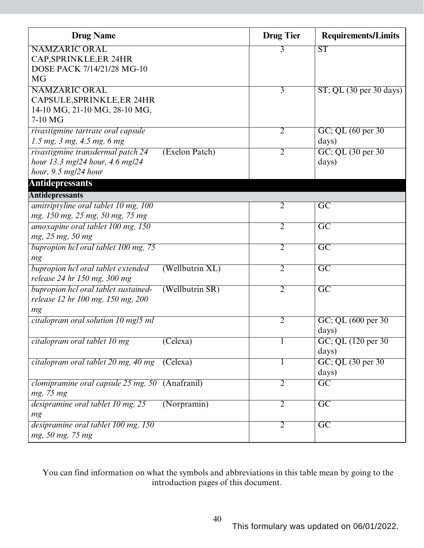| <b>Drug Name</b>                                       |                 | <b>Drug Tier</b> | <b>Requirements/Limits</b>       |
|--------------------------------------------------------|-----------------|------------------|----------------------------------|
| <b>NAMZARIC ORAL</b>                                   |                 | 3                | ST                               |
| CAP, SPRINKLE, ER 24HR                                 |                 |                  |                                  |
| DOSE PACK 7/14/21/28 MG-10                             |                 |                  |                                  |
| <b>MG</b>                                              |                 |                  |                                  |
| <b>NAMZARIC ORAL</b>                                   |                 | $\overline{3}$   | $ST$ ; QL (30 per 30 days)       |
| CAPSULE, SPRINKLE, ER 24HR                             |                 |                  |                                  |
| 14-10 MG, 21-10 MG, 28-10 MG,                          |                 |                  |                                  |
| 7-10 MG                                                |                 |                  |                                  |
| rivastigmine tartrate oral capsule                     |                 | 2                | $GC$ ; QL $(60 \text{ per } 30)$ |
| $1.5$ mg, $3$ mg, $4.5$ mg, $6$ mg                     |                 |                  | days)                            |
| rivastigmine transdermal patch 24                      | (Exelon Patch)  | 2                | GC; QL (30 per 30)               |
| hour 13.3 mg/24 hour, 4.6 mg/24                        |                 |                  | days)                            |
| hour, $9.5$ mg/24 hour                                 |                 |                  |                                  |
| <b>Antidepressants</b>                                 |                 |                  |                                  |
| <b>Antidepressants</b>                                 |                 |                  |                                  |
| amitriptyline oral tablet 10 mg, 100                   |                 | 2                | $\overline{\mathrm{GC}}$         |
| mg, 150 mg, 25 mg, 50 mg, 75 mg                        |                 |                  |                                  |
| amoxapine oral tablet 100 mg, 150                      |                 | $\overline{2}$   | $\overline{GC}$                  |
| mg, 25 mg, 50 mg                                       |                 |                  |                                  |
| bupropion hel oral tablet 100 mg, 75                   |                 | 2                | $\overline{\mathrm{GC}}$         |
| mg                                                     |                 |                  |                                  |
| bupropion hcl oral tablet extended                     | (Wellbutrin XL) | $\overline{2}$   | $\overline{\mathrm{GC}}$         |
| release 24 hr 150 mg, 300 mg                           |                 |                  |                                  |
| bupropion hcl oral tablet sustained-                   | (Wellbutrin SR) | $\overline{2}$   | $\overline{GC}$                  |
| release 12 hr 100 mg, 150 mg, 200                      |                 |                  |                                  |
| mg                                                     |                 |                  |                                  |
| citalopram oral solution 10 mg/5 ml                    |                 | $\overline{2}$   | GC; QL (600 per 30)              |
|                                                        |                 |                  | days)                            |
| citalopram oral tablet 10 mg                           | (Celexa)        |                  | GC; QL (120 per 30)              |
|                                                        |                 |                  | days)                            |
| citalopram oral tablet 20 mg, 40 mg                    | (Celexa)        | 1                | GC; QL (30 per 30)               |
|                                                        |                 |                  | days)                            |
| <i>clomipramine oral capsule 25 mg, 50</i> (Anafranil) |                 | $\overline{2}$   | $\overline{GC}$                  |
| mg, 75 mg                                              |                 |                  |                                  |
| desipramine oral tablet 10 mg, 25                      | (Norpramin)     | $\overline{2}$   | $\overline{GC}$                  |
| mg                                                     |                 |                  |                                  |
| desipramine oral tablet 100 mg, 150                    |                 | $\overline{2}$   | $\overline{GC}$                  |
| mg, 50 mg, 75 mg                                       |                 |                  |                                  |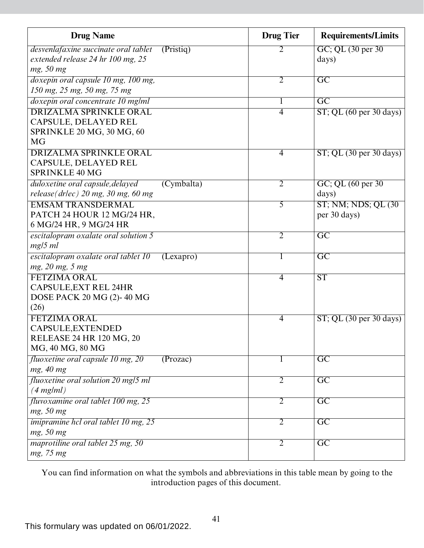| <b>Drug Name</b>                                  | <b>Drug Tier</b> | <b>Requirements/Limits</b>                    |
|---------------------------------------------------|------------------|-----------------------------------------------|
| desvenlafaxine succinate oral tablet<br>(Pristiq) | 2                | GC; QL (30 per 30)                            |
| extended release 24 hr 100 mg, 25                 |                  | days)                                         |
| mg, 50 mg                                         |                  |                                               |
| doxepin oral capsule 10 mg, 100 mg,               | $\overline{2}$   | $\overline{\mathrm{GC}}$                      |
| 150 mg, 25 mg, 50 mg, 75 mg                       |                  |                                               |
| doxepin oral concentrate 10 mg/ml                 | 1                | $\overline{\mathrm{GC}}$                      |
| <b>DRIZALMA SPRINKLE ORAL</b>                     | 4                | $ST$ ; QL (60 per 30 days)                    |
| CAPSULE, DELAYED REL                              |                  |                                               |
| SPRINKLE 20 MG, 30 MG, 60                         |                  |                                               |
| <b>MG</b>                                         |                  |                                               |
| <b>DRIZALMA SPRINKLE ORAL</b>                     | $\overline{4}$   | $ST$ ; QL $(30 \text{ per } 30 \text{ days})$ |
| CAPSULE, DELAYED REL                              |                  |                                               |
| <b>SPRINKLE 40 MG</b>                             |                  |                                               |
| duloxetine oral capsule, delayed<br>(Cymbalta)    | $\overline{2}$   | GC; QL (60 per 30)                            |
| release (drlec) $20$ mg, $30$ mg, $60$ mg         |                  | days)                                         |
| <b>EMSAM TRANSDERMAL</b>                          | $\overline{5}$   | ST; NM; NDS; QL (30)                          |
| PATCH 24 HOUR 12 MG/24 HR,                        |                  | per 30 days)                                  |
| 6 MG/24 HR, 9 MG/24 HR                            |                  |                                               |
| escitalopram oxalate oral solution 5              | $\overline{2}$   | $\overline{\mathrm{GC}}$                      |
| $mg/5$ ml                                         |                  |                                               |
| escitalopram oxalate oral tablet 10<br>(Lexapro)  | 1                | $\overline{GC}$                               |
| mg, 20 mg, 5 mg                                   |                  |                                               |
| <b>FETZIMA ORAL</b>                               | $\overline{4}$   | $\overline{\text{ST}}$                        |
| <b>CAPSULE, EXT REL 24HR</b>                      |                  |                                               |
| DOSE PACK 20 MG (2)-40 MG                         |                  |                                               |
| (26)                                              |                  |                                               |
| <b>FETZIMA ORAL</b>                               | 4                | $ST$ ; QL (30 per 30 days)                    |
| CAPSULE, EXTENDED                                 |                  |                                               |
| RELEASE 24 HR 120 MG, 20                          |                  |                                               |
| MG, 40 MG, 80 MG                                  |                  |                                               |
| fluoxetine oral capsule 10 mg, 20<br>(Prozac)     |                  | $\overline{\mathrm{GC}}$                      |
| mg, 40 mg                                         |                  |                                               |
| fluoxetine oral solution 20 mg/5 ml               | $\overline{2}$   | $\overline{GC}$                               |
| $(4$ mg/ml)                                       |                  |                                               |
| fluvoxamine oral tablet 100 mg, 25                | $\overline{2}$   | $\overline{GC}$                               |
| mg, 50 mg                                         |                  |                                               |
| <i>imipramine hcl oral tablet 10 mg, 25</i>       | $\overline{2}$   | $\overline{GC}$                               |
| mg, 50 mg                                         |                  |                                               |
| maprotiline oral tablet 25 mg, 50                 | $\overline{2}$   | $\overline{GC}$                               |
| mg, 75 mg                                         |                  |                                               |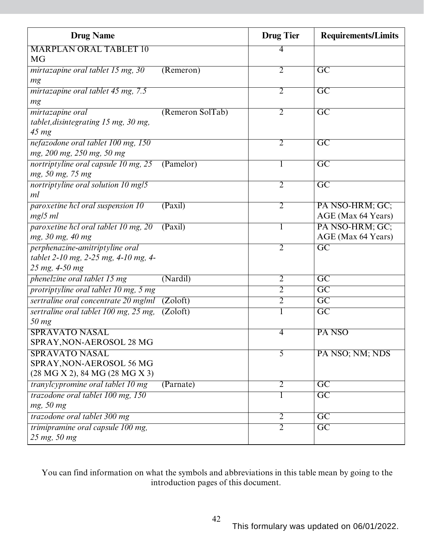| <b>Drug Name</b>                      |                  | <b>Drug Tier</b> | <b>Requirements/Limits</b> |
|---------------------------------------|------------------|------------------|----------------------------|
| <b>MARPLAN ORAL TABLET 10</b>         |                  | 4                |                            |
| MG                                    |                  |                  |                            |
| mirtazapine oral tablet 15 mg, 30     | (Remeron)        | $\overline{2}$   | $\overline{\text{GC}}$     |
| mg                                    |                  |                  |                            |
| mirtazapine oral tablet 45 mg, 7.5    |                  | $\overline{2}$   | $\overline{GC}$            |
| mg                                    |                  |                  |                            |
| mirtazapine oral                      | (Remeron SolTab) | $\overline{2}$   | $\overline{\mathrm{GC}}$   |
| tablet, disintegrating 15 mg, 30 mg,  |                  |                  |                            |
| $45 \, mg$                            |                  |                  |                            |
| nefazodone oral tablet 100 mg, 150    |                  | $\overline{2}$   | $\overline{GC}$            |
| mg, 200 mg, 250 mg, 50 mg             |                  |                  |                            |
| nortriptyline oral capsule 10 mg, 25  | (Pamelor)        | $\mathbf{I}$     | $\overline{\mathrm{GC}}$   |
| mg, 50 mg, 75 mg                      |                  |                  |                            |
| nortriptyline oral solution 10 mg/5   |                  | $\overline{2}$   | $\overline{\mathrm{GC}}$   |
| ml                                    |                  |                  |                            |
| paroxetine hcl oral suspension 10     | (Paxil)          | $\overline{2}$   | PA NSO-HRM; GC;            |
| $mg/5$ ml                             |                  |                  | AGE (Max 64 Years)         |
| paroxetine hcl oral tablet 10 mg, 20  | (Paxil)          |                  | PA NSO-HRM; GC;            |
| mg, 30 mg, 40 mg                      |                  |                  | AGE (Max 64 Years)         |
| perphenazine-amitriptyline oral       |                  | 2                | $\overline{\rm GC}$        |
| tablet 2-10 mg, 2-25 mg, 4-10 mg, 4-  |                  |                  |                            |
| 25 mg, 4-50 mg                        |                  |                  |                            |
| phenelzine oral tablet 15 mg          | (Nardil)         | $\overline{2}$   | $\overline{\text{GC}}$     |
| protriptyline oral tablet 10 mg, 5 mg |                  | $\overline{2}$   | $\overline{GC}$            |
| sertraline oral concentrate 20 mg/ml  | (Zoloft)         | $\overline{2}$   | $\overline{\text{GC}}$     |
| sertraline oral tablet 100 mg, 25 mg, | (Zoloft)         |                  | $\overline{\text{GC}}$     |
| 50 mg                                 |                  |                  |                            |
| <b>SPRAVATO NASAL</b>                 |                  | 4                | PA NSO                     |
| SPRAY, NON-AEROSOL 28 MG              |                  |                  |                            |
| <b>SPRAVATO NASAL</b>                 |                  | $\overline{5}$   | PA NSO; NM; NDS            |
| SPRAY, NON-AEROSOL 56 MG              |                  |                  |                            |
| (28 MG X 2), 84 MG (28 MG X 3)        |                  |                  |                            |
| tranylcypromine oral tablet 10 mg     | (Parnate)        | $\overline{2}$   | $\overline{GC}$            |
| trazodone oral tablet 100 mg, 150     |                  | $\bf{l}$         | $\overline{\mathrm{GC}}$   |
| mg, 50 mg                             |                  |                  |                            |
| trazodone oral tablet 300 mg          |                  | $\overline{2}$   | $\overline{\text{GC}}$     |
| trimipramine oral capsule 100 mg,     |                  | $\overline{2}$   | $\overline{GC}$            |
| 25 mg, 50 mg                          |                  |                  |                            |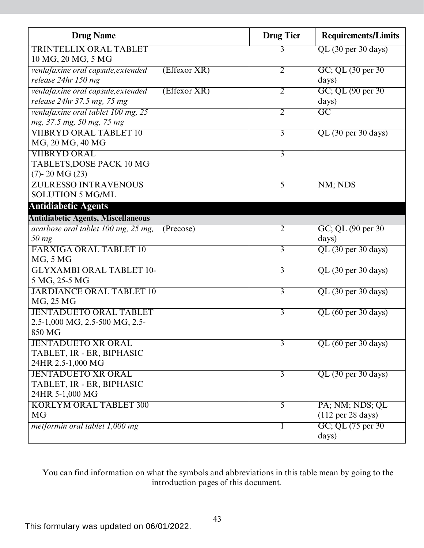| <b>Drug Name</b>                                   | <b>Drug</b> Tier | <b>Requirements/Limits</b>           |
|----------------------------------------------------|------------------|--------------------------------------|
| <b>TRINTELLIX ORAL TABLET</b>                      | 3                | $QL$ (30 per 30 days)                |
| 10 MG, 20 MG, 5 MG                                 |                  |                                      |
| (Effexor XR)<br>venlafaxine oral capsule, extended | $\overline{2}$   | GC; QL (30 per 30)                   |
| release 24hr 150 mg                                |                  | days)                                |
| (Effexor XR)<br>venlafaxine oral capsule, extended | $\overline{2}$   | GC; QL (90 per 30)                   |
| release 24hr 37.5 mg, 75 mg                        |                  | days)                                |
| venlafaxine oral tablet 100 mg, 25                 | $\overline{2}$   | $\overline{GC}$                      |
| mg, 37.5 mg, 50 mg, 75 mg                          |                  |                                      |
| <b>VIIBRYD ORAL TABLET 10</b>                      | $\overline{3}$   | $QL$ (30 per 30 days)                |
| MG, 20 MG, 40 MG                                   |                  |                                      |
| <b>VIIBRYD ORAL</b>                                | $\overline{3}$   |                                      |
| TABLETS, DOSE PACK 10 MG                           |                  |                                      |
| $(7)$ - 20 MG $(23)$                               |                  |                                      |
| <b>ZULRESSO INTRAVENOUS</b>                        | 5                | NM; NDS                              |
| <b>SOLUTION 5 MG/ML</b>                            |                  |                                      |
| <b>Antidiabetic Agents</b>                         |                  |                                      |
| <b>Antidiabetic Agents, Miscellaneous</b>          |                  |                                      |
| acarbose oral tablet 100 mg, 25 mg,<br>(Precose)   | $\overline{2}$   | GC; QL (90 per 30)                   |
| $50$ mg                                            |                  | days)                                |
| <b>FARXIGA ORAL TABLET 10</b>                      | $\overline{3}$   | QL (30 per 30 days)                  |
| MG, 5 MG                                           |                  |                                      |
| <b>GLYXAMBI ORAL TABLET 10-</b>                    | $\overline{3}$   | QL (30 per 30 days)                  |
| 5 MG, 25-5 MG                                      |                  |                                      |
| <b>JARDIANCE ORAL TABLET 10</b>                    | $\overline{3}$   | QL (30 per 30 days)                  |
| MG, 25 MG                                          |                  |                                      |
| <b>JENTADUETO ORAL TABLET</b>                      | $\overline{3}$   | QL (60 per 30 days)                  |
| 2.5-1,000 MG, 2.5-500 MG, 2.5-                     |                  |                                      |
| 850 MG                                             |                  |                                      |
| <b>JENTADUETO XR ORAL</b>                          | $\overline{3}$   | QL (60 per 30 days)                  |
| TABLET, IR - ER, BIPHASIC                          |                  |                                      |
| 24HR 2.5-1,000 MG                                  |                  |                                      |
| <b>JENTADUETO XR ORAL</b>                          | $\overline{3}$   | QL (30 per 30 days)                  |
| TABLET, IR - ER, BIPHASIC                          |                  |                                      |
| 24HR 5-1,000 MG                                    |                  |                                      |
| <b>KORLYM ORAL TABLET 300</b>                      | $\overline{5}$   | PA; NM; NDS; QL                      |
| <b>MG</b>                                          |                  | $(112 \text{ per } 28 \text{ days})$ |
| metformin oral tablet 1,000 mg                     | 1                | GC; QL (75 per 30)                   |
|                                                    |                  | days)                                |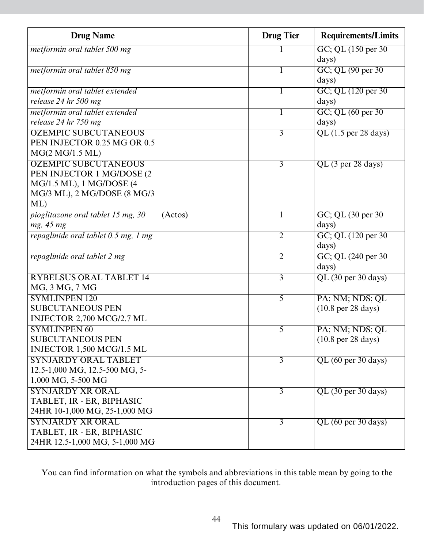| <b>Drug Name</b>                              | <b>Drug Tier</b> | <b>Requirements/Limits</b>            |
|-----------------------------------------------|------------------|---------------------------------------|
| metformin oral tablet 500 mg                  |                  | GC; QL (150 per 30)                   |
|                                               |                  | days)                                 |
| metformin oral tablet 850 mg                  |                  | GC; QL (90 per 30)                    |
|                                               |                  | days)                                 |
| metformin oral tablet extended                |                  | GC; QL (120 per 30)                   |
| release 24 hr 500 mg                          |                  | days)                                 |
| metformin oral tablet extended                |                  | $GC$ ; QL $(60 \text{ per } 30)$      |
| release 24 hr 750 mg                          |                  | days)                                 |
| <b>OZEMPIC SUBCUTANEOUS</b>                   | $\overline{3}$   | $QL$ (1.5 per 28 days)                |
| PEN INJECTOR 0.25 MG OR 0.5                   |                  |                                       |
| MG(2 MG/1.5 ML)                               |                  |                                       |
| <b>OZEMPIC SUBCUTANEOUS</b>                   | $\overline{3}$   | $QL$ (3 per 28 days)                  |
| PEN INJECTOR 1 MG/DOSE (2                     |                  |                                       |
| MG/1.5 ML), 1 MG/DOSE (4                      |                  |                                       |
| MG/3 ML), 2 MG/DOSE (8 MG/3                   |                  |                                       |
| ML                                            |                  |                                       |
| pioglitazone oral tablet 15 mg, 30<br>(Actos) | 1                | GC; QL (30 per 30)                    |
| mg, 45 mg                                     |                  | days)                                 |
| repaglinide oral tablet 0.5 mg, 1 mg          | $\overline{2}$   | GC; QL (120 per 30)                   |
|                                               |                  | days)                                 |
| repaglinide oral tablet 2 mg                  | $\overline{2}$   | GC; QL (240 per 30)                   |
|                                               |                  | days)                                 |
| <b>RYBELSUS ORAL TABLET 14</b>                | 3                | $QL$ (30 per 30 days)                 |
| MG, 3 MG, 7 MG                                |                  |                                       |
| <b>SYMLINPEN 120</b>                          | 5                | PA; NM; NDS; QL                       |
| <b>SUBCUTANEOUS PEN</b>                       |                  | $(10.8 \text{ per } 28 \text{ days})$ |
| INJECTOR 2,700 MCG/2.7 ML                     |                  |                                       |
| <b>SYMLINPEN 60</b>                           | 5                | PA; NM; NDS; QL                       |
| <b>SUBCUTANEOUS PEN</b>                       |                  | $(10.8 \text{ per } 28 \text{ days})$ |
| INJECTOR 1,500 MCG/1.5 ML                     |                  |                                       |
| <b>SYNJARDY ORAL TABLET</b>                   | $\overline{3}$   | QL (60 per 30 days)                   |
| 12.5-1,000 MG, 12.5-500 MG, 5-                |                  |                                       |
| 1,000 MG, 5-500 MG                            |                  |                                       |
| <b>SYNJARDY XR ORAL</b>                       | $\overline{3}$   | $QL$ (30 per 30 days)                 |
| TABLET, IR - ER, BIPHASIC                     |                  |                                       |
| 24HR 10-1,000 MG, 25-1,000 MG                 |                  |                                       |
| <b>SYNJARDY XR ORAL</b>                       | $\overline{3}$   | QL (60 per 30 days)                   |
| TABLET, IR - ER, BIPHASIC                     |                  |                                       |
| 24HR 12.5-1,000 MG, 5-1,000 MG                |                  |                                       |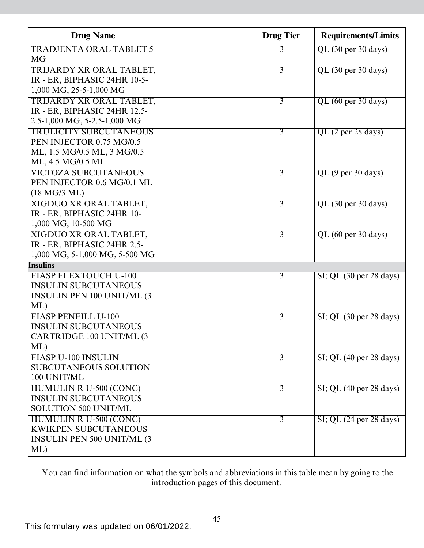| <b>Drug Name</b>                   | <b>Drug Tier</b> | <b>Requirements/Limits</b>                    |
|------------------------------------|------------------|-----------------------------------------------|
| <b>TRADJENTA ORAL TABLET 5</b>     | 3                | $QL$ (30 per 30 days)                         |
| MG                                 |                  |                                               |
| TRIJARDY XR ORAL TABLET,           | $\overline{3}$   | QL (30 per 30 days)                           |
| IR - ER, BIPHASIC 24HR 10-5-       |                  |                                               |
| 1,000 MG, 25-5-1,000 MG            |                  |                                               |
| TRIJARDY XR ORAL TABLET,           | 3                | QL (60 per 30 days)                           |
| IR - ER, BIPHASIC 24HR 12.5-       |                  |                                               |
| 2.5-1,000 MG, 5-2.5-1,000 MG       |                  |                                               |
| <b>TRULICITY SUBCUTANEOUS</b>      | 3                | QL (2 per 28 days)                            |
| PEN INJECTOR 0.75 MG/0.5           |                  |                                               |
| ML, 1.5 MG/0.5 ML, 3 MG/0.5        |                  |                                               |
| ML, 4.5 MG/0.5 ML                  |                  |                                               |
| <b>VICTOZA SUBCUTANEOUS</b>        | 3                | QL (9 per 30 days)                            |
| PEN INJECTOR 0.6 MG/0.1 ML         |                  |                                               |
| $(18 \text{ MG}/3 \text{ ML})$     |                  |                                               |
| <b>XIGDUO XR ORAL TABLET,</b>      | $\overline{3}$   | QL (30 per 30 days)                           |
| IR - ER, BIPHASIC 24HR 10-         |                  |                                               |
| 1,000 MG, 10-500 MG                |                  |                                               |
| XIGDUO XR ORAL TABLET,             | 3                | QL (60 per 30 days)                           |
| IR - ER, BIPHASIC 24HR 2.5-        |                  |                                               |
| 1,000 MG, 5-1,000 MG, 5-500 MG     |                  |                                               |
| <b>Insulins</b>                    |                  |                                               |
| <b>FIASP FLEXTOUCH U-100</b>       | $\overline{3}$   | $SI$ ; QL $(30 \text{ per } 28 \text{ days})$ |
| <b>INSULIN SUBCUTANEOUS</b>        |                  |                                               |
| <b>INSULIN PEN 100 UNIT/ML (3)</b> |                  |                                               |
| ML                                 |                  |                                               |
| <b>FIASP PENFILL U-100</b>         | 3                | $SI$ ; QL (30 per 28 days)                    |
| <b>INSULIN SUBCUTANEOUS</b>        |                  |                                               |
| CARTRIDGE 100 UNIT/ML (3           |                  |                                               |
| ML                                 |                  |                                               |
| <b>FIASP U-100 INSULIN</b>         | $\overline{3}$   | $SI$ ; QL (40 per 28 days)                    |
| <b>SUBCUTANEOUS SOLUTION</b>       |                  |                                               |
| 100 UNIT/ML                        |                  |                                               |
| <b>HUMULIN R U-500 (CONC)</b>      | 3                | $SI$ ; QL (40 per 28 days)                    |
| <b>INSULIN SUBCUTANEOUS</b>        |                  |                                               |
| <b>SOLUTION 500 UNIT/ML</b>        |                  |                                               |
| <b>HUMULIN R U-500 (CONC)</b>      | $\overline{3}$   | $SI$ ; QL $(24 \text{ per } 28 \text{ days})$ |
| <b>KWIKPEN SUBCUTANEOUS</b>        |                  |                                               |
| <b>INSULIN PEN 500 UNIT/ML (3)</b> |                  |                                               |
| ML                                 |                  |                                               |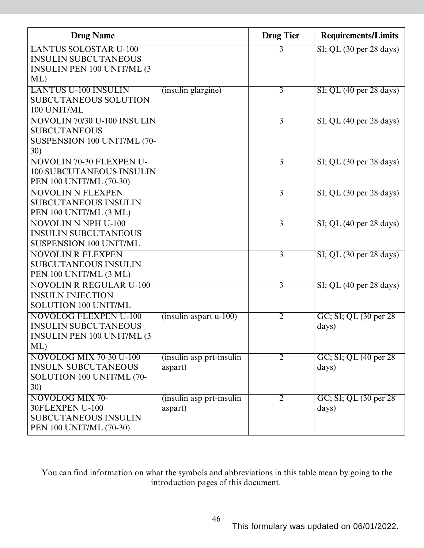| <b>Drug Name</b>                          |                                     | <b>Drug Tier</b> | <b>Requirements/Limits</b>                    |
|-------------------------------------------|-------------------------------------|------------------|-----------------------------------------------|
| <b>LANTUS SOLOSTAR U-100</b>              |                                     | 3                | $SI$ ; QL $(30 \text{ per } 28 \text{ days})$ |
| <b>INSULIN SUBCUTANEOUS</b>               |                                     |                  |                                               |
| <b>INSULIN PEN 100 UNIT/ML (3)</b>        |                                     |                  |                                               |
| ML                                        |                                     |                  |                                               |
| <b>LANTUS U-100 INSULIN</b>               | (insulin glargine)                  | $\overline{3}$   | $SI$ ; QL (40 per 28 days)                    |
| <b>SUBCUTANEOUS SOLUTION</b>              |                                     |                  |                                               |
| 100 UNIT/ML                               |                                     |                  |                                               |
| NOVOLIN 70/30 U-100 INSULIN               |                                     | $\overline{3}$   | $SI$ ; QL (40 per 28 days)                    |
| <b>SUBCUTANEOUS</b>                       |                                     |                  |                                               |
| SUSPENSION 100 UNIT/ML (70-               |                                     |                  |                                               |
| 30)                                       |                                     |                  |                                               |
| <b>NOVOLIN 70-30 FLEXPEN U-</b>           |                                     | 3                | $SI$ ; QL $(30 \text{ per } 28 \text{ days})$ |
| <b>100 SUBCUTANEOUS INSULIN</b>           |                                     |                  |                                               |
| PEN 100 UNIT/ML (70-30)                   |                                     |                  |                                               |
| <b>NOVOLIN N FLEXPEN</b>                  |                                     | $\overline{3}$   | $SI$ ; QL $(30 \text{ per } 28 \text{ days})$ |
| <b>SUBCUTANEOUS INSULIN</b>               |                                     |                  |                                               |
| PEN 100 UNIT/ML (3 ML)                    |                                     |                  |                                               |
| <b>NOVOLIN N NPH U-100</b>                |                                     | $\overline{3}$   | $SI$ ; QL (40 per 28 days)                    |
| <b>INSULIN SUBCUTANEOUS</b>               |                                     |                  |                                               |
| <b>SUSPENSION 100 UNIT/ML</b>             |                                     |                  |                                               |
| <b>NOVOLIN R FLEXPEN</b>                  |                                     | $\overline{3}$   | $SI$ ; QL (30 per 28 days)                    |
| <b>SUBCUTANEOUS INSULIN</b>               |                                     |                  |                                               |
| PEN 100 UNIT/ML (3 ML)                    |                                     |                  |                                               |
| <b>NOVOLIN R REGULAR U-100</b>            |                                     | $\overline{3}$   | $SI$ ; QL (40 per 28 days)                    |
| <b>INSULN INJECTION</b>                   |                                     |                  |                                               |
| SOLUTION 100 UNIT/ML                      |                                     |                  |                                               |
| <b>NOVOLOG FLEXPEN U-100</b>              | $(insulin$ aspart $u-100$ )         | $\overline{2}$   | GC; SI; QL (30 per 28)                        |
| <b>INSULIN SUBCUTANEOUS</b>               |                                     |                  | days)                                         |
| <b>INSULIN PEN 100 UNIT/ML (3)</b>        |                                     |                  |                                               |
| ML                                        |                                     |                  |                                               |
| <b>NOVOLOG MIX 70-30 U-100</b>            | (insulin asp prt-insulin            | 2                | GC; SI; QL (40 per 28)                        |
| <b>INSULN SUBCUTANEOUS</b>                | aspart)                             |                  | days)                                         |
| SOLUTION 100 UNIT/ML (70-<br>30)          |                                     |                  |                                               |
|                                           |                                     |                  |                                               |
| <b>NOVOLOG MIX 70-</b><br>30FLEXPEN U-100 | (insulin asp prt-insulin<br>aspart) | $\overline{2}$   | GC; SI; QL (30 per 28)<br>days)               |
| <b>SUBCUTANEOUS INSULIN</b>               |                                     |                  |                                               |
| PEN 100 UNIT/ML (70-30)                   |                                     |                  |                                               |
|                                           |                                     |                  |                                               |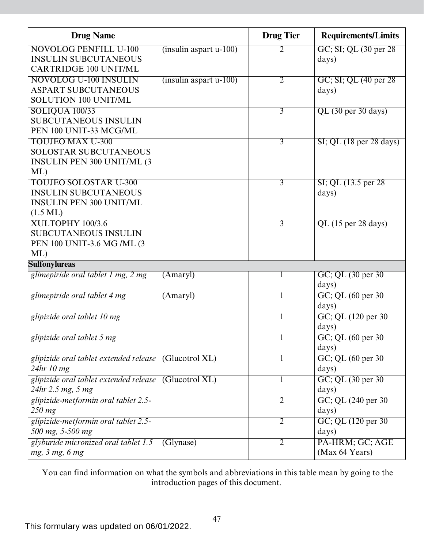| <b>Drug Name</b>                                                                                                    |                             | <b>Drug Tier</b> | <b>Requirements/Limits</b>                    |
|---------------------------------------------------------------------------------------------------------------------|-----------------------------|------------------|-----------------------------------------------|
| <b>NOVOLOG PENFILL U-100</b><br><b>INSULIN SUBCUTANEOUS</b><br><b>CARTRIDGE 100 UNIT/ML</b>                         | $(insulin$ aspart $u-100$ ) | 2                | GC; SI; QL (30 per 28)<br>days)               |
| <b>NOVOLOG U-100 INSULIN</b><br><b>ASPART SUBCUTANEOUS</b><br><b>SOLUTION 100 UNIT/ML</b>                           | $(insulin$ aspart $u-100$ ) | 2                | GC; SI; QL (40 per 28)<br>days)               |
| SOLIQUA 100/33<br><b>SUBCUTANEOUS INSULIN</b><br>PEN 100 UNIT-33 MCG/ML                                             |                             | $\overline{3}$   | $QL$ (30 per 30 days)                         |
| <b>TOUJEO MAX U-300</b><br><b>SOLOSTAR SUBCUTANEOUS</b><br><b>INSULIN PEN 300 UNIT/ML (3)</b><br>ML                 |                             | $\overline{3}$   | $SI$ ; QL $(18 \text{ per } 28 \text{ days})$ |
| <b>TOUJEO SOLOSTAR U-300</b><br><b>INSULIN SUBCUTANEOUS</b><br><b>INSULIN PEN 300 UNIT/ML</b><br>$(1.5 \text{ ML})$ |                             | $\overline{3}$   | $SI$ ; QL $(13.5$ per 28<br>days)             |
| XULTOPHY 100/3.6<br><b>SUBCUTANEOUS INSULIN</b><br>PEN 100 UNIT-3.6 MG /ML (3<br>ML                                 |                             | 3                | $QL$ (15 per 28 days)                         |
| <b>Sulfonylureas</b>                                                                                                |                             |                  |                                               |
| glimepiride oral tablet 1 mg, 2 mg                                                                                  | (Amary)                     | T                | GC; QL (30 per 30)<br>days)                   |
| glimepiride oral tablet 4 mg                                                                                        | (Amary)                     | $\mathbf{I}$     | $GC$ ; QL $(60 \text{ per } 30)$<br>days)     |
| glipizide oral tablet 10 mg                                                                                         |                             |                  | GC; QL (120 per 30)<br>days)                  |
| glipizide oral tablet 5 mg                                                                                          |                             |                  | GC; QL $(60 \text{ per } 30$<br>days)         |
| glipizide oral tablet extended release (Glucotrol XL)<br>24hr 10 mg                                                 |                             |                  | GC; QL (60 per 30)<br>days)                   |
| glipizide oral tablet extended release (Glucotrol XL)<br>24hr 2.5 mg, 5 mg                                          |                             | T                | GC; QL (30 per 30)<br>days)                   |
| glipizide-metformin oral tablet 2.5-<br>$250$ mg                                                                    |                             | 2                | GC; QL (240 per 30)<br>days)                  |
| glipizide-metformin oral tablet 2.5-<br>500 mg, 5-500 mg                                                            |                             | $\overline{2}$   | GC; QL (120 per 30)<br>days)                  |
| glyburide micronized oral tablet 1.5<br>mg, 3 mg, 6 mg                                                              | (Glynase)                   | $\overline{2}$   | PA-HRM; GC; AGE<br>(Max 64 Years)             |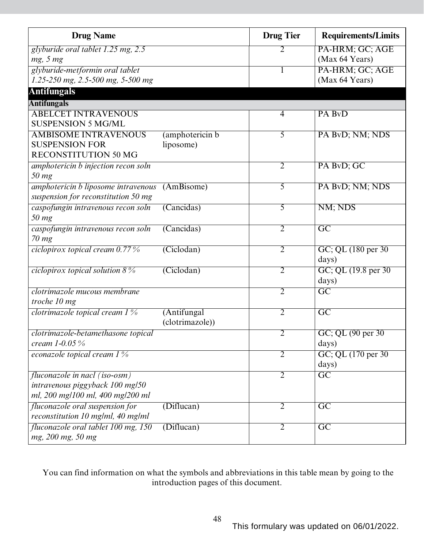| <b>Drug Name</b>                                                           |                 | <b>Drug Tier</b> | <b>Requirements/Limits</b>       |
|----------------------------------------------------------------------------|-----------------|------------------|----------------------------------|
| glyburide oral tablet 1.25 mg, 2.5                                         |                 | 2                | PA-HRM; GC; AGE                  |
| mg, 5 mg                                                                   |                 |                  | (Max 64 Years)                   |
| glyburide-metformin oral tablet                                            |                 | 1                | PA-HRM; GC; AGE                  |
| 1.25-250 mg, 2.5-500 mg, 5-500 mg                                          |                 |                  | (Max 64 Years)                   |
| <b>Antifungals</b>                                                         |                 |                  |                                  |
| <b>Antifungals</b>                                                         |                 |                  |                                  |
| <b>ABELCET INTRAVENOUS</b>                                                 |                 | $\overline{4}$   | PA BvD                           |
| <b>SUSPENSION 5 MG/ML</b>                                                  |                 |                  |                                  |
| <b>AMBISOME INTRAVENOUS</b>                                                | (amphotericin b | 5                | PA BvD; NM; NDS                  |
| <b>SUSPENSION FOR</b>                                                      | liposome)       |                  |                                  |
| <b>RECONSTITUTION 50 MG</b>                                                |                 |                  |                                  |
| amphotericin b injection recon soln                                        |                 | $\overline{2}$   | PA BvD; GC                       |
| $50$ mg                                                                    |                 |                  |                                  |
| amphotericin b liposome intravenous<br>suspension for reconstitution 50 mg | (AmBisome)      | $\overline{5}$   | PA BvD; NM; NDS                  |
| caspofungin intravenous recon soln                                         | (Cancidas)      | 5                | NM; NDS                          |
| $50$ mg                                                                    |                 |                  |                                  |
| caspofungin intravenous recon soln                                         | (Cancidas)      | $\overline{2}$   | $\overline{GC}$                  |
| $70$ mg                                                                    |                 |                  |                                  |
| ciclopirox topical cream 0.77%                                             | (Ciclodan)      | $\overline{2}$   | GC; QL (180 per 30)              |
|                                                                            |                 |                  | days)                            |
| ciclopirox topical solution $8\%$                                          | (Ciclodan)      | $\overline{2}$   | GC; QL (19.8 per 30)             |
|                                                                            |                 |                  | days)                            |
| clotrimazole mucous membrane<br>troche 10 mg                               |                 | $\overline{2}$   | $\overline{GC}$                  |
| <i>clotrimazole topical cream 1%</i>                                       | (Antifungal     | $\overline{2}$   | GC                               |
|                                                                            | (clotrimazole)) |                  |                                  |
| clotrimazole-betamethasone topical                                         |                 | $\overline{2}$   | $GC$ ; QL $(90 \text{ per } 30)$ |
| cream 1-0.05 $\%$                                                          |                 |                  | days)                            |
| econazole topical cream 1 %                                                |                 | $\overline{2}$   | GC; QL (170 per 30)              |
|                                                                            |                 |                  | days)                            |
| fluconazole in nacl (iso-osm)                                              |                 | $\overline{2}$   | $\overline{GC}$                  |
| intravenous piggyback 100 mg/50                                            |                 |                  |                                  |
| ml, 200 mg/100 ml, 400 mg/200 ml                                           |                 |                  |                                  |
| fluconazole oral suspension for                                            | (Diflucan)      | $\overline{2}$   | $\overline{GC}$                  |
| reconstitution 10 mg/ml, 40 mg/ml                                          |                 |                  |                                  |
| fluconazole oral tablet 100 mg, 150                                        | (Diflucan)      | $\overline{2}$   | $\overline{GC}$                  |
| mg, 200 mg, 50 mg                                                          |                 |                  |                                  |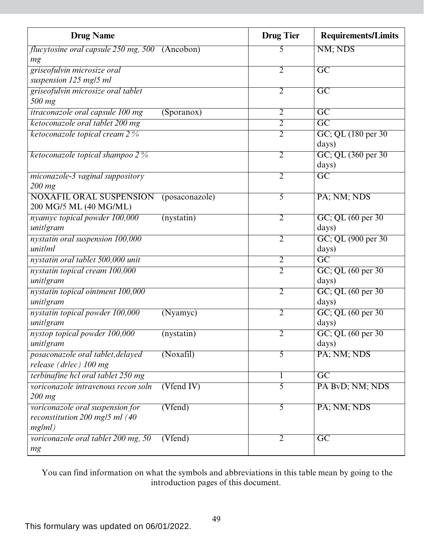| <b>Drug Name</b>                                                             |                | <b>Drug Tier</b> | <b>Requirements/Limits</b>       |
|------------------------------------------------------------------------------|----------------|------------------|----------------------------------|
| <i>flucytosine oral capsule 250 mg, 500</i> (Ancobon)                        |                | 5                | NM; NDS                          |
| mg                                                                           |                |                  |                                  |
| griseofulvin microsize oral                                                  |                | $\overline{2}$   | $\overline{GC}$                  |
| suspension 125 mg/5 ml                                                       |                |                  |                                  |
| griseofulvin microsize oral tablet                                           |                | $\overline{2}$   | $\overline{GC}$                  |
| 500 mg                                                                       |                |                  |                                  |
| <i>itraconazole oral capsule 100 mg</i>                                      | (Sporanos)     | $\overline{2}$   | $\overline{\text{GC}}$           |
| ketoconazole oral tablet 200 mg                                              |                | $\overline{2}$   | $\overline{GC}$                  |
| ketoconazole topical cream 2 %                                               |                | $\overline{2}$   | GC; QL (180 per 30)<br>days)     |
| ketoconazole topical shampoo 2%                                              |                | $\overline{2}$   | GC; QL (360 per 30)<br>days)     |
| miconazole-3 vaginal suppository                                             |                | $\overline{2}$   | $\overline{GC}$                  |
| $200$ mg                                                                     |                |                  |                                  |
| <b>NOXAFIL ORAL SUSPENSION</b><br>200 MG/5 ML (40 MG/ML)                     | (posaconazole) | $\overline{5}$   | PA; NM; NDS                      |
| nyamyc topical powder 100,000                                                | (nystatin)     | $\overline{2}$   | GC; QL (60 per 30)               |
| unitlgram                                                                    |                |                  | days)                            |
| nystatin oral suspension 100,000                                             |                | $\overline{2}$   | GC; QL (900 per 30)              |
| unit/ml                                                                      |                |                  | days)                            |
| nystatin oral tablet 500,000 unit                                            |                | $\overline{2}$   | $\overline{GC}$                  |
| nystatin topical cream 100,000                                               |                | $\overline{2}$   | $GC$ ; QL $(60 \text{ per } 30)$ |
| unitlgram                                                                    |                |                  | days)                            |
| nystatin topical ointment 100,000                                            |                | $\overline{2}$   | GC; QL (60 per 30)               |
| unitlgram                                                                    |                |                  | days)                            |
| nystatin topical powder 100,000                                              | (Nyamyc)       | $\overline{2}$   | GC; QL (60 per 30)               |
| unitlgram                                                                    |                |                  | days)                            |
| nystop topical powder 100,000                                                | (nystatin)     | 2                | GC; QL (60 per 30)               |
| unitlgram                                                                    |                |                  | days)                            |
| posaconazole oral tablet, delayed<br>release (drlec) 100 mg                  | (Noxafil)      | $\overline{5}$   | PA; NM; NDS                      |
| terbinafine hcl oral tablet 250 mg                                           |                |                  | $\overline{GC}$                  |
| voriconazole intravenous recon soln                                          | $(V$ fend IV)  | 5                | PA BvD; NM; NDS                  |
| $200$ mg                                                                     |                |                  |                                  |
| voriconazole oral suspension for<br>reconstitution 200 mg/5 ml (40<br>mg/ml) | (Vfend)        | $\overline{5}$   | PA; NM; NDS                      |
| voriconazole oral tablet 200 mg, 50<br>mg                                    | (Vfend)        | $\overline{2}$   | $\overline{GC}$                  |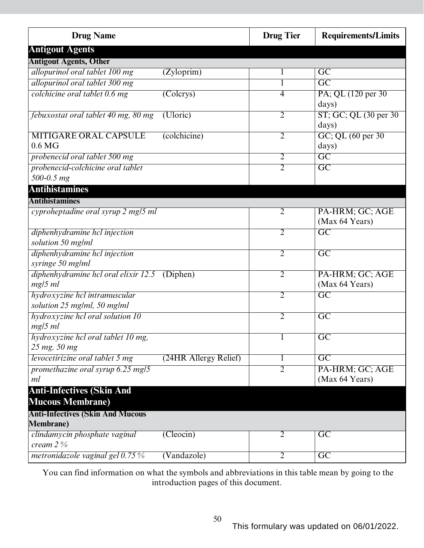| <b>Drug Name</b>                                             |                        | <b>Drug Tier</b> | <b>Requirements/Limits</b>        |
|--------------------------------------------------------------|------------------------|------------------|-----------------------------------|
| <b>Antigout Agents</b>                                       |                        |                  |                                   |
| <b>Antigout Agents, Other</b>                                |                        |                  |                                   |
| allopurinol oral tablet 100 mg                               | (Zyloprim)             |                  | $\overline{\text{GC}}$            |
| allopurinol oral tablet 300 mg                               |                        |                  | $\overline{\mathrm{GC}}$          |
| colchicine oral tablet 0.6 mg                                | $\overline{(Colcrys)}$ | 4                | PA; QL (120 per 30)<br>days)      |
| febuxostat oral tablet 40 mg, 80 mg                          | (Uloric)               | $\overline{2}$   | ST; GC; QL (30 per 30)<br>days)   |
| <b>MITIGARE ORAL CAPSULE</b><br>0.6 <sub>M</sub> G           | (colchicine)           | $\overline{2}$   | GC; QL (60 per 30)<br>days)       |
| probenecid oral tablet 500 mg                                |                        | $\overline{2}$   | $\overline{GC}$                   |
| probenecid-colchicine oral tablet                            |                        | $\overline{2}$   | $\overline{\text{GC}}$            |
| 500-0.5 mg                                                   |                        |                  |                                   |
| <b>Antihistamines</b>                                        |                        |                  |                                   |
| <b>Antihistamines</b>                                        |                        |                  |                                   |
| cyproheptadine oral syrup 2 mg/5 ml                          |                        | 2                | PA-HRM; GC; AGE<br>(Max 64 Years) |
| diphenhydramine hcl injection<br>solution 50 mg/ml           |                        | $\overline{2}$   | $\overline{\mathrm{GC}}$          |
| diphenhydramine hcl injection<br>syringe 50 mg/ml            |                        | $\overline{2}$   | $\overline{\text{GC}}$            |
| diphenhydramine hcl oral elixir 12.5 (Diphen)<br>$mg/5$ ml   |                        | $\overline{2}$   | PA-HRM; GC; AGE<br>(Max 64 Years) |
| hydroxyzine hcl intramuscular<br>solution 25 mg/ml, 50 mg/ml |                        | $\overline{2}$   | $\overline{\mathrm{GC}}$          |
| hydroxyzine hcl oral solution 10<br>mg/5 ml                  |                        | $\overline{2}$   | $\overline{GC}$                   |
| hydroxyzine hcl oral tablet 10 mg,<br>25 mg, 50 mg           |                        | $\mathbf{I}$     | $\overline{GC}$                   |
| levocetirizine oral tablet 5 mg                              | (24HR Allergy Relief)  | 1                | $\overline{\mathrm{GC}}$          |
| promethazine oral syrup 6.25 mg/5<br>ml                      |                        | $\overline{2}$   | PA-HRM; GC; AGE<br>(Max 64 Years) |
| <b>Anti-Infectives (Skin And</b><br><b>Mucous Membrane)</b>  |                        |                  |                                   |
| <b>Anti-Infectives (Skin And Mucous</b>                      |                        |                  |                                   |
| <b>Membrane</b> )                                            |                        |                  |                                   |
| clindamycin phosphate vaginal<br>cream $2\%$                 | (Cleocin)              | $\overline{2}$   | $\overline{\mathrm{GC}}$          |
| metronidazole vaginal gel $0.75\%$                           | (Vandazole)            | $\overline{2}$   | $\overline{GC}$                   |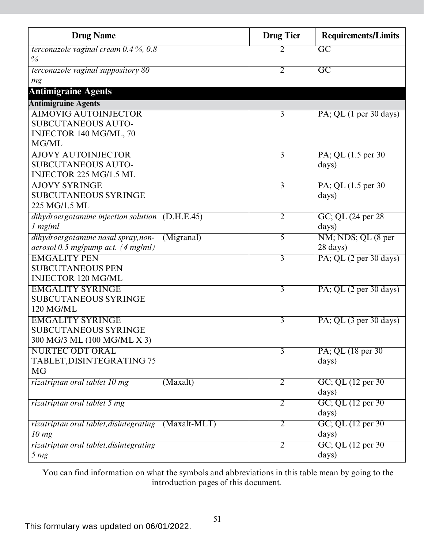| <b>Drug Name</b>                                     |            | <b>Drug Tier</b> | <b>Requirements/Limits</b>                   |
|------------------------------------------------------|------------|------------------|----------------------------------------------|
| terconazole vaginal cream $0.4\%$ , $0.8$            |            | 2                | $\overline{GC}$                              |
| $\frac{0}{0}$                                        |            |                  |                                              |
| terconazole vaginal suppository 80                   |            | $\overline{2}$   | $\overline{GC}$                              |
| mg                                                   |            |                  |                                              |
| <b>Antimigraine Agents</b>                           |            |                  |                                              |
| <b>Antimigraine Agents</b>                           |            |                  |                                              |
| <b>AIMOVIG AUTOINJECTOR</b>                          |            | 3                | $PA$ ; QL $(1 \text{ per } 30 \text{ days})$ |
| <b>SUBCUTANEOUS AUTO-</b>                            |            |                  |                                              |
| INJECTOR 140 MG/ML, 70                               |            |                  |                                              |
| MG/ML                                                |            |                  |                                              |
| <b>AJOVY AUTOINJECTOR</b>                            |            | $\overline{3}$   | PA; QL (1.5 per 30)                          |
| <b>SUBCUTANEOUS AUTO-</b>                            |            |                  | days)                                        |
| INJECTOR 225 MG/1.5 ML                               |            |                  |                                              |
| <b>AJOVY SYRINGE</b>                                 |            | 3                | PA; QL (1.5 per 30)                          |
| <b>SUBCUTANEOUS SYRINGE</b>                          |            |                  | days)                                        |
| 225 MG/1.5 ML                                        |            |                  |                                              |
| dihydroergotamine injection solution (D.H.E.45)      |            | $\overline{2}$   | GC; QL (24 per 28)                           |
| $1$ mg/m $l$                                         |            |                  | days)                                        |
| dihydroergotamine nasal spray, non-                  | (Migranal) | 5                | NM; NDS; QL (8 per                           |
| aerosol 0.5 mg/pump act. (4 mg/ml)                   |            |                  | $28 \text{ days}$                            |
| <b>EMGALITY PEN</b>                                  |            | $\overline{3}$   | $PA$ ; QL $(2 \text{ per } 30 \text{ days})$ |
| <b>SUBCUTANEOUS PEN</b>                              |            |                  |                                              |
| <b>INJECTOR 120 MG/ML</b>                            |            |                  |                                              |
| <b>EMGALITY SYRINGE</b>                              |            | $\overline{3}$   | PA; QL $(2 \text{ per } 30 \text{ days})$    |
| <b>SUBCUTANEOUS SYRINGE</b>                          |            |                  |                                              |
| 120 MG/ML                                            |            |                  |                                              |
| <b>EMGALITY SYRINGE</b>                              |            | $\overline{3}$   | $PA$ ; QL $(3 \text{ per } 30 \text{ days})$ |
| <b>SUBCUTANEOUS SYRINGE</b>                          |            |                  |                                              |
| 300 MG/3 ML (100 MG/ML X 3)                          |            |                  |                                              |
| <b>NURTEC ODT ORAL</b>                               |            | 3                | PA; QL (18 per 30)                           |
| TABLET, DISINTEGRATING 75                            |            |                  | days)                                        |
| <b>MG</b>                                            |            |                  |                                              |
| rizatriptan oral tablet 10 mg                        | (Maxalt)   | $\overline{2}$   | GC; QL (12 per 30)                           |
|                                                      |            |                  | days)                                        |
| rizatriptan oral tablet 5 mg                         |            | $\overline{2}$   | GC; QL (12 per 30)                           |
|                                                      |            |                  | days)                                        |
| rizatriptan oral tablet, disintegrating (Maxalt-MLT) |            | $\overline{2}$   | GC; QL (12 per 30)                           |
| 10 mg                                                |            |                  | days)                                        |
| rizatriptan oral tablet, disintegrating              |            | $\overline{2}$   | GC; QL (12 per 30)                           |
| 5 <sub>mg</sub>                                      |            |                  | days)                                        |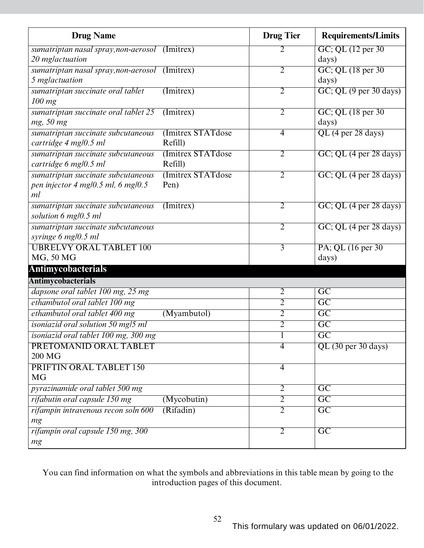| <b>Drug Name</b>                                           |                    | <b>Drug Tier</b> | <b>Requirements/Limits</b>                   |
|------------------------------------------------------------|--------------------|------------------|----------------------------------------------|
| sumatriptan nasal spray, non-aerosol (Imitrex)             |                    | 2                | GC; QL (12 per 30)                           |
| 20 mglactuation                                            |                    |                  | days)                                        |
| sumatriptan nasal spray, non-aerosol (Imitrex)             |                    | $\overline{2}$   | GC; QL (18 per 30)                           |
| 5 mglactuation                                             |                    |                  | days)                                        |
| sumatriptan succinate oral tablet                          | (Initrex)          | 2                | $GC$ ; QL $(9$ per 30 days)                  |
| $100$ mg                                                   |                    |                  |                                              |
| sumatriptan succinate oral tablet 25                       | $($ Imitrex $)$    | $\overline{2}$   | GC; QL (18 per 30)                           |
| mg, 50 mg                                                  |                    |                  | days)                                        |
| sumatriptan succinate subcutaneous                         | (Imitrex STATdose) | $\overline{4}$   | QL (4 per 28 days)                           |
| cartridge 4 mg/0.5 ml                                      | Refill)            |                  |                                              |
| sumatriptan succinate subcutaneous                         | (Imitrex STATdose) | $\overline{2}$   | GC; QL (4 per 28 days)                       |
| cartridge 6 mg/0.5 ml                                      | Refill)            |                  |                                              |
| sumatriptan succinate subcutaneous                         | (Imitrex STATdose) | $\overline{2}$   | $GC$ ; QL $(4 \text{ per } 28 \text{ days})$ |
| pen injector 4 mg/0.5 ml, 6 mg/0.5<br>ml                   | Pen)               |                  |                                              |
|                                                            |                    |                  |                                              |
| sumatriptan succinate subcutaneous<br>solution 6 mg/0.5 ml | $($ Imitrex $)$    | 2                | GC; QL (4 per 28 days)                       |
| sumatriptan succinate subcutaneous                         |                    | 2                | GC; QL (4 per 28 days)                       |
| syringe 6 mg/0.5 ml                                        |                    |                  |                                              |
| <b>UBRELVY ORAL TABLET 100</b>                             |                    | 3                | PA; QL (16 per 30)                           |
| MG, 50 MG                                                  |                    |                  | days)                                        |
| <b>Antimycobacterials</b>                                  |                    |                  |                                              |
| <b>Antimycobacterials</b>                                  |                    |                  |                                              |
| dapsone oral tablet 100 mg, 25 mg                          |                    | $\overline{2}$   | $\overline{GC}$                              |
| ethambutol oral tablet 100 mg                              |                    | $\overline{2}$   | $\overline{GC}$                              |
| ethambutol oral tablet 400 mg                              | (Myambutol)        | 2                | $\overline{GC}$                              |
| isoniazid oral solution 50 mg/5 ml                         |                    | $\overline{2}$   | $\overline{GC}$                              |
| isoniazid oral tablet 100 mg, 300 mg                       |                    | $\overline{1}$   | $\overline{GC}$                              |
| PRETOMANID ORAL TABLET                                     |                    | $\overline{4}$   | QL (30 per 30 days)                          |
| 200 MG                                                     |                    |                  |                                              |
| PRIFTIN ORAL TABLET 150                                    |                    | $\overline{4}$   |                                              |
| <b>MG</b>                                                  |                    |                  |                                              |
| pyrazinamide oral tablet 500 mg                            |                    | $\overline{2}$   | GC                                           |
| rifabutin oral capsule 150 mg                              | (Mycobutin)        | $\overline{2}$   | GC                                           |
| rifampin intravenous recon soln 600                        | (Rifadin)          | $\overline{2}$   | $\overline{GC}$                              |
| mg                                                         |                    |                  |                                              |
| rifampin oral capsule 150 mg, 300                          |                    | $\overline{2}$   | $\overline{GC}$                              |
| mg                                                         |                    |                  |                                              |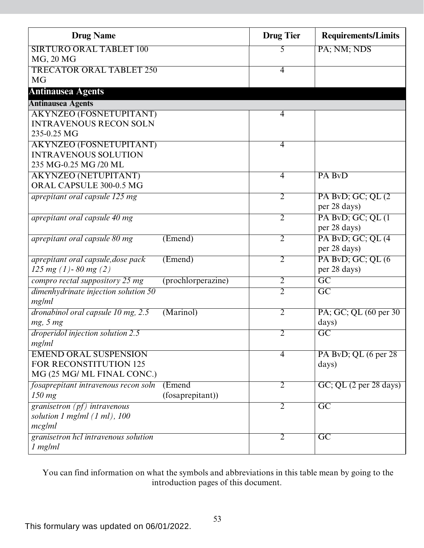| <b>Drug Name</b>                          |                    | <b>Drug Tier</b> | <b>Requirements/Limits</b> |
|-------------------------------------------|--------------------|------------------|----------------------------|
| <b>SIRTURO ORAL TABLET 100</b>            |                    | 5                | PA; NM; NDS                |
| MG, 20 MG                                 |                    |                  |                            |
| <b>TRECATOR ORAL TABLET 250</b>           |                    | $\overline{4}$   |                            |
| <b>MG</b>                                 |                    |                  |                            |
| <b>Antinausea Agents</b>                  |                    |                  |                            |
| <b>Antinausea Agents</b>                  |                    |                  |                            |
| <b>AKYNZEO (FOSNETUPITANT)</b>            |                    | 4                |                            |
| <b>INTRAVENOUS RECON SOLN</b>             |                    |                  |                            |
| 235-0.25 MG                               |                    |                  |                            |
| <b>AKYNZEO (FOSNETUPITANT)</b>            |                    | $\overline{4}$   |                            |
| <b>INTRAVENOUS SOLUTION</b>               |                    |                  |                            |
| 235 MG-0.25 MG /20 ML                     |                    |                  |                            |
| <b>AKYNZEO (NETUPITANT)</b>               |                    | 4                | PA BvD                     |
| ORAL CAPSULE 300-0.5 MG                   |                    |                  |                            |
| aprepitant oral capsule 125 mg            |                    | $\overline{2}$   | PA BvD; GC; QL (2)         |
|                                           |                    |                  | per 28 days)               |
| aprepitant oral capsule 40 mg             |                    | $\overline{2}$   | PA BvD; GC; QL (1)         |
|                                           |                    |                  | per 28 days)               |
| aprepitant oral capsule 80 mg             | (Emend)            | $\overline{2}$   | PA BvD; GC; QL (4)         |
|                                           |                    |                  | per 28 days)               |
| aprepitant oral capsule, dose pack        | (Emend)            | $\overline{2}$   | PA BvD; GC; QL (6          |
| 125 mg $(1)$ -80 mg $(2)$                 |                    |                  | per 28 days)               |
| compro rectal suppository 25 mg           | (prochlorperazine) | 2                | $\overline{\text{GC}}$     |
| dimenhydrinate injection solution 50      |                    | $\overline{2}$   | $\overline{GC}$            |
| mg/ml                                     |                    |                  |                            |
| dronabinol oral capsule 10 mg, 2.5        | (Marinol)          | $\overline{2}$   | PA; GC; QL (60 per 30)     |
| mg, 5 mg                                  |                    |                  | days)                      |
| droperidol injection solution 2.5         |                    | $\overline{2}$   | $\overline{GC}$            |
| mg/ml                                     |                    |                  |                            |
| <b>EMEND ORAL SUSPENSION</b>              |                    | $\overline{4}$   | PA BvD; QL $(6$ per 28     |
| FOR RECONSTITUTION 125                    |                    |                  | days)                      |
| MG (25 MG/ ML FINAL CONC.)                |                    |                  |                            |
| fosaprepitant intravenous recon soln      | (Emend             | 2                | GC; QL (2 per 28 days)     |
| $150$ mg                                  | (fosaprepitant))   |                  |                            |
| granisetron $(pf)$ intravenous            |                    | $\overline{2}$   | $\overline{GC}$            |
| solution $1$ mg/ml $(1 \text{ ml})$ , 100 |                    |                  |                            |
| mcg/ml                                    |                    |                  |                            |
| granisetron hcl intravenous solution      |                    | $\overline{2}$   | $\overline{GC}$            |
| 1 mg/ml                                   |                    |                  |                            |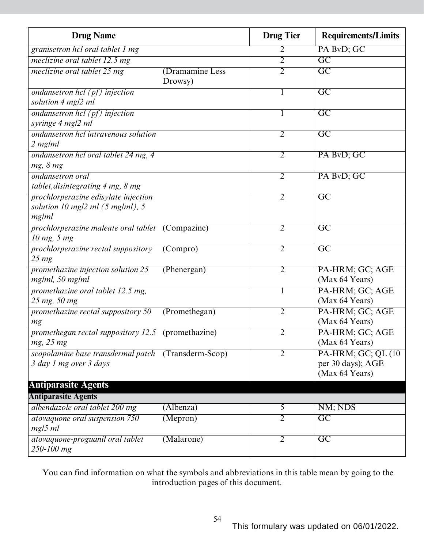| <b>Drug Name</b>                                                                             |                            | <b>Drug Tier</b> | <b>Requirements/Limits</b>                                 |
|----------------------------------------------------------------------------------------------|----------------------------|------------------|------------------------------------------------------------|
| granisetron hcl oral tablet 1 mg                                                             |                            | 2                | PA BvD; GC                                                 |
| meclizine oral tablet 12.5 mg                                                                |                            | $\overline{2}$   | $\overline{\mathrm{GC}}$                                   |
| meclizine oral tablet 25 mg                                                                  | (Dramamine Less<br>Drowsy) | $\overline{2}$   | $\overline{\text{GC}}$                                     |
| ondansetron hcl $(pt)$ injection<br>solution 4 mg/2 ml                                       |                            | 1                | $\overline{GC}$                                            |
| ondansetron hcl (pf) injection<br>syringe 4 mg/2 ml                                          |                            | 1                | $\overline{\text{GC}}$                                     |
| ondansetron hcl intravenous solution<br>2 mg/ml                                              |                            | $\overline{2}$   | $\overline{\text{GC}}$                                     |
| ondansetron hcl oral tablet 24 mg, 4<br>mg, 8 mg                                             |                            | $\overline{2}$   | PA BvD; GC                                                 |
| <i>ondansetron oral</i><br>tablet, disintegrating 4 mg, 8 mg                                 |                            | $\overline{2}$   | PA BvD; GC                                                 |
| prochlorperazine edisylate injection<br>solution 10 mg/2 ml $(5 \text{ mg/ml})$ , 5<br>mg/ml |                            | $\overline{2}$   | $\overline{\text{GC}}$                                     |
| <i>prochlorperazine maleate oral tablet</i> (Compazine)<br>10 mg, 5 mg                       |                            | $\overline{2}$   | $\overline{GC}$                                            |
| prochlorperazine rectal suppository<br>$25 \, mg$                                            | (Compro)                   | $\overline{2}$   | $\overline{GC}$                                            |
| promethazine injection solution 25<br>mg/ml, 50 mg/ml                                        | (Phenergan)                | $\overline{2}$   | PA-HRM; GC; AGE<br>(Max 64 Years)                          |
| promethazine oral tablet 12.5 mg,<br>25 mg, 50 mg                                            |                            | 1                | PA-HRM; GC; AGE<br>(Max 64 Years)                          |
| promethazine rectal suppository 50<br>mg                                                     | (Premethegan)              | $\overline{2}$   | PA-HRM; GC; AGE<br>(Max 64 Years)                          |
| promethegan rectal suppository 12.5 (promethazine)<br>$mg$ , 25 $mg$                         |                            | $\overline{2}$   | PA-HRM; GC; AGE<br>(Max 64 Years)                          |
| scopolamine base transdermal patch (Transderm-Scop)<br>3 day 1 mg over 3 days                |                            | $\overline{2}$   | PA-HRM; GC; QL (10)<br>per 30 days); AGE<br>(Max 64 Years) |
| <b>Antiparasite Agents</b>                                                                   |                            |                  |                                                            |
| <b>Antiparasite Agents</b>                                                                   |                            |                  |                                                            |
| albendazole oral tablet 200 mg                                                               | (Albenza)                  | $\overline{5}$   | NM; NDS                                                    |
| atovaquone oral suspension 750<br>$mg/5$ ml                                                  | (Mepron)                   | $\overline{2}$   | $\overline{GC}$                                            |
| atovaquone-proguanil oral tablet<br>250-100 mg                                               | (Malarone)                 | $\overline{2}$   | $\overline{GC}$                                            |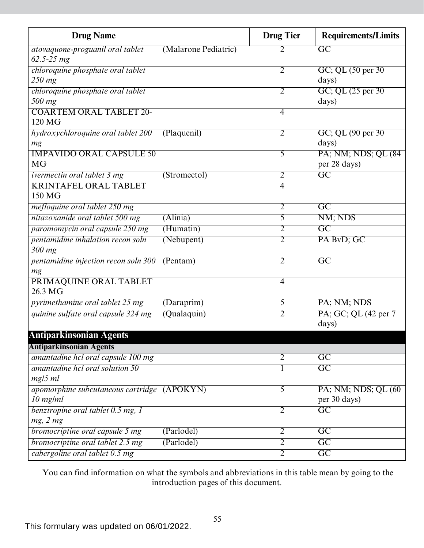| <b>Drug Name</b>                            |                      | <b>Drug Tier</b> | <b>Requirements/Limits</b> |
|---------------------------------------------|----------------------|------------------|----------------------------|
| atovaquone-proguanil oral tablet            | (Malarone Pediatric) | 2                | $\overline{GC}$            |
| $62.5 - 25 mg$                              |                      |                  |                            |
| chloroquine phosphate oral tablet           |                      | $\overline{2}$   | GC; QL (50 per 30)         |
| 250 mg                                      |                      |                  | days)                      |
| chloroquine phosphate oral tablet           |                      | $\overline{2}$   | GC; QL (25 per 30)         |
| 500 mg                                      |                      |                  | days)                      |
| <b>COARTEM ORAL TABLET 20-</b>              |                      | $\overline{4}$   |                            |
| 120 MG                                      |                      |                  |                            |
| hydroxychloroquine oral tablet 200          | (Plaquenil)          | $\overline{2}$   | GC; QL (90 per 30)         |
| mg                                          |                      |                  | days)                      |
| <b>IMPAVIDO ORAL CAPSULE 50</b>             |                      | 5                | PA; NM; NDS; QL (84)       |
| <b>MG</b>                                   |                      |                  | per 28 days)               |
| <i>ivermectin oral tablet 3 mg</i>          | (Stromectol)         | $\overline{2}$   | $\overline{GC}$            |
| <b>KRINTAFEL ORAL TABLET</b>                |                      | $\overline{4}$   |                            |
| 150 MG                                      |                      |                  |                            |
| mefloquine oral tablet 250 mg               |                      | $\overline{2}$   | $\overline{GC}$            |
| nitazoxanide oral tablet 500 mg             | $(\text{Alinia})$    | 5                | NM; NDS                    |
| paromomycin oral capsule 250 mg             | (Humatin)            | $\overline{2}$   | $\overline{GC}$            |
| pentamidine inhalation recon soln           | (Nebupent)           | $\overline{2}$   | PA BvD; GC                 |
| 300 mg                                      |                      |                  |                            |
| pentamidine injection recon soln 300        | ( Pentam)            | $\overline{2}$   | $\overline{GC}$            |
| mg                                          |                      |                  |                            |
| PRIMAQUINE ORAL TABLET                      |                      | $\overline{4}$   |                            |
| 26.3 MG                                     |                      |                  |                            |
| pyrimethamine oral tablet 25 mg             | (Daraprim)           | 5                | PA; NM; NDS                |
| quinine sulfate oral capsule 324 mg         | (Qualaquin)          | $\overline{2}$   | PA; GC; QL (42 per 7       |
|                                             |                      |                  | days)                      |
| <b>Antiparkinsonian Agents</b>              |                      |                  |                            |
| <b>Antiparkinsonian Agents</b>              |                      |                  |                            |
| amantadine hcl oral capsule 100 mg          |                      | $\overline{2}$   | $\overline{GC}$            |
| amantadine hcl oral solution 50             |                      | 1                | $\overline{GC}$            |
| $mg/5$ ml                                   |                      |                  |                            |
| apomorphine subcutaneous cartridge (APOKYN) |                      | $\overline{5}$   | PA; NM; NDS; QL (60)       |
| $10$ mg/ml                                  |                      |                  | per 30 days)               |
| benztropine oral tablet 0.5 mg, 1           |                      | $\overline{2}$   | $\overline{GC}$            |
| mg, 2 mg                                    |                      |                  |                            |
| bromocriptine oral capsule 5 mg             | (Parlodel)           | $\overline{2}$   | $\overline{GC}$            |
| bromocriptine oral tablet 2.5 mg            | (Parlodel)           | $\overline{2}$   | $\overline{GC}$            |
| cabergoline oral tablet 0.5 mg              |                      | $\overline{2}$   | $\overline{GC}$            |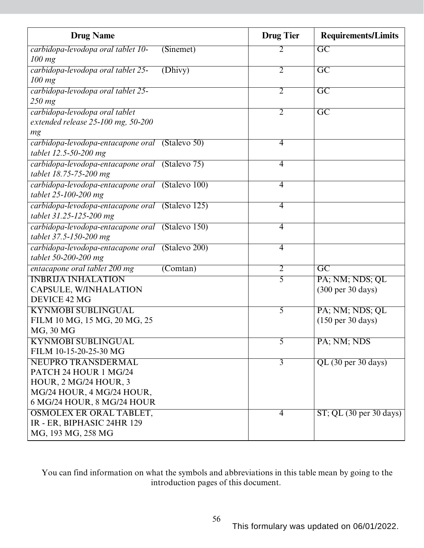| <b>Drug Name</b>                                 | <b>Drug</b> Tier | <b>Requirements/Limits</b>                    |
|--------------------------------------------------|------------------|-----------------------------------------------|
| carbidopa-levodopa oral tablet 10-<br>(Sinemet)  | 2                | $\overline{GC}$                               |
| $100$ mg                                         |                  |                                               |
| carbidopa-levodopa oral tablet 25-<br>(Dhivy)    | $\overline{2}$   | $\overline{\mathrm{GC}}$                      |
| $100$ mg                                         |                  |                                               |
| carbidopa-levodopa oral tablet 25-               | $\overline{2}$   | $\overline{GC}$                               |
| 250 mg                                           |                  |                                               |
| carbidopa-levodopa oral tablet                   | $\overline{2}$   | $\overline{\mathrm{GC}}$                      |
| extended release $25$ -100 mg, $50$ -200         |                  |                                               |
| mg                                               |                  |                                               |
| carbidopa-levodopa-entacapone oral (Stalevo 50)  | $\overline{4}$   |                                               |
| tablet 12.5-50-200 mg                            |                  |                                               |
| carbidopa-levodopa-entacapone oral (Stalevo 75)  | 4                |                                               |
| tablet 18.75-75-200 mg                           |                  |                                               |
| carbidopa-levodopa-entacapone oral (Stalevo 100) | $\overline{4}$   |                                               |
| tablet 25-100-200 mg                             |                  |                                               |
| carbidopa-levodopa-entacapone oral (Stalevo 125) | $\overline{4}$   |                                               |
| tablet 31.25-125-200 mg                          |                  |                                               |
| carbidopa-levodopa-entacapone oral (Stalevo 150) | $\overline{4}$   |                                               |
| tablet 37.5-150-200 mg                           |                  |                                               |
| carbidopa-levodopa-entacapone oral (Stalevo 200) | 4                |                                               |
| tablet 50-200-200 mg                             |                  |                                               |
| entacapone oral tablet 200 mg<br>(Comtan)        | $\overline{2}$   | $\overline{\mathrm{GC}}$                      |
| <b>INBRIJA INHALATION</b>                        | $\overline{5}$   | PA; NM; NDS; QL                               |
| CAPSULE, W/INHALATION                            |                  | $(300 \text{ per } 30 \text{ days})$          |
| DEVICE 42 MG                                     |                  |                                               |
| <b>KYNMOBI SUBLINGUAL</b>                        | 5                | PA; NM; NDS; QL                               |
| FILM 10 MG, 15 MG, 20 MG, 25                     |                  | $(150 \text{ per } 30 \text{ days})$          |
| MG, 30 MG                                        |                  |                                               |
| <b>KYNMOBI SUBLINGUAL</b>                        | 5                | PA; NM; NDS                                   |
| FILM 10-15-20-25-30 MG                           |                  |                                               |
| <b>NEUPRO TRANSDERMAL</b>                        | $\overline{3}$   | QL (30 per 30 days)                           |
| PATCH 24 HOUR 1 MG/24                            |                  |                                               |
| <b>HOUR, 2 MG/24 HOUR, 3</b>                     |                  |                                               |
| MG/24 HOUR, 4 MG/24 HOUR,                        |                  |                                               |
| 6 MG/24 HOUR, 8 MG/24 HOUR                       |                  |                                               |
| <b>OSMOLEX ER ORAL TABLET,</b>                   | 4                | $ST$ ; QL $(30 \text{ per } 30 \text{ days})$ |
| IR - ER, BIPHASIC 24HR 129                       |                  |                                               |
| MG, 193 MG, 258 MG                               |                  |                                               |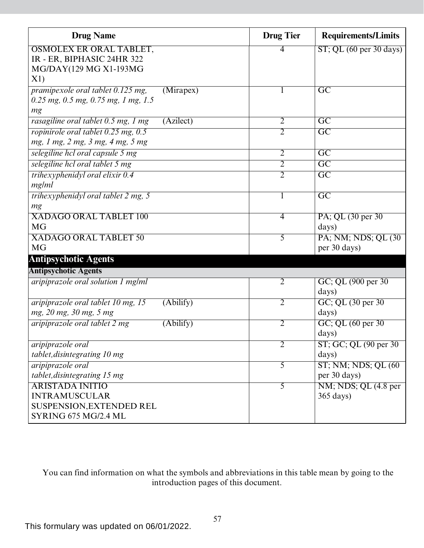| <b>Drug Name</b>                                         | <b>Drug Tier</b> | <b>Requirements/Limits</b>  |
|----------------------------------------------------------|------------------|-----------------------------|
| <b>OSMOLEX ER ORAL TABLET,</b>                           | 4                | $ST$ ; QL (60 per 30 days)  |
| IR - ER, BIPHASIC 24HR 322                               |                  |                             |
| MG/DAY(129 MG X1-193MG                                   |                  |                             |
| X1)                                                      |                  |                             |
| pramipexole oral tablet 0.125 mg,<br>(Mirapex)           | $\mathbf{I}$     | $\overline{GC}$             |
| $0.25$ mg, $0.5$ mg, $0.75$ mg, 1 mg, 1.5                |                  |                             |
| mg                                                       |                  |                             |
| (Azilect)<br>rasagiline oral tablet 0.5 mg, 1 mg         | $\overline{2}$   | $\overline{\mathrm{GC}}$    |
| ropinirole oral tablet 0.25 mg, 0.5                      | $\overline{2}$   | $\overline{\text{GC}}$      |
| mg, 1 mg, 2 mg, 3 mg, 4 mg, 5 mg                         |                  |                             |
| selegiline hcl oral capsule 5 mg                         | $\overline{2}$   | GC                          |
| selegiline hcl oral tablet 5 mg                          | 2                | $\overline{\text{GC}}$      |
| trihexyphenidyl oral elixir 0.4                          | $\overline{2}$   | $\overline{GC}$             |
| mg/ml                                                    |                  |                             |
| trihexyphenidyl oral tablet 2 mg, 5                      | T                | $\overline{GC}$             |
| mg                                                       |                  |                             |
| <b>XADAGO ORAL TABLET 100</b>                            | $\overline{4}$   | PA; QL (30 per 30)          |
| <b>MG</b>                                                |                  | days)                       |
| <b>XADAGO ORAL TABLET 50</b>                             | $\overline{5}$   | PA; NM; NDS; QL (30)        |
| <b>MG</b>                                                |                  | per 30 days)                |
| <b>Antipsychotic Agents</b>                              |                  |                             |
| <b>Antipsychotic Agents</b>                              |                  |                             |
| <i>aripiprazole oral solution 1 mg/ml</i>                | 2                | GC; QL (900 per 30)         |
|                                                          |                  | days)                       |
| $(A\text{bility})$<br>aripiprazole oral tablet 10 mg, 15 | $\overline{2}$   | GC; QL (30 per 30)          |
| mg, 20 mg, 30 mg, 5 mg                                   |                  | days)                       |
| aripiprazole oral tablet 2 mg<br>(Ability)               | $\overline{2}$   | GC; QL (60 per 30)          |
|                                                          |                  | days)                       |
| <i>aripiprazole oral</i>                                 | 2                | ST; GC; QL (90 per 30)      |
| tablet, disintegrating 10 mg                             |                  | days)                       |
| <i>aripiprazole oral</i>                                 | 5                | <b>ST; NM; NDS; QL (60)</b> |
| tablet, disintegrating 15 mg                             |                  | per 30 days)                |
| <b>ARISTADA INITIO</b>                                   | 5                | NM; NDS; QL (4.8 per        |
| <b>INTRAMUSCULAR</b>                                     |                  | $365 \text{ days}$          |
| SUSPENSION, EXTENDED REL                                 |                  |                             |
| SYRING 675 MG/2.4 ML                                     |                  |                             |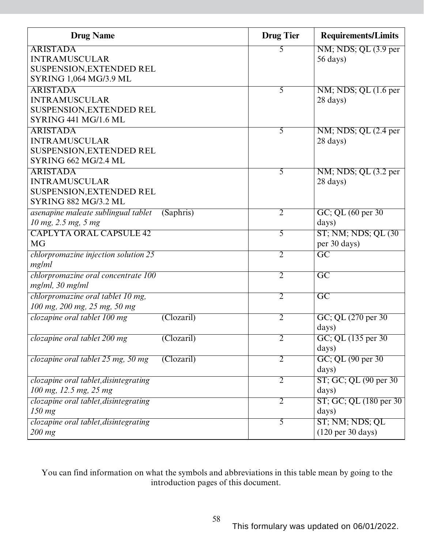| <b>ARISTADA</b><br>$NM$ ; NDS; QL $(3.9$ per<br>5<br><b>INTRAMUSCULAR</b><br>$56 \text{ days}$<br>SUSPENSION, EXTENDED REL<br><b>SYRING 1,064 MG/3.9 ML</b><br><b>ARISTADA</b><br>$NM$ ; NDS; QL $(1.6$ per<br>5<br><b>INTRAMUSCULAR</b><br>28 days)<br>SUSPENSION, EXTENDED REL<br>SYRING 441 MG/1.6 ML<br>NM; NDS; QL (2.4 per<br><b>ARISTADA</b><br>5<br><b>INTRAMUSCULAR</b><br>$28 \text{ days}$<br>SUSPENSION, EXTENDED REL<br><b>SYRING 662 MG/2.4 ML</b><br><b>ARISTADA</b><br>NM; NDS; QL (3.2 per<br>$\overline{5}$<br><b>INTRAMUSCULAR</b><br>28 days)<br>SUSPENSION, EXTENDED REL<br><b>SYRING 882 MG/3.2 ML</b><br>(Saphris)<br>$\overline{2}$<br>GC; QL (60 per 30)<br>asenapine maleate sublingual tablet<br>10 mg, 2.5 mg, 5 mg<br>days)<br><b>CAPLYTA ORAL CAPSULE 42</b><br><b>ST; NM; NDS; QL (30)</b><br>5<br><b>MG</b><br>per 30 days)<br>$\overline{GC}$<br>chlorpromazine injection solution 25<br>$\overline{2}$<br>mg/ml<br>$\overline{GC}$<br>chlorpromazine oral concentrate 100<br>$\overline{2}$<br>mg/ml, 30 mg/ml<br>chlorpromazine oral tablet 10 mg,<br>$\overline{GC}$<br>$\overline{2}$<br>100 mg, 200 mg, 25 mg, 50 mg<br>clozapine oral tablet 100 mg<br>GC; QL (270 per 30)<br>$\overline{2}$<br>$\overline{\text{(Clozaril)}}$<br>days)<br>clozapine oral tablet 200 mg<br>(Clozaril)<br>2<br>GC; QL $(135 \text{ per } 30)$<br>days)<br>GC; QL (90 per 30)<br>clozapine oral tablet 25 mg, 50 mg<br>(Clozaril)<br>2<br>days)<br>ST; GC; QL (90 per 30)<br>clozapine oral tablet, disintegrating<br>$\overline{2}$<br>100 mg, 12.5 mg, 25 mg<br>days)<br>clozapine oral tablet, disintegrating<br>$\overline{2}$<br>ST; GC; QL (180 per 30)<br>$150$ mg<br>days)<br>ST; NM; NDS; QL<br>clozapine oral tablet, disintegrating<br>5 | <b>Drug Name</b> | <b>Drug Tier</b> | <b>Requirements/Limits</b>           |
|--------------------------------------------------------------------------------------------------------------------------------------------------------------------------------------------------------------------------------------------------------------------------------------------------------------------------------------------------------------------------------------------------------------------------------------------------------------------------------------------------------------------------------------------------------------------------------------------------------------------------------------------------------------------------------------------------------------------------------------------------------------------------------------------------------------------------------------------------------------------------------------------------------------------------------------------------------------------------------------------------------------------------------------------------------------------------------------------------------------------------------------------------------------------------------------------------------------------------------------------------------------------------------------------------------------------------------------------------------------------------------------------------------------------------------------------------------------------------------------------------------------------------------------------------------------------------------------------------------------------------------------------------------------------------------------------------------------------------------------------------------------------------|------------------|------------------|--------------------------------------|
|                                                                                                                                                                                                                                                                                                                                                                                                                                                                                                                                                                                                                                                                                                                                                                                                                                                                                                                                                                                                                                                                                                                                                                                                                                                                                                                                                                                                                                                                                                                                                                                                                                                                                                                                                                          |                  |                  |                                      |
|                                                                                                                                                                                                                                                                                                                                                                                                                                                                                                                                                                                                                                                                                                                                                                                                                                                                                                                                                                                                                                                                                                                                                                                                                                                                                                                                                                                                                                                                                                                                                                                                                                                                                                                                                                          |                  |                  |                                      |
|                                                                                                                                                                                                                                                                                                                                                                                                                                                                                                                                                                                                                                                                                                                                                                                                                                                                                                                                                                                                                                                                                                                                                                                                                                                                                                                                                                                                                                                                                                                                                                                                                                                                                                                                                                          |                  |                  |                                      |
|                                                                                                                                                                                                                                                                                                                                                                                                                                                                                                                                                                                                                                                                                                                                                                                                                                                                                                                                                                                                                                                                                                                                                                                                                                                                                                                                                                                                                                                                                                                                                                                                                                                                                                                                                                          |                  |                  |                                      |
|                                                                                                                                                                                                                                                                                                                                                                                                                                                                                                                                                                                                                                                                                                                                                                                                                                                                                                                                                                                                                                                                                                                                                                                                                                                                                                                                                                                                                                                                                                                                                                                                                                                                                                                                                                          |                  |                  |                                      |
|                                                                                                                                                                                                                                                                                                                                                                                                                                                                                                                                                                                                                                                                                                                                                                                                                                                                                                                                                                                                                                                                                                                                                                                                                                                                                                                                                                                                                                                                                                                                                                                                                                                                                                                                                                          |                  |                  |                                      |
|                                                                                                                                                                                                                                                                                                                                                                                                                                                                                                                                                                                                                                                                                                                                                                                                                                                                                                                                                                                                                                                                                                                                                                                                                                                                                                                                                                                                                                                                                                                                                                                                                                                                                                                                                                          |                  |                  |                                      |
|                                                                                                                                                                                                                                                                                                                                                                                                                                                                                                                                                                                                                                                                                                                                                                                                                                                                                                                                                                                                                                                                                                                                                                                                                                                                                                                                                                                                                                                                                                                                                                                                                                                                                                                                                                          |                  |                  |                                      |
|                                                                                                                                                                                                                                                                                                                                                                                                                                                                                                                                                                                                                                                                                                                                                                                                                                                                                                                                                                                                                                                                                                                                                                                                                                                                                                                                                                                                                                                                                                                                                                                                                                                                                                                                                                          |                  |                  |                                      |
|                                                                                                                                                                                                                                                                                                                                                                                                                                                                                                                                                                                                                                                                                                                                                                                                                                                                                                                                                                                                                                                                                                                                                                                                                                                                                                                                                                                                                                                                                                                                                                                                                                                                                                                                                                          |                  |                  |                                      |
|                                                                                                                                                                                                                                                                                                                                                                                                                                                                                                                                                                                                                                                                                                                                                                                                                                                                                                                                                                                                                                                                                                                                                                                                                                                                                                                                                                                                                                                                                                                                                                                                                                                                                                                                                                          |                  |                  |                                      |
|                                                                                                                                                                                                                                                                                                                                                                                                                                                                                                                                                                                                                                                                                                                                                                                                                                                                                                                                                                                                                                                                                                                                                                                                                                                                                                                                                                                                                                                                                                                                                                                                                                                                                                                                                                          |                  |                  |                                      |
|                                                                                                                                                                                                                                                                                                                                                                                                                                                                                                                                                                                                                                                                                                                                                                                                                                                                                                                                                                                                                                                                                                                                                                                                                                                                                                                                                                                                                                                                                                                                                                                                                                                                                                                                                                          |                  |                  |                                      |
|                                                                                                                                                                                                                                                                                                                                                                                                                                                                                                                                                                                                                                                                                                                                                                                                                                                                                                                                                                                                                                                                                                                                                                                                                                                                                                                                                                                                                                                                                                                                                                                                                                                                                                                                                                          |                  |                  |                                      |
|                                                                                                                                                                                                                                                                                                                                                                                                                                                                                                                                                                                                                                                                                                                                                                                                                                                                                                                                                                                                                                                                                                                                                                                                                                                                                                                                                                                                                                                                                                                                                                                                                                                                                                                                                                          |                  |                  |                                      |
|                                                                                                                                                                                                                                                                                                                                                                                                                                                                                                                                                                                                                                                                                                                                                                                                                                                                                                                                                                                                                                                                                                                                                                                                                                                                                                                                                                                                                                                                                                                                                                                                                                                                                                                                                                          |                  |                  |                                      |
|                                                                                                                                                                                                                                                                                                                                                                                                                                                                                                                                                                                                                                                                                                                                                                                                                                                                                                                                                                                                                                                                                                                                                                                                                                                                                                                                                                                                                                                                                                                                                                                                                                                                                                                                                                          |                  |                  |                                      |
|                                                                                                                                                                                                                                                                                                                                                                                                                                                                                                                                                                                                                                                                                                                                                                                                                                                                                                                                                                                                                                                                                                                                                                                                                                                                                                                                                                                                                                                                                                                                                                                                                                                                                                                                                                          |                  |                  |                                      |
|                                                                                                                                                                                                                                                                                                                                                                                                                                                                                                                                                                                                                                                                                                                                                                                                                                                                                                                                                                                                                                                                                                                                                                                                                                                                                                                                                                                                                                                                                                                                                                                                                                                                                                                                                                          |                  |                  |                                      |
|                                                                                                                                                                                                                                                                                                                                                                                                                                                                                                                                                                                                                                                                                                                                                                                                                                                                                                                                                                                                                                                                                                                                                                                                                                                                                                                                                                                                                                                                                                                                                                                                                                                                                                                                                                          |                  |                  |                                      |
|                                                                                                                                                                                                                                                                                                                                                                                                                                                                                                                                                                                                                                                                                                                                                                                                                                                                                                                                                                                                                                                                                                                                                                                                                                                                                                                                                                                                                                                                                                                                                                                                                                                                                                                                                                          |                  |                  |                                      |
|                                                                                                                                                                                                                                                                                                                                                                                                                                                                                                                                                                                                                                                                                                                                                                                                                                                                                                                                                                                                                                                                                                                                                                                                                                                                                                                                                                                                                                                                                                                                                                                                                                                                                                                                                                          |                  |                  |                                      |
|                                                                                                                                                                                                                                                                                                                                                                                                                                                                                                                                                                                                                                                                                                                                                                                                                                                                                                                                                                                                                                                                                                                                                                                                                                                                                                                                                                                                                                                                                                                                                                                                                                                                                                                                                                          |                  |                  |                                      |
|                                                                                                                                                                                                                                                                                                                                                                                                                                                                                                                                                                                                                                                                                                                                                                                                                                                                                                                                                                                                                                                                                                                                                                                                                                                                                                                                                                                                                                                                                                                                                                                                                                                                                                                                                                          |                  |                  |                                      |
|                                                                                                                                                                                                                                                                                                                                                                                                                                                                                                                                                                                                                                                                                                                                                                                                                                                                                                                                                                                                                                                                                                                                                                                                                                                                                                                                                                                                                                                                                                                                                                                                                                                                                                                                                                          |                  |                  |                                      |
|                                                                                                                                                                                                                                                                                                                                                                                                                                                                                                                                                                                                                                                                                                                                                                                                                                                                                                                                                                                                                                                                                                                                                                                                                                                                                                                                                                                                                                                                                                                                                                                                                                                                                                                                                                          |                  |                  |                                      |
|                                                                                                                                                                                                                                                                                                                                                                                                                                                                                                                                                                                                                                                                                                                                                                                                                                                                                                                                                                                                                                                                                                                                                                                                                                                                                                                                                                                                                                                                                                                                                                                                                                                                                                                                                                          |                  |                  |                                      |
|                                                                                                                                                                                                                                                                                                                                                                                                                                                                                                                                                                                                                                                                                                                                                                                                                                                                                                                                                                                                                                                                                                                                                                                                                                                                                                                                                                                                                                                                                                                                                                                                                                                                                                                                                                          |                  |                  |                                      |
|                                                                                                                                                                                                                                                                                                                                                                                                                                                                                                                                                                                                                                                                                                                                                                                                                                                                                                                                                                                                                                                                                                                                                                                                                                                                                                                                                                                                                                                                                                                                                                                                                                                                                                                                                                          |                  |                  |                                      |
|                                                                                                                                                                                                                                                                                                                                                                                                                                                                                                                                                                                                                                                                                                                                                                                                                                                                                                                                                                                                                                                                                                                                                                                                                                                                                                                                                                                                                                                                                                                                                                                                                                                                                                                                                                          |                  |                  |                                      |
|                                                                                                                                                                                                                                                                                                                                                                                                                                                                                                                                                                                                                                                                                                                                                                                                                                                                                                                                                                                                                                                                                                                                                                                                                                                                                                                                                                                                                                                                                                                                                                                                                                                                                                                                                                          |                  |                  |                                      |
|                                                                                                                                                                                                                                                                                                                                                                                                                                                                                                                                                                                                                                                                                                                                                                                                                                                                                                                                                                                                                                                                                                                                                                                                                                                                                                                                                                                                                                                                                                                                                                                                                                                                                                                                                                          |                  |                  |                                      |
|                                                                                                                                                                                                                                                                                                                                                                                                                                                                                                                                                                                                                                                                                                                                                                                                                                                                                                                                                                                                                                                                                                                                                                                                                                                                                                                                                                                                                                                                                                                                                                                                                                                                                                                                                                          |                  |                  |                                      |
|                                                                                                                                                                                                                                                                                                                                                                                                                                                                                                                                                                                                                                                                                                                                                                                                                                                                                                                                                                                                                                                                                                                                                                                                                                                                                                                                                                                                                                                                                                                                                                                                                                                                                                                                                                          |                  |                  |                                      |
|                                                                                                                                                                                                                                                                                                                                                                                                                                                                                                                                                                                                                                                                                                                                                                                                                                                                                                                                                                                                                                                                                                                                                                                                                                                                                                                                                                                                                                                                                                                                                                                                                                                                                                                                                                          |                  |                  |                                      |
|                                                                                                                                                                                                                                                                                                                                                                                                                                                                                                                                                                                                                                                                                                                                                                                                                                                                                                                                                                                                                                                                                                                                                                                                                                                                                                                                                                                                                                                                                                                                                                                                                                                                                                                                                                          |                  |                  |                                      |
|                                                                                                                                                                                                                                                                                                                                                                                                                                                                                                                                                                                                                                                                                                                                                                                                                                                                                                                                                                                                                                                                                                                                                                                                                                                                                                                                                                                                                                                                                                                                                                                                                                                                                                                                                                          |                  |                  |                                      |
|                                                                                                                                                                                                                                                                                                                                                                                                                                                                                                                                                                                                                                                                                                                                                                                                                                                                                                                                                                                                                                                                                                                                                                                                                                                                                                                                                                                                                                                                                                                                                                                                                                                                                                                                                                          | $200$ mg         |                  | $(120 \text{ per } 30 \text{ days})$ |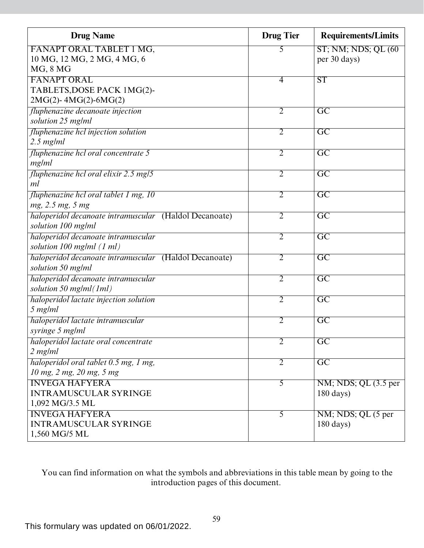| <b>Drug Name</b>                                       | <b>Drug Tier</b> | <b>Requirements/Limits</b>  |
|--------------------------------------------------------|------------------|-----------------------------|
| FANAPT ORAL TABLET 1 MG,                               | 5                | <b>ST; NM; NDS; QL (60)</b> |
| 10 MG, 12 MG, 2 MG, 4 MG, 6                            |                  | per 30 days)                |
| MG, 8 MG                                               |                  |                             |
| <b>FANAPT ORAL</b>                                     | 4                | $\overline{\text{ST}}$      |
| TABLETS, DOSE PACK 1MG(2)-                             |                  |                             |
| $2MG(2) - 4MG(2) - 6MG(2)$                             |                  |                             |
| fluphenazine decanoate injection                       | $\overline{2}$   | $\overline{GC}$             |
| solution 25 mg/ml                                      |                  |                             |
| fluphenazine hcl injection solution                    | 2                | $\overline{\mathrm{GC}}$    |
| $2.5$ mg/ml                                            |                  |                             |
| fluphenazine hcl oral concentrate 5                    | $\overline{2}$   | $\overline{GC}$             |
| mg/ml                                                  |                  |                             |
| fluphenazine hcl oral elixir 2.5 mg/5                  | 2                | $\overline{GC}$             |
| ml                                                     |                  |                             |
| fluphenazine hcl oral tablet 1 mg, 10                  | $\overline{2}$   | $\overline{GC}$             |
| mg, 2.5 mg, 5 mg                                       |                  |                             |
| haloperidol decanoate intramuscular (Haldol Decanoate) | $\overline{2}$   | $\overline{GC}$             |
| solution 100 mg/ml                                     |                  |                             |
| haloperidol decanoate intramuscular                    | $\overline{2}$   | $\overline{GC}$             |
| solution 100 mg/ml (1 ml)                              |                  |                             |
| haloperidol decanoate intramuscular (Haldol Decanoate) | $\overline{2}$   | $\overline{GC}$             |
| solution 50 mg/ml                                      |                  |                             |
| haloperidol decanoate intramuscular                    | $\overline{2}$   | $\overline{GC}$             |
| solution 50 mg/ml(1ml)                                 |                  |                             |
| haloperidol lactate injection solution                 | $\overline{2}$   | $\overline{GC}$             |
| 5 mg/ml                                                |                  |                             |
| haloperidol lactate intramuscular                      | 2                | $\overline{\mathrm{GC}}$    |
| syringe 5 mg/ml                                        |                  |                             |
| haloperidol lactate oral concentrate                   | $\overline{2}$   | $\overline{GC}$             |
| 2 mg/ml                                                |                  |                             |
| haloperidol oral tablet 0.5 mg, 1 mg,                  | $\overline{2}$   | $\overline{GC}$             |
| 10 mg, 2 mg, 20 mg, 5 mg                               |                  |                             |
| <b>INVEGA HAFYERA</b>                                  | $\overline{5}$   | NM; NDS; QL (3.5 per        |
| <b>INTRAMUSCULAR SYRINGE</b>                           |                  | $180 \text{ days}$          |
| 1,092 MG/3.5 ML                                        |                  |                             |
| <b>INVEGA HAFYERA</b>                                  | 5                | NM; NDS; QL (5 per          |
| <b>INTRAMUSCULAR SYRINGE</b>                           |                  | $180 \text{ days}$          |
| 1,560 MG/5 ML                                          |                  |                             |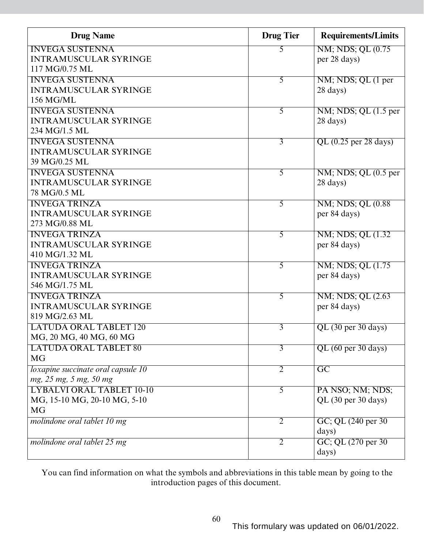| <b>Drug Name</b>                   | <b>Drug Tier</b> | <b>Requirements/Limits</b> |
|------------------------------------|------------------|----------------------------|
| <b>INVEGA SUSTENNA</b>             | 5                | NM; NDS; QL (0.75)         |
| <b>INTRAMUSCULAR SYRINGE</b>       |                  | per 28 days)               |
| 117 MG/0.75 ML                     |                  |                            |
| <b>INVEGA SUSTENNA</b>             | $\overline{5}$   | NM; NDS; QL (1 per         |
| <b>INTRAMUSCULAR SYRINGE</b>       |                  | 28 days)                   |
| 156 MG/ML                          |                  |                            |
| <b>INVEGA SUSTENNA</b>             | 5                | NM; NDS; QL (1.5 per       |
| <b>INTRAMUSCULAR SYRINGE</b>       |                  | 28 days)                   |
| 234 MG/1.5 ML                      |                  |                            |
| <b>INVEGA SUSTENNA</b>             | $\overline{3}$   | QL $(0.25$ per 28 days)    |
| <b>INTRAMUSCULAR SYRINGE</b>       |                  |                            |
| 39 MG/0.25 ML                      |                  |                            |
| <b>INVEGA SUSTENNA</b>             | 5                | NM; NDS; QL (0.5 per       |
| <b>INTRAMUSCULAR SYRINGE</b>       |                  | 28 days)                   |
| 78 MG/0.5 ML                       |                  |                            |
| <b>INVEGA TRINZA</b>               | $\overline{5}$   | NM; NDS; QL (0.88)         |
| <b>INTRAMUSCULAR SYRINGE</b>       |                  | per 84 days)               |
| 273 MG/0.88 ML                     |                  |                            |
| <b>INVEGA TRINZA</b>               | 5                | NM; NDS; QL (1.32)         |
| <b>INTRAMUSCULAR SYRINGE</b>       |                  | per 84 days)               |
| 410 MG/1.32 ML                     |                  |                            |
| <b>INVEGA TRINZA</b>               | 5                | NM; NDS; QL (1.75)         |
| <b>INTRAMUSCULAR SYRINGE</b>       |                  | per 84 days)               |
| 546 MG/1.75 ML                     |                  |                            |
| <b>INVEGA TRINZA</b>               | $\overline{5}$   | NM; NDS; QL (2.63)         |
| <b>INTRAMUSCULAR SYRINGE</b>       |                  | per 84 days)               |
| 819 MG/2.63 ML                     |                  |                            |
| <b>LATUDA ORAL TABLET 120</b>      | 3                | QL (30 per 30 days)        |
| MG, 20 MG, 40 MG, 60 MG            |                  |                            |
| <b>LATUDA ORAL TABLET 80</b>       | $\overline{3}$   | QL (60 per 30 days)        |
| <b>MG</b>                          |                  |                            |
| loxapine succinate oral capsule 10 | $\overline{2}$   | $\overline{GC}$            |
| mg, 25 mg, 5 mg, 50 mg             |                  |                            |
| <b>LYBALVI ORAL TABLET 10-10</b>   | $\overline{5}$   | PA NSO; NM; NDS;           |
| MG, 15-10 MG, 20-10 MG, 5-10       |                  | QL (30 per 30 days)        |
| <b>MG</b>                          |                  |                            |
| molindone oral tablet 10 mg        | $\overline{2}$   | GC; QL (240 per 30)        |
|                                    |                  | days)                      |
| molindone oral tablet 25 mg        | 2                | GC; QL (270 per 30)        |
|                                    |                  | days)                      |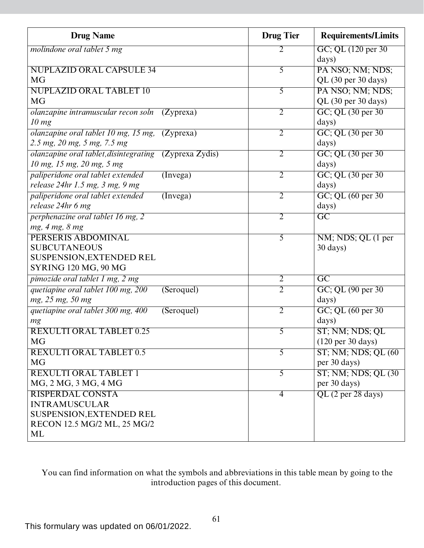| <b>Drug Name</b>                                          | <b>Drug Tier</b> | <b>Requirements/Limits</b>           |
|-----------------------------------------------------------|------------------|--------------------------------------|
| molindone oral tablet 5 mg                                | 2                | GC; QL (120 per 30)                  |
|                                                           |                  | days)                                |
| <b>NUPLAZID ORAL CAPSULE 34</b>                           | 5                | PA NSO; NM; NDS;                     |
| <b>MG</b>                                                 |                  | QL (30 per 30 days)                  |
| <b>NUPLAZID ORAL TABLET 10</b>                            | $\overline{5}$   | PA NSO; NM; NDS;                     |
| <b>MG</b>                                                 |                  | QL (30 per 30 days)                  |
| olanzapine intramuscular recon soln<br>(Zyprexa)          | $\overline{2}$   | GC; QL (30 per 30)                   |
| 10 mg                                                     |                  | days)                                |
| olanzapine oral tablet 10 mg, 15 mg,<br>(Zyprexa)         | $\overline{2}$   | GC; QL (30 per 30)                   |
| 2.5 mg, 20 mg, 5 mg, 7.5 mg                               |                  | days)                                |
| (Zyprexa Zydis)<br>olanzapine oral tablet, disintegrating | $\overline{2}$   | GC; QL (30 per 30)                   |
| 10 mg, 15 mg, 20 mg, 5 mg                                 |                  | days)                                |
| paliperidone oral tablet extended<br>(Inverse)            | $\overline{2}$   | GC; QL (30 per 30)                   |
| release 24hr 1.5 mg, 3 mg, 9 mg                           |                  | days)                                |
| paliperidone oral tablet extended<br>(Inverse)            | $\overline{2}$   | GC; QL (60 per 30)                   |
| release 24hr 6 mg                                         |                  | days)                                |
| perphenazine oral tablet 16 mg, 2                         | $\overline{2}$   | $\overline{GC}$                      |
| mg, 4 mg, 8 mg                                            |                  |                                      |
| PERSERIS ABDOMINAL                                        | $\overline{5}$   | NM; NDS; QL (1 per                   |
| <b>SUBCUTANEOUS</b>                                       |                  | 30 days)                             |
| <b>SUSPENSION, EXTENDED REL</b>                           |                  |                                      |
| <b>SYRING 120 MG, 90 MG</b>                               |                  |                                      |
| pimozide oral tablet 1 mg, 2 mg                           | $\overline{2}$   | $\overline{\mathrm{GC}}$             |
| quetiapine oral tablet 100 mg, 200<br>(Seroquel)          | $\overline{2}$   | GC; QL (90 per 30)                   |
| mg, 25 mg, 50 mg                                          |                  | days)                                |
| quetiapine oral tablet 300 mg, 400<br>(Seroquel)          | $\overline{2}$   | GC; QL (60 per 30)                   |
| mg                                                        |                  | days)                                |
| <b>REXULTI ORAL TABLET 0.25</b>                           | 5                | ST; NM; NDS; QL                      |
| <b>MG</b>                                                 |                  | $(120 \text{ per } 30 \text{ days})$ |
| <b>REXULTI ORAL TABLET 0.5</b>                            | 5                | $ST$ ; NM; NDS; QL $(60)$            |
| <b>MG</b>                                                 |                  | per 30 days)                         |
| <b>REXULTI ORAL TABLET 1</b>                              | $\overline{5}$   | ST; NM; NDS; QL (30)                 |
| MG, 2 MG, 3 MG, 4 MG                                      |                  | per 30 days)                         |
| <b>RISPERDAL CONSTA</b>                                   | $\overline{4}$   | QL (2 per 28 days)                   |
| <b>INTRAMUSCULAR</b>                                      |                  |                                      |
| <b>SUSPENSION, EXTENDED REL</b>                           |                  |                                      |
| RECON 12.5 MG/2 ML, 25 MG/2                               |                  |                                      |
| ML                                                        |                  |                                      |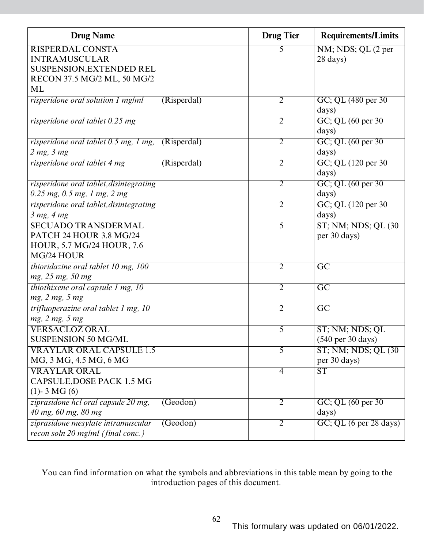| <b>Drug Name</b>                                                                                 | <b>Drug Tier</b> | <b>Requirements/Limits</b>           |
|--------------------------------------------------------------------------------------------------|------------------|--------------------------------------|
| <b>RISPERDAL CONSTA</b>                                                                          | 5                | NM; NDS; QL (2 per                   |
| <b>INTRAMUSCULAR</b>                                                                             |                  | 28 days)                             |
| SUSPENSION, EXTENDED REL                                                                         |                  |                                      |
| RECON 37.5 MG/2 ML, 50 MG/2                                                                      |                  |                                      |
| ML                                                                                               |                  |                                      |
| risperidone oral solution 1 mg/ml<br>(Risperdal)                                                 | 2                | GC; QL (480 per 30)<br>days)         |
| risperidone oral tablet 0.25 mg                                                                  | $\overline{2}$   | GC; QL (60 per 30)<br>days)          |
| risperidone oral tablet 0.5 mg, 1 mg, (Risperdal)                                                | $\overline{2}$   | GC; QL (60 per 30)                   |
| $2$ mg, $3$ mg                                                                                   |                  | days)                                |
| risperidone oral tablet 4 mg<br>(Risperdal)                                                      | $\overline{2}$   | GC; QL (120 per 30)<br>days)         |
| risperidone oral tablet, disintegrating<br>$0.25$ mg, $0.5$ mg, 1 mg, 2 mg                       | $\overline{2}$   | GC; QL (60 per 30)<br>days)          |
| risperidone oral tablet, disintegrating                                                          | $\overline{2}$   | GC; QL (120 per 30)                  |
| $3$ mg, $4$ mg                                                                                   |                  | days)                                |
| <b>SECUADO TRANSDERMAL</b><br>PATCH 24 HOUR 3.8 MG/24<br>HOUR, 5.7 MG/24 HOUR, 7.6<br>MG/24 HOUR | $\overline{5}$   | ST; NM; NDS; QL (30)<br>per 30 days) |
| thioridazine oral tablet $10$ mg, $100$<br>mg, 25 mg, 50 mg                                      | $\overline{2}$   | $\overline{GC}$                      |
| thiothixene oral capsule 1 mg, 10<br>mg, 2 mg, 5 mg                                              | $\overline{2}$   | $\overline{GC}$                      |
| trifluoperazine oral tablet 1 mg, 10<br>mg, 2 mg, 5 mg                                           | $\overline{2}$   | $\overline{GC}$                      |
| <b>VERSACLOZ ORAL</b><br><b>SUSPENSION 50 MG/ML</b>                                              | $\overline{5}$   | ST; NM; NDS; QL<br>(540 per 30 days) |
| <b>VRAYLAR ORAL CAPSULE 1.5</b><br>MG, 3 MG, 4.5 MG, 6 MG                                        | $\overline{5}$   | ST; NM; NDS; QL (30)<br>per 30 days) |
| <b>VRAYLAR ORAL</b><br>CAPSULE, DOSE PACK 1.5 MG<br>$(1)$ - 3 MG $(6)$                           | $\overline{4}$   | $\overline{\text{ST}}$               |
| ziprasidone hcl oral capsule 20 mg,<br>(Geodom)<br>40 mg, 60 mg, 80 mg                           | $\overline{2}$   | GC; QL (60 per 30)<br>days)          |
| ziprasidone mesylate intramuscular<br>(Geodom)<br>recon soln 20 mg/ml (final conc.)              | $\overline{2}$   | $GC$ ; QL $(6$ per 28 days)          |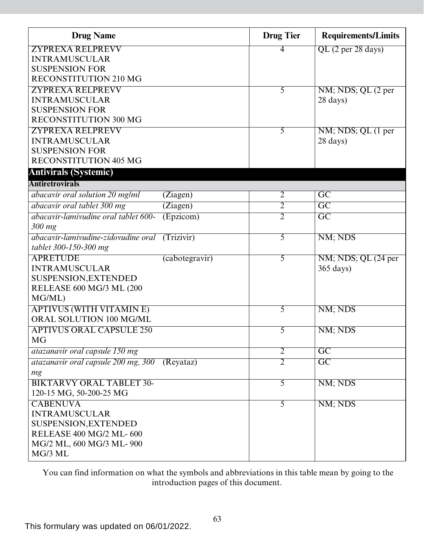| <b>Drug Name</b>                     |                | <b>Drug Tier</b> | <b>Requirements/Limits</b> |
|--------------------------------------|----------------|------------------|----------------------------|
| <b>ZYPREXA RELPREVV</b>              |                | 4                | QL (2 per 28 days)         |
| <b>INTRAMUSCULAR</b>                 |                |                  |                            |
| <b>SUSPENSION FOR</b>                |                |                  |                            |
| <b>RECONSTITUTION 210 MG</b>         |                |                  |                            |
| <b>ZYPREXA RELPREVV</b>              |                | 5                | NM; NDS; QL (2 per         |
| <b>INTRAMUSCULAR</b>                 |                |                  | 28 days)                   |
| <b>SUSPENSION FOR</b>                |                |                  |                            |
| RECONSTITUTION 300 MG                |                |                  |                            |
| <b>ZYPREXA RELPREVV</b>              |                | 5                | NM; NDS; QL (1 per         |
| <b>INTRAMUSCULAR</b>                 |                |                  | 28 days)                   |
| <b>SUSPENSION FOR</b>                |                |                  |                            |
| RECONSTITUTION 405 MG                |                |                  |                            |
| <b>Antivirals (Systemic)</b>         |                |                  |                            |
| Antiretrovirals                      |                |                  |                            |
| abacavir oral solution 20 mg/ml      | (Ziagen)       | $\overline{2}$   | $\overline{GC}$            |
| abacavir oral tablet 300 mg          | (Ziagen)       | 2                | $\overline{GC}$            |
| abacavir-lamivudine oral tablet 600- | (Epzicom)      | $\overline{2}$   | $\overline{GC}$            |
| 300 mg                               |                |                  |                            |
| abacavir-lamivudine-zidovudine oral  | (Trizivir)     | 5                | NM; NDS                    |
| tablet 300-150-300 mg                |                |                  |                            |
| <b>APRETUDE</b>                      | (cabotegravir) | 5                | NM; NDS; QL (24 per        |
| <b>INTRAMUSCULAR</b>                 |                |                  | $365 \text{ days}$         |
| SUSPENSION, EXTENDED                 |                |                  |                            |
| RELEASE 600 MG/3 ML (200             |                |                  |                            |
| MG/ML)                               |                |                  |                            |
| <b>APTIVUS (WITH VITAMIN E)</b>      |                | 5                | NM; NDS                    |
| ORAL SOLUTION 100 MG/ML              |                |                  |                            |
| <b>APTIVUS ORAL CAPSULE 250</b>      |                | 5                | NM; NDS                    |
| <b>MG</b>                            |                |                  |                            |
| atazanavir oral capsule 150 mg       |                | 2                | $\overline{GC}$            |
| atazanavir oral capsule 200 mg, 300  | (Revataz)      | $\overline{2}$   | $\overline{GC}$            |
| mg                                   |                |                  |                            |
| <b>BIKTARVY ORAL TABLET 30-</b>      |                | $\overline{5}$   | NM; NDS                    |
| 120-15 MG, 50-200-25 MG              |                |                  |                            |
| <b>CABENUVA</b>                      |                | $\overline{5}$   | NM; NDS                    |
| <b>INTRAMUSCULAR</b>                 |                |                  |                            |
| <b>SUSPENSION, EXTENDED</b>          |                |                  |                            |
| RELEASE 400 MG/2 ML-600              |                |                  |                            |
| MG/2 ML, 600 MG/3 ML-900             |                |                  |                            |
| MG/3 ML                              |                |                  |                            |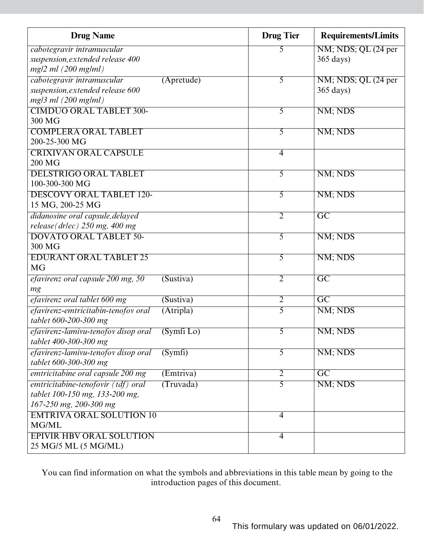| <b>Drug Name</b>                                    | <b>Drug Tier</b> | <b>Requirements/Limits</b> |
|-----------------------------------------------------|------------------|----------------------------|
| cabotegravir intramuscular                          | 5                | NM; NDS; QL (24 per        |
| suspension, extended release 400                    |                  | $365 \text{ days}$         |
| $mg/2 ml$ (200 mg/ml)                               |                  |                            |
| cabotegravir intramuscular<br>$(A$ pretude)         | 5                | NM; NDS; QL (24 per        |
| suspension, extended release 600                    |                  | $365 \text{ days}$         |
| $mg/3$ ml (200 mg/ml)                               |                  |                            |
| <b>CIMDUO ORAL TABLET 300-</b>                      | 5                | NM; NDS                    |
| 300 MG                                              |                  |                            |
| <b>COMPLERA ORAL TABLET</b>                         | 5                | NM; NDS                    |
| 200-25-300 MG                                       |                  |                            |
| <b>CRIXIVAN ORAL CAPSULE</b>                        | $\overline{4}$   |                            |
| 200 MG                                              |                  |                            |
| <b>DELSTRIGO ORAL TABLET</b>                        | 5                | NM; NDS                    |
| 100-300-300 MG                                      |                  |                            |
| <b>DESCOVY ORAL TABLET 120-</b>                     | $\overline{5}$   | NM; NDS                    |
| 15 MG, 200-25 MG                                    |                  |                            |
| didanosine oral capsule, delayed                    | $\overline{2}$   | $\overline{GC}$            |
| release(drlec) 250 mg, 400 mg                       |                  |                            |
| <b>DOVATO ORAL TABLET 50-</b>                       | 5                | NM; NDS                    |
| 300 MG                                              |                  |                            |
| <b>EDURANT ORAL TABLET 25</b>                       | 5                | NM; NDS                    |
| <b>MG</b>                                           |                  |                            |
| efavirenz oral capsule 200 mg, 50<br>(Sustiva)      | $\overline{2}$   | $\overline{GC}$            |
| mg                                                  |                  |                            |
| efavirenz oral tablet 600 mg<br>(Sustiva)           | $\overline{2}$   | $\overline{GC}$            |
| efavirenz-emtricitabin-tenofov oral<br>(Atripla)    | 5                | NM; NDS                    |
| tablet 600-200-300 mg                               |                  |                            |
| efavirenz-lamivu-tenofov disop oral<br>$(Symfi$ Lo) | 5                | NM; NDS                    |
| tablet 400-300-300 mg                               |                  |                            |
| efavirenz-lamivu-tenofov disop oral<br>(Symfi)      | 5                | NM; NDS                    |
| tablet 600-300-300 mg                               |                  |                            |
| emtricitabine oral capsule 200 mg<br>(Emtriva)      | $\overline{2}$   | $\overline{GC}$            |
| emtricitabine-tenofovir (tdf) oral<br>(Truvada)     | 5                | NM; NDS                    |
| tablet 100-150 mg, 133-200 mg,                      |                  |                            |
| 167-250 mg, 200-300 mg                              |                  |                            |
| <b>EMTRIVA ORAL SOLUTION 10</b>                     | $\overline{4}$   |                            |
| MG/ML                                               |                  |                            |
| <b>EPIVIR HBV ORAL SOLUTION</b>                     | $\overline{4}$   |                            |
| 25 MG/5 ML (5 MG/ML)                                |                  |                            |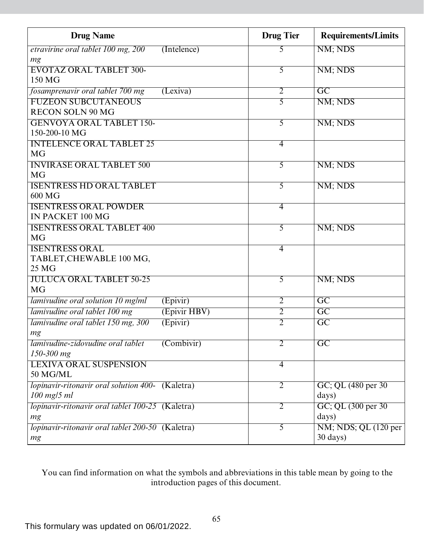| <b>Drug Name</b>                                 |                         | <b>Drug Tier</b> | <b>Requirements/Limits</b> |
|--------------------------------------------------|-------------------------|------------------|----------------------------|
| etravirine oral tablet 100 mg, 200               | (Intelence)             | 5                | NM; NDS                    |
| mg                                               |                         |                  |                            |
| <b>EVOTAZ ORAL TABLET 300-</b>                   |                         | 5                | NM; NDS                    |
| 150 MG                                           |                         |                  |                            |
| fosamprenavir oral tablet 700 mg                 | (Lexiva)                | $\overline{2}$   | $\overline{GC}$            |
| <b>FUZEON SUBCUTANEOUS</b>                       |                         | 5                | NM; NDS                    |
| <b>RECON SOLN 90 MG</b>                          |                         |                  |                            |
| <b>GENVOYA ORAL TABLET 150-</b>                  |                         | 5                | NM; NDS                    |
| 150-200-10 MG                                    |                         |                  |                            |
| <b>INTELENCE ORAL TABLET 25</b>                  |                         | $\overline{4}$   |                            |
| <b>MG</b>                                        |                         |                  |                            |
| <b>INVIRASE ORAL TABLET 500</b>                  |                         | 5                | NM; NDS                    |
| <b>MG</b>                                        |                         |                  |                            |
| <b>ISENTRESS HD ORAL TABLET</b>                  |                         | 5                | NM; NDS                    |
| 600 MG                                           |                         |                  |                            |
| <b>ISENTRESS ORAL POWDER</b>                     |                         | $\overline{4}$   |                            |
| IN PACKET 100 MG                                 |                         |                  |                            |
| <b>ISENTRESS ORAL TABLET 400</b>                 |                         | 5                | NM; NDS                    |
| <b>MG</b>                                        |                         |                  |                            |
| <b>ISENTRESS ORAL</b>                            |                         | $\overline{4}$   |                            |
| TABLET, CHEWABLE 100 MG,<br>25 MG                |                         |                  |                            |
| <b>JULUCA ORAL TABLET 50-25</b>                  |                         | $\overline{5}$   |                            |
| <b>MG</b>                                        |                         |                  | NM; NDS                    |
| lamivudine oral solution 10 mg/ml                |                         | $\overline{2}$   | $\overline{GC}$            |
|                                                  | (Epivir)                | $\overline{2}$   | $\overline{GC}$            |
| lamivudine oral tablet 100 mg                    | (Epivir HBV)            |                  |                            |
| lamivudine oral tablet 150 mg, 300               | (Epivir)                | $\overline{2}$   | $\overline{GC}$            |
| mg<br>lamivudine-zidovudine oral tablet          | $\overline{(Combivir)}$ | $\overline{2}$   | $\overline{GC}$            |
| 150-300 mg                                       |                         |                  |                            |
| <b>LEXIVA ORAL SUSPENSION</b>                    |                         | $\overline{4}$   |                            |
| 50 MG/ML                                         |                         |                  |                            |
| lopinavir-ritonavir oral solution 400- (Kaletra) |                         | $\overline{2}$   | GC; QL (480 per 30)        |
| $100$ mg/5 ml                                    |                         |                  | days)                      |
| lopinavir-ritonavir oral tablet 100-25 (Kaletra) |                         | $\overline{2}$   | GC; QL (300 per 30)        |
| mg                                               |                         |                  | days)                      |
| lopinavir-ritonavir oral tablet 200-50 (Kaletra) |                         | 5                | NM; NDS; QL (120 per       |
| mg                                               |                         |                  | $30 \text{ days}$          |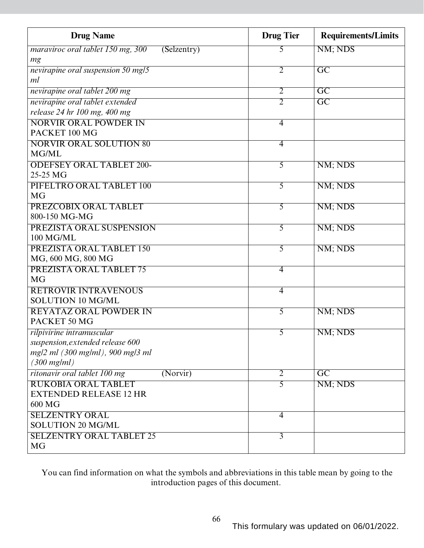| <b>Drug Name</b>                                 | <b>Drug Tier</b> | <b>Requirements/Limits</b> |
|--------------------------------------------------|------------------|----------------------------|
| maraviroc oral tablet 150 mg, 300<br>(Selzentry) | 5                | NM; NDS                    |
| mg                                               |                  |                            |
| nevirapine oral suspension 50 mg/5               | $\overline{2}$   | $\overline{\mathrm{GC}}$   |
| ml                                               |                  |                            |
| nevirapine oral tablet 200 mg                    | $\overline{2}$   | $\overline{GC}$            |
| nevirapine oral tablet extended                  | $\overline{2}$   | $\overline{\mathrm{GC}}$   |
| release 24 hr 100 mg, 400 mg                     |                  |                            |
| NORVIR ORAL POWDER IN                            | $\overline{4}$   |                            |
| PACKET 100 MG                                    |                  |                            |
| <b>NORVIR ORAL SOLUTION 80</b>                   | $\overline{4}$   |                            |
| MG/ML                                            |                  |                            |
| <b>ODEFSEY ORAL TABLET 200-</b>                  | 5                | NM; NDS                    |
| 25-25 MG                                         |                  |                            |
| PIFELTRO ORAL TABLET 100                         | 5                | NM; NDS                    |
| <b>MG</b>                                        |                  |                            |
| PREZCOBIX ORAL TABLET                            | 5                | NM; NDS                    |
| 800-150 MG-MG                                    |                  |                            |
| PREZISTA ORAL SUSPENSION                         | $\overline{5}$   | NM; NDS                    |
| 100 MG/ML                                        |                  |                            |
| PREZISTA ORAL TABLET 150                         | 5                | NM; NDS                    |
| MG, 600 MG, 800 MG                               |                  |                            |
| PREZISTA ORAL TABLET 75                          | $\overline{4}$   |                            |
| <b>MG</b>                                        |                  |                            |
| <b>RETROVIR INTRAVENOUS</b>                      | $\overline{4}$   |                            |
| <b>SOLUTION 10 MG/ML</b>                         |                  |                            |
| <b>REYATAZ ORAL POWDER IN</b>                    | 5                | NM; NDS                    |
| PACKET 50 MG                                     |                  |                            |
| rilpivirine intramuscular                        | $\overline{5}$   | NM; NDS                    |
| suspension, extended release 600                 |                  |                            |
| mg/2 ml (300 mg/ml), 900 mg/3 ml                 |                  |                            |
| $(300 \text{ mg/ml})$                            |                  |                            |
| ritonavir oral tablet 100 mg<br>(Norvir)         | $\overline{2}$   | $\overline{GC}$            |
| <b>RUKOBIA ORAL TABLET</b>                       | $\overline{5}$   | NM; NDS                    |
| <b>EXTENDED RELEASE 12 HR</b>                    |                  |                            |
| 600 MG                                           |                  |                            |
| <b>SELZENTRY ORAL</b>                            | $\overline{4}$   |                            |
| <b>SOLUTION 20 MG/ML</b>                         |                  |                            |
| <b>SELZENTRY ORAL TABLET 25</b>                  | $\overline{3}$   |                            |
| <b>MG</b>                                        |                  |                            |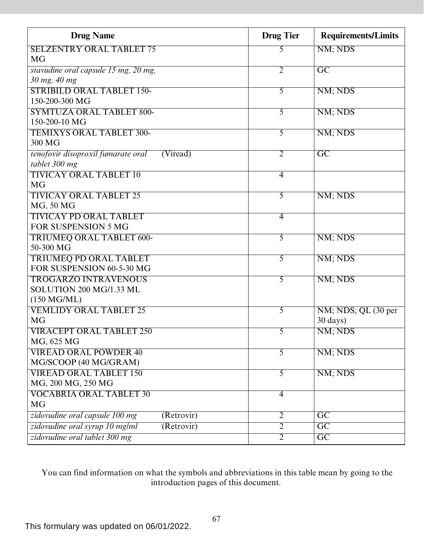| <b>Drug Name</b>                               | <b>Drug Tier</b> | <b>Requirements/Limits</b> |
|------------------------------------------------|------------------|----------------------------|
| <b>SELZENTRY ORAL TABLET 75</b>                | 5                | NM; NDS                    |
| <b>MG</b>                                      |                  |                            |
| stavudine oral capsule 15 mg, 20 mg,           | $\overline{2}$   | $\overline{GC}$            |
| 30 mg, 40 mg                                   |                  |                            |
| <b>STRIBILD ORAL TABLET 150-</b>               | 5                | NM; NDS                    |
| 150-200-300 MG                                 |                  |                            |
| <b>SYMTUZA ORAL TABLET 800-</b>                | 5                | NM; NDS                    |
| 150-200-10 MG                                  |                  |                            |
| <b>TEMIXYS ORAL TABLET 300-</b>                | 5                | NM; NDS                    |
| 300 MG                                         |                  |                            |
| tenofovir disoproxil fumarate oral<br>(Viread) | $\overline{2}$   | $\overline{GC}$            |
| tablet 300 mg                                  |                  |                            |
| <b>TIVICAY ORAL TABLET 10</b>                  | $\overline{4}$   |                            |
| <b>MG</b>                                      |                  |                            |
| <b>TIVICAY ORAL TABLET 25</b>                  | $\overline{5}$   | NM; NDS                    |
| MG, 50 MG                                      |                  |                            |
| <b>TIVICAY PD ORAL TABLET</b>                  | $\overline{4}$   |                            |
| <b>FOR SUSPENSION 5 MG</b>                     |                  |                            |
| <b>TRIUMEQ ORAL TABLET 600-</b>                | $\overline{5}$   | NM; NDS                    |
| 50-300 MG                                      |                  |                            |
| <b>TRIUMEQ PD ORAL TABLET</b>                  | 5                | NM; NDS                    |
| FOR SUSPENSION 60-5-30 MG                      |                  |                            |
| <b>TROGARZO INTRAVENOUS</b>                    | $\overline{5}$   | NM; NDS                    |
| SOLUTION 200 MG/1.33 ML                        |                  |                            |
| $(150 \text{ MG/ML})$                          |                  |                            |
| <b>VEMLIDY ORAL TABLET 25</b>                  | 5                | NM; NDS; QL (30 per        |
| <b>MG</b>                                      |                  | $30 \text{ days}$          |
| <b>VIRACEPT ORAL TABLET 250</b>                | $\overline{5}$   | NM; NDS                    |
| MG, 625 MG                                     |                  |                            |
| <b>VIREAD ORAL POWDER 40</b>                   | 5                | NM; NDS                    |
| MG/SCOOP (40 MG/GRAM)                          |                  |                            |
| <b>VIREAD ORAL TABLET 150</b>                  | 5                | NM; NDS                    |
| MG, 200 MG, 250 MG                             |                  |                            |
| <b>VOCABRIA ORAL TABLET 30</b>                 | $\overline{4}$   |                            |
| <b>MG</b>                                      |                  |                            |
| zidovudine oral capsule 100 mg<br>(Retrovir)   | $\overline{2}$   | $\overline{GC}$            |
| zidovudine oral syrup 10 mg/ml<br>(Retrovir)   | $\overline{2}$   | $\overline{GC}$            |
| zidovudine oral tablet 300 mg                  | $\overline{2}$   | $\overline{GC}$            |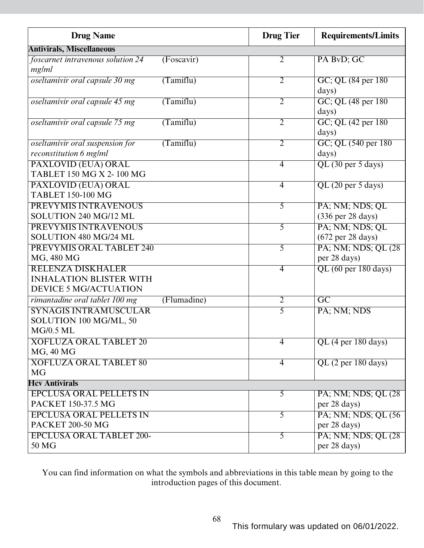| <b>Drug Name</b>                                                                           |             | <b>Drug Tier</b> | <b>Requirements/Limits</b>                              |
|--------------------------------------------------------------------------------------------|-------------|------------------|---------------------------------------------------------|
| <b>Antivirals, Miscellaneous</b>                                                           |             |                  |                                                         |
| foscarnet intravenous solution 24<br>mg/ml                                                 | (Foscavir)  | $\overline{2}$   | PA BvD; GC                                              |
| oseltamivir oral capsule 30 mg                                                             | (Tamiflu)   | $\overline{2}$   | GC; QL (84 per 180)<br>days)                            |
| oseltamivir oral capsule 45 mg                                                             | (Tamiflu)   | $\overline{2}$   | GC; QL (48 per 180)<br>days)                            |
| oseltamivir oral capsule 75 mg                                                             | (Tamiflu)   | $\overline{2}$   | GC; QL (42 per 180)<br>days)                            |
| oseltamivir oral suspension for<br>reconstitution 6 mg/ml                                  | (Tamiflu)   | $\overline{2}$   | GC; QL (540 per 180)<br>days)                           |
| PAXLOVID (EUA) ORAL<br>TABLET 150 MG X 2-100 MG                                            |             | $\overline{4}$   | QL (30 per 5 days)                                      |
| <b>PAXLOVID (EUA) ORAL</b><br><b>TABLET 150-100 MG</b>                                     |             | $\overline{4}$   | QL (20 per 5 days)                                      |
| <b>PREVYMIS INTRAVENOUS</b><br>SOLUTION 240 MG/12 ML                                       |             | 5                | PA; NM; NDS; QL<br>(336 per 28 days)                    |
| PREVYMIS INTRAVENOUS<br>SOLUTION 480 MG/24 ML                                              |             | $\overline{5}$   | PA; NM; NDS; QL<br>$(672 \text{ per } 28 \text{ days})$ |
| PREVYMIS ORAL TABLET 240<br>MG, 480 MG                                                     |             | 5                | PA; NM; NDS; QL (28)<br>per 28 days)                    |
| <b>RELENZA DISKHALER</b><br><b>INHALATION BLISTER WITH</b><br><b>DEVICE 5 MG/ACTUATION</b> |             | $\overline{4}$   | $\overline{QL(60 \text{ per } 180 \text{ days})}$       |
| rimantadine oral tablet 100 mg                                                             | (Flumadine) | $\overline{2}$   | $\overline{GC}$                                         |
| <b>SYNAGIS INTRAMUSCULAR</b><br>SOLUTION 100 MG/ML, 50<br><b>MG/0.5 ML</b>                 |             | 5                | PA; NM; NDS                                             |
| <b>XOFLUZA ORAL TABLET 20</b><br>MG, 40 MG                                                 |             | $\overline{4}$   | QL (4 per 180 days)                                     |
| <b>XOFLUZA ORAL TABLET 80</b><br><b>MG</b>                                                 |             | $\overline{4}$   | QL (2 per 180 days)                                     |
| <b>Hcv Antivirals</b>                                                                      |             |                  |                                                         |
| <b>EPCLUSA ORAL PELLETS IN</b><br>PACKET 150-37.5 MG                                       |             | 5                | PA; NM; NDS; QL (28)<br>per 28 days)                    |
| <b>EPCLUSA ORAL PELLETS IN</b><br>PACKET 200-50 MG                                         |             | $\overline{5}$   | PA; NM; NDS; QL (56)<br>per 28 days)                    |
| <b>EPCLUSA ORAL TABLET 200-</b><br>50 MG                                                   |             | 5                | PA; NM; NDS; QL (28)<br>per 28 days)                    |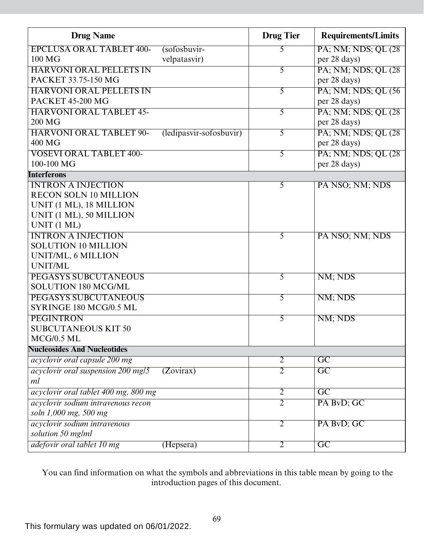| <b>Drug Name</b>                           |                         | <b>Drug Tier</b> | <b>Requirements/Limits</b> |
|--------------------------------------------|-------------------------|------------------|----------------------------|
| <b>EPCLUSA ORAL TABLET 400-</b>            | (sofosbuvir-            | 5                | PA; NM; NDS; QL (28)       |
| 100 MG                                     | velpatasvir)            |                  | per 28 days)               |
| <b>HARVONI ORAL PELLETS IN</b>             |                         | 5                | PA; NM; NDS; QL (28)       |
| PACKET 33.75-150 MG                        |                         |                  | per 28 days)               |
| <b>HARVONI ORAL PELLETS IN</b>             |                         | 5                | PA; NM; NDS; QL (56)       |
| <b>PACKET 45-200 MG</b>                    |                         |                  | per 28 days)               |
| <b>HARVONI ORAL TABLET 45-</b>             |                         | $\overline{5}$   | PA; NM; NDS; QL (28)       |
| 200 MG                                     |                         |                  | per 28 days)               |
| <b>HARVONI ORAL TABLET 90-</b>             | (ledipasvir-sofosbuvir) | 5                | PA; NM; NDS; QL (28)       |
| 400 MG                                     |                         |                  | per 28 days)               |
| <b>VOSEVI ORAL TABLET 400-</b>             |                         | $\overline{5}$   | PA; NM; NDS; QL (28)       |
| 100-100 MG                                 |                         |                  | per 28 days)               |
| <b>Interferons</b>                         |                         |                  |                            |
| <b>INTRON A INJECTION</b>                  |                         | $\overline{5}$   | PA NSO; NM; NDS            |
| <b>RECON SOLN 10 MILLION</b>               |                         |                  |                            |
| UNIT (1 ML), 18 MILLION                    |                         |                  |                            |
| UNIT (1 ML), 50 MILLION                    |                         |                  |                            |
| UNIT (1 ML)                                |                         |                  |                            |
| <b>INTRON A INJECTION</b>                  |                         | 5                | PA NSO; NM; NDS            |
| <b>SOLUTION 10 MILLION</b>                 |                         |                  |                            |
| UNIT/ML, 6 MILLION                         |                         |                  |                            |
| UNIT/ML                                    |                         |                  |                            |
| <b>PEGASYS SUBCUTANEOUS</b>                |                         | 5                | NM; NDS                    |
| <b>SOLUTION 180 MCG/ML</b>                 |                         |                  |                            |
| PEGASYS SUBCUTANEOUS                       |                         | 5                | NM; NDS                    |
| SYRINGE 180 MCG/0.5 ML                     |                         |                  |                            |
| <b>PEGINTRON</b>                           |                         | 5                | NM; NDS                    |
| <b>SUBCUTANEOUS KIT 50</b><br>$MCG/0.5$ ML |                         |                  |                            |
| <b>Nucleosides And Nucleotides</b>         |                         |                  |                            |
|                                            |                         | $\overline{2}$   | $\overline{GC}$            |
| acyclovir oral capsule 200 mg              |                         |                  |                            |
| acyclovir oral suspension 200 mg/5<br>ml   | (Zovirax)               | $\overline{2}$   | $\overline{GC}$            |
|                                            |                         | $\overline{2}$   | $\overline{GC}$            |
| acyclovir oral tablet 400 mg, 800 mg       |                         |                  |                            |
| acyclovir sodium intravenous recon         |                         | $\overline{2}$   | PA BvD; GC                 |
| soln 1,000 mg, 500 mg                      |                         |                  |                            |
| acyclovir sodium intravenous               |                         | $\overline{2}$   | PA BvD; GC                 |
| solution 50 mg/ml                          |                         |                  |                            |
| adefovir oral tablet 10 mg                 | (Hepsera)               | $\overline{2}$   | $\overline{GC}$            |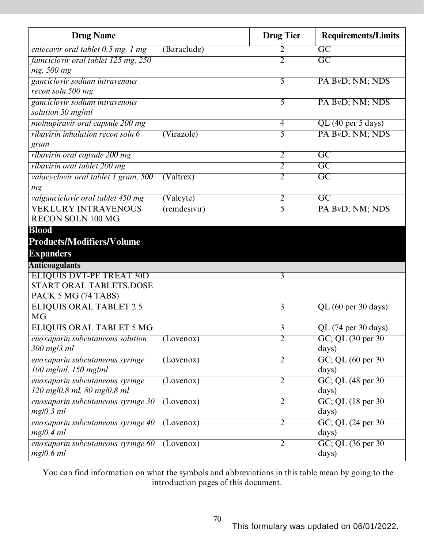| <b>Drug Name</b>                                        |                    | <b>Drug Tier</b> | <b>Requirements/Limits</b>  |
|---------------------------------------------------------|--------------------|------------------|-----------------------------|
| entecavir oral tablet 0.5 mg, 1 mg                      | (Baraclude)        | 2                | $\overline{GC}$             |
| famciclovir oral tablet 125 mg, 250                     |                    | $\overline{2}$   | $\overline{GC}$             |
| mg, 500 mg                                              |                    |                  |                             |
| ganciclovir sodium intravenous                          |                    | 5                | PA BvD; NM; NDS             |
| recon soln 500 mg                                       |                    |                  |                             |
| ganciclovir sodium intravenous<br>solution 50 mg/ml     |                    | 5                | PA BvD; NM; NDS             |
| molnupiravir oral capsule 200 mg                        |                    | 4                | QL (40 per 5 days)          |
| ribavirin inhalation recon soln 6                       | (Virazole)         | 5                | PA BvD; NM; NDS             |
| gram                                                    |                    |                  |                             |
| ribavirin oral capsule 200 mg                           |                    | $\overline{2}$   | $\overline{GC}$             |
| ribavirin oral tablet 200 mg                            |                    | $\overline{2}$   | $\overline{GC}$             |
| valacyclovir oral tablet 1 gram, 500                    | (Valtres)          | $\overline{2}$   | $\overline{GC}$             |
| mg                                                      |                    |                  |                             |
| valganciclovir oral tablet 450 mg                       | (Valcyte)          | $\overline{2}$   | $\overline{GC}$             |
| <b>VEKLURY INTRAVENOUS</b>                              | $($ remdesivir $)$ | 5                | PA ByD; NM; NDS             |
| <b>RECON SOLN 100 MG</b>                                |                    |                  |                             |
| <b>Blood</b>                                            |                    |                  |                             |
| <b>Products/Modifiers/Volume</b>                        |                    |                  |                             |
| <b>Expanders</b>                                        |                    |                  |                             |
| <b>Anticoagulants</b>                                   |                    |                  |                             |
| <b>ELIQUIS DVT-PE TREAT 30D</b>                         |                    | $\overline{3}$   |                             |
| START ORAL TABLETS, DOSE                                |                    |                  |                             |
| PACK 5 MG (74 TABS)                                     |                    |                  |                             |
| <b>ELIQUIS ORAL TABLET 2.5</b>                          |                    | $\overline{3}$   | QL (60 per 30 days)         |
| <b>MG</b>                                               |                    |                  |                             |
| <b>ELIQUIS ORAL TABLET 5 MG</b>                         |                    | $\overline{3}$   | $QL$ (74 per 30 days)       |
| enoxaparin subcutaneous solution                        | (Lovenox)          | 2                | GC; QL (30 per 30)          |
| 300 mg/3 ml                                             |                    |                  | days)                       |
| enoxaparin subcutaneous syringe<br>100 mg/ml, 150 mg/ml | (Lovenox)          | $\overline{2}$   | GC; QL (60 per 30)<br>days) |
| enoxaparin subcutaneous syringe                         | (Lovenox)          | $\overline{2}$   | GC; QL (48 per 30)          |
| 120 mg/0.8 ml, 80 mg/0.8 ml                             |                    |                  | days)                       |
| enoxaparin subcutaneous syringe 30                      | (Lovenox)          | $\overline{2}$   | $GC$ ; QL $(18$ per 30      |
| mg/0.3 ml                                               |                    |                  | days)                       |
| enoxaparin subcutaneous syringe 40                      | (Lovenox)          | $\overline{2}$   | GC; QL (24 per 30)          |
| mg/0.4 ml                                               |                    |                  | days)                       |
| enoxaparin subcutaneous syringe 60                      | (Lovenox)          | $\overline{2}$   | GC; QL (36 per 30)          |
| mg/0.6 ml                                               |                    |                  | days)                       |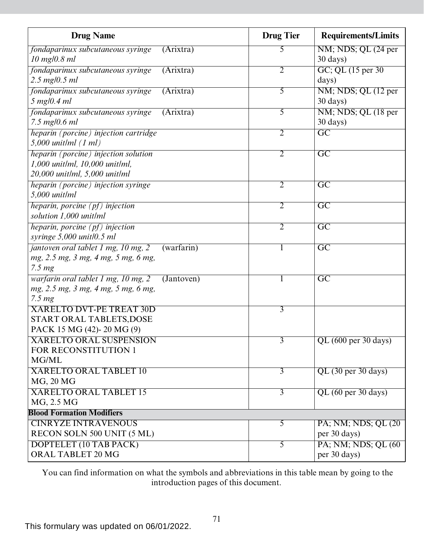| <b>Drug Name</b>                                     |            | <b>Drug Tier</b> | <b>Requirements/Limits</b> |
|------------------------------------------------------|------------|------------------|----------------------------|
| fondaparinux subcutaneous syringe                    | (Arixtra)  | 5                | NM; NDS; QL (24 per        |
| $10$ mg/0.8 ml                                       |            |                  | $30 \text{ days}$          |
| fondaparinux subcutaneous syringe                    | (Arixtra)  | $\overline{2}$   | GC; QL (15 per 30)         |
| $2.5 \text{ mg}/0.5 \text{ ml}$                      |            |                  | days)                      |
| fondaparinux subcutaneous syringe                    | (Arixtra)  | 5                | NM; NDS; QL (12 per        |
| $5$ mg/0.4 ml                                        |            |                  | $30 \text{ days}$          |
| fondaparinux subcutaneous syringe                    | (Arixtra)  | $\overline{5}$   | NM; NDS; QL (18 per        |
| 7.5 mg/0.6 ml                                        |            |                  | 30 days)                   |
| heparin (porcine) injection cartridge                |            | 2                | $\overline{GC}$            |
| $5,000$ unit/ml $(1 ml)$                             |            |                  |                            |
| heparin (porcine) injection solution                 |            | $\overline{2}$   | $\overline{GC}$            |
| 1,000 unit/ml, 10,000 unit/ml,                       |            |                  |                            |
| 20,000 unit/ml, 5,000 unit/ml                        |            |                  |                            |
| heparin (porcine) injection syringe                  |            | 2                | $\overline{\mathrm{GC}}$   |
| $5,000$ unit/ml                                      |            |                  |                            |
| heparin, porcine $(pt)$ injection                    |            | $\overline{2}$   | $\overline{GC}$            |
| solution 1,000 unit/ml                               |            |                  |                            |
| heparin, porcine $(pt)$ injection                    |            | $\overline{2}$   | $\overline{GC}$            |
| syringe 5,000 unit/0.5 ml                            |            |                  |                            |
| jantoven oral tablet 1 mg, 10 mg, 2                  | (warfarin) |                  | $\overline{GC}$            |
| mg, 2.5 mg, 3 mg, 4 mg, 5 mg, 6 mg,                  |            |                  |                            |
| 7.5 <sub>mg</sub>                                    |            |                  |                            |
| warfarin oral tablet 1 mg, 10 mg, 2                  | (Jantoven) |                  | $\overline{\mathrm{GC}}$   |
| mg, 2.5 mg, 3 mg, 4 mg, 5 mg, 6 mg,                  |            |                  |                            |
| 7.5 <sub>mg</sub><br><b>XARELTO DVT-PE TREAT 30D</b> |            | $\overline{3}$   |                            |
| START ORAL TABLETS, DOSE                             |            |                  |                            |
| PACK 15 MG (42)-20 MG (9)                            |            |                  |                            |
| <b>XARELTO ORAL SUSPENSION</b>                       |            | $\overline{3}$   | QL (600 per 30 days)       |
| FOR RECONSTITUTION 1                                 |            |                  |                            |
| MG/ML                                                |            |                  |                            |
| <b>XARELTO ORAL TABLET 10</b>                        |            | $\overline{3}$   | QL (30 per 30 days)        |
| MG, 20 MG                                            |            |                  |                            |
| <b>XARELTO ORAL TABLET 15</b>                        |            | $\overline{3}$   | QL (60 per 30 days)        |
| MG, 2.5 MG                                           |            |                  |                            |
| <b>Blood Formation Modifiers</b>                     |            |                  |                            |
| <b>CINRYZE INTRAVENOUS</b>                           |            | $\overline{5}$   | PA; NM; NDS; QL (20)       |
| RECON SOLN 500 UNIT (5 ML)                           |            |                  | per 30 days)               |
| DOPTELET (10 TAB PACK)                               |            | $\overline{5}$   | PA; NM; NDS; QL (60)       |
| ORAL TABLET 20 MG                                    |            |                  | per 30 days)               |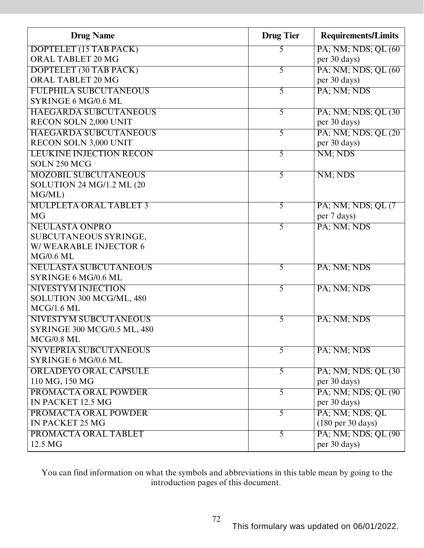| <b>Drug Name</b>                   | <b>Drug Tier</b> | <b>Requirements/Limits</b>           |
|------------------------------------|------------------|--------------------------------------|
| DOPTELET (15 TAB PACK)             | 5                | PA; NM; NDS; QL (60)                 |
| ORAL TABLET 20 MG                  |                  | per 30 days)                         |
| DOPTELET (30 TAB PACK)             | 5                | PA; NM; NDS; QL (60)                 |
| ORAL TABLET 20 MG                  |                  | per 30 days)                         |
| <b>FULPHILA SUBCUTANEOUS</b>       | 5                | PA; NM; NDS                          |
| SYRINGE 6 MG/0.6 ML                |                  |                                      |
| <b>HAEGARDA SUBCUTANEOUS</b>       | $\overline{5}$   | PA; NM; NDS; QL (30)                 |
| RECON SOLN 2,000 UNIT              |                  | per 30 days)                         |
| <b>HAEGARDA SUBCUTANEOUS</b>       | 5                | PA; NM; NDS; QL (20)                 |
| RECON SOLN 3,000 UNIT              |                  | per 30 days)                         |
| <b>LEUKINE INJECTION RECON</b>     | $\overline{5}$   | NM; NDS                              |
| SOLN 250 MCG                       |                  |                                      |
| <b>MOZOBIL SUBCUTANEOUS</b>        | $\overline{5}$   | NM; NDS                              |
| SOLUTION 24 MG/1.2 ML (20          |                  |                                      |
| MG/ML)                             |                  |                                      |
| <b>MULPLETA ORAL TABLET 3</b>      | $\overline{5}$   | PA; NM; NDS; QL (7)                  |
| <b>MG</b>                          |                  | per 7 days)                          |
| <b>NEULASTA ONPRO</b>              | $\overline{5}$   | PA; NM; NDS                          |
| SUBCUTANEOUS SYRINGE,              |                  |                                      |
| W/WEARABLE INJECTOR 6              |                  |                                      |
| $MG/0.6$ ML                        |                  |                                      |
| <b>NEULASTA SUBCUTANEOUS</b>       | 5                | PA; NM; NDS                          |
| SYRINGE 6 MG/0.6 ML                |                  |                                      |
| <b>NIVESTYM INJECTION</b>          | $\overline{5}$   | PA; NM; NDS                          |
| SOLUTION 300 MCG/ML, 480           |                  |                                      |
| $MCG/1.6$ ML                       |                  |                                      |
| <b>NIVESTYM SUBCUTANEOUS</b>       | $\overline{5}$   | PA; NM; NDS                          |
| <b>SYRINGE 300 MCG/0.5 ML, 480</b> |                  |                                      |
| $MCG/0.8$ ML                       |                  |                                      |
| <b>NYVEPRIA SUBCUTANEOUS</b>       | $\overline{5}$   | PA; NM; NDS                          |
| SYRINGE 6 MG/0.6 ML                |                  |                                      |
| <b>ORLADEYO ORAL CAPSULE</b>       | $\overline{5}$   | PA; NM; NDS; QL (30)                 |
| 110 MG, 150 MG                     |                  | per 30 days)                         |
| PROMACTA ORAL POWDER               | $\overline{5}$   | PA; NM; NDS; QL (90)                 |
| IN PACKET 12.5 MG                  |                  | per 30 days)                         |
| PROMACTA ORAL POWDER               | $\overline{5}$   | PA; NM; NDS; QL                      |
| <b>IN PACKET 25 MG</b>             |                  | $(180 \text{ per } 30 \text{ days})$ |
| PROMACTA ORAL TABLET               | $\overline{5}$   | PA; NM; NDS; QL (90)                 |
| 12.5 MG                            |                  | per 30 days)                         |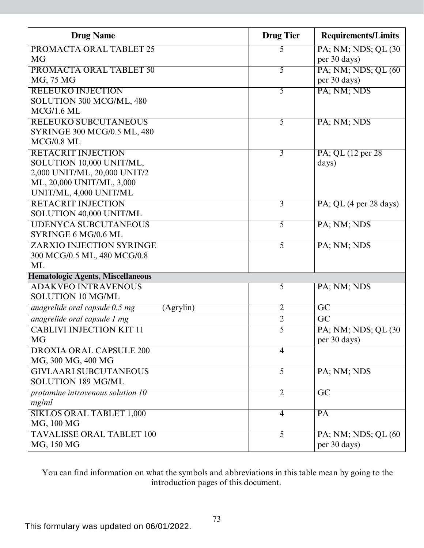| <b>Drug Name</b>                            | <b>Drug Tier</b> | <b>Requirements/Limits</b>                |
|---------------------------------------------|------------------|-------------------------------------------|
| PROMACTA ORAL TABLET 25                     | 5                | PA; NM; NDS; QL (30)                      |
| MG                                          |                  | per 30 days)                              |
| PROMACTA ORAL TABLET 50                     | 5                | PA; NM; NDS; QL (60)                      |
| MG, 75 MG                                   |                  | per 30 days)                              |
| <b>RELEUKO INJECTION</b>                    | 5                | PA; NM; NDS                               |
| SOLUTION 300 MCG/ML, 480                    |                  |                                           |
| $MCG/1.6$ ML                                |                  |                                           |
| <b>RELEUKO SUBCUTANEOUS</b>                 | $\overline{5}$   | PA; NM; NDS                               |
| <b>SYRINGE 300 MCG/0.5 ML, 480</b>          |                  |                                           |
| $MCG/0.8$ ML                                |                  |                                           |
| <b>RETACRIT INJECTION</b>                   | $\overline{3}$   | PA; QL (12 per 28)                        |
| SOLUTION 10,000 UNIT/ML,                    |                  | days)                                     |
| 2,000 UNIT/ML, 20,000 UNIT/2                |                  |                                           |
| ML, 20,000 UNIT/ML, 3,000                   |                  |                                           |
| UNIT/ML, 4,000 UNIT/ML                      |                  |                                           |
| <b>RETACRIT INJECTION</b>                   | $\overline{3}$   | PA; QL $(4 \text{ per } 28 \text{ days})$ |
| SOLUTION 40,000 UNIT/ML                     |                  |                                           |
| <b>UDENYCA SUBCUTANEOUS</b>                 | $\overline{5}$   | PA; NM; NDS                               |
| SYRINGE 6 MG/0.6 ML                         |                  |                                           |
| <b>ZARXIO INJECTION SYRINGE</b>             | $\overline{5}$   | PA; NM; NDS                               |
| 300 MCG/0.5 ML, 480 MCG/0.8                 |                  |                                           |
| ML                                          |                  |                                           |
| <b>Hematologic Agents, Miscellaneous</b>    |                  |                                           |
| <b>ADAKVEO INTRAVENOUS</b>                  | $\overline{5}$   | PA; NM; NDS                               |
| <b>SOLUTION 10 MG/ML</b>                    |                  |                                           |
| anagrelide oral capsule 0.5 mg<br>(Agrvlin) | $\overline{2}$   | $\overline{GC}$                           |
| anagrelide oral capsule 1 mg                | $\overline{2}$   | $\overline{GC}$                           |
| <b>CABLIVI INJECTION KIT 11</b>             | $\overline{5}$   | PA; NM; NDS; QL (30)                      |
| MG                                          |                  | per 30 days)                              |
| <b>DROXIA ORAL CAPSULE 200</b>              | $\overline{4}$   |                                           |
| MG, 300 MG, 400 MG                          |                  |                                           |
| <b>GIVLAARI SUBCUTANEOUS</b>                | 5                | PA; NM; NDS                               |
| <b>SOLUTION 189 MG/ML</b>                   |                  |                                           |
| protamine intravenous solution 10           | $\overline{2}$   | $\overline{\text{GC}}$                    |
| mg/ml                                       |                  |                                           |
| <b>SIKLOS ORAL TABLET 1,000</b>             | $\overline{4}$   | $\overline{PA}$                           |
| MG, 100 MG                                  |                  |                                           |
| <b>TAVALISSE ORAL TABLET 100</b>            | $\overline{5}$   | PA; NM; NDS; QL (60)                      |
| MG, 150 MG                                  |                  | per 30 days)                              |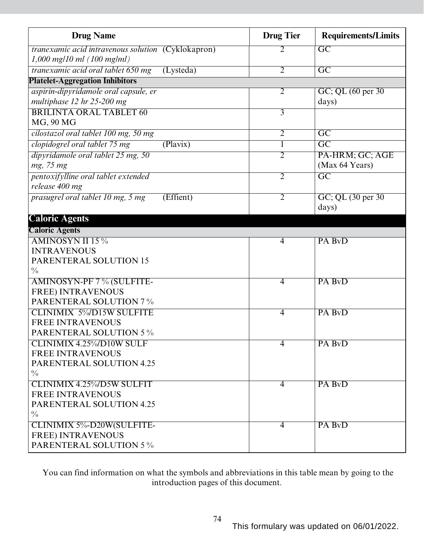| <b>Drug Name</b>                                          | <b>Drug Tier</b> | <b>Requirements/Limits</b> |
|-----------------------------------------------------------|------------------|----------------------------|
| <i>tranexamic acid intravenous solution</i> (Cyklokapron) | 2                | $\overline{\mathrm{GC}}$   |
| $1,000$ mg/10 ml (100 mg/ml)                              |                  |                            |
| tranexamic acid oral tablet 650 mg<br>(Lysteda)           | $\overline{2}$   | $\overline{GC}$            |
| <b>Platelet-Aggregation Inhibitors</b>                    |                  |                            |
| aspirin-dipyridamole oral capsule, er                     | $\overline{2}$   | GC; QL (60 per 30)         |
| multiphase 12 hr 25-200 mg                                |                  | days)                      |
| <b>BRILINTA ORAL TABLET 60</b>                            | $\overline{3}$   |                            |
| MG, 90 MG                                                 |                  |                            |
| cilostazol oral tablet 100 mg, 50 mg                      | $\overline{2}$   | $\overline{\mathrm{GC}}$   |
| clopidogrel oral tablet 75 mg<br>(Plavix)                 | 1                | $\overline{\mathrm{GC}}$   |
| dipyridamole oral tablet 25 mg, 50                        | $\overline{2}$   | PA-HRM; GC; AGE            |
| mg, 75 mg                                                 |                  | (Max 64 Years)             |
| pentoxifylline oral tablet extended                       | $\overline{2}$   | $\overline{\mathrm{GC}}$   |
| release 400 mg                                            |                  |                            |
| prasugrel oral tablet 10 mg, 5 mg<br>(Effient)            | $\overline{2}$   | GC; QL (30 per 30)         |
|                                                           |                  | days)                      |
| <b>Caloric Agents</b>                                     |                  |                            |
| <b>Caloric Agents</b>                                     |                  |                            |
| <b>AMINOSYN II 15%</b>                                    | 4                | PA BvD                     |
| <b>INTRAVENOUS</b>                                        |                  |                            |
| PARENTERAL SOLUTION 15                                    |                  |                            |
| $\frac{0}{0}$                                             |                  |                            |
| AMINOSYN-PF 7% (SULFITE-                                  | $\overline{4}$   | PA BvD                     |
| <b>FREE) INTRAVENOUS</b>                                  |                  |                            |
| <b>PARENTERAL SOLUTION 7%</b>                             |                  |                            |
| <b>CLINIMIX 5%D15W SULFITE</b>                            | $\overline{4}$   | PA BvD                     |
| <b>FREE INTRAVENOUS</b>                                   |                  |                            |
| <b>PARENTERAL SOLUTION 5 %</b>                            |                  |                            |
| <b>CLINIMIX 4.25%/D10W SULF</b>                           | 4                | PA BvD                     |
| <b>FREE INTRAVENOUS</b>                                   |                  |                            |
| PARENTERAL SOLUTION 4.25                                  |                  |                            |
| $\frac{0}{0}$                                             |                  |                            |
| <b>CLINIMIX 4.25%/D5W SULFIT</b>                          | 4                | PA BvD                     |
| <b>FREE INTRAVENOUS</b>                                   |                  |                            |
| PARENTERAL SOLUTION 4.25                                  |                  |                            |
| $\frac{0}{0}$                                             |                  |                            |
| CLINIMIX 5%-D20W(SULFITE-<br><b>FREE) INTRAVENOUS</b>     | 4                | PA BvD                     |
| <b>PARENTERAL SOLUTION 5%</b>                             |                  |                            |
|                                                           |                  |                            |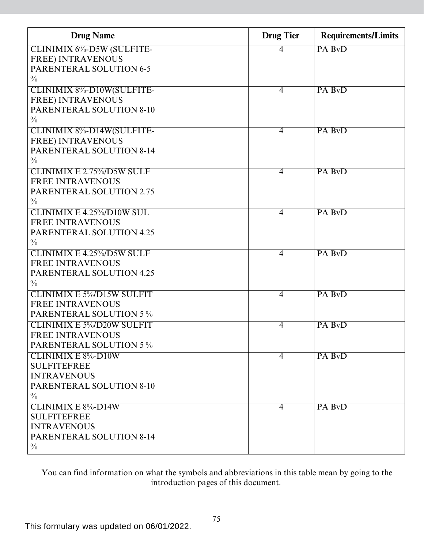| <b>Drug Name</b>                 | <b>Drug Tier</b> | <b>Requirements/Limits</b> |
|----------------------------------|------------------|----------------------------|
| CLINIMIX 6%-D5W (SULFITE-        | 4                | PA BvD                     |
| <b>FREE) INTRAVENOUS</b>         |                  |                            |
| <b>PARENTERAL SOLUTION 6-5</b>   |                  |                            |
| $\frac{0}{0}$                    |                  |                            |
| <b>CLINIMIX 8%-D10W(SULFITE-</b> | $\overline{4}$   | PA BvD                     |
| <b>FREE) INTRAVENOUS</b>         |                  |                            |
| <b>PARENTERAL SOLUTION 8-10</b>  |                  |                            |
| $\frac{0}{0}$                    |                  |                            |
| CLINIMIX 8%-D14W(SULFITE-        | $\overline{4}$   | PA BvD                     |
| <b>FREE) INTRAVENOUS</b>         |                  |                            |
| <b>PARENTERAL SOLUTION 8-14</b>  |                  |                            |
| $\frac{0}{0}$                    |                  |                            |
| <b>CLINIMIX E 2.75%/D5W SULF</b> | $\overline{4}$   | PA BvD                     |
| <b>FREE INTRAVENOUS</b>          |                  |                            |
| <b>PARENTERAL SOLUTION 2.75</b>  |                  |                            |
| $\frac{0}{0}$                    |                  |                            |
| <b>CLINIMIX E 4.25%/D10W SUL</b> | $\overline{4}$   | PA BvD                     |
| <b>FREE INTRAVENOUS</b>          |                  |                            |
| PARENTERAL SOLUTION 4.25         |                  |                            |
| $\frac{0}{0}$                    |                  |                            |
| <b>CLINIMIX E 4.25%/D5W SULF</b> | $\overline{4}$   | PA BvD                     |
| <b>FREE INTRAVENOUS</b>          |                  |                            |
| <b>PARENTERAL SOLUTION 4.25</b>  |                  |                            |
| $\frac{0}{0}$                    |                  |                            |
| <b>CLINIMIX E 5%D15W SULFIT</b>  | $\overline{4}$   | PA BvD                     |
| <b>FREE INTRAVENOUS</b>          |                  |                            |
| <b>PARENTERAL SOLUTION 5%</b>    |                  |                            |
| <b>CLINIMIX E 5%D20W SULFIT</b>  | $\overline{4}$   | PA BvD                     |
| <b>FREE INTRAVENOUS</b>          |                  |                            |
| <b>PARENTERAL SOLUTION 5%</b>    |                  |                            |
| <b>CLINIMIX E 8%-D10W</b>        | $\overline{4}$   | PA BvD                     |
| <b>SULFITEFREE</b>               |                  |                            |
| <b>INTRAVENOUS</b>               |                  |                            |
| <b>PARENTERAL SOLUTION 8-10</b>  |                  |                            |
| $\frac{0}{0}$                    |                  |                            |
| <b>CLINIMIX E 8%-D14W</b>        | $\overline{4}$   | PA BvD                     |
| <b>SULFITEFREE</b>               |                  |                            |
| <b>INTRAVENOUS</b>               |                  |                            |
| <b>PARENTERAL SOLUTION 8-14</b>  |                  |                            |
| $\frac{0}{0}$                    |                  |                            |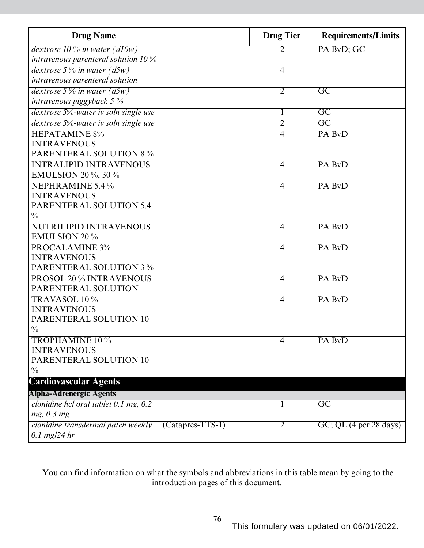| <b>Drug Name</b>                                         | <b>Drug Tier</b> | <b>Requirements/Limits</b> |
|----------------------------------------------------------|------------------|----------------------------|
| dextrose 10 % in water (d10w)                            | 2                | PA BvD; GC                 |
| intravenous parenteral solution $10\%$                   |                  |                            |
| dextrose $5\%$ in water ( $d5w$ )                        | $\overline{4}$   |                            |
| intravenous parenteral solution                          |                  |                            |
| dextrose $5\%$ in water $(d5w)$                          | $\overline{2}$   | $\overline{GC}$            |
| intravenous piggyback $5\%$                              |                  |                            |
| dextrose 5%-water iv soln single use                     | 1                | $\overline{\rm GC}$        |
| dextrose 5%-water iv soln single use                     | 2                | $\overline{GC}$            |
| <b>HEPATAMINE 8%</b>                                     | 4                | PA BvD                     |
| <b>INTRAVENOUS</b>                                       |                  |                            |
| <b>PARENTERAL SOLUTION 8 %</b>                           |                  |                            |
| <b>INTRALIPID INTRAVENOUS</b>                            | $\overline{4}$   | PA BvD                     |
| <b>EMULSION 20 %, 30 %</b>                               |                  |                            |
| NEPHRAMINE 5.4 %                                         | 4                | PA BvD                     |
| <b>INTRAVENOUS</b>                                       |                  |                            |
| <b>PARENTERAL SOLUTION 5.4</b>                           |                  |                            |
| $\frac{0}{0}$                                            |                  |                            |
| <b>NUTRILIPID INTRAVENOUS</b>                            | $\overline{4}$   | PA BvD                     |
| <b>EMULSION 20%</b>                                      |                  |                            |
| PROCALAMINE 3%                                           | $\overline{4}$   | PA BvD                     |
| <b>INTRAVENOUS</b>                                       |                  |                            |
| <b>PARENTERAL SOLUTION 3%</b>                            |                  |                            |
| <b>PROSOL 20 % INTRAVENOUS</b>                           | $\overline{4}$   | PA BvD                     |
| PARENTERAL SOLUTION                                      |                  |                            |
| TRAVASOL 10 %                                            | $\overline{4}$   | PA BvD                     |
| <b>INTRAVENOUS</b>                                       |                  |                            |
| PARENTERAL SOLUTION 10                                   |                  |                            |
| $\frac{0}{0}$                                            |                  |                            |
| <b>TROPHAMINE 10 %</b>                                   | 4                | PA BvD                     |
| <b>INTRAVENOUS</b>                                       |                  |                            |
| PARENTERAL SOLUTION 10                                   |                  |                            |
| $\frac{0}{0}$                                            |                  |                            |
| <b>Cardiovascular Agents</b>                             |                  |                            |
| <b>Alpha-Adrenergic Agents</b>                           |                  |                            |
| clonidine hcl oral tablet $0.1$ mg, $0.2$                |                  | $\overline{GC}$            |
| mg, 0.3 mg                                               |                  |                            |
| clonidine transdermal patch weekly<br>$(Catapres-TTS-1)$ | $\overline{2}$   | $GC$ ; QL (4 per 28 days)  |
| $0.1$ mg/24 hr                                           |                  |                            |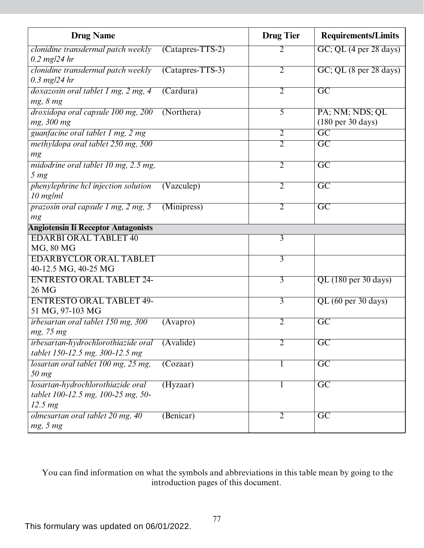| <b>Drug Name</b>                                                                              |                    | <b>Drug Tier</b> | <b>Requirements/Limits</b>                              |
|-----------------------------------------------------------------------------------------------|--------------------|------------------|---------------------------------------------------------|
| clonidine transdermal patch weekly<br>$0.2 \text{ mg}/24 \text{ hr}$                          | $(Catapres-TTS-2)$ | 2                | GC; QL (4 per 28 days)                                  |
| clonidine transdermal patch weekly<br>$0.3$ mg/24 hr                                          | $(Catapres-TTS-3)$ | $\overline{2}$   | $GC$ ; QL $(8 \text{ per } 28 \text{ days})$            |
| doxazosin oral tablet 1 mg, 2 mg, 4<br>mg, 8 mg                                               | (Cardura)          | $\overline{2}$   | $\overline{GC}$                                         |
| droxidopa oral capsule 100 mg, 200<br>mg, 300 mg                                              | (Northera)         | $\overline{5}$   | PA; NM; NDS; QL<br>$(180 \text{ per } 30 \text{ days})$ |
| guanfacine oral tablet 1 mg, 2 mg                                                             |                    | $\overline{2}$   | $\overline{GC}$                                         |
| methyldopa oral tablet 250 mg, 500<br>mg                                                      |                    | $\overline{2}$   | $\overline{GC}$                                         |
| midodrine oral tablet 10 mg, 2.5 mg,<br>5 <sub>mg</sub>                                       |                    | $\overline{2}$   | $\overline{GC}$                                         |
| phenylephrine hcl injection solution<br>$10$ mg/ml                                            | (Vazculep)         | $\overline{2}$   | $\overline{GC}$                                         |
| prazosin oral capsule 1 mg, 2 mg, 5<br>mg                                                     | (Minipress)        | $\overline{2}$   | $\overline{GC}$                                         |
| <b>Angiotensin Ii Receptor Antagonists</b>                                                    |                    |                  |                                                         |
| <b>EDARBI ORAL TABLET 40</b><br><b>MG, 80 MG</b>                                              |                    | $\overline{3}$   |                                                         |
| <b>EDARBYCLOR ORAL TABLET</b><br>40-12.5 MG, 40-25 MG                                         |                    | $\overline{3}$   |                                                         |
| <b>ENTRESTO ORAL TABLET 24-</b><br>26 MG                                                      |                    | $\overline{3}$   | QL (180 per 30 days)                                    |
| <b>ENTRESTO ORAL TABLET 49-</b><br>51 MG, 97-103 MG                                           |                    | $\overline{3}$   | QL (60 per 30 days)                                     |
| irbesartan oral tablet 150 mg, 300<br>mg, 75 mg                                               | (Avapro)           | $\overline{2}$   | $\overline{GC}$                                         |
| irbesartan-hydrochlorothiazide oral<br>tablet 150-12.5 mg, 300-12.5 mg                        | (Avalide)          | 2                | $\overline{GC}$                                         |
| losartan oral tablet 100 mg, 25 mg,<br>$50$ mg                                                | (Cozaar)           |                  | $\overline{GC}$                                         |
| losartan-hydrochlorothiazide oral<br>tablet 100-12.5 mg, 100-25 mg, 50-<br>12.5 <sub>mg</sub> | (Hyzaar)           | $\mathbf{I}$     | $\overline{GC}$                                         |
| olmesartan oral tablet 20 mg, 40<br>mg, 5 mg                                                  | (Benicar)          | $\overline{2}$   | $\overline{GC}$                                         |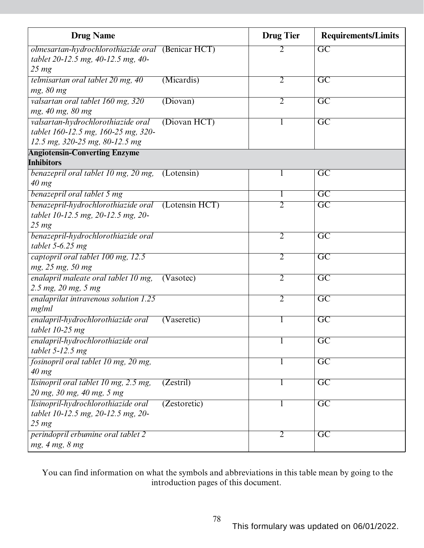| <b>Drug Name</b>                                          |              | <b>Drug Tier</b> | <b>Requirements/Limits</b> |
|-----------------------------------------------------------|--------------|------------------|----------------------------|
| olmesartan-hydrochlorothiazide oral (Benicar HCT)         |              | 2                | $\overline{GC}$            |
| tablet 20-12.5 mg, 40-12.5 mg, 40-                        |              |                  |                            |
| $25 \, mg$                                                |              |                  |                            |
| telmisartan oral tablet 20 mg, 40                         | (Micardis)   | $\overline{2}$   | $\overline{\rm GC}$        |
| mg, 80 mg<br>valsartan oral tablet 160 mg, 320            | (Diovan)     | $\overline{2}$   | $\overline{\text{GC}}$     |
| mg, 40 mg, 80 mg                                          |              |                  |                            |
| valsartan-hydrochlorothiazide oral                        | (Diovan HCT) |                  | $\overline{\text{GC}}$     |
| tablet 160-12.5 mg, 160-25 mg, 320-                       |              |                  |                            |
| 12.5 mg, 320-25 mg, 80-12.5 mg                            |              |                  |                            |
| <b>Angiotensin-Converting Enzyme</b>                      |              |                  |                            |
| <b>Inhibitors</b>                                         |              |                  |                            |
| benazepril oral tablet 10 mg, 20 mg,                      | (Lotensin)   |                  | $\overline{\text{GC}}$     |
| $40$ mg                                                   |              |                  |                            |
| benazepril oral tablet 5 mg                               |              |                  | $\overline{GC}$            |
| benazepril-hydrochlorothiazide oral (Lotensin HCT)        |              | $\overline{2}$   | $\overline{\mathrm{GC}}$   |
| tablet 10-12.5 mg, 20-12.5 mg, 20-                        |              |                  |                            |
| $25 \, mg$                                                |              | $\overline{2}$   |                            |
| benazepril-hydrochlorothiazide oral<br>tablet $5-6.25$ mg |              |                  | $\overline{\mathrm{GC}}$   |
| captopril oral tablet 100 mg, 12.5                        |              | $\overline{2}$   | $\overline{\mathrm{GC}}$   |
| mg, 25 mg, 50 mg                                          |              |                  |                            |
| enalapril maleate oral tablet 10 mg,                      | (Vasotec)    | $\overline{2}$   | $\overline{GC}$            |
| 2.5 mg, 20 mg, 5 mg                                       |              |                  |                            |
| enalaprilat intravenous solution 1.25                     |              | $\overline{2}$   | $\overline{GC}$            |
| mg/ml                                                     |              |                  |                            |
| enalapril-hydrochlorothiazide oral                        | (Vaseretic)  |                  | $\overline{\text{GC}}$     |
| tablet $10-25$ mg                                         |              |                  |                            |
| enalapril-hydrochlorothiazide oral                        |              |                  | $\overline{GC}$            |
| tablet $5-12.5$ mg                                        |              |                  |                            |
| fosinopril oral tablet 10 mg, 20 mg,                      |              |                  | $\overline{GC}$            |
| $40$ mg                                                   |              |                  |                            |
| lisinopril oral tablet 10 mg, 2.5 mg,                     | (Zestril)    |                  | $\overline{\mathrm{GC}}$   |
| 20 mg, 30 mg, 40 mg, 5 mg                                 |              |                  |                            |
| lisinopril-hydrochlorothiazide oral                       | (Zestoretic) | $\bf{l}$         | $\overline{\mathrm{GC}}$   |
| tablet 10-12.5 mg, 20-12.5 mg, 20-                        |              |                  |                            |
| 25 <sub>mg</sub>                                          |              |                  |                            |
| perindopril erbumine oral tablet 2<br>mg, 4 mg, 8 mg      |              | $\overline{2}$   | $\overline{\text{GC}}$     |
|                                                           |              |                  |                            |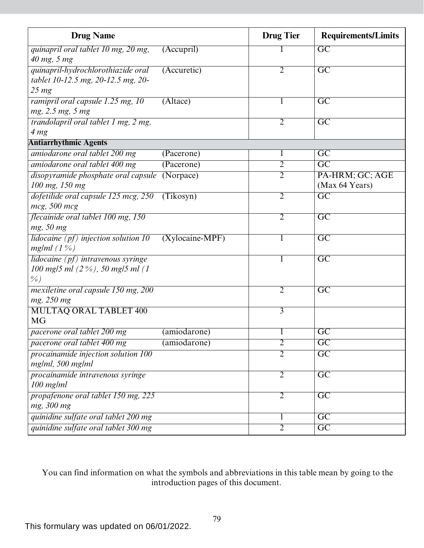| <b>Drug Name</b>                                     |                   | <b>Drug Tier</b> | <b>Requirements/Limits</b> |
|------------------------------------------------------|-------------------|------------------|----------------------------|
| quinapril oral tablet 10 mg, 20 mg,                  | (Accupril)        |                  | $\overline{GC}$            |
| 40 mg, 5 mg                                          |                   |                  |                            |
| quinapril-hydrochlorothiazide oral                   | (Accuretic)       | $\overline{2}$   | $\overline{GC}$            |
| tablet 10-12.5 mg, 20-12.5 mg, 20-                   |                   |                  |                            |
| $25 \, mg$                                           |                   |                  |                            |
| ramipril oral capsule 1.25 mg, 10                    | (Altace)          | 1                | $\overline{\text{GC}}$     |
| mg, 2.5 mg, 5 mg                                     |                   |                  |                            |
| trandolapril oral tablet 1 mg, 2 mg,                 |                   | $\overline{2}$   | $\overline{GC}$            |
| 4 <sub>mg</sub>                                      |                   |                  |                            |
| <b>Antiarrhythmic Agents</b>                         |                   |                  |                            |
| amiodarone oral tablet 200 mg                        | (Pacerone)        | 1                | $\overline{\mathrm{GC}}$   |
| amiodarone oral tablet 400 mg                        | (Pacerone)        | $\overline{2}$   | $\overline{GC}$            |
| disopyramide phosphate oral capsule                  | (Norpace)         | $\overline{2}$   | PA-HRM; GC; AGE            |
| 100 mg, 150 mg                                       |                   |                  | (Max 64 Years)             |
| dofetilide oral capsule 125 mcg, 250                 | (Tikosyn)         | $\overline{2}$   | $\overline{GC}$            |
| mcg, 500 mcg                                         |                   |                  |                            |
| flecainide oral tablet 100 mg, 150                   |                   | $\overline{2}$   | $\overline{GC}$            |
| mg, 50 mg                                            |                   |                  |                            |
| <i>lidocaine</i> $(pt)$ <i>injection solution</i> 10 | $(Xylocaine-MPF)$ | 1                | $\overline{\mathrm{GC}}$   |
| mg/ml $(1%)$                                         |                   |                  |                            |
| lidocaine $(pt)$ intravenous syringe                 |                   | 1                | $\overline{GC}$            |
| 100 mg/5 ml $(2\%)$ , 50 mg/5 ml $(1)$               |                   |                  |                            |
| $\frac{9}{6}$                                        |                   |                  |                            |
| mexiletine oral capsule 150 mg, 200                  |                   | $\overline{2}$   | $\overline{\mathrm{GC}}$   |
| mg, 250 mg                                           |                   |                  |                            |
| <b>MULTAQ ORAL TABLET 400</b>                        |                   | $\overline{3}$   |                            |
| <b>MG</b>                                            |                   |                  |                            |
| pacerone oral tablet 200 mg                          | (amiodarone)      | 1                | $\overline{GC}$            |
| pacerone oral tablet 400 mg                          | (amiodarone)      | $\overline{2}$   | $\overline{GC}$            |
| procainamide injection solution 100                  |                   | $\overline{2}$   | $\overline{\text{GC}}$     |
| mg/ml, 500 mg/ml                                     |                   |                  |                            |
| procainamide intravenous syringe                     |                   | $\overline{2}$   | $\overline{\mathrm{GC}}$   |
| $100$ mg/m $l$                                       |                   |                  |                            |
| propafenone oral tablet 150 mg, 225                  |                   | $\overline{2}$   | $\overline{GC}$            |
| mg, 300 mg                                           |                   |                  |                            |
| quinidine sulfate oral tablet 200 mg                 |                   | 1                | $\overline{GC}$            |
| quinidine sulfate oral tablet 300 mg                 |                   | $\overline{2}$   | $\overline{GC}$            |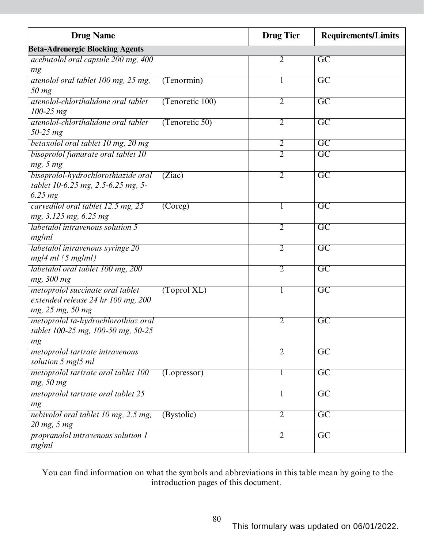| <b>Drug Name</b>                        |                 | <b>Drug Tier</b> | <b>Requirements/Limits</b> |
|-----------------------------------------|-----------------|------------------|----------------------------|
| <b>Beta-Adrenergic Blocking Agents</b>  |                 |                  |                            |
| acebutolol oral capsule 200 mg, 400     |                 | 2                | $\overline{GC}$            |
| mg                                      |                 |                  |                            |
| atenolol oral tablet 100 mg, 25 mg,     | (Tenormin)      |                  | $\overline{GC}$            |
| 50 mg                                   |                 |                  |                            |
| atenolol-chlorthalidone oral tablet     | (Tenoretic 100) | $\overline{2}$   | $\overline{\mathrm{GC}}$   |
| $100 - 25$ mg                           |                 |                  |                            |
| atenolol-chlorthalidone oral tablet     | (Tenoretic 50)  | $\overline{2}$   | $\overline{\text{GC}}$     |
| 50-25 mg                                |                 |                  |                            |
| betaxolol oral tablet 10 mg, 20 mg      |                 | $\overline{2}$   | $\overline{GC}$            |
| bisoprolol fumarate oral tablet 10      |                 | 2                | $\overline{\text{GC}}$     |
| mg, 5 mg                                |                 |                  |                            |
| bisoprolol-hydrochlorothiazide oral     | (Ziac)          | $\overline{2}$   | $\overline{GC}$            |
| tablet 10-6.25 mg, 2.5-6.25 mg, 5-      |                 |                  |                            |
| 6.25 mg                                 |                 |                  |                            |
| carvedilol oral tablet 12.5 mg, 25      | (Coreg)         | 1                | $\overline{\mathrm{GC}}$   |
| mg, 3.125 mg, 6.25 mg                   |                 |                  |                            |
| <i>labetalol intravenous solution 5</i> |                 | $\overline{2}$   | $\overline{GC}$            |
| mg/ml                                   |                 |                  |                            |
| labetalol intravenous syringe 20        |                 | $\overline{2}$   | $\overline{GC}$            |
| $mg/4$ ml (5 mg/ml)                     |                 |                  |                            |
| labetalol oral tablet 100 mg, 200       |                 | $\overline{2}$   | $\overline{\mathrm{GC}}$   |
| mg, 300 mg                              |                 |                  |                            |
| metoprolol succinate oral tablet        | (Toprol XL)     | 1                | $\overline{GC}$            |
| extended release 24 hr 100 mg, 200      |                 |                  |                            |
| mg, 25 mg, 50 mg                        |                 |                  |                            |
| metoprolol ta-hydrochlorothiaz oral     |                 | 2                | $\overline{\mathrm{GC}}$   |
| tablet 100-25 mg, 100-50 mg, 50-25      |                 |                  |                            |
| mg                                      |                 |                  |                            |
| metoprolol tartrate intravenous         |                 | 2                | $\overline{GC}$            |
| solution 5 mg/5 ml                      |                 |                  |                            |
| metoprolol tartrate oral tablet 100     | (Lopressor)     | 1                | $\overline{GC}$            |
| mg, 50 mg                               |                 |                  |                            |
| metoprolol tartrate oral tablet 25      |                 | 1                | $\overline{GC}$            |
| mg                                      |                 |                  |                            |
| nebivolol oral tablet 10 mg, 2.5 mg,    | (Bystolic)      | $\overline{2}$   | $\overline{GC}$            |
| 20 mg, 5 mg                             |                 |                  |                            |
| propranolol intravenous solution 1      |                 | $\overline{2}$   | $\overline{GC}$            |
| mg/ml                                   |                 |                  |                            |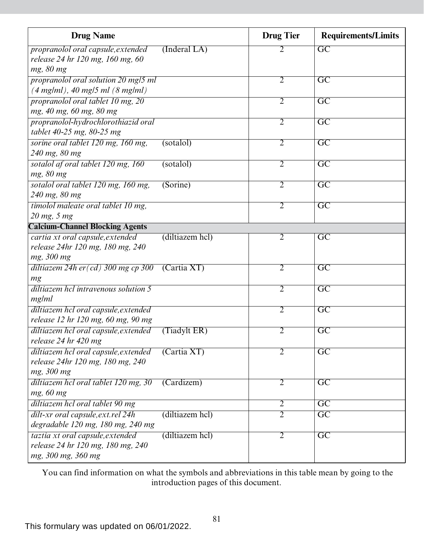| <b>Drug Name</b>                                                       |                    | <b>Drug Tier</b> | <b>Requirements/Limits</b> |
|------------------------------------------------------------------------|--------------------|------------------|----------------------------|
| propranolol oral capsule, extended<br>release 24 hr 120 mg, 160 mg, 60 | $($ Inderal LA $)$ | 2                | $\overline{GC}$            |
| mg, 80 mg                                                              |                    |                  |                            |
| propranolol oral solution 20 mg/5 ml                                   |                    | $\overline{2}$   | $\overline{\mathrm{GC}}$   |
| $(4 \text{ mg/ml})$ , 40 mg/5 ml $(8 \text{ mg/ml})$                   |                    |                  |                            |
| propranolol oral tablet 10 mg, 20<br>mg, 40 mg, 60 mg, 80 mg           |                    | $\overline{2}$   | $\overline{\text{GC}}$     |
| propranolol-hydrochlorothiazid oral                                    |                    | $\overline{2}$   | $\overline{\text{GC}}$     |
| tablet 40-25 mg, 80-25 mg                                              |                    |                  |                            |
| sorine oral tablet 120 mg, 160 mg,                                     | (sotalol)          | $\overline{2}$   | $\overline{GC}$            |
| 240 mg, 80 mg                                                          |                    |                  |                            |
| sotalol af oral tablet 120 mg, 160<br>mg, 80 mg                        | (sotalo)           | $\overline{2}$   | $\overline{\mathrm{GC}}$   |
| sotalol oral tablet 120 mg, 160 mg,                                    | (Sorine)           | $\overline{2}$   | $\overline{\text{GC}}$     |
| 240 mg, 80 mg                                                          |                    |                  |                            |
| timolol maleate oral tablet 10 mg,                                     |                    | $\overline{2}$   | $\overline{\mathrm{GC}}$   |
| 20 mg, 5 mg                                                            |                    |                  |                            |
| <b>Calcium-Channel Blocking Agents</b>                                 |                    |                  |                            |
| cartia xt oral capsule, extended                                       | (diltiazem hcl)    | $\overline{2}$   | $\overline{\text{GC}}$     |
| release 24hr 120 mg, 180 mg, 240                                       |                    |                  |                            |
| mg, 300 mg                                                             |                    |                  |                            |
| diltiazem 24h er $(cd)$ 300 mg cp 300                                  | (Cartia XT)        | $\overline{2}$   | $\overline{\mathrm{GC}}$   |
| mg                                                                     |                    |                  |                            |
| diltiazem hcl intravenous solution 5                                   |                    | $\overline{2}$   | $\overline{\mathrm{GC}}$   |
| mg/ml                                                                  |                    |                  |                            |
| diltiazem hcl oral capsule, extended                                   |                    | $\overline{2}$   | $\overline{\text{GC}}$     |
| release 12 hr 120 mg, 60 mg, 90 mg                                     |                    |                  |                            |
| diltiazem hcl oral capsule, extended                                   | (Tiadylt ER)       | 2                | $\overline{\mathrm{GC}}$   |
| release 24 hr 420 mg                                                   |                    |                  |                            |
| diltiazem hcl oral capsule, extended                                   | (Cartia XT)        | 2                | $\overline{\text{GC}}$     |
| release 24hr 120 mg, 180 mg, 240                                       |                    |                  |                            |
| mg, 300 mg                                                             |                    |                  |                            |
| diltiazem hel oral tablet 120 mg, 30                                   | (Cardizem)         | $\overline{2}$   | $\overline{\mathrm{GC}}$   |
| mg, 60 mg                                                              |                    |                  |                            |
| diltiazem hcl oral tablet 90 mg                                        |                    | $\overline{2}$   | $\overline{\text{GC}}$     |
| dilt-xr oral capsule, ext. rel 24h                                     | (diltiazem hcl)    | $\overline{2}$   | $\overline{\mathrm{GC}}$   |
| degradable 120 mg, 180 mg, 240 mg                                      |                    |                  |                            |
| taztia xt oral capsule, extended                                       | (diltiazem hcl)    | $\overline{2}$   | $\overline{GC}$            |
| release 24 hr 120 mg, 180 mg, 240                                      |                    |                  |                            |
| mg, 300 mg, 360 mg                                                     |                    |                  |                            |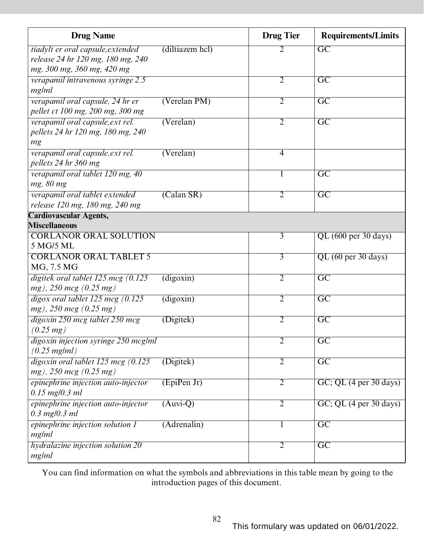| <b>Drug Name</b>                                                                                     |                               | <b>Drug Tier</b> | <b>Requirements/Limits</b>                   |
|------------------------------------------------------------------------------------------------------|-------------------------------|------------------|----------------------------------------------|
| tiadylt er oral capsule, extended<br>release 24 hr 120 mg, 180 mg, 240<br>mg, 300 mg, 360 mg, 420 mg | (diltiazem hcl)               | 2                | $\overline{GC}$                              |
| verapamil intravenous syringe 2.5<br>mg/ml                                                           |                               | $\overline{2}$   | $\overline{\rm GC}$                          |
| verapamil oral capsule, 24 hr er<br>pellet ct 100 mg, 200 mg, 300 mg                                 | (Verelan PM)                  | $\overline{2}$   | GC                                           |
| verapamil oral capsule, ext rel.<br>pellets 24 hr 120 mg, 180 mg, 240<br>mg                          | (Verelan)                     | $\overline{2}$   | $\overline{GC}$                              |
| verapamil oral capsule, ext rel.<br>pellets 24 hr 360 mg                                             | (Verelan)                     | $\overline{4}$   |                                              |
| verapamil oral tablet 120 mg, 40<br>mg, 80 mg                                                        |                               | 1                | $\overline{GC}$                              |
| verapamil oral tablet extended<br>release 120 mg, 180 mg, 240 mg                                     | (Calan SR)                    | $\overline{2}$   | $\overline{\mathrm{GC}}$                     |
| <b>Cardiovascular Agents,</b>                                                                        |                               |                  |                                              |
| <b>Miscellaneous</b><br><b>CORLANOR ORAL SOLUTION</b>                                                |                               | 3                |                                              |
| 5 MG/5 ML                                                                                            |                               |                  | QL (600 per 30 days)                         |
| <b>CORLANOR ORAL TABLET 5</b><br>MG, 7.5 MG                                                          |                               | $\overline{3}$   | QL (60 per 30 days)                          |
| digitek oral tablet 125 mcg $(0.125)$<br>$mg$ ), 250 mcg (0.25 mg)                                   | $\overline{\text{(digoxin)}}$ | $\overline{2}$   | $\overline{GC}$                              |
| $digox$ oral tablet 125 mcg $(0.125)$<br>$mg$ ), 250 mcg (0.25 mg)                                   | (digoxin)                     | $\overline{2}$   | $\overline{GC}$                              |
| digoxin 250 mcg tablet 250 mcg<br>$(0.25 \, mg)$                                                     | (Digitek)                     | 2                | $\overline{\mathrm{GC}}$                     |
| digoxin injection syringe 250 mcg/ml<br>$(0.25$ mg/ml)                                               |                               | $\overline{2}$   | $\overline{GC}$                              |
| $di$ goxin oral tablet 125 mcg (0.125)<br>$mg$ ), 250 mcg (0.25 mg)                                  | (Digitek)                     | $\overline{2}$   | $\overline{GC}$                              |
| epinephrine injection auto-injector<br>$0.15$ mg/0.3 ml                                              | (EpiPenJr)                    | $\overline{2}$   | $GC$ ; QL $(4 \text{ per } 30 \text{ days})$ |
| epinephrine injection auto-injector<br>$0.3$ mg/0.3 ml                                               | $(Auvi-Q)$                    | $\overline{2}$   | GC; QL (4 per 30 days)                       |
| epinephrine injection solution 1<br>mg/ml                                                            | (Adrenalin)                   | 1                | $\overline{GC}$                              |
| hydralazine injection solution 20<br>mg/ml                                                           |                               | $\overline{2}$   | $\overline{GC}$                              |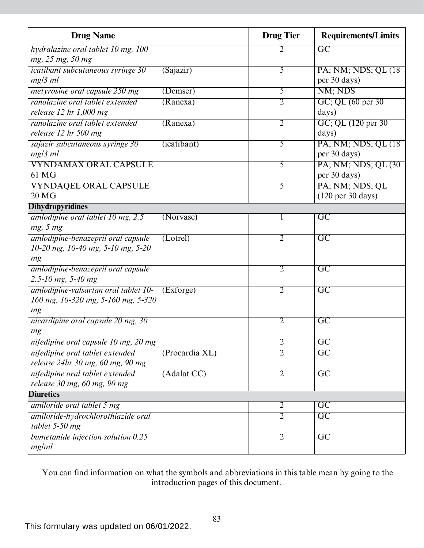| <b>Drug Name</b>                                      | <b>Drug Tier</b> | <b>Requirements/Limits</b>           |
|-------------------------------------------------------|------------------|--------------------------------------|
| hydralazine oral tablet 10 mg, 100                    | 2                | $\overline{GC}$                      |
| mg, 25 mg, 50 mg                                      |                  |                                      |
| <i>icatibant subcutaneous syringe 30</i><br>(Sajazir) | $\overline{5}$   | PA; NM; NDS; QL (18)                 |
| $mg/3$ ml                                             |                  | per 30 days)                         |
| metyrosine oral capsule 250 mg<br>(Demser)            | $\overline{5}$   | NM; NDS                              |
| ranolazine oral tablet extended<br>(Ranexa)           | $\overline{2}$   | GC; QL (60 per 30)                   |
| release $12$ hr $1,000$ mg                            |                  | days)                                |
| ranolazine oral tablet extended<br>(Ranexa)           | $\overline{2}$   | GC; QL (120 per 30)                  |
| release 12 hr 500 mg                                  |                  | days)                                |
| sajazir subcutaneous syringe 30<br>(icatibant)        | 5                | PA; NM; NDS; QL (18)                 |
| $mg/3$ ml                                             |                  | per 30 days)                         |
| <b>VYNDAMAX ORAL CAPSULE</b>                          | 5                | PA; NM; NDS; QL (30)                 |
| 61 MG                                                 |                  | per 30 days)                         |
| <b>VYNDAQEL ORAL CAPSULE</b>                          | 5                | PA; NM; NDS; QL                      |
| 20 <sub>MG</sub>                                      |                  | $(120 \text{ per } 30 \text{ days})$ |
| <b>Dihydropyridines</b>                               |                  |                                      |
| amlodipine oral tablet 10 mg, 2.5<br>(Norvasc)        | 1                | GC                                   |
| mg, 5 mg                                              |                  |                                      |
| amlodipine-benazepril oral capsule<br>(Lotrel)        | 2                | $\overline{\text{GC}}$               |
| $10-20$ mg, $10-40$ mg, $5-10$ mg, $5-20$             |                  |                                      |
| mg                                                    |                  |                                      |
| amlodipine-benazepril oral capsule                    | $\overline{2}$   | $\overline{\text{GC}}$               |
| 2.5-10 mg, 5-40 mg                                    |                  |                                      |
| amlodipine-valsartan oral tablet 10-<br>(Exforge)     | $\overline{2}$   | $\overline{GC}$                      |
| 160 mg, 10-320 mg, 5-160 mg, 5-320                    |                  |                                      |
| mg                                                    |                  |                                      |
| nicardipine oral capsule 20 mg, 30                    | $\overline{2}$   | $\overline{GC}$                      |
| mg                                                    |                  |                                      |
| nifedipine oral capsule 10 mg, 20 mg                  | $\overline{2}$   | $\overline{\mathrm{GC}}$             |
| nifedipine oral tablet extended<br>(Procardia XL)     | $\overline{2}$   | $\overline{GC}$                      |
| release 24hr 30 mg, 60 mg, 90 mg                      |                  |                                      |
| nifedipine oral tablet extended<br>(Adalat CC)        | $\overline{2}$   | $\overline{GC}$                      |
| release 30 mg, 60 mg, 90 mg                           |                  |                                      |
| <b>Diuretics</b>                                      |                  |                                      |
| amiloride oral tablet 5 mg                            | $\overline{2}$   | $\overline{\mathrm{GC}}$             |
| amiloride-hydrochlorothiazide oral                    | $\overline{2}$   | $\overline{GC}$                      |
| tablet 5-50 mg                                        |                  |                                      |
| bumetanide injection solution 0.25                    | $\overline{2}$   | $\overline{GC}$                      |
| mg/ml                                                 |                  |                                      |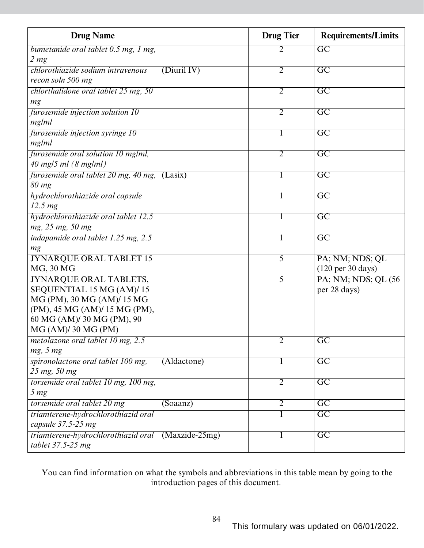| <b>Drug Name</b>                                   | <b>Drug Tier</b> | <b>Requirements/Limits</b>           |
|----------------------------------------------------|------------------|--------------------------------------|
| bumetanide oral tablet 0.5 mg, 1 mg,               | 2                | $\overline{GC}$                      |
| 2 <sub>mg</sub>                                    |                  |                                      |
| (Diuril IV)<br>chlorothiazide sodium intravenous   | $\overline{2}$   | $\overline{GC}$                      |
| recon soln 500 mg                                  |                  |                                      |
| chlorthalidone oral tablet $25$ mg, $50$           | $\overline{2}$   | $\overline{GC}$                      |
| mg                                                 |                  |                                      |
| furosemide injection solution 10                   | $\overline{2}$   | $\overline{\text{GC}}$               |
| mg/ml                                              |                  |                                      |
| furosemide injection syringe 10                    | 1                | $\overline{\mathrm{GC}}$             |
| mg/ml                                              |                  |                                      |
| furosemide oral solution 10 mg/ml,                 | $\overline{2}$   | $\overline{GC}$                      |
| $40$ mg/5 ml $(8 \text{ mg/ml})$                   |                  |                                      |
| furosemide oral tablet 20 mg, 40 mg, (Lasix)       | 1                | $\overline{GC}$                      |
| 80 mg                                              |                  |                                      |
| hydrochlorothiazide oral capsule                   | 1                | $\overline{GC}$                      |
| 12.5 <sub>mg</sub>                                 |                  |                                      |
| hydrochlorothiazide oral tablet 12.5               | 1                | $\overline{\mathrm{GC}}$             |
| mg, 25 mg, 50 mg                                   |                  |                                      |
| indapamide oral tablet 1.25 mg, 2.5                | 1                | $\overline{GC}$                      |
| mg                                                 |                  |                                      |
| <b>JYNARQUE ORAL TABLET 15</b>                     | 5                | PA; NM; NDS; QL                      |
| MG, 30 MG                                          |                  | $(120 \text{ per } 30 \text{ days})$ |
| <b>JYNARQUE ORAL TABLETS,</b>                      | $\overline{5}$   | PA; NM; NDS; QL (56)                 |
| SEQUENTIAL 15 MG (AM)/15                           |                  | per 28 days)                         |
| MG (PM), 30 MG (AM)/ 15 MG                         |                  |                                      |
| (PM), 45 MG (AM)/ 15 MG (PM),                      |                  |                                      |
| 60 MG (AM)/ 30 MG (PM), 90                         |                  |                                      |
| MG (AM)/30 MG (PM)                                 |                  |                                      |
| metolazone oral tablet 10 mg, 2.5                  | $\overline{2}$   | $\overline{GC}$                      |
| mg, 5 mg                                           |                  |                                      |
| spironolactone oral tablet 100 mg,<br>(Aldactone)  | 1                | $\overline{\mathrm{GC}}$             |
| 25 mg, 50 mg                                       |                  |                                      |
| torsemide oral tablet 10 mg, 100 mg,               | $\overline{2}$   | $\overline{GC}$                      |
| 5 <sub>mg</sub>                                    |                  |                                      |
| torsemide oral tablet 20 mg<br>(Soaanz)            | $\overline{2}$   | $\overline{GC}$                      |
| triamterene-hydrochlorothiazid oral                |                  | $\overline{GC}$                      |
| capsule 37.5-25 mg                                 |                  |                                      |
| triamterene-hydrochlorothiazid oral (Maxzide-25mg) | 1                | $\overline{GC}$                      |
| tablet 37.5-25 mg                                  |                  |                                      |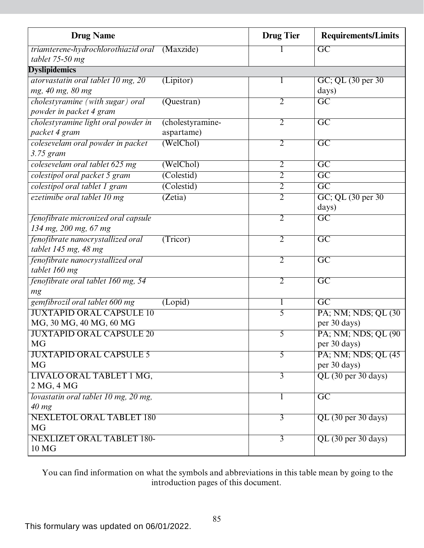| <b>Drug Name</b>                              |                  | <b>Drug Tier</b> | <b>Requirements/Limits</b> |
|-----------------------------------------------|------------------|------------------|----------------------------|
| triamterene-hydrochlorothiazid oral (Maxzide) |                  |                  | $\overline{GC}$            |
| tablet 75-50 mg                               |                  |                  |                            |
| <b>Dyslipidemics</b>                          |                  |                  |                            |
| atorvastatin oral tablet 10 mg, 20            | (Lipitor)        |                  | GC; QL (30 per 30)         |
| mg, 40 mg, 80 mg                              |                  |                  | days)                      |
| cholestyramine (with sugar) oral              | $(Q$ uestran $)$ | 2                | $\overline{\text{GC}}$     |
| powder in packet 4 gram                       |                  |                  |                            |
| cholestyramine light oral powder in           | (cholestyramine- | 2                | $\overline{\text{GC}}$     |
| packet 4 gram                                 | aspartame)       |                  |                            |
| colesevelam oral powder in packet             | (WelChol)        | $\overline{2}$   | $\overline{GC}$            |
| 3.75 gram                                     |                  |                  |                            |
| colesevelam oral tablet 625 mg                | (WelChol)        | $\overline{2}$   | $\overline{\mathrm{GC}}$   |
| colestipol oral packet 5 gram                 | (Colestid)       | $\overline{2}$   | $\overline{\text{GC}}$     |
| colestipol oral tablet 1 gram                 | (Colestid)       | $\overline{2}$   | $\overline{GC}$            |
| ezetimibe oral tablet 10 mg                   | (Zetia)          | $\overline{2}$   | GC; QL (30 per 30)         |
|                                               |                  |                  | days)                      |
| fenofibrate micronized oral capsule           |                  | 2                | $\overline{\text{GC}}$     |
| 134 mg, 200 mg, 67 mg                         |                  |                  |                            |
| fenofibrate nanocrystallized oral             | (Tricor)         | $\overline{2}$   | $\overline{\text{GC}}$     |
| tablet 145 mg, 48 mg                          |                  |                  |                            |
| fenofibrate nanocrystallized oral             |                  | $\overline{2}$   | $\overline{\mathrm{GC}}$   |
| tablet 160 mg                                 |                  |                  |                            |
| fenofibrate oral tablet 160 mg, 54            |                  | $\overline{2}$   | $\overline{GC}$            |
| mg                                            |                  |                  |                            |
| gemfibrozil oral tablet 600 mg                | (Lopid)          | 1                | $\overline{\text{GC}}$     |
| <b>JUXTAPID ORAL CAPSULE 10</b>               |                  | 5                | PA; NM; NDS; QL (30)       |
| MG, 30 MG, 40 MG, 60 MG                       |                  |                  | per 30 days)               |
| <b>JUXTAPID ORAL CAPSULE 20</b>               |                  | 5                | PA; NM; NDS; QL (90)       |
| <b>MG</b>                                     |                  |                  | per 30 days)               |
| <b>JUXTAPID ORAL CAPSULE 5</b>                |                  | 5                | PA; NM; NDS; QL (45)       |
| <b>MG</b>                                     |                  |                  | per 30 days)               |
| LIVALO ORAL TABLET 1 MG,                      |                  | 3                | QL (30 per 30 days)        |
| 2 MG, 4 MG                                    |                  |                  |                            |
| lovastatin oral tablet 10 mg, 20 mg,          |                  | 1                | $\overline{GC}$            |
| $40$ mg                                       |                  |                  |                            |
| <b>NEXLETOL ORAL TABLET 180</b>               |                  | 3                | QL (30 per 30 days)        |
| <b>MG</b>                                     |                  |                  |                            |
| <b>NEXLIZET ORAL TABLET 180-</b>              |                  | $\overline{3}$   | QL (30 per 30 days)        |
| 10 MG                                         |                  |                  |                            |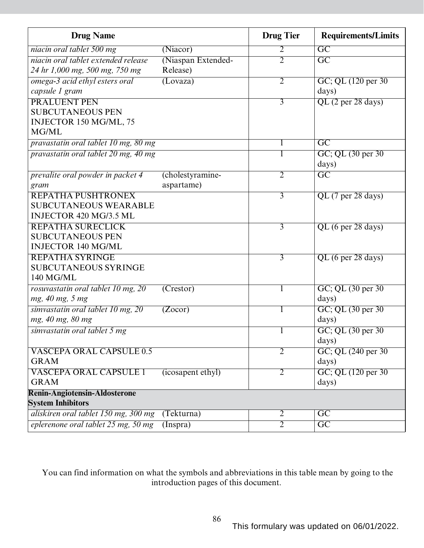| <b>Drug Name</b>                                                                    |                                | <b>Drug Tier</b> | <b>Requirements/Limits</b>   |
|-------------------------------------------------------------------------------------|--------------------------------|------------------|------------------------------|
| niacin oral tablet 500 mg                                                           | (Niacor)                       | 2                | $\overline{\text{GC}}$       |
| niacin oral tablet extended release<br>24 hr 1,000 mg, 500 mg, 750 mg               | (Niaspan Extended-<br>Release) | $\overline{2}$   | $\overline{GC}$              |
| omega-3 acid ethyl esters oral<br>capsule 1 gram                                    | (Lovaza)                       | 2                | GC; QL (120 per 30)<br>days) |
| <b>PRALUENT PEN</b><br><b>SUBCUTANEOUS PEN</b><br>INJECTOR 150 MG/ML, 75<br>MG/ML   |                                | 3                | QL (2 per 28 days)           |
| pravastatin oral tablet 10 mg, 80 mg                                                |                                |                  | $\overline{\mathrm{GC}}$     |
| pravastatin oral tablet 20 mg, 40 mg                                                |                                |                  | GC; QL (30 per 30)<br>days)  |
| prevalite oral powder in packet 4<br>gram                                           | (cholestyramine-<br>aspartame) | $\overline{2}$   | $\overline{GC}$              |
| REPATHA PUSHTRONEX<br><b>SUBCUTANEOUS WEARABLE</b><br><b>INJECTOR 420 MG/3.5 ML</b> |                                | $\overline{3}$   | QL (7 per 28 days)           |
| <b>REPATHA SURECLICK</b><br><b>SUBCUTANEOUS PEN</b><br><b>INJECTOR 140 MG/ML</b>    |                                | 3                | QL (6 per 28 days)           |
| <b>REPATHA SYRINGE</b><br><b>SUBCUTANEOUS SYRINGE</b><br>140 MG/ML                  |                                | $\overline{3}$   | QL (6 per 28 days)           |
| rosuvastatin oral tablet 10 mg, 20<br>mg, 40 mg, 5 mg                               | (Crestor)                      |                  | GC; QL (30 per 30)<br>days)  |
| simvastatin oral tablet 10 mg, 20<br>mg, 40 mg, 80 mg                               | (Zocor)                        |                  | GC; QL (30 per 30)<br>days)  |
| simvastatin oral tablet 5 mg                                                        |                                |                  | GC; QL (30 per 30)<br>days)  |
| <b>VASCEPA ORAL CAPSULE 0.5</b><br><b>GRAM</b>                                      |                                | 2                | GC; QL (240 per 30)<br>days) |
| <b>VASCEPA ORAL CAPSULE 1</b><br><b>GRAM</b>                                        | (icosapent ethyl)              | $\overline{2}$   | GC; QL (120 per 30)<br>days) |
| <b>Renin-Angiotensin-Aldosterone</b>                                                |                                |                  |                              |
| <b>System Inhibitors</b>                                                            |                                |                  |                              |
| aliskiren oral tablet 150 mg, 300 mg                                                | (Tekturna)                     | 2                | $\overline{\text{GC}}$       |
| eplerenone oral tablet 25 mg, 50 mg                                                 | (Inspra)                       | $\overline{2}$   | $\overline{\text{GC}}$       |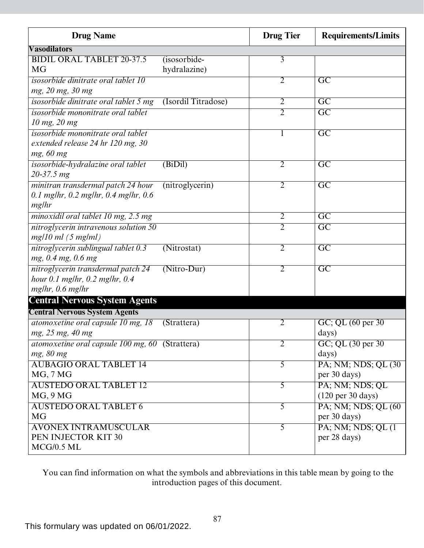| <b>Drug Name</b>                                                                                  |                              | <b>Drug Tier</b> | <b>Requirements/Limits</b>                              |
|---------------------------------------------------------------------------------------------------|------------------------------|------------------|---------------------------------------------------------|
| <b>Vasodilators</b>                                                                               |                              |                  |                                                         |
| <b>BIDIL ORAL TABLET 20-37.5</b><br><b>MG</b>                                                     | (isosorbide-<br>hydralazine) | $\overline{3}$   |                                                         |
| isosorbide dinitrate oral tablet 10<br>mg, 20 mg, 30 mg                                           |                              | $\overline{2}$   | $\overline{GC}$                                         |
| isosorbide dinitrate oral tablet 5 mg                                                             | (Isordil Titradose)          | $\overline{2}$   | $\overline{\text{GC}}$                                  |
| isosorbide mononitrate oral tablet<br>10 mg, 20 mg                                                |                              | $\overline{2}$   | $\overline{GC}$                                         |
| isosorbide mononitrate oral tablet<br>extended release 24 hr 120 mg, 30<br>mg, 60 mg              |                              | 1                | $\overline{GC}$                                         |
| isosorbide-hydralazine oral tablet<br>$20 - 37.5$ mg                                              | (BiDil)                      | $\overline{2}$   | $\overline{GC}$                                         |
| minitran transdermal patch 24 hour<br>$0.1$ mg/hr, $0.2$ mg/hr, $0.4$ mg/hr, $0.6$<br>mg/hr       | (nitroglycerin)              | $\overline{2}$   | $\overline{GC}$                                         |
| minoxidil oral tablet 10 mg, 2.5 mg                                                               |                              | $\overline{2}$   | $\overline{GC}$                                         |
| nitroglycerin intravenous solution 50<br>$mg/10$ ml $(5$ mg/ml)                                   |                              | $\overline{2}$   | $\overline{GC}$                                         |
| nitroglycerin sublingual tablet 0.3<br>mg, 0.4 mg, 0.6 mg                                         | (Nitrostat)                  | $\overline{2}$   | $\overline{GC}$                                         |
| nitroglycerin transdermal patch 24<br>hour $0.1$ mg/hr, $0.2$ mg/hr, $0.4$<br>$mg/hr$ , 0.6 mg/hr | $(Nitro-Dur)$                | $\overline{2}$   | $\overline{GC}$                                         |
| <b>Central Nervous System Agents</b>                                                              |                              |                  |                                                         |
| <b>Central Nervous System Agents</b>                                                              |                              |                  |                                                         |
| atomoxetine oral capsule 10 mg, 18<br>mg, 25 mg, 40 mg                                            | (Strattera)                  | 2                | GC; QL (60 per 30)<br>days)                             |
| atomoxetine oral capsule 100 mg, 60 (Strattera)<br>mg, 80 mg                                      |                              | $\overline{2}$   | GC; QL (30 per 30)<br>days)                             |
| <b>AUBAGIO ORAL TABLET 14</b><br>MG, 7 MG                                                         |                              | 5                | PA; NM; NDS; QL (30)<br>per 30 days)                    |
| <b>AUSTEDO ORAL TABLET 12</b><br>MG, 9MG                                                          |                              | 5                | PA; NM; NDS; QL<br>$(120 \text{ per } 30 \text{ days})$ |
| <b>AUSTEDO ORAL TABLET 6</b><br><b>MG</b>                                                         |                              | $\overline{5}$   | PA; NM; NDS; QL (60)<br>per 30 days)                    |
| <b>AVONEX INTRAMUSCULAR</b><br>PEN INJECTOR KIT 30<br>MCG/0.5 ML                                  |                              | 5                | PA; NM; NDS; QL (1)<br>per 28 days)                     |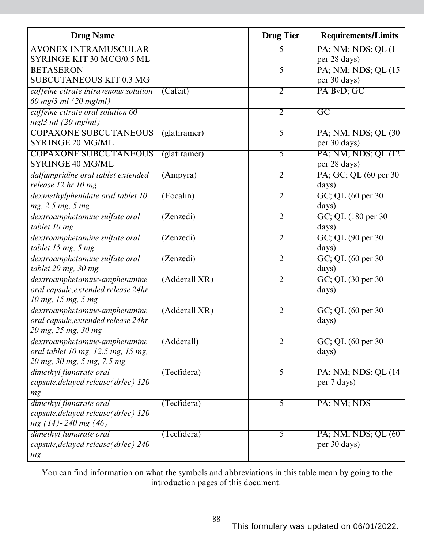| <b>Drug Name</b>                                                                                  |               | <b>Drug Tier</b> | <b>Requirements/Limits</b>                |
|---------------------------------------------------------------------------------------------------|---------------|------------------|-------------------------------------------|
| <b>AVONEX INTRAMUSCULAR</b>                                                                       |               | 5                | PA; NM; NDS; QL (1)                       |
| SYRINGE KIT 30 MCG/0.5 ML                                                                         |               |                  | per 28 days)                              |
| <b>BETASERON</b>                                                                                  |               | 5                | PA; NM; NDS; QL (15)                      |
| SUBCUTANEOUS KIT 0.3 MG                                                                           |               |                  | per 30 days)                              |
| caffeine citrate intravenous solution<br>$60$ mg/3 ml $(20$ mg/ml)                                | (Cafcit)      | 2                | PA BvD; GC                                |
| caffeine citrate oral solution 60<br>$mg/3$ ml (20 mg/ml)                                         |               | $\overline{2}$   | $\overline{\text{GC}}$                    |
| <b>COPAXONE SUBCUTANEOUS</b>                                                                      | (glatiramer)  | $\overline{5}$   | PA; NM; NDS; QL (30)                      |
| <b>SYRINGE 20 MG/ML</b>                                                                           |               |                  | per 30 days)                              |
| <b>COPAXONE SUBCUTANEOUS</b><br>SYRINGE 40 MG/ML                                                  | (glatiramer)  | 5                | PA; NM; NDS; QL (12)<br>per 28 days)      |
| dalfampridine oral tablet extended<br>release 12 hr 10 mg                                         | (Ampyra)      | $\overline{2}$   | PA; GC; QL (60 per 30)<br>days)           |
| dexmethylphenidate oral tablet 10<br>mg, 2.5 mg, 5 mg                                             | (Focalin)     | $\overline{2}$   | $GC$ ; QL $(60$ per 30<br>days)           |
| dextroamphetamine sulfate oral<br>tablet 10 mg                                                    | (Zenzedi)     | $\overline{2}$   | GC; QL (180 per 30)<br>days)              |
| dextroamphetamine sulfate oral<br>tablet 15 mg, 5 mg                                              | (Zenzedi)     | $\overline{2}$   | GC; QL (90 per 30)<br>days)               |
| dextroamphetamine sulfate oral<br>tablet 20 mg, 30 mg                                             | (Zenzedi)     | $\overline{2}$   | GC; QL (60 per 30)<br>days)               |
| dextroamphetamine-amphetamine<br>oral capsule, extended release 24hr<br>10 mg, 15 mg, 5 mg        | (Adderall XR) | $\overline{2}$   | GC; QL (30 per 30)<br>days)               |
| dextroamphetamine-amphetamine<br>oral capsule, extended release 24hr<br>20 mg, 25 mg, 30 mg       | (Adderall XR) | $\overline{2}$   | GC; QL (60 per 30)<br>days)               |
| dextroamphetamine-amphetamine<br>oral tablet 10 mg, 12.5 mg, 15 mg,<br>20 mg, 30 mg, 5 mg, 7.5 mg | (Adderall)    | $\overline{2}$   | $GC$ ; QL $(60 \text{ per } 30)$<br>days) |
| dimethyl fumarate oral<br>capsule, delayed release (drlec) 120<br>mg                              | (Tecfidera)   | $\overline{5}$   | PA; NM; NDS; QL (14)<br>per 7 days)       |
| dimethyl fumarate oral<br>capsule, delayed release (drlec) 120<br>$mg(14) - 240 mg(46)$           | (Tecfidera)   | $\overline{5}$   | PA; NM; NDS                               |
| dimethyl fumarate oral<br>capsule, delayed release (drlec) 240<br>mg                              | (Tecfidera)   | 5                | PA; NM; NDS; QL (60)<br>per 30 days)      |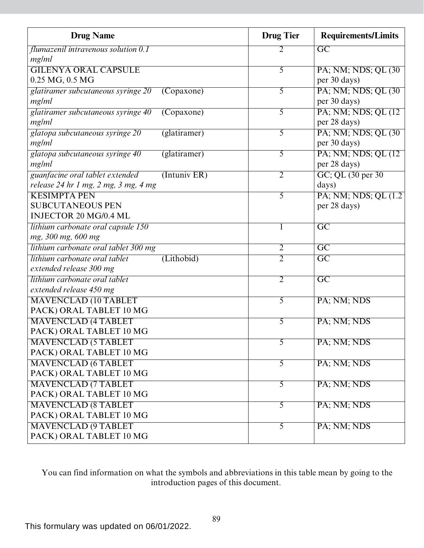| <b>Drug Name</b>                                      | <b>Drug Tier</b> | <b>Requirements/Limits</b> |
|-------------------------------------------------------|------------------|----------------------------|
| flumazenil intravenous solution 0.1                   |                  | $\overline{GC}$            |
| mg/ml                                                 |                  |                            |
| <b>GILENYA ORAL CAPSULE</b>                           | $\overline{5}$   | PA; NM; NDS; QL (30)       |
| $0.25$ MG, $0.5$ MG                                   |                  | per 30 days)               |
| glatiramer subcutaneous syringe 20<br>(Copaxone)      | $\overline{5}$   | PA; NM; NDS; QL (30)       |
| mg/ml                                                 |                  | per 30 days)               |
| glatiramer subcutaneous syringe 40<br>(Copaxone)      | $\overline{5}$   | PA; NM; NDS; QL (12)       |
| mg/ml                                                 |                  | per 28 days)               |
| glatopa subcutaneous syringe 20<br>(glatiramer)       | 5                | PA; NM; NDS; QL (30)       |
| mg/ml                                                 |                  | per 30 days)               |
| glatopa subcutaneous syringe 40<br>(glatiramer)       | $\overline{5}$   | PA; NM; NDS; QL (12)       |
| mg/ml                                                 |                  | per 28 days)               |
| guanfacine oral tablet extended<br>(Intuniv ER)       | $\overline{2}$   | GC; QL (30 per 30)         |
| release 24 hr 1 mg, 2 mg, 3 mg, 4 mg                  |                  | days)                      |
| <b>KESIMPTA PEN</b>                                   | $\overline{5}$   | PA; NM; NDS; QL (1.2)      |
| <b>SUBCUTANEOUS PEN</b>                               |                  | per 28 days)               |
| <b>INJECTOR 20 MG/0.4 ML</b>                          |                  |                            |
| lithium carbonate oral capsule 150                    |                  | $\overline{\mathrm{GC}}$   |
| mg, 300 mg, 600 mg                                    |                  |                            |
| lithium carbonate oral tablet 300 mg                  | $\overline{2}$   | $\overline{GC}$            |
| lithium carbonate oral tablet<br>(Lithobid)           | $\overline{2}$   | $\overline{GC}$            |
| extended release 300 mg                               |                  |                            |
| lithium carbonate oral tablet                         | $\overline{2}$   | $\overline{\text{GC}}$     |
| extended release 450 mg                               |                  |                            |
| <b>MAVENCLAD (10 TABLET</b>                           | 5                | PA; NM; NDS                |
| PACK) ORAL TABLET 10 MG                               |                  |                            |
| <b>MAVENCLAD (4 TABLET</b><br>PACK) ORAL TABLET 10 MG | 5                | PA; NM; NDS                |
| <b>MAVENCLAD (5 TABLET</b>                            | 5                | PA; NM; NDS                |
| PACK) ORAL TABLET 10 MG                               |                  |                            |
| <b>MAVENCLAD (6 TABLET</b>                            | $\overline{5}$   | PA; NM; NDS                |
| PACK) ORAL TABLET 10 MG                               |                  |                            |
| <b>MAVENCLAD (7 TABLET</b>                            | $\overline{5}$   | PA; NM; NDS                |
| PACK) ORAL TABLET 10 MG                               |                  |                            |
| <b>MAVENCLAD (8 TABLET</b>                            | $\overline{5}$   | PA; NM; NDS                |
| PACK) ORAL TABLET 10 MG                               |                  |                            |
| <b>MAVENCLAD (9 TABLET</b>                            | 5                | PA; NM; NDS                |
| PACK) ORAL TABLET 10 MG                               |                  |                            |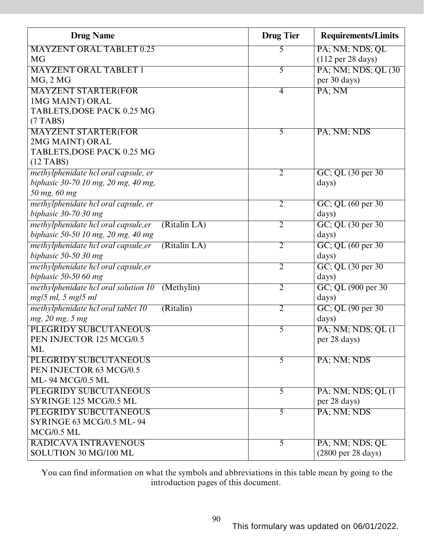| <b>Drug Name</b>                                     | <b>Drug Tier</b> | <b>Requirements/Limits</b>            |
|------------------------------------------------------|------------------|---------------------------------------|
| <b>MAYZENT ORAL TABLET 0.25</b>                      | 5                | PA; NM; NDS; QL                       |
| <b>MG</b>                                            |                  | $(112 \text{ per } 28 \text{ days})$  |
| <b>MAYZENT ORAL TABLET 1</b>                         | $\overline{5}$   | PA; NM; NDS; QL (30)                  |
| $MG$ , $2MG$                                         |                  | per 30 days)                          |
| <b>MAYZENT STARTER(FOR</b>                           | 4                | PA; NM                                |
| 1MG MAINT) ORAL                                      |                  |                                       |
| TABLETS, DOSE PACK 0.25 MG                           |                  |                                       |
| $(7$ TABS)                                           |                  |                                       |
| <b>MAYZENT STARTER(FOR</b>                           | 5                | PA; NM; NDS                           |
| 2MG MAINT) ORAL                                      |                  |                                       |
| TABLETS, DOSE PACK 0.25 MG                           |                  |                                       |
| $(12$ TABS)                                          |                  |                                       |
| methylphenidate hcl oral capsule, er                 | $\overline{2}$   | GC; QL (30 per 30)                    |
| biphasic 30-70 10 mg, 20 mg, 40 mg,                  |                  | days)                                 |
| 50 mg, 60 mg                                         |                  |                                       |
| methylphenidate hcl oral capsule, er                 | $\overline{2}$   | $GC$ ; QL $(60 \text{ per } 30)$      |
| biphasic $30-7030$ mg                                |                  | days)                                 |
| (Ritalin LA)<br>methylphenidate hcl oral capsule, er | $\overline{2}$   | GC; QL (30 per 30)                    |
| biphasic 50-50 10 mg, 20 mg, 40 mg                   |                  | days)                                 |
| methylphenidate hcl oral capsule, er<br>(Ritalin LA) | $\overline{2}$   | GC; QL (60 per 30)                    |
| biphasic $50-5030$ mg                                |                  | days)                                 |
| methylphenidate hcl oral capsule, er                 | $\overline{2}$   | GC; QL (30 per 30)                    |
| biphasic $50-50$ 60 mg                               |                  | days)                                 |
| methylphenidate hcl oral solution 10 (Methylin)      | $\overline{2}$   | GC; QL (900 per 30)                   |
| $mg/5$ ml, 5 mg/5 ml                                 |                  | days)                                 |
| methylphenidate hcl oral tablet 10<br>(Ritalin)      | $\overline{2}$   | GC; QL (90 per 30)                    |
| mg, 20 mg, 5 mg                                      |                  | days)                                 |
| PLEGRIDY SUBCUTANEOUS                                | $\overline{5}$   | PA; NM; NDS; QL (1)                   |
| PEN INJECTOR 125 MCG/0.5                             |                  | per 28 days)                          |
| ML                                                   |                  |                                       |
| PLEGRIDY SUBCUTANEOUS                                | 5                | PA; NM; NDS                           |
| PEN INJECTOR 63 MCG/0.5                              |                  |                                       |
| ML-94 MCG/0.5 ML                                     |                  |                                       |
| PLEGRIDY SUBCUTANEOUS                                | $\overline{5}$   | PA; NM; NDS; QL (1)                   |
| SYRINGE 125 MCG/0.5 ML                               |                  | per 28 days)                          |
| PLEGRIDY SUBCUTANEOUS                                | $\overline{5}$   | PA; NM; NDS                           |
| <b>SYRINGE 63 MCG/0.5 ML-94</b>                      |                  |                                       |
| MCG/0.5 ML                                           |                  |                                       |
| RADICAVA INTRAVENOUS                                 | 5                | PA; NM; NDS; QL                       |
| SOLUTION 30 MG/100 ML                                |                  | $(2800 \text{ per } 28 \text{ days})$ |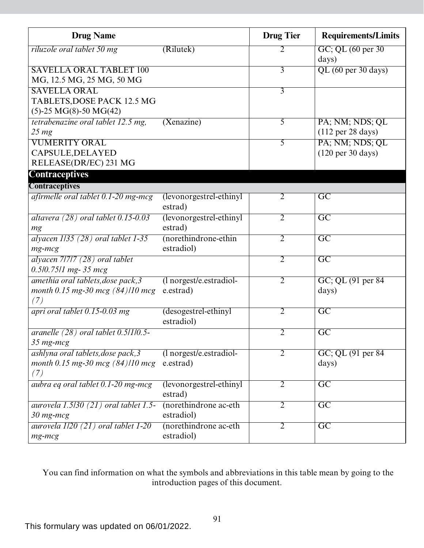| <b>Drug Name</b>                                                                      |                                        | <b>Drug Tier</b> | <b>Requirements/Limits</b>                              |
|---------------------------------------------------------------------------------------|----------------------------------------|------------------|---------------------------------------------------------|
| riluzole oral tablet 50 mg                                                            | (Rilutek)                              | 2                | GC; QL (60 per 30)<br>days)                             |
| <b>SAVELLA ORAL TABLET 100</b><br>MG, 12.5 MG, 25 MG, 50 MG                           |                                        | $\overline{3}$   | QL (60 per 30 days)                                     |
| <b>SAVELLA ORAL</b><br>TABLETS, DOSE PACK 12.5 MG<br>$(5)$ -25 MG $(8)$ -50 MG $(42)$ |                                        | $\overline{3}$   |                                                         |
| tetrabenazine oral tablet 12.5 mg,<br>$25 \, mg$                                      | (Xenazine)                             | 5                | PA; NM; NDS; QL<br>$(112 \text{ per } 28 \text{ days})$ |
| <b>VUMERITY ORAL</b><br>CAPSULE, DELAYED<br>RELEASE(DR/EC) 231 MG                     |                                        | $\overline{5}$   | PA; NM; NDS; QL<br>$(120 \text{ per } 30 \text{ days})$ |
| <b>Contraceptives</b>                                                                 |                                        |                  |                                                         |
| <b>Contraceptives</b>                                                                 |                                        |                  |                                                         |
| afirmelle oral tablet $0.1$ -20 mg-mcg                                                | (levonorgestrel-ethinyl<br>estrad)     | $\overline{2}$   | $\overline{GC}$                                         |
| altavera $(28)$ oral tablet $0.15$ -0.03<br>mg                                        | (levonorgestrel-ethinyl<br>estrad)     | $\overline{2}$   | $\overline{GC}$                                         |
| alyacen 1/35 (28) oral tablet 1-35<br>$mg$ - $mcg$                                    | (norethindrone-ethin<br>estradiol)     | $\overline{2}$   | $\overline{GC}$                                         |
| alyacen 71717 (28) oral tablet<br>$0.5/0.75/1$ mg- 35 mcg                             |                                        | $\overline{2}$   | $\overline{GC}$                                         |
| amethia oral tablets, dose pack, 3<br>month 0.15 mg-30 mcg $(84)/10$ mcg<br>(7)       | (1 norgest/e.estradiol-<br>e.estrad)   | $\overline{2}$   | GC; QL (91 per 84)<br>days)                             |
| apri oral tablet $0.15$ -0.03 mg                                                      | (desogestrel-ethinyl<br>estradiol)     | $\overline{2}$   | $\overline{GC}$                                         |
| aranelle $(28)$ oral tablet $0.5/1/0.5$ -<br>35 mg-mcg                                |                                        | $\overline{2}$   | $\overline{GC}$                                         |
| ashlyna oral tablets, dose pack, 3<br>month 0.15 mg-30 mcg $(84)/10$ mcg<br>(7)       | $(l$ norgest/e.estradiol-<br>e.estrad) | 2                | GC; QL (91 per 84)<br>days)                             |
| aubra eg oral tablet 0.1-20 mg-mcg                                                    | (levonorgestrel-ethinyl)<br>estrad)    | 2                | $\overline{GC}$                                         |
| <i>aurovela 1.5/30 (21) oral tablet 1.5-</i><br>$30$ mg-mcg                           | (norethindrone ac-eth)<br>estradiol)   | $\overline{2}$   | C                                                       |
| aurovela $1/20$ (21) oral tablet 1-20<br>mg-mcg                                       | (norethindrone ac-eth<br>estradiol)    | $\overline{2}$   | $\overline{GC}$                                         |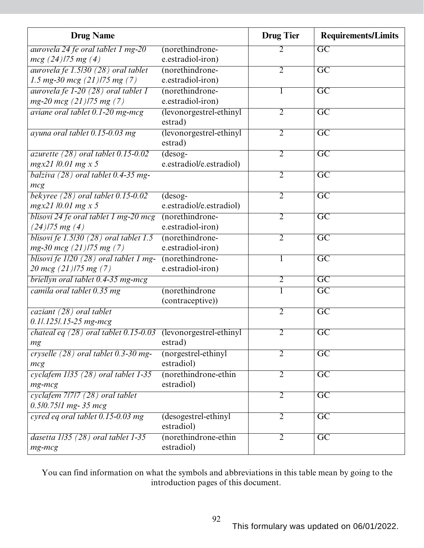| <b>Drug Name</b>                                                                  |                          | <b>Drug Tier</b> | <b>Requirements/Limits</b> |
|-----------------------------------------------------------------------------------|--------------------------|------------------|----------------------------|
| aurovela 24 fe oral tablet 1 mg-20                                                | (norethindrone-          |                  | $\overline{GC}$            |
| $mcg$ (24)/75 mg (4)                                                              | e.estradiol-iron)        |                  |                            |
| aurovela fe $1.5/30$ (28) oral tablet                                             | (norethindrone-          | $\overline{2}$   | $\overline{GC}$            |
| 1.5 mg-30 mcg $(21)$ /75 mg $(7)$                                                 | e.estradiol-iron)        |                  |                            |
| aurovela fe 1-20 (28) oral tablet 1                                               | (norethindrone-          |                  | $\overline{GC}$            |
| $mg-20$ mcg $(21)$ /75 mg $(7)$                                                   | e.estradiol-iron)        |                  |                            |
| aviane oral tablet 0.1-20 mg-mcg                                                  | (levonorgestrel-ethinyl  | $\overline{2}$   | $\overline{GC}$            |
|                                                                                   | estrad)                  |                  |                            |
| ayuna oral tablet 0.15-0.03 mg                                                    | (levonorgestrel-ethinyl  | $\overline{2}$   | $\overline{\text{GC}}$     |
|                                                                                   | estrad)                  |                  |                            |
| azurette $(28)$ oral tablet 0.15-0.02                                             | $(desog-$                | $\overline{2}$   | $\overline{GC}$            |
| $mgx21/0.01$ mg x 5                                                               | e.estradiol/e.estradiol) |                  |                            |
| balziva $(28)$ oral tablet 0.4-35 mg-                                             |                          | $\overline{2}$   | $\overline{GC}$            |
| mcg                                                                               |                          |                  |                            |
| bekyree $(28)$ oral tablet $0.15$ -0.02                                           | $(dess$ og-              | $\overline{2}$   | $\overline{GC}$            |
| $mgx21/0.01$ mg x 5                                                               | e.estradiol/e.estradiol) |                  |                            |
| blisovi 24 fe oral tablet 1 mg-20 mcg                                             | (norethindrone-          | $\overline{2}$   | $\overline{\text{GC}}$     |
| $(24)$ /75 mg $(4)$                                                               | e.estradiol-iron)        |                  |                            |
| blisovi fe 1.5/30 (28) oral tablet 1.5                                            | (norethindrone-          | $\overline{2}$   | $\overline{GC}$            |
| $mg-30$ mcg $(21)$ /75 mg $(7)$                                                   | e.estradiol-iron)        |                  |                            |
| blisovi fe 1/20 (28) oral tablet 1 mg-                                            | (norethindrone-          | 1                | $\overline{GC}$            |
| 20 mcg (21)/75 mg (7)                                                             | e.estradiol-iron)        |                  |                            |
| briellyn oral tablet 0.4-35 mg-mcg                                                |                          | 2                | $\overline{GC}$            |
| camila oral tablet 0.35 mg                                                        | (norethindrone           |                  | $\overline{GC}$            |
|                                                                                   | (contraceptive))         |                  |                            |
| caziant (28) oral tablet                                                          |                          | $\overline{2}$   | $\overline{GC}$            |
| $0.1$ .125/.15-25 mg-mcg                                                          |                          |                  |                            |
| <i>chateal eq <math>(28)</math> oral tablet 0.15-0.03</i> (levonorgestrel-ethinyl |                          | $\overline{2}$   | $\overline{GC}$            |
| mg                                                                                | estrad)                  |                  |                            |
| cryselle $(28)$ oral tablet 0.3-30 mg-                                            | (norgestrel-ethinyl      | $\overline{2}$   | $\overline{GC}$            |
| mcg                                                                               | estradiol)               |                  |                            |
| cyclafem 1/35 (28) oral tablet 1-35                                               | (norethindrone-ethin     | $\overline{2}$   | $\overline{GC}$            |
| $mg$ - $mcg$                                                                      | estradiol)               |                  |                            |
| cyclafem 7/7/7 (28) oral tablet                                                   |                          | $\overline{2}$   | $\overline{GC}$            |
| $0.5/0.75/1$ mg- 35 mcg                                                           |                          |                  |                            |
| cyred eq oral tablet 0.15-0.03 mg                                                 | (desogestrel-ethinyl     | $\overline{2}$   | $\overline{GC}$            |
|                                                                                   | estradiol)               |                  |                            |
| dasetta $1/35$ (28) oral tablet 1-35                                              | (norethindrone-ethin     | 2                | $\overline{GC}$            |
| mg-mcg                                                                            | estradiol)               |                  |                            |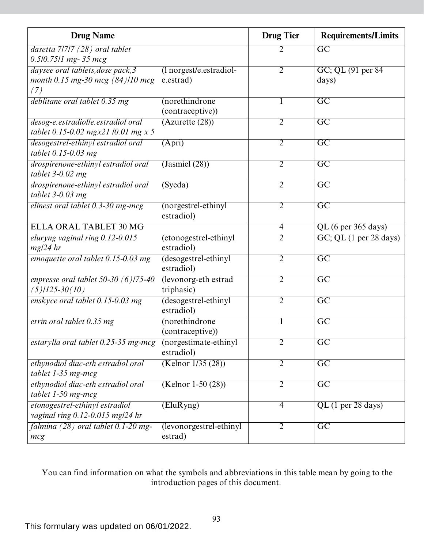| <b>Drug Name</b>                          |                         | <b>Drug Tier</b> | <b>Requirements/Limits</b> |
|-------------------------------------------|-------------------------|------------------|----------------------------|
| dasetta 7/7/7 (28) oral tablet            |                         | 2                | $\overline{GC}$            |
| $0.5/0.75/1$ mg- 35 mcg                   |                         |                  |                            |
| daysee oral tablets, dose pack, 3         | (1 norgest/e.estradiol- | $\overline{2}$   | GC; QL (91 per 84)         |
| month 0.15 mg-30 mcg (84)/10 mcg          | e.estrad)               |                  | days)                      |
| (7)                                       |                         |                  |                            |
| deblitane oral tablet 0.35 mg             | (norethindrone          | 1                | $\overline{\text{GC}}$     |
|                                           | (contraceptive))        |                  |                            |
| desog-e.estradiolle.estradiol oral        | (Azurette (28))         | 2                | $\overline{GC}$            |
| tablet 0.15-0.02 mgx21 /0.01 mg x 5       |                         |                  |                            |
| desogestrel-ethinyl estradiol oral        | (Apri)                  | $\overline{2}$   | $\overline{GC}$            |
| tablet $0.15 - 0.03$ mg                   |                         |                  |                            |
| drospirenone-ethinyl estradiol oral       | (Jasmiel (28))          | 2                | $\overline{\text{GC}}$     |
| tablet $3-0.02$ mg                        |                         |                  |                            |
| drospirenone-ethinyl estradiol oral       | (Syeda)                 | $\overline{2}$   | $\overline{\mathrm{GC}}$   |
| tablet $3-0.03$ mg                        |                         |                  |                            |
| elinest oral tablet 0.3-30 mg-mcg         | (norgestrel-ethinyl     | $\overline{2}$   | $\overline{GC}$            |
|                                           | estradiol)              |                  |                            |
| <b>ELLA ORAL TABLET 30 MG</b>             |                         | $\overline{4}$   | QL (6 per 365 days)        |
| eluryng vaginal ring 0.12-0.015           | (etonogestrel-ethinyl   | $\overline{2}$   | GC; QL (1 per 28 days)     |
| $mg/24$ hr                                | estradiol)              |                  |                            |
| emoquette oral tablet 0.15-0.03 mg        | (desogestrel-ethinyl    | $\overline{2}$   | $\overline{GC}$            |
|                                           | estradiol)              |                  |                            |
| enpresse oral tablet $50-30$ (6) $175-40$ | (levonorg-eth estrad    | $\overline{2}$   | $\overline{\text{GC}}$     |
| $(5)$ /125-30 $(10)$                      | triphasic)              |                  |                            |
| enskyce oral tablet 0.15-0.03 mg          | (desogestrel-ethinyl    | $\overline{2}$   | $\overline{GC}$            |
|                                           | estradiol)              |                  |                            |
| errin oral tablet 0.35 mg                 | (norethindrone          |                  | $\overline{GC}$            |
|                                           | (contraceptive))        |                  |                            |
| estarylla oral tablet 0.25-35 mg-mcg      | (norgestimate-ethinyl   | $\overline{2}$   | $\overline{GC}$            |
|                                           | estradiol)              |                  |                            |
| ethynodiol diac-eth estradiol oral        | (Kelnor 1/35 (28))      | $\overline{2}$   | $\overline{\text{GC}}$     |
| tablet 1-35 mg-mcg                        |                         |                  |                            |
| ethynodiol diac-eth estradiol oral        | $(Kelnor 1-50(28))$     | 2                | $\overline{GC}$            |
| tablet $1-50$ mg-mcg                      |                         |                  |                            |
| etonogestrel-ethinyl estradiol            | (EluRyng)               | $\overline{4}$   | $QL$ (1 per 28 days)       |
| vaginal ring 0.12-0.015 mg/24 hr          |                         |                  |                            |
| falmina (28) oral tablet 0.1-20 mg-       | (levonorgestrel-ethinyl | $\overline{2}$   | $\overline{GC}$            |
| mcg                                       | estrad)                 |                  |                            |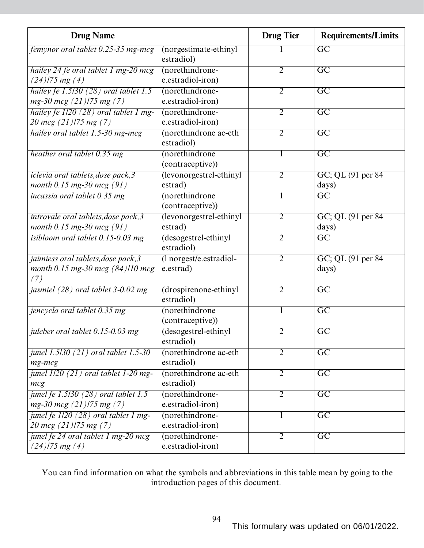| <b>Drug Name</b>                                                               |                                      | <b>Drug Tier</b> | <b>Requirements/Limits</b>  |
|--------------------------------------------------------------------------------|--------------------------------------|------------------|-----------------------------|
| femynor oral tablet 0.25-35 mg-mcg                                             | (norgestimate-ethinyl<br>estradiol)  |                  | $\overline{GC}$             |
| hailey 24 fe oral tablet 1 mg-20 mcg<br>$(24)$ /75 mg $(4)$                    | (norethindrone-<br>e.estradiol-iron) | $\overline{2}$   | $\overline{GC}$             |
| hailey fe 1.5/30 (28) oral tablet 1.5<br>$mg-30$ mcg $(21)$ /75 mg $(7)$       | (norethindrone-<br>e.estradiol-iron) | $\overline{2}$   | $\overline{GC}$             |
| hailey fe 1/20 (28) oral tablet 1 mg-<br>20 mcg $(21)$ /75 mg $(7)$            | (norethindrone-<br>e.estradiol-iron) | $\overline{2}$   | $\overline{\text{GC}}$      |
| hailey oral tablet 1.5-30 mg-mcg                                               | (norethindrone ac-eth<br>estradiol)  | 2                | $\overline{\mathrm{GC}}$    |
| heather oral tablet 0.35 mg                                                    | (norethindrone<br>(contraceptive))   | 1                | $\overline{GC}$             |
| iclevia oral tablets, dose pack, 3<br>month $0.15$ mg-30 mcg $(91)$            | (levonorgestrel-ethinyl<br>estrad)   | $\overline{2}$   | GC; QL (91 per 84)<br>days) |
| incassia oral tablet 0.35 mg                                                   | (norethindrone<br>(contraceptive))   | T                | $\overline{\mathrm{GC}}$    |
| introvale oral tablets, dose pack, 3<br>month $0.15$ mg-30 mcg $(91)$          | (levonorgestrel-ethinyl<br>estrad)   | $\overline{2}$   | GC; QL (91 per 84)<br>days) |
| isibloom oral tablet 0.15-0.03 mg                                              | (desogestrel-ethinyl<br>estradiol)   | $\overline{2}$   | $\overline{GC}$             |
| jaimiess oral tablets, dose pack, 3<br>month 0.15 mg-30 mcg (84)/10 mcg<br>(7) | (1 norgest/e.estradiol-<br>e.estrad) | $\overline{2}$   | GC; QL (91 per 84)<br>days) |
| jasmiel $(28)$ oral tablet 3-0.02 mg                                           | (drospirenone-ethinyl<br>estradiol)  | $\overline{2}$   | $\overline{GC}$             |
| jencycla oral tablet 0.35 mg                                                   | (norethindrone<br>(contraceptive))   | 1                | $\overline{\mathrm{GC}}$    |
| juleber oral tablet 0.15-0.03 mg                                               | (desogestrel-ethinyl<br>estradiol)   | 2                | $\overline{\text{GC}}$      |
| junel 1.5/30 (21) oral tablet 1.5-30<br>$mg$ - $mcg$                           | (norethindrone ac-eth<br>estradiol)  | 2                | $\overline{GC}$             |
| junel 1/20 (21) oral tablet 1-20 mg-<br>mcg                                    | (norethindrone ac-eth<br>estradiol)  | $\overline{2}$   | $\overline{GC}$             |
| junel fe $1.5/30$ (28) oral tablet 1.5<br>$mg-30$ mcg $(21)$ /75 mg $(7)$      | (norethindrone-<br>e.estradiol-iron) | $\overline{2}$   | $\overline{GC}$             |
| junel fe 1/20 (28) oral tablet 1 mg-<br>20 mcg $(21)$ /75 mg $(7)$             | (norethindrone-<br>e.estradiol-iron) | 1                | $\overline{\text{GC}}$      |
| junel fe 24 oral tablet 1 mg-20 mcg<br>$(24)$ 175 mg (4)                       | (norethindrone-<br>e.estradiol-iron) | $\overline{2}$   | $\overline{GC}$             |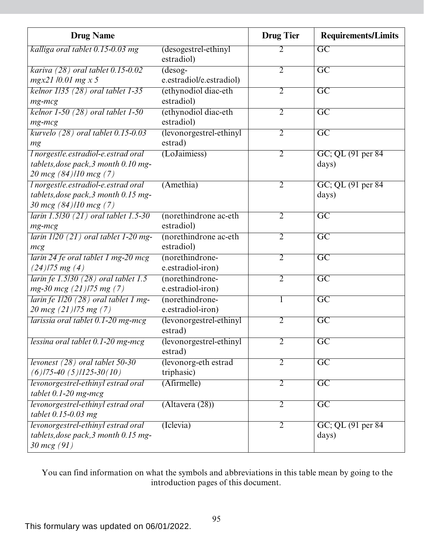| <b>Drug Name</b>                            |                                    | <b>Drug Tier</b> | <b>Requirements/Limits</b> |
|---------------------------------------------|------------------------------------|------------------|----------------------------|
| kalliga oral tablet 0.15-0.03 mg            | (desogestrel-ethinyl<br>estradiol) | 2                | $\overline{GC}$            |
| kariva $(28)$ oral tablet $0.15$ -0.02      | $(desog-$                          | $\overline{2}$   | $\overline{\text{GC}}$     |
| $mgx21/0.01$ mg x 5                         | e.estradiol/e.estradiol)           |                  |                            |
| kelnor $1/35$ (28) oral tablet 1-35         | (ethynodiol diac-eth               | $\overline{2}$   | $\overline{GC}$            |
| $mg$ - $mcg$                                | estradiol)                         |                  |                            |
| kelnor $1-50$ (28) oral tablet $1-50$       | (ethynodiol diac-eth               | $\overline{2}$   | $\overline{GC}$            |
| $mg$ - $mcg$                                | estradiol)                         |                  |                            |
| kurvelo $(28)$ oral tablet 0.15-0.03        | (levonorgestrel-ethinyl            | 2                | $\overline{GC}$            |
| mg                                          | estrad)                            |                  |                            |
| l norgestle.estradiol-e.estrad oral         | (LoJaimiess)                       | $\overline{2}$   | GC; QL (91 per 84)         |
| tablets, dose pack, 3 month 0.10 mg-        |                                    |                  | days)                      |
| 20 mcg (84)/10 mcg (7)                      |                                    |                  |                            |
| <i>l</i> norgestle.estradiol-e.estrad oral  | (Amethia)                          | $\overline{2}$   | GC; QL (91 per 84)         |
| tablets, dose pack, 3 month 0.15 mg-        |                                    |                  | days)                      |
| 30 mcg $(84)/10$ mcg $(7)$                  |                                    |                  |                            |
| <i>larin 1.5/30 (21) oral tablet 1.5-30</i> | (norethindrone ac-eth              | 2                | $\overline{GC}$            |
| $mg$ - $mcg$                                | estradiol)                         |                  |                            |
| larin $1/20$ (21) oral tablet 1-20 mg-      | (norethindrone ac-eth              | $\overline{2}$   | $\overline{\text{GC}}$     |
| mcg                                         | estradiol)                         |                  |                            |
| larin 24 fe oral tablet 1 mg-20 mcg         | (norethindrone-                    | $\overline{2}$   | $\overline{GC}$            |
| $(24)$ /75 mg $(4)$                         | e.estradiol-iron)                  |                  |                            |
| larin fe $1.5/30$ (28) oral tablet 1.5      | (norethindrone-                    | $\overline{2}$   | $\overline{GC}$            |
| $mg-30$ mcg $(21)$ /75 mg $(7)$             | e.estradiol-iron)                  |                  |                            |
| larin fe 1/20 (28) oral tablet 1 mg-        | (norethindrone-                    | 1                | $\overline{\text{GC}}$     |
| 20 mcg $(21)$ /75 mg $(7)$                  | e.estradiol-iron)                  |                  |                            |
| larissia oral tablet $0.1$ -20 mg-mcg       | (levonorgestrel-ethinyl            | $\overline{2}$   | $\overline{GC}$            |
|                                             | estrad)                            |                  |                            |
| lessina oral tablet $0.1$ -20 mg-mcg        | (levonorgestrel-ethinyl            | $\overline{2}$   | $\overline{GC}$            |
|                                             | estrad)                            |                  |                            |
| levonest $(28)$ oral tablet 50-30           | (levonorg-eth estrad               | $\overline{2}$   | $\overline{GC}$            |
| $(6)$  75-40 $(5)$  125-30 $(10)$           | triphasic)                         |                  |                            |
| levonorgestrel-ethinyl estrad oral          | (Afirmelle)                        | $\overline{2}$   | $\overline{GC}$            |
| tablet $0.1-20$ mg-mcg                      |                                    |                  |                            |
| levonorgestrel-ethinyl estrad oral          | $(\text{Altavera}(28))$            | $\overline{2}$   | $\overline{GC}$            |
| tablet 0.15-0.03 mg                         |                                    |                  |                            |
| levonorgestrel-ethinyl estrad oral          | (Iclevia)                          | $\overline{2}$   | GC; QL (91 per 84)         |
| tablets, dose pack, 3 month 0.15 mg-        |                                    |                  | days)                      |
| 30 mcg (91)                                 |                                    |                  |                            |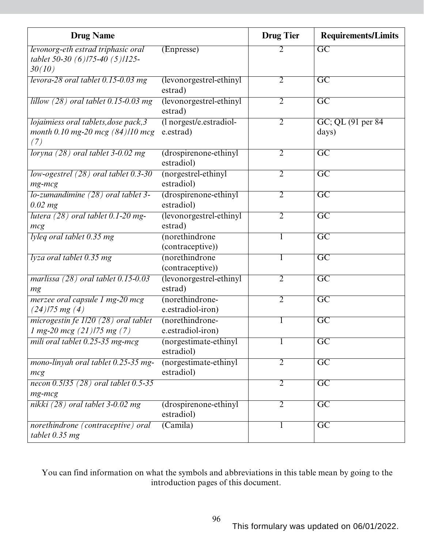| <b>Drug Name</b>                                                                   |                                      | <b>Drug Tier</b> | <b>Requirements/Limits</b>  |
|------------------------------------------------------------------------------------|--------------------------------------|------------------|-----------------------------|
| levonorg-eth estrad triphasic oral<br>tablet 50-30 (6)/75-40 (5)/125-<br>30(10)    | (Enpresse)                           | 2                | $\overline{GC}$             |
| levora-28 oral tablet 0.15-0.03 mg                                                 | (levonorgestrel-ethinyl<br>estrad)   | $\overline{2}$   | $\overline{\mathrm{GC}}$    |
| lillow $(28)$ oral tablet 0.15-0.03 mg                                             | (levonorgestrel-ethinyl<br>estrad)   | $\overline{2}$   | $\overline{\mathrm{GC}}$    |
| lojaimiess oral tablets, dose pack, 3<br>month 0.10 mg-20 mcg $(84)/10$ mcg<br>(7) | (1 norgest/e.estradiol-<br>e.estrad) | $\overline{2}$   | GC; QL (91 per 84)<br>days) |
| loryna $(28)$ oral tablet 3-0.02 mg                                                | (drospirenone-ethinyl<br>estradiol)  | $\overline{2}$   | $\overline{GC}$             |
| low-ogestrel $(28)$ oral tablet 0.3-30<br>$mg$ - $mcg$                             | (norgestrel-ethinyl<br>estradiol)    | $\overline{2}$   | $\overline{GC}$             |
| $10$ -zumandimine $(28)$ oral tablet 3-<br>$0.02$ mg                               | (drospirenone-ethinyl<br>estradiol)  | $\overline{2}$   | $\overline{GC}$             |
| lutera $(28)$ oral tablet 0.1-20 mg-<br>mcg                                        | (levonorgestrel-ethinyl<br>estrad)   | $\overline{2}$   | $\overline{GC}$             |
| lyleq oral tablet $0.35$ mg                                                        | (norethindrone<br>(contraceptive))   |                  | $\overline{GC}$             |
| lyza oral tablet 0.35 mg                                                           | (norethindrone<br>(contraceptive))   |                  | $\overline{GC}$             |
| marlissa $(28)$ oral tablet $0.15$ -0.03<br>mg                                     | (levonorgestrel-ethinyl<br>estrad)   | $\overline{2}$   | $\overline{GC}$             |
| merzee oral capsule 1 mg-20 mcg<br>$(24)$ /75 mg $(4)$                             | (norethindrone-<br>e.estradiol-iron) | $\overline{2}$   | $\overline{GC}$             |
| microgestin fe $1/20$ (28) oral tablet<br>1 mg-20 mcg $(21)$ /75 mg $(7)$          | (norethindrone-<br>e.estradiol-iron) |                  | $\overline{GC}$             |
| mili oral tablet 0.25-35 mg-mcg                                                    | (norgestimate-ethinyl<br>estradiol)  |                  | $\overline{GC}$             |
| mono-linyah oral tablet 0.25-35 mg-<br>mcg                                         | (norgestimate-ethinyl<br>estradiol)  | $\overline{2}$   | $\overline{\text{GC}}$      |
| necon $0.5/35$ (28) oral tablet $0.5-35$<br>$mg$ - $mcg$                           |                                      | $\overline{2}$   | $\overline{GC}$             |
| nikki $(28)$ oral tablet 3-0.02 mg                                                 | (drospirenone-ethinyl<br>estradiol)  | $\overline{2}$   | $\overline{GC}$             |
| norethindrone (contraceptive) oral<br>tablet $0.35$ mg                             | (Camila)                             | $\bf{l}$         | $\overline{GC}$             |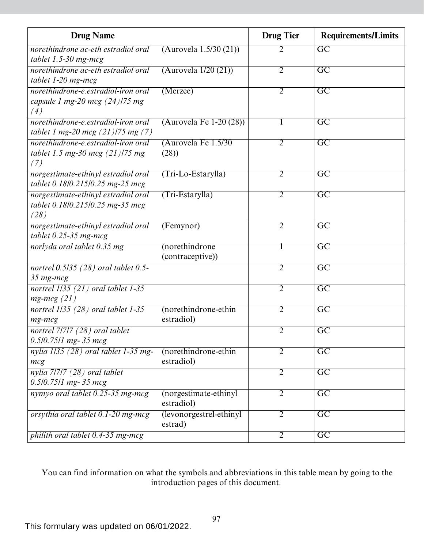| <b>Drug Name</b>                                                                 |                                     | <b>Drug Tier</b> | <b>Requirements/Limits</b> |
|----------------------------------------------------------------------------------|-------------------------------------|------------------|----------------------------|
| norethindrone ac-eth estradiol oral                                              | (Aurovela 1.5/30 (21))              | $\overline{2}$   | $\overline{GC}$            |
| tablet $1.5-30$ mg-mcg                                                           |                                     |                  |                            |
| norethindrone ac-eth estradiol oral<br>tablet 1-20 mg-mcg                        | (Aurovela 1/20 (21))                | $\overline{2}$   | $\overline{\mathrm{GC}}$   |
| norethindrone-e.estradiol-iron oral<br>capsule 1 mg-20 mcg $(24)$ /75 mg<br>(4)  | (Merzee)                            | $\overline{2}$   | $\overline{\mathrm{GC}}$   |
| norethindrone-e.estradiol-iron oral<br>tablet 1 mg-20 mcg $(21)$ /75 mg $(7)$    | (Aurovela Fe $1-20(28)$ )           | $\mathbf{I}$     | $\overline{\text{GC}}$     |
| norethindrone-e.estradiol-iron oral<br>tablet 1.5 mg-30 mcg $(21)$ /75 mg<br>(7) | (Aurovela Fe 1.5/30)<br>(28)        | $\overline{2}$   | $\overline{GC}$            |
| norgestimate-ethinyl estradiol oral<br>tablet 0.18/0.215/0.25 mg-25 mcg          | $(Tri-Lo-Estarylla)$                | $\overline{2}$   | $\overline{\mathrm{GC}}$   |
| norgestimate-ethinyl estradiol oral<br>tablet 0.18/0.215/0.25 mg-35 mcg<br>(28)  | $(Tri-Estarylla)$                   | $\overline{2}$   | $\overline{\mathrm{GC}}$   |
| norgestimate-ethinyl estradiol oral<br>tablet $0.25-35$ mg-mcg                   | (Femynor)                           | $\overline{2}$   | $\overline{GC}$            |
| norlyda oral tablet 0.35 mg                                                      | (norethindrone                      | $\mathbf{I}$     | $\overline{\mathrm{GC}}$   |
|                                                                                  | (contraceptive))                    |                  |                            |
| nortrel 0.5/35 (28) oral tablet 0.5-<br>$35$ mg-mcg                              |                                     | $\overline{2}$   | $\overline{\mathrm{GC}}$   |
| nortrel $1/35$ (21) oral tablet 1-35<br>$mg$ - $mcg$ (21)                        |                                     | $\overline{2}$   | $\overline{GC}$            |
| nortrel 1135 (28) oral tablet 1-35<br>mg-mcg                                     | (norethindrone-ethin<br>estradiol)  | $\overline{2}$   | $\overline{\mathrm{GC}}$   |
| nortrel 7/7/7 (28) oral tablet<br>$0.5/0.75/1$ mg- 35 mcg                        |                                     | $\overline{2}$   | $\overline{\mathrm{GC}}$   |
| nylia 1135 (28) oral tablet 1-35 mg-<br>mcg                                      | (norethindrone-ethin<br>estradiol)  | 2                | $\overline{\mathrm{GC}}$   |
| $n$ ylia 7/7/7 (28) oral tablet<br>$0.5/0.75/1$ mg- 35 mcg                       |                                     | $\overline{2}$   | $\overline{GC}$            |
| nymyo oral tablet 0.25-35 mg-mcg                                                 | (norgestimate-ethinyl<br>estradiol) | $\overline{2}$   | $\overline{\mathrm{GC}}$   |
| orsythia oral tablet 0.1-20 mg-mcg                                               | (levonorgestrel-ethinyl<br>estrad)  | $\overline{2}$   | $\overline{\text{GC}}$     |
| philith oral tablet 0.4-35 mg-mcg                                                |                                     | $\overline{2}$   | $\overline{GC}$            |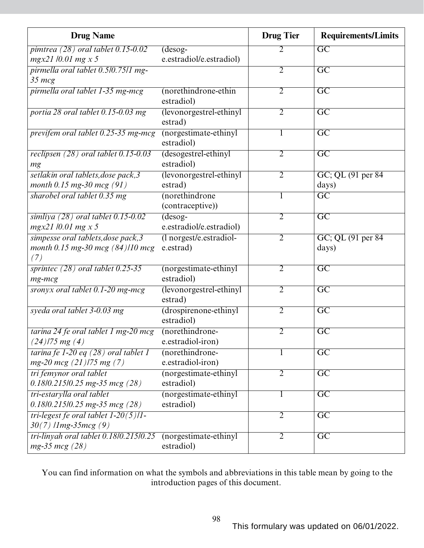| <b>Drug Name</b>                                                               |                                       | <b>Drug Tier</b> | <b>Requirements/Limits</b>  |
|--------------------------------------------------------------------------------|---------------------------------------|------------------|-----------------------------|
| pimtrea $(28)$ oral tablet 0.15-0.02                                           | $(desog-$                             | 2                | $\overline{GC}$             |
| $mgx21/0.01$ mg x 5                                                            | e.estradiol/e.estradiol)              |                  |                             |
| pirmella oral tablet 0.5/0.75/1 mg-                                            |                                       | $\overline{2}$   | $\overline{GC}$             |
| $35 \, mcg$                                                                    |                                       |                  |                             |
| pirmella oral tablet 1-35 mg-mcg                                               | (norethindrone-ethin<br>estradiol)    | $\overline{2}$   | $\overline{GC}$             |
| portia 28 oral tablet 0.15-0.03 mg                                             | (levonorgestrel-ethinyl<br>estrad)    | $\overline{2}$   | $\overline{GC}$             |
| previfem oral tablet 0.25-35 mg-mcg                                            | (norgestimate-ethinyl<br>estradiol)   |                  | $\overline{\text{GC}}$      |
| reclipsen $(28)$ oral tablet 0.15-0.03<br>mg                                   | (desogestrel-ethinyl<br>estradiol)    | $\overline{2}$   | $\overline{GC}$             |
| setlakin oral tablets, dose pack, 3<br>month $0.15$ mg-30 mcg $(91)$           | (levonorgestrel-ethinyl<br>estrad)    | $\overline{2}$   | GC; QL (91 per 84)<br>days) |
| sharobel oral tablet 0.35 mg                                                   | (norethindrone<br>(contraceptive))    | 1                | $\overline{\text{GC}}$      |
| simliya $(28)$ oral tablet $0.15$ -0.02<br>$mgx21/0.01$ mg x 5                 | $(desog-$<br>e.estradiol/e.estradiol) | $\overline{2}$   | $\overline{GC}$             |
| simpesse oral tablets, dose pack, 3<br>month 0.15 mg-30 mcg (84)/10 mcg<br>(7) | (1 norgest/e.estradiol-<br>e.estrad)  | $\overline{2}$   | GC; QL (91 per 84)<br>days) |
| sprintec $(28)$ oral tablet $0.25-35$<br>$mg$ - $mcg$                          | (norgestimate-ethinyl<br>estradiol)   | $\overline{2}$   | $\overline{GC}$             |
| sronyx oral tablet 0.1-20 mg-mcg                                               | (levonorgestrel-ethinyl<br>estrad)    | $\overline{2}$   | $\overline{GC}$             |
| syeda oral tablet 3-0.03 mg                                                    | (drospirenone-ethinyl<br>estradiol)   | $\overline{2}$   | $\overline{\mathrm{GC}}$    |
| tarina 24 fe oral tablet 1 mg-20 mcg<br>$(24)$ /75 mg $(4)$                    | (norethindrone-<br>e.estradiol-iron)  | 2                | $\overline{\text{GC}}$      |
| tarina fe 1-20 eq $(28)$ oral tablet 1<br>$mg-20$ mcg $(21)$ 175 mg $(7)$      | (norethindrone-<br>e.estradiol-iron)  |                  | $\overline{GC}$             |
| tri femynor oral tablet<br>$0.18/0.215/0.25$ mg-35 mcg (28)                    | (norgestimate-ethinyl<br>estradiol)   | $\overline{2}$   | $\overline{GC}$             |
| tri-estarylla oral tablet<br>$0.18/0.215/0.25$ mg-35 mcg (28)                  | (norgestimate-ethinyl<br>estradiol)   | $\mathbf{I}$     | $\overline{GC}$             |
| tri-legest fe oral tablet $1-20(5)/1$ -<br>$30(7)$ /1mg-35mcg (9)              |                                       | $\overline{2}$   | $\overline{GC}$             |
| tri-linyah oral tablet $0.18/0.215/0.25$<br>$mg-35$ mcg (28)                   | (norgestimate-ethinyl<br>estradiol)   | $\overline{2}$   | $\overline{GC}$             |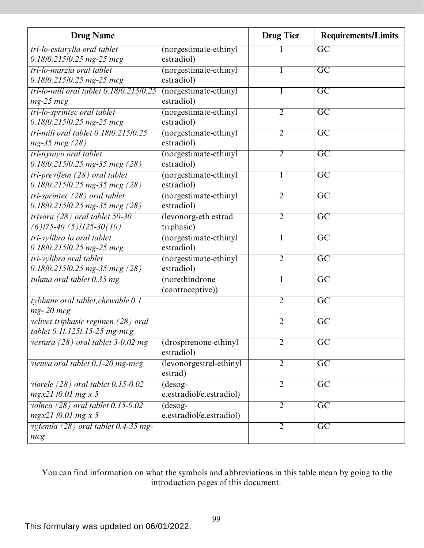| <b>Drug Name</b>                         |                          | <b>Drug Tier</b> | <b>Requirements/Limits</b> |
|------------------------------------------|--------------------------|------------------|----------------------------|
| tri-lo-estarylla oral tablet             | (norgestimate-ethinyl    |                  | $\overline{GC}$            |
| 0.18/0.215/0.25 mg-25 mcg                | estradiol)               |                  |                            |
| tri-lo-marzia oral tablet                | (norgestimate-ethinyl    |                  | $\overline{GC}$            |
| $0.18$ l $0.215$ l $0.25$ mg-25 mcg      | estradiol)               |                  |                            |
| tri-lo-mili oral tablet 0.18/0.215/0.25  | (norgestimate-ethinyl    | 1                | $\overline{GC}$            |
| $mg-25$ $mcg$                            | estradiol)               |                  |                            |
| tri-lo-sprintec oral tablet              | (norgestimate-ethinyl    | $\overline{2}$   | $\overline{\text{GC}}$     |
| 0.18/0.215/0.25 mg-25 mcg                | estradiol)               |                  |                            |
| tri-mili oral tablet 0.18/0.215/0.25     | (norgestimate-ethinyl    | 2                | $\overline{\mathrm{GC}}$   |
| $mg-35$ mcg (28)                         | estradiol)               |                  |                            |
| tri-nymyo oral tablet                    | (norgestimate-ethinyl    | $\overline{2}$   | $\overline{GC}$            |
| $0.18$ l $0.215$ l $0.25$ mg-35 mcg (28) | estradiol)               |                  |                            |
| tri-previfem $(28)$ oral tablet          | (norgestimate-ethinyl    | 1                | $\overline{GC}$            |
| $0.18/0.215/0.25$ mg-35 mcg (28)         | estradiol)               |                  |                            |
| $tri-sprinter (28)$ oral tablet          | (norgestimate-ethinyl    | $\overline{2}$   | $\overline{\text{GC}}$     |
| $0.18/0.215/0.25$ mg-35 mcg (28)         | estradiol)               |                  |                            |
| trivora $(28)$ oral tablet 50-30         | (levonorg-eth estrad     | $\overline{2}$   | $\overline{\mathrm{GC}}$   |
| $(6)$ /75-40 $(5)$ /125-30 $(10)$        | triphasic)               |                  |                            |
| tri-vylibra lo oral tablet               | (norgestimate-ethinyl    | $\mathbf{I}$     | $\overline{GC}$            |
| $0.18$ l $0.215$ l $0.25$ mg-25 mcg      | estradiol)               |                  |                            |
| tri-vylibra oral tablet                  | (norgestimate-ethinyl    | $\overline{2}$   | $\overline{GC}$            |
| $0.18/0.215/0.25$ mg-35 mcg (28)         | estradiol)               |                  |                            |
| tulana oral tablet 0.35 mg               | (norethindrone           | 1                | $\overline{GC}$            |
|                                          | (contraceptive))         |                  |                            |
| tyblume oral tablet, chewable 0.1        |                          | $\overline{2}$   | $\overline{GC}$            |
| $mg - 20$ $mcg$                          |                          |                  |                            |
| velivet triphasic regimen (28) oral      |                          | 2                | $\overline{GC}$            |
| tablet 0.1/.125/.15-25 mg-mcg            |                          |                  |                            |
| vestura $(28)$ oral tablet 3-0.02 mg     | (drospirenone-ethinyl    | $\overline{2}$   | $\overline{GC}$            |
|                                          | estradiol)               |                  |                            |
| vienva oral tablet 0.1-20 mg-mcg         | (levonorgestrel-ethinyl  | $\overline{2}$   | $\overline{GC}$            |
|                                          | estrad)                  |                  |                            |
| viorele $(28)$ oral tablet $0.15$ -0.02  | $(desog-$                | 2                | $\overline{\text{GC}}$     |
| $mgx21/0.01$ mg x 5                      | e.estradiol/e.estradiol) |                  |                            |
| volnea $(28)$ oral tablet $0.15$ -0.02   | $(desog-$                | $\overline{2}$   | $\overline{GC}$            |
| mgx21 /0.01 mg x 5                       | e.estradiol/e.estradiol) |                  |                            |
| vyfemla (28) oral tablet 0.4-35 mg-      |                          | $\overline{2}$   | $\overline{GC}$            |
| mcg                                      |                          |                  |                            |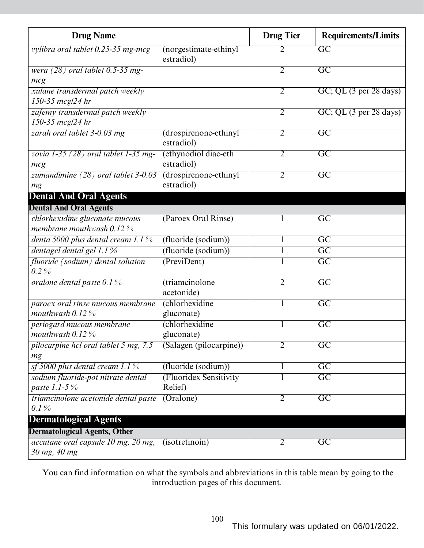| <b>Drug Name</b>                                              |                                       | <b>Drug Tier</b> | <b>Requirements/Limits</b> |
|---------------------------------------------------------------|---------------------------------------|------------------|----------------------------|
| vylibra oral tablet 0.25-35 mg-mcg                            | (norgestimate-ethinyl)<br>estradiol)  | 2                | $\overline{GC}$            |
| wera $(28)$ oral tablet 0.5-35 mg-<br>mcg                     |                                       | $\overline{2}$   | $\overline{\text{GC}}$     |
| xulane transdermal patch weekly<br>150-35 mcg/24 hr           |                                       | $\overline{2}$   | GC; QL (3 per 28 days)     |
| zafemy transdermal patch weekly<br>150-35 mcg/24 hr           |                                       | $\overline{2}$   | GC; QL (3 per 28 days)     |
| zarah oral tablet 3-0.03 mg                                   | (drospirenone-ethinyl<br>estradiol)   | 2                | $\overline{\text{GC}}$     |
| zovia $1-35$ (28) oral tablet $1-35$ mg-<br>mcg               | (ethynodiol diac-eth<br>estradiol)    | $\overline{2}$   | $\overline{\text{GC}}$     |
| zumandimine $(28)$ oral tablet 3-0.03<br>mg                   | (drospirenone-ethinyl<br>estradiol)   | 2                | $\overline{\text{GC}}$     |
| <b>Dental And Oral Agents</b>                                 |                                       |                  |                            |
| <b>Dental And Oral Agents</b>                                 |                                       |                  |                            |
| chlorhexidine gluconate mucous<br>membrane mouthwash $0.12\%$ | (Paroex Oral Rinse)                   |                  | $\overline{GC}$            |
| denta 5000 plus dental cream 1.1%                             | (fluoride (sodium))                   |                  | $\overline{\mathrm{GC}}$   |
| dentagel dental gel $1.1\%$                                   | (fluoride (sodium))                   | 1                | $\overline{\text{GC}}$     |
| fluoride (sodium) dental solution<br>$0.2\%$                  | (PreviDent)                           |                  | $\overline{GC}$            |
| oralone dental paste 0.1 %                                    | <i>(triamcinolone</i> )<br>acetonide) | 2                | $\overline{\text{GC}}$     |
| paroex oral rinse mucous membrane<br>mouthwash $0.12\%$       | (chlorhexidine<br>gluconate)          | 1                | $\overline{\text{GC}}$     |
| periogard mucous membrane<br>mouthwash $0.12\%$               | <i>(chlorhexidine)</i><br>gluconate)  |                  | $\overline{\text{GC}}$     |
| pilocarpine hcl oral tablet 5 mg, 7.5<br>mg                   | (Salagen (pilocarpine))               | 2                | $\overline{GC}$            |
| sf 5000 plus dental cream $1.1\%$                             | (fluoride (sodium))                   | 1                | $\overline{\text{GC}}$     |
| sodium fluoride-pot nitrate dental<br>paste 1.1-5 $\%$        | (Fluoridex Sensitivity<br>Relief)     |                  | $\overline{GC}$            |
| triamcinolone acetonide dental paste<br>$0.1\%$               | (Oralone)                             | $\overline{2}$   | $\overline{\mathrm{GC}}$   |
| <b>Dermatological Agents</b>                                  |                                       |                  |                            |
| <b>Dermatological Agents, Other</b>                           |                                       |                  |                            |
| accutane oral capsule 10 mg, 20 mg,<br>30 mg, 40 mg           | (isotretinoin)                        | $\overline{2}$   | GC                         |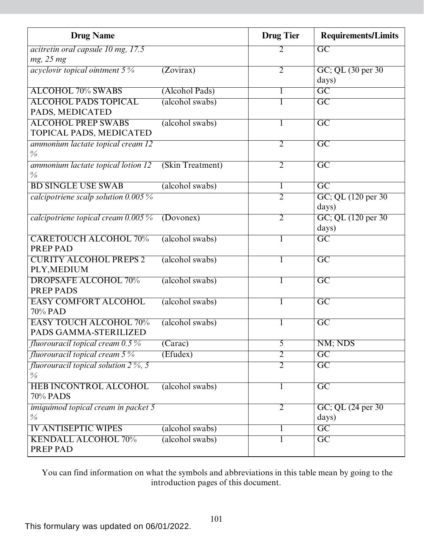| <b>Drug Name</b>                           |                      | <b>Drug Tier</b> | <b>Requirements/Limits</b> |
|--------------------------------------------|----------------------|------------------|----------------------------|
| acitretin oral capsule 10 mg, 17.5         |                      | 2                | $\overline{GC}$            |
| mg, 25 mg                                  |                      |                  |                            |
| <i>acyclovir topical ointment</i> $5\%$    | (Zovirax)            | $\overline{2}$   | GC; QL (30 per 30)         |
|                                            |                      |                  | days)                      |
| <b>ALCOHOL 70% SWABS</b>                   | (Alcohol Pads)       | 1                | $\overline{GC}$            |
| <b>ALCOHOL PADS TOPICAL</b>                | (alcohol swabs)      |                  | $\overline{GC}$            |
| PADS, MEDICATED                            |                      |                  |                            |
| <b>ALCOHOL PREP SWABS</b>                  | (alcohol swabs)      |                  | $\overline{GC}$            |
| TOPICAL PADS, MEDICATED                    |                      |                  |                            |
| ammonium lactate topical cream 12          |                      | $\overline{2}$   | $\overline{GC}$            |
| $\frac{0}{0}$                              |                      |                  |                            |
| ammonium lactate topical lotion 12         | (Skin Treatment)     | $\overline{2}$   | $\overline{\mathrm{GC}}$   |
| $\frac{0}{0}$                              |                      |                  |                            |
| <b>BD SINGLE USE SWAB</b>                  | (alcohol swabs)      | 1                | $\overline{GC}$            |
| calcipotriene scalp solution $0.005\%$     |                      | $\overline{2}$   | GC; QL (120 per 30)        |
|                                            |                      |                  | days)                      |
| calcipotriene topical cream $0.005\%$      | (Dovonex)            | $\overline{2}$   | GC; QL (120 per 30)        |
|                                            |                      |                  | days)                      |
| <b>CARETOUCH ALCOHOL 70%</b>               | (alcohol swabs)      |                  | $\overline{GC}$            |
| PREP PAD                                   |                      |                  |                            |
| <b>CURITY ALCOHOL PREPS 2</b>              | (alcohol swabs)      |                  | $\overline{GC}$            |
| PLY, MEDIUM                                |                      |                  |                            |
| <b>DROPSAFE ALCOHOL 70%</b>                | (alcohol swabs)      |                  | $\overline{\text{GC}}$     |
| <b>PREP PADS</b>                           |                      |                  |                            |
| <b>EASY COMFORT ALCOHOL</b>                | (alcohol swabs)      |                  | $\overline{\text{GC}}$     |
| 70% PAD                                    |                      |                  |                            |
| <b>EASY TOUCH ALCOHOL 70%</b>              | (alcohol swabs)      |                  | $\overline{GC}$            |
| PADS GAMMA-STERILIZED                      |                      |                  |                            |
| fluorouracil topical cream 0.5%            | $\overline{(Carac)}$ | $\overline{5}$   | NM; NDS                    |
| fluorouracil topical cream $5\%$           | (Efudex)             | $\overline{2}$   | $\overline{GC}$            |
| fluorouracil topical solution $2\%$ , 5    |                      | $\overline{2}$   | $\overline{GC}$            |
| $\frac{0}{0}$                              |                      |                  |                            |
| <b>HEB INCONTROL ALCOHOL</b>               | (alcohol swabs)      | 1                | $\overline{\text{GC}}$     |
| 70% PADS                                   |                      |                  |                            |
| <i>imiquimod topical cream in packet 5</i> |                      | $\overline{2}$   | GC; QL (24 per 30)         |
| $\frac{0}{0}$                              |                      |                  | days)                      |
| <b>IV ANTISEPTIC WIPES</b>                 | (alcohol swabs)      | $\bf{l}$         | $\overline{GC}$            |
| <b>KENDALL ALCOHOL 70%</b>                 | (alcohol swabs)      | 1                | $\overline{GC}$            |
| PREP PAD                                   |                      |                  |                            |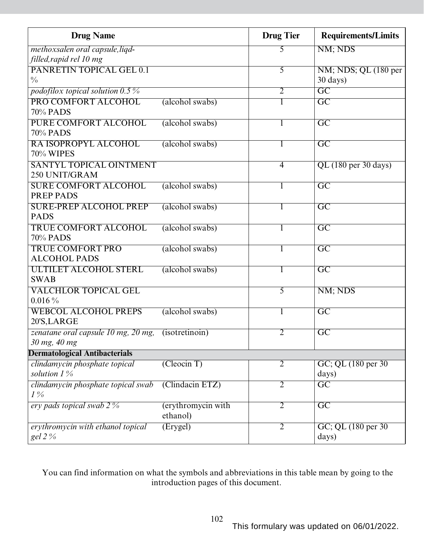| <b>Drug Name</b>                                    |                                | <b>Drug Tier</b> | <b>Requirements/Limits</b>   |
|-----------------------------------------------------|--------------------------------|------------------|------------------------------|
| methoxsalen oral capsule, liqd-                     |                                | 5                | NM; NDS                      |
| filled, rapid rel 10 mg                             |                                |                  |                              |
| <b>PANRETIN TOPICAL GEL 0.1</b>                     |                                | 5                | NM; NDS; QL (180 per         |
| $\frac{0}{0}$                                       |                                |                  | $30 \text{ days}$ )          |
| podofilox topical solution $0.5\%$                  |                                | $\overline{2}$   | $\overline{GC}$              |
| PRO COMFORT ALCOHOL<br>70% PADS                     | (alcohol swabs)                | 1                | $\overline{\text{GC}}$       |
| <b>PURE COMFORT ALCOHOL</b><br>70% PADS             | (alcohol swabs)                | 1                | $\overline{GC}$              |
| RA ISOPROPYL ALCOHOL<br>70% WIPES                   | (alcohol swabs)                | 1                | $\overline{GC}$              |
| <b>SANTYL TOPICAL OINTMENT</b><br>250 UNIT/GRAM     |                                | $\overline{4}$   | QL (180 per 30 days)         |
| <b>SURE COMFORT ALCOHOL</b><br><b>PREP PADS</b>     | (alcohol swabs)                | 1                | $\overline{GC}$              |
| <b>SURE-PREP ALCOHOL PREP</b><br><b>PADS</b>        | (alcohol swabs)                | 1                | $\overline{GC}$              |
| <b>TRUE COMFORT ALCOHOL</b><br>70% PADS             | (alcohol swabs)                | 1                | $\overline{GC}$              |
| <b>TRUE COMFORT PRO</b><br><b>ALCOHOL PADS</b>      | (alcohol swabs)                | 1                | $\overline{GC}$              |
| <b>ULTILET ALCOHOL STERL</b><br><b>SWAB</b>         | (alcohol swabs)                | 1                | $\overline{GC}$              |
| <b>VALCHLOR TOPICAL GEL</b><br>$0.016\,\%$          |                                | 5                | NM; NDS                      |
| <b>WEBCOL ALCOHOL PREPS</b><br>20'S, LARGE          | (alcohol swabs)                | 1                | $\overline{GC}$              |
| zenatane oral capsule 10 mg, 20 mg,<br>30 mg, 40 mg | (isotretinoin)                 | $\overline{2}$   | $\overline{GC}$              |
| <b>Dermatological Antibacterials</b>                |                                |                  |                              |
| clindamycin phosphate topical<br>solution $1\%$     | (Cleocin T)                    | $\overline{2}$   | GC; QL (180 per 30)<br>days) |
| clindamycin phosphate topical swab<br>$1\%$         | (Clindacin ETZ)                | $\overline{2}$   | $\overline{GC}$              |
| ery pads topical swab 2 %                           | (erythromycin with<br>ethanol) | $\overline{2}$   | $\overline{GC}$              |
| erythromycin with ethanol topical<br>gel 2 %        | (Erygel)                       | $\overline{2}$   | GC; QL (180 per 30)<br>days) |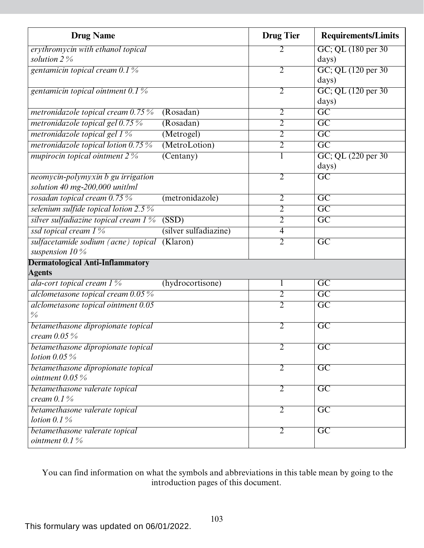| <b>Drug Name</b>                                         |                       | <b>Drug Tier</b> | <b>Requirements/Limits</b> |
|----------------------------------------------------------|-----------------------|------------------|----------------------------|
| erythromycin with ethanol topical                        |                       | 2                | GC; QL (180 per 30)        |
| solution $2\%$                                           |                       |                  | days)                      |
| gentamicin topical cream 0.1%                            |                       | $\overline{2}$   | GC; QL (120 per 30)        |
|                                                          |                       |                  | days)                      |
| gentamicin topical ointment $0.1\%$                      |                       | 2                | GC; QL (120 per 30)        |
|                                                          |                       |                  | days)                      |
| metronidazole topical cream $0.75\%$                     | (Rosadan)             | $\overline{2}$   | $\overline{GC}$            |
| metronidazole topical gel 0.75 %                         | (Rosadan)             | $\overline{2}$   | $\overline{GC}$            |
| metronidazole topical gel 1 %                            | (Metrogel)            | $\overline{2}$   | $\overline{\text{GC}}$     |
| metronidazole topical lotion 0.75%                       | (MetroLotion)         | $\overline{2}$   | $\overline{GC}$            |
| mupirocin topical ointment $2\%$                         | $(\text{Centany})$    | 1                | GC; QL (220 per 30)        |
|                                                          |                       |                  | days)                      |
| neomycin-polymyxin b gu irrigation                       |                       | $\overline{2}$   | $\overline{GC}$            |
| solution 40 mg-200,000 unit/ml                           |                       |                  |                            |
| rosadan topical cream 0.75 %                             | (metronidazole)       | $\overline{2}$   | $\overline{\text{GC}}$     |
| selenium sulfide topical lotion $2.5\%$                  |                       | $\overline{2}$   | $\overline{GC}$            |
| silver sulfadiazine topical cream $1\%$                  | (SSD)                 | 2                | $\overline{\mathrm{GC}}$   |
| ssd topical cream 1 %                                    | (silver sulfadiazine) | $\overline{4}$   |                            |
| sulfacetamide sodium (acne) topical                      | (Klaron)              | $\overline{2}$   | $\overline{\mathrm{GC}}$   |
| suspension $10\%$                                        |                       |                  |                            |
| <b>Dermatological Anti-Inflammatory</b><br><b>Agents</b> |                       |                  |                            |
| ala-cort topical cream $1\%$                             | (hydrocortisone)      | $\bf{l}$         | $\overline{GC}$            |
| alclometasone topical cream 0.05 %                       |                       | $\overline{2}$   | $\overline{\mathrm{GC}}$   |
| alclometasone topical ointment 0.05                      |                       | $\overline{2}$   | $\overline{\mathrm{GC}}$   |
| $\frac{0}{0}$                                            |                       |                  |                            |
| betamethasone dipropionate topical                       |                       | 2                | $\overline{\mathrm{GC}}$   |
| cream $0.05\%$                                           |                       |                  |                            |
| betamethasone dipropionate topical                       |                       | $\overline{2}$   | $\overline{\text{GC}}$     |
| lotion $0.05\%$                                          |                       |                  |                            |
| betamethasone dipropionate topical                       |                       | $\overline{2}$   | $\overline{GC}$            |
| ointment $0.05\%$                                        |                       |                  |                            |
| betamethasone valerate topical                           |                       | $\overline{2}$   | $\overline{GC}$            |
| cream $0.1\%$                                            |                       |                  |                            |
| betamethasone valerate topical                           |                       | $\overline{2}$   | $\overline{\mathrm{GC}}$   |
| lotion $0.1\%$                                           |                       |                  |                            |
| betamethasone valerate topical                           |                       | $\overline{2}$   | $\overline{\text{GC}}$     |
| ointment $0.1\%$                                         |                       |                  |                            |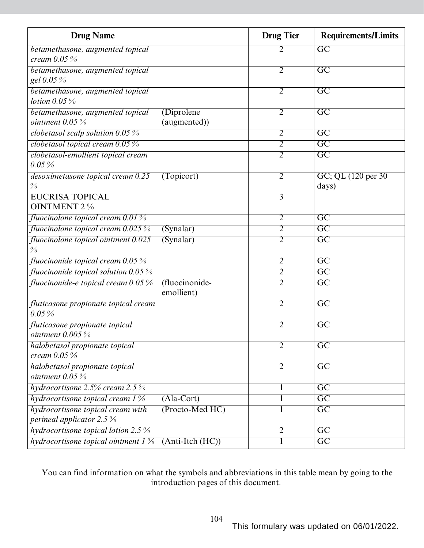| <b>Drug Name</b>                                                    |                   | <b>Drug Tier</b> | <b>Requirements/Limits</b> |
|---------------------------------------------------------------------|-------------------|------------------|----------------------------|
| betamethasone, augmented topical                                    |                   |                  | GC                         |
| cream $0.05\%$                                                      |                   |                  |                            |
| betamethasone, augmented topical                                    |                   | $\overline{2}$   | $\overline{GC}$            |
| gel 0.05 %                                                          |                   |                  |                            |
| betamethasone, augmented topical                                    |                   | 2                | $\overline{GC}$            |
| lotion $0.05\%$                                                     |                   |                  |                            |
| (Diprolene)<br>betamethasone, augmented topical                     |                   | $\overline{2}$   | $\overline{GC}$            |
| ointment $0.05\%$<br>(augmented))                                   |                   |                  |                            |
| clobetasol scalp solution $0.05\%$                                  |                   | $\overline{2}$   | $\overline{\mathrm{GC}}$   |
| clobetasol topical cream $0.05\%$                                   |                   | $\overline{2}$   | $\overline{GC}$            |
| clobetasol-emollient topical cream                                  |                   | $\overline{2}$   | $\overline{GC}$            |
| $0.05\%$                                                            |                   |                  |                            |
| desoximetasone topical cream 0.25<br>(Topicort)                     |                   | $\overline{2}$   | GC; QL (120 per 30)        |
| $\frac{0}{6}$                                                       |                   |                  | days)                      |
| <b>EUCRISA TOPICAL</b>                                              |                   | $\overline{3}$   |                            |
| <b>OINTMENT 2 %</b>                                                 |                   |                  |                            |
| fluocinolone topical cream $0.01\%$                                 |                   | 2                | $\overline{\mathrm{GC}}$   |
| <i>fluocinolone topical cream</i> $0.025\%$<br>(Synalar)            |                   | $\overline{2}$   | $\overline{\mathrm{GC}}$   |
| fluocinolone topical ointment 0.025<br>(Synalar)<br>$\frac{0}{0}$   |                   | $\overline{2}$   | $\overline{GC}$            |
| fluocinonide topical cream $0.05\%$                                 |                   | $\overline{2}$   | $\overline{GC}$            |
| fluocinonide topical solution $0.05\%$                              |                   | $\overline{2}$   | $\overline{GC}$            |
| fluocinonide-e topical cream 0.05 %<br>(fluocinonide-<br>emollient) |                   | $\overline{2}$   | $\overline{\mathrm{GC}}$   |
| fluticasone propionate topical cream<br>$0.05\%$                    |                   | $\overline{2}$   | $\overline{\mathrm{GC}}$   |
| fluticasone propionate topical                                      |                   | 2                | $\overline{\mathrm{GC}}$   |
| ointment $0.005\,\%$                                                |                   |                  |                            |
| halobetasol propionate topical                                      |                   | $\overline{2}$   | $\overline{GC}$            |
| cream $0.05\%$                                                      |                   |                  |                            |
| halobetasol propionate topical                                      |                   | $\overline{2}$   | $\overline{\mathrm{GC}}$   |
| ointment $0.05\%$                                                   |                   |                  |                            |
| hydrocortisone $2.5\%$ cream $2.5\%$                                |                   | 1                | $\overline{\mathrm{GC}}$   |
| hydrocortisone topical cream $1\%$<br>$(Ala-Cort)$                  |                   | 1                | $\overline{\mathrm{GC}}$   |
| hydrocortisone topical cream with                                   | (Procto-Med HC)   | 1                | $\overline{GC}$            |
| perineal applicator 2.5 %                                           |                   |                  |                            |
| hydrocortisone topical lotion 2.5 $\%$                              |                   | $\overline{2}$   | GC                         |
| hydrocortisone topical ointment $1\%$                               | $(Anti-Itch(HC))$ | 1                | $\overline{GC}$            |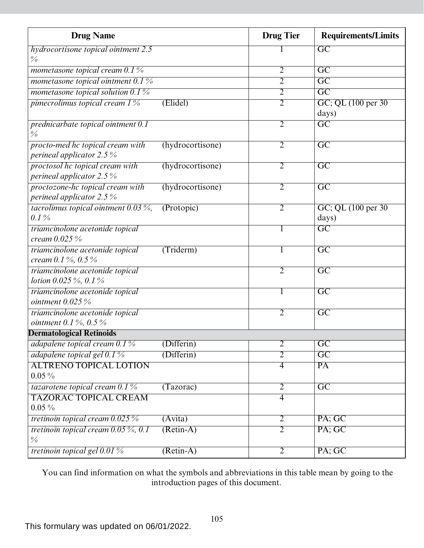| <b>Drug Name</b>                                                       |                  | <b>Drug Tier</b> | <b>Requirements/Limits</b>   |
|------------------------------------------------------------------------|------------------|------------------|------------------------------|
| hydrocortisone topical ointment 2.5                                    |                  |                  | $\overline{GC}$              |
| $\frac{0}{0}$                                                          |                  |                  |                              |
| mometasone topical cream 0.1 %                                         |                  | $\overline{2}$   | $\overline{GC}$              |
| mometasone topical ointment $0.1\%$                                    |                  | $\overline{2}$   | $\overline{GC}$              |
| mometasone topical solution $0.1\%$                                    |                  | $\overline{2}$   | $\overline{GC}$              |
| pimecrolimus topical cream 1%                                          | (Elidel)         | $\overline{2}$   | GC; QL (100 per 30)<br>days) |
| prednicarbate topical ointment 0.1<br>$\frac{0}{0}$                    |                  | 2                | GC                           |
| procto-med hc topical cream with<br>perineal applicator 2.5 $%$        | (hydrocortisone) | $\overline{2}$   | $\overline{GC}$              |
| proctosol he topical cream with<br>perineal applicator 2.5%            | (hydrocortisone) | 2                | $\overline{\mathrm{GC}}$     |
| proctozone-hc topical cream with<br>perineal applicator 2.5%           | (hydrocortisone) | 2                | $\overline{\text{GC}}$       |
| tacrolimus topical ointment $0.03\%$ ,<br>$0.1\%$                      | (Protopic)       | $\overline{2}$   | GC; QL (100 per 30)<br>days) |
| triamcinolone acetonide topical<br>cream $0.025\%$                     |                  |                  | $\overline{\mathrm{GC}}$     |
| triamcinolone acetonide topical<br>cream 0.1%, 0.5%                    | (Triderm)        | 1                | $\overline{GC}$              |
| triamcinolone acetonide topical<br><i>lotion</i> 0.025 $\%$ , 0.1 $\%$ |                  | $\overline{2}$   | $\overline{GC}$              |
| triamcinolone acetonide topical<br>ointment $0.025\%$                  |                  | 1                | $\overline{GC}$              |
| triamcinolone acetonide topical<br><i>ointment</i> 0.1 $\%$ , 0.5 $\%$ |                  | $\overline{2}$   | $\overline{\mathrm{GC}}$     |
| <b>Dermatological Retinoids</b>                                        |                  |                  |                              |
| adapalene topical cream $0.1\%$                                        | (Differential)   | $\overline{2}$   | $\overline{GC}$              |
| adapalene topical gel 0.1 %                                            | (Differential)   | $\overline{2}$   | $\overline{GC}$              |
| <b>ALTRENO TOPICAL LOTION</b><br>$0.05\%$                              |                  | $\overline{4}$   | $\overline{PA}$              |
| tazarotene topical cream $0.1\%$                                       | (Tazorac)        | $\overline{2}$   | $\overline{GC}$              |
| <b>TAZORAC TOPICAL CREAM</b><br>$0.05\,\%$                             |                  | $\overline{4}$   |                              |
| tretinoin topical cream $0.025\%$                                      | (Avita)          | $\overline{2}$   | PA; GC                       |
| tretinoin topical cream $0.05\%$ , 0.1<br>$\frac{0}{0}$                | $(Retin-A)$      | $\overline{2}$   | PA; GC                       |
| tretinoin topical gel $0.01\%$                                         | $(Retin-A)$      | $\overline{2}$   | PA; GC                       |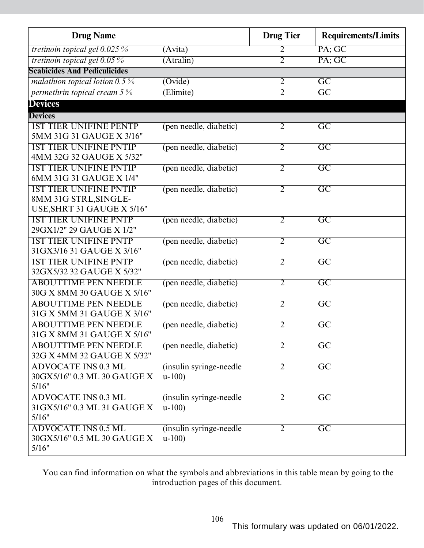| <b>Drug Name</b>                                          |                                     | <b>Drug Tier</b> | <b>Requirements/Limits</b> |
|-----------------------------------------------------------|-------------------------------------|------------------|----------------------------|
| tretinoin topical gel $0.025\%$                           | (Avita)                             | 2                | PA; GC                     |
| tretinoin topical gel $0.05\%$                            | $(A$ tralin $)$                     | $\overline{2}$   | PA; GC                     |
| <b>Scabicides And Pediculicides</b>                       |                                     |                  |                            |
| malathion topical lotion $0.5\%$                          | (Ovide)                             | $\overline{2}$   | $\overline{GC}$            |
| permethrin topical cream $5\%$                            | (Elimite)                           | $\overline{2}$   | $\overline{\text{GC}}$     |
| <b>Devices</b>                                            |                                     |                  |                            |
| <b>Devices</b>                                            |                                     |                  |                            |
| <b>IST TIER UNIFINE PENTP</b>                             | (pen needle, diabetic)              | 2                | $\overline{GC}$            |
| 5MM 31G 31 GAUGE X 3/16"                                  |                                     |                  |                            |
| <b>1ST TIER UNIFINE PNTIP</b>                             | (pen needle, diabetic)              | $\overline{2}$   | $\overline{GC}$            |
| 4MM 32G 32 GAUGE X 5/32"                                  |                                     |                  |                            |
| <b>1ST TIER UNIFINE PNTIP</b>                             | (pen needle, diabetic)              | $\overline{2}$   | $\overline{GC}$            |
| 6MM 31G 31 GAUGE X 1/4"                                   |                                     |                  |                            |
| <b>IST TIER UNIFINE PNTIP</b>                             | (pen needle, diabetic)              | 2                | $\overline{GC}$            |
| 8MM 31G STRL, SINGLE-                                     |                                     |                  |                            |
| USE, SHRT 31 GAUGE X 5/16"                                |                                     |                  |                            |
| <b>1ST TIER UNIFINE PNTP</b>                              | (pen needle, diabetic)              | $\overline{2}$   | $\overline{GC}$            |
| 29GX1/2" 29 GAUGE X 1/2"                                  |                                     |                  |                            |
| <b>IST TIER UNIFINE PNTP</b>                              | (pen needle, diabetic)              | $\overline{2}$   | $\overline{GC}$            |
| 31GX3/16 31 GAUGE X 3/16"                                 |                                     |                  |                            |
| <b>IST TIER UNIFINE PNTP</b>                              | (pen needle, diabetic)              | $\overline{2}$   | $\overline{GC}$            |
| 32GX5/32 32 GAUGE X 5/32"                                 |                                     |                  |                            |
| <b>ABOUTTIME PEN NEEDLE</b>                               | (pen needle, diabetic)              | $\overline{2}$   | $\overline{GC}$            |
| 30G X 8MM 30 GAUGE X 5/16"                                |                                     |                  |                            |
| <b>ABOUTTIME PEN NEEDLE</b>                               | (pen needle, diabetic)              | $\overline{2}$   | $\overline{GC}$            |
| 31G X 5MM 31 GAUGE X 3/16"                                |                                     |                  |                            |
| <b>ABOUTTIME PEN NEEDLE</b>                               | (pen needle, diabetic)              | $\overline{2}$   | $\overline{GC}$            |
| 31G X 8MM 31 GAUGE X 5/16"                                |                                     |                  |                            |
| <b>ABOUTTIME PEN NEEDLE</b><br>32G X 4MM 32 GAUGE X 5/32" | (pen needle, diabetic)              | $\overline{2}$   | $\overline{GC}$            |
|                                                           |                                     |                  |                            |
| <b>ADVOCATE INS 0.3 ML</b><br>30GX5/16" 0.3 ML 30 GAUGE X | (insulin syringe-needle)<br>$u-100$ | $\overline{2}$   | $\overline{GC}$            |
| 5/16"                                                     |                                     |                  |                            |
| <b>ADVOCATE INS 0.3 ML</b>                                | (insulin syringe-needle)            | $\overline{2}$   | $\overline{GC}$            |
| 31GX5/16" 0.3 ML 31 GAUGE X                               | $u-100$                             |                  |                            |
| 5/16"                                                     |                                     |                  |                            |
| <b>ADVOCATE INS 0.5 ML</b>                                | (insulin syringe-needle)            | $\overline{2}$   | $\overline{GC}$            |
| 30GX5/16" 0.5 ML 30 GAUGE X                               | $u-100$                             |                  |                            |
| 5/16"                                                     |                                     |                  |                            |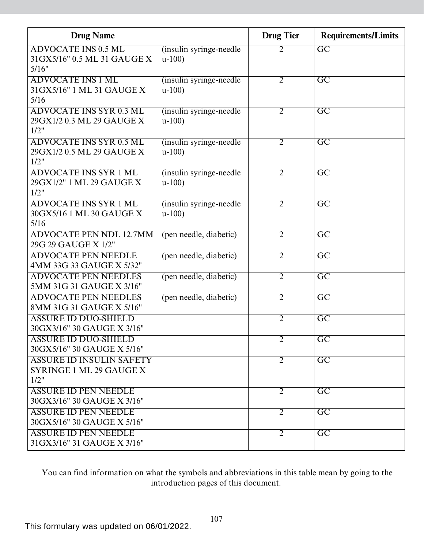| <b>Drug Name</b>                                              |                          | <b>Drug Tier</b> | <b>Requirements/Limits</b> |
|---------------------------------------------------------------|--------------------------|------------------|----------------------------|
| <b>ADVOCATE INS 0.5 ML</b>                                    | (insulin syringe-needle) | 2                | $\overline{GC}$            |
| 31GX5/16" 0.5 ML 31 GAUGE X<br>5/16"                          | $u-100$                  |                  |                            |
| <b>ADVOCATE INS 1 ML</b>                                      | (insulin syringe-needle) | $\overline{2}$   | $\overline{GC}$            |
| 31GX5/16" 1 ML 31 GAUGE X                                     | $u-100$                  |                  |                            |
| 5/16<br><b>ADVOCATE INS SYR 0.3 ML</b>                        | (insulin syringe-needle) | $\overline{2}$   | $\overline{\mathrm{GC}}$   |
| 29GX1/2 0.3 ML 29 GAUGE X                                     | $u-100$                  |                  |                            |
| 1/2"                                                          |                          |                  |                            |
| <b>ADVOCATE INS SYR 0.5 ML</b>                                | (insulin syringe-needle) | $\overline{2}$   | $\overline{GC}$            |
| 29GX1/2 0.5 ML 29 GAUGE X<br>1/2"                             | $u-100$                  |                  |                            |
| <b>ADVOCATE INS SYR 1 ML</b>                                  | (insulin syringe-needle) | 2                | $\overline{GC}$            |
| 29GX1/2" 1 ML 29 GAUGE X                                      | $u-100$                  |                  |                            |
| 1/2"<br><b>ADVOCATE INS SYR 1 ML</b>                          | (insulin syringe-needle) | $\overline{2}$   | $\overline{GC}$            |
| 30GX5/16 1 ML 30 GAUGE X                                      | $u-100$                  |                  |                            |
| 5/16                                                          |                          |                  |                            |
| <b>ADVOCATE PEN NDL 12.7MM</b>                                | (pen needle, diabetic)   | $\overline{2}$   | $\overline{\text{GC}}$     |
| 29G 29 GAUGE X 1/2"<br><b>ADVOCATE PEN NEEDLE</b>             | (pen needle, diabetic)   | $\overline{2}$   | $\overline{GC}$            |
| 4MM 33G 33 GAUGE X 5/32"                                      |                          |                  |                            |
| <b>ADVOCATE PEN NEEDLES</b>                                   | (pen needle, diabetic)   | $\overline{2}$   | $\overline{\text{GC}}$     |
| 5MM 31G 31 GAUGE X 3/16"                                      |                          |                  |                            |
| <b>ADVOCATE PEN NEEDLES</b><br>8MM 31G 31 GAUGE X 5/16"       | (pen needle, diabetic)   | $\overline{2}$   | $\overline{\mathrm{GC}}$   |
| <b>ASSURE ID DUO-SHIELD</b>                                   |                          | $\overline{2}$   | $\overline{GC}$            |
| 30GX3/16" 30 GAUGE X 3/16"                                    |                          |                  |                            |
| <b>ASSURE ID DUO-SHIELD</b>                                   |                          | $\overline{2}$   | $\overline{GC}$            |
| 30GX5/16" 30 GAUGE X 5/16"<br><b>ASSURE ID INSULIN SAFETY</b> |                          | $\overline{2}$   | $\overline{GC}$            |
| SYRINGE 1 ML 29 GAUGE X                                       |                          |                  |                            |
| 1/2"                                                          |                          |                  |                            |
| <b>ASSURE ID PEN NEEDLE</b>                                   |                          | $\overline{2}$   | $\overline{GC}$            |
| 30GX3/16" 30 GAUGE X 3/16"<br><b>ASSURE ID PEN NEEDLE</b>     |                          | $\overline{2}$   | $\overline{GC}$            |
| 30GX5/16" 30 GAUGE X 5/16"                                    |                          |                  |                            |
| <b>ASSURE ID PEN NEEDLE</b>                                   |                          | $\overline{2}$   | $\overline{GC}$            |
| 31GX3/16" 31 GAUGE X 3/16"                                    |                          |                  |                            |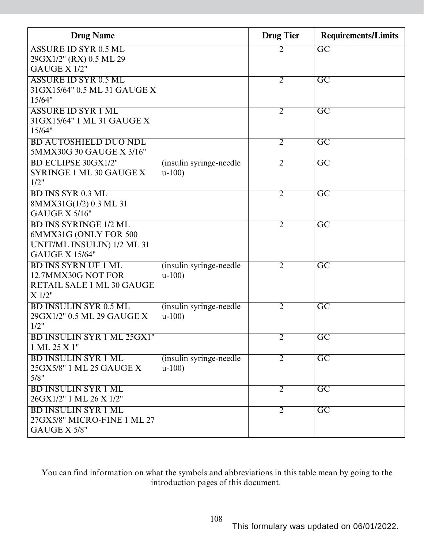| <b>Drug Name</b>                  |                          | <b>Drug Tier</b> | <b>Requirements/Limits</b> |
|-----------------------------------|--------------------------|------------------|----------------------------|
| <b>ASSURE ID SYR 0.5 ML</b>       |                          | 2                | $\overline{GC}$            |
| 29GX1/2" (RX) 0.5 ML 29           |                          |                  |                            |
| GAUGE X 1/2"                      |                          |                  |                            |
| <b>ASSURE ID SYR 0.5 ML</b>       |                          | $\overline{2}$   | $\overline{GC}$            |
| 31GX15/64" 0.5 ML 31 GAUGE X      |                          |                  |                            |
| 15/64"                            |                          |                  |                            |
| <b>ASSURE ID SYR 1 ML</b>         |                          | $\overline{2}$   | $\overline{\mathrm{GC}}$   |
| 31GX15/64" 1 ML 31 GAUGE X        |                          |                  |                            |
| 15/64"                            |                          |                  |                            |
| <b>BD AUTOSHIELD DUO NDL</b>      |                          | $\overline{2}$   | $\overline{GC}$            |
| 5MMX30G 30 GAUGE X 3/16"          |                          |                  |                            |
| <b>BD ECLIPSE 30GX1/2"</b>        | (insulin syringe-needle) | $\overline{2}$   | $\overline{GC}$            |
| SYRINGE 1 ML 30 GAUGE X<br>1/2"   | $u-100$                  |                  |                            |
| <b>BD INS SYR 0.3 ML</b>          |                          |                  | $\overline{\text{GC}}$     |
| 8MMX31G(1/2) 0.3 ML 31            |                          | $\overline{2}$   |                            |
| GAUGE X 5/16"                     |                          |                  |                            |
| <b>BD INS SYRINGE 1/2 ML</b>      |                          | $\overline{2}$   | $\overline{\mathrm{GC}}$   |
| 6MMX31G (ONLY FOR 500             |                          |                  |                            |
| UNIT/ML INSULIN) 1/2 ML 31        |                          |                  |                            |
| <b>GAUGE X 15/64"</b>             |                          |                  |                            |
| <b>BD INS SYRN UF 1 ML</b>        | (insulin syringe-needle) | $\overline{2}$   | $\overline{\mathrm{GC}}$   |
| 12.7MMX30G NOT FOR                | $u-100$                  |                  |                            |
| RETAIL SALE 1 ML 30 GAUGE         |                          |                  |                            |
| X 1/2"                            |                          |                  |                            |
| <b>BD INSULIN SYR 0.5 ML</b>      | (insulin syringe-needle) | 2                | $\overline{\text{GC}}$     |
| 29GX1/2" 0.5 ML 29 GAUGE X        | $u-100$                  |                  |                            |
| 1/2"                              |                          |                  |                            |
| <b>BD INSULIN SYR 1 ML 25GX1"</b> |                          | 2                | $\overline{GC}$            |
| 1 ML 25 X 1"                      |                          |                  |                            |
| <b>BD INSULIN SYR 1 ML</b>        | (insulin syringe-needle) | $\overline{2}$   | $\overline{GC}$            |
| 25GX5/8" 1 ML 25 GAUGE X          | $u-100$                  |                  |                            |
| 5/8"                              |                          |                  |                            |
| <b>BD INSULIN SYR 1 ML</b>        |                          | $\overline{2}$   | $\overline{GC}$            |
| 26GX1/2" 1 ML 26 X 1/2"           |                          |                  |                            |
| <b>BD INSULIN SYR 1 ML</b>        |                          | $\overline{2}$   | $\overline{\text{GC}}$     |
| 27GX5/8" MICRO-FINE 1 ML 27       |                          |                  |                            |
| GAUGE X 5/8"                      |                          |                  |                            |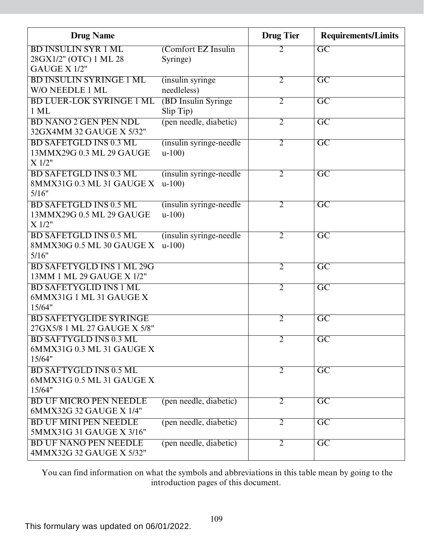| <b>Drug Name</b>                                                      |                                     | <b>Drug Tier</b> | <b>Requirements/Limits</b> |
|-----------------------------------------------------------------------|-------------------------------------|------------------|----------------------------|
| <b>BD INSULIN SYR 1 ML</b><br>28GX1/2" (OTC) 1 ML 28<br>GAUGE X 1/2"  | (Comfort EZ Insulin<br>Syringe)     | 2                | $\overline{GC}$            |
| <b>BD INSULIN SYRINGE 1 ML</b><br>W/O NEEDLE 1 ML                     | (insulin syringe)<br>needleless)    | $\overline{2}$   | $\overline{GC}$            |
| <b>BD LUER-LOK SYRINGE 1 ML</b><br>$1$ ML                             | (BD Insulin Syringe)<br>Slip Tip)   | $\overline{2}$   | $\overline{\mathrm{GC}}$   |
| <b>BD NANO 2 GEN PEN NDL</b><br>32GX4MM 32 GAUGE X 5/32"              | (pen needle, diabetic)              | $\overline{2}$   | $\overline{\mathrm{GC}}$   |
| <b>BD SAFETGLD INS 0.3 ML</b><br>13MMX29G 0.3 ML 29 GAUGE<br>X 1/2"   | (insulin syringe-needle)<br>$u-100$ | $\overline{2}$   | $\overline{GC}$            |
| <b>BD SAFETGLD INS 0.3 ML</b><br>8MMX31G 0.3 ML 31 GAUGE X<br>5/16"   | (insulin syringe-needle)<br>$u-100$ | $\overline{2}$   | $\overline{\mathrm{GC}}$   |
| <b>BD SAFETGLD INS 0.5 ML</b><br>13MMX29G 0.5 ML 29 GAUGE<br>$X$ 1/2" | (insulin syringe-needle)<br>$u-100$ | $\overline{2}$   | $\overline{\mathrm{GC}}$   |
| <b>BD SAFETGLD INS 0.5 ML</b><br>8MMX30G 0.5 ML 30 GAUGE X<br>5/16"   | (insulin syringe-needle)<br>$u-100$ | $\overline{2}$   | $\overline{\mathrm{GC}}$   |
| <b>BD SAFETYGLD INS 1 ML 29G</b><br>13MM 1 ML 29 GAUGE X 1/2"         |                                     | $\overline{2}$   | $\overline{GC}$            |
| <b>BD SAFETYGLID INS 1 ML</b><br>6MMX31G 1 ML 31 GAUGE X<br>15/64"    |                                     | $\overline{2}$   | $\overline{GC}$            |
| <b>BD SAFETYGLIDE SYRINGE</b><br>27GX5/8 1 ML 27 GAUGE X 5/8"         |                                     | $\overline{2}$   | $\overline{\text{GC}}$     |
| <b>BD SAFTYGLD INS 0.3 ML</b><br>6MMX31G 0.3 ML 31 GAUGE X<br>15/64"  |                                     | $\overline{2}$   | $\overline{\mathrm{GC}}$   |
| <b>BD SAFTYGLD INS 0.5 ML</b><br>6MMX31G 0.5 ML 31 GAUGE X<br>15/64"  |                                     | $\overline{2}$   | $\overline{GC}$            |
| <b>BD UF MICRO PEN NEEDLE</b><br>6MMX32G 32 GAUGE X 1/4"              | (pen needle, diabetic)              | $\overline{2}$   | $\overline{GC}$            |
| <b>BD UF MINI PEN NEEDLE</b><br>5MMX31G 31 GAUGE X 3/16"              | (pen needle, diabetic)              | $\overline{2}$   | $\overline{GC}$            |
| <b>BD UF NANO PEN NEEDLE</b><br>4MMX32G 32 GAUGE X 5/32"              | (pen needle, diabetic)              | $\overline{2}$   | $\overline{\text{GC}}$     |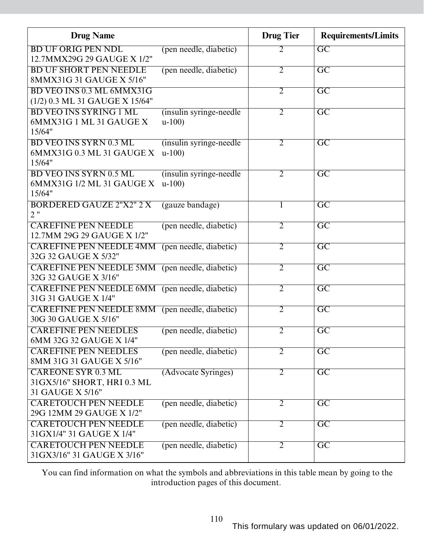| <b>Drug Name</b>                                                              |                                     | <b>Drug Tier</b> | <b>Requirements/Limits</b> |
|-------------------------------------------------------------------------------|-------------------------------------|------------------|----------------------------|
| <b>BD UF ORIG PEN NDL</b><br>12.7MMX29G 29 GAUGE X 1/2"                       | (pen needle, diabetic)              | 2                | $\overline{GC}$            |
| <b>BD UF SHORT PEN NEEDLE</b><br>8MMX31G 31 GAUGE X 5/16"                     | (pen needle, diabetic)              | $\overline{2}$   | $\overline{\mathrm{GC}}$   |
| BD VEO INS 0.3 ML 6MMX31G<br>(1/2) 0.3 ML 31 GAUGE X 15/64"                   |                                     | $\overline{2}$   | $\overline{\mathrm{GC}}$   |
| <b>BD VEO INS SYRING 1 ML</b><br>6MMX31G 1 ML 31 GAUGE X<br>15/64"            | (insulin syringe-needle)<br>$u-100$ | $\overline{2}$   | $\overline{\mathrm{GC}}$   |
| <b>BD VEO INS SYRN 0.3 ML</b><br>6MMX31G 0.3 ML 31 GAUGE X<br>15/64"          | (insulin syringe-needle)<br>$u-100$ | $\overline{2}$   | $\overline{GC}$            |
| <b>BD VEO INS SYRN 0.5 ML</b><br>6MMX31G 1/2 ML 31 GAUGE X<br>15/64"          | (insulin syringe-needle)<br>$u-100$ | $\overline{2}$   | $\overline{\mathrm{GC}}$   |
| <b>BORDERED GAUZE 2"X2" 2 X</b><br>2"                                         | (gauze bandage)                     | 1                | $\overline{GC}$            |
| <b>CAREFINE PEN NEEDLE</b><br>12.7MM 29G 29 GAUGE X 1/2"                      | (pen needle, diabetic)              | $\overline{2}$   | $\overline{GC}$            |
| <b>CAREFINE PEN NEEDLE 4MM</b><br>32G 32 GAUGE X 5/32"                        | (pen needle, diabetic)              | $\overline{2}$   | $\overline{\mathrm{GC}}$   |
| <b>CAREFINE PEN NEEDLE 5MM</b> (pen needle, diabetic)<br>32G 32 GAUGE X 3/16" |                                     | $\overline{2}$   | $\overline{\mathrm{GC}}$   |
| CAREFINE PEN NEEDLE 6MM (pen needle, diabetic)<br>31G 31 GAUGE X 1/4"         |                                     | $\overline{2}$   | $\overline{\mathrm{GC}}$   |
| <b>CAREFINE PEN NEEDLE 8MM</b> (pen needle, diabetic)<br>30G 30 GAUGE X 5/16" |                                     | $\overline{2}$   | $\overline{\mathrm{GC}}$   |
| <b>CAREFINE PEN NEEDLES</b><br>6MM 32G 32 GAUGE X 1/4"                        | (pen needle, diabetic)              | $\overline{2}$   | $\overline{\mathrm{GC}}$   |
| <b>CAREFINE PEN NEEDLES</b><br>8MM 31G 31 GAUGE X 5/16"                       | (pen needle, diabetic)              | $\overline{2}$   | $\overline{GC}$            |
| <b>CAREONE SYR 0.3 ML</b><br>31GX5/16" SHORT, HRI 0.3 ML<br>31 GAUGE X 5/16"  | (Advocate Syringes)                 | $\overline{2}$   | $\overline{GC}$            |
| <b>CARETOUCH PEN NEEDLE</b><br>29G 12MM 29 GAUGE X 1/2"                       | (pen needle, diabetic)              | $\overline{2}$   | $\overline{GC}$            |
| <b>CARETOUCH PEN NEEDLE</b><br>31 GX1/4" 31 GAUGE X 1/4"                      | (pen needle, diabetic)              | $\overline{2}$   | $\overline{GC}$            |
| <b>CARETOUCH PEN NEEDLE</b><br>31GX3/16" 31 GAUGE X 3/16"                     | (pen needle, diabetic)              | $\overline{2}$   | $\overline{\text{GC}}$     |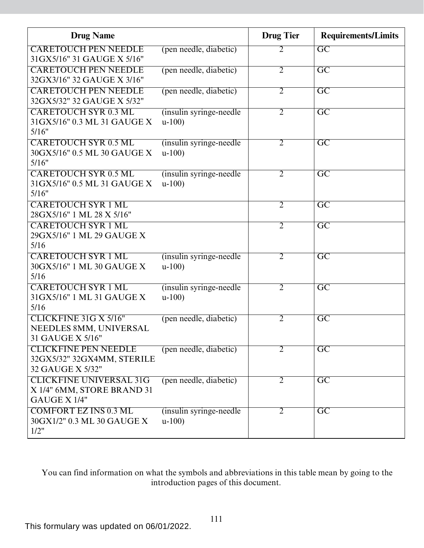| <b>Drug Name</b>                                                              |                                     | <b>Drug Tier</b> | <b>Requirements/Limits</b> |
|-------------------------------------------------------------------------------|-------------------------------------|------------------|----------------------------|
| <b>CARETOUCH PEN NEEDLE</b><br>31GX5/16" 31 GAUGE X 5/16"                     | (pen needle, diabetic)              | $\overline{2}$   | $\overline{GC}$            |
| <b>CARETOUCH PEN NEEDLE</b><br>32GX3/16" 32 GAUGE X 3/16"                     | (pen needle, diabetic)              | $\overline{2}$   | $\overline{\mathrm{GC}}$   |
| <b>CARETOUCH PEN NEEDLE</b><br>32GX5/32" 32 GAUGE X 5/32"                     | (pen needle, diabetic)              | $\overline{2}$   | $\overline{\mathrm{GC}}$   |
| <b>CARETOUCH SYR 0.3 ML</b><br>31GX5/16" 0.3 ML 31 GAUGE X<br>5/16"           | (insulin syringe-needle)<br>$u-100$ | $\overline{2}$   | $\overline{GC}$            |
| <b>CARETOUCH SYR 0.5 ML</b><br>30GX5/16" 0.5 ML 30 GAUGE X<br>5/16"           | (insulin syringe-needle)<br>$u-100$ | $\overline{2}$   | $\overline{\mathrm{GC}}$   |
| <b>CARETOUCH SYR 0.5 ML</b><br>31GX5/16" 0.5 ML 31 GAUGE X<br>5/16"           | (insulin syringe-needle)<br>$u-100$ | $\overline{2}$   | $\overline{\mathrm{GC}}$   |
| <b>CARETOUCH SYR 1 ML</b><br>28GX5/16" 1 ML 28 X 5/16"                        |                                     | $\overline{2}$   | $\overline{\text{GC}}$     |
| <b>CARETOUCH SYR 1 ML</b><br>29GX5/16" 1 ML 29 GAUGE X<br>5/16                |                                     | $\overline{2}$   | $\overline{\mathrm{GC}}$   |
| <b>CARETOUCH SYR 1 ML</b><br>30GX5/16" 1 ML 30 GAUGE X<br>5/16                | (insulin syringe-needle)<br>$u-100$ | $\overline{2}$   | $\overline{GC}$            |
| <b>CARETOUCH SYR 1 ML</b><br>31 GX5/16" 1 ML 31 GAUGE X<br>5/16               | (insulin syringe-needle)<br>$u-100$ | $\overline{2}$   | $\overline{\mathrm{GC}}$   |
| CLICKFINE 31G X 5/16"<br>NEEDLES 8MM, UNIVERSAL<br>31 GAUGE X 5/16"           | (pen needle, diabetic)              | $\overline{2}$   | $\overline{\mathrm{GC}}$   |
| <b>CLICKFINE PEN NEEDLE</b><br>32GX5/32" 32GX4MM, STERILE<br>32 GAUGE X 5/32" | (pen needle, diabetic)              | $\overline{2}$   | $\overline{GC}$            |
| <b>CLICKFINE UNIVERSAL 31G</b><br>X 1/4" 6MM, STORE BRAND 31<br>GAUGE X 1/4"  | (pen needle, diabetic)              | $\overline{2}$   | $\overline{\mathrm{GC}}$   |
| <b>COMFORT EZ INS 0.3 ML</b><br>30GX1/2" 0.3 ML 30 GAUGE X<br>1/2"            | (insulin syringe-needle)<br>$u-100$ | 2                | $\overline{\mathrm{GC}}$   |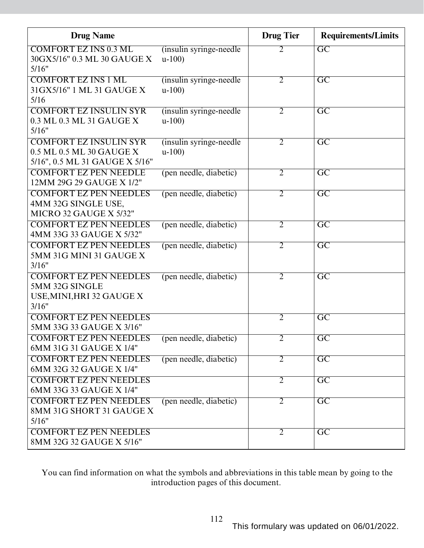| <b>Drug Name</b>                                                                            |                                     | <b>Drug Tier</b> | <b>Requirements/Limits</b> |
|---------------------------------------------------------------------------------------------|-------------------------------------|------------------|----------------------------|
| <b>COMFORT EZ INS 0.3 ML</b><br>30GX5/16" 0.3 ML 30 GAUGE X<br>5/16"                        | (insulin syringe-needle)<br>$u-100$ | 2                | $\overline{GC}$            |
| <b>COMFORT EZ INS 1 ML</b><br>31GX5/16" 1 ML 31 GAUGE X<br>5/16                             | (insulin syringe-needle)<br>$u-100$ | $\overline{2}$   | $\overline{GC}$            |
| <b>COMFORT EZ INSULIN SYR</b><br>0.3 ML 0.3 ML 31 GAUGE X<br>5/16"                          | (insulin syringe-needle)<br>$u-100$ | $\overline{2}$   | $\overline{\mathrm{GC}}$   |
| <b>COMFORT EZ INSULIN SYR</b><br>0.5 ML 0.5 ML 30 GAUGE X<br>5/16", 0.5 ML 31 GAUGE X 5/16" | (insulin syringe-needle)<br>$u-100$ | $\overline{2}$   | $\overline{GC}$            |
| <b>COMFORT EZ PEN NEEDLE</b><br>12MM 29G 29 GAUGE X 1/2"                                    | (pen needle, diabetic)              | $\overline{2}$   | $\overline{GC}$            |
| <b>COMFORT EZ PEN NEEDLES</b><br>4MM 32G SINGLE USE,<br>MICRO 32 GAUGE X 5/32"              | (pen needle, diabetic)              | $\overline{2}$   | $\overline{GC}$            |
| <b>COMFORT EZ PEN NEEDLES</b><br>4MM 33G 33 GAUGE X 5/32"                                   | (pen needle, diabetic)              | $\overline{2}$   | $\overline{\mathrm{GC}}$   |
| <b>COMFORT EZ PEN NEEDLES</b><br>5MM 31G MINI 31 GAUGE X<br>3/16"                           | (pen needle, diabetic)              | $\overline{2}$   | $\overline{GC}$            |
| <b>COMFORT EZ PEN NEEDLES</b><br>5MM 32G SINGLE<br>USE, MINI, HRI 32 GAUGE X<br>3/16"       | (pen needle, diabetic)              | $\overline{2}$   | $\overline{\mathrm{GC}}$   |
| <b>COMFORT EZ PEN NEEDLES</b><br>5MM 33G 33 GAUGE X 3/16"                                   |                                     | $\overline{2}$   | $\overline{\text{GC}}$     |
| <b>COMFORT EZ PEN NEEDLES</b><br>6MM 31G 31 GAUGE X 1/4"                                    | (pen needle, diabetic)              | 2                | GC                         |
| <b>COMFORT EZ PEN NEEDLES</b><br>6MM 32G 32 GAUGE X 1/4"                                    | (pen needle, diabetic)              | $\overline{2}$   | $\overline{\text{GC}}$     |
| <b>COMFORT EZ PEN NEEDLES</b><br>6MM 33G 33 GAUGE X 1/4"                                    |                                     | $\overline{2}$   | $\overline{\mathrm{GC}}$   |
| <b>COMFORT EZ PEN NEEDLES</b><br>8MM 31G SHORT 31 GAUGE X<br>5/16"                          | (pen needle, diabetic)              | $\overline{2}$   | $\overline{\text{GC}}$     |
| <b>COMFORT EZ PEN NEEDLES</b><br>8MM 32G 32 GAUGE X 5/16"                                   |                                     | $\overline{2}$   | $\overline{\mathrm{GC}}$   |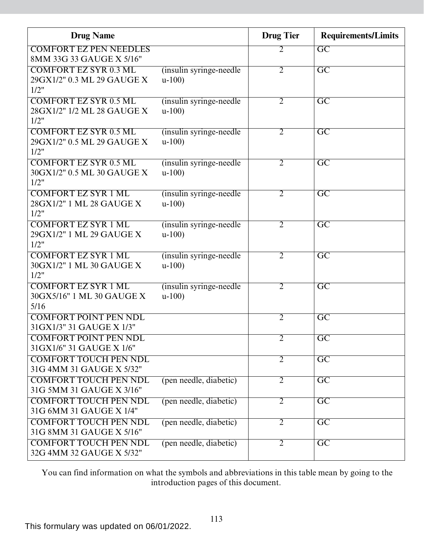| <b>Drug Name</b>                                                   |                                     | <b>Drug Tier</b> | <b>Requirements/Limits</b> |
|--------------------------------------------------------------------|-------------------------------------|------------------|----------------------------|
| <b>COMFORT EZ PEN NEEDLES</b><br>8MM 33G 33 GAUGE X 5/16"          |                                     | 2                | $\overline{GC}$            |
| <b>COMFORT EZ SYR 0.3 ML</b><br>29GX1/2" 0.3 ML 29 GAUGE X<br>1/2" | (insulin syringe-needle)<br>$u-100$ | $\overline{2}$   | $\overline{GC}$            |
| <b>COMFORT EZ SYR 0.5 ML</b><br>28GX1/2" 1/2 ML 28 GAUGE X<br>1/2" | (insulin syringe-needle)<br>$u-100$ | $\overline{2}$   | $\overline{\rm GC}$        |
| <b>COMFORT EZ SYR 0.5 ML</b><br>29GX1/2" 0.5 ML 29 GAUGE X<br>1/2" | (insulin syringe-needle)<br>$u-100$ | 2                | $\overline{\mathrm{GC}}$   |
| <b>COMFORT EZ SYR 0.5 ML</b><br>30GX1/2" 0.5 ML 30 GAUGE X<br>1/2" | (insulin syringe-needle)<br>$u-100$ | 2                | $\overline{\text{GC}}$     |
| <b>COMFORT EZ SYR 1 ML</b><br>28GX1/2" 1 ML 28 GAUGE X<br>1/2"     | (insulin syringe-needle)<br>$u-100$ | $\overline{2}$   | $\overline{\rm GC}$        |
| <b>COMFORT EZ SYR 1 ML</b><br>29GX1/2" 1 ML 29 GAUGE X<br>1/2"     | (insulin syringe-needle)<br>$u-100$ | $\overline{2}$   | $\overline{GC}$            |
| <b>COMFORT EZ SYR 1 ML</b><br>30GX1/2" 1 ML 30 GAUGE X<br>1/2"     | (insulin syringe-needle)<br>$u-100$ | $\overline{2}$   | $\overline{GC}$            |
| <b>COMFORT EZ SYR 1 ML</b><br>30GX5/16" 1 ML 30 GAUGE X<br>5/16    | (insulin syringe-needle)<br>$u-100$ | $\overline{2}$   | $\overline{GC}$            |
| <b>COMFORT POINT PEN NDL</b><br>31 GX1/3" 31 GAUGE X 1/3"          |                                     | $\overline{2}$   | $\overline{GC}$            |
| <b>COMFORT POINT PEN NDL</b><br>31GX1/6" 31 GAUGE X 1/6"           |                                     | 2                | GC                         |
| <b>COMFORT TOUCH PEN NDL</b><br>31G 4MM 31 GAUGE X 5/32"           |                                     | $\overline{2}$   | $\overline{GC}$            |
| <b>COMFORT TOUCH PEN NDL</b><br>31G 5MM 31 GAUGE X 3/16"           | (pen needle, diabetic)              | $\overline{2}$   | $\overline{\text{GC}}$     |
| <b>COMFORT TOUCH PEN NDL</b><br>31G 6MM 31 GAUGE X 1/4"            | (pen needle, diabetic)              | $\overline{2}$   | $\overline{GC}$            |
| <b>COMFORT TOUCH PEN NDL</b><br>31G 8MM 31 GAUGE X 5/16"           | (pen needle, diabetic)              | $\overline{2}$   | $\overline{GC}$            |
| <b>COMFORT TOUCH PEN NDL</b><br>32G 4MM 32 GAUGE X 5/32"           | (pen needle, diabetic)              | $\overline{2}$   | $\overline{GC}$            |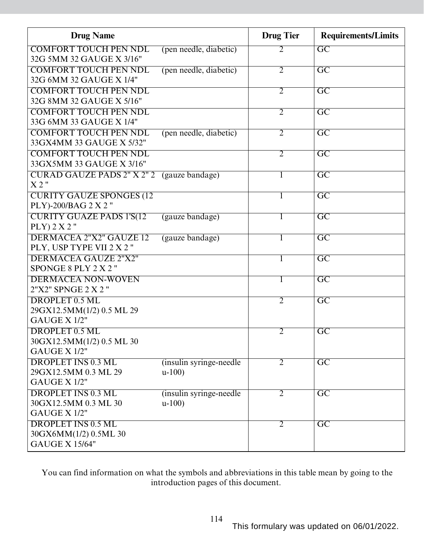| <b>Drug Name</b>                                         |                                     | <b>Drug Tier</b> | <b>Requirements/Limits</b> |
|----------------------------------------------------------|-------------------------------------|------------------|----------------------------|
| <b>COMFORT TOUCH PEN NDL</b>                             | (pen needle, diabetic)              | 2                | $\overline{GC}$            |
| 32G 5MM 32 GAUGE X 3/16"                                 |                                     |                  |                            |
| <b>COMFORT TOUCH PEN NDL</b>                             | (pen needle, diabetic)              | $\overline{2}$   | $\overline{\mathrm{GC}}$   |
| 32G 6MM 32 GAUGE X 1/4"                                  |                                     |                  |                            |
| <b>COMFORT TOUCH PEN NDL</b>                             |                                     | $\overline{2}$   | $\overline{\mathrm{GC}}$   |
| 32G 8MM 32 GAUGE X 5/16"                                 |                                     |                  |                            |
| <b>COMFORT TOUCH PEN NDL</b>                             |                                     | $\overline{2}$   | $\overline{\mathrm{GC}}$   |
| 33G 6MM 33 GAUGE X 1/4"                                  |                                     |                  |                            |
| <b>COMFORT TOUCH PEN NDL</b><br>33GX4MM 33 GAUGE X 5/32" | (pen needle, diabetic)              | 2                | $\overline{\mathrm{GC}}$   |
| <b>COMFORT TOUCH PEN NDL</b>                             |                                     | $\overline{2}$   | $\overline{\mathrm{GC}}$   |
| 33GX5MM 33 GAUGE X 3/16"                                 |                                     |                  |                            |
| CURAD GAUZE PADS 2" X 2" 2                               | (gauze bandage)                     |                  | $\overline{GC}$            |
| X2"                                                      |                                     |                  |                            |
| <b>CURITY GAUZE SPONGES (12</b>                          |                                     |                  | $\overline{\rm GC}$        |
| PLY)-200/BAG 2 X 2"                                      |                                     |                  |                            |
| <b>CURITY GUAZE PADS 1'S(12)</b>                         | (gauze bandage)                     | 1                | $\overline{\mathrm{GC}}$   |
| $PLY$ ) 2 X 2"                                           |                                     |                  |                            |
| <b>DERMACEA 2"X2" GAUZE 12</b>                           | (gauze bandage)                     |                  | $\overline{GC}$            |
| PLY, USP TYPE VII 2 X 2"                                 |                                     |                  |                            |
| <b>DERMACEA GAUZE 2"X2"</b>                              |                                     |                  | $\overline{GC}$            |
| SPONGE 8 PLY 2 X 2"                                      |                                     |                  |                            |
| <b>DERMACEA NON-WOVEN</b>                                |                                     |                  | $\overline{\mathrm{GC}}$   |
| 2"X2" SPNGE 2 X 2 "                                      |                                     |                  |                            |
| DROPLET 0.5 ML                                           |                                     | $\overline{2}$   | $\overline{\mathrm{GC}}$   |
| 29GX12.5MM(1/2) 0.5 ML 29                                |                                     |                  |                            |
| GAUGE X 1/2"                                             |                                     |                  |                            |
| DROPLET 0.5 ML                                           |                                     | $\overline{2}$   | $\overline{\mathrm{GC}}$   |
| 30GX12.5MM(1/2) 0.5 ML 30<br>GAUGE X 1/2"                |                                     |                  |                            |
| <b>DROPLET INS 0.3 ML</b>                                |                                     |                  |                            |
| 29GX12.5MM 0.3 ML 29                                     | (insulin syringe-needle)<br>$u-100$ | $\overline{2}$   | $\overline{GC}$            |
| GAUGE X 1/2"                                             |                                     |                  |                            |
| <b>DROPLET INS 0.3 ML</b>                                | (insulin syringe-needle)            | $\overline{2}$   | $\overline{GC}$            |
| 30GX12.5MM 0.3 ML 30                                     | $u-100$                             |                  |                            |
| GAUGE X 1/2"                                             |                                     |                  |                            |
| <b>DROPLET INS 0.5 ML</b>                                |                                     | $\overline{2}$   | $\overline{GC}$            |
| 30GX6MM(1/2) 0.5ML 30                                    |                                     |                  |                            |
| <b>GAUGE X 15/64"</b>                                    |                                     |                  |                            |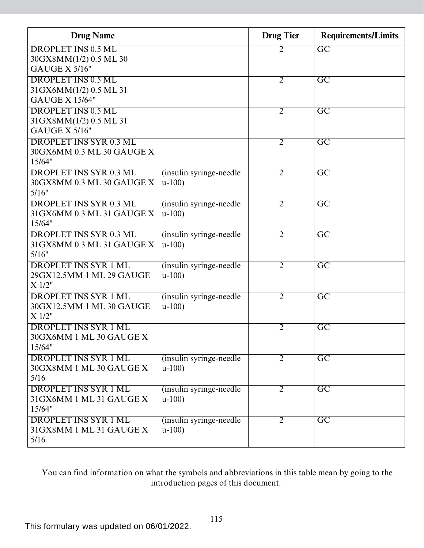| <b>Drug Name</b>              |                          | <b>Drug Tier</b> | <b>Requirements/Limits</b> |
|-------------------------------|--------------------------|------------------|----------------------------|
| <b>DROPLET INS 0.5 ML</b>     |                          | $\overline{2}$   | $\overline{GC}$            |
| 30GX8MM(1/2) 0.5 ML 30        |                          |                  |                            |
| <b>GAUGE X 5/16"</b>          |                          |                  |                            |
| <b>DROPLET INS 0.5 ML</b>     |                          | $\overline{2}$   | $\overline{\mathrm{GC}}$   |
| 31GX6MM(1/2) 0.5 ML 31        |                          |                  |                            |
| <b>GAUGE X 15/64"</b>         |                          |                  |                            |
| <b>DROPLET INS 0.5 ML</b>     |                          | $\overline{2}$   | $\overline{GC}$            |
| 31GX8MM(1/2) 0.5 ML 31        |                          |                  |                            |
| <b>GAUGE X 5/16"</b>          |                          |                  |                            |
| <b>DROPLET INS SYR 0.3 ML</b> |                          | $\overline{2}$   | $\overline{GC}$            |
| 30GX6MM 0.3 ML 30 GAUGE X     |                          |                  |                            |
| 15/64"                        |                          |                  |                            |
| <b>DROPLET INS SYR 0.3 ML</b> | (insulin syringe-needle) | $\overline{2}$   | $\overline{\mathrm{GC}}$   |
| 30GX8MM 0.3 ML 30 GAUGE X     | $u-100$                  |                  |                            |
| 5/16"                         |                          |                  |                            |
| <b>DROPLET INS SYR 0.3 ML</b> | (insulin syringe-needle) | $\overline{2}$   | $\overline{GC}$            |
| 31GX6MM 0.3 ML 31 GAUGE X     | $u-100$                  |                  |                            |
| 15/64"                        |                          |                  |                            |
| <b>DROPLET INS SYR 0.3 ML</b> | (insulin syringe-needle) | $\overline{2}$   | $\overline{\mathrm{GC}}$   |
| 31GX8MM 0.3 ML 31 GAUGE X     | $u-100$                  |                  |                            |
| 5/16"                         |                          |                  |                            |
| <b>DROPLET INS SYR 1 ML</b>   | (insulin syringe-needle) | $\overline{2}$   | $\overline{GC}$            |
| 29GX12.5MM 1 ML 29 GAUGE      | $u-100$                  |                  |                            |
| X 1/2"                        |                          |                  |                            |
| <b>DROPLET INS SYR 1 ML</b>   | (insulin syringe-needle) | $\overline{2}$   | $\overline{\mathrm{GC}}$   |
| 30GX12.5MM 1 ML 30 GAUGE      | $u-100$                  |                  |                            |
| X 1/2"                        |                          |                  |                            |
| <b>DROPLET INS SYR 1 ML</b>   |                          | $\overline{2}$   | $\overline{\mathrm{GC}}$   |
| 30GX6MM 1 ML 30 GAUGE X       |                          |                  |                            |
| 15/64"                        |                          |                  |                            |
| <b>DROPLET INS SYR 1 ML</b>   | (insulin syringe-needle) | $\overline{2}$   | $\overline{\mathrm{GC}}$   |
| 30GX8MM 1 ML 30 GAUGE X       | $u-100$                  |                  |                            |
| 5/16                          |                          |                  |                            |
| <b>DROPLET INS SYR 1 ML</b>   | (insulin syringe-needle) | $\overline{2}$   | $\overline{\mathrm{GC}}$   |
| 31GX6MM 1 ML 31 GAUGE X       | $u-100$                  |                  |                            |
| 15/64"                        |                          |                  |                            |
| <b>DROPLET INS SYR 1 ML</b>   | (insulin syringe-needle) | $\overline{2}$   | $\overline{GC}$            |
| 31GX8MM 1 ML 31 GAUGE X       | $u-100$                  |                  |                            |
| 5/16                          |                          |                  |                            |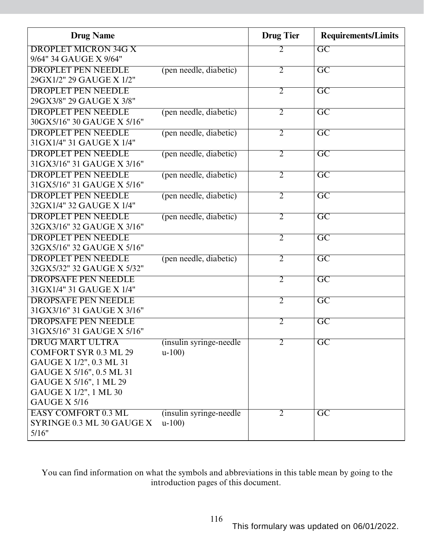| <b>Drug Name</b>                                    |                          | <b>Drug Tier</b> | <b>Requirements/Limits</b> |
|-----------------------------------------------------|--------------------------|------------------|----------------------------|
| <b>DROPLET MICRON 34G X</b>                         |                          | 2                | $\overline{GC}$            |
| 9/64" 34 GAUGE X 9/64"                              |                          |                  |                            |
| <b>DROPLET PEN NEEDLE</b>                           | (pen needle, diabetic)   | $\overline{2}$   | $\overline{GC}$            |
| 29GX1/2" 29 GAUGE X 1/2"                            |                          |                  |                            |
| <b>DROPLET PEN NEEDLE</b>                           |                          | $\overline{2}$   | $\overline{GC}$            |
| 29GX3/8" 29 GAUGE X 3/8"                            |                          |                  |                            |
| <b>DROPLET PEN NEEDLE</b>                           | (pen needle, diabetic)   | $\overline{2}$   | $\overline{GC}$            |
| 30GX5/16" 30 GAUGE X 5/16"                          |                          |                  |                            |
| <b>DROPLET PEN NEEDLE</b>                           | (pen needle, diabetic)   | $\overline{2}$   | $\overline{\mathrm{GC}}$   |
| 31 GX1/4" 31 GAUGE X 1/4"                           |                          |                  |                            |
| <b>DROPLET PEN NEEDLE</b>                           | (pen needle, diabetic)   | $\overline{2}$   | $\overline{GC}$            |
| 31GX3/16" 31 GAUGE X 3/16"                          |                          |                  |                            |
| <b>DROPLET PEN NEEDLE</b>                           | (pen needle, diabetic)   | $\overline{2}$   | $\overline{GC}$            |
| 31GX5/16" 31 GAUGE X 5/16"                          |                          |                  |                            |
| <b>DROPLET PEN NEEDLE</b>                           | (pen needle, diabetic)   | $\overline{2}$   | $\overline{\rm GC}$        |
| 32GX1/4" 32 GAUGE X 1/4"                            |                          |                  |                            |
| <b>DROPLET PEN NEEDLE</b>                           | (pen needle, diabetic)   | $\overline{2}$   | $\overline{\mathrm{GC}}$   |
| 32GX3/16" 32 GAUGE X 3/16"                          |                          |                  |                            |
| <b>DROPLET PEN NEEDLE</b>                           |                          | $\overline{2}$   | $\overline{\text{GC}}$     |
| 32GX5/16" 32 GAUGE X 5/16"                          |                          |                  |                            |
| <b>DROPLET PEN NEEDLE</b>                           | (pen needle, diabetic)   | $\overline{2}$   | $\overline{GC}$            |
| 32GX5/32" 32 GAUGE X 5/32"                          |                          |                  |                            |
| <b>DROPSAFE PEN NEEDLE</b>                          |                          | $\overline{2}$   | $\overline{GC}$            |
| 31 GX1/4" 31 GAUGE X 1/4"                           |                          |                  |                            |
| <b>DROPSAFE PEN NEEDLE</b>                          |                          | $\overline{2}$   | $\overline{GC}$            |
| 31GX3/16" 31 GAUGE X 3/16"                          |                          |                  |                            |
| <b>DROPSAFE PEN NEEDLE</b>                          |                          | $\overline{2}$   | $\overline{GC}$            |
| 31 GX5/16" 31 GAUGE X 5/16"                         |                          |                  |                            |
| <b>DRUG MART ULTRA</b>                              | (insulin syringe-needle) | $\overline{2}$   | $\overline{GC}$            |
| <b>COMFORT SYR 0.3 ML 29</b>                        | $u-100$                  |                  |                            |
| GAUGE X 1/2", 0.3 ML 31<br>GAUGE X 5/16", 0.5 ML 31 |                          |                  |                            |
| GAUGE X 5/16", 1 ML 29                              |                          |                  |                            |
| GAUGE X 1/2", 1 ML 30                               |                          |                  |                            |
| <b>GAUGE X 5/16</b>                                 |                          |                  |                            |
| <b>EASY COMFORT 0.3 ML</b>                          | (insulin syringe-needle) | $\overline{2}$   | GC                         |
| SYRINGE 0.3 ML 30 GAUGE X                           | $u-100$                  |                  |                            |
| 5/16"                                               |                          |                  |                            |
|                                                     |                          |                  |                            |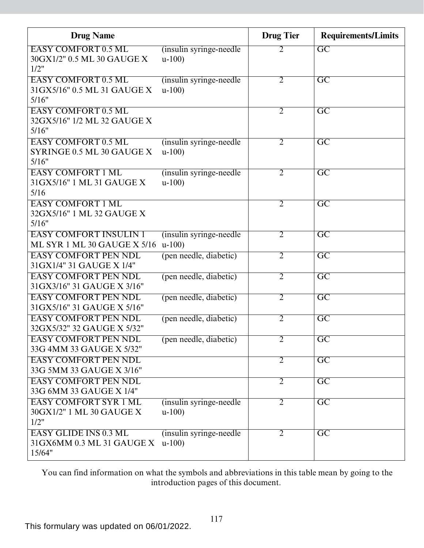| <b>Drug Name</b>                                                    |                                     | <b>Drug Tier</b> | <b>Requirements/Limits</b> |
|---------------------------------------------------------------------|-------------------------------------|------------------|----------------------------|
| <b>EASY COMFORT 0.5 ML</b><br>30GX1/2" 0.5 ML 30 GAUGE X<br>1/2"    | (insulin syringe-needle)<br>$u-100$ | 2                | $\overline{\mathrm{GC}}$   |
| <b>EASY COMFORT 0.5 ML</b><br>31GX5/16" 0.5 ML 31 GAUGE X<br>5/16"  | (insulin syringe-needle)<br>$u-100$ | $\overline{2}$   | $\overline{GC}$            |
| <b>EASY COMFORT 0.5 ML</b><br>32GX5/16" 1/2 ML 32 GAUGE X<br>5/16"  |                                     | $\overline{2}$   | $\overline{\text{GC}}$     |
| <b>EASY COMFORT 0.5 ML</b><br>SYRINGE 0.5 ML 30 GAUGE X<br>5/16"    | (insulin syringe-needle)<br>$u-100$ | $\overline{2}$   | $\overline{GC}$            |
| <b>EASY COMFORT 1 ML</b><br>31 GX5/16" 1 ML 31 GAUGE X<br>5/16      | (insulin syringe-needle)<br>$u-100$ | 2                | $\overline{GC}$            |
| <b>EASY COMFORT 1 ML</b><br>32GX5/16" 1 ML 32 GAUGE X<br>5/16"      |                                     | $\overline{2}$   | $\overline{GC}$            |
| <b>EASY COMFORT INSULIN 1</b><br>ML SYR 1 ML 30 GAUGE X 5/16        | (insulin syringe-needle)<br>$u-100$ | $\overline{2}$   | $\overline{\mathrm{GC}}$   |
| <b>EASY COMFORT PEN NDL</b><br>31 GX1/4" 31 GAUGE X 1/4"            | (pen needle, diabetic)              | $\overline{2}$   | $\overline{GC}$            |
| <b>EASY COMFORT PEN NDL</b><br>31GX3/16" 31 GAUGE X 3/16"           | (pen needle, diabetic)              | $\overline{2}$   | $\overline{\text{GC}}$     |
| <b>EASY COMFORT PEN NDL</b><br>31GX5/16" 31 GAUGE X 5/16"           | (pen needle, diabetic)              | $\overline{2}$   | $\overline{\text{GC}}$     |
| <b>EASY COMFORT PEN NDL</b><br>32GX5/32" 32 GAUGE X 5/32"           | (pen needle, diabetic)              | $\overline{2}$   | $\overline{GC}$            |
| <b>EASY COMFORT PEN NDL</b><br>33G 4MM 33 GAUGE X 5/32"             | (pen needle, diabetic)              | $\overline{2}$   | $\overline{\mathrm{GC}}$   |
| <b>EASY COMFORT PEN NDL</b><br>33G 5MM 33 GAUGE X 3/16"             |                                     | $\overline{2}$   | $\overline{GC}$            |
| <b>EASY COMFORT PEN NDL</b><br>33G 6MM 33 GAUGE X 1/4"              |                                     | $\overline{2}$   | $\overline{GC}$            |
| <b>EASY COMFORT SYR 1 ML</b><br>30GX1/2" 1 ML 30 GAUGE X<br>1/2"    | (insulin syringe-needle)<br>$u-100$ | $\overline{2}$   | $\overline{GC}$            |
| <b>EASY GLIDE INS 0.3 ML</b><br>31GX6MM 0.3 ML 31 GAUGE X<br>15/64" | (insulin syringe-needle)<br>$u-100$ | $\overline{2}$   | $\overline{GC}$            |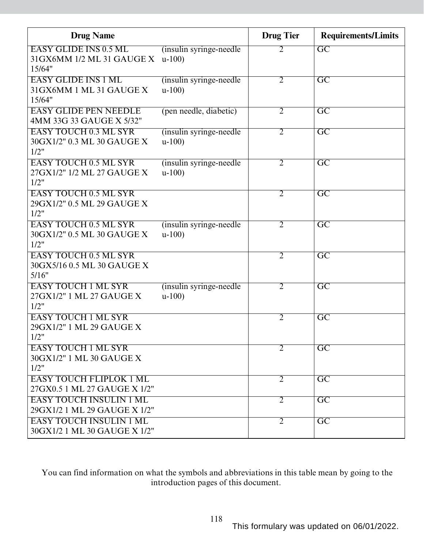| <b>Drug Name</b>                                                    |                                     | <b>Drug Tier</b> | <b>Requirements/Limits</b> |
|---------------------------------------------------------------------|-------------------------------------|------------------|----------------------------|
| <b>EASY GLIDE INS 0.5 ML</b><br>31GX6MM 1/2 ML 31 GAUGE X<br>15/64" | (insulin syringe-needle)<br>$u-100$ | $\overline{2}$   | $\overline{GC}$            |
| <b>EASY GLIDE INS 1 ML</b><br>31GX6MM 1 ML 31 GAUGE X<br>15/64"     | (insulin syringe-needle)<br>$u-100$ | $\overline{2}$   | $\overline{\mathrm{GC}}$   |
| <b>EASY GLIDE PEN NEEDLE</b><br>4MM 33G 33 GAUGE X 5/32"            | (pen needle, diabetic)              | $\overline{2}$   | $\overline{\text{GC}}$     |
| <b>EASY TOUCH 0.3 ML SYR</b><br>30GX1/2" 0.3 ML 30 GAUGE X<br>1/2"  | (insulin syringe-needle)<br>$u-100$ | $\overline{2}$   | $\overline{GC}$            |
| <b>EASY TOUCH 0.5 ML SYR</b><br>27GX1/2" 1/2 ML 27 GAUGE X<br>1/2"  | (insulin syringe-needle)<br>$u-100$ | $\overline{2}$   | $\overline{GC}$            |
| <b>EASY TOUCH 0.5 ML SYR</b><br>29GX1/2" 0.5 ML 29 GAUGE X<br>1/2"  |                                     | $\overline{2}$   | $\overline{\text{GC}}$     |
| <b>EASY TOUCH 0.5 ML SYR</b><br>30GX1/2" 0.5 ML 30 GAUGE X<br>1/2"  | (insulin syringe-needle)<br>$u-100$ | $\overline{2}$   | $\overline{\mathrm{GC}}$   |
| <b>EASY TOUCH 0.5 ML SYR</b><br>30GX5/16 0.5 ML 30 GAUGE X<br>5/16" |                                     | $\overline{2}$   | $\overline{GC}$            |
| <b>EASY TOUCH 1 ML SYR</b><br>27GX1/2" 1 ML 27 GAUGE X<br>1/2"      | (insulin syringe-needle)<br>$u-100$ | $\overline{2}$   | $\overline{GC}$            |
| <b>EASY TOUCH 1 ML SYR</b><br>29GX1/2" 1 ML 29 GAUGE X<br>1/2"      |                                     | $\overline{2}$   | $\overline{\mathrm{GC}}$   |
| <b>EASY TOUCH 1 ML SYR</b><br>30GX1/2" 1 ML 30 GAUGE X<br>1/2"      |                                     | $\overline{2}$   | $\overline{\mathrm{GC}}$   |
| <b>EASY TOUCH FLIPLOK 1 ML</b><br>27GX0.5 1 ML 27 GAUGE X 1/2"      |                                     | $\overline{2}$   | $\overline{\mathrm{GC}}$   |
| <b>EASY TOUCH INSULIN 1 ML</b><br>29GX1/2 1 ML 29 GAUGE X 1/2"      |                                     | $\overline{2}$   | $\overline{GC}$            |
| <b>EASY TOUCH INSULIN 1 ML</b><br>30GX1/2 1 ML 30 GAUGE X 1/2"      |                                     | $\overline{2}$   | $\overline{GC}$            |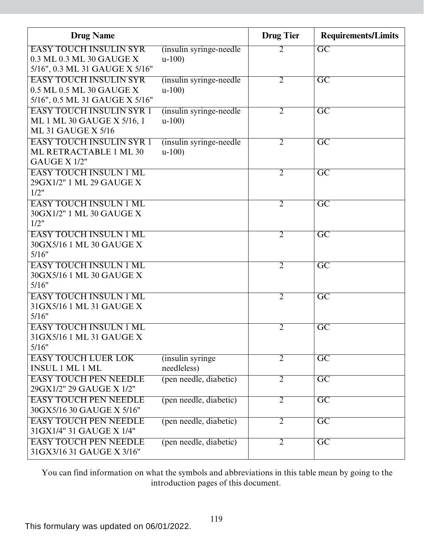| <b>Drug Name</b>                                                                            |                                     | <b>Drug Tier</b> | <b>Requirements/Limits</b> |
|---------------------------------------------------------------------------------------------|-------------------------------------|------------------|----------------------------|
| <b>EASY TOUCH INSULIN SYR</b><br>0.3 ML 0.3 ML 30 GAUGE X<br>5/16", 0.3 ML 31 GAUGE X 5/16" | (insulin syringe-needle)<br>$u-100$ | 2                | $\overline{GC}$            |
| <b>EASY TOUCH INSULIN SYR</b><br>0.5 ML 0.5 ML 30 GAUGE X<br>5/16", 0.5 ML 31 GAUGE X 5/16" | (insulin syringe-needle)<br>$u-100$ | $\overline{2}$   | $\overline{GC}$            |
| <b>EASY TOUCH INSULIN SYR 1</b><br>ML 1 ML 30 GAUGE X 5/16, 1<br><b>ML 31 GAUGE X 5/16</b>  | (insulin syringe-needle)<br>$u-100$ | $\overline{2}$   | $\overline{GC}$            |
| <b>EASY TOUCH INSULIN SYR 1</b><br>ML RETRACTABLE 1 ML 30<br>GAUGE X 1/2"                   | (insulin syringe-needle)<br>$u-100$ | $\overline{2}$   | $\overline{GC}$            |
| <b>EASY TOUCH INSULN 1 ML</b><br>29GX1/2" 1 ML 29 GAUGE X<br>1/2"                           |                                     | $\overline{2}$   | $\overline{\mathrm{GC}}$   |
| <b>EASY TOUCH INSULN 1 ML</b><br>30GX1/2" 1 ML 30 GAUGE X<br>1/2"                           |                                     | $\overline{2}$   | $\overline{GC}$            |
| <b>EASY TOUCH INSULN 1 ML</b><br>30GX5/16 1 ML 30 GAUGE X<br>5/16"                          |                                     | $\overline{2}$   | $\overline{\text{GC}}$     |
| <b>EASY TOUCH INSULN 1 ML</b><br>30GX5/16 1 ML 30 GAUGE X<br>5/16"                          |                                     | $\overline{2}$   | $\overline{GC}$            |
| <b>EASY TOUCH INSULN 1 ML</b><br>31GX5/16 1 ML 31 GAUGE X<br>5/16"                          |                                     | $\overline{2}$   | $\overline{\mathrm{GC}}$   |
| <b>EASY TOUCH INSULN 1 ML</b><br>31GX5/16 1 ML 31 GAUGE X<br>5/16"                          |                                     | $\overline{2}$   | $\overline{\text{GC}}$     |
| <b>EASY TOUCH LUER LOK</b><br><b>INSUL 1 ML 1 ML</b>                                        | (insulin syringe)<br>needleless)    | $\overline{2}$   | $\overline{GC}$            |
| <b>EASY TOUCH PEN NEEDLE</b><br>29GX1/2" 29 GAUGE X 1/2"                                    | (pen needle, diabetic)              | $\overline{2}$   | $\overline{GC}$            |
| <b>EASY TOUCH PEN NEEDLE</b><br>30GX5/16 30 GAUGE X 5/16"                                   | (pen needle, diabetic)              | $\overline{2}$   | $\overline{GC}$            |
| <b>EASY TOUCH PEN NEEDLE</b><br>31 GX1/4" 31 GAUGE X 1/4"                                   | (pen needle, diabetic)              | $\overline{2}$   | $\overline{GC}$            |
| <b>EASY TOUCH PEN NEEDLE</b><br>31GX3/16 31 GAUGE X 3/16"                                   | (pen needle, diabetic)              | $\overline{2}$   | $\overline{\mathrm{GC}}$   |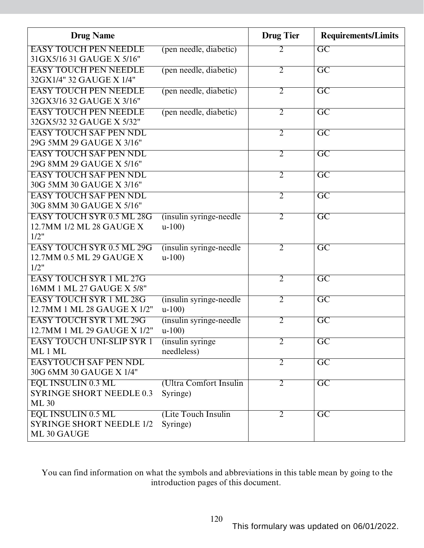| <b>Drug Name</b>                                             |                                  | <b>Drug Tier</b> | <b>Requirements/Limits</b> |
|--------------------------------------------------------------|----------------------------------|------------------|----------------------------|
| <b>EASY TOUCH PEN NEEDLE</b><br>31GX5/16 31 GAUGE X 5/16"    | (pen needle, diabetic)           | 2                | $\overline{GC}$            |
| <b>EASY TOUCH PEN NEEDLE</b>                                 |                                  | $\overline{2}$   | $\overline{\mathrm{GC}}$   |
| 32GX1/4" 32 GAUGE X 1/4"                                     | (pen needle, diabetic)           |                  |                            |
| <b>EASY TOUCH PEN NEEDLE</b><br>32GX3/16 32 GAUGE X 3/16"    | (pen needle, diabetic)           | $\overline{2}$   | $\overline{\mathrm{GC}}$   |
| <b>EASY TOUCH PEN NEEDLE</b><br>32GX5/32 32 GAUGE X 5/32"    | (pen needle, diabetic)           | $\overline{2}$   | $\overline{GC}$            |
| <b>EASY TOUCH SAF PEN NDL</b>                                |                                  | $\overline{2}$   | $\overline{\mathrm{GC}}$   |
| 29G 5MM 29 GAUGE X 3/16"                                     |                                  |                  |                            |
| <b>EASY TOUCH SAF PEN NDL</b>                                |                                  | $\overline{2}$   | $\overline{GC}$            |
| 29G 8MM 29 GAUGE X 5/16"                                     |                                  |                  |                            |
| <b>EASY TOUCH SAF PEN NDL</b>                                |                                  | $\overline{2}$   | $\overline{GC}$            |
| 30G 5MM 30 GAUGE X 3/16"                                     |                                  |                  |                            |
| <b>EASY TOUCH SAF PEN NDL</b>                                |                                  | $\overline{2}$   | $\overline{GC}$            |
| 30G 8MM 30 GAUGE X 5/16"                                     |                                  |                  |                            |
| <b>EASY TOUCH SYR 0.5 ML 28G</b><br>12.7MM 1/2 ML 28 GAUGE X | (insulin syringe-needle)         | $\overline{2}$   | $\overline{GC}$            |
| 1/2"                                                         | $u-100$                          |                  |                            |
| <b>EASY TOUCH SYR 0.5 ML 29G</b>                             | (insulin syringe-needle)         | 2                | $\overline{\mathrm{GC}}$   |
| 12.7MM 0.5 ML 29 GAUGE X                                     | $u-100$                          |                  |                            |
| 1/2"                                                         |                                  |                  |                            |
| <b>EASY TOUCH SYR 1 ML 27G</b>                               |                                  | $\overline{2}$   | $\overline{GC}$            |
| 16MM 1 ML 27 GAUGE X 5/8"                                    |                                  |                  |                            |
| <b>EASY TOUCH SYR 1 ML 28G</b>                               | (insulin syringe-needle)         | $\overline{2}$   | $\overline{GC}$            |
| 12.7MM 1 ML 28 GAUGE X 1/2"                                  | $u-100$                          |                  |                            |
| <b>EASY TOUCH SYR 1 ML 29G</b>                               | (insulin syringe-needle)         | $\overline{2}$   | $\overline{GC}$            |
| 12.7MM 1 ML 29 GAUGE X 1/2"                                  | $u-100$                          | $\overline{2}$   |                            |
| <b>EASY TOUCH UNI-SLIP SYR 1</b><br>ML1ML                    | (insulin syringe)<br>needleless) |                  | $\overline{GC}$            |
| <b>EASYTOUCH SAF PEN NDL</b>                                 |                                  | $\overline{2}$   | $\overline{\mathrm{GC}}$   |
| 30G 6MM 30 GAUGE X 1/4"                                      |                                  |                  |                            |
| <b>EQL INSULIN 0.3 ML</b>                                    | (Ultra Comfort Insulin           | $\overline{2}$   | $\overline{GC}$            |
| <b>SYRINGE SHORT NEEDLE 0.3</b>                              | Syringe)                         |                  |                            |
| <b>ML 30</b>                                                 |                                  |                  |                            |
| <b>EQL INSULIN 0.5 ML</b>                                    | (Lite Touch Insulin              | $\overline{2}$   | $\overline{GC}$            |
| <b>SYRINGE SHORT NEEDLE 1/2</b>                              | Syringe)                         |                  |                            |
| ML 30 GAUGE                                                  |                                  |                  |                            |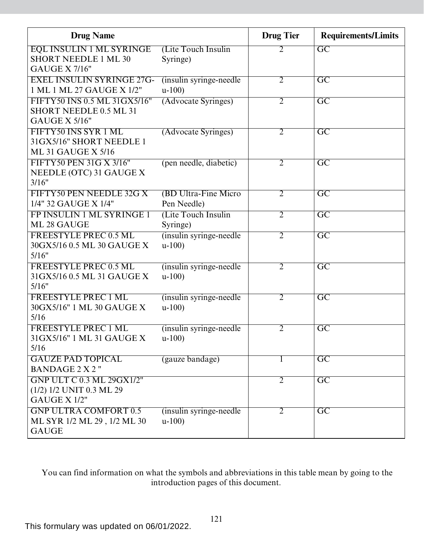| <b>Drug Name</b>                                                                       |                                     | <b>Drug Tier</b> | <b>Requirements/Limits</b> |
|----------------------------------------------------------------------------------------|-------------------------------------|------------------|----------------------------|
| <b>EQL INSULIN 1 ML SYRINGE</b><br><b>SHORT NEEDLE 1 ML 30</b><br><b>GAUGE X 7/16"</b> | (Lite Touch Insulin)<br>Syringe)    | 2                | $\overline{GC}$            |
| <b>EXEL INSULIN SYRINGE 27G-</b><br>1 ML 1 ML 27 GAUGE X 1/2"                          | (insulin syringe-needle)<br>$u-100$ | $\overline{2}$   | $\overline{GC}$            |
| FIFTY50 INS 0.5 ML 31GX5/16"<br>SHORT NEEDLE 0.5 ML 31<br><b>GAUGE X 5/16"</b>         | (Advocate Syringes)                 | $\overline{2}$   | $\overline{\mathrm{GC}}$   |
| FIFTY50 INS SYR 1 ML<br>31GX5/16" SHORT NEEDLE 1<br><b>ML 31 GAUGE X 5/16</b>          | (Advocate Syringes)                 | $\overline{2}$   | $\overline{\mathrm{GC}}$   |
| FIFTY50 PEN 31G X 3/16"<br>NEEDLE (OTC) 31 GAUGE X<br>3/16"                            | (pen needle, diabetic)              | $\overline{2}$   | $\overline{GC}$            |
| FIFTY50 PEN NEEDLE 32G X<br>1/4" 32 GAUGE X 1/4"                                       | (BD Ultra-Fine Micro<br>Pen Needle) | $\overline{2}$   | $\overline{\mathrm{GC}}$   |
| FP INSULIN 1 ML SYRINGE 1<br>ML 28 GAUGE                                               | (Lite Touch Insulin)<br>Syringe)    | $\overline{2}$   | $\overline{\mathrm{GC}}$   |
| <b>FREESTYLE PREC 0.5 ML</b><br>30GX5/16 0.5 ML 30 GAUGE X<br>5/16"                    | (insulin syringe-needle)<br>$u-100$ | $\overline{2}$   | $\overline{GC}$            |
| FREESTYLE PREC 0.5 ML<br>31GX5/16 0.5 ML 31 GAUGE X<br>5/16"                           | (insulin syringe-needle)<br>$u-100$ | $\overline{2}$   | $\overline{GC}$            |
| <b>FREESTYLE PREC 1 ML</b><br>30GX5/16" 1 ML 30 GAUGE X<br>5/16                        | (insulin syringe-needle)<br>$u-100$ | 2                | $\overline{\mathrm{GC}}$   |
| <b>FREESTYLE PREC 1 ML</b><br>31GX5/16" 1 ML 31 GAUGE X<br>5/16                        | (insulin syringe-needle)<br>$u-100$ | 2                | $\overline{\mathrm{GC}}$   |
| <b>GAUZE PAD TOPICAL</b><br><b>BANDAGE 2 X 2"</b>                                      | (gauze bandage)                     |                  | $\overline{\mathrm{GC}}$   |
| <b>GNP ULT C 0.3 ML 29GX1/2"</b><br>(1/2) 1/2 UNIT 0.3 ML 29<br>GAUGE X 1/2"           |                                     | $\overline{2}$   | $\overline{GC}$            |
| <b>GNP ULTRA COMFORT 0.5</b><br>ML SYR 1/2 ML 29, 1/2 ML 30<br><b>GAUGE</b>            | (insulin syringe-needle)<br>$u-100$ | 2                | $\overline{\mathrm{GC}}$   |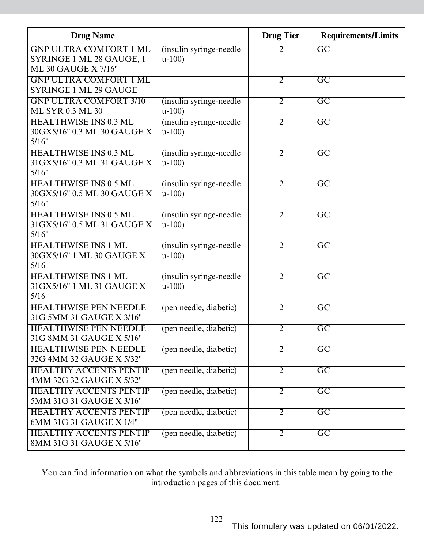| <b>Drug Name</b>                                                                 |                                     | <b>Drug Tier</b> | <b>Requirements/Limits</b> |
|----------------------------------------------------------------------------------|-------------------------------------|------------------|----------------------------|
| <b>GNP ULTRA COMFORT 1 ML</b><br>SYRINGE 1 ML 28 GAUGE, 1<br>ML 30 GAUGE X 7/16" | (insulin syringe-needle)<br>$u-100$ | 2                | $\overline{GC}$            |
| <b>GNP ULTRA COMFORT 1 ML</b><br><b>SYRINGE 1 ML 29 GAUGE</b>                    |                                     | $\overline{2}$   | $\overline{GC}$            |
| <b>GNP ULTRA COMFORT 3/10</b><br>ML SYR 0.3 ML 30                                | (insulin syringe-needle)<br>$u-100$ | $\overline{2}$   | $\overline{\mathrm{GC}}$   |
| <b>HEALTHWISE INS 0.3 ML</b><br>30GX5/16" 0.3 ML 30 GAUGE X<br>5/16"             | (insulin syringe-needle)<br>$u-100$ | $\overline{2}$   | $\overline{\mathrm{GC}}$   |
| <b>HEALTHWISE INS 0.3 ML</b><br>31GX5/16" 0.3 ML 31 GAUGE X<br>5/16"             | (insulin syringe-needle)<br>$u-100$ | $\overline{2}$   | $\overline{\mathrm{GC}}$   |
| <b>HEALTHWISE INS 0.5 ML</b><br>30GX5/16" 0.5 ML 30 GAUGE X<br>5/16"             | (insulin syringe-needle)<br>$u-100$ | $\overline{2}$   | $\overline{GC}$            |
| <b>HEALTHWISE INS 0.5 ML</b><br>31 GX5/16" 0.5 ML 31 GAUGE X<br>5/16"            | (insulin syringe-needle)<br>$u-100$ | $\overline{2}$   | $\overline{\mathrm{GC}}$   |
| <b>HEALTHWISE INS 1 ML</b><br>30GX5/16" 1 ML 30 GAUGE X<br>5/16                  | (insulin syringe-needle)<br>$u-100$ | 2                | $\overline{\mathrm{GC}}$   |
| <b>HEALTHWISE INS 1 ML</b><br>31GX5/16" 1 ML 31 GAUGE X<br>5/16                  | (insulin syringe-needle)<br>$u-100$ | $\overline{2}$   | $\overline{\mathrm{GC}}$   |
| <b>HEALTHWISE PEN NEEDLE</b><br>31G 5MM 31 GAUGE X 3/16"                         | (pen needle, diabetic)              | $\overline{2}$   | $\overline{GC}$            |
| <b>HEALTHWISE PEN NEEDLE</b><br>31G 8MM 31 GAUGE X 5/16"                         | (pen needle, diabetic)              | $\overline{2}$   | $\overline{GC}$            |
| <b>HEALTHWISE PEN NEEDLE</b><br>32G 4MM 32 GAUGE X 5/32"                         | (pen needle, diabetic)              | $\overline{2}$   | $\overline{\mathrm{GC}}$   |
| <b>HEALTHY ACCENTS PENTIP</b><br>4MM 32G 32 GAUGE X 5/32"                        | (pen needle, diabetic)              | $\overline{2}$   | $\overline{GC}$            |
| <b>HEALTHY ACCENTS PENTIP</b><br>5MM 31G 31 GAUGE X 3/16"                        | (pen needle, diabetic)              | $\overline{2}$   | $\overline{\text{GC}}$     |
| <b>HEALTHY ACCENTS PENTIP</b><br>6MM 31G 31 GAUGE X 1/4"                         | (pen needle, diabetic)              | $\overline{2}$   | $\overline{\text{GC}}$     |
| <b>HEALTHY ACCENTS PENTIP</b><br>8MM 31G 31 GAUGE X 5/16"                        | (pen needle, diabetic)              | $\overline{2}$   | $\overline{GC}$            |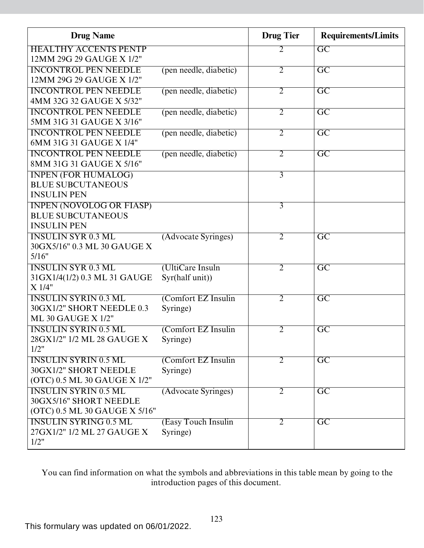| <b>Drug Name</b>                                            |                        | <b>Drug</b> Tier | <b>Requirements/Limits</b> |
|-------------------------------------------------------------|------------------------|------------------|----------------------------|
| <b>HEALTHY ACCENTS PENTP</b>                                |                        | 2                | $\overline{GC}$            |
| 12MM 29G 29 GAUGE X 1/2"                                    |                        |                  |                            |
| <b>INCONTROL PEN NEEDLE</b>                                 | (pen needle, diabetic) | $\overline{2}$   | $\overline{\mathrm{GC}}$   |
| 12MM 29G 29 GAUGE X 1/2"                                    |                        |                  |                            |
| <b>INCONTROL PEN NEEDLE</b>                                 | (pen needle, diabetic) | $\overline{2}$   | $\overline{GC}$            |
| 4MM 32G 32 GAUGE X 5/32"                                    |                        |                  |                            |
| <b>INCONTROL PEN NEEDLE</b>                                 | (pen needle, diabetic) | $\overline{2}$   | $\overline{\mathrm{GC}}$   |
| 5MM 31G 31 GAUGE X 3/16"                                    |                        |                  |                            |
| <b>INCONTROL PEN NEEDLE</b>                                 | (pen needle, diabetic) | $\overline{2}$   | $\overline{\mathrm{GC}}$   |
| 6MM 31G 31 GAUGE X 1/4"                                     |                        |                  |                            |
| <b>INCONTROL PEN NEEDLE</b>                                 | (pen needle, diabetic) | $\overline{2}$   | $\overline{GC}$            |
| 8MM 31G 31 GAUGE X 5/16"                                    |                        |                  |                            |
| <b>INPEN (FOR HUMALOG)</b>                                  |                        | $\overline{3}$   |                            |
| <b>BLUE SUBCUTANEOUS</b>                                    |                        |                  |                            |
| <b>INSULIN PEN</b>                                          |                        |                  |                            |
| <b>INPEN (NOVOLOG OR FIASP)</b><br><b>BLUE SUBCUTANEOUS</b> |                        | $\overline{3}$   |                            |
| <b>INSULIN PEN</b>                                          |                        |                  |                            |
| <b>INSULIN SYR 0.3 ML</b>                                   |                        | $\overline{2}$   |                            |
| 30GX5/16" 0.3 ML 30 GAUGE X                                 | (Advocate Syringes)    |                  | $\overline{\text{GC}}$     |
| 5/16"                                                       |                        |                  |                            |
| <b>INSULIN SYR 0.3 ML</b>                                   | (UltiCare Insuln       | $\overline{2}$   | $\overline{\text{GC}}$     |
| 31GX1/4(1/2) 0.3 ML 31 GAUGE                                | Syr(half unit))        |                  |                            |
| X 1/4"                                                      |                        |                  |                            |
| <b>INSULIN SYRIN 0.3 ML</b>                                 | (Comfort EZ Insulin    | $\overline{2}$   | $\overline{GC}$            |
| 30GX1/2" SHORT NEEDLE 0.3                                   | Syringe)               |                  |                            |
| <b>ML 30 GAUGE X 1/2"</b>                                   |                        |                  |                            |
| <b>INSULIN SYRIN 0.5 ML</b>                                 | (Comfort EZ Insulin    | $\overline{2}$   | $\overline{GC}$            |
| 28GX1/2" 1/2 ML 28 GAUGE X                                  | Syringe)               |                  |                            |
| 1/2"                                                        |                        |                  |                            |
| <b>INSULIN SYRIN 0.5 ML</b>                                 | (Comfort EZ Insulin    | $\overline{2}$   | $\overline{GC}$            |
| 30GX1/2" SHORT NEEDLE                                       | Syringe)               |                  |                            |
| (OTC) 0.5 ML 30 GAUGE X 1/2"                                |                        |                  |                            |
| <b>INSULIN SYRIN 0.5 ML</b>                                 | (Advocate Syringes)    | $\overline{2}$   | $\overline{\text{GC}}$     |
| 30GX5/16" SHORT NEEDLE                                      |                        |                  |                            |
| (OTC) 0.5 ML 30 GAUGE X 5/16"                               |                        |                  |                            |
| <b>INSULIN SYRING 0.5 ML</b>                                | (Easy Touch Insulin    | 2                | $\overline{\text{GC}}$     |
| 27GX1/2" 1/2 ML 27 GAUGE X                                  | Syringe)               |                  |                            |
| 1/2"                                                        |                        |                  |                            |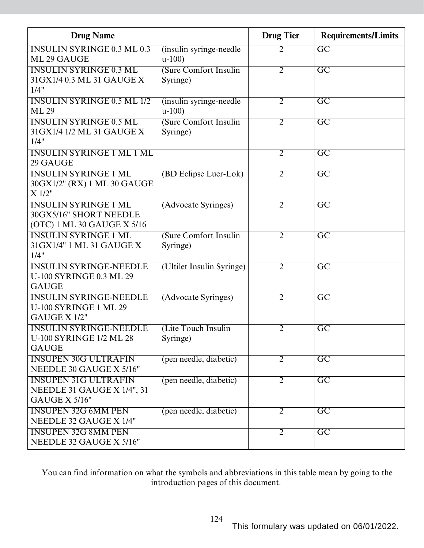| <b>Drug Name</b>                                       |                                     | <b>Drug Tier</b> | <b>Requirements/Limits</b> |
|--------------------------------------------------------|-------------------------------------|------------------|----------------------------|
| <b>INSULIN SYRINGE 0.3 ML 0.3</b><br>ML 29 GAUGE       | (insulin syringe-needle)<br>$u-100$ | 2                | $\overline{GC}$            |
| <b>INSULIN SYRINGE 0.3 ML</b>                          | (Sure Comfort Insulin               | $\overline{2}$   | $\overline{GC}$            |
| 31 GX1/4 0.3 ML 31 GAUGE X                             | Syringe)                            |                  |                            |
| 1/4"                                                   |                                     |                  |                            |
| <b>INSULIN SYRINGE 0.5 ML 1/2</b>                      | (insulin syringe-needle)            | $\overline{2}$   | $\overline{\text{GC}}$     |
| <b>ML 29</b>                                           | $u-100$                             |                  |                            |
| <b>INSULIN SYRINGE 0.5 ML</b>                          | (Sure Comfort Insulin               | $\overline{2}$   | $\overline{GC}$            |
| 31 GX1/4 1/2 ML 31 GAUGE X                             | Syringe)                            |                  |                            |
| 1/4"                                                   |                                     |                  |                            |
| <b>INSULIN SYRINGE 1 ML 1 ML</b>                       |                                     | $\overline{2}$   | $\overline{GC}$            |
| 29 GAUGE                                               |                                     |                  |                            |
| <b>INSULIN SYRINGE 1 ML</b>                            | (BD Eclipse Luer-Lok)               | $\overline{2}$   | $\overline{GC}$            |
| 30GX1/2" (RX) 1 ML 30 GAUGE                            |                                     |                  |                            |
| X 1/2"                                                 |                                     |                  |                            |
| <b>INSULIN SYRINGE 1 ML</b>                            | (Advocate Syringes)                 | $\overline{2}$   | $\overline{GC}$            |
| 30GX5/16" SHORT NEEDLE                                 |                                     |                  |                            |
| (OTC) 1 ML 30 GAUGE X 5/16                             |                                     |                  |                            |
| <b>INSULIN SYRINGE 1 ML</b>                            | (Sure Comfort Insulin               | $\overline{2}$   | $\overline{\mathrm{GC}}$   |
| 31 GX1/4" 1 ML 31 GAUGE X                              | Syringe)                            |                  |                            |
| 1/4"                                                   |                                     |                  |                            |
| <b>INSULIN SYRINGE-NEEDLE</b>                          | (Ultilet Insulin Syringe)           | $\overline{2}$   | $\overline{GC}$            |
| <b>U-100 SYRINGE 0.3 ML 29</b>                         |                                     |                  |                            |
| <b>GAUGE</b>                                           |                                     |                  |                            |
| <b>INSULIN SYRINGE-NEEDLE</b><br>U-100 SYRINGE 1 ML 29 | (Advocate Syringes)                 | $\overline{2}$   | $\overline{\mathrm{GC}}$   |
| GAUGE X 1/2"                                           |                                     |                  |                            |
| <b>INSULIN SYRINGE-NEEDLE</b>                          | (Lite Touch Insulin                 | 2                | $\overline{\mathrm{GC}}$   |
| <b>U-100 SYRINGE 1/2 ML 28</b>                         | Syringe)                            |                  |                            |
| <b>GAUGE</b>                                           |                                     |                  |                            |
| <b>INSUPEN 30G ULTRAFIN</b>                            | (pen needle, diabetic)              | $\overline{2}$   | $\overline{GC}$            |
| NEEDLE 30 GAUGE X 5/16"                                |                                     |                  |                            |
| <b>INSUPEN 31G ULTRAFIN</b>                            | (pen needle, diabetic)              | $\overline{2}$   | $\overline{\text{GC}}$     |
| NEEDLE 31 GAUGE X 1/4", 31                             |                                     |                  |                            |
| GAUGE X 5/16"                                          |                                     |                  |                            |
| <b>INSUPEN 32G 6MM PEN</b>                             | (pen needle, diabetic)              | $\overline{2}$   | $\overline{\text{GC}}$     |
| NEEDLE 32 GAUGE X 1/4"                                 |                                     |                  |                            |
| <b>INSUPEN 32G 8MM PEN</b>                             |                                     | $\overline{2}$   | $\overline{GC}$            |
| NEEDLE 32 GAUGE X 5/16"                                |                                     |                  |                            |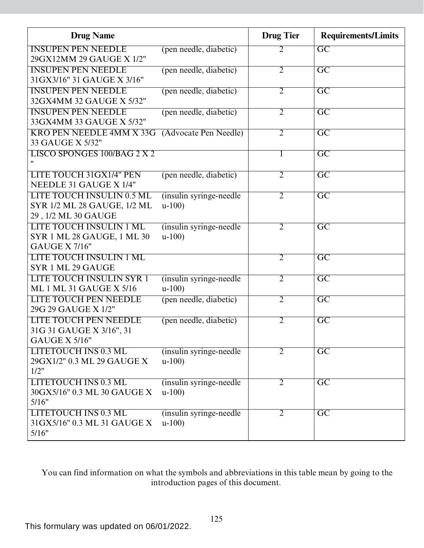| <b>Drug Name</b>                                        |                          | <b>Drug Tier</b> | <b>Requirements/Limits</b> |
|---------------------------------------------------------|--------------------------|------------------|----------------------------|
| <b>INSUPEN PEN NEEDLE</b>                               | (pen needle, diabetic)   | $\overline{2}$   | $\overline{GC}$            |
| 29GX12MM 29 GAUGE X 1/2"                                |                          |                  |                            |
| <b>INSUPEN PEN NEEDLE</b><br>31GX3/16" 31 GAUGE X 3/16" | (pen needle, diabetic)   | $\overline{2}$   | $\overline{\mathrm{GC}}$   |
| <b>INSUPEN PEN NEEDLE</b>                               |                          | $\overline{2}$   | $\overline{GC}$            |
| 32GX4MM 32 GAUGE X 5/32"                                | (pen needle, diabetic)   |                  |                            |
| <b>INSUPEN PEN NEEDLE</b>                               | (pen needle, diabetic)   | $\overline{2}$   | $\overline{\text{GC}}$     |
| 33GX4MM 33 GAUGE X 5/32"                                |                          |                  |                            |
| <b>KRO PEN NEEDLE 4MM X 33G</b>                         | (Advocate Pen Needle)    | $\overline{2}$   | $\overline{\mathrm{GC}}$   |
| 33 GAUGE X 5/32"                                        |                          |                  |                            |
| <b>LISCO SPONGES 100/BAG 2 X 2</b>                      |                          |                  | $\overline{\mathrm{GC}}$   |
|                                                         |                          |                  |                            |
| LITE TOUCH 31GX1/4" PEN                                 | (pen needle, diabetic)   | $\overline{2}$   | $\overline{GC}$            |
| NEEDLE 31 GAUGE X 1/4"                                  |                          |                  |                            |
| <b>LITE TOUCH INSULIN 0.5 ML</b>                        | (insulin syringe-needle) | $\overline{2}$   | $\overline{GC}$            |
| SYR 1/2 ML 28 GAUGE, 1/2 ML                             | $u-100$                  |                  |                            |
| 29, 1/2 ML 30 GAUGE                                     |                          |                  |                            |
| <b>LITE TOUCH INSULIN 1 ML</b>                          | (insulin syringe-needle) | $\overline{2}$   | $\overline{\mathrm{GC}}$   |
| SYR 1 ML 28 GAUGE, 1 ML 30<br><b>GAUGE X 7/16"</b>      | $u-100$                  |                  |                            |
| <b>LITE TOUCH INSULIN 1 ML</b>                          |                          | $\overline{2}$   | $\overline{GC}$            |
| SYR 1 ML 29 GAUGE                                       |                          |                  |                            |
| <b>LITE TOUCH INSULIN SYR 1</b>                         | (insulin syringe-needle) | $\overline{2}$   | $\overline{\mathrm{GC}}$   |
| <b>ML 1 ML 31 GAUGE X 5/16</b>                          | $u-100$                  |                  |                            |
| <b>LITE TOUCH PEN NEEDLE</b>                            | (pen needle, diabetic)   | $\overline{2}$   | $\overline{GC}$            |
| 29G 29 GAUGE X 1/2"                                     |                          |                  |                            |
| <b>LITE TOUCH PEN NEEDLE</b>                            | (pen needle, diabetic)   | $\overline{2}$   | $\overline{GC}$            |
| 31G 31 GAUGE X 3/16", 31                                |                          |                  |                            |
| <b>GAUGE X 5/16"</b>                                    |                          |                  |                            |
| <b>LITETOUCH INS 0.3 ML</b>                             | (insulin syringe-needle) | 2                | $\overline{GC}$            |
| 29GX1/2" 0.3 ML 29 GAUGE X                              | $u-100$                  |                  |                            |
| 1/2"                                                    |                          |                  |                            |
| <b>LITETOUCH INS 0.3 ML</b>                             | (insulin syringe-needle) | $\overline{2}$   | $\overline{GC}$            |
| 30GX5/16" 0.3 ML 30 GAUGE X                             | $u-100$                  |                  |                            |
| 5/16"                                                   |                          |                  |                            |
| <b>LITETOUCH INS 0.3 ML</b>                             | (insulin syringe-needle) | $\overline{2}$   | $\overline{GC}$            |
| 31GX5/16" 0.3 ML 31 GAUGE X                             | $u-100$                  |                  |                            |
| 5/16"                                                   |                          |                  |                            |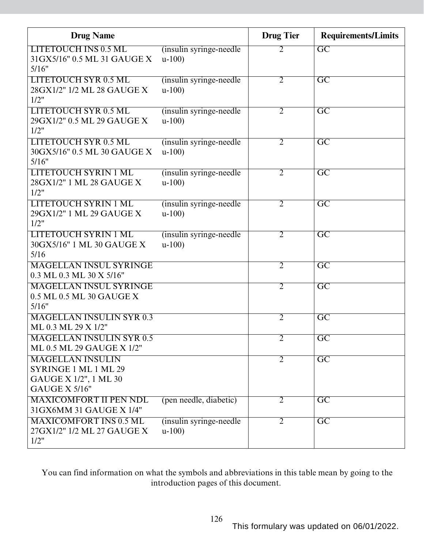| <b>Drug Name</b>                                                                          |                                     | <b>Drug Tier</b> | <b>Requirements/Limits</b> |
|-------------------------------------------------------------------------------------------|-------------------------------------|------------------|----------------------------|
| <b>LITETOUCH INS 0.5 ML</b><br>31GX5/16" 0.5 ML 31 GAUGE X<br>5/16"                       | (insulin syringe-needle)<br>$u-100$ | 2                | $\overline{GC}$            |
| <b>LITETOUCH SYR 0.5 ML</b><br>28GX1/2" 1/2 ML 28 GAUGE X<br>1/2"                         | (insulin syringe-needle)<br>$u-100$ | $\overline{2}$   | $\overline{\rm GC}$        |
| <b>LITETOUCH SYR 0.5 ML</b><br>29GX1/2" 0.5 ML 29 GAUGE X<br>1/2"                         | (insulin syringe-needle)<br>$u-100$ | $\overline{2}$   | $\overline{\text{GC}}$     |
| LITETOUCH SYR 0.5 ML<br>30GX5/16" 0.5 ML 30 GAUGE X<br>5/16"                              | (insulin syringe-needle)<br>$u-100$ | $\overline{2}$   | $\overline{GC}$            |
| <b>LITETOUCH SYRIN 1 ML</b><br>28GX1/2" 1 ML 28 GAUGE X<br>1/2"                           | (insulin syringe-needle)<br>$u-100$ | $\overline{2}$   | $\overline{GC}$            |
| <b>LITETOUCH SYRIN 1 ML</b><br>29GX1/2" 1 ML 29 GAUGE X<br>1/2"                           | (insulin syringe-needle)<br>$u-100$ | $\overline{2}$   | $\overline{GC}$            |
| <b>LITETOUCH SYRIN 1 ML</b><br>30GX5/16" 1 ML 30 GAUGE X<br>5/16                          | (insulin syringe-needle)<br>$u-100$ | $\overline{2}$   | $\overline{\text{GC}}$     |
| <b>MAGELLAN INSUL SYRINGE</b><br>0.3 ML 0.3 ML 30 X 5/16"                                 |                                     | $\overline{2}$   | $\overline{GC}$            |
| <b>MAGELLAN INSUL SYRINGE</b><br>0.5 ML 0.5 ML 30 GAUGE X<br>5/16"                        |                                     | $\overline{2}$   | $\overline{GC}$            |
| <b>MAGELLAN INSULIN SYR 0.3</b><br>ML 0.3 ML 29 X 1/2"                                    |                                     | $\overline{2}$   | $\overline{GC}$            |
| <b>MAGELLAN INSULIN SYR 0.5</b><br>ML 0.5 ML 29 GAUGE X 1/2"                              |                                     | 2                | GC                         |
| <b>MAGELLAN INSULIN</b><br>SYRINGE 1 ML 1 ML 29<br>GAUGE X 1/2", 1 ML 30<br>GAUGE X 5/16" |                                     | $\overline{2}$   | $\overline{\mathrm{GC}}$   |
| <b>MAXICOMFORT II PEN NDL</b><br>31GX6MM 31 GAUGE X 1/4"                                  | (pen needle, diabetic)              | $\overline{2}$   | $\overline{GC}$            |
| <b>MAXICOMFORT INS 0.5 ML</b><br>27GX1/2" 1/2 ML 27 GAUGE X<br>1/2"                       | (insulin syringe-needle)<br>$u-100$ | $\overline{2}$   | $\overline{GC}$            |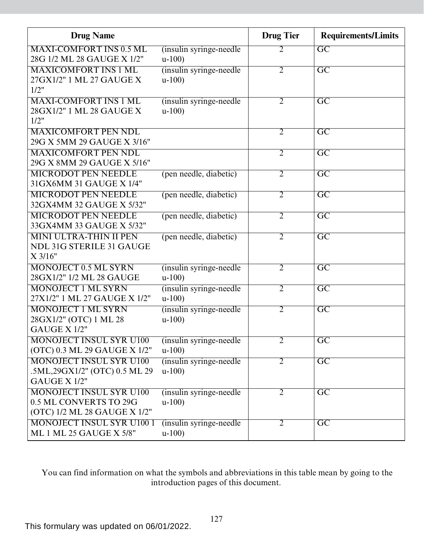| <b>Drug Name</b>                       |                                    | <b>Drug Tier</b> | <b>Requirements/Limits</b> |
|----------------------------------------|------------------------------------|------------------|----------------------------|
| <b>MAXI-COMFORT INS 0.5 ML</b>         | (insulin syringe-needle)           | 2                | $\overline{GC}$            |
| 28G 1/2 ML 28 GAUGE X 1/2"             | $u-100$                            |                  |                            |
| <b>MAXICOMFORT INS 1 ML</b>            | (insulin syringe-needle)           | $\overline{2}$   | $\overline{GC}$            |
| 27GX1/2" 1 ML 27 GAUGE X               | $u-100$                            |                  |                            |
| 1/2"                                   |                                    |                  |                            |
| <b>MAXI-COMFORT INS 1 ML</b>           | (insulin syringe-needle)           | $\overline{2}$   | $\overline{GC}$            |
| 28GX1/2" 1 ML 28 GAUGE X               | $u-100$                            |                  |                            |
| 1/2"                                   |                                    |                  |                            |
| <b>MAXICOMFORT PEN NDL</b>             |                                    | $\overline{2}$   | $\overline{\mathrm{GC}}$   |
| 29G X 5MM 29 GAUGE X 3/16"             |                                    |                  |                            |
| <b>MAXICOMFORT PEN NDL</b>             |                                    | $\overline{2}$   | $\overline{GC}$            |
| 29G X 8MM 29 GAUGE X 5/16"             |                                    |                  |                            |
| <b>MICRODOT PEN NEEDLE</b>             | (pen needle, diabetic)             | $\overline{2}$   | $\overline{GC}$            |
| 31 GX6MM 31 GAUGE X 1/4"               |                                    |                  |                            |
| <b>MICRODOT PEN NEEDLE</b>             | (pen needle, diabetic)             | $\overline{2}$   | $\overline{GC}$            |
| 32GX4MM 32 GAUGE X 5/32"               |                                    |                  |                            |
| <b>MICRODOT PEN NEEDLE</b>             | (pen needle, diabetic)             | $\overline{2}$   | $\overline{\mathrm{GC}}$   |
| 33GX4MM 33 GAUGE X 5/32"               |                                    |                  |                            |
| <b>MINI ULTRA-THIN II PEN</b>          | (pen needle, diabetic)             | $\overline{2}$   | $\overline{\mathrm{GC}}$   |
| <b>NDL 31G STERILE 31 GAUGE</b>        |                                    |                  |                            |
| $X$ 3/16"                              |                                    |                  |                            |
| <b>MONOJECT 0.5 ML SYRN</b>            | (insulin syringe-needle)           | $\overline{2}$   | $\overline{\mathrm{GC}}$   |
| 28GX1/2" 1/2 ML 28 GAUGE               | $u-100$                            |                  |                            |
| <b>MONOJECT 1 ML SYRN</b>              | (insulin syringe-needle)           | $\overline{2}$   | $\overline{GC}$            |
| 27X1/2" 1 ML 27 GAUGE X 1/2"           | $u-100$                            |                  |                            |
| <b>MONOJECT 1 ML SYRN</b>              | (insulin syringe-needle)           | $\overline{2}$   | $\overline{\mathrm{GC}}$   |
| 28GX1/2" (OTC) 1 ML 28<br>GAUGE X 1/2" | $u-100$                            |                  |                            |
| <b>MONOJECT INSUL SYR U100</b>         |                                    | $\overline{2}$   |                            |
| (OTC) 0.3 ML 29 GAUGE X 1/2"           | (insulin syringe-needle<br>$u-100$ |                  | $\overline{GC}$            |
| <b>MONOJECT INSUL SYR U100</b>         | (insulin syringe-needle)           | $\overline{2}$   | $\overline{\text{GC}}$     |
| .5ML,29GX1/2" (OTC) 0.5 ML 29          | $u-100$                            |                  |                            |
| GAUGE X 1/2"                           |                                    |                  |                            |
| <b>MONOJECT INSUL SYR U100</b>         | (insulin syringe-needle)           | $\overline{2}$   | $\overline{\text{GC}}$     |
| 0.5 ML CONVERTS TO 29G                 | $u-100$                            |                  |                            |
| (OTC) 1/2 ML 28 GAUGE X 1/2"           |                                    |                  |                            |
| <b>MONOJECT INSUL SYR U1001</b>        | (insulin syringe-needle)           | $\overline{2}$   | $\overline{\text{GC}}$     |
| ML 1 ML 25 GAUGE X 5/8"                | $u-100$                            |                  |                            |
|                                        |                                    |                  |                            |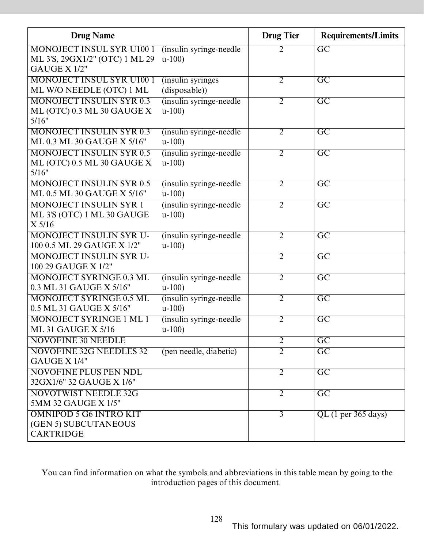| <b>Drug Name</b>                 |                          | <b>Drug Tier</b> | <b>Requirements/Limits</b> |
|----------------------------------|--------------------------|------------------|----------------------------|
| <b>MONOJECT INSUL SYR U100 1</b> | (insulin syringe-needle) | 2                | $\overline{\mathrm{GC}}$   |
| ML 3'S, 29GX1/2" (OTC) 1 ML 29   | $u-100$                  |                  |                            |
| GAUGE X 1/2"                     |                          |                  |                            |
| <b>MONOJECT INSUL SYR U100 1</b> | (insulin syringes)       | $\overline{2}$   | $\overline{\rm GC}$        |
| ML W/O NEEDLE (OTC) 1 ML         | (disposable))            |                  |                            |
| <b>MONOJECT INSULIN SYR 0.3</b>  | (insulin syringe-needle) | $\overline{2}$   | $\overline{\mathrm{GC}}$   |
| ML (OTC) 0.3 ML 30 GAUGE X       | $u-100$                  |                  |                            |
| 5/16"                            |                          |                  |                            |
| <b>MONOJECT INSULIN SYR 0.3</b>  | (insulin syringe-needle) | 2                | $\overline{\mathrm{GC}}$   |
| ML 0.3 ML 30 GAUGE X 5/16"       | $u-100$                  |                  |                            |
| <b>MONOJECT INSULIN SYR 0.5</b>  | (insulin syringe-needle  | $\overline{2}$   | $\overline{GC}$            |
| ML (OTC) 0.5 ML 30 GAUGE X       | $u-100$                  |                  |                            |
| 5/16"                            |                          |                  |                            |
| <b>MONOJECT INSULIN SYR 0.5</b>  | (insulin syringe-needle) | $\overline{2}$   | $\overline{\mathrm{GC}}$   |
| ML 0.5 ML 30 GAUGE X 5/16"       | $u-100$                  |                  |                            |
| <b>MONOJECT INSULIN SYR 1</b>    | (insulin syringe-needle) | $\overline{2}$   | $\overline{GC}$            |
| ML 3'S (OTC) 1 ML 30 GAUGE       | $u-100$                  |                  |                            |
| $X$ 5/16                         |                          |                  |                            |
| <b>MONOJECT INSULIN SYR U-</b>   | (insulin syringe-needle) | $\overline{2}$   | $\overline{\mathrm{GC}}$   |
| 100 0.5 ML 29 GAUGE X 1/2"       | $u-100$                  |                  |                            |
| <b>MONOJECT INSULIN SYR U-</b>   |                          | $\overline{2}$   | $\overline{GC}$            |
| 100 29 GAUGE X 1/2"              |                          |                  |                            |
| <b>MONOJECT SYRINGE 0.3 ML</b>   | (insulin syringe-needle) | $\overline{2}$   | $\overline{\mathrm{GC}}$   |
| 0.3 ML 31 GAUGE X 5/16"          | $u-100$                  |                  |                            |
| <b>MONOJECT SYRINGE 0.5 ML</b>   | (insulin syringe-needle) | $\overline{2}$   | $\overline{\mathrm{GC}}$   |
| 0.5 ML 31 GAUGE X 5/16"          | $u-100$                  |                  |                            |
| <b>MONOJECT SYRINGE 1 ML 1</b>   | (insulin syringe-needle) | $\overline{2}$   | $\overline{\mathrm{GC}}$   |
| <b>ML 31 GAUGE X 5/16</b>        | $u-100$                  |                  |                            |
| <b>NOVOFINE 30 NEEDLE</b>        |                          | $\overline{2}$   | $\overline{GC}$            |
| <b>NOVOFINE 32G NEEDLES 32</b>   | (pen needle, diabetic)   | $\overline{2}$   | $\overline{GC}$            |
| GAUGE X 1/4"                     |                          |                  |                            |
| <b>NOVOFINE PLUS PEN NDL</b>     |                          | $\overline{2}$   | $\overline{GC}$            |
| 32GX1/6" 32 GAUGE X 1/6"         |                          |                  |                            |
| <b>NOVOTWIST NEEDLE 32G</b>      |                          | $\overline{2}$   | $\overline{\mathrm{GC}}$   |
| 5MM 32 GAUGE X 1/5"              |                          |                  |                            |
| <b>OMNIPOD 5 G6 INTRO KIT</b>    |                          | $\overline{3}$   | $QL$ (1 per 365 days)      |
| (GEN 5) SUBCUTANEOUS             |                          |                  |                            |
| <b>CARTRIDGE</b>                 |                          |                  |                            |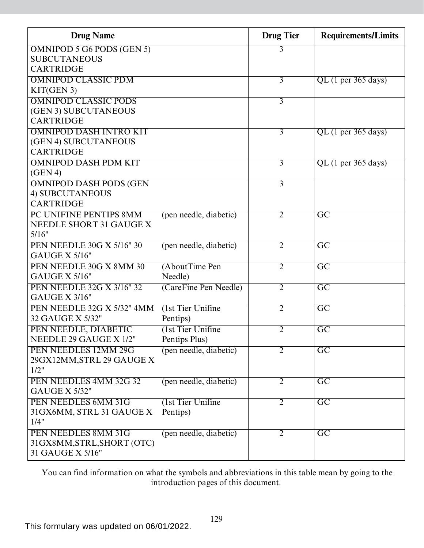| <b>Drug Name</b>                                    |                        | <b>Drug Tier</b> | <b>Requirements/Limits</b> |
|-----------------------------------------------------|------------------------|------------------|----------------------------|
| <b>OMNIPOD 5 G6 PODS (GEN 5)</b>                    |                        | 3                |                            |
| <b>SUBCUTANEOUS</b>                                 |                        |                  |                            |
| <b>CARTRIDGE</b>                                    |                        |                  |                            |
| <b>OMNIPOD CLASSIC PDM</b>                          |                        | $\overline{3}$   | $QL$ (1 per 365 days)      |
| KIT(GEN 3)                                          |                        |                  |                            |
| <b>OMNIPOD CLASSIC PODS</b><br>(GEN 3) SUBCUTANEOUS |                        | $\overline{3}$   |                            |
| <b>CARTRIDGE</b>                                    |                        |                  |                            |
| <b>OMNIPOD DASH INTRO KIT</b>                       |                        | $\overline{3}$   | $QL$ (1 per 365 days)      |
| (GEN 4) SUBCUTANEOUS                                |                        |                  |                            |
| <b>CARTRIDGE</b>                                    |                        |                  |                            |
| <b>OMNIPOD DASH PDM KIT</b>                         |                        | $\overline{3}$   | $QL$ (1 per 365 days)      |
| (GEN 4)                                             |                        |                  |                            |
| <b>OMNIPOD DASH PODS (GEN</b>                       |                        | $\overline{3}$   |                            |
| 4) SUBCUTANEOUS                                     |                        |                  |                            |
| <b>CARTRIDGE</b>                                    |                        |                  |                            |
| PC UNIFINE PENTIPS 8MM                              | (pen needle, diabetic) | $\overline{2}$   | $\overline{\mathrm{GC}}$   |
| NEEDLE SHORT 31 GAUGE X                             |                        |                  |                            |
| 5/16"                                               |                        |                  |                            |
| <b>PEN NEEDLE 30G X 5/16" 30</b>                    | (pen needle, diabetic) | $\overline{2}$   | $\overline{GC}$            |
| <b>GAUGE X 5/16"</b>                                |                        |                  |                            |
| PEN NEEDLE 30G X 8MM 30                             | (AboutTime Pen         | $\overline{2}$   | $\overline{GC}$            |
| <b>GAUGE X 5/16"</b>                                | Needle)                |                  |                            |
| <b>PEN NEEDLE 32G X 3/16" 32</b>                    | (CareFine Pen Needle)  | $\overline{2}$   | $\overline{GC}$            |
| <b>GAUGE X 3/16"</b>                                |                        |                  |                            |
| PEN NEEDLE 32G X 5/32" 4MM                          | (1st Tier Unifine      | $\overline{2}$   | $\overline{\mathrm{GC}}$   |
| 32 GAUGE X 5/32"                                    | Pentips)               |                  |                            |
| PEN NEEDLE, DIABETIC                                | (1st Tier Unifine      | $\overline{2}$   | $\overline{\mathrm{GC}}$   |
| NEEDLE 29 GAUGE X 1/2"                              | Pentips Plus)          |                  |                            |
| PEN NEEDLES 12MM 29G<br>29GX12MM, STRL 29 GAUGE X   | (pen needle, diabetic) | $\overline{2}$   | $\overline{GC}$            |
| 1/2"                                                |                        |                  |                            |
| PEN NEEDLES 4MM 32G 32                              | (pen needle, diabetic) | $\overline{2}$   | $\overline{\mathrm{GC}}$   |
| <b>GAUGE X 5/32"</b>                                |                        |                  |                            |
| PEN NEEDLES 6MM 31G                                 | (1st Tier Unifine      | $\overline{2}$   | $\overline{GC}$            |
| 31GX6MM, STRL 31 GAUGE X                            | Pentips)               |                  |                            |
| 1/4"                                                |                        |                  |                            |
| PEN NEEDLES 8MM 31G                                 | (pen needle, diabetic) | $\overline{2}$   | $\overline{\mathrm{GC}}$   |
| 31GX8MM, STRL, SHORT (OTC)                          |                        |                  |                            |
| 31 GAUGE X 5/16"                                    |                        |                  |                            |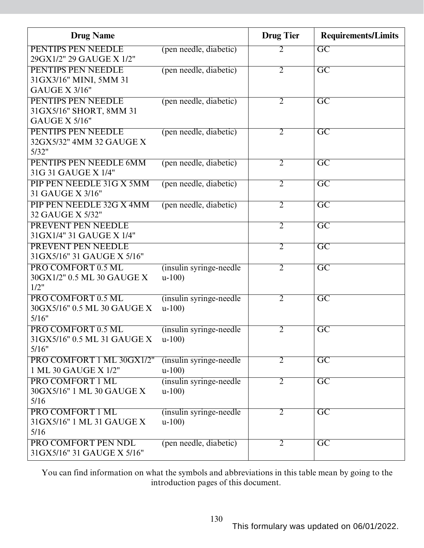| <b>Drug Name</b>            |                          | <b>Drug Tier</b> | <b>Requirements/Limits</b> |
|-----------------------------|--------------------------|------------------|----------------------------|
| PENTIPS PEN NEEDLE          | (pen needle, diabetic)   | 2                | $\overline{GC}$            |
| 29GX1/2" 29 GAUGE X 1/2"    |                          |                  |                            |
| PENTIPS PEN NEEDLE          | (pen needle, diabetic)   | $\overline{2}$   | $\overline{\text{GC}}$     |
| 31GX3/16" MINI, 5MM 31      |                          |                  |                            |
| <b>GAUGE X 3/16"</b>        |                          |                  |                            |
| PENTIPS PEN NEEDLE          | (pen needle, diabetic)   | $\overline{2}$   | $\overline{\mathrm{GC}}$   |
| 31GX5/16" SHORT, 8MM 31     |                          |                  |                            |
| <b>GAUGE X 5/16"</b>        |                          |                  |                            |
| PENTIPS PEN NEEDLE          | (pen needle, diabetic)   | 2                | $\overline{GC}$            |
| 32GX5/32" 4MM 32 GAUGE X    |                          |                  |                            |
| 5/32"                       |                          |                  |                            |
| PENTIPS PEN NEEDLE 6MM      | (pen needle, diabetic)   | $\overline{2}$   | $\overline{GC}$            |
| 31G 31 GAUGE X 1/4"         |                          |                  |                            |
| PIP PEN NEEDLE 31G X 5MM    | (pen needle, diabetic)   | $\overline{2}$   | $\overline{GC}$            |
| 31 GAUGE X 3/16"            |                          |                  |                            |
| PIP PEN NEEDLE 32G X 4MM    | (pen needle, diabetic)   | $\overline{2}$   | $\overline{GC}$            |
| 32 GAUGE X 5/32"            |                          |                  |                            |
| PREVENT PEN NEEDLE          |                          | $\overline{2}$   | $\overline{GC}$            |
| 31 GX1/4" 31 GAUGE X 1/4"   |                          |                  |                            |
| PREVENT PEN NEEDLE          |                          | $\overline{2}$   | $\overline{\rm GC}$        |
| 31GX5/16" 31 GAUGE X 5/16"  |                          |                  |                            |
| PRO COMFORT 0.5 ML          | (insulin syringe-needle) | $\overline{2}$   | $\overline{\mathrm{GC}}$   |
| 30GX1/2" 0.5 ML 30 GAUGE X  | $u-100$                  |                  |                            |
| 1/2"                        |                          |                  |                            |
| PRO COMFORT 0.5 ML          | (insulin syringe-needle) | $\overline{2}$   | $\overline{\mathrm{GC}}$   |
| 30GX5/16" 0.5 ML 30 GAUGE X | $u-100$                  |                  |                            |
| 5/16"                       |                          |                  |                            |
| PRO COMFORT 0.5 ML          | (insulin syringe-needle) | $\overline{2}$   | $\overline{\text{GC}}$     |
| 31GX5/16" 0.5 ML 31 GAUGE X | $u-100$                  |                  |                            |
| 5/16"                       |                          |                  |                            |
| PRO COMFORT 1 ML 30GX1/2"   | (insulin syringe-needle) | 2                | $\overline{GC}$            |
| 1 ML 30 GAUGE X 1/2"        | $u-100$                  |                  |                            |
| PRO COMFORT 1 ML            | (insulin syringe-needle) | $\overline{2}$   | $\overline{\text{GC}}$     |
| 30GX5/16" 1 ML 30 GAUGE X   | $u-100$                  |                  |                            |
| 5/16                        |                          |                  |                            |
| PRO COMFORT 1 ML            | (insulin syringe-needle) | $\overline{2}$   | $\overline{\text{GC}}$     |
| 31GX5/16" 1 ML 31 GAUGE X   | $u-100$                  |                  |                            |
| 5/16                        |                          |                  |                            |
| PRO COMFORT PEN NDL         | (pen needle, diabetic)   | 2                | $\overline{GC}$            |
| 31GX5/16" 31 GAUGE X 5/16"  |                          |                  |                            |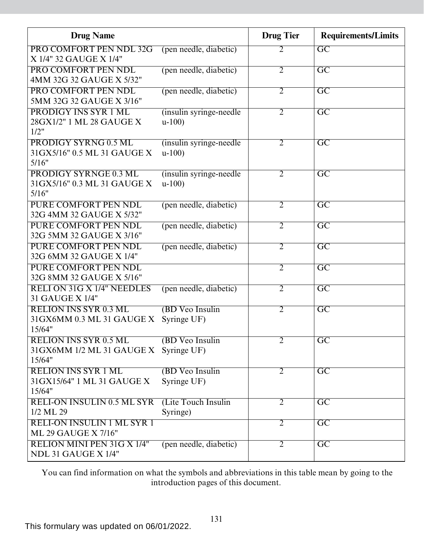| <b>Drug Name</b>                    |                          | <b>Drug Tier</b> | <b>Requirements/Limits</b> |
|-------------------------------------|--------------------------|------------------|----------------------------|
| PRO COMFORT PEN NDL 32G             | (pen needle, diabetic)   | 2                | $\overline{GC}$            |
| X 1/4" 32 GAUGE X 1/4"              |                          |                  |                            |
| PRO COMFORT PEN NDL                 | (pen needle, diabetic)   | $\overline{2}$   | $\overline{\mathrm{GC}}$   |
| 4MM 32G 32 GAUGE X 5/32"            |                          |                  |                            |
| PRO COMFORT PEN NDL                 | (pen needle, diabetic)   | $\overline{2}$   | $\overline{GC}$            |
| 5MM 32G 32 GAUGE X 3/16"            |                          |                  |                            |
| <b>PRODIGY INS SYR 1 ML</b>         | (insulin syringe-needle) | $\overline{2}$   | $\overline{\text{GC}}$     |
| 28GX1/2" 1 ML 28 GAUGE X<br>1/2"    | $u-100$                  |                  |                            |
| <b>PRODIGY SYRNG 0.5 ML</b>         | (insulin syringe-needle) | $\overline{2}$   | $\overline{GC}$            |
| 31GX5/16" 0.5 ML 31 GAUGE X         | $u-100$                  |                  |                            |
| 5/16"                               |                          |                  |                            |
| <b>PRODIGY SYRNGE 0.3 ML</b>        | (insulin syringe-needle) | $\overline{2}$   | $\overline{GC}$            |
| 31 GX5/16" 0.3 ML 31 GAUGE X        | $u-100$                  |                  |                            |
| 5/16"                               |                          |                  |                            |
| PURE COMFORT PEN NDL                | (pen needle, diabetic)   | $\overline{2}$   | $\overline{GC}$            |
| 32G 4MM 32 GAUGE X 5/32"            |                          |                  |                            |
| <b>PURE COMFORT PEN NDL</b>         | (pen needle, diabetic)   | $\overline{2}$   | $\overline{\mathrm{GC}}$   |
| 32G 5MM 32 GAUGE X 3/16"            |                          |                  |                            |
| <b>PURE COMFORT PEN NDL</b>         | (pen needle, diabetic)   | $\overline{2}$   | $\overline{\mathrm{GC}}$   |
| 32G 6MM 32 GAUGE X 1/4"             |                          |                  |                            |
| <b>PURE COMFORT PEN NDL</b>         |                          | $\overline{2}$   | $\overline{\mathrm{GC}}$   |
| 32G 8MM 32 GAUGE X 5/16"            |                          |                  |                            |
| <b>RELI ON 31G X 1/4" NEEDLES</b>   | (pen needle, diabetic)   | $\overline{2}$   | $\overline{GC}$            |
| 31 GAUGE X 1/4"                     |                          |                  |                            |
| <b>RELION INS SYR 0.3 ML</b>        | <b>(BD Veo Insulin</b> ) | $\overline{2}$   | $\overline{\text{GC}}$     |
| 31GX6MM 0.3 ML 31 GAUGE X<br>15/64" | Syringe UF)              |                  |                            |
| <b>RELION INS SYR 0.5 ML</b>        | (BD Veo Insulin          | $\overline{2}$   | $\overline{GC}$            |
| 31GX6MM 1/2 ML 31 GAUGE X           | Syringe UF)              |                  |                            |
| 15/64"                              |                          |                  |                            |
| <b>RELION INS SYR 1 ML</b>          | (BD Veo Insulin          | $\overline{2}$   | $\overline{GC}$            |
| 31GX15/64" 1 ML 31 GAUGE X          | Syringe UF)              |                  |                            |
| 15/64"                              |                          |                  |                            |
| <b>RELI-ON INSULIN 0.5 ML SYR</b>   | (Lite Touch Insulin      | $\overline{2}$   | $\overline{GC}$            |
| 1/2 ML 29                           | Syringe)                 |                  |                            |
| <b>RELI-ON INSULIN 1 ML SYR 1</b>   |                          | $\overline{2}$   | $\overline{GC}$            |
| ML 29 GAUGE X 7/16"                 |                          |                  |                            |
| <b>RELION MINI PEN 31G X 1/4"</b>   | (pen needle, diabetic)   | $\overline{2}$   | $\overline{GC}$            |
| NDL 31 GAUGE X 1/4"                 |                          |                  |                            |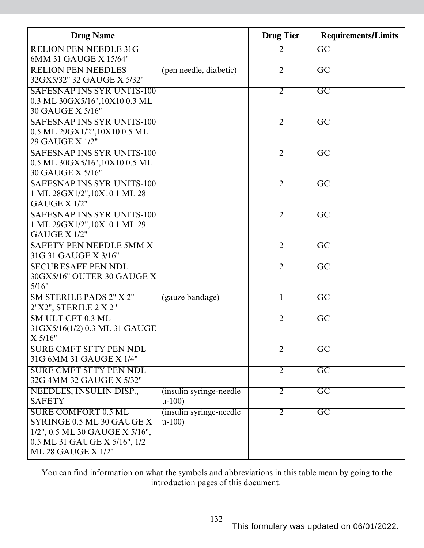| <b>Drug Name</b>                                        |                          | <b>Drug Tier</b> | <b>Requirements/Limits</b> |
|---------------------------------------------------------|--------------------------|------------------|----------------------------|
| <b>RELION PEN NEEDLE 31G</b>                            |                          | 2                | $\overline{GC}$            |
| 6MM 31 GAUGE X 15/64"                                   |                          |                  |                            |
| <b>RELION PEN NEEDLES</b><br>32GX5/32" 32 GAUGE X 5/32" | (pen needle, diabetic)   | $\overline{2}$   | $\overline{GC}$            |
| <b>SAFESNAP INS SYR UNITS-100</b>                       |                          | $\overline{2}$   | $\overline{GC}$            |
| 0.3 ML 30GX5/16", 10X10 0.3 ML                          |                          |                  |                            |
| 30 GAUGE X 5/16"                                        |                          |                  |                            |
| <b>SAFESNAP INS SYR UNITS-100</b>                       |                          | $\overline{2}$   | $\overline{GC}$            |
| 0.5 ML 29GX1/2", 10X10 0.5 ML                           |                          |                  |                            |
| 29 GAUGE X 1/2"                                         |                          |                  |                            |
| <b>SAFESNAP INS SYR UNITS-100</b>                       |                          | $\overline{2}$   | $\overline{GC}$            |
| 0.5 ML 30GX5/16", 10X10 0.5 ML                          |                          |                  |                            |
| 30 GAUGE X 5/16"                                        |                          |                  |                            |
| <b>SAFESNAP INS SYR UNITS-100</b>                       |                          | $\overline{2}$   | $\overline{GC}$            |
| 1 ML 28GX1/2", 10X10 1 ML 28                            |                          |                  |                            |
| GAUGE X 1/2"                                            |                          |                  |                            |
| <b>SAFESNAP INS SYR UNITS-100</b>                       |                          | $\overline{2}$   | $\overline{\mathrm{GC}}$   |
| 1 ML 29GX1/2", 10X10 1 ML 29                            |                          |                  |                            |
| GAUGE X 1/2"                                            |                          |                  |                            |
| <b>SAFETY PEN NEEDLE 5MM X</b>                          |                          | $\overline{2}$   | $\overline{\mathrm{GC}}$   |
| 31G 31 GAUGE X 3/16"                                    |                          |                  |                            |
| <b>SECURESAFE PEN NDL</b>                               |                          | $\overline{2}$   | $\overline{GC}$            |
| 30GX5/16" OUTER 30 GAUGE X                              |                          |                  |                            |
| 5/16"                                                   |                          |                  |                            |
| <b>SM STERILE PADS 2" X 2"</b>                          | (gauze bandage)          | $\mathbf{I}$     | $\overline{\mathrm{GC}}$   |
| 2"X2", STERILE 2 X 2"                                   |                          |                  |                            |
| SM ULT CFT 0.3 ML                                       |                          | $\overline{2}$   | $\overline{\text{GC}}$     |
| 31GX5/16(1/2) 0.3 ML 31 GAUGE                           |                          |                  |                            |
| X 5/16"                                                 |                          |                  |                            |
| <b>SURE CMFT SFTY PEN NDL</b>                           |                          | $\overline{2}$   | $\overline{\mathrm{GC}}$   |
| 31G 6MM 31 GAUGE X 1/4"                                 |                          |                  |                            |
| <b>SURE CMFT SFTY PEN NDL</b>                           |                          | $\overline{2}$   | $\overline{GC}$            |
| 32G 4MM 32 GAUGE X 5/32"                                |                          |                  |                            |
| NEEDLES, INSULIN DISP.,                                 | (insulin syringe-needle) | $\overline{2}$   | $\overline{GC}$            |
| <b>SAFETY</b>                                           | $u-100$                  |                  |                            |
| <b>SURE COMFORT 0.5 ML</b>                              | (insulin syringe-needle) | $\overline{2}$   | $\overline{GC}$            |
| SYRINGE 0.5 ML 30 GAUGE X                               | $u-100$                  |                  |                            |
| 1/2", 0.5 ML 30 GAUGE X 5/16",                          |                          |                  |                            |
| 0.5 ML 31 GAUGE X 5/16", 1/2                            |                          |                  |                            |
| ML 28 GAUGE X 1/2"                                      |                          |                  |                            |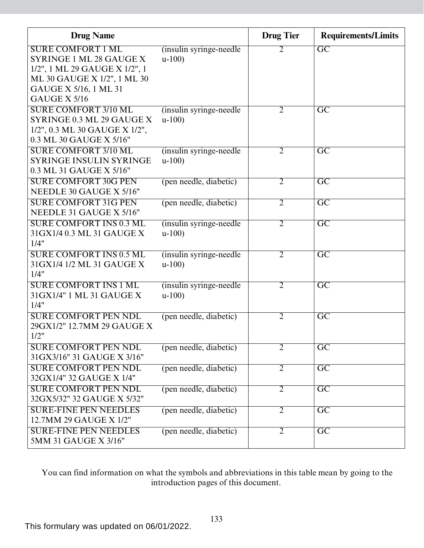| <b>Drug Name</b>                      |                                     | <b>Drug Tier</b> | <b>Requirements/Limits</b> |
|---------------------------------------|-------------------------------------|------------------|----------------------------|
| <b>SURE COMFORT 1 ML</b>              | (insulin syringe-needle)            | 2                | $\overline{GC}$            |
| <b>SYRINGE 1 ML 28 GAUGE X</b>        | $u-100$                             |                  |                            |
| 1/2", 1 ML 29 GAUGE X 1/2", 1         |                                     |                  |                            |
| ML 30 GAUGE X 1/2", 1 ML 30           |                                     |                  |                            |
| GAUGE X 5/16, 1 ML 31<br>GAUGE X 5/16 |                                     |                  |                            |
| <b>SURE COMFORT 3/10 ML</b>           |                                     |                  | $\overline{\mathrm{GC}}$   |
| SYRINGE 0.3 ML 29 GAUGE X             | (insulin syringe-needle)<br>$u-100$ | $\overline{2}$   |                            |
| 1/2", 0.3 ML 30 GAUGE X 1/2",         |                                     |                  |                            |
| 0.3 ML 30 GAUGE X 5/16"               |                                     |                  |                            |
| <b>SURE COMFORT 3/10 ML</b>           | (insulin syringe-needle)            | $\overline{2}$   | $\overline{GC}$            |
| <b>SYRINGE INSULIN SYRINGE</b>        | $u-100$                             |                  |                            |
| 0.3 ML 31 GAUGE X 5/16"               |                                     |                  |                            |
| <b>SURE COMFORT 30G PEN</b>           | (pen needle, diabetic)              | 2                | $\overline{\mathrm{GC}}$   |
| NEEDLE 30 GAUGE X 5/16"               |                                     |                  |                            |
| <b>SURE COMFORT 31G PEN</b>           | (pen needle, diabetic)              | $\overline{2}$   | $\overline{\mathrm{GC}}$   |
| NEEDLE 31 GAUGE X 5/16"               |                                     |                  |                            |
| <b>SURE COMFORT INS 0.3 ML</b>        | (insulin syringe-needle)            | $\overline{2}$   | $\overline{\mathrm{GC}}$   |
| 31GX1/4 0.3 ML 31 GAUGE X             | $u-100$                             |                  |                            |
| 1/4"                                  |                                     |                  |                            |
| <b>SURE COMFORT INS 0.5 ML</b>        | (insulin syringe-needle)            | $\overline{2}$   | $\overline{GC}$            |
| 31 GX1/4 1/2 ML 31 GAUGE X            | $u-100$                             |                  |                            |
| 1/4"                                  |                                     |                  |                            |
| <b>SURE COMFORT INS 1 ML</b>          | (insulin syringe-needle)            | $\overline{2}$   | $\overline{\mathrm{GC}}$   |
| 31 GX1/4" 1 ML 31 GAUGE X             | $u-100$                             |                  |                            |
| 1/4"                                  |                                     |                  |                            |
| <b>SURE COMFORT PEN NDL</b>           | (pen needle, diabetic)              | $\overline{2}$   | $\overline{GC}$            |
| 29GX1/2" 12.7MM 29 GAUGE X<br>1/2"    |                                     |                  |                            |
| <b>SURE COMFORT PEN NDL</b>           | (pen needle, diabetic)              | $\overline{2}$   | $\overline{\mathrm{GC}}$   |
| 31GX3/16" 31 GAUGE X 3/16"            |                                     |                  |                            |
| <b>SURE COMFORT PEN NDL</b>           | (pen needle, diabetic)              | $\overline{2}$   | $\overline{GC}$            |
| 32GX1/4" 32 GAUGE X 1/4"              |                                     |                  |                            |
| <b>SURE COMFORT PEN NDL</b>           | (pen needle, diabetic)              | $\overline{2}$   | $\overline{\mathrm{GC}}$   |
| 32GX5/32" 32 GAUGE X 5/32"            |                                     |                  |                            |
| <b>SURE-FINE PEN NEEDLES</b>          | (pen needle, diabetic)              | $\overline{2}$   | $\overline{\mathrm{GC}}$   |
| 12.7MM 29 GAUGE X 1/2"                |                                     |                  |                            |
| <b>SURE-FINE PEN NEEDLES</b>          | (pen needle, diabetic)              | $\overline{2}$   | $\overline{\mathrm{GC}}$   |
| 5MM 31 GAUGE X 3/16"                  |                                     |                  |                            |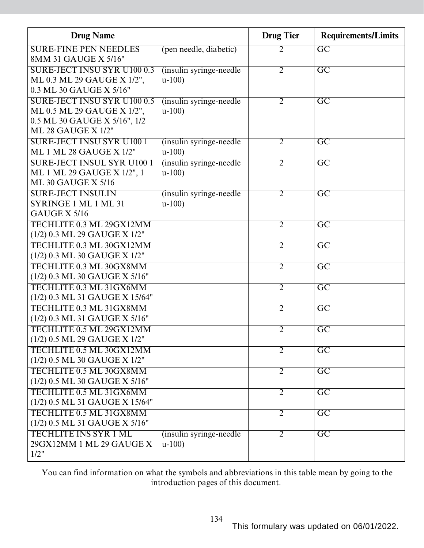| <b>Drug Name</b>                                        |                                     | <b>Drug Tier</b> | <b>Requirements/Limits</b> |
|---------------------------------------------------------|-------------------------------------|------------------|----------------------------|
| <b>SURE-FINE PEN NEEDLES</b><br>8MM 31 GAUGE X 5/16"    | (pen needle, diabetic)              | 2                | $\overline{GC}$            |
| <b>SURE-JECT INSU SYR U100 0.3</b>                      | (insulin syringe-needle)            | $\overline{2}$   | $\overline{GC}$            |
| ML 0.3 ML 29 GAUGE X 1/2",                              | $u-100$                             |                  |                            |
| 0.3 ML 30 GAUGE X 5/16"                                 |                                     |                  |                            |
| <b>SURE-JECT INSU SYR U100 0.5</b>                      | (insulin syringe-needle)            | $\overline{2}$   | $\overline{GC}$            |
| ML 0.5 ML 29 GAUGE X 1/2",                              | $u-100$                             |                  |                            |
| 0.5 ML 30 GAUGE X 5/16", 1/2                            |                                     |                  |                            |
| <b>ML 28 GAUGE X 1/2"</b>                               |                                     |                  |                            |
| <b>SURE-JECT INSU SYR U1001</b>                         | (insulin syringe-needle)            | $\overline{2}$   | $\overline{GC}$            |
| <b>ML 1 ML 28 GAUGE X 1/2"</b>                          | $u-100$                             |                  |                            |
| <b>SURE-JECT INSUL SYR U100 1</b>                       | (insulin syringe-needle)            | $\overline{2}$   | $\overline{GC}$            |
| ML 1 ML 29 GAUGE X 1/2", 1<br><b>ML 30 GAUGE X 5/16</b> | $u-100$                             |                  |                            |
| <b>SURE-JECT INSULIN</b>                                |                                     |                  |                            |
| SYRINGE 1 ML 1 ML 31                                    | (insulin syringe-needle)<br>$u-100$ | $\overline{2}$   | $\overline{\mathrm{GC}}$   |
| GAUGE X 5/16                                            |                                     |                  |                            |
| TECHLITE 0.3 ML 29GX12MM                                |                                     | $\overline{2}$   | $\overline{GC}$            |
| (1/2) 0.3 ML 29 GAUGE X 1/2"                            |                                     |                  |                            |
| TECHLITE 0.3 ML 30GX12MM                                |                                     | $\overline{2}$   | $\overline{GC}$            |
| (1/2) 0.3 ML 30 GAUGE X 1/2"                            |                                     |                  |                            |
| TECHLITE 0.3 ML 30GX8MM                                 |                                     | $\overline{2}$   | $\overline{GC}$            |
| (1/2) 0.3 ML 30 GAUGE X 5/16"                           |                                     |                  |                            |
| TECHLITE 0.3 ML 31GX6MM                                 |                                     | $\overline{2}$   | $\overline{GC}$            |
| (1/2) 0.3 ML 31 GAUGE X 15/64"                          |                                     |                  |                            |
| TECHLITE 0.3 ML 31GX8MM                                 |                                     | $\overline{2}$   | $\overline{GC}$            |
| (1/2) 0.3 ML 31 GAUGE X 5/16"                           |                                     |                  |                            |
| TECHLITE 0.5 ML 29GX12MM                                |                                     | $\overline{2}$   | $\overline{GC}$            |
| (1/2) 0.5 ML 29 GAUGE X 1/2"                            |                                     |                  |                            |
| TECHLITE 0.5 ML 30GX12MM                                |                                     | $\overline{2}$   | $\overline{GC}$            |
| (1/2) 0.5 ML 30 GAUGE X 1/2"                            |                                     |                  |                            |
| TECHLITE 0.5 ML 30GX8MM                                 |                                     | $\overline{2}$   | $\overline{GC}$            |
| (1/2) 0.5 ML 30 GAUGE X 5/16"                           |                                     |                  |                            |
| TECHLITE 0.5 ML 31GX6MM                                 |                                     | $\overline{2}$   | $\overline{\mathrm{GC}}$   |
| (1/2) 0.5 ML 31 GAUGE X 15/64"                          |                                     |                  |                            |
| TECHLITE 0.5 ML 31GX8MM                                 |                                     | $\overline{2}$   | $\overline{\mathrm{GC}}$   |
| (1/2) 0.5 ML 31 GAUGE X 5/16"                           |                                     |                  |                            |
| <b>TECHLITE INS SYR 1 ML</b>                            | (insulin syringe-needle)            | $\overline{2}$   | $\overline{\mathrm{GC}}$   |
| 29GX12MM 1 ML 29 GAUGE X                                | $u-100$                             |                  |                            |
| 1/2"                                                    |                                     |                  |                            |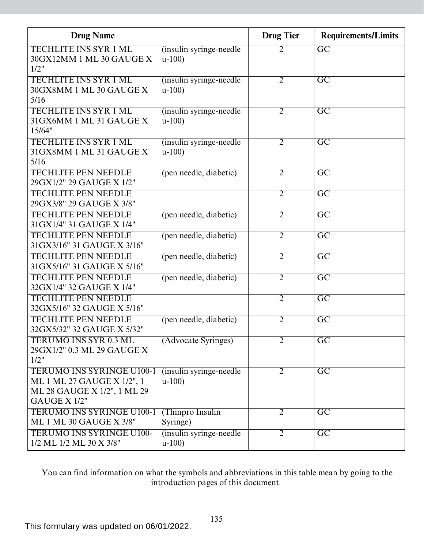| <b>Drug Name</b>                                                                                              |                                     | <b>Drug Tier</b> | <b>Requirements/Limits</b> |
|---------------------------------------------------------------------------------------------------------------|-------------------------------------|------------------|----------------------------|
| <b>TECHLITE INS SYR 1 ML</b><br>30GX12MM 1 ML 30 GAUGE X<br>1/2"                                              | (insulin syringe-needle)<br>$u-100$ | 2                | $\overline{\mathrm{GC}}$   |
| <b>TECHLITE INS SYR 1 ML</b><br>30GX8MM 1 ML 30 GAUGE X<br>5/16                                               | (insulin syringe-needle)<br>$u-100$ | $\overline{2}$   | $\overline{GC}$            |
| <b>TECHLITE INS SYR 1 ML</b><br>31GX6MM 1 ML 31 GAUGE X<br>15/64"                                             | (insulin syringe-needle)<br>$u-100$ | $\overline{2}$   | $\overline{\mathrm{GC}}$   |
| <b>TECHLITE INS SYR 1 ML</b><br>31 GX8MM 1 ML 31 GAUGE X<br>5/16                                              | (insulin syringe-needle)<br>$u-100$ | $\overline{2}$   | $\overline{GC}$            |
| <b>TECHLITE PEN NEEDLE</b><br>29GX1/2" 29 GAUGE X 1/2"                                                        | (pen needle, diabetic)              | $\overline{2}$   | $\overline{GC}$            |
| <b>TECHLITE PEN NEEDLE</b><br>29GX3/8" 29 GAUGE X 3/8"                                                        |                                     | $\overline{2}$   | $\overline{GC}$            |
| <b>TECHLITE PEN NEEDLE</b><br>31 GX1/4" 31 GAUGE X 1/4"                                                       | (pen needle, diabetic)              | $\overline{2}$   | $\overline{GC}$            |
| <b>TECHLITE PEN NEEDLE</b><br>31GX3/16" 31 GAUGE X 3/16"                                                      | (pen needle, diabetic)              | $\overline{2}$   | $\overline{GC}$            |
| <b>TECHLITE PEN NEEDLE</b><br>31GX5/16" 31 GAUGE X 5/16"                                                      | (pen needle, diabetic)              | $\overline{2}$   | $\overline{GC}$            |
| <b>TECHLITE PEN NEEDLE</b><br>32GX1/4" 32 GAUGE X 1/4"                                                        | (pen needle, diabetic)              | $\overline{2}$   | $\overline{GC}$            |
| <b>TECHLITE PEN NEEDLE</b><br>32GX5/16" 32 GAUGE X 5/16"                                                      |                                     | $\overline{2}$   | $\overline{GC}$            |
| <b>TECHLITE PEN NEEDLE</b><br>32GX5/32" 32 GAUGE X 5/32"                                                      | (pen needle, diabetic)              | $\overline{2}$   | $\overline{GC}$            |
| <b>TERUMO INS SYR 0.3 ML</b><br>29GX1/2" 0.3 ML 29 GAUGE X<br>1/2"                                            | (Advocate Syringes)                 | $\overline{2}$   | $\overline{GC}$            |
| <b>TERUMO INS SYRINGE U100-1</b><br>ML 1 ML 27 GAUGE X 1/2", 1<br>ML 28 GAUGE X 1/2", 1 ML 29<br>GAUGE X 1/2" | (insulin syringe-needle)<br>$u-100$ | $\overline{2}$   | $\overline{GC}$            |
| <b>TERUMO INS SYRINGE U100-1</b><br>ML 1 ML 30 GAUGE X 3/8"                                                   | (Thinpro Insulin<br>Syringe)        | $\overline{2}$   | $\overline{GC}$            |
| <b>TERUMO INS SYRINGE U100-</b><br>1/2 ML 1/2 ML 30 X 3/8"                                                    | (insulin syringe-needle)<br>$u-100$ | $\overline{2}$   | $\overline{GC}$            |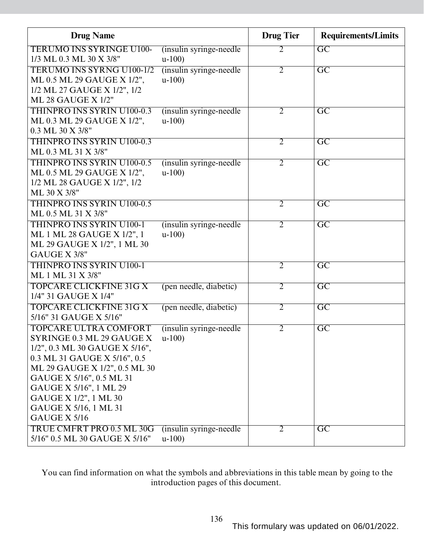| <b>Drug Name</b>                                           |                                     | <b>Drug Tier</b> | <b>Requirements/Limits</b> |
|------------------------------------------------------------|-------------------------------------|------------------|----------------------------|
| <b>TERUMO INS SYRINGE U100-</b><br>1/3 ML 0.3 ML 30 X 3/8" | (insulin syringe-needle)<br>$u-100$ | 2                | $\overline{GC}$            |
| <b>TERUMO INS SYRNG U100-1/2</b>                           | (insulin syringe-needle)            | $\overline{2}$   | $\overline{GC}$            |
| ML 0.5 ML 29 GAUGE X 1/2",                                 | $u-100$                             |                  |                            |
| 1/2 ML 27 GAUGE X 1/2", 1/2                                |                                     |                  |                            |
| <b>ML 28 GAUGE X 1/2"</b>                                  |                                     |                  |                            |
| <b>THINPRO INS SYRIN U100-0.3</b>                          | (insulin syringe-needle)            | $\overline{2}$   | $\overline{\mathrm{GC}}$   |
| ML 0.3 ML 29 GAUGE X 1/2",                                 | $u-100$                             |                  |                            |
| 0.3 ML 30 X 3/8"                                           |                                     |                  |                            |
| <b>THINPRO INS SYRIN U100-0.3</b>                          |                                     | $\overline{2}$   | $\overline{GC}$            |
| ML 0.3 ML 31 X 3/8"                                        |                                     |                  |                            |
| <b>THINPRO INS SYRIN U100-0.5</b>                          | (insulin syringe-needle)            | $\overline{2}$   | $\overline{\mathrm{GC}}$   |
| ML 0.5 ML 29 GAUGE X 1/2",                                 | $u-100$                             |                  |                            |
| 1/2 ML 28 GAUGE X 1/2", 1/2<br>ML 30 X 3/8"                |                                     |                  |                            |
| <b>THINPRO INS SYRIN U100-0.5</b>                          |                                     |                  |                            |
| ML 0.5 ML 31 X 3/8"                                        |                                     | $\overline{2}$   | $\overline{GC}$            |
| <b>THINPRO INS SYRIN U100-1</b>                            | (insulin syringe-needle)            | $\overline{2}$   | $\overline{GC}$            |
| ML 1 ML 28 GAUGE X 1/2", 1                                 | $u-100$                             |                  |                            |
| ML 29 GAUGE X 1/2", 1 ML 30                                |                                     |                  |                            |
| GAUGE X 3/8"                                               |                                     |                  |                            |
| <b>THINPRO INS SYRIN U100-1</b>                            |                                     | $\overline{2}$   | $\overline{\mathrm{GC}}$   |
| ML 1 ML 31 X 3/8"                                          |                                     |                  |                            |
| <b>TOPCARE CLICKFINE 31G X</b>                             | (pen needle, diabetic)              | $\overline{2}$   | $\overline{\mathrm{GC}}$   |
| 1/4" 31 GAUGE X 1/4"                                       |                                     |                  |                            |
| <b>TOPCARE CLICKFINE 31G X</b>                             | (pen needle, diabetic)              | $\overline{2}$   | $\overline{GC}$            |
| 5/16" 31 GAUGE X 5/16"                                     |                                     |                  |                            |
| <b>TOPCARE ULTRA COMFORT</b>                               | (insulin syringe-needle)            | $\overline{2}$   | $\overline{\mathrm{GC}}$   |
| SYRINGE 0.3 ML 29 GAUGE X                                  | $u-100$ )                           |                  |                            |
| 1/2", 0.3 ML 30 GAUGE X 5/16",                             |                                     |                  |                            |
| 0.3 ML 31 GAUGE X 5/16", 0.5                               |                                     |                  |                            |
| ML 29 GAUGE X 1/2", 0.5 ML 30                              |                                     |                  |                            |
| GAUGE X 5/16", 0.5 ML 31                                   |                                     |                  |                            |
| GAUGE X 5/16", 1 ML 29                                     |                                     |                  |                            |
| GAUGE X 1/2", 1 ML 30                                      |                                     |                  |                            |
| GAUGE X 5/16, 1 ML 31<br><b>GAUGE X 5/16</b>               |                                     |                  |                            |
| TRUE CMFRT PRO 0.5 ML 30G                                  |                                     |                  |                            |
| 5/16" 0.5 ML 30 GAUGE X 5/16"                              | (insulin syringe-needle)<br>$u-100$ | $\overline{2}$   | GC                         |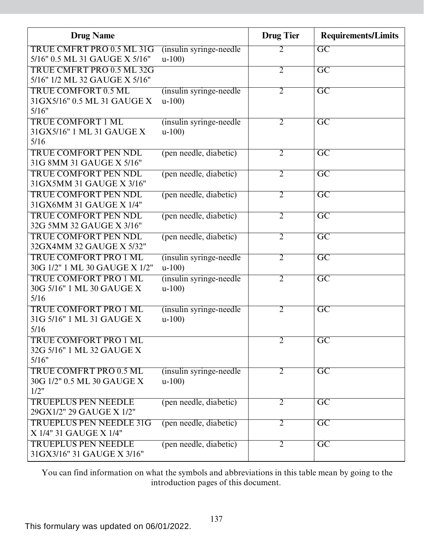| <b>Drug Name</b>                  |                          | <b>Drug Tier</b> | <b>Requirements/Limits</b> |
|-----------------------------------|--------------------------|------------------|----------------------------|
| TRUE CMFRT PRO 0.5 ML 31G         | (insulin syringe-needle) | $\overline{2}$   | $\overline{GC}$            |
| 5/16" 0.5 ML 31 GAUGE X 5/16"     | $u-100$                  |                  |                            |
| TRUE CMFRT PRO 0.5 ML 32G         |                          | $\overline{2}$   | $\overline{\mathrm{GC}}$   |
| 5/16" 1/2 ML 32 GAUGE X 5/16"     |                          |                  |                            |
| <b>TRUE COMFORT 0.5 ML</b>        | (insulin syringe-needle) | $\overline{2}$   | $\overline{GC}$            |
| 31GX5/16" 0.5 ML 31 GAUGE X       | $u-100$                  |                  |                            |
| 5/16"                             |                          |                  |                            |
| <b>TRUE COMFORT 1 ML</b>          | (insulin syringe-needle) | $\overline{2}$   | $\overline{GC}$            |
| 31 GX5/16" 1 ML 31 GAUGE X        | $u-100$                  |                  |                            |
| 5/16                              |                          |                  |                            |
| <b>TRUE COMFORT PEN NDL</b>       | (pen needle, diabetic)   | $\overline{2}$   | $\overline{\mathrm{GC}}$   |
| 31G 8MM 31 GAUGE X 5/16"          |                          |                  |                            |
| <b>TRUE COMFORT PEN NDL</b>       | (pen needle, diabetic)   | $\overline{2}$   | $\overline{GC}$            |
| 31 GX5MM 31 GAUGE X 3/16"         |                          |                  |                            |
| <b>TRUE COMFORT PEN NDL</b>       | (pen needle, diabetic)   | $\overline{2}$   | $\overline{\text{GC}}$     |
| 31 GX6MM 31 GAUGE X 1/4"          |                          |                  |                            |
| <b>TRUE COMFORT PEN NDL</b>       | (pen needle, diabetic)   | $\overline{2}$   | $\overline{\text{GC}}$     |
| 32G 5MM 32 GAUGE X 3/16"          |                          |                  |                            |
| <b>TRUE COMFORT PEN NDL</b>       | (pen needle, diabetic)   | $\overline{2}$   | $\overline{\mathrm{GC}}$   |
| 32GX4MM 32 GAUGE X 5/32"          |                          |                  |                            |
| <b>TRUE COMFORT PRO 1 ML</b>      | (insulin syringe-needle) | $\overline{2}$   | $\overline{GC}$            |
| 30G 1/2" 1 ML 30 GAUGE X 1/2"     | $u-100$                  |                  |                            |
| <b>TRUE COMFORT PRO 1 ML</b>      | (insulin syringe-needle  | $\overline{2}$   | $\overline{\text{GC}}$     |
| 30G 5/16" 1 ML 30 GAUGE X         | $u-100$                  |                  |                            |
| 5/16                              |                          |                  |                            |
| <b>TRUE COMFORT PRO 1 ML</b>      | (insulin syringe-needle) | $\overline{2}$   | $\overline{\mathrm{GC}}$   |
| 31G 5/16" 1 ML 31 GAUGE X<br>5/16 | $u-100$                  |                  |                            |
| <b>TRUE COMFORT PRO 1 ML</b>      |                          | $\overline{2}$   |                            |
| 32G 5/16" 1 ML 32 GAUGE X         |                          |                  | $\overline{GC}$            |
| 5/16"                             |                          |                  |                            |
| TRUE COMFRT PRO 0.5 ML            | (insulin syringe-needle) | $\overline{2}$   | $\overline{GC}$            |
| 30G 1/2" 0.5 ML 30 GAUGE X        | $u-100$                  |                  |                            |
| 1/2"                              |                          |                  |                            |
| <b>TRUEPLUS PEN NEEDLE</b>        | (pen needle, diabetic)   | $\overline{2}$   | $\overline{GC}$            |
| 29GX1/2" 29 GAUGE X 1/2"          |                          |                  |                            |
| <b>TRUEPLUS PEN NEEDLE 31G</b>    | (pen needle, diabetic)   | $\overline{2}$   | $\overline{GC}$            |
| X 1/4" 31 GAUGE X 1/4"            |                          |                  |                            |
| <b>TRUEPLUS PEN NEEDLE</b>        | (pen needle, diabetic)   | $\overline{2}$   | $\overline{GC}$            |
| 31GX3/16" 31 GAUGE X 3/16"        |                          |                  |                            |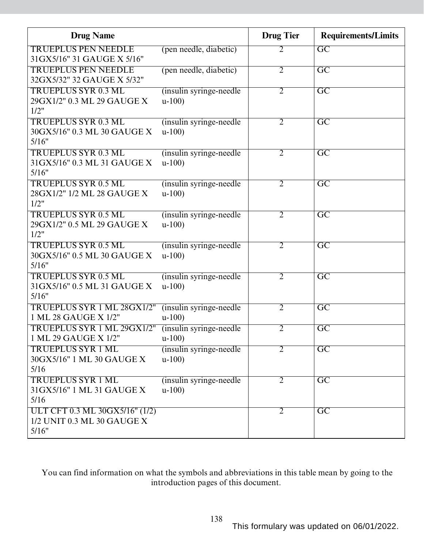| <b>Drug Name</b>               |                          | <b>Drug Tier</b> | <b>Requirements/Limits</b> |
|--------------------------------|--------------------------|------------------|----------------------------|
| <b>TRUEPLUS PEN NEEDLE</b>     | (pen needle, diabetic)   | $\overline{2}$   | GC                         |
| 31GX5/16" 31 GAUGE X 5/16"     |                          |                  |                            |
| <b>TRUEPLUS PEN NEEDLE</b>     | (pen needle, diabetic)   | $\overline{2}$   | $\overline{\mathrm{GC}}$   |
| 32GX5/32" 32 GAUGE X 5/32"     |                          |                  |                            |
| <b>TRUEPLUS SYR 0.3 ML</b>     | (insulin syringe-needle) | $\overline{2}$   | $\overline{\mathrm{GC}}$   |
| 29GX1/2" 0.3 ML 29 GAUGE X     | $u-100$                  |                  |                            |
| 1/2"                           |                          |                  |                            |
| <b>TRUEPLUS SYR 0.3 ML</b>     | (insulin syringe-needle) | $\overline{2}$   | $\overline{\mathrm{GC}}$   |
| 30GX5/16" 0.3 ML 30 GAUGE X    | $u-100$                  |                  |                            |
| 5/16"                          |                          |                  |                            |
| <b>TRUEPLUS SYR 0.3 ML</b>     | (insulin syringe-needle) | $\overline{2}$   | $\overline{\mathrm{GC}}$   |
| 31GX5/16" 0.3 ML 31 GAUGE X    | $u-100$                  |                  |                            |
| 5/16"                          |                          |                  |                            |
| <b>TRUEPLUS SYR 0.5 ML</b>     | (insulin syringe-needle) | $\overline{2}$   | $\overline{\mathrm{GC}}$   |
| 28GX1/2" 1/2 ML 28 GAUGE X     | $u-100$                  |                  |                            |
| 1/2"                           |                          |                  |                            |
| <b>TRUEPLUS SYR 0.5 ML</b>     | (insulin syringe-needle) | $\overline{2}$   | $\overline{\mathrm{GC}}$   |
| 29GX1/2" 0.5 ML 29 GAUGE X     | $u-100$                  |                  |                            |
| 1/2"                           |                          |                  |                            |
| <b>TRUEPLUS SYR 0.5 ML</b>     | (insulin syringe-needle) | $\overline{2}$   | $\overline{GC}$            |
| 30GX5/16" 0.5 ML 30 GAUGE X    | $u-100$                  |                  |                            |
| 5/16"                          |                          |                  |                            |
| <b>TRUEPLUS SYR 0.5 ML</b>     | (insulin syringe-needle) | $\overline{2}$   | $\overline{\mathrm{GC}}$   |
| 31GX5/16" 0.5 ML 31 GAUGE X    | $u-100$                  |                  |                            |
| 5/16"                          |                          |                  |                            |
| TRUEPLUS SYR 1 ML 28GX1/2"     | (insulin syringe-needle) | $\overline{2}$   | $\overline{GC}$            |
| 1 ML 28 GAUGE X 1/2"           | $u-100$                  |                  |                            |
| TRUEPLUS SYR 1 ML 29GX1/2"     | (insulin syringe-needle) | $\overline{2}$   | $\overline{\mathrm{GC}}$   |
| 1 ML 29 GAUGE X 1/2"           | $u-100$                  |                  |                            |
| <b>TRUEPLUS SYR 1 ML</b>       | (insulin syringe-needle) | $\overline{2}$   | $\overline{\text{GC}}$     |
| 30GX5/16" 1 ML 30 GAUGE X      | $u-100$                  |                  |                            |
| 5/16                           |                          |                  |                            |
| <b>TRUEPLUS SYR 1 ML</b>       | (insulin syringe-needle) | 2                | $\overline{\text{GC}}$     |
| 31GX5/16" 1 ML 31 GAUGE X      | $u-100$                  |                  |                            |
| 5/16                           |                          |                  |                            |
| ULT CFT 0.3 ML 30GX5/16" (1/2) |                          | 2                | $\overline{\mathrm{GC}}$   |
| 1/2 UNIT 0.3 ML 30 GAUGE X     |                          |                  |                            |
| 5/16"                          |                          |                  |                            |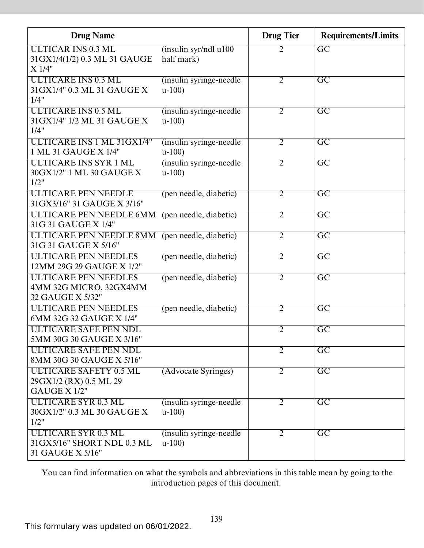| <b>Drug Name</b>                                          |                                     | <b>Drug Tier</b> | <b>Requirements/Limits</b> |
|-----------------------------------------------------------|-------------------------------------|------------------|----------------------------|
| <b>ULTICAR INS 0.3 ML</b><br>31GX1/4(1/2) 0.3 ML 31 GAUGE | (insulin syr/ndl u100<br>half mark) | 2                | $\overline{GC}$            |
| X 1/4"                                                    |                                     |                  |                            |
| <b>ULTICARE INS 0.3 ML</b>                                | (insulin syringe-needle)            | $\overline{2}$   | $\overline{GC}$            |
| 31 GX1/4" 0.3 ML 31 GAUGE X<br>1/4"                       | $u-100$                             |                  |                            |
| <b>ULTICARE INS 0.5 ML</b>                                | (insulin syringe-needle)            | $\overline{2}$   | $\overline{\mathrm{GC}}$   |
| 31 GX1/4" 1/2 ML 31 GAUGE X<br>1/4"                       | $u-100$                             |                  |                            |
| ULTICARE INS 1 ML 31GX1/4"                                | (insulin syringe-needle             | $\overline{2}$   | $\overline{GC}$            |
| 1 ML 31 GAUGE X 1/4"                                      | $u-100$                             |                  |                            |
| ULTICARE INS SYR 1 ML<br>30GX1/2" 1 ML 30 GAUGE X<br>1/2" | (insulin syringe-needle)<br>$u-100$ | $\overline{2}$   | $\overline{GC}$            |
| <b>ULTICARE PEN NEEDLE</b>                                | (pen needle, diabetic)              | $\overline{2}$   | $\overline{\mathrm{GC}}$   |
| 31GX3/16" 31 GAUGE X 3/16"                                |                                     |                  |                            |
| <b>ULTICARE PEN NEEDLE 6MM</b>                            | (pen needle, diabetic)              | $\overline{2}$   | $\overline{\mathrm{GC}}$   |
| 31G 31 GAUGE X 1/4"                                       |                                     |                  |                            |
| <b>ULTICARE PEN NEEDLE 8MM</b><br>31G 31 GAUGE X 5/16"    | (pen needle, diabetic)              | $\overline{2}$   | $\overline{GC}$            |
| <b>ULTICARE PEN NEEDLES</b>                               | (pen needle, diabetic)              | $\overline{2}$   | $\overline{GC}$            |
| 12MM 29G 29 GAUGE X 1/2"                                  |                                     |                  |                            |
| <b>ULTICARE PEN NEEDLES</b><br>4MM 32G MICRO, 32GX4MM     | (pen needle, diabetic)              | $\overline{2}$   | $\overline{GC}$            |
| 32 GAUGE X 5/32"                                          |                                     |                  |                            |
| <b>ULTICARE PEN NEEDLES</b>                               | (pen needle, diabetic)              | $\overline{2}$   | $\overline{GC}$            |
| 6MM 32G 32 GAUGE X 1/4"                                   |                                     |                  |                            |
| <b>ULTICARE SAFE PEN NDL</b>                              |                                     | $\overline{2}$   | $\overline{\mathrm{GC}}$   |
| 5MM 30G 30 GAUGE X 3/16"                                  |                                     |                  |                            |
| <b>ULTICARE SAFE PEN NDL</b>                              |                                     | $\overline{2}$   | $\overline{GC}$            |
| 8MM 30G 30 GAUGE X 5/16"                                  |                                     |                  |                            |
| <b>ULTICARE SAFETY 0.5 ML</b>                             | (Advocate Syringes)                 | $\overline{2}$   | $\overline{GC}$            |
| 29GX1/2 (RX) 0.5 ML 29<br>GAUGE X 1/2"                    |                                     |                  |                            |
| <b>ULTICARE SYR 0.3 ML</b>                                | (insulin syringe-needle)            | $\overline{2}$   | $\overline{GC}$            |
| 30GX1/2" 0.3 ML 30 GAUGE X                                | $u-100$                             |                  |                            |
| 1/2"                                                      |                                     |                  |                            |
| <b>ULTICARE SYR 0.3 ML</b>                                | (insulin syringe-needle)            | $\overline{2}$   | $\overline{\text{GC}}$     |
| 31GX5/16" SHORT NDL 0.3 ML                                | $u-100$                             |                  |                            |
| 31 GAUGE X 5/16"                                          |                                     |                  |                            |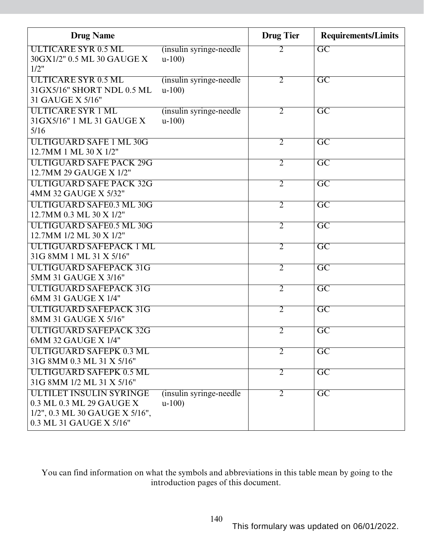| <b>Drug Name</b>                |                          | <b>Drug Tier</b> | <b>Requirements/Limits</b> |
|---------------------------------|--------------------------|------------------|----------------------------|
| <b>ULTICARE SYR 0.5 ML</b>      | (insulin syringe-needle) | 2                | $\overline{GC}$            |
| 30GX1/2" 0.5 ML 30 GAUGE X      | $u-100$                  |                  |                            |
| 1/2"                            |                          |                  |                            |
| <b>ULTICARE SYR 0.5 ML</b>      | (insulin syringe-needle) | $\overline{2}$   | $\overline{GC}$            |
| 31GX5/16" SHORT NDL 0.5 ML      | $u-100$                  |                  |                            |
| 31 GAUGE X 5/16"                |                          |                  |                            |
| <b>ULTICARE SYR 1 ML</b>        | (insulin syringe-needle) | $\overline{2}$   | $\overline{\mathrm{GC}}$   |
| 31GX5/16" 1 ML 31 GAUGE X       | $u-100$                  |                  |                            |
| 5/16                            |                          |                  |                            |
| <b>ULTIGUARD SAFE 1 ML 30G</b>  |                          | $\overline{2}$   | $\overline{GC}$            |
| 12.7MM 1 ML 30 X 1/2"           |                          |                  |                            |
| <b>ULTIGUARD SAFE PACK 29G</b>  |                          | $\overline{2}$   | $\overline{GC}$            |
| 12.7MM 29 GAUGE X 1/2"          |                          |                  |                            |
| <b>ULTIGUARD SAFE PACK 32G</b>  |                          | $\overline{2}$   | $\overline{GC}$            |
| 4MM 32 GAUGE X 5/32"            |                          |                  |                            |
| <b>ULTIGUARD SAFE0.3 ML 30G</b> |                          | $\overline{2}$   | $\overline{GC}$            |
| 12.7MM 0.3 ML 30 X 1/2"         |                          |                  |                            |
| <b>ULTIGUARD SAFE0.5 ML 30G</b> |                          | $\overline{2}$   | $\overline{GC}$            |
| 12.7MM 1/2 ML 30 X 1/2"         |                          |                  |                            |
| ULTIGUARD SAFEPACK 1 ML         |                          | $\overline{2}$   | $\overline{GC}$            |
| 31G 8MM 1 ML 31 X 5/16"         |                          |                  |                            |
| <b>ULTIGUARD SAFEPACK 31G</b>   |                          | $\overline{2}$   | $\overline{GC}$            |
| 5MM 31 GAUGE X 3/16"            |                          |                  |                            |
| <b>ULTIGUARD SAFEPACK 31G</b>   |                          | $\overline{2}$   | $\overline{\mathrm{GC}}$   |
| 6MM 31 GAUGE X 1/4"             |                          |                  |                            |
| <b>ULTIGUARD SAFEPACK 31G</b>   |                          | $\overline{2}$   | $\overline{\mathrm{GC}}$   |
| 8MM 31 GAUGE X 5/16"            |                          |                  |                            |
| <b>ULTIGUARD SAFEPACK 32G</b>   |                          | $\overline{2}$   | $\overline{\mathrm{GC}}$   |
| 6MM 32 GAUGE X 1/4"             |                          |                  |                            |
| <b>ULTIGUARD SAFEPK 0.3 ML</b>  |                          | $\overline{2}$   | $\overline{\mathrm{GC}}$   |
| 31G 8MM 0.3 ML 31 X 5/16"       |                          |                  |                            |
| <b>ULTIGUARD SAFEPK 0.5 ML</b>  |                          | $\overline{2}$   | $\overline{GC}$            |
| 31G 8MM 1/2 ML 31 X 5/16"       |                          |                  |                            |
| ULTILET INSULIN SYRINGE         | (insulin syringe-needle) | $\overline{2}$   | $\overline{\mathrm{GC}}$   |
| 0.3 ML 0.3 ML 29 GAUGE X        | $u-100$                  |                  |                            |
| 1/2", 0.3 ML 30 GAUGE X 5/16",  |                          |                  |                            |
| 0.3 ML 31 GAUGE X 5/16"         |                          |                  |                            |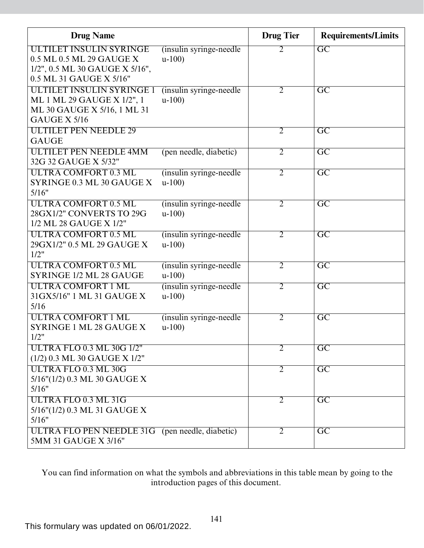| <b>Drug Name</b>                                |                          | <b>Drug Tier</b> | <b>Requirements/Limits</b> |
|-------------------------------------------------|--------------------------|------------------|----------------------------|
| ULTILET INSULIN SYRINGE                         | (insulin syringe-needle) | 2                | $\overline{\mathrm{GC}}$   |
| 0.5 ML 0.5 ML 29 GAUGE X                        | $u-100$                  |                  |                            |
| 1/2", 0.5 ML 30 GAUGE X 5/16",                  |                          |                  |                            |
| 0.5 ML 31 GAUGE X 5/16"                         |                          |                  |                            |
| ULTILET INSULIN SYRINGE 1                       | (insulin syringe-needle) | $\overline{2}$   | $\overline{\mathrm{GC}}$   |
| ML 1 ML 29 GAUGE X 1/2", 1                      | $u-100$                  |                  |                            |
| ML 30 GAUGE X 5/16, 1 ML 31                     |                          |                  |                            |
| GAUGE X 5/16                                    |                          |                  |                            |
| <b>ULTILET PEN NEEDLE 29</b>                    |                          | $\overline{2}$   | $\overline{\mathrm{GC}}$   |
| <b>GAUGE</b>                                    |                          |                  |                            |
| <b>ULTILET PEN NEEDLE 4MM</b>                   | (pen needle, diabetic)   | $\overline{2}$   | $\overline{\mathrm{GC}}$   |
| 32G 32 GAUGE X 5/32"                            |                          |                  |                            |
| <b>ULTRA COMFORT 0.3 ML</b>                     | (insulin syringe-needle) | $\overline{2}$   | $\overline{\mathrm{GC}}$   |
| SYRINGE 0.3 ML 30 GAUGE X                       | $u-100$                  |                  |                            |
| 5/16"                                           |                          |                  |                            |
| <b>ULTRA COMFORT 0.5 ML</b>                     | (insulin syringe-needle) | $\overline{2}$   | $\overline{\mathrm{GC}}$   |
| 28GX1/2" CONVERTS TO 29G                        | $u-100$                  |                  |                            |
| 1/2 ML 28 GAUGE X 1/2"                          |                          |                  |                            |
| <b>ULTRA COMFORT 0.5 ML</b>                     | (insulin syringe-needle) | $\overline{2}$   | $\overline{\mathrm{GC}}$   |
| 29GX1/2" 0.5 ML 29 GAUGE X                      | $u-100$                  |                  |                            |
| 1/2"                                            |                          |                  |                            |
| <b>ULTRA COMFORT 0.5 ML</b>                     | (insulin syringe-needle) | $\overline{2}$   | $\overline{\mathrm{GC}}$   |
| SYRINGE 1/2 ML 28 GAUGE                         | $u-100$                  |                  |                            |
| <b>ULTRA COMFORT 1 ML</b>                       | (insulin syringe-needle) | $\overline{2}$   | $\overline{GC}$            |
| 31GX5/16" 1 ML 31 GAUGE X                       | $u-100$                  |                  |                            |
| 5/16                                            |                          |                  |                            |
| <b>ULTRA COMFORT 1 ML</b>                       | (insulin syringe-needle) | $\overline{2}$   | $\overline{\mathrm{GC}}$   |
| SYRINGE 1 ML 28 GAUGE X<br>1/2"                 | $u-100$                  |                  |                            |
| <b>ULTRA FLO 0.3 ML 30G 1/2"</b>                |                          | $\overline{2}$   | $\overline{GC}$            |
| (1/2) 0.3 ML 30 GAUGE X 1/2"                    |                          |                  |                            |
| <b>ULTRA FLO 0.3 ML 30G</b>                     |                          |                  |                            |
| 5/16"(1/2) 0.3 ML 30 GAUGE X                    |                          | $\overline{2}$   | $\overline{GC}$            |
| 5/16"                                           |                          |                  |                            |
| ULTRA FLO 0.3 ML 31G                            |                          | $\overline{2}$   | $\overline{GC}$            |
| 5/16"(1/2) 0.3 ML 31 GAUGE X                    |                          |                  |                            |
| 5/16"                                           |                          |                  |                            |
| ULTRA FLO PEN NEEDLE 31G (pen needle, diabetic) |                          | $\overline{2}$   | $\overline{\mathrm{GC}}$   |
| 5MM 31 GAUGE X 3/16"                            |                          |                  |                            |
|                                                 |                          |                  |                            |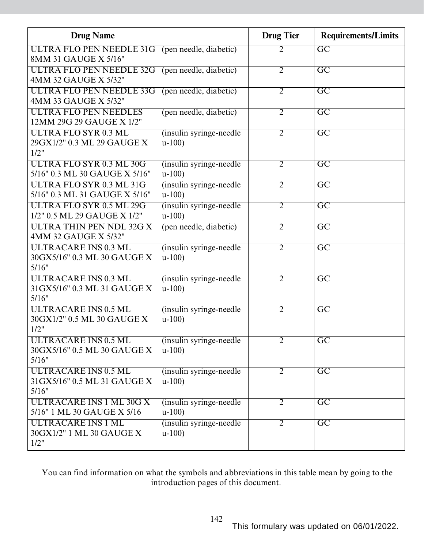| <b>Drug Name</b>                                                        |                                     | <b>Drug Tier</b> | <b>Requirements/Limits</b> |
|-------------------------------------------------------------------------|-------------------------------------|------------------|----------------------------|
| ULTRA FLO PEN NEEDLE 31G (pen needle, diabetic)<br>8MM 31 GAUGE X 5/16" |                                     | 2                | $\overline{GC}$            |
| ULTRA FLO PEN NEEDLE 32G (pen needle, diabetic)<br>4MM 32 GAUGE X 5/32" |                                     | $\overline{2}$   | $\overline{GC}$            |
| <b>ULTRA FLO PEN NEEDLE 33G</b><br>4MM 33 GAUGE X 5/32"                 | (pen needle, diabetic)              | $\overline{2}$   | $\overline{\mathrm{GC}}$   |
| <b>ULTRA FLO PEN NEEDLES</b><br>12MM 29G 29 GAUGE X 1/2"                | (pen needle, diabetic)              | $\overline{2}$   | $\overline{GC}$            |
| <b>ULTRA FLO SYR 0.3 ML</b><br>29GX1/2" 0.3 ML 29 GAUGE X<br>1/2"       | (insulin syringe-needle)<br>$u-100$ | $\overline{2}$   | $\overline{GC}$            |
| <b>ULTRA FLO SYR 0.3 ML 30G</b><br>5/16" 0.3 ML 30 GAUGE X 5/16"        | (insulin syringe-needle)<br>$u-100$ | $\overline{2}$   | $\overline{\mathrm{GC}}$   |
| ULTRA FLO SYR 0.3 ML 31G<br>5/16" 0.3 ML 31 GAUGE X 5/16"               | (insulin syringe-needle)<br>$u-100$ | $\overline{2}$   | $\overline{\mathrm{GC}}$   |
| <b>ULTRA FLO SYR 0.5 ML 29G</b><br>1/2" 0.5 ML 29 GAUGE X 1/2"          | (insulin syringe-needle)<br>$u-100$ | $\overline{2}$   | $\overline{\mathrm{GC}}$   |
| <b>ULTRA THIN PEN NDL 32G X</b><br>4MM 32 GAUGE X 5/32"                 | (pen needle, diabetic)              | $\overline{2}$   | $\overline{GC}$            |
| <b>ULTRACARE INS 0.3 ML</b><br>30GX5/16" 0.3 ML 30 GAUGE X<br>5/16"     | (insulin syringe-needle)<br>$u-100$ | $\overline{2}$   | $\overline{GC}$            |
| <b>ULTRACARE INS 0.3 ML</b><br>31GX5/16" 0.3 ML 31 GAUGE X<br>5/16"     | (insulin syringe-needle)<br>$u-100$ | $\overline{2}$   | $\overline{\rm GC}$        |
| ULTRACARE INS 0.5 ML<br>30GX1/2" 0.5 ML 30 GAUGE X<br>1/2"              | (insulin syringe-needle)<br>$u-100$ | 2                | $\overline{\mathrm{GC}}$   |
| <b>ULTRACARE INS 0.5 ML</b><br>30GX5/16" 0.5 ML 30 GAUGE X<br>5/16"     | (insulin syringe-needle)<br>$u-100$ | $\overline{2}$   | $\overline{\mathrm{GC}}$   |
| <b>ULTRACARE INS 0.5 ML</b><br>31GX5/16" 0.5 ML 31 GAUGE X<br>5/16"     | (insulin syringe-needle)<br>$u-100$ | $\overline{2}$   | $\overline{GC}$            |
| ULTRACARE INS 1 ML 30G X<br>5/16" 1 ML 30 GAUGE X 5/16                  | (insulin syringe-needle)<br>$u-100$ | $\overline{2}$   | $\overline{GC}$            |
| <b>ULTRACARE INS 1 ML</b><br>30GX1/2" 1 ML 30 GAUGE X<br>1/2"           | (insulin syringe-needle)<br>$u-100$ | $\overline{2}$   | $\overline{\mathrm{GC}}$   |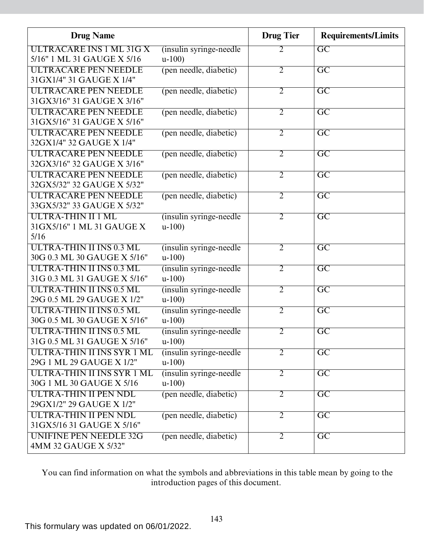| <b>Drug Name</b>                  |                                     | <b>Drug Tier</b> | <b>Requirements/Limits</b> |
|-----------------------------------|-------------------------------------|------------------|----------------------------|
| ULTRACARE INS 1 ML 31G X          | (insulin syringe-needle)            | 2                | $\overline{GC}$            |
| 5/16" 1 ML 31 GAUGE X 5/16        | $u-100$                             |                  |                            |
| <b>ULTRACARE PEN NEEDLE</b>       | (pen needle, diabetic)              | $\overline{2}$   | $\overline{\mathrm{GC}}$   |
| 31 GX1/4" 31 GAUGE X 1/4"         |                                     |                  |                            |
| <b>ULTRACARE PEN NEEDLE</b>       | (pen needle, diabetic)              | $\overline{2}$   | $\overline{GC}$            |
| 31GX3/16" 31 GAUGE X 3/16"        |                                     |                  |                            |
| <b>ULTRACARE PEN NEEDLE</b>       | (pen needle, diabetic)              | $\overline{2}$   | $\overline{GC}$            |
| 31GX5/16" 31 GAUGE X 5/16"        |                                     |                  |                            |
| ULTRACARE PEN NEEDLE              | (pen needle, diabetic)              | $\overline{2}$   | $\overline{\mathrm{GC}}$   |
| 32GX1/4" 32 GAUGE X 1/4"          |                                     |                  |                            |
| <b>ULTRACARE PEN NEEDLE</b>       | (pen needle, diabetic)              | $\overline{2}$   | $\overline{\mathrm{GC}}$   |
| 32GX3/16" 32 GAUGE X 3/16"        |                                     |                  |                            |
| <b>ULTRACARE PEN NEEDLE</b>       | (pen needle, diabetic)              | $\overline{2}$   | $\overline{\text{GC}}$     |
| 32GX5/32" 32 GAUGE X 5/32"        |                                     |                  |                            |
| <b>ULTRACARE PEN NEEDLE</b>       | (pen needle, diabetic)              | $\overline{2}$   | $\overline{GC}$            |
| 33GX5/32" 33 GAUGE X 5/32"        |                                     |                  |                            |
| ULTRA-THIN II 1 ML                | (insulin syringe-needle)            | $\overline{2}$   | $\overline{GC}$            |
| 31GX5/16" 1 ML 31 GAUGE X<br>5/16 | $u-100$                             |                  |                            |
| ULTRA-THIN II INS 0.3 ML          |                                     |                  | $\overline{\mathrm{GC}}$   |
| 30G 0.3 ML 30 GAUGE X 5/16"       | (insulin syringe-needle)<br>$u-100$ | $\overline{2}$   |                            |
| ULTRA-THIN II INS 0.3 ML          |                                     | $\overline{2}$   | $\overline{\mathrm{GC}}$   |
| 31G 0.3 ML 31 GAUGE X 5/16"       | (insulin syringe-needle)<br>$u-100$ |                  |                            |
| ULTRA-THIN II INS 0.5 ML          |                                     | $\overline{2}$   | $\overline{GC}$            |
| 29G 0.5 ML 29 GAUGE X 1/2"        | (insulin syringe-needle)<br>$u-100$ |                  |                            |
| ULTRA-THIN II INS 0.5 ML          | (insulin syringe-needle)            | $\overline{2}$   | $\overline{\text{GC}}$     |
| 30G 0.5 ML 30 GAUGE X 5/16"       | $u-100$                             |                  |                            |
| ULTRA-THIN II INS 0.5 ML          | (insulin syringe-needle)            | $\overline{2}$   | $\overline{GC}$            |
| 31G 0.5 ML 31 GAUGE X 5/16"       | $u-100$                             |                  |                            |
| ULTRA-THIN II INS SYR 1 ML        | (insulin syringe-needle)            | $\overline{2}$   | $\overline{GC}$            |
| 29G 1 ML 29 GAUGE X 1/2"          | $u-100$                             |                  |                            |
| ULTRA-THIN II INS SYR 1 ML        | (insulin syringe-needle)            | $\overline{2}$   | $\overline{GC}$            |
| 30G 1 ML 30 GAUGE X 5/16          | $u-100$                             |                  |                            |
| ULTRA-THIN II PEN NDL             | (pen needle, diabetic)              | $\overline{2}$   | $\overline{\text{GC}}$     |
| 29GX1/2" 29 GAUGE X 1/2"          |                                     |                  |                            |
| ULTRA-THIN II PEN NDL             | (pen needle, diabetic)              | $\overline{2}$   | $\overline{\mathrm{GC}}$   |
| 31GX5/16 31 GAUGE X 5/16"         |                                     |                  |                            |
| <b>UNIFINE PEN NEEDLE 32G</b>     | (pen needle, diabetic)              | $\overline{2}$   | $\overline{GC}$            |
| 4MM 32 GAUGE X 5/32"              |                                     |                  |                            |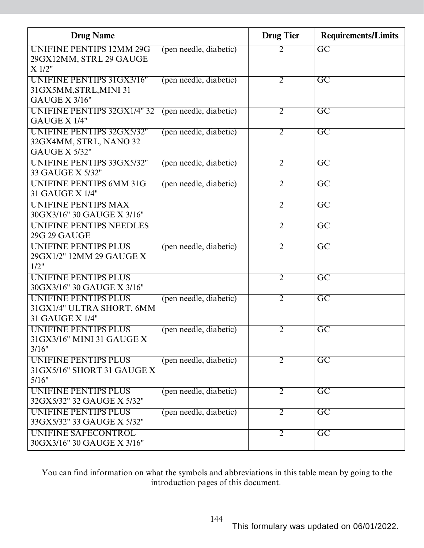| <b>Drug Name</b>                                                                   |                        | <b>Drug</b> Tier | <b>Requirements/Limits</b> |
|------------------------------------------------------------------------------------|------------------------|------------------|----------------------------|
| <b>UNIFINE PENTIPS 12MM 29G</b><br>29GX12MM, STRL 29 GAUGE<br>X 1/2"               | (pen needle, diabetic) | $\overline{2}$   | $\overline{GC}$            |
| UNIFINE PENTIPS 31GX3/16"<br>31GX5MM, STRL, MINI 31<br><b>GAUGE X 3/16"</b>        | (pen needle, diabetic) | $\overline{2}$   | $\overline{GC}$            |
| <b>UNIFINE PENTIPS 32GX1/4" 32</b><br>GAUGE X 1/4"                                 | (pen needle, diabetic) | $\overline{2}$   | $\overline{GC}$            |
| <b>UNIFINE PENTIPS 32GX5/32"</b><br>32GX4MM, STRL, NANO 32<br><b>GAUGE X 5/32"</b> | (pen needle, diabetic) | $\overline{2}$   | $\overline{\mathrm{GC}}$   |
| <b>UNIFINE PENTIPS 33GX5/32"</b><br>33 GAUGE X 5/32"                               | (pen needle, diabetic) | $\overline{2}$   | $\overline{GC}$            |
| <b>UNIFINE PENTIPS 6MM 31G</b><br>31 GAUGE X 1/4"                                  | (pen needle, diabetic) | $\overline{2}$   | $\overline{GC}$            |
| <b>UNIFINE PENTIPS MAX</b><br>30GX3/16" 30 GAUGE X 3/16"                           |                        | $\overline{2}$   | $\overline{\mathrm{GC}}$   |
| UNIFINE PENTIPS NEEDLES<br><b>29G 29 GAUGE</b>                                     |                        | $\overline{2}$   | $\overline{\mathrm{GC}}$   |
| UNIFINE PENTIPS PLUS<br>29GX1/2" 12MM 29 GAUGE X<br>1/2"                           | (pen needle, diabetic) | $\overline{2}$   | $\overline{\mathrm{GC}}$   |
| UNIFINE PENTIPS PLUS<br>30GX3/16" 30 GAUGE X 3/16"                                 |                        | $\overline{2}$   | $\overline{\mathrm{GC}}$   |
| <b>UNIFINE PENTIPS PLUS</b><br>31GX1/4" ULTRA SHORT, 6MM<br>31 GAUGE X 1/4"        | (pen needle, diabetic) | $\overline{2}$   | $\overline{\mathrm{GC}}$   |
| UNIFINE PENTIPS PLUS<br>31GX3/16" MINI 31 GAUGE X<br>3/16"                         | (pen needle, diabetic) | $\overline{2}$   | $\overline{\mathrm{GC}}$   |
| UNIFINE PENTIPS PLUS<br>31GX5/16" SHORT 31 GAUGE X<br>5/16"                        | (pen needle, diabetic) | $\overline{2}$   | $\overline{GC}$            |
| UNIFINE PENTIPS PLUS<br>32GX5/32" 32 GAUGE X 5/32"                                 | (pen needle, diabetic) | $\overline{2}$   | $\overline{GC}$            |
| <b>UNIFINE PENTIPS PLUS</b><br>33GX5/32" 33 GAUGE X 5/32"                          | (pen needle, diabetic) | $\overline{2}$   | $\overline{\text{GC}}$     |
| <b>UNIFINE SAFECONTROL</b><br>30GX3/16" 30 GAUGE X 3/16"                           |                        | $\overline{2}$   | $\overline{GC}$            |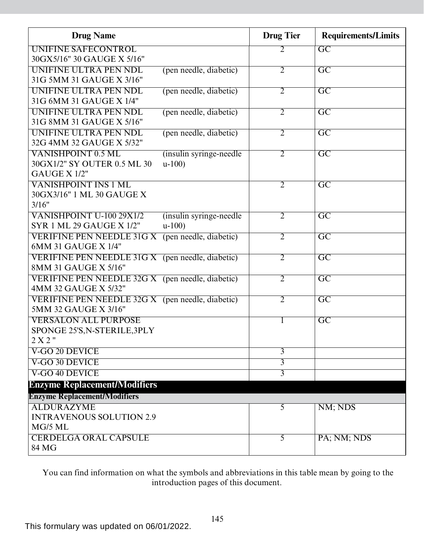| <b>Drug Name</b>                                        |                          | <b>Drug Tier</b> | <b>Requirements/Limits</b> |
|---------------------------------------------------------|--------------------------|------------------|----------------------------|
| UNIFINE SAFECONTROL                                     |                          | $\overline{2}$   | $\overline{GC}$            |
| 30GX5/16" 30 GAUGE X 5/16"                              |                          |                  |                            |
| UNIFINE ULTRA PEN NDL                                   | (pen needle, diabetic)   | $\overline{2}$   | $\overline{GC}$            |
| 31G 5MM 31 GAUGE X 3/16"                                |                          |                  |                            |
| UNIFINE ULTRA PEN NDL                                   | (pen needle, diabetic)   | $\overline{2}$   | $\overline{GC}$            |
| 31G 6MM 31 GAUGE X 1/4"                                 |                          |                  |                            |
| UNIFINE ULTRA PEN NDL                                   | (pen needle, diabetic)   | $\overline{2}$   | $\overline{\rm GC}$        |
| 31G 8MM 31 GAUGE X 5/16"                                |                          |                  |                            |
| UNIFINE ULTRA PEN NDL                                   | (pen needle, diabetic)   | $\overline{2}$   | $\overline{GC}$            |
| 32G 4MM 32 GAUGE X 5/32"                                |                          |                  |                            |
| <b>VANISHPOINT 0.5 ML</b>                               | (insulin syringe-needle) | $\overline{2}$   | $\overline{GC}$            |
| 30GX1/2" SY OUTER 0.5 ML 30                             | $u-100$                  |                  |                            |
| GAUGE X 1/2"                                            |                          |                  |                            |
| <b>VANISHPOINT INS 1 ML</b>                             |                          | $\overline{2}$   | $\overline{\mathrm{GC}}$   |
| 30GX3/16" 1 ML 30 GAUGE X                               |                          |                  |                            |
| 3/16"                                                   |                          |                  |                            |
| <b>VANISHPOINT U-100 29X1/2</b>                         | (insulin syringe-needle) | $\overline{2}$   | $\overline{\mathrm{GC}}$   |
| <b>SYR 1 ML 29 GAUGE X 1/2"</b>                         | $u-100$                  |                  |                            |
| <b>VERIFINE PEN NEEDLE 31G X</b>                        | (pen needle, diabetic)   | $\overline{2}$   | $\overline{GC}$            |
| 6MM 31 GAUGE X 1/4"                                     |                          |                  |                            |
| <b>VERIFINE PEN NEEDLE 31G X</b> (pen needle, diabetic) |                          | $\overline{2}$   | $\overline{GC}$            |
| 8MM 31 GAUGE X 5/16"                                    |                          |                  |                            |
| <b>VERIFINE PEN NEEDLE 32G X</b> (pen needle, diabetic) |                          | $\overline{2}$   | $\overline{GC}$            |
| 4MM 32 GAUGE X 5/32"                                    |                          |                  |                            |
| <b>VERIFINE PEN NEEDLE 32G X</b> (pen needle, diabetic) |                          | $\overline{2}$   | $\overline{GC}$            |
| 5MM 32 GAUGE X 3/16"                                    |                          |                  |                            |
| <b>VERSALON ALL PURPOSE</b>                             |                          | 1                | $\overline{GC}$            |
| SPONGE 25'S, N-STERILE, 3PLY                            |                          |                  |                            |
| $2 X 2$ "                                               |                          |                  |                            |
| V-GO 20 DEVICE                                          |                          | $\overline{3}$   |                            |
| V-GO 30 DEVICE                                          |                          | $\overline{3}$   |                            |
| V-GO 40 DEVICE                                          |                          | $\overline{3}$   |                            |
| <b>Enzyme Replacement/Modifiers</b>                     |                          |                  |                            |
| <b>Enzyme Replacement/Modifiers</b>                     |                          |                  |                            |
| <b>ALDURAZYME</b>                                       |                          | 5                | NM; NDS                    |
| <b>INTRAVENOUS SOLUTION 2.9</b>                         |                          |                  |                            |
| MG/5 ML                                                 |                          |                  |                            |
| <b>CERDELGA ORAL CAPSULE</b>                            |                          | $\overline{5}$   | PA; NM; NDS                |
| 84 MG                                                   |                          |                  |                            |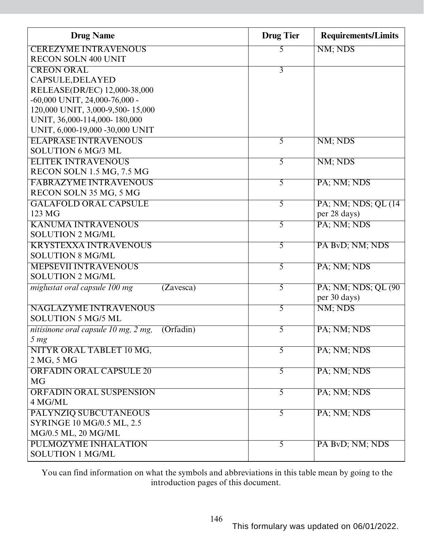| <b>Drug Name</b>                                  | <b>Drug Tier</b> | <b>Requirements/Limits</b> |
|---------------------------------------------------|------------------|----------------------------|
| <b>CEREZYME INTRAVENOUS</b>                       | 5                | NM; NDS                    |
| <b>RECON SOLN 400 UNIT</b>                        |                  |                            |
| <b>CREON ORAL</b>                                 | $\overline{3}$   |                            |
| CAPSULE, DELAYED                                  |                  |                            |
| RELEASE(DR/EC) 12,000-38,000                      |                  |                            |
| $-60,000$ UNIT, 24,000-76,000 -                   |                  |                            |
| 120,000 UNIT, 3,000-9,500-15,000                  |                  |                            |
| UNIT, 36,000-114,000-180,000                      |                  |                            |
| UNIT, 6,000-19,000 -30,000 UNIT                   |                  |                            |
| <b>ELAPRASE INTRAVENOUS</b>                       | 5                | NM; NDS                    |
| <b>SOLUTION 6 MG/3 ML</b>                         |                  |                            |
| <b>ELITEK INTRAVENOUS</b>                         | 5                | NM; NDS                    |
| RECON SOLN 1.5 MG, 7.5 MG                         |                  |                            |
| <b>FABRAZYME INTRAVENOUS</b>                      | 5                | PA; NM; NDS                |
| RECON SOLN 35 MG, 5 MG                            |                  |                            |
| <b>GALAFOLD ORAL CAPSULE</b>                      | 5                | PA; NM; NDS; QL (14)       |
| 123 MG                                            |                  | per 28 days)               |
| <b>KANUMA INTRAVENOUS</b>                         | 5                | PA; NM; NDS                |
| <b>SOLUTION 2 MG/ML</b>                           |                  |                            |
| <b>KRYSTEXXA INTRAVENOUS</b>                      | 5                | PA BvD; NM; NDS            |
| <b>SOLUTION 8 MG/ML</b>                           |                  |                            |
| <b>MEPSEVII INTRAVENOUS</b>                       | $\overline{5}$   | PA; NM; NDS                |
| <b>SOLUTION 2 MG/ML</b>                           |                  |                            |
| miglustat oral capsule 100 mg<br>(Zavesca)        | $\overline{5}$   | PA; NM; NDS; QL (90)       |
|                                                   |                  | per 30 days)               |
| <b>NAGLAZYME INTRAVENOUS</b>                      | 5                | NM; NDS                    |
| <b>SOLUTION 5 MG/5 ML</b>                         |                  |                            |
| nitisinone oral capsule 10 mg, 2 mg,<br>(Orfadin) | $\overline{5}$   | PA; NM; NDS                |
| 5 <sub>mg</sub>                                   |                  |                            |
| NITYR ORAL TABLET 10 MG,                          | $\overline{5}$   | PA; NM; NDS                |
| 2 MG, 5 MG                                        |                  |                            |
| <b>ORFADIN ORAL CAPSULE 20</b>                    | $\overline{5}$   | PA; NM; NDS                |
| <b>MG</b>                                         |                  |                            |
| <b>ORFADIN ORAL SUSPENSION</b>                    | $\overline{5}$   | PA; NM; NDS                |
| 4 MG/ML                                           |                  |                            |
| PALYNZIQ SUBCUTANEOUS                             | $\overline{5}$   | PA; NM; NDS                |
| <b>SYRINGE 10 MG/0.5 ML, 2.5</b>                  |                  |                            |
| MG/0.5 ML, 20 MG/ML                               |                  |                            |
| <b>PULMOZYME INHALATION</b>                       | $\overline{5}$   | PA BvD; NM; NDS            |
| <b>SOLUTION 1 MG/ML</b>                           |                  |                            |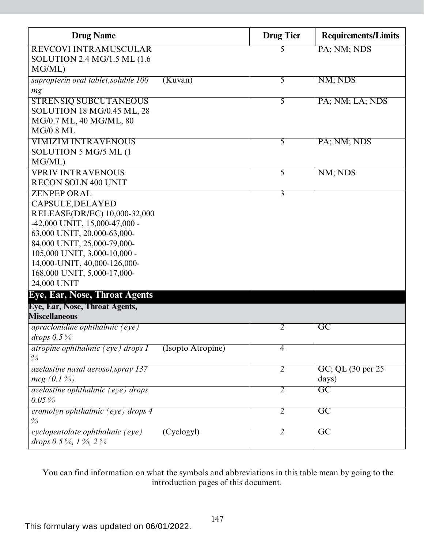| <b>Drug Name</b>                                 |                   | <b>Drug Tier</b> | <b>Requirements/Limits</b> |
|--------------------------------------------------|-------------------|------------------|----------------------------|
| <b>REVCOVI INTRAMUSCULAR</b>                     |                   | 5                | PA; NM; NDS                |
| SOLUTION 2.4 MG/1.5 ML (1.6                      |                   |                  |                            |
| MG/ML)                                           |                   |                  |                            |
| sapropterin oral tablet, soluble 100             | (Kuvan)           | $\overline{5}$   | NM; NDS                    |
| mg                                               |                   |                  |                            |
| <b>STRENSIQ SUBCUTANEOUS</b>                     |                   | 5                | PA; NM; LA; NDS            |
| <b>SOLUTION 18 MG/0.45 ML, 28</b>                |                   |                  |                            |
| MG/0.7 ML, 40 MG/ML, 80                          |                   |                  |                            |
| <b>MG/0.8 ML</b>                                 |                   |                  |                            |
| <b>VIMIZIM INTRAVENOUS</b>                       |                   | 5                | PA; NM; NDS                |
| SOLUTION 5 MG/5 ML (1                            |                   |                  |                            |
| MG/ML)                                           |                   |                  |                            |
| <b>VPRIV INTRAVENOUS</b>                         |                   | 5                | NM; NDS                    |
| <b>RECON SOLN 400 UNIT</b><br><b>ZENPEP ORAL</b> |                   |                  |                            |
|                                                  |                   | $\overline{3}$   |                            |
| CAPSULE, DELAYED<br>RELEASE(DR/EC) 10,000-32,000 |                   |                  |                            |
| -42,000 UNIT, 15,000-47,000 -                    |                   |                  |                            |
| 63,000 UNIT, 20,000-63,000-                      |                   |                  |                            |
| 84,000 UNIT, 25,000-79,000-                      |                   |                  |                            |
| 105,000 UNIT, 3,000-10,000 -                     |                   |                  |                            |
| 14,000-UNIT, 40,000-126,000-                     |                   |                  |                            |
| 168,000 UNIT, 5,000-17,000-                      |                   |                  |                            |
| 24,000 UNIT                                      |                   |                  |                            |
| Eye, Ear, Nose, Throat Agents                    |                   |                  |                            |
| Eye, Ear, Nose, Throat Agents,                   |                   |                  |                            |
| <b>Miscellaneous</b>                             |                   |                  |                            |
| $apraclonidine\ ophthalmic\ (eye)$               |                   | 2                | $\overline{\text{GC}}$     |
| drops $0.5\%$                                    |                   |                  |                            |
| <i>atropine ophthalmic (eye) drops 1</i>         | (Isopto Atropine) | $\overline{4}$   |                            |
| $\frac{0}{0}$                                    |                   |                  |                            |
| azelastine nasal aerosol, spray 137              |                   | $\overline{2}$   | GC; QL (30 per 25)         |
| $mcg (0.1\%)$                                    |                   |                  | days)                      |
| <i>azelastine ophthalmic (eye) drops</i>         |                   | $\overline{2}$   | $\overline{GC}$            |
| $0.05\%$                                         |                   |                  |                            |
| cromolyn ophthalmic (eye) drops 4                |                   | 2                | $\overline{\text{GC}}$     |
| $\frac{0}{0}$                                    |                   |                  |                            |
| cyclopentolate ophthalmic (eye)                  | (Cyclogy)         | $\overline{2}$   | $\overline{GC}$            |
| drops $0.5\%$ , $1\%$ , $2\%$                    |                   |                  |                            |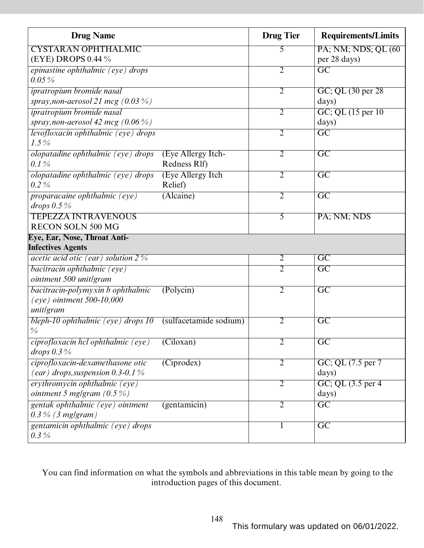| <b>Drug Name</b>                                         |                        | <b>Drug Tier</b> | <b>Requirements/Limits</b> |
|----------------------------------------------------------|------------------------|------------------|----------------------------|
| <b>CYSTARAN OPHTHALMIC</b>                               |                        | 5                | PA; NM; NDS; QL (60)       |
| (EYE) DROPS 0.44 %                                       |                        |                  | per 28 days)               |
| epinastine ophthalmic (eye) drops                        |                        | $\overline{2}$   | $\overline{GC}$            |
| $0.05\,\%$                                               |                        |                  |                            |
| ipratropium bromide nasal                                |                        | $\overline{2}$   | GC; QL (30 per 28)         |
| spray, non-aerosol 21 mcg (0.03 $\%$ )                   |                        |                  | days)                      |
| ipratropium bromide nasal                                |                        | $\overline{2}$   | GC; QL (15 per 10)         |
| spray, non-aerosol 42 mcg $(0.06\%)$                     |                        |                  | days)                      |
| levofloxacin ophthalmic (eye) drops                      |                        | 2                | $\overline{GC}$            |
| $1.5\%$                                                  |                        |                  |                            |
| olopatadine ophthalmic (eye) drops                       | (Eye Allergy Itch-     | $\overline{2}$   | $\overline{GC}$            |
| $0.1\%$                                                  | Redness Rlf)           |                  |                            |
| olopatadine ophthalmic (eye) drops                       | (Eye Allergy Itch      | $\overline{2}$   | $\overline{GC}$            |
| $0.2\%$                                                  | Relief)                |                  |                            |
| <i>proparacaine ophthalmic (eye)</i>                     | (Alcaine)              | $\overline{2}$   | $\overline{GC}$            |
| drops $0.5\%$                                            |                        |                  |                            |
| <b>TEPEZZA INTRAVENOUS</b>                               |                        | 5                | PA; NM; NDS                |
| <b>RECON SOLN 500 MG</b>                                 |                        |                  |                            |
| Eye, Ear, Nose, Throat Anti-<br><b>Infectives Agents</b> |                        |                  |                            |
| acetic acid otic (ear) solution $2\%$                    |                        | $\overline{2}$   | $\overline{GC}$            |
|                                                          |                        | $\overline{2}$   | $\overline{\rm GC}$        |
| bacitracin ophthalmic (eye)<br>ointment 500 unit/gram    |                        |                  |                            |
| bacitracin-polymyxin b ophthalmic                        | (Polycin)              | $\overline{2}$   | $\overline{GC}$            |
| $(eye)$ ointment 500-10,000                              |                        |                  |                            |
| unitlgram                                                |                        |                  |                            |
| bleph-10 ophthalmic (eye) drops 10                       | (sulfacetamide sodium) | $\overline{2}$   | $\overline{\text{GC}}$     |
| $\frac{0}{0}$                                            |                        |                  |                            |
| ciprofloxacin hcl ophthalmic (eye)                       | (Ciloxan)              | $\overline{2}$   | $\overline{GC}$            |
| drops $0.3\%$                                            |                        |                  |                            |
| ciprofloxacin-dexamethasone otic                         | (Ciprodex)             | $\overline{2}$   | GC; QL $(7.5$ per $7$      |
| (ear) drops, suspension 0.3-0.1 $\%$                     |                        |                  | days)                      |
| erythromycin ophthalmic (eye)                            |                        | $\overline{2}$   | GC; QL (3.5 per 4)         |
| ointment 5 mg/gram $(0.5\%)$                             |                        |                  | days)                      |
| gentak ophthalmic (eye) ointment                         | (gentamicin)           | $\overline{2}$   | $\overline{GC}$            |
| $0.3\%$ (3 mg/gram)                                      |                        |                  |                            |
| gentamicin ophthalmic (eye) drops                        |                        | $\mathbf{I}$     | $\overline{GC}$            |
| $0.3\,\%$                                                |                        |                  |                            |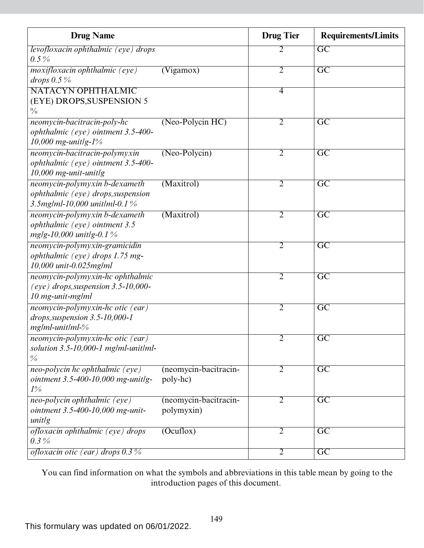| <b>Drug Name</b>                                                                                        |                                     | <b>Drug</b> Tier | <b>Requirements/Limits</b> |
|---------------------------------------------------------------------------------------------------------|-------------------------------------|------------------|----------------------------|
| levofloxacin ophthalmic (eye) drops                                                                     |                                     | 2                | GC                         |
| $0.5\%$                                                                                                 |                                     |                  |                            |
| <i>moxifloxacin ophthalmic (eye)</i><br>drops $0.5\%$                                                   | (Vigamos)                           | $\overline{2}$   | $\overline{\mathrm{GC}}$   |
| NATACYN OPHTHALMIC<br>(EYE) DROPS, SUSPENSION 5<br>$\frac{0}{0}$                                        |                                     | $\overline{4}$   |                            |
| neomycin-bacitracin-poly-hc<br>ophthalmic (eye) ointment 3.5-400-<br>10,000 mg-unitlg- $1\%$            | (Neo-Polycin HC)                    | $\overline{2}$   | $\overline{GC}$            |
| neomycin-bacitracin-polymyxin<br>ophthalmic (eye) ointment 3.5-400-<br>$10,000$ mg-unit-unitlg          | $(Neo-Polycin)$                     | $\overline{2}$   | $\overline{\mathrm{GC}}$   |
| neomycin-polymyxin b-dexameth<br>ophthalmic (eye) drops, suspension<br>3.5mg/ml-10,000 unit/ml-0.1 $\%$ | (Maxitrol)                          | $\overline{2}$   | $\overline{GC}$            |
| neomycin-polymyxin b-dexameth<br>ophthalmic (eye) ointment 3.5<br>$mg/g-10,000$ unitlg-0.1%             | (Maxitrol)                          | 2                | $\overline{\mathrm{GC}}$   |
| neomycin-polymyxin-gramicidin<br>ophthalmic (eye) drops 1.75 mg-<br>10,000 unit-0.025mg/ml              |                                     | 2                | $\overline{\rm GC}$        |
| neomycin-polymyxin-hc ophthalmic<br>$(eye)$ drops, suspension 3.5-10,000-<br>10 mg-unit-mg/ml           |                                     | 2                | $\overline{\text{GC}}$     |
| neomycin-polymyxin-hc otic (ear)<br>$drops, suspension 3.5-10,000-1$<br>$mg/ml$ -unit $lml$ -%          |                                     | $\overline{2}$   | $\overline{\mathrm{GC}}$   |
| neomycin-polymyxin-hc otic (ear)<br>solution $3.5$ -10,000-1 mg/ml-unit/ml-<br>$\frac{0}{0}$            |                                     | 2                | GC                         |
| neo-polycin hc ophthalmic (eye)<br>ointment 3.5-400-10,000 mg-unitlg-<br>$1\%$                          | (neomycin-bacitracin-<br>poly-hc)   | 2                | $\overline{GC}$            |
| neo-polycin ophthalmic (eye)<br>ointment 3.5-400-10,000 mg-unit-<br>unitlg                              | (neomycin-bacitracin-<br>polymyxin) | $\overline{2}$   | $\overline{GC}$            |
| ofloxacin ophthalmic (eye) drops<br>$0.3\%$                                                             | $($ Ocuflox $)$                     | $\overline{2}$   | $\overline{GC}$            |
| ofloxacin otic (ear) drops $0.3\%$                                                                      |                                     | $\overline{2}$   | $\overline{GC}$            |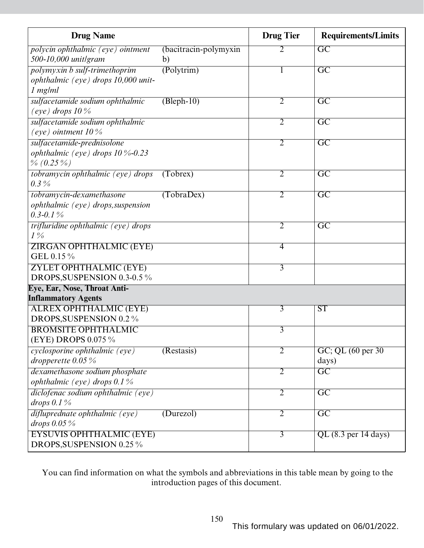| <b>Drug Name</b>                                             |                         | <b>Drug Tier</b> | <b>Requirements/Limits</b>      |
|--------------------------------------------------------------|-------------------------|------------------|---------------------------------|
| polycin ophthalmic (eye) ointment                            | (bacitracin-polymyxin   | 2                | GC                              |
| 500-10,000 unit/gram                                         | b)                      |                  |                                 |
| polymyxin b sulf-trimethoprim                                | $\overline{(Polytrim)}$ |                  | $\overline{\text{GC}}$          |
| ophthalmic (eye) drops 10,000 unit-                          |                         |                  |                                 |
| $1$ mg/m $l$                                                 |                         |                  |                                 |
| sulfacetamide sodium ophthalmic                              | $(Bleph-10)$            | $\overline{2}$   | $\overline{\mathrm{GC}}$        |
| (eye) drops $10\%$                                           |                         |                  |                                 |
| sulfacetamide sodium ophthalmic                              |                         | $\overline{2}$   | $\overline{GC}$                 |
| (eye) ointment $10\%$                                        |                         |                  |                                 |
| sulfacetamide-prednisolone                                   |                         | $\overline{2}$   | $\overline{GC}$                 |
| ophthalmic (eye) drops $10\%$ -0.23                          |                         |                  |                                 |
| $\% (0.25\%)$                                                |                         |                  |                                 |
| tobramycin ophthalmic (eye) drops                            | (Tobrex)                | $\overline{2}$   | $\overline{\text{GC}}$          |
| $0.3\%$                                                      |                         |                  |                                 |
| tobramycin-dexamethasone                                     | (TobraDev)              | $\overline{2}$   | $\overline{\mathrm{GC}}$        |
| ophthalmic (eye) drops, suspension                           |                         |                  |                                 |
| $0.3 - 0.1\%$                                                |                         |                  |                                 |
| trifluridine ophthalmic (eye) drops                          |                         | $\overline{2}$   | $\overline{\mathrm{GC}}$        |
| $1\%$                                                        |                         |                  |                                 |
| <b>ZIRGAN OPHTHALMIC (EYE)</b>                               |                         | 4                |                                 |
| GEL 0.15 %                                                   |                         |                  |                                 |
| ZYLET OPHTHALMIC (EYE)                                       |                         | $\overline{3}$   |                                 |
| DROPS, SUSPENSION 0.3-0.5 %                                  |                         |                  |                                 |
| Eye, Ear, Nose, Throat Anti-                                 |                         |                  |                                 |
| <b>Inflammatory Agents</b>                                   |                         |                  |                                 |
| <b>ALREX OPHTHALMIC (EYE)</b>                                |                         | $\overline{3}$   | <b>ST</b>                       |
| DROPS, SUSPENSION 0.2 %                                      |                         |                  |                                 |
| <b>BROMSITE OPHTHALMIC</b><br>(EYE) DROPS 0.075 %            |                         | $\overline{3}$   |                                 |
|                                                              |                         |                  |                                 |
| <i>cyclosporine ophthalmic (eye)</i><br>dropperette $0.05\%$ | (Restasis)              | $\overline{2}$   | GC; QL (60 per 30)              |
|                                                              |                         |                  | days)<br>$\overline{\text{GC}}$ |
| dexamethasone sodium phosphate                               |                         | $\overline{2}$   |                                 |
| ophthalmic (eye) drops $0.1\%$                               |                         |                  |                                 |
| diclofenac sodium ophthalmic (eye)<br>drops $0.1\%$          |                         | $\overline{2}$   | $\overline{GC}$                 |
|                                                              |                         |                  |                                 |
| difluprednate ophthalmic (eye)<br>drops $0.05\%$             | (Durezol)               | $\overline{2}$   | $\overline{\mathrm{GC}}$        |
| <b>EYSUVIS OPHTHALMIC (EYE)</b>                              |                         | $\overline{3}$   | $QL$ (8.3 per 14 days)          |
| DROPS, SUSPENSION 0.25 %                                     |                         |                  |                                 |
|                                                              |                         |                  |                                 |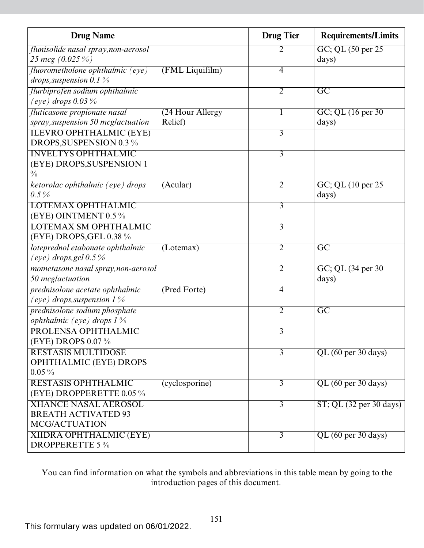| <b>Drug Name</b>                     |                       | <b>Drug Tier</b> | <b>Requirements/Limits</b>                    |
|--------------------------------------|-----------------------|------------------|-----------------------------------------------|
| flunisolide nasal spray, non-aerosol |                       | 2                | GC; QL (50 per 25)                            |
| 25 mcg (0.025 %)                     |                       |                  | days)                                         |
| fluorometholone ophthalmic (eye)     | (FML Liquifilm)       | $\overline{4}$   |                                               |
| drops, suspension 0.1 $\%$           |                       |                  |                                               |
| flurbiprofen sodium ophthalmic       |                       | $\overline{2}$   | $\overline{GC}$                               |
| (eye) drops $0.03\%$                 |                       |                  |                                               |
| fluticasone propionate nasal         | (24 Hour Allergy)     | 1                | $GC$ ; QL $(16$ per 30                        |
| spray, suspension 50 mcglactuation   | Relief)               |                  | days)                                         |
| <b>ILEVRO OPHTHALMIC (EYE)</b>       |                       | $\overline{3}$   |                                               |
| DROPS, SUSPENSION 0.3 %              |                       |                  |                                               |
| <b>INVELTYS OPHTHALMIC</b>           |                       | $\overline{3}$   |                                               |
| (EYE) DROPS, SUSPENSION 1            |                       |                  |                                               |
| $\frac{0}{0}$                        |                       |                  |                                               |
| ketorolac ophthalmic (eye) drops     | (A <sub>cular</sub> ) | $\overline{2}$   | $GC$ ; QL $(10 \text{ per } 25)$              |
| $0.5\%$                              |                       |                  | days)                                         |
| <b>LOTEMAX OPHTHALMIC</b>            |                       | $\overline{3}$   |                                               |
| (EYE) OINTMENT 0.5 %                 |                       |                  |                                               |
| <b>LOTEMAX SM OPHTHALMIC</b>         |                       | $\overline{3}$   |                                               |
| (EYE) DROPS, GEL 0.38 $\%$           |                       |                  |                                               |
| loteprednol etabonate ophthalmic     | (Lotemax)             | $\overline{2}$   | $\overline{\text{GC}}$                        |
| (eye) drops, gel $0.5\%$             |                       |                  |                                               |
| mometasone nasal spray, non-aerosol  |                       | $\overline{2}$   | GC; QL (34 per 30)                            |
| 50 mcglactuation                     |                       |                  | days)                                         |
| prednisolone acetate ophthalmic      | (Pred Forte)          | $\overline{4}$   |                                               |
| (eye) drops, suspension $1\%$        |                       |                  |                                               |
| prednisolone sodium phosphate        |                       | $\overline{2}$   | $\overline{\text{GC}}$                        |
| ophthalmic (eye) drops $1\%$         |                       |                  |                                               |
| PROLENSA OPHTHALMIC                  |                       | 3                |                                               |
| (EYE) DROPS 0.07 %                   |                       |                  |                                               |
| <b>RESTASIS MULTIDOSE</b>            |                       | $\overline{3}$   | QL (60 per 30 days)                           |
| <b>OPHTHALMIC (EYE) DROPS</b>        |                       |                  |                                               |
| $0.05\%$                             |                       |                  |                                               |
| RESTASIS OPHTHALMIC                  | (cyclosporine)        | $\overline{3}$   | QL (60 per 30 days)                           |
| (EYE) DROPPERETTE 0.05 %             |                       |                  |                                               |
| <b>XHANCE NASAL AEROSOL</b>          |                       | $\overline{3}$   | $ST$ ; QL $(32 \text{ per } 30 \text{ days})$ |
| <b>BREATH ACTIVATED 93</b>           |                       |                  |                                               |
| MCG/ACTUATION                        |                       |                  |                                               |
| <b>XIIDRA OPHTHALMIC (EYE)</b>       |                       | $\overline{3}$   | QL (60 per 30 days)                           |
| <b>DROPPERETTE 5%</b>                |                       |                  |                                               |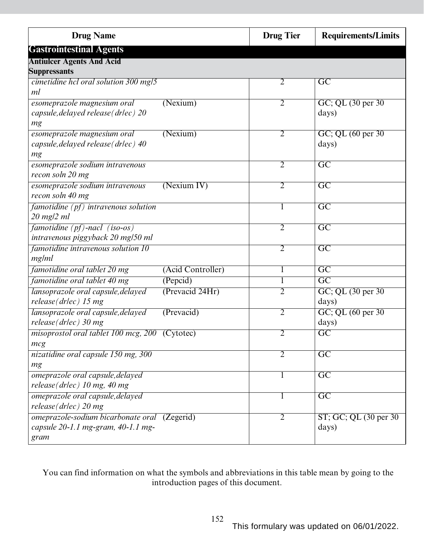| <b>Drug Name</b>                                           | <b>Drug Tier</b> | <b>Requirements/Limits</b>                |
|------------------------------------------------------------|------------------|-------------------------------------------|
| <b>Gastrointestinal Agents</b>                             |                  |                                           |
| <b>Antiulcer Agents And Acid</b>                           |                  |                                           |
| <b>Suppressants</b>                                        |                  |                                           |
| cimetidine hcl oral solution 300 mg/5                      | $\overline{2}$   | $\overline{\mathrm{GC}}$                  |
| ml                                                         |                  |                                           |
| esomeprazole magnesium oral<br>(Nexium)                    | $\overline{2}$   | GC; QL (30 per 30)                        |
| capsule, delayed release (drlec) 20                        |                  | days)                                     |
| mg                                                         |                  |                                           |
| esomeprazole magnesium oral<br>(Nexium)                    | $\overline{2}$   | GC; QL (60 per 30)                        |
| capsule, delayed release (drlec) 40                        |                  | days)                                     |
| mg                                                         |                  |                                           |
| esomeprazole sodium intravenous                            | $\overline{2}$   | $\overline{\mathrm{GC}}$                  |
| recon soln 20 mg                                           |                  |                                           |
| esomeprazole sodium intravenous<br>(Nexium IV)             | $\overline{2}$   | $\overline{\mathrm{GC}}$                  |
| recon soln 40 mg                                           |                  |                                           |
| famotidine $(pf)$ intravenous solution                     | 1                | $\overline{GC}$                           |
| $20$ mg/2 ml                                               |                  |                                           |
| famotidine (pf)-nacl (iso-os)                              | $\overline{2}$   | $\overline{GC}$                           |
| intravenous piggyback 20 mg/50 ml                          |                  |                                           |
| famotidine intravenous solution 10                         | $\overline{2}$   | $\overline{\mathrm{GC}}$                  |
| mg/ml<br>(Acid Controller)                                 | 1                | $\overline{\text{GC}}$                    |
| famotidine oral tablet 20 mg                               |                  | $\overline{\text{GC}}$                    |
| famotidine oral tablet 40 mg<br>(Pepcid)                   |                  |                                           |
| lansoprazole oral capsule, delayed<br>(Prevacid 24Hr)      | $\overline{2}$   | GC; QL (30 per 30)                        |
| $release(drlec)$ 15 mg<br>(Prevacid)                       | $\overline{2}$   | days)                                     |
| lansoprazole oral capsule, delayed<br>release(drlec) 30 mg |                  | $GC$ ; QL $(60 \text{ per } 30)$<br>days) |
|                                                            | $\overline{2}$   | $\overline{\mathrm{GC}}$                  |
| misoprostol oral tablet 100 mcg, 200<br>(Cytotec)<br>mcg   |                  |                                           |
| nizatidine oral capsule 150 mg, 300                        | $\overline{2}$   | $\overline{GC}$                           |
| mg                                                         |                  |                                           |
| omeprazole oral capsule, delayed                           | $\mathbf{I}$     | $\overline{GC}$                           |
| release( $drlec$ ) 10 mg, 40 mg                            |                  |                                           |
| omeprazole oral capsule, delayed                           | $\mathbf{I}$     | $\overline{\text{GC}}$                    |
| release(drlec) 20 mg                                       |                  |                                           |
| omeprazole-sodium bicarbonate oral (Zegerid)               | 2                | ST; GC; QL (30 per 30)                    |
| capsule $20$ -1.1 mg-gram, $40$ -1.1 mg-                   |                  | days)                                     |
| gram                                                       |                  |                                           |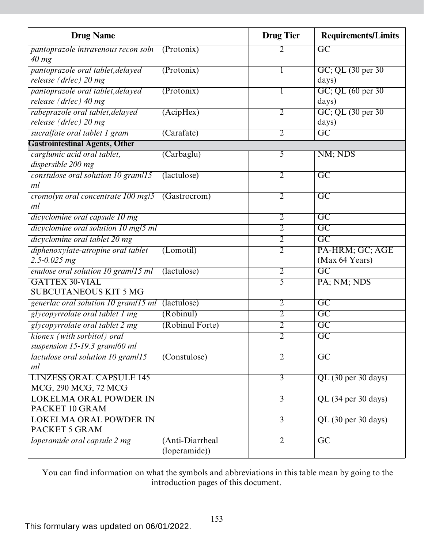| <b>Drug Name</b>                                |                 | <b>Drug Tier</b> | <b>Requirements/Limits</b> |
|-------------------------------------------------|-----------------|------------------|----------------------------|
| pantoprazole intravenous recon soln             | (Protonix)      |                  | $\overline{GC}$            |
| $40$ mg                                         |                 |                  |                            |
| pantoprazole oral tablet, delayed               | (Protonix)      |                  | GC; QL (30 per 30)         |
| release (drlec) 20 mg                           |                 |                  | days)                      |
| pantoprazole oral tablet, delayed               | (Protonix)      |                  | GC; QL (60 per 30)         |
| release (drlec) 40 mg                           |                 |                  | days)                      |
| rabeprazole oral tablet, delayed                | (AcipHex)       | $\overline{2}$   | GC; QL (30 per 30)         |
| release (drlec) 20 mg                           |                 |                  | days)                      |
| sucralfate oral tablet 1 gram                   | (Carafate)      | $\overline{2}$   | $\overline{GC}$            |
| <b>Gastrointestinal Agents, Other</b>           |                 |                  |                            |
| carglumic acid oral tablet,                     | (Carbaglu)      | $\overline{5}$   | NM; NDS                    |
| dispersible 200 mg                              |                 |                  |                            |
| constulose oral solution 10 gram/15             | (lactulose)     | $\overline{2}$   | $\overline{\text{GC}}$     |
| ml                                              |                 |                  |                            |
| cromolyn oral concentrate 100 mg/5 (Gastrocrom) |                 | $\overline{2}$   | $\overline{GC}$            |
| ml                                              |                 |                  |                            |
| dicyclomine oral capsule 10 mg                  |                 | $\overline{2}$   | $\overline{\text{GC}}$     |
| dicyclomine oral solution 10 mg/5 ml            |                 | $\overline{2}$   | $\overline{GC}$            |
| dicyclomine oral tablet 20 mg                   |                 | $\overline{2}$   | $\overline{\mathrm{GC}}$   |
| diphenoxylate-atropine oral tablet              | (Lomotil)       | $\overline{2}$   | PA-HRM; GC; AGE            |
| $2.5 - 0.025$ mg                                |                 |                  | (Max 64 Years)             |
| enulose oral solution 10 gram/15 ml             | (lactulose)     | $\overline{2}$   | $\overline{\mathrm{GC}}$   |
| <b>GATTEX 30-VIAL</b>                           |                 | 5                | PA; NM; NDS                |
| <b>SUBCUTANEOUS KIT 5 MG</b>                    |                 |                  |                            |
| generlac oral solution 10 gram/15 ml            | (lactulose)     | $\overline{2}$   | $\overline{\text{GC}}$     |
| glycopyrrolate oral tablet 1 mg                 | (Robinul)       | $\overline{2}$   | $\overline{GC}$            |
| glycopyrrolate oral tablet 2 mg                 | (Robinul Forte) | $\overline{2}$   | $\overline{\mathrm{GC}}$   |
| kionex (with sorbitol) oral                     |                 | $\overline{2}$   | G <sub>C</sub>             |
| suspension 15-19.3 gram/60 ml                   |                 |                  |                            |
| <i>lactulose oral solution 10 gram</i> /15      | (Constulose)    | $\overline{2}$   | $\overline{\text{GC}}$     |
| ml                                              |                 |                  |                            |
| <b>LINZESS ORAL CAPSULE 145</b>                 |                 | $\overline{3}$   | $QL$ (30 per 30 days)      |
| MCG, 290 MCG, 72 MCG                            |                 |                  |                            |
| <b>LOKELMA ORAL POWDER IN</b>                   |                 | $\overline{3}$   | QL (34 per 30 days)        |
| PACKET 10 GRAM                                  |                 |                  |                            |
| <b>LOKELMA ORAL POWDER IN</b>                   |                 | $\overline{3}$   | $QL$ (30 per 30 days)      |
| PACKET 5 GRAM                                   |                 |                  |                            |
| loperamide oral capsule 2 mg                    | (Anti-Diarrheal | $\overline{2}$   | $\overline{GC}$            |
|                                                 | (loperamide))   |                  |                            |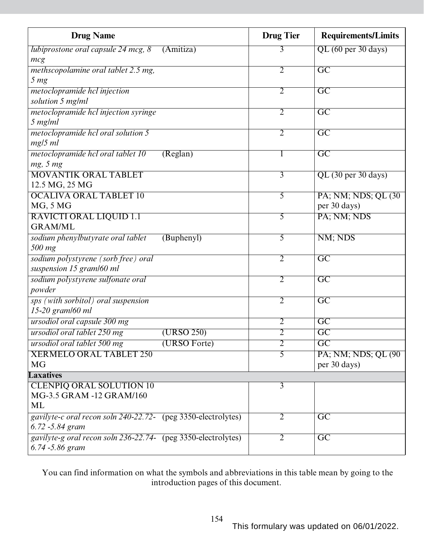| <b>Drug Name</b>                                              |              | <b>Drug Tier</b> | <b>Requirements/Limits</b> |
|---------------------------------------------------------------|--------------|------------------|----------------------------|
| lubiprostone oral capsule 24 mcg, 8                           | (Amitiza)    | 3                | QL (60 per 30 days)        |
| mcg                                                           |              |                  |                            |
| methscopolamine oral tablet 2.5 mg,                           |              | $\overline{2}$   | $\overline{\mathrm{GC}}$   |
| 5 <sub>mg</sub>                                               |              |                  |                            |
| metoclopramide hcl injection                                  |              | $\overline{2}$   | $\overline{\text{GC}}$     |
| solution 5 mg/ml                                              |              |                  |                            |
| metoclopramide hcl injection syringe                          |              | $\overline{2}$   | $\overline{\text{GC}}$     |
| 5 mg/ml                                                       |              |                  |                            |
| metoclopramide hcl oral solution 5                            |              | $\overline{2}$   | $\overline{\mathrm{GC}}$   |
| $mg/5$ ml                                                     |              |                  |                            |
| metoclopramide hcl oral tablet 10                             | (Reglan)     | 1                | $\overline{\text{GC}}$     |
| mg, 5 mg                                                      |              |                  |                            |
| <b>MOVANTIK ORAL TABLET</b>                                   |              | $\overline{3}$   | $QL$ (30 per 30 days)      |
| 12.5 MG, 25 MG                                                |              |                  |                            |
| <b>OCALIVA ORAL TABLET 10</b>                                 |              | $\overline{5}$   | PA; NM; NDS; QL (30)       |
| MG, 5 MG                                                      |              |                  | per 30 days)               |
| <b>RAVICTI ORAL LIQUID 1.1</b>                                |              | $\overline{5}$   | PA; NM; NDS                |
| <b>GRAM/ML</b>                                                |              |                  |                            |
| sodium phenylbutyrate oral tablet                             | (Buphenyl)   | $\overline{5}$   | NM; NDS                    |
| 500 mg                                                        |              |                  |                            |
| sodium polystyrene (sorb free) oral                           |              | $\overline{2}$   | $\overline{GC}$            |
| suspension 15 gram/60 ml                                      |              |                  |                            |
| sodium polystyrene sulfonate oral                             |              | $\overline{2}$   | $\overline{\text{GC}}$     |
| powder                                                        |              |                  |                            |
| sps (with sorbitol) oral suspension                           |              | $\overline{2}$   | $\overline{\mathrm{GC}}$   |
| 15-20 gram/60 ml                                              |              |                  |                            |
| ursodiol oral capsule 300 mg                                  |              | $\overline{2}$   | $\overline{\text{GC}}$     |
| ursodiol oral tablet 250 mg                                   | (URSO 250)   | $\overline{2}$   | $\overline{GC}$            |
| ursodiol oral tablet 500 mg                                   | (URSO Forte) | $\overline{2}$   | $\overline{\mathrm{GC}}$   |
| <b>XERMELO ORAL TABLET 250</b>                                |              | 5                | PA; NM; NDS; QL (90)       |
| <b>MG</b>                                                     |              |                  | per 30 days)               |
| <b>Laxatives</b>                                              |              |                  |                            |
| <b>CLENPIQ ORAL SOLUTION 10</b>                               |              | $\overline{3}$   |                            |
| MG-3.5 GRAM -12 GRAM/160                                      |              |                  |                            |
| <b>ML</b>                                                     |              |                  |                            |
| gavilyte-c oral recon soln 240-22.72- (peg 3350-electrolytes) |              | $\overline{2}$   | $\overline{GC}$            |
| 6.72 -5.84 gram                                               |              |                  |                            |
| gavilyte-g oral recon soln 236-22.74- (peg 3350-electrolytes) |              | $\overline{2}$   | $\overline{\text{GC}}$     |
| 6.74 - 5.86 gram                                              |              |                  |                            |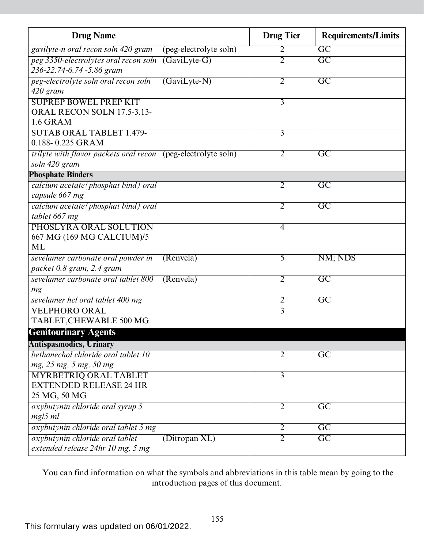| <b>Drug Name</b>                                                               |                        | <b>Drug Tier</b> | <b>Requirements/Limits</b> |
|--------------------------------------------------------------------------------|------------------------|------------------|----------------------------|
| gavilyte-n oral recon soln 420 gram                                            | (peg-electrolyte soln) | 2                | $\overline{GC}$            |
| peg 3350-electrolytes oral recon soln<br>236-22.74-6.74 -5.86 gram             | $(GaviLyte-G)$         | $\overline{2}$   | $\overline{GC}$            |
| peg-electrolyte soln oral recon soln<br>420 gram                               | $(GaviLyte-N)$         | 2                | $\overline{\mathrm{GC}}$   |
| <b>SUPREP BOWEL PREP KIT</b><br>ORAL RECON SOLN 17.5-3.13-<br><b>1.6 GRAM</b>  |                        | 3                |                            |
| <b>SUTAB ORAL TABLET 1.479-</b><br>0.188-0.225 GRAM                            |                        | 3                |                            |
| trilyte with flavor packets oral recon (peg-electrolyte soln)<br>soln 420 gram |                        | $\overline{2}$   | $\overline{GC}$            |
| <b>Phosphate Binders</b>                                                       |                        |                  |                            |
| calcium acetate(phosphat bind) oral<br>capsule 667 mg                          |                        | 2                | $\overline{\mathrm{GC}}$   |
| calcium acetate(phosphat bind) oral<br>tablet 667 mg                           |                        | $\overline{2}$   | $\overline{\mathrm{GC}}$   |
| PHOSLYRA ORAL SOLUTION<br>667 MG (169 MG CALCIUM)/5<br><b>ML</b>               |                        | $\overline{4}$   |                            |
| sevelamer carbonate oral powder in<br>packet 0.8 gram, 2.4 gram                | (Renvela)              | 5                | NM; NDS                    |
| sevelamer carbonate oral tablet 800<br>mg                                      | (Renvela)              | $\overline{2}$   | $\overline{GC}$            |
| sevelamer hcl oral tablet 400 mg                                               |                        | $\overline{2}$   | $\overline{GC}$            |
| <b>VELPHORO ORAL</b><br>TABLET, CHEWABLE 500 MG                                |                        | $\overline{3}$   |                            |
| <b>Genitourinary Agents</b>                                                    |                        |                  |                            |
| <b>Antispasmodics, Urinary</b>                                                 |                        |                  |                            |
| bethanechol chloride oral tablet 10<br>mg, 25 mg, 5 mg, 50 mg                  |                        | 2                | $\overline{\mathrm{GC}}$   |
| <b>MYRBETRIQ ORAL TABLET</b><br><b>EXTENDED RELEASE 24 HR</b><br>25 MG, 50 MG  |                        | 3                |                            |
| oxybutynin chloride oral syrup 5<br>$mg/5$ ml                                  |                        | $\overline{2}$   | $\overline{GC}$            |
| oxybutynin chloride oral tablet 5 mg                                           |                        | $\overline{2}$   | $\overline{GC}$            |
| oxybutynin chloride oral tablet<br>extended release 24hr 10 mg, 5 mg           | (Ditropan XL)          | $\overline{2}$   | $\overline{\mathrm{GC}}$   |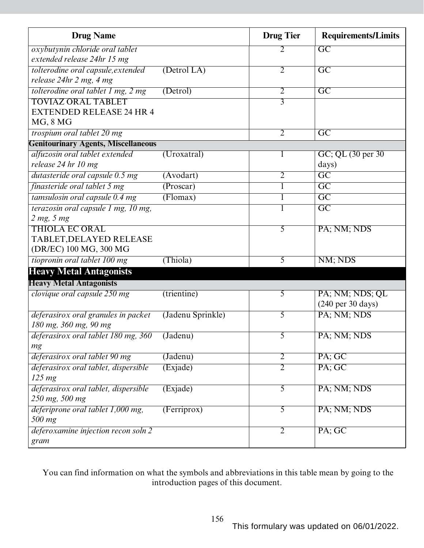| <b>Drug Name</b>                           |                   | <b>Drug Tier</b> | <b>Requirements/Limits</b>           |
|--------------------------------------------|-------------------|------------------|--------------------------------------|
| oxybutynin chloride oral tablet            |                   | 2                | $\overline{GC}$                      |
| extended release 24hr 15 mg                |                   |                  |                                      |
| tolterodine oral capsule, extended         | (Detrol LA)       | $\overline{2}$   | $\overline{GC}$                      |
| release 24hr 2 mg, 4 mg                    |                   |                  |                                      |
| tolterodine oral tablet 1 mg, 2 mg         | (Detrol)          | $\overline{2}$   | $\overline{GC}$                      |
| <b>TOVIAZ ORAL TABLET</b>                  |                   | $\overline{3}$   |                                      |
| <b>EXTENDED RELEASE 24 HR 4</b>            |                   |                  |                                      |
| MG, 8 MG                                   |                   |                  |                                      |
| trospium oral tablet 20 mg                 |                   | $\overline{2}$   | $\overline{\text{GC}}$               |
| <b>Genitourinary Agents, Miscellaneous</b> |                   |                  |                                      |
| alfuzosin oral tablet extended             | (Uroxatral)       | $\mathbf{I}$     | GC; QL (30 per 30)                   |
| release 24 hr 10 mg                        |                   |                  | days)                                |
| dutasteride oral capsule 0.5 mg            | (Avodart)         | $\overline{2}$   | $\overline{GC}$                      |
| finasteride oral tablet 5 mg               | (Proscar)         | $\overline{1}$   | $\overline{\text{GC}}$               |
| tamsulosin oral capsule 0.4 mg             | (Flomax)          | 1                | $\overline{GC}$                      |
| terazosin oral capsule 1 mg, 10 mg,        |                   |                  | $\overline{GC}$                      |
| 2 mg, 5 mg                                 |                   |                  |                                      |
| <b>THIOLA EC ORAL</b>                      |                   | 5                | PA; NM; NDS                          |
| TABLET, DELAYED RELEASE                    |                   |                  |                                      |
| (DR/EC) 100 MG, 300 MG                     |                   |                  |                                      |
| tiopronin oral tablet 100 mg               | (Thiola)          | 5                | NM; NDS                              |
| <b>Heavy Metal Antagonists</b>             |                   |                  |                                      |
| <b>Heavy Metal Antagonists</b>             |                   |                  |                                      |
| clovique oral capsule 250 mg               | (trientine)       | 5                | PA; NM; NDS; QL                      |
|                                            |                   |                  | $(240 \text{ per } 30 \text{ days})$ |
| deferasirox oral granules in packet        | (Jadenu Sprinkle) | 5                | PA; NM; NDS                          |
| 180 mg, 360 mg, 90 mg                      |                   |                  |                                      |
| deferasirox oral tablet 180 mg, 360        | (Jadenu)          | 5                | PA; NM; NDS                          |
| mg                                         |                   |                  |                                      |
| deferasirox oral tablet 90 mg              | $(\text{Jadenu})$ | $\overline{2}$   | PA; GC                               |
| deferasirox oral tablet, dispersible       | (Exjade)          | $\overline{2}$   | PA; GC                               |
| $125 \, mg$                                |                   |                  |                                      |
| deferasirox oral tablet, dispersible       | (Exjade)          | $\overline{5}$   | PA; NM; NDS                          |
| 250 mg, 500 mg                             |                   |                  |                                      |
| deferiprone oral tablet 1,000 mg,          | (Ferriprox)       | $\overline{5}$   | PA; NM; NDS                          |
| 500 mg                                     |                   |                  |                                      |
| deferoxamine injection recon soln 2        |                   | $\overline{2}$   | PA; GC                               |
| gram                                       |                   |                  |                                      |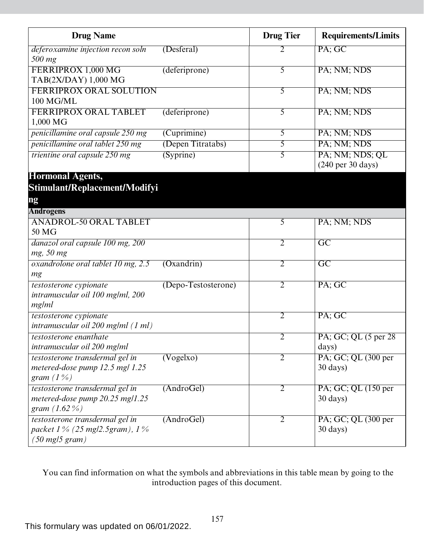| <b>Drug Name</b>                                                                                           |                        | <b>Drug Tier</b> | <b>Requirements/Limits</b>                              |
|------------------------------------------------------------------------------------------------------------|------------------------|------------------|---------------------------------------------------------|
| deferoxamine injection recon soln<br>500 mg                                                                | (Desferal)             | 2                | PA; GC                                                  |
| FERRIPROX 1,000 MG<br>TAB(2X/DAY) 1,000 MG                                                                 | (deferiprone)          | 5                | PA; NM; NDS                                             |
| <b>FERRIPROX ORAL SOLUTION</b><br>100 MG/ML                                                                |                        | 5                | PA; NM; NDS                                             |
| FERRIPROX ORAL TABLET<br>1,000 MG                                                                          | (deferiprone)          | 5                | PA; NM; NDS                                             |
| penicillamine oral capsule 250 mg                                                                          | (Cuprimine)            | 5                | PA; NM; NDS                                             |
| penicillamine oral tablet 250 mg                                                                           | (Depen Titratabs)      | 5                | PA; NM; NDS                                             |
| trientine oral capsule 250 mg                                                                              | (Syprine)              | 5                | PA; NM; NDS; QL<br>$(240 \text{ per } 30 \text{ days})$ |
| <b>Hormonal Agents,</b><br>Stimulant/Replacement/Modifyi<br>ng                                             |                        |                  |                                                         |
| <b>Androgens</b>                                                                                           |                        |                  |                                                         |
| <b>ANADROL-50 ORAL TABLET</b><br>50 MG                                                                     |                        | 5                | PA; NM; NDS                                             |
| danazol oral capsule 100 mg, 200<br>mg, 50 mg                                                              |                        | $\overline{2}$   | $\overline{GC}$                                         |
| oxandrolone oral tablet 10 mg, 2.5<br>mg                                                                   | (Oxandrin)             | $\overline{2}$   | $\overline{GC}$                                         |
| testosterone cypionate<br>intramuscular oil 100 mg/ml, 200<br>mg/ml                                        | (Depo-Testosterone)    | $\overline{2}$   | PA; GC                                                  |
| testosterone cypionate<br>intramuscular oil 200 mg/ml (1 ml)                                               |                        | $\overline{2}$   | PA; GC                                                  |
| testosterone enanthate<br>intramuscular oil 200 mg/ml                                                      |                        | 2                | PA; GC; QL (5 per 28)<br>days)                          |
| testosterone transdermal gel in<br>metered-dose pump $12.5$ mg/ $1.25$<br>gram $(1\%)$                     | $(\overline{Vogelxo})$ | $\overline{2}$   | PA; GC; QL (300 per<br>$30 \text{ days}$                |
| testosterone transdermal gel in<br>metered-dose pump 20.25 mg/1.25<br>gram $(1.62\%)$                      | (AndroGel)             | $\overline{2}$   | PA; GC; QL (150 per<br>$30 \text{ days}$                |
| testosterone transdermal gel in<br>packet $1\%$ (25 mg/2.5gram), $1\%$<br>$(50 \text{ mg}/5 \text{ gram})$ | (AndroGel)             | 2                | PA; GC; QL (300 per<br>$30 \text{ days}$                |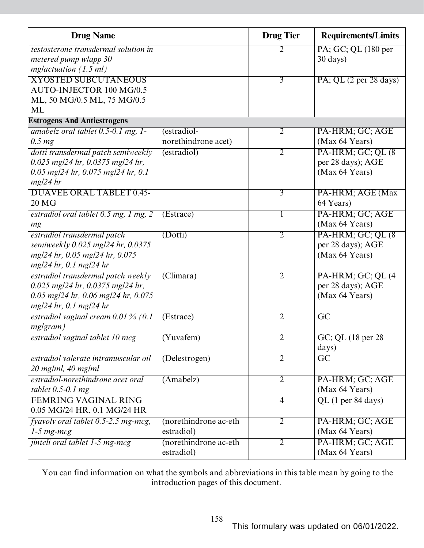| <b>Drug Name</b>                                                  |                        | <b>Drug Tier</b> | <b>Requirements/Limits</b>                |
|-------------------------------------------------------------------|------------------------|------------------|-------------------------------------------|
| testosterone transdermal solution in                              |                        | 2                | PA; GC; QL (180 per                       |
| metered pump wlapp 30                                             |                        |                  | $30 \text{ days}$                         |
| mglactuation $(1.5 \text{ ml})$                                   |                        |                  |                                           |
| <b>XYOSTED SUBCUTANEOUS</b>                                       |                        | $\overline{3}$   | PA; QL (2 per 28 days)                    |
| AUTO-INJECTOR 100 MG/0.5                                          |                        |                  |                                           |
| ML, 50 MG/0.5 ML, 75 MG/0.5                                       |                        |                  |                                           |
| ML                                                                |                        |                  |                                           |
| <b>Estrogens And Antiestrogens</b>                                |                        |                  |                                           |
| amabelz oral tablet 0.5-0.1 mg, 1-                                | (estradiol-            | $\overline{2}$   | PA-HRM; GC; AGE                           |
| $0.5 \, mg$                                                       | norethindrone acet)    |                  | (Max 64 Years)                            |
| dotti transdermal patch semiweekly                                | (estradiol)            | $\overline{2}$   | PA-HRM; GC; QL (8)                        |
| $0.025$ mg/24 hr, $0.0375$ mg/24 hr,                              |                        |                  | per 28 days); AGE                         |
| $0.05$ mg/24 hr, 0.075 mg/24 hr, 0.1                              |                        |                  | (Max 64 Years)                            |
| $mg/24$ hr                                                        |                        |                  |                                           |
| <b>DUAVEE ORAL TABLET 0.45-</b><br>20 <sub>NG</sub>               |                        | $\overline{3}$   | PA-HRM; AGE (Max                          |
|                                                                   |                        |                  | 64 Years)                                 |
| estradiol oral tablet 0.5 mg, 1 mg, 2                             | (Estrace)              | 1                | PA-HRM; GC; AGE                           |
| mg                                                                |                        |                  | (Max 64 Years)                            |
| estradiol transdermal patch                                       | (Dotti)                | $\overline{2}$   | PA-HRM; GC; QL (8)                        |
| semiweekly 0.025 mg/24 hr, 0.0375                                 |                        |                  | per 28 days); AGE                         |
| mg/24 hr, 0.05 mg/24 hr, 0.075                                    |                        |                  | (Max 64 Years)                            |
| $mg/24$ hr, 0.1 mg/24 hr                                          |                        |                  |                                           |
| estradiol transdermal patch weekly                                | (Climara)              | $\overline{2}$   | PA-HRM; GC; QL (4                         |
| $0.025$ mg/24 hr, $0.0375$ mg/24 hr,                              |                        |                  | per 28 days); AGE<br>(Max 64 Years)       |
| $0.05$ mg/24 hr, 0.06 mg/24 hr, 0.075<br>$mg/24$ hr, 0.1 mg/24 hr |                        |                  |                                           |
| estradiol vaginal cream $0.01\%$ (0.1)                            | (Estrace)              | $\overline{2}$   | $\overline{\rm GC}$                       |
| mg gram)                                                          |                        |                  |                                           |
|                                                                   |                        |                  |                                           |
| estradiol vaginal tablet 10 mcg                                   | (Yuvafem)              | $\mathbf{z}$     | $\overline{G}C$ ; QL (18 per 28)<br>days) |
| estradiol valerate intramuscular oil                              | (Delestrogen)          | $\overline{2}$   | $\overline{GC}$                           |
| $20$ mg/ml, $40$ mg/ml                                            |                        |                  |                                           |
| estradiol-norethindrone acet oral                                 | (Amabelz)              | $\overline{2}$   | PA-HRM; GC; AGE                           |
| tablet $0.5$ -0.1 mg                                              |                        |                  | (Max 64 Years)                            |
| <b>FEMRING VAGINAL RING</b>                                       |                        | $\overline{4}$   | $QL$ (1 per 84 days)                      |
| 0.05 MG/24 HR, 0.1 MG/24 HR                                       |                        |                  |                                           |
| fyavoly oral tablet 0.5-2.5 mg-mcg,                               | (norethindrone ac-eth) | $\overline{2}$   | PA-HRM; GC; AGE                           |
| $1-5$ mg-mcg                                                      | estradiol)             |                  | (Max 64 Years)                            |
| jinteli oral tablet 1-5 mg-mcg                                    | (norethindrone ac-eth) | $\overline{2}$   | PA-HRM; GC; AGE                           |
|                                                                   | estradiol)             |                  | (Max 64 Years)                            |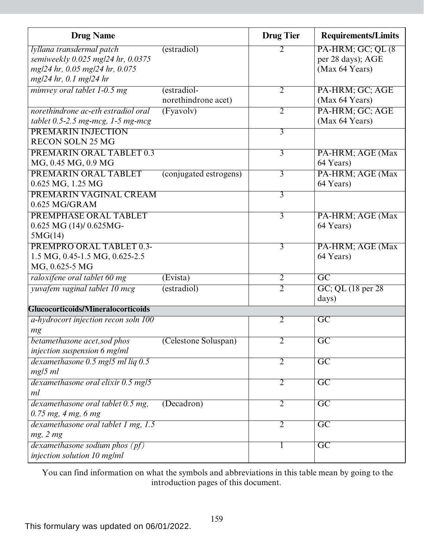| <b>Drug Name</b>                     |                        | <b>Drug Tier</b> | <b>Requirements/Limits</b> |
|--------------------------------------|------------------------|------------------|----------------------------|
| lyllana transdermal patch            | (estradiol)            | 2                | PA-HRM; GC; QL (8)         |
| semiweekly 0.025 mg/24 hr, 0.0375    |                        |                  | per 28 days); AGE          |
| mg/24 hr, 0.05 mg/24 hr, 0.075       |                        |                  | (Max 64 Years)             |
| mg/24 hr, 0.1 mg/24 hr               |                        |                  |                            |
| mimvey oral tablet 1-0.5 mg          | (estradiol-            | 2                | PA-HRM; GC; AGE            |
|                                      | norethindrone acet)    |                  | (Max 64 Years)             |
| norethindrone ac-eth estradiol oral  | (Fvavolv)              | $\overline{2}$   | PA-HRM; GC; AGE            |
| tablet $0.5$ -2.5 mg-mcg, 1-5 mg-mcg |                        |                  | (Max 64 Years)             |
| PREMARIN INJECTION                   |                        | $\overline{3}$   |                            |
| <b>RECON SOLN 25 MG</b>              |                        |                  |                            |
| <b>PREMARIN ORAL TABLET 0.3</b>      |                        | $\overline{3}$   | PA-HRM; AGE (Max           |
| MG, 0.45 MG, 0.9 MG                  |                        |                  | 64 Years)                  |
| PREMARIN ORAL TABLET                 | (conjugated estrogens) | $\overline{3}$   | PA-HRM; AGE (Max           |
| 0.625 MG, 1.25 MG                    |                        |                  | 64 Years)                  |
| PREMARIN VAGINAL CREAM               |                        | $\overline{3}$   |                            |
| $0.625$ MG/GRAM                      |                        |                  |                            |
| PREMPHASE ORAL TABLET                |                        | $\overline{3}$   | PA-HRM; AGE (Max           |
| $0.625$ MG $(14)/0.625$ MG-          |                        |                  | 64 Years)                  |
| 5MG(14)                              |                        |                  |                            |
| <b>PREMPRO ORAL TABLET 0.3-</b>      |                        | 3                | PA-HRM; AGE (Max           |
| 1.5 MG, 0.45-1.5 MG, 0.625-2.5       |                        |                  | 64 Years)                  |
| MG, 0.625-5 MG                       |                        |                  |                            |
| raloxifene oral tablet 60 mg         | (Evista)               | $\overline{2}$   | $\overline{GC}$            |
| yuvafem vaginal tablet 10 mcg        | (estradiol)            | $\overline{2}$   | GC; QL (18 per 28)         |
|                                      |                        |                  | days)                      |
| Glucocorticoids/Mineralocorticoids   |                        |                  |                            |
| a-hydrocort injection recon soln 100 |                        | 2                | $\overline{\mathrm{GC}}$   |
| mg                                   |                        |                  |                            |
| betamethasone acet, sod phos         | (Celestone Soluspan)   | $\overline{2}$   | $\overline{GC}$            |
| injection suspension 6 mg/ml         |                        |                  |                            |
| dexamethasone 0.5 mg/5 ml liq 0.5    |                        | $\overline{2}$   | $\overline{GC}$            |
| $mg/5$ ml                            |                        |                  |                            |
| dexamethasone oral elixir 0.5 mg/5   |                        | $\overline{2}$   | $\overline{GC}$            |
| ml                                   |                        |                  |                            |
| dexamethasone oral tablet 0.5 mg,    | (Decadron)             | $\overline{2}$   | $\overline{GC}$            |
| $0.75$ mg, 4 mg, 6 mg                |                        |                  |                            |
| dexamethasone oral tablet 1 mg, 1.5  |                        | $\overline{2}$   | $\overline{GC}$            |
| mg, 2 mg                             |                        |                  |                            |
| dexamethasone sodium phos $(pt)$     |                        | $\mathbf{I}$     | $\overline{GC}$            |
| injection solution 10 mg/ml          |                        |                  |                            |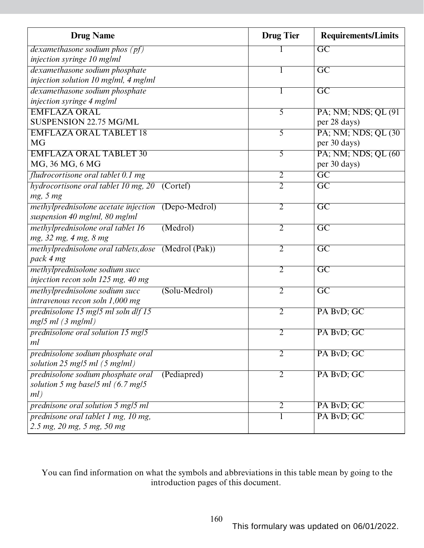| <b>Drug Name</b>                                     | <b>Drug Tier</b> | <b>Requirements/Limits</b> |
|------------------------------------------------------|------------------|----------------------------|
| dexamethasone sodium phos $(pt)$                     |                  | $\overline{\mathrm{GC}}$   |
| injection syringe 10 mg/ml                           |                  |                            |
| dexamethasone sodium phosphate                       |                  | $\overline{\mathrm{GC}}$   |
| injection solution 10 mg/ml, 4 mg/ml                 |                  |                            |
| dexamethasone sodium phosphate                       |                  | $\overline{GC}$            |
| injection syringe 4 mg/ml                            |                  |                            |
| <b>EMFLAZA ORAL</b>                                  | 5                | PA; NM; NDS; QL (91)       |
| <b>SUSPENSION 22.75 MG/ML</b>                        |                  | per 28 days)               |
| <b>EMFLAZA ORAL TABLET 18</b>                        | 5                | PA; NM; NDS; QL (30)       |
| <b>MG</b>                                            |                  | per 30 days)               |
| <b>EMFLAZA ORAL TABLET 30</b>                        | 5                | PA; NM; NDS; QL (60)       |
| MG, 36 MG, 6 MG                                      |                  | per 30 days)               |
| fludrocortisone oral tablet 0.1 mg                   | $\overline{2}$   | $\overline{GC}$            |
| hydrocortisone oral tablet 10 mg, 20 (Cortef)        | $\overline{2}$   | $\overline{\mathrm{GC}}$   |
| mg, 5 mg                                             |                  |                            |
| methylprednisolone acetate injection (Depo-Medrol)   | $\overline{2}$   | $\overline{GC}$            |
| suspension 40 mg/ml, 80 mg/ml                        |                  |                            |
| methylprednisolone oral tablet 16<br>(Medrol)        | $\overline{2}$   | $\overline{GC}$            |
| mg, 32 mg, 4 mg, 8 mg                                |                  |                            |
| methylprednisolone oral tablets, dose (Medrol (Pak)) | 2                | $\overline{\mathrm{GC}}$   |
| pack 4 mg                                            |                  |                            |
| methylprednisolone sodium succ                       | $\overline{2}$   | $\overline{\mathrm{GC}}$   |
| injection recon soln 125 mg, 40 mg                   |                  |                            |
| methylprednisolone sodium succ<br>(Solu-Medrol)      | $\overline{2}$   | $\overline{GC}$            |
| intravenous recon soln 1,000 mg                      |                  |                            |
| prednisolone 15 mg/5 ml soln dlf 15                  | $\overline{2}$   | PA BvD; GC                 |
| $mg/5$ ml (3 mg/ml)                                  |                  |                            |
| prednisolone oral solution 15 mg/5                   | 2                | PA BvD; GC                 |
| ml                                                   |                  |                            |
| prednisolone sodium phosphate oral                   | 2                | PA BvD; GC                 |
| solution $25$ mg/5 ml $(5$ mg/ml)                    |                  |                            |
| prednisolone sodium phosphate oral<br>(Pediapred)    | $\overline{2}$   | PA BvD; GC                 |
| solution 5 mg basel 5 ml $(6.7 \text{ mg/s})$        |                  |                            |
| ml)                                                  |                  |                            |
| prednisone oral solution 5 mg/5 ml                   | 2                | PA BvD; GC                 |
| prednisone oral tablet 1 mg, 10 mg,                  |                  | PA BvD; GC                 |
| 2.5 mg, 20 mg, 5 mg, 50 mg                           |                  |                            |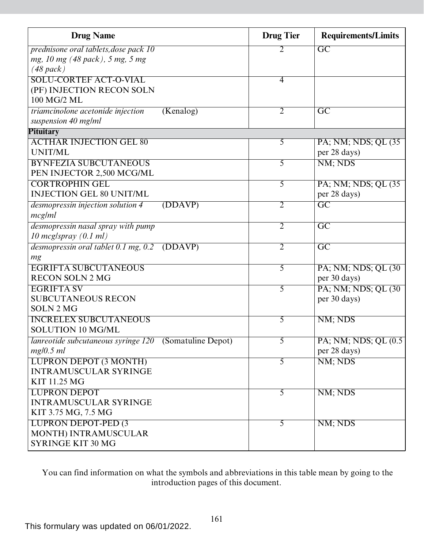| <b>Drug Name</b>                                                      |           | <b>Drug Tier</b> | <b>Requirements/Limits</b> |
|-----------------------------------------------------------------------|-----------|------------------|----------------------------|
| prednisone oral tablets, dose pack 10                                 |           | 2                | $\overline{\mathrm{GC}}$   |
| mg, 10 mg (48 pack), 5 mg, 5 mg                                       |           |                  |                            |
| $(48$ pack)                                                           |           |                  |                            |
| <b>SOLU-CORTEF ACT-O-VIAL</b>                                         |           | $\overline{4}$   |                            |
| (PF) INJECTION RECON SOLN                                             |           |                  |                            |
| 100 MG/2 ML                                                           |           |                  |                            |
| triamcinolone acetonide injection                                     | (Kenalog) | $\overline{2}$   | $\overline{\text{GC}}$     |
| suspension 40 mg/ml                                                   |           |                  |                            |
| <b>Pituitary</b>                                                      |           |                  |                            |
| <b>ACTHAR INJECTION GEL 80</b>                                        |           | 5                | PA; NM; NDS; QL (35)       |
| UNIT/ML                                                               |           |                  | per 28 days)               |
| <b>BYNFEZIA SUBCUTANEOUS</b>                                          |           | $\overline{5}$   | NM; NDS                    |
| PEN INJECTOR 2,500 MCG/ML                                             |           |                  |                            |
| <b>CORTROPHIN GEL</b><br><b>INJECTION GEL 80 UNIT/ML</b>              |           | 5                | PA; NM; NDS; QL (35)       |
|                                                                       |           |                  | per 28 days)               |
| desmopressin injection solution 4                                     | (DDAVP)   | $\overline{2}$   | $\overline{\mathrm{GC}}$   |
| mcg/ml                                                                |           |                  |                            |
| desmopressin nasal spray with pump<br>10 mcg/spray $(0.1 \text{ ml})$ |           | $\overline{2}$   | $\overline{GC}$            |
|                                                                       |           | $\overline{2}$   | $\overline{GC}$            |
| desmopressin oral tablet $0.1$ mg, $0.2$ (DDAVP)                      |           |                  |                            |
| mg<br><b>EGRIFTA SUBCUTANEOUS</b>                                     |           | 5                | PA; NM; NDS; QL (30)       |
| <b>RECON SOLN 2 MG</b>                                                |           |                  | per 30 days)               |
| <b>EGRIFTA SV</b>                                                     |           | 5                | PA; NM; NDS; QL (30)       |
| <b>SUBCUTANEOUS RECON</b>                                             |           |                  | per 30 days)               |
| <b>SOLN 2 MG</b>                                                      |           |                  |                            |
| <b>INCRELEX SUBCUTANEOUS</b>                                          |           | 5                | NM; NDS                    |
| <b>SOLUTION 10 MG/ML</b>                                              |           |                  |                            |
| <i>lanreotide subcutaneous syringe 120</i> (Somatuline Depot)         |           | 5                | PA; NM; NDS; QL (0.5)      |
| mg/0.5 ml                                                             |           |                  | per 28 days)               |
| <b>LUPRON DEPOT (3 MONTH)</b>                                         |           | $\overline{5}$   | NM; NDS                    |
| <b>INTRAMUSCULAR SYRINGE</b>                                          |           |                  |                            |
| KIT 11.25 MG                                                          |           |                  |                            |
| <b>LUPRON DEPOT</b>                                                   |           | $\overline{5}$   | NM; NDS                    |
| <b>INTRAMUSCULAR SYRINGE</b>                                          |           |                  |                            |
| KIT 3.75 MG, 7.5 MG                                                   |           |                  |                            |
| <b>LUPRON DEPOT-PED (3)</b>                                           |           | $\overline{5}$   | NM; NDS                    |
| MONTH) INTRAMUSCULAR                                                  |           |                  |                            |
| SYRINGE KIT 30 MG                                                     |           |                  |                            |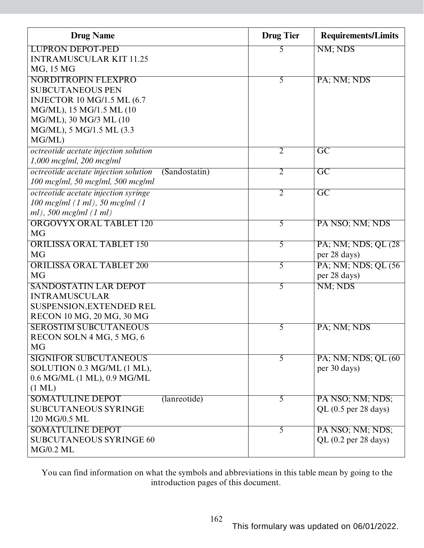| <b>Drug Name</b>                                       | <b>Drug Tier</b> | <b>Requirements/Limits</b> |
|--------------------------------------------------------|------------------|----------------------------|
| <b>LUPRON DEPOT-PED</b>                                | 5                | NM; NDS                    |
| <b>INTRAMUSCULAR KIT 11.25</b>                         |                  |                            |
| MG, 15 MG                                              |                  |                            |
| <b>NORDITROPIN FLEXPRO</b>                             | $\overline{5}$   | PA; NM; NDS                |
| <b>SUBCUTANEOUS PEN</b>                                |                  |                            |
| <b>INJECTOR 10 MG/1.5 ML (6.7</b>                      |                  |                            |
| MG/ML), 15 MG/1.5 ML (10                               |                  |                            |
| MG/ML), 30 MG/3 ML (10                                 |                  |                            |
| MG/ML), 5 MG/1.5 ML (3.3                               |                  |                            |
| MG/ML)                                                 |                  |                            |
| octreotide acetate injection solution                  | $\overline{2}$   | $\overline{GC}$            |
| 1,000 mcg/ml, 200 mcg/ml                               |                  |                            |
| octreotide acetate injection solution<br>(Sandostatin) | $\overline{2}$   | $\overline{GC}$            |
| 100 mcg/ml, 50 mcg/ml, 500 mcg/ml                      |                  |                            |
| octreotide acetate injection syringe                   | $\overline{2}$   | $\overline{\text{GC}}$     |
| $100$ mcg/ml $(1$ ml), 50 mcg/ml $(1)$                 |                  |                            |
| $ml$ ), 500 mcg/ml $(1 ml)$                            |                  |                            |
| <b>ORGOVYX ORAL TABLET 120</b>                         | $\overline{5}$   | PA NSO; NM; NDS            |
| <b>MG</b>                                              |                  |                            |
| <b>ORILISSA ORAL TABLET 150</b>                        | 5                | PA; NM; NDS; QL (28)       |
| <b>MG</b>                                              |                  | per 28 days)               |
| <b>ORILISSA ORAL TABLET 200</b>                        | 5                | PA; NM; NDS; QL (56)       |
| <b>MG</b>                                              |                  | per 28 days)               |
| <b>SANDOSTATIN LAR DEPOT</b>                           | 5                | NM; NDS                    |
| <b>INTRAMUSCULAR</b>                                   |                  |                            |
| SUSPENSION, EXTENDED REL                               |                  |                            |
| RECON 10 MG, 20 MG, 30 MG                              |                  |                            |
| <b>SEROSTIM SUBCUTANEOUS</b>                           | 5                | PA; NM; NDS                |
| RECON SOLN 4 MG, 5 MG, 6                               |                  |                            |
| <b>MG</b>                                              |                  |                            |
| <b>SIGNIFOR SUBCUTANEOUS</b>                           | $\overline{5}$   | PA; NM; NDS; QL (60)       |
| SOLUTION 0.3 MG/ML (1 ML),                             |                  | per 30 days)               |
| 0.6 MG/ML (1 ML), 0.9 MG/ML                            |                  |                            |
| $(1 \text{ ML})$                                       |                  |                            |
| <b>SOMATULINE DEPOT</b><br>(lanreotide)                | $\overline{5}$   | PA NSO; NM; NDS;           |
| SUBCUTANEOUS SYRINGE                                   |                  | QL $(0.5$ per 28 days)     |
| 120 MG/0.5 ML                                          |                  |                            |
| <b>SOMATULINE DEPOT</b>                                | $\overline{5}$   | PA NSO; NM; NDS;           |
| <b>SUBCUTANEOUS SYRINGE 60</b>                         |                  | QL (0.2 per 28 days)       |
| <b>MG/0.2 ML</b>                                       |                  |                            |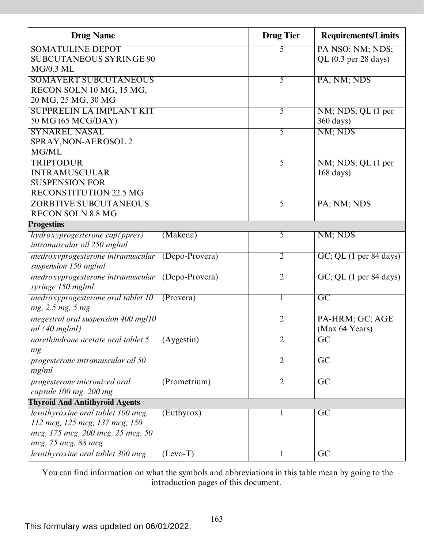| <b>Drug Name</b>                                       |                  | <b>Drug Tier</b> | <b>Requirements/Limits</b>               |
|--------------------------------------------------------|------------------|------------------|------------------------------------------|
| <b>SOMATULINE DEPOT</b>                                |                  | 5                | PA NSO; NM; NDS;                         |
| <b>SUBCUTANEOUS SYRINGE 90</b>                         |                  |                  | QL $(0.3$ per 28 days)                   |
| <b>MG/0.3 ML</b>                                       |                  |                  |                                          |
| <b>SOMAVERT SUBCUTANEOUS</b>                           |                  | $\overline{5}$   | PA; NM; NDS                              |
| RECON SOLN 10 MG, 15 MG,                               |                  |                  |                                          |
| 20 MG, 25 MG, 30 MG<br><b>SUPPRELIN LA IMPLANT KIT</b> |                  |                  |                                          |
| 50 MG (65 MCG/DAY)                                     |                  | 5                | NM; NDS; QL (1 per<br>$360 \text{ days}$ |
| <b>SYNAREL NASAL</b>                                   |                  | 5                | NM; NDS                                  |
| SPRAY, NON-AEROSOL 2                                   |                  |                  |                                          |
| MG/ML                                                  |                  |                  |                                          |
| <b>TRIPTODUR</b>                                       |                  | $\overline{5}$   | NM; NDS; QL (1 per                       |
| <b>INTRAMUSCULAR</b>                                   |                  |                  | $168 \text{ days}$                       |
| <b>SUSPENSION FOR</b>                                  |                  |                  |                                          |
| RECONSTITUTION 22.5 MG                                 |                  |                  |                                          |
| <b>ZORBTIVE SUBCUTANEOUS</b>                           |                  | $\overline{5}$   | PA; NM; NDS                              |
| <b>RECON SOLN 8.8 MG</b>                               |                  |                  |                                          |
| <b>Progestins</b>                                      |                  |                  |                                          |
| hydroxyprogesterone cap(ppres)                         | (Makena)         | 5                | NM; NDS                                  |
| intramuscular oil 250 mg/ml                            |                  |                  |                                          |
| medroxyprogesterone intramuscular                      | $(Depo-Provera)$ | $\overline{2}$   | GC; QL (1 per 84 days)                   |
| suspension 150 mg/ml                                   |                  |                  |                                          |
| medroxyprogesterone intramuscular                      | (Depo-Provera)   | $\overline{2}$   | GC; QL (1 per 84 days)                   |
| syringe 150 mg/ml                                      |                  |                  |                                          |
| medroxyprogesterone oral tablet 10                     | (Provera)        | 1                | $\overline{GC}$                          |
| mg, 2.5 mg, 5 mg                                       |                  |                  |                                          |
| megestrol oral suspension 400 mg/10                    |                  | $\overline{2}$   | PA-HRM; GC; AGE                          |
| ml(40 mg/ml)                                           |                  |                  | (Max 64 Years)                           |
| norethindrone acetate oral tablet 5                    | (Aygestin)       | $\overline{2}$   | GC                                       |
| mg<br>progesterone intramuscular oil 50                |                  | $\overline{2}$   | $\overline{GC}$                          |
| mg/ml                                                  |                  |                  |                                          |
| progesterone micronized oral                           | (Prometrium)     | $\overline{2}$   | $\overline{\text{GC}}$                   |
| capsule 100 mg, 200 mg                                 |                  |                  |                                          |
| <b>Thyroid And Antithyroid Agents</b>                  |                  |                  |                                          |
| levothyroxine oral tablet 100 mcg,                     | (Euthyrox)       | $\mathbf{I}$     | $\overline{GC}$                          |
| 112 mcg, 125 mcg, 137 mcg, 150                         |                  |                  |                                          |
| mcg, 175 mcg, 200 mcg, 25 mcg, 50                      |                  |                  |                                          |
| mcg, 75 mcg, 88 mcg                                    |                  |                  |                                          |
| levothyroxine oral tablet 300 mcg                      | $(Levo-T)$       | 1                | $\overline{GC}$                          |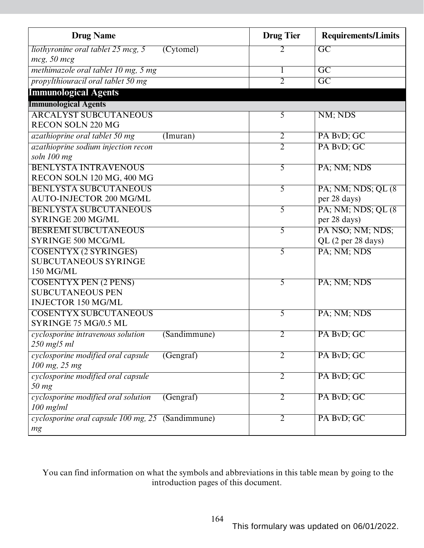| <b>Drug Name</b>                                  |                        | <b>Drug Tier</b> | <b>Requirements/Limits</b> |
|---------------------------------------------------|------------------------|------------------|----------------------------|
| liothyronine oral tablet 25 mcg, 5                | (Cytomel)              | 2                | $\overline{GC}$            |
| $mcg$ , 50 $mcg$                                  |                        |                  |                            |
| methimazole oral tablet 10 mg, 5 mg               |                        | 1                | $\overline{GC}$            |
| propylthiouracil oral tablet 50 mg                |                        | $\overline{2}$   | $\overline{GC}$            |
| <b>Immunological Agents</b>                       |                        |                  |                            |
| <b>Immunological Agents</b>                       |                        |                  |                            |
| <b>ARCALYST SUBCUTANEOUS</b>                      |                        | $\overline{5}$   | NM; NDS                    |
| <b>RECON SOLN 220 MG</b>                          |                        |                  |                            |
| azathioprine oral tablet 50 mg                    | (Imuran)               | $\overline{2}$   | PA BvD; GC                 |
| azathioprine sodium injection recon               |                        | $\overline{2}$   | PA BvD; GC                 |
| soln 100 mg                                       |                        |                  |                            |
| <b>BENLYSTA INTRAVENOUS</b>                       |                        | 5                | PA; NM; NDS                |
| RECON SOLN 120 MG, 400 MG                         |                        |                  |                            |
| <b>BENLYSTA SUBCUTANEOUS</b>                      |                        | $\overline{5}$   | PA; NM; NDS; QL (8)        |
| <b>AUTO-INJECTOR 200 MG/ML</b>                    |                        |                  | per 28 days)               |
| <b>BENLYSTA SUBCUTANEOUS</b>                      |                        | 5                | PA; NM; NDS; QL (8)        |
| SYRINGE 200 MG/ML                                 |                        |                  | per 28 days)               |
| <b>BESREMI SUBCUTANEOUS</b>                       |                        | 5                | PA NSO; NM; NDS;           |
| <b>SYRINGE 500 MCG/ML</b>                         |                        |                  | QL (2 per 28 days)         |
| <b>COSENTYX (2 SYRINGES)</b>                      |                        | 5                | PA; NM; NDS                |
| <b>SUBCUTANEOUS SYRINGE</b>                       |                        |                  |                            |
| 150 MG/ML                                         |                        |                  |                            |
| <b>COSENTYX PEN (2 PENS)</b>                      |                        | 5                | PA; NM; NDS                |
| <b>SUBCUTANEOUS PEN</b>                           |                        |                  |                            |
| <b>INJECTOR 150 MG/ML</b>                         |                        |                  |                            |
| <b>COSENTYX SUBCUTANEOUS</b>                      |                        | 5                | PA; NM; NDS                |
| SYRINGE 75 MG/0.5 ML                              |                        |                  |                            |
| cyclosporine intravenous solution                 | (Sandimmune)           | 2                | PA BvD; GC                 |
| 250 mg/5 ml                                       |                        |                  |                            |
| cyclosporine modified oral capsule                | $(\overline{Gengraf})$ | $\overline{2}$   | PA BvD; GC                 |
| 100 mg, 25 mg                                     |                        |                  |                            |
| cyclosporine modified oral capsule<br>$50$ mg     |                        | $\overline{2}$   | PA BvD; GC                 |
| cyclosporine modified oral solution               | (Gengraf)              | $\overline{2}$   | PA BvD; GC                 |
| $100$ mg/ml                                       |                        |                  |                            |
| cyclosporine oral capsule 100 mg, 25 (Sandimmune) |                        | 2                | PA BvD; GC                 |
| mg                                                |                        |                  |                            |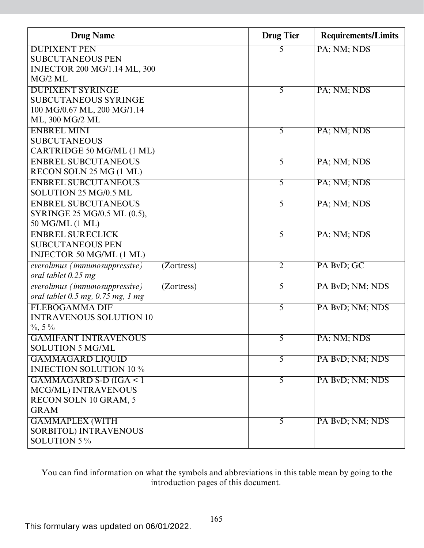| <b>Drug Name</b>                             | <b>Drug Tier</b> | <b>Requirements/Limits</b> |
|----------------------------------------------|------------------|----------------------------|
| <b>DUPIXENT PEN</b>                          | 5                | PA; NM; NDS                |
| <b>SUBCUTANEOUS PEN</b>                      |                  |                            |
| INJECTOR 200 MG/1.14 ML, 300                 |                  |                            |
| MG/2 ML                                      |                  |                            |
| <b>DUPIXENT SYRINGE</b>                      | 5                | PA; NM; NDS                |
| <b>SUBCUTANEOUS SYRINGE</b>                  |                  |                            |
| 100 MG/0.67 ML, 200 MG/1.14                  |                  |                            |
| ML, 300 MG/2 ML                              |                  |                            |
| <b>ENBREL MINI</b>                           | 5                | PA; NM; NDS                |
| <b>SUBCUTANEOUS</b>                          |                  |                            |
| CARTRIDGE 50 MG/ML (1 ML)                    |                  |                            |
| <b>ENBREL SUBCUTANEOUS</b>                   | $\overline{5}$   | PA; NM; NDS                |
| RECON SOLN 25 MG (1 ML)                      |                  |                            |
| <b>ENBREL SUBCUTANEOUS</b>                   | $\overline{5}$   | PA; NM; NDS                |
| SOLUTION 25 MG/0.5 ML                        |                  |                            |
| <b>ENBREL SUBCUTANEOUS</b>                   | $\overline{5}$   | PA; NM; NDS                |
| SYRINGE 25 MG/0.5 ML (0.5),                  |                  |                            |
| 50 MG/ML (1 ML)                              |                  |                            |
| <b>ENBREL SURECLICK</b>                      | 5                | PA; NM; NDS                |
| <b>SUBCUTANEOUS PEN</b>                      |                  |                            |
| INJECTOR 50 MG/ML (1 ML)                     |                  |                            |
| everolimus (immunosuppressive)<br>(Zortress) | $\overline{2}$   | PA BvD; GC                 |
| oral tablet 0.25 mg                          |                  |                            |
| (Zortress)<br>everolimus (immunosuppressive) | $\overline{5}$   | PA BvD; NM; NDS            |
| oral tablet 0.5 mg, 0.75 mg, 1 mg            |                  |                            |
| <b>FLEBOGAMMA DIF</b>                        | $\overline{5}$   | PA BvD; NM; NDS            |
| <b>INTRAVENOUS SOLUTION 10</b>               |                  |                            |
| $\frac{0}{6}$ , 5 %                          |                  |                            |
| <b>GAMIFANT INTRAVENOUS</b>                  | 5                | PA; NM; NDS                |
| <b>SOLUTION 5 MG/ML</b>                      |                  |                            |
| <b>GAMMAGARD LIQUID</b>                      | 5                | PA BvD; NM; NDS            |
| <b>INJECTION SOLUTION 10 %</b>               |                  |                            |
| GAMMAGARD S-D (IGA < 1                       | $\overline{5}$   | PA BvD; NM; NDS            |
| MCG/ML) INTRAVENOUS                          |                  |                            |
| RECON SOLN 10 GRAM, 5                        |                  |                            |
| <b>GRAM</b>                                  |                  |                            |
| <b>GAMMAPLEX (WITH</b>                       | $\overline{5}$   | PA BvD; NM; NDS            |
| <b>SORBITOL) INTRAVENOUS</b>                 |                  |                            |
| SOLUTION 5 %                                 |                  |                            |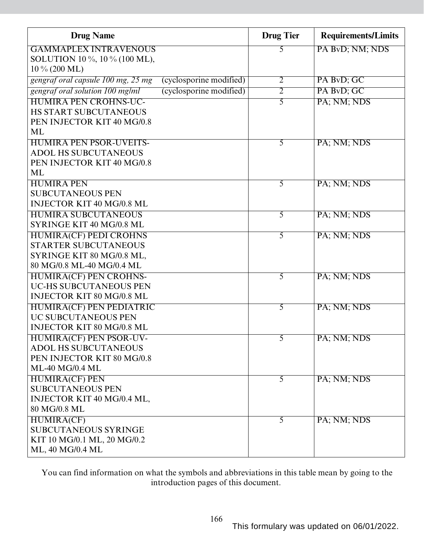| <b>Drug Name</b>                   |                         | <b>Drug Tier</b> | <b>Requirements/Limits</b> |
|------------------------------------|-------------------------|------------------|----------------------------|
| <b>GAMMAPLEX INTRAVENOUS</b>       |                         | 5                | PA BvD; NM; NDS            |
| SOLUTION 10 %, 10 % (100 ML),      |                         |                  |                            |
| $10\% (200 \text{ ML})$            |                         |                  |                            |
| gengraf oral capsule 100 mg, 25 mg | (cyclosporine modified) | $\overline{2}$   | PA BvD; GC                 |
| gengraf oral solution 100 mg/ml    | (cyclosporine modified) | $\overline{2}$   | PA BvD; GC                 |
| <b>HUMIRA PEN CROHNS-UC-</b>       |                         | 5                | PA; NM; NDS                |
| <b>HS START SUBCUTANEOUS</b>       |                         |                  |                            |
| PEN INJECTOR KIT 40 MG/0.8         |                         |                  |                            |
| ML                                 |                         |                  |                            |
| <b>HUMIRA PEN PSOR-UVEITS-</b>     |                         | 5                | PA; NM; NDS                |
| <b>ADOL HS SUBCUTANEOUS</b>        |                         |                  |                            |
| PEN INJECTOR KIT 40 MG/0.8         |                         |                  |                            |
| ML                                 |                         |                  |                            |
| <b>HUMIRA PEN</b>                  |                         | 5                | PA; NM; NDS                |
| <b>SUBCUTANEOUS PEN</b>            |                         |                  |                            |
| <b>INJECTOR KIT 40 MG/0.8 ML</b>   |                         |                  |                            |
| <b>HUMIRA SUBCUTANEOUS</b>         |                         | 5                | PA; NM; NDS                |
| SYRINGE KIT 40 MG/0.8 ML           |                         |                  |                            |
| <b>HUMIRA(CF) PEDI CROHNS</b>      |                         | 5                | PA; NM; NDS                |
| <b>STARTER SUBCUTANEOUS</b>        |                         |                  |                            |
| SYRINGE KIT 80 MG/0.8 ML,          |                         |                  |                            |
| 80 MG/0.8 ML-40 MG/0.4 ML          |                         |                  |                            |
| <b>HUMIRA(CF) PEN CROHNS-</b>      |                         | 5                | PA; NM; NDS                |
| <b>UC-HS SUBCUTANEOUS PEN</b>      |                         |                  |                            |
| <b>INJECTOR KIT 80 MG/0.8 ML</b>   |                         |                  |                            |
| <b>HUMIRA(CF) PEN PEDIATRIC</b>    |                         | 5                | PA; NM; NDS                |
| <b>UC SUBCUTANEOUS PEN</b>         |                         |                  |                            |
| <b>INJECTOR KIT 80 MG/0.8 ML</b>   |                         |                  |                            |
| HUMIRA(CF) PEN PSOR-UV-            |                         | $\mathcal{L}$    | PA; NM; NDS                |
| <b>ADOL HS SUBCUTANEOUS</b>        |                         |                  |                            |
| PEN INJECTOR KIT 80 MG/0.8         |                         |                  |                            |
| <b>ML-40 MG/0.4 ML</b>             |                         |                  |                            |
| <b>HUMIRA(CF) PEN</b>              |                         | $\overline{5}$   | PA; NM; NDS                |
| <b>SUBCUTANEOUS PEN</b>            |                         |                  |                            |
| INJECTOR KIT 40 MG/0.4 ML,         |                         |                  |                            |
| 80 MG/0.8 ML                       |                         |                  |                            |
| <b>HUMIRA(CF)</b>                  |                         | 5                | PA; NM; NDS                |
| <b>SUBCUTANEOUS SYRINGE</b>        |                         |                  |                            |
| KIT 10 MG/0.1 ML, 20 MG/0.2        |                         |                  |                            |
| ML, 40 MG/0.4 ML                   |                         |                  |                            |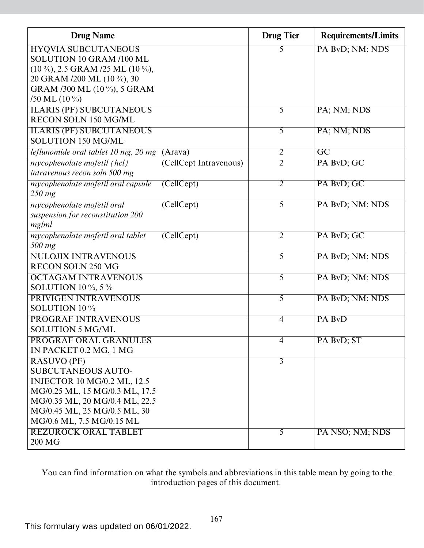| <b>Drug Name</b>                                             | <b>Drug Tier</b> | <b>Requirements/Limits</b> |
|--------------------------------------------------------------|------------------|----------------------------|
| <b>HYQVIA SUBCUTANEOUS</b>                                   | 5                | PA BvD; NM; NDS            |
| SOLUTION 10 GRAM /100 ML                                     |                  |                            |
| $(10\%, 2.5 \text{ GRAM } 25 \text{ ML } (10\%,$             |                  |                            |
| 20 GRAM /200 ML (10 %), 30                                   |                  |                            |
| GRAM /300 ML (10 %), 5 GRAM                                  |                  |                            |
| /50 ML $(10\%)$                                              |                  |                            |
| <b>ILARIS (PF) SUBCUTANEOUS</b>                              | $\overline{5}$   | PA; NM; NDS                |
| RECON SOLN 150 MG/ML                                         |                  |                            |
| <b>ILARIS (PF) SUBCUTANEOUS</b><br><b>SOLUTION 150 MG/ML</b> | $\overline{5}$   | PA; NM; NDS                |
|                                                              |                  |                            |
| leflunomide oral tablet 10 mg, 20 mg (Arava)                 | $\overline{2}$   | $\overline{GC}$            |
| mycophenolate mofetil (hcl)<br>(CellCept Intravenous)        | $\overline{2}$   | PA BvD; GC                 |
| intravenous recon soln 500 mg                                |                  |                            |
| mycophenolate mofetil oral capsule<br>(CellCept)             | $\overline{2}$   | PA BvD; GC                 |
| $250$ mg                                                     |                  |                            |
| (CellCept)<br>mycophenolate mofetil oral                     | $\overline{5}$   | PA BvD; NM; NDS            |
| suspension for reconstitution 200                            |                  |                            |
| mg/ml                                                        |                  |                            |
| mycophenolate mofetil oral tablet<br>(CellCept)<br>500 mg    | $\overline{2}$   | PA BvD; GC                 |
| <b>NULOJIX INTRAVENOUS</b>                                   | 5                | PA BvD; NM; NDS            |
| <b>RECON SOLN 250 MG</b>                                     |                  |                            |
| <b>OCTAGAM INTRAVENOUS</b>                                   | $\overline{5}$   | PA BvD; NM; NDS            |
| SOLUTION 10 $\%$ , 5 $\%$                                    |                  |                            |
| PRIVIGEN INTRAVENOUS                                         | 5                | PA BvD; NM; NDS            |
| SOLUTION 10 %                                                |                  |                            |
| <b>PROGRAF INTRAVENOUS</b>                                   | $\overline{4}$   | PA BvD                     |
| <b>SOLUTION 5 MG/ML</b>                                      |                  |                            |
| PROGRAF ORAL GRANULES                                        | $\overline{4}$   | PA BvD; ST                 |
| IN PACKET 0.2 MG, 1 MG                                       |                  |                            |
| RASUVO (PF)                                                  | $\overline{3}$   |                            |
| <b>SUBCUTANEOUS AUTO-</b>                                    |                  |                            |
| <b>INJECTOR 10 MG/0.2 ML, 12.5</b>                           |                  |                            |
| MG/0.25 ML, 15 MG/0.3 ML, 17.5                               |                  |                            |
| MG/0.35 ML, 20 MG/0.4 ML, 22.5                               |                  |                            |
| MG/0.45 ML, 25 MG/0.5 ML, 30                                 |                  |                            |
| MG/0.6 ML, 7.5 MG/0.15 ML                                    |                  |                            |
| <b>REZUROCK ORAL TABLET</b>                                  | $\overline{5}$   | PA NSO; NM; NDS            |
| 200 MG                                                       |                  |                            |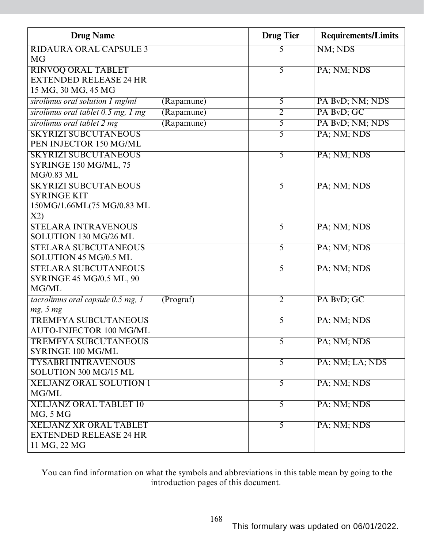| <b>Drug Name</b>                                    |            | <b>Drug Tier</b> | <b>Requirements/Limits</b> |
|-----------------------------------------------------|------------|------------------|----------------------------|
| <b>RIDAURA ORAL CAPSULE 3</b>                       |            | 5                | NM; NDS                    |
| <b>MG</b>                                           |            |                  |                            |
| <b>RINVOQ ORAL TABLET</b>                           |            | 5                | PA; NM; NDS                |
| <b>EXTENDED RELEASE 24 HR</b>                       |            |                  |                            |
| 15 MG, 30 MG, 45 MG                                 |            |                  |                            |
| sirolimus oral solution 1 mg/ml                     | (Rapamune) | $\overline{5}$   | PA BvD; NM; NDS            |
| sirolimus oral tablet 0.5 mg, 1 mg                  | (Rapamune) | $\overline{2}$   | PA BvD; GC                 |
| sirolimus oral tablet 2 mg                          | (Rapamune) | 5                | PA BvD; NM; NDS            |
| <b>SKYRIZI SUBCUTANEOUS</b>                         |            | 5                | PA; NM; NDS                |
| PEN INJECTOR 150 MG/ML                              |            |                  |                            |
| <b>SKYRIZI SUBCUTANEOUS</b>                         |            | 5                | PA; NM; NDS                |
| SYRINGE 150 MG/ML, 75                               |            |                  |                            |
| MG/0.83 ML                                          |            |                  |                            |
| <b>SKYRIZI SUBCUTANEOUS</b>                         |            | 5                | PA; NM; NDS                |
| <b>SYRINGE KIT</b>                                  |            |                  |                            |
| 150MG/1.66ML(75 MG/0.83 ML                          |            |                  |                            |
| X2)                                                 |            |                  |                            |
| <b>STELARA INTRAVENOUS</b>                          |            | 5                | PA; NM; NDS                |
| SOLUTION 130 MG/26 ML                               |            |                  |                            |
| <b>STELARA SUBCUTANEOUS</b>                         |            | 5                | PA; NM; NDS                |
| SOLUTION 45 MG/0.5 ML                               |            |                  |                            |
| <b>STELARA SUBCUTANEOUS</b>                         |            | 5                | PA; NM; NDS                |
| <b>SYRINGE 45 MG/0.5 ML, 90</b>                     |            |                  |                            |
| MG/ML                                               |            |                  |                            |
| tacrolimus oral capsule 0.5 mg, 1                   | (Program)  | $\overline{2}$   | PA BvD; GC                 |
| mg, 5 mg                                            |            |                  |                            |
| <b>TREMFYA SUBCUTANEOUS</b>                         |            | 5                | PA; NM; NDS                |
| AUTO-INJECTOR 100 MG/ML                             |            |                  |                            |
| <b>TREMFYA SUBCUTANEOUS</b>                         |            | 5                | PA; NM; NDS                |
| SYRINGE 100 MG/ML                                   |            |                  |                            |
| <b>TYSABRI INTRAVENOUS</b><br>SOLUTION 300 MG/15 ML |            | $\overline{5}$   | PA; NM; LA; NDS            |
|                                                     |            |                  |                            |
| <b>XELJANZ ORAL SOLUTION 1</b>                      |            | $\overline{5}$   | PA; NM; NDS                |
| MG/ML                                               |            |                  |                            |
| <b>XELJANZ ORAL TABLET 10</b>                       |            | 5                | PA; NM; NDS                |
| <b>MG, 5 MG</b>                                     |            |                  |                            |
| <b>XELJANZ XR ORAL TABLET</b>                       |            | $\overline{5}$   | PA; NM; NDS                |
| <b>EXTENDED RELEASE 24 HR</b><br>11 MG, 22 MG       |            |                  |                            |
|                                                     |            |                  |                            |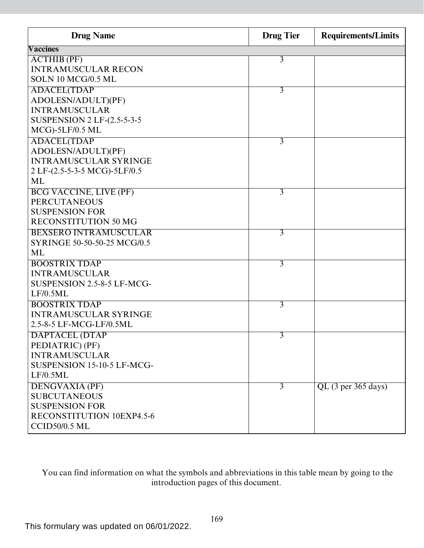| <b>Drug Name</b>                   | <b>Drug Tier</b> | <b>Requirements/Limits</b> |
|------------------------------------|------------------|----------------------------|
| <b>Vaccines</b>                    |                  |                            |
| <b>ACTHIB</b> (PF)                 | 3                |                            |
| <b>INTRAMUSCULAR RECON</b>         |                  |                            |
| SOLN 10 MCG/0.5 ML                 |                  |                            |
| <b>ADACEL(TDAP</b>                 | 3                |                            |
| ADOLESN/ADULT)(PF)                 |                  |                            |
| <b>INTRAMUSCULAR</b>               |                  |                            |
| <b>SUSPENSION 2 LF-(2.5-5-3-5)</b> |                  |                            |
| $MCG$ -5LF/0.5 ML                  |                  |                            |
| <b>ADACEL(TDAP</b>                 | 3                |                            |
| ADOLESN/ADULT)(PF)                 |                  |                            |
| <b>INTRAMUSCULAR SYRINGE</b>       |                  |                            |
| 2 LF-(2.5-5-3-5 MCG)-5LF/0.5       |                  |                            |
| ML                                 |                  |                            |
| <b>BCG VACCINE, LIVE (PF)</b>      | $\overline{3}$   |                            |
| <b>PERCUTANEOUS</b>                |                  |                            |
| <b>SUSPENSION FOR</b>              |                  |                            |
| <b>RECONSTITUTION 50 MG</b>        |                  |                            |
| <b>BEXSERO INTRAMUSCULAR</b>       | 3                |                            |
| SYRINGE 50-50-50-25 MCG/0.5        |                  |                            |
| <b>ML</b>                          |                  |                            |
| <b>BOOSTRIX TDAP</b>               | 3                |                            |
| <b>INTRAMUSCULAR</b>               |                  |                            |
| SUSPENSION 2.5-8-5 LF-MCG-         |                  |                            |
| LF/0.5ML                           |                  |                            |
| <b>BOOSTRIX TDAP</b>               | $\overline{3}$   |                            |
| <b>INTRAMUSCULAR SYRINGE</b>       |                  |                            |
| 2.5-8-5 LF-MCG-LF/0.5ML            |                  |                            |
| <b>DAPTACEL (DTAP</b>              | 3                |                            |
| PEDIATRIC) (PF)                    |                  |                            |
| <b>INTRAMUSCULAR</b>               |                  |                            |
| SUSPENSION 15-10-5 LF-MCG-         |                  |                            |
| LF/0.5ML                           |                  |                            |
| <b>DENGVAXIA (PF)</b>              | $\overline{3}$   | $QL$ (3 per 365 days)      |
| <b>SUBCUTANEOUS</b>                |                  |                            |
| <b>SUSPENSION FOR</b>              |                  |                            |
| RECONSTITUTION 10EXP4.5-6          |                  |                            |
| <b>CCID50/0.5 ML</b>               |                  |                            |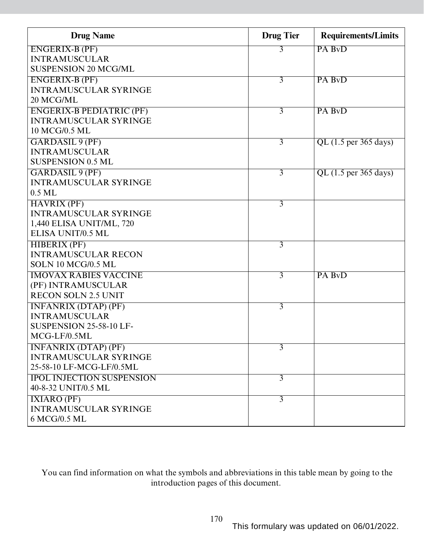| <b>Drug Name</b>                 | <b>Drug Tier</b> | <b>Requirements/Limits</b> |
|----------------------------------|------------------|----------------------------|
| <b>ENGERIX-B (PF)</b>            | 3                | PA BvD                     |
| <b>INTRAMUSCULAR</b>             |                  |                            |
| <b>SUSPENSION 20 MCG/ML</b>      |                  |                            |
| <b>ENGERIX-B (PF)</b>            | $\overline{3}$   | PA BvD                     |
| <b>INTRAMUSCULAR SYRINGE</b>     |                  |                            |
| 20 MCG/ML                        |                  |                            |
| <b>ENGERIX-B PEDIATRIC (PF)</b>  | $\overline{3}$   | PA BvD                     |
| <b>INTRAMUSCULAR SYRINGE</b>     |                  |                            |
| 10 MCG/0.5 ML                    |                  |                            |
| <b>GARDASIL 9 (PF)</b>           | $\overline{3}$   | QL (1.5 per 365 days)      |
| <b>INTRAMUSCULAR</b>             |                  |                            |
| <b>SUSPENSION 0.5 ML</b>         |                  |                            |
| <b>GARDASIL 9 (PF)</b>           | $\overline{3}$   | $QL$ (1.5 per 365 days)    |
| <b>INTRAMUSCULAR SYRINGE</b>     |                  |                            |
| $0.5$ ML                         |                  |                            |
| <b>HAVRIX (PF)</b>               | $\overline{3}$   |                            |
| <b>INTRAMUSCULAR SYRINGE</b>     |                  |                            |
| 1,440 ELISA UNIT/ML, 720         |                  |                            |
| ELISA UNIT/0.5 ML                |                  |                            |
| <b>HIBERIX (PF)</b>              | $\overline{3}$   |                            |
| <b>INTRAMUSCULAR RECON</b>       |                  |                            |
| SOLN 10 MCG/0.5 ML               |                  |                            |
| <b>IMOVAX RABIES VACCINE</b>     | $\overline{3}$   | PA BvD                     |
| (PF) INTRAMUSCULAR               |                  |                            |
| <b>RECON SOLN 2.5 UNIT</b>       |                  |                            |
| <b>INFANRIX (DTAP) (PF)</b>      | $\overline{3}$   |                            |
| <b>INTRAMUSCULAR</b>             |                  |                            |
| SUSPENSION 25-58-10 LF-          |                  |                            |
| MCG-LF/0.5ML                     |                  |                            |
| <b>INFANRIX (DTAP) (PF)</b>      | 3                |                            |
| <b>INTRAMUSCULAR SYRINGE</b>     |                  |                            |
| 25-58-10 LF-MCG-LF/0.5ML         |                  |                            |
| <b>IPOL INJECTION SUSPENSION</b> | $\overline{3}$   |                            |
| 40-8-32 UNIT/0.5 ML              |                  |                            |
| IXIARO(PF)                       | $\overline{3}$   |                            |
| <b>INTRAMUSCULAR SYRINGE</b>     |                  |                            |
| 6 MCG/0.5 ML                     |                  |                            |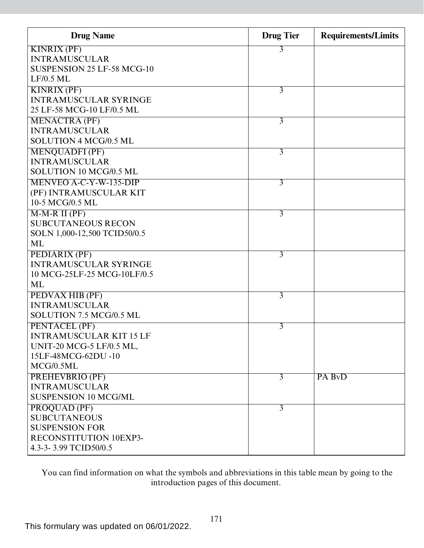| <b>Drug Name</b>                | <b>Drug</b> Tier | <b>Requirements/Limits</b> |
|---------------------------------|------------------|----------------------------|
| <b>KINRIX (PF)</b>              | 3                |                            |
| <b>INTRAMUSCULAR</b>            |                  |                            |
| SUSPENSION 25 LF-58 MCG-10      |                  |                            |
| $LF/0.5$ ML                     |                  |                            |
| <b>KINRIX (PF)</b>              | $\overline{3}$   |                            |
| <b>INTRAMUSCULAR SYRINGE</b>    |                  |                            |
| 25 LF-58 MCG-10 LF/0.5 ML       |                  |                            |
| <b>MENACTRA (PF)</b>            | $\overline{3}$   |                            |
| <b>INTRAMUSCULAR</b>            |                  |                            |
| SOLUTION 4 MCG/0.5 ML           |                  |                            |
| <b>MENQUADFI (PF)</b>           | 3                |                            |
| <b>INTRAMUSCULAR</b>            |                  |                            |
| SOLUTION 10 MCG/0.5 ML          |                  |                            |
| MENVEO A-C-Y-W-135-DIP          | 3                |                            |
| (PF) INTRAMUSCULAR KIT          |                  |                            |
| 10-5 MCG/0.5 ML                 |                  |                            |
| $M-M-R II(PF)$                  | 3                |                            |
| <b>SUBCUTANEOUS RECON</b>       |                  |                            |
| SOLN 1,000-12,500 TCID50/0.5    |                  |                            |
| ML                              |                  |                            |
| PEDIARIX (PF)                   | $\overline{3}$   |                            |
| <b>INTRAMUSCULAR SYRINGE</b>    |                  |                            |
| 10 MCG-25LF-25 MCG-10LF/0.5     |                  |                            |
| ML                              |                  |                            |
| PEDVAX HIB (PF)                 | 3                |                            |
| <b>INTRAMUSCULAR</b>            |                  |                            |
| SOLUTION 7.5 MCG/0.5 ML         |                  |                            |
| PENTACEL (PF)                   | 3                |                            |
| <b>INTRAMUSCULAR KIT 15 LF</b>  |                  |                            |
| <b>UNIT-20 MCG-5 LF/0.5 ML,</b> |                  |                            |
| 15LF-48MCG-62DU-10              |                  |                            |
| MCG/0.5ML                       |                  |                            |
| <b>PREHEVBRIO (PF)</b>          | $\overline{3}$   | PA BvD                     |
| <b>INTRAMUSCULAR</b>            |                  |                            |
| <b>SUSPENSION 10 MCG/ML</b>     |                  |                            |
| PROQUAD (PF)                    | $\overline{3}$   |                            |
| <b>SUBCUTANEOUS</b>             |                  |                            |
| <b>SUSPENSION FOR</b>           |                  |                            |
| RECONSTITUTION 10EXP3-          |                  |                            |
| 4.3-3-3.99 TCID50/0.5           |                  |                            |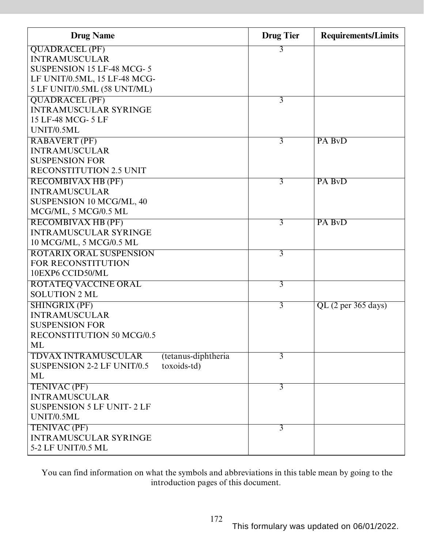| <b>Drug Name</b>                                  | <b>Drug</b> Tier | <b>Requirements/Limits</b> |
|---------------------------------------------------|------------------|----------------------------|
| <b>QUADRACEL (PF)</b>                             | 3                |                            |
| <b>INTRAMUSCULAR</b>                              |                  |                            |
| <b>SUSPENSION 15 LF-48 MCG-5</b>                  |                  |                            |
| LF UNIT/0.5ML, 15 LF-48 MCG-                      |                  |                            |
| 5 LF UNIT/0.5ML (58 UNT/ML)                       |                  |                            |
| <b>QUADRACEL (PF)</b>                             | 3                |                            |
| <b>INTRAMUSCULAR SYRINGE</b>                      |                  |                            |
| 15 LF-48 MCG- 5 LF                                |                  |                            |
| UNIT/0.5ML                                        |                  |                            |
| <b>RABAVERT (PF)</b>                              | 3                | PA BvD                     |
| <b>INTRAMUSCULAR</b>                              |                  |                            |
| <b>SUSPENSION FOR</b>                             |                  |                            |
| <b>RECONSTITUTION 2.5 UNIT</b>                    |                  |                            |
| <b>RECOMBIVAX HB (PF)</b>                         | 3                | PA BvD                     |
| <b>INTRAMUSCULAR</b>                              |                  |                            |
| SUSPENSION 10 MCG/ML, 40                          |                  |                            |
| MCG/ML, 5 MCG/0.5 ML                              |                  |                            |
| <b>RECOMBIVAX HB (PF)</b>                         | $\overline{3}$   | PA BvD                     |
| <b>INTRAMUSCULAR SYRINGE</b>                      |                  |                            |
| 10 MCG/ML, 5 MCG/0.5 ML                           |                  |                            |
| ROTARIX ORAL SUSPENSION                           | 3                |                            |
| <b>FOR RECONSTITUTION</b>                         |                  |                            |
| 10EXP6 CCID50/ML                                  |                  |                            |
| <b>ROTATEQ VACCINE ORAL</b>                       | $\overline{3}$   |                            |
| <b>SOLUTION 2 ML</b>                              |                  |                            |
| <b>SHINGRIX (PF)</b>                              | $\overline{3}$   | QL (2 per 365 days)        |
| <b>INTRAMUSCULAR</b>                              |                  |                            |
| <b>SUSPENSION FOR</b>                             |                  |                            |
| <b>RECONSTITUTION 50 MCG/0.5</b>                  |                  |                            |
| ML                                                |                  |                            |
| <b>TDVAX INTRAMUSCULAR</b><br>(tetanus-diphtheria | $\overline{3}$   |                            |
| toxoids-td)<br><b>SUSPENSION 2-2 LF UNIT/0.5</b>  |                  |                            |
| ML                                                |                  |                            |
| TENIVAC (PF)                                      | $\overline{3}$   |                            |
| <b>INTRAMUSCULAR</b>                              |                  |                            |
| <b>SUSPENSION 5 LF UNIT-2 LF</b>                  |                  |                            |
| UNIT/0.5ML                                        |                  |                            |
| <b>TENIVAC (PF)</b>                               | $\overline{3}$   |                            |
| <b>INTRAMUSCULAR SYRINGE</b>                      |                  |                            |
| 5-2 LF UNIT/0.5 ML                                |                  |                            |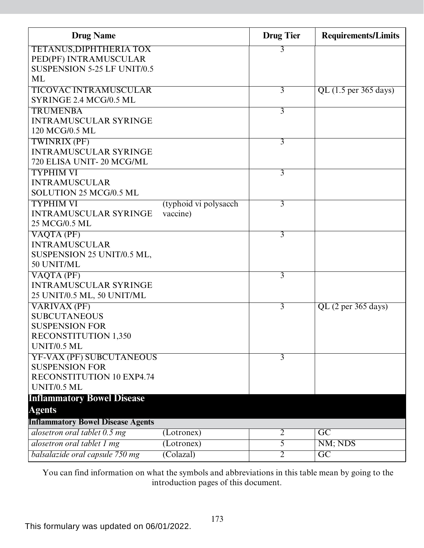| <b>Drug Name</b>                                         |                                   | <b>Drug Tier</b> | <b>Requirements/Limits</b> |
|----------------------------------------------------------|-----------------------------------|------------------|----------------------------|
| <b>TETANUS, DIPHTHERIA TOX</b>                           |                                   | 3                |                            |
| PED(PF) INTRAMUSCULAR                                    |                                   |                  |                            |
| <b>SUSPENSION 5-25 LF UNIT/0.5</b>                       |                                   |                  |                            |
| <b>ML</b>                                                |                                   |                  |                            |
| <b>TICOVAC INTRAMUSCULAR</b>                             |                                   | 3                | QL (1.5 per 365 days)      |
| SYRINGE 2.4 MCG/0.5 ML                                   |                                   |                  |                            |
| <b>TRUMENBA</b>                                          |                                   | $\overline{3}$   |                            |
| <b>INTRAMUSCULAR SYRINGE</b>                             |                                   |                  |                            |
| 120 MCG/0.5 ML                                           |                                   |                  |                            |
| <b>TWINRIX (PF)</b>                                      |                                   | $\overline{3}$   |                            |
| <b>INTRAMUSCULAR SYRINGE</b><br>720 ELISA UNIT-20 MCG/ML |                                   |                  |                            |
|                                                          |                                   |                  |                            |
| <b>TYPHIM VI</b>                                         |                                   | $\overline{3}$   |                            |
| <b>INTRAMUSCULAR</b><br>SOLUTION 25 MCG/0.5 ML           |                                   |                  |                            |
| <b>TYPHIM VI</b>                                         |                                   |                  |                            |
| <b>INTRAMUSCULAR SYRINGE</b>                             | (typhoid vi polysacch<br>vaccine) | $\overline{3}$   |                            |
| 25 MCG/0.5 ML                                            |                                   |                  |                            |
| VAQTA (PF)                                               |                                   | $\overline{3}$   |                            |
| <b>INTRAMUSCULAR</b>                                     |                                   |                  |                            |
| SUSPENSION 25 UNIT/0.5 ML,                               |                                   |                  |                            |
| 50 UNIT/ML                                               |                                   |                  |                            |
| V A Q T A (PF)                                           |                                   | $\overline{3}$   |                            |
| <b>INTRAMUSCULAR SYRINGE</b>                             |                                   |                  |                            |
| 25 UNIT/0.5 ML, 50 UNIT/ML                               |                                   |                  |                            |
| <b>VARIVAX (PF)</b>                                      |                                   | $\overline{3}$   | $QL$ (2 per 365 days)      |
| <b>SUBCUTANEOUS</b>                                      |                                   |                  |                            |
| <b>SUSPENSION FOR</b>                                    |                                   |                  |                            |
| <b>RECONSTITUTION 1,350</b>                              |                                   |                  |                            |
| <b>UNIT/0.5 ML</b>                                       |                                   |                  |                            |
| YF-VAX (PF) SUBCUTANEOUS                                 |                                   | 3                |                            |
| <b>SUSPENSION FOR</b>                                    |                                   |                  |                            |
| RECONSTITUTION 10 EXP4.74                                |                                   |                  |                            |
| <b>UNIT/0.5 ML</b>                                       |                                   |                  |                            |
| <b>Inflammatory Bowel Disease</b>                        |                                   |                  |                            |
| <b>Agents</b>                                            |                                   |                  |                            |
| <b>Inflammatory Bowel Disease Agents</b>                 |                                   |                  |                            |
| alosetron oral tablet 0.5 mg                             | (Lotronex)                        | $\overline{2}$   | GC                         |
| alosetron oral tablet 1 mg                               | (Lotronex)                        | 5                | NM; NDS                    |
| balsalazide oral capsule 750 mg                          | (Colazal)                         | 2                | $\overline{GC}$            |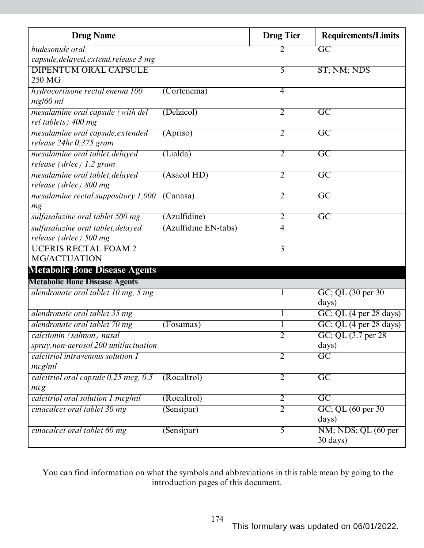| <b>Drug Name</b>                       |                      | <b>Drug Tier</b> | <b>Requirements/Limits</b>                   |
|----------------------------------------|----------------------|------------------|----------------------------------------------|
| budesonide oral                        |                      | 2                | $\overline{GC}$                              |
| capsule, delayed, extend. release 3 mg |                      |                  |                                              |
| <b>DIPENTUM ORAL CAPSULE</b>           |                      | 5                | ST; NM; NDS                                  |
| 250 MG                                 |                      |                  |                                              |
| hydrocortisone rectal enema 100        | $($ Cortenema $)$    | $\overline{4}$   |                                              |
| $mg/60$ ml                             |                      |                  |                                              |
| mesalamine oral capsule (with del      | (Delzicol)           | $\overline{2}$   | $\overline{\mathrm{GC}}$                     |
| rel tablets) 400 mg                    |                      |                  |                                              |
| mesalamine oral capsule, extended      | (Apriso)             | $\overline{2}$   | $\overline{\text{GC}}$                       |
| release 24hr 0.375 gram                |                      |                  |                                              |
| mesalamine oral tablet, delayed        | (Lialda)             | $\overline{2}$   | $\overline{\mathrm{GC}}$                     |
| release (drlec) 1.2 gram               |                      |                  |                                              |
| mesalamine oral tablet, delayed        | (Asacol HD)          | $\overline{2}$   | $\overline{\text{GC}}$                       |
| release (drlec) 800 mg                 |                      |                  |                                              |
| mesalamine rectal suppository 1,000    | (Canasa)             | $\overline{2}$   | $\overline{\mathrm{GC}}$                     |
| mg                                     |                      |                  |                                              |
| sulfasalazine oral tablet 500 mg       | (Azulfidine)         | $\overline{2}$   | $\overline{\text{GC}}$                       |
| sulfasalazine oral tablet, delayed     | (Azulfidine EN-tabs) | 4                |                                              |
| release (drlec) 500 mg                 |                      |                  |                                              |
| <b>UCERIS RECTAL FOAM 2</b>            |                      | $\overline{3}$   |                                              |
| <b>MG/ACTUATION</b>                    |                      |                  |                                              |
| <b>Metabolic Bone Disease Agents</b>   |                      |                  |                                              |
| <b>Metabolic Bone Disease Agents</b>   |                      |                  |                                              |
| alendronate oral tablet 10 mg, 5 mg    |                      |                  | GC; QL (30 per 30)                           |
|                                        |                      |                  | days)                                        |
| alendronate oral tablet 35 mg          |                      |                  | $GC$ ; QL (4 per 28 days)                    |
| alendronate oral tablet 70 mg          | (Fosamax)            | 1                | $GC$ ; QL $(4 \text{ per } 28 \text{ days})$ |
| calcitonin (salmon) nasal              |                      | $\overline{2}$   | GC; QL (3.7 per 28)                          |
| spray, non-aerosol 200 unitlactuation  |                      |                  | days)                                        |
| calcitriol intravenous solution 1      |                      | $\overline{2}$   | $\overline{GC}$                              |
| mcg/ml                                 |                      |                  |                                              |
| calcitriol oral capsule 0.25 mcg, 0.5  | (Rocaltrol)          | $\overline{2}$   | $\overline{GC}$                              |
| mcg                                    |                      |                  |                                              |
| calcitriol oral solution 1 mcg/ml      | (Rocaltrol)          | $\overline{2}$   | $\overline{GC}$                              |
| cinacalcet oral tablet 30 mg           | (Sensipar)           | $\overline{2}$   | GC; QL (60 per 30)                           |
|                                        |                      |                  | days)                                        |
| cinacalcet oral tablet 60 mg           | (Sensipar)           | $\overline{5}$   | NM; NDS; QL (60 per                          |
|                                        |                      |                  | $30 \text{ days}$ )                          |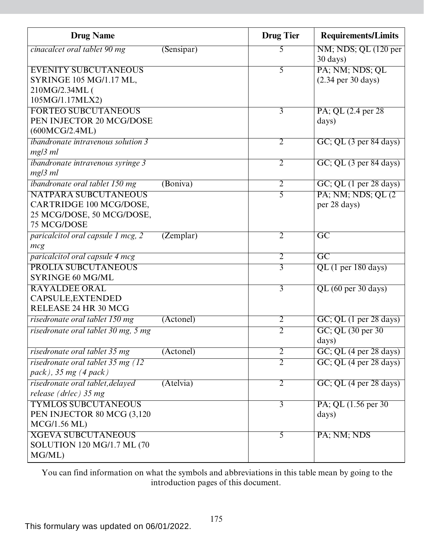| <b>Drug Name</b>                          |            | <b>Drug Tier</b> | <b>Requirements/Limits</b>                   |
|-------------------------------------------|------------|------------------|----------------------------------------------|
| cinacalcet oral tablet 90 mg              | (Sensipar) | 5                | NM; NDS; QL (120 per<br>$30 \text{ days}$ )  |
| <b>EVENITY SUBCUTANEOUS</b>               |            | 5                | PA; NM; NDS; QL                              |
| SYRINGE 105 MG/1.17 ML,                   |            |                  | $(2.34 \text{ per } 30 \text{ days})$        |
| 210MG/2.34ML (                            |            |                  |                                              |
| 105MG/1.17MLX2)                           |            |                  |                                              |
| <b>FORTEO SUBCUTANEOUS</b>                |            | $\overline{3}$   | PA; QL (2.4 per 28)                          |
| PEN INJECTOR 20 MCG/DOSE                  |            |                  | days)                                        |
| (600MCG/2.4ML)                            |            |                  |                                              |
| <i>ibandronate intravenous solution 3</i> |            | $\overline{2}$   | GC; QL (3 per 84 days)                       |
| $mg/3$ ml                                 |            |                  |                                              |
| <i>ibandronate intravenous syringe 3</i>  |            | $\overline{2}$   | GC; QL (3 per 84 days)                       |
| $mg/3$ ml                                 |            |                  |                                              |
| <i>ibandronate oral tablet 150 mg</i>     | (Boniva)   | $\overline{2}$   | $GC$ ; QL $(1 \text{ per } 28 \text{ days})$ |
| <b>NATPARA SUBCUTANEOUS</b>               |            | $\overline{5}$   | PA; NM; NDS; QL (2)                          |
| CARTRIDGE 100 MCG/DOSE,                   |            |                  | per 28 days)                                 |
| 25 MCG/DOSE, 50 MCG/DOSE,                 |            |                  |                                              |
| 75 MCG/DOSE                               |            |                  |                                              |
| paricalcitol oral capsule 1 mcg, 2        | (Zemplar)  | $\overline{2}$   | $\overline{GC}$                              |
| mcg                                       |            |                  |                                              |
| paricalcitol oral capsule 4 mcg           |            | $\overline{2}$   | $\overline{GC}$                              |
| <b>PROLIA SUBCUTANEOUS</b>                |            | $\overline{3}$   | $QL$ (1 per 180 days)                        |
| <b>SYRINGE 60 MG/ML</b>                   |            |                  |                                              |
| <b>RAYALDEE ORAL</b>                      |            | $\overline{3}$   | QL (60 per 30 days)                          |
| CAPSULE, EXTENDED                         |            |                  |                                              |
| RELEASE 24 HR 30 MCG                      |            |                  |                                              |
| risedronate oral tablet 150 mg            | (Actonel)  | $\overline{2}$   | GC; QL (1 per 28 days)                       |
| risedronate oral tablet 30 mg, 5 mg       |            | $\overline{2}$   | GC; QL (30 per 30)                           |
|                                           |            |                  | days)                                        |
| risedronate oral tablet 35 mg             | (Actonel)  | $\overline{2}$   | $GC$ ; QL $(4$ per 28 days)                  |
| risedronate oral tablet 35 mg (12)        |            | $\overline{2}$   | $GC$ ; QL $(4 \text{ per } 28 \text{ days})$ |
| pack), 35 mg $(4$ pack)                   |            |                  |                                              |
| risedronate oral tablet, delayed          | (Atelvia)  | $\overline{2}$   | $GC$ ; QL $(4$ per 28 days)                  |
| release ( $drlec$ ) 35 mg                 |            |                  |                                              |
| <b>TYMLOS SUBCUTANEOUS</b>                |            | $\overline{3}$   | PA; QL (1.56 per 30)                         |
| PEN INJECTOR 80 MCG (3,120)               |            |                  | days)                                        |
| MCG/1.56 ML)                              |            |                  |                                              |
| <b>XGEVA SUBCUTANEOUS</b>                 |            | 5                | PA; NM; NDS                                  |
| SOLUTION 120 MG/1.7 ML (70                |            |                  |                                              |
| MG/ML)                                    |            |                  |                                              |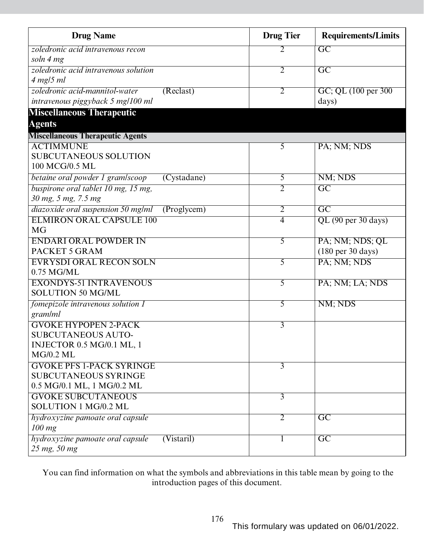| <b>Drug Name</b>                                | <b>Drug Tier</b> | <b>Requirements/Limits</b>           |
|-------------------------------------------------|------------------|--------------------------------------|
| zoledronic acid intravenous recon               | 2                | $\overline{GC}$                      |
| soln 4 mg                                       |                  |                                      |
| zoledronic acid intravenous solution            | $\overline{2}$   | $\overline{GC}$                      |
| $4$ mg/5 ml                                     |                  |                                      |
| (Reclast)<br>zoledronic acid-mannitol-water     | $\overline{2}$   | GC; QL (100 per 300)                 |
| intravenous piggyback 5 mg/100 ml               |                  | days)                                |
| <b>Miscellaneous Therapeutic</b>                |                  |                                      |
| <b>Agents</b>                                   |                  |                                      |
| <b>Miscellaneous Therapeutic Agents</b>         |                  |                                      |
| <b>ACTIMMUNE</b>                                | $\overline{5}$   | PA; NM; NDS                          |
| <b>SUBCUTANEOUS SOLUTION</b>                    |                  |                                      |
| 100 MCG/0.5 ML                                  |                  |                                      |
| betaine oral powder 1 gram/scoop<br>(Cystadane) | 5                | NM; NDS                              |
| buspirone oral tablet 10 mg, 15 mg,             | $\overline{2}$   | $\overline{GC}$                      |
| 30 mg, 5 mg, 7.5 mg                             |                  |                                      |
| diazoxide oral suspension 50 mg/ml<br>(Program) | $\overline{2}$   | $\overline{GC}$                      |
| <b>ELMIRON ORAL CAPSULE 100</b>                 | $\overline{4}$   | QL (90 per 30 days)                  |
| <b>MG</b>                                       |                  |                                      |
| <b>ENDARI ORAL POWDER IN</b>                    | $\overline{5}$   | PA; NM; NDS; QL                      |
| PACKET 5 GRAM                                   |                  | $(180 \text{ per } 30 \text{ days})$ |
| <b>EVRYSDI ORAL RECON SOLN</b>                  | $\overline{5}$   | PA; NM; NDS                          |
| 0.75 MG/ML                                      |                  |                                      |
| <b>EXONDYS-51 INTRAVENOUS</b>                   | 5                | PA; NM; LA; NDS                      |
| <b>SOLUTION 50 MG/ML</b>                        |                  |                                      |
| fomepizole intravenous solution 1               | $\overline{5}$   | NM; NDS                              |
| gram/ml                                         |                  |                                      |
| <b>GVOKE HYPOPEN 2-PACK</b>                     | $\overline{3}$   |                                      |
| <b>SUBCUTANEOUS AUTO-</b>                       |                  |                                      |
| <b>INJECTOR 0.5 MG/0.1 ML, 1</b><br>MG/0.2 ML   |                  |                                      |
| <b>GVOKE PFS 1-PACK SYRINGE</b>                 |                  |                                      |
| <b>SUBCUTANEOUS SYRINGE</b>                     | $\overline{3}$   |                                      |
| 0.5 MG/0.1 ML, 1 MG/0.2 ML                      |                  |                                      |
| <b>GVOKE SUBCUTANEOUS</b>                       | $\overline{3}$   |                                      |
| SOLUTION 1 MG/0.2 ML                            |                  |                                      |
| hydroxyzine pamoate oral capsule                | 2                | $\overline{GC}$                      |
| $100$ mg                                        |                  |                                      |
| hydroxyzine pamoate oral capsule<br>(Vistari)   |                  | $\overline{\mathrm{GC}}$             |
| 25 mg, 50 mg                                    |                  |                                      |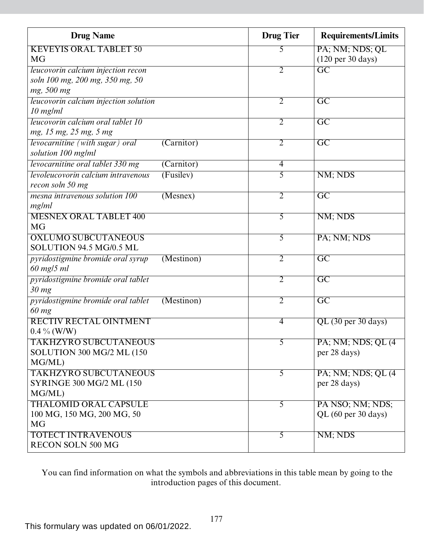| <b>Drug Name</b>                                                    | <b>Drug Tier</b> | <b>Requirements/Limits</b>           |
|---------------------------------------------------------------------|------------------|--------------------------------------|
| <b>KEVEYIS ORAL TABLET 50</b>                                       | 5                | PA; NM; NDS; QL                      |
| MG                                                                  |                  | $(120 \text{ per } 30 \text{ days})$ |
| leucovorin calcium injection recon                                  | $\overline{2}$   | $\overline{\text{GC}}$               |
| soln 100 mg, 200 mg, 350 mg, 50                                     |                  |                                      |
| mg, 500 mg                                                          |                  |                                      |
| leucovorin calcium injection solution                               | 2                | $\overline{\mathrm{GC}}$             |
| $10$ mg/ml                                                          |                  |                                      |
| leucovorin calcium oral tablet 10                                   | $\overline{2}$   | $\overline{\mathrm{GC}}$             |
| mg, 15 mg, 25 mg, 5 mg                                              |                  |                                      |
| levocarnitine (with sugar) oral<br>(Carnitor)<br>solution 100 mg/ml | $\overline{2}$   | $\overline{GC}$                      |
| levocarnitine oral tablet 330 mg<br>(Carnitor)                      | $\overline{4}$   |                                      |
| levoleucovorin calcium intravenous<br>(Fusilev)                     | 5                | NM; NDS                              |
| recon soln 50 mg                                                    |                  |                                      |
| mesna intravenous solution 100<br>(Mesnex)                          | $\overline{2}$   | $\overline{GC}$                      |
| mg/ml                                                               |                  |                                      |
| <b>MESNEX ORAL TABLET 400</b>                                       | 5                | NM; NDS                              |
| <b>MG</b>                                                           |                  |                                      |
| <b>OXLUMO SUBCUTANEOUS</b>                                          | 5                | PA; NM; NDS                          |
| SOLUTION 94.5 MG/0.5 ML                                             |                  |                                      |
| pyridostigmine bromide oral syrup<br>(Mestinon)                     | $\overline{2}$   | $\overline{GC}$                      |
| 60 mg/5 ml                                                          |                  |                                      |
| pyridostigmine bromide oral tablet                                  | $\overline{2}$   | $\overline{GC}$                      |
| 30 mg                                                               |                  |                                      |
| pyridostigmine bromide oral tablet<br>(Mestinon)                    | $\overline{2}$   | $\overline{GC}$                      |
| 60 mg                                                               |                  |                                      |
| <b>RECTIV RECTAL OINTMENT</b>                                       | $\overline{4}$   | QL (30 per 30 days)                  |
| $0.4\%$ (W/W)                                                       |                  |                                      |
| <b>TAKHZYRO SUBCUTANEOUS</b>                                        | 5                | PA; NM; NDS; QL (4)                  |
| SOLUTION 300 MG/2 ML (150                                           |                  | per 28 days)                         |
| MG/ML)                                                              |                  |                                      |
| <b>TAKHZYRO SUBCUTANEOUS</b>                                        | $\overline{5}$   | PA; NM; NDS; QL (4)                  |
| <b>SYRINGE 300 MG/2 ML (150)</b>                                    |                  | per 28 days)                         |
| MG/ML)                                                              |                  |                                      |
| <b>THALOMID ORAL CAPSULE</b>                                        | $\overline{5}$   | PA NSO; NM; NDS;                     |
| 100 MG, 150 MG, 200 MG, 50                                          |                  | QL (60 per 30 days)                  |
| <b>MG</b>                                                           |                  |                                      |
| <b>TOTECT INTRAVENOUS</b>                                           | 5                | NM; NDS                              |
| <b>RECON SOLN 500 MG</b>                                            |                  |                                      |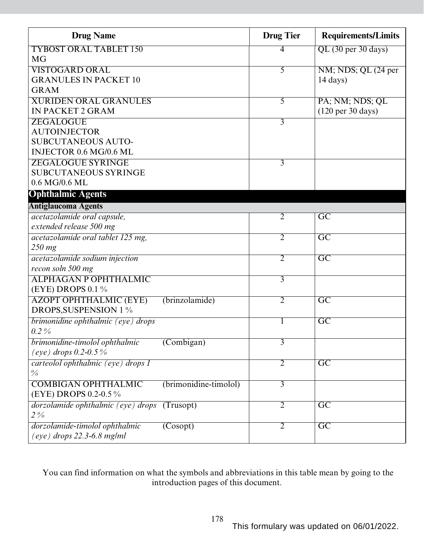| <b>Drug Name</b>                   |                                | <b>Drug Tier</b> | <b>Requirements/Limits</b>           |
|------------------------------------|--------------------------------|------------------|--------------------------------------|
| <b>TYBOST ORAL TABLET 150</b>      |                                | 4                | $QL$ (30 per 30 days)                |
| <b>MG</b>                          |                                |                  |                                      |
| <b>VISTOGARD ORAL</b>              |                                | 5                | NM; NDS; QL (24 per                  |
| <b>GRANULES IN PACKET 10</b>       |                                |                  | $14 \text{ days}$                    |
| <b>GRAM</b>                        |                                |                  |                                      |
| <b>XURIDEN ORAL GRANULES</b>       |                                | 5                | PA; NM; NDS; QL                      |
| <b>IN PACKET 2 GRAM</b>            |                                |                  | $(120 \text{ per } 30 \text{ days})$ |
| ZEGALOGUE                          |                                | $\overline{3}$   |                                      |
| <b>AUTOINJECTOR</b>                |                                |                  |                                      |
| <b>SUBCUTANEOUS AUTO-</b>          |                                |                  |                                      |
| INJECTOR 0.6 MG/0.6 ML             |                                |                  |                                      |
| <b>ZEGALOGUE SYRINGE</b>           |                                | 3                |                                      |
| <b>SUBCUTANEOUS SYRINGE</b>        |                                |                  |                                      |
| 0.6 MG/0.6 ML                      |                                |                  |                                      |
| <b>Ophthalmic Agents</b>           |                                |                  |                                      |
| <b>Antiglaucoma Agents</b>         |                                |                  |                                      |
| acetazolamide oral capsule,        |                                | $\overline{2}$   | $\overline{GC}$                      |
| extended release 500 mg            |                                |                  |                                      |
| acetazolamide oral tablet 125 mg,  |                                | $\overline{2}$   | $\overline{GC}$                      |
| 250 mg                             |                                |                  |                                      |
| acetazolamide sodium injection     |                                | $\overline{2}$   | $\overline{GC}$                      |
| recon soln 500 mg                  |                                |                  |                                      |
| <b>ALPHAGAN P OPHTHALMIC</b>       |                                | $\overline{3}$   |                                      |
| (EYE) DROPS 0.1 %                  |                                |                  |                                      |
| <b>AZOPT OPHTHALMIC (EYE)</b>      | (brinzolamide)                 | $\overline{2}$   | $\overline{GC}$                      |
| <b>DROPS, SUSPENSION 1 %</b>       |                                |                  |                                      |
| brimonidine ophthalmic (eye) drops |                                |                  | $\overline{GC}$                      |
| $0.2\%$                            |                                |                  |                                      |
| brimonidine-timolol ophthalmic     | $\overline{\text{(Combigan)}}$ | $\overline{3}$   |                                      |
| (eye) drops 0.2-0.5%               |                                |                  |                                      |
| carteolol ophthalmic (eye) drops I |                                | $\overline{2}$   | $\overline{GC}$                      |
| $\frac{0}{0}$                      |                                |                  |                                      |
| <b>COMBIGAN OPHTHALMIC</b>         | (brimonidine-timolol)          | 3                |                                      |
| (EYE) DROPS 0.2-0.5 %              |                                |                  |                                      |
| dorzolamide ophthalmic (eye) drops | (Trusopt)                      | $\overline{2}$   | $\overline{GC}$                      |
| $2\%$                              |                                |                  |                                      |
| dorzolamide-timolol ophthalmic     | (Cosopt)                       | 2                | $\overline{GC}$                      |
| $(eye)$ drops 22.3-6.8 mg/ml       |                                |                  |                                      |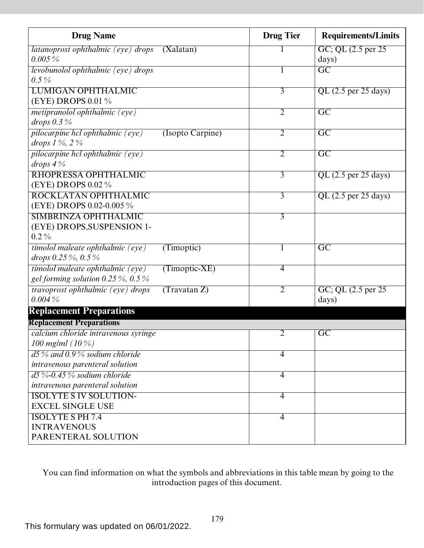| <b>Drug Name</b>                                    | <b>Drug Tier</b>                   | <b>Requirements/Limits</b> |
|-----------------------------------------------------|------------------------------------|----------------------------|
| latanoprost ophthalmic (eye) drops<br>(Xalatan)     |                                    | GC; QL (2.5 per 25)        |
| $0.005\,\%$                                         |                                    | days)                      |
| levobunolol ophthalmic (eye) drops                  |                                    | $\overline{GC}$            |
| $0.5\%$                                             |                                    |                            |
| <b>LUMIGAN OPHTHALMIC</b>                           | $\overline{3}$                     | $QL$ (2.5 per 25 days)     |
| (EYE) DROPS 0.01 %                                  |                                    |                            |
| <i>metipranolol ophthalmic (eye)</i>                | $\overline{2}$                     | $\overline{GC}$            |
| drops $0.3\%$                                       |                                    |                            |
| pilocarpine hcl ophthalmic (eye)                    | $\overline{2}$<br>(Isopto Carpine) | $\overline{GC}$            |
| drops $1\%$ , $2\%$                                 |                                    |                            |
| pilocarpine hel ophthalmic (eye)                    | $\overline{2}$                     | $\overline{GC}$            |
| drops $4\%$                                         |                                    |                            |
| RHOPRESSA OPHTHALMIC                                | $\overline{3}$                     | QL $(2.5$ per 25 days)     |
| (EYE) DROPS 0.02 %                                  |                                    |                            |
| ROCKLATAN OPHTHALMIC                                | $\overline{3}$                     | $QL$ (2.5 per 25 days)     |
| (EYE) DROPS 0.02-0.005 %                            |                                    |                            |
| <b>SIMBRINZA OPHTHALMIC</b>                         | $\overline{3}$                     |                            |
| (EYE) DROPS, SUSPENSION 1-                          |                                    |                            |
| $0.2\%$                                             |                                    |                            |
| timolol maleate ophthalmic (eye)<br>(Timoptic)      | 1                                  | $\overline{GC}$            |
| drops 0.25 %, 0.5 %                                 |                                    |                            |
| timolol maleate ophthalmic (eye)<br>$(Timoptic-XE)$ | $\overline{4}$                     |                            |
| gel forming solution $0.25\%$ , $0.5\%$             |                                    |                            |
| travoprost ophthalmic (eye) drops<br>(Travatan Z)   | $\overline{2}$                     | GC; QL (2.5 per 25)        |
| 0.004%                                              |                                    | days)                      |
| <b>Replacement Preparations</b>                     |                                    |                            |
| <b>Replacement Preparations</b>                     |                                    |                            |
| calcium chloride intravenous syringe                | 2                                  | GC                         |
| 100 mg/ml $(10\%)$                                  |                                    |                            |
| $d5\%$ and 0.9% sodium chloride                     | $\overline{4}$                     |                            |
| intravenous parenteral solution                     |                                    |                            |
| $d5\%$ -0.45% sodium chloride                       | $\overline{4}$                     |                            |
| intravenous parenteral solution                     |                                    |                            |
| <b>ISOLYTE S IV SOLUTION-</b>                       | $\overline{4}$                     |                            |
| <b>EXCEL SINGLE USE</b>                             |                                    |                            |
| <b>ISOLYTE S PH 7.4</b>                             | $\overline{4}$                     |                            |
| <b>INTRAVENOUS</b>                                  |                                    |                            |
| PARENTERAL SOLUTION                                 |                                    |                            |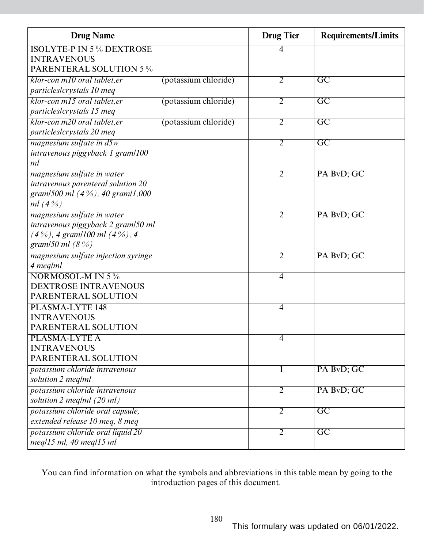| <b>Drug Name</b>                    |                      | <b>Drug</b> Tier | <b>Requirements/Limits</b> |
|-------------------------------------|----------------------|------------------|----------------------------|
| <b>ISOLYTE-P IN 5 % DEXTROSE</b>    |                      | 4                |                            |
| <b>INTRAVENOUS</b>                  |                      |                  |                            |
| <b>PARENTERAL SOLUTION 5%</b>       |                      |                  |                            |
| klor-con m10 oral tablet, er        | (potassium chloride) | $\overline{2}$   | $\overline{\mathrm{GC}}$   |
| particles/crystals 10 meq           |                      |                  |                            |
| klor-con m15 oral tablet, er        | (potassium chloride) | $\overline{2}$   | $\overline{\mathrm{GC}}$   |
| particles/crystals 15 meq           |                      |                  |                            |
| klor-con m20 oral tablet, er        | (potassium chloride) | $\overline{2}$   | $\overline{GC}$            |
| particles/crystals 20 meq           |                      |                  |                            |
| magnesium sulfate in d5w            |                      | $\overline{2}$   | $\overline{GC}$            |
| intravenous piggyback 1 gram/100    |                      |                  |                            |
| ml                                  |                      |                  |                            |
| magnesium sulfate in water          |                      | $\overline{2}$   | PA BvD; GC                 |
| intravenous parenteral solution 20  |                      |                  |                            |
| gram/500 ml $(4\%)$ , 40 gram/1,000 |                      |                  |                            |
| <i>ml</i> $(4\%)$                   |                      |                  |                            |
| magnesium sulfate in water          |                      | 2                | PA BvD; GC                 |
| intravenous piggyback 2 gram/50 ml  |                      |                  |                            |
| $(4\%)$ , 4 gram/100 ml $(4\%)$ , 4 |                      |                  |                            |
| gram/50 ml $(8\%)$                  |                      |                  |                            |
| magnesium sulfate injection syringe |                      | 2                | PA BvD; GC                 |
| 4 meg/ml                            |                      |                  |                            |
| NORMOSOL-M IN 5 %                   |                      | $\overline{4}$   |                            |
| <b>DEXTROSE INTRAVENOUS</b>         |                      |                  |                            |
| PARENTERAL SOLUTION                 |                      |                  |                            |
| PLASMA-LYTE 148                     |                      | $\overline{4}$   |                            |
| <b>INTRAVENOUS</b>                  |                      |                  |                            |
| PARENTERAL SOLUTION                 |                      |                  |                            |
| PLASMA-LYTE A                       |                      | 4                |                            |
| <b>INTRAVENOUS</b>                  |                      |                  |                            |
| PARENTERAL SOLUTION                 |                      |                  |                            |
| potassium chloride intravenous      |                      | $\mathbf{I}$     | PA BvD; GC                 |
| solution 2 meg/ml                   |                      |                  |                            |
| potassium chloride intravenous      |                      | $\overline{2}$   | PA BvD; GC                 |
| solution 2 meg/ml (20 ml)           |                      |                  |                            |
| potassium chloride oral capsule,    |                      | 2                | $\overline{\text{GC}}$     |
| extended release 10 meq, 8 meq      |                      |                  |                            |
| potassium chloride oral liquid 20   |                      | $\overline{2}$   | $\overline{GC}$            |
| $meq/15$ ml, 40 meq $/15$ ml        |                      |                  |                            |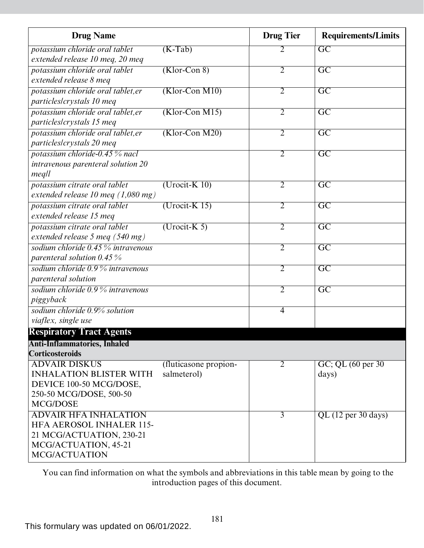| <b>Drug Name</b>                                                 |                       | <b>Drug Tier</b> | <b>Requirements/Limits</b>              |
|------------------------------------------------------------------|-----------------------|------------------|-----------------------------------------|
| potassium chloride oral tablet                                   | $(K-Tab)$             | 2                | $\overline{\mathrm{GC}}$                |
| extended release 10 meg, 20 meg                                  |                       |                  |                                         |
| potassium chloride oral tablet                                   | $(Klor-Con 8)$        | $\overline{2}$   | $\overline{\mathrm{GC}}$                |
| extended release 8 meg                                           |                       |                  |                                         |
| potassium chloride oral tablet, er                               | $(Klor$ -Con M10)     | $\overline{2}$   | $\overline{\mathrm{GC}}$                |
| particles/crystals 10 meq                                        |                       |                  |                                         |
| potassium chloride oral tablet, er                               | $(Klor$ -Con M15)     | $\overline{2}$   | $\overline{\rm GC}$                     |
| particles/crystals 15 meq                                        |                       |                  |                                         |
| potassium chloride oral tablet, er                               | $(Klor$ -Con M20)     | 2                | $\overline{\rm GC}$                     |
| particles/crystals 20 meq                                        |                       |                  |                                         |
| potassium chloride-0.45 % nacl                                   |                       | $\overline{2}$   | $\overline{GC}$                         |
| intravenous parenteral solution 20                               |                       |                  |                                         |
| meq                                                              |                       |                  |                                         |
| potassium citrate oral tablet                                    | $(U$ rocit-K 10)      | $\overline{2}$   | $\overline{\text{GC}}$                  |
| extended release 10 meg $(1,080 \text{ mg})$                     |                       |                  |                                         |
| potassium citrate oral tablet                                    | $(Urocit-K 15)$       | $\overline{2}$   | $\overline{\mathrm{GC}}$                |
| extended release 15 meg                                          |                       |                  |                                         |
| potassium citrate oral tablet<br>extended release 5 meg (540 mg) | $(Urocit-K 5)$        | $\overline{2}$   | $\overline{\text{GC}}$                  |
| sodium chloride 0.45 % intravenous                               |                       | $\overline{2}$   | $\overline{\text{GC}}$                  |
| parenteral solution $0.45\%$                                     |                       |                  |                                         |
| sodium chloride 0.9% intravenous                                 |                       | $\overline{2}$   | $\overline{\text{GC}}$                  |
| <i>parenteral solution</i>                                       |                       |                  |                                         |
| sodium chloride 0.9 % intravenous                                |                       | $\overline{2}$   | $\overline{\mathrm{GC}}$                |
| piggyback                                                        |                       |                  |                                         |
| sodium chloride 0.9% solution                                    |                       | 4                |                                         |
| viaflex, single use                                              |                       |                  |                                         |
| <b>Respiratory Tract Agents</b>                                  |                       |                  |                                         |
| Anti-Inflammatories, Inhaled                                     |                       |                  |                                         |
| <b>Corticosteroids</b>                                           |                       |                  |                                         |
| <b>ADVAIR DISKUS</b>                                             | (fluticasone propion- | 2                | $GC$ ; QL $(60 \text{ per } 30)$        |
| <b>INHALATION BLISTER WITH</b>                                   | salmeterol)           |                  | days)                                   |
| DEVICE 100-50 MCG/DOSE,                                          |                       |                  |                                         |
| 250-50 MCG/DOSE, 500-50                                          |                       |                  |                                         |
| <b>MCG/DOSE</b>                                                  |                       |                  |                                         |
| <b>ADVAIR HFA INHALATION</b>                                     |                       | 3                | $\overline{\text{QL (12 per 30 days)}}$ |
| <b>HFA AEROSOL INHALER 115-</b>                                  |                       |                  |                                         |
| 21 MCG/ACTUATION, 230-21                                         |                       |                  |                                         |
| MCG/ACTUATION, 45-21                                             |                       |                  |                                         |
| <b>MCG/ACTUATION</b>                                             |                       |                  |                                         |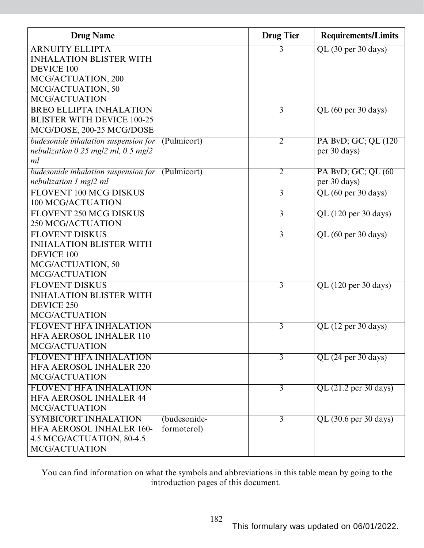| <b>Drug Name</b>                                    | <b>Drug Tier</b> | <b>Requirements/Limits</b> |
|-----------------------------------------------------|------------------|----------------------------|
| <b>ARNUITY ELLIPTA</b>                              | 3                | QL (30 per 30 days)        |
| <b>INHALATION BLISTER WITH</b>                      |                  |                            |
| <b>DEVICE 100</b>                                   |                  |                            |
| MCG/ACTUATION, 200                                  |                  |                            |
| MCG/ACTUATION, 50                                   |                  |                            |
| <b>MCG/ACTUATION</b>                                |                  |                            |
| <b>BREO ELLIPTA INHALATION</b>                      | $\overline{3}$   | QL (60 per 30 days)        |
| <b>BLISTER WITH DEVICE 100-25</b>                   |                  |                            |
| MCG/DOSE, 200-25 MCG/DOSE                           |                  |                            |
| budesonide inhalation suspension for<br>(Pulmicort) | $\overline{2}$   | PA BvD; GC; QL (120)       |
| nebulization $0.25$ mg/2 ml, $0.5$ mg/2             |                  | per 30 days)               |
| ml                                                  |                  |                            |
| budesonide inhalation suspension for<br>(Pulmicort) | $\overline{2}$   | PA BvD; GC; QL (60)        |
| nebulization 1 mg/2 ml                              |                  | per 30 days)               |
| FLOVENT 100 MCG DISKUS                              | $\overline{3}$   | QL (60 per 30 days)        |
| 100 MCG/ACTUATION                                   |                  |                            |
| FLOVENT 250 MCG DISKUS                              | 3                | $QL$ (120 per 30 days)     |
| <b>250 MCG/ACTUATION</b>                            |                  |                            |
| <b>FLOVENT DISKUS</b>                               | $\overline{3}$   | QL (60 per 30 days)        |
| <b>INHALATION BLISTER WITH</b>                      |                  |                            |
| <b>DEVICE 100</b>                                   |                  |                            |
| MCG/ACTUATION, 50                                   |                  |                            |
| <b>MCG/ACTUATION</b>                                |                  |                            |
| <b>FLOVENT DISKUS</b>                               | $\overline{3}$   | $QL$ (120 per 30 days)     |
| <b>INHALATION BLISTER WITH</b>                      |                  |                            |
| DEVICE 250                                          |                  |                            |
| <b>MCG/ACTUATION</b>                                |                  |                            |
| <b>FLOVENT HFA INHALATION</b>                       | 3                | $QL$ (12 per 30 days)      |
| HFA AEROSOL INHALER 110                             |                  |                            |
| MCG/ACTUATION                                       |                  |                            |
| <b>FLOVENT HFA INHALATION</b>                       | $\overline{3}$   | QL (24 per 30 days)        |
| <b>HFA AEROSOL INHALER 220</b>                      |                  |                            |
| <b>MCG/ACTUATION</b>                                |                  |                            |
| <b>FLOVENT HFA INHALATION</b>                       | $\overline{3}$   | QL (21.2 per 30 days)      |
| <b>HFA AEROSOL INHALER 44</b>                       |                  |                            |
| <b>MCG/ACTUATION</b>                                |                  |                            |
| <b>SYMBICORT INHALATION</b><br>(budesonide-         | 3                | QL (30.6 per 30 days)      |
| <b>HFA AEROSOL INHALER 160-</b><br>formoterol)      |                  |                            |
| 4.5 MCG/ACTUATION, 80-4.5                           |                  |                            |
| MCG/ACTUATION                                       |                  |                            |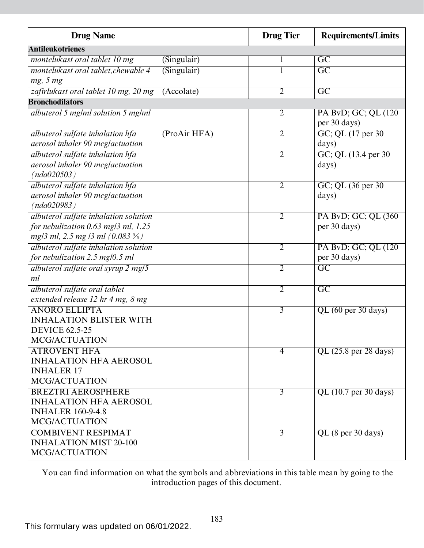| <b>Drug Name</b>                                   | <b>Drug Tier</b> | <b>Requirements/Limits</b>               |
|----------------------------------------------------|------------------|------------------------------------------|
| <b>Antileukotrienes</b>                            |                  |                                          |
| montelukast oral tablet 10 mg<br>(Singulair)       | 1                | $\overline{\mathrm{GC}}$                 |
| (Singular)<br>montelukast oral tablet, chewable 4  |                  | $\overline{\mathrm{GC}}$                 |
| mg, 5 mg                                           |                  |                                          |
| zafirlukast oral tablet 10 mg, 20 mg<br>(Accolate) | $\overline{2}$   | $\overline{GC}$                          |
| <b>Bronchodilators</b>                             |                  |                                          |
| albuterol 5 mg/ml solution 5 mg/ml                 | $\overline{2}$   | PA BvD; GC; QL (120)                     |
|                                                    |                  | per 30 days)                             |
| albuterol sulfate inhalation hfa<br>(ProAir HFA)   | $\overline{2}$   | GC; QL (17 per 30)                       |
| aerosol inhaler 90 mcglactuation                   |                  | days)                                    |
| albuterol sulfate inhalation hfa                   | $\overline{2}$   | GC; QL (13.4 per 30)                     |
| aerosol inhaler 90 mcglactuation                   |                  | days)                                    |
| (nda020503)                                        |                  |                                          |
| albuterol sulfate inhalation hfa                   | $\overline{2}$   | GC; QL (36 per 30)                       |
| aerosol inhaler 90 mcglactuation                   |                  | days)                                    |
| (nda020983)                                        |                  |                                          |
| albuterol sulfate inhalation solution              | $\overline{2}$   | PA BvD; GC; QL (360)                     |
| for nebulization $0.63$ mg/3 ml, 1.25              |                  | per 30 days)                             |
| mg/3 ml, 2.5 mg /3 ml (0.083 %)                    |                  |                                          |
| albuterol sulfate inhalation solution              | $\overline{2}$   | PA BvD; GC; QL (120)                     |
| for nebulization 2.5 mg/0.5 ml                     |                  | per 30 days)                             |
| albuterol sulfate oral syrup 2 mg/5                | $\overline{2}$   | $\overline{\mathrm{GC}}$                 |
| ml                                                 |                  |                                          |
| albuterol sulfate oral tablet                      | $\overline{2}$   | $\overline{GC}$                          |
| extended release 12 hr 4 mg, 8 mg                  |                  |                                          |
| <b>ANORO ELLIPTA</b>                               | $\overline{3}$   | QL (60 per 30 days)                      |
| <b>INHALATION BLISTER WITH</b>                     |                  |                                          |
| <b>DEVICE 62.5-25</b>                              |                  |                                          |
| <b>MCG/ACTUATION</b>                               |                  |                                          |
| <b>ATROVENT HFA</b>                                | 4                | QL (25.8 per 28 days)                    |
| <b>INHALATION HFA AEROSOL</b>                      |                  |                                          |
| <b>INHALER 17</b>                                  |                  |                                          |
| <b>MCG/ACTUATION</b>                               |                  |                                          |
| <b>BREZTRI AEROSPHERE</b>                          | $\overline{3}$   | QL $(10.7 \text{ per } 30 \text{ days})$ |
| <b>INHALATION HFA AEROSOL</b>                      |                  |                                          |
| <b>INHALER 160-9-4.8</b>                           |                  |                                          |
| <b>MCG/ACTUATION</b>                               |                  |                                          |
| <b>COMBIVENT RESPIMAT</b>                          | $\overline{3}$   | $QL$ (8 per 30 days)                     |
| <b>INHALATION MIST 20-100</b>                      |                  |                                          |
| MCG/ACTUATION                                      |                  |                                          |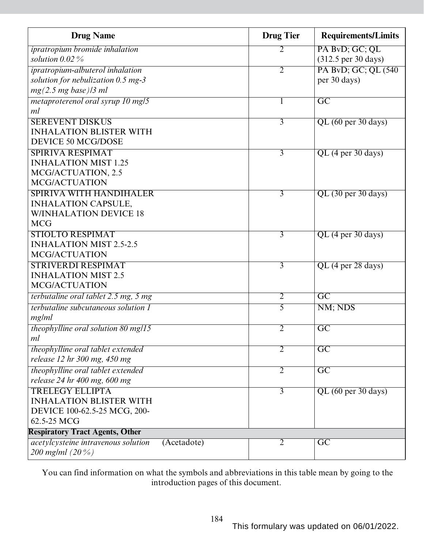| <b>Drug Name</b>                                          | <b>Drug Tier</b> | <b>Requirements/Limits</b>                |
|-----------------------------------------------------------|------------------|-------------------------------------------|
| ipratropium bromide inhalation                            | 2                | PA BvD; GC; QL                            |
| solution $0.02\%$                                         |                  | $(312.5 \,\text{per}\, 30 \,\text{days})$ |
| ipratropium-albuterol inhalation                          | $\overline{2}$   | PA BvD; GC; QL (540)                      |
| solution for nebulization 0.5 mg-3                        |                  | per 30 days)                              |
| mg(2.5 mg base)/3 ml                                      |                  |                                           |
| metaproterenol oral syrup 10 mg/5                         | 1                | $\overline{\text{GC}}$                    |
| ml                                                        |                  |                                           |
| <b>SEREVENT DISKUS</b>                                    | $\overline{3}$   | QL (60 per 30 days)                       |
| <b>INHALATION BLISTER WITH</b>                            |                  |                                           |
| <b>DEVICE 50 MCG/DOSE</b>                                 |                  |                                           |
| <b>SPIRIVA RESPIMAT</b>                                   | 3                | $QL$ (4 per 30 days)                      |
| <b>INHALATION MIST 1.25</b>                               |                  |                                           |
| MCG/ACTUATION, 2.5                                        |                  |                                           |
| <b>MCG/ACTUATION</b>                                      |                  |                                           |
| <b>SPIRIVA WITH HANDIHALER</b>                            | $\overline{3}$   | $QL$ (30 per 30 days)                     |
| <b>INHALATION CAPSULE,</b>                                |                  |                                           |
| <b>W/INHALATION DEVICE 18</b>                             |                  |                                           |
| <b>MCG</b>                                                |                  |                                           |
| <b>STIOLTO RESPIMAT</b>                                   | 3                | $QL$ (4 per 30 days)                      |
| <b>INHALATION MIST 2.5-2.5</b>                            |                  |                                           |
| <b>MCG/ACTUATION</b>                                      |                  |                                           |
| <b>STRIVERDI RESPIMAT</b>                                 | $\overline{3}$   | QL (4 per 28 days)                        |
| <b>INHALATION MIST 2.5</b>                                |                  |                                           |
| <b>MCG/ACTUATION</b>                                      |                  |                                           |
| terbutaline oral tablet 2.5 mg, 5 mg                      | $\overline{2}$   | $\overline{\mathrm{GC}}$                  |
| <i>terbutaline subcutaneous solution 1</i>                | $\overline{5}$   | NM; NDS                                   |
| mg/ml                                                     |                  |                                           |
| theophylline oral solution $80$ mg/15                     | $\overline{2}$   | $\overline{\rm GC}$                       |
| ml                                                        |                  |                                           |
| theophylline oral tablet extended                         | $\overline{2}$   | $\overline{GC}$                           |
| release 12 hr 300 mg, 450 mg                              |                  |                                           |
| theophylline oral tablet extended                         | $\overline{2}$   | $\overline{GC}$                           |
| release 24 hr 400 mg, 600 mg                              |                  |                                           |
| <b>TRELEGY ELLIPTA</b>                                    | $\overline{3}$   | QL (60 per 30 days)                       |
| <b>INHALATION BLISTER WITH</b>                            |                  |                                           |
| DEVICE 100-62.5-25 MCG, 200-                              |                  |                                           |
| 62.5-25 MCG                                               |                  |                                           |
| <b>Respiratory Tract Agents, Other</b>                    |                  |                                           |
| <i>acetylcysteine intravenous solution</i><br>(Acetadote) | 2                | $\overline{GC}$                           |
| 200 mg/ml $(20\%)$                                        |                  |                                           |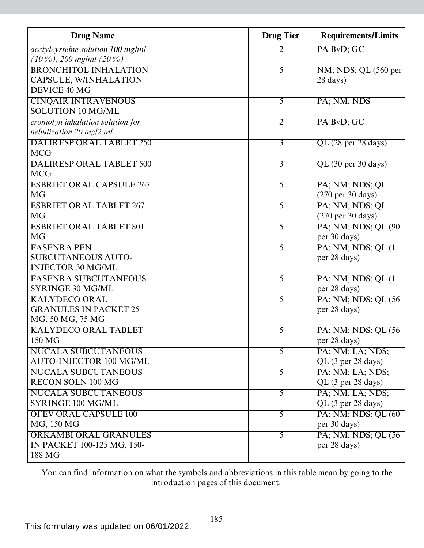| <b>Drug Name</b>                         | <b>Drug Tier</b> | <b>Requirements/Limits</b>           |
|------------------------------------------|------------------|--------------------------------------|
| <i>acetylcysteine solution 100 mg/ml</i> | 2                | PA BvD; GC                           |
| $(10\%)$ , 200 mg/ml $(20\%)$            |                  |                                      |
| <b>BRONCHITOL INHALATION</b>             | 5                | NM; NDS; QL (560 per                 |
| CAPSULE, W/INHALATION                    |                  | 28 days)                             |
| DEVICE 40 MG                             |                  |                                      |
| <b>CINQAIR INTRAVENOUS</b>               | 5                | PA; NM; NDS                          |
| <b>SOLUTION 10 MG/ML</b>                 |                  |                                      |
| cromolyn inhalation solution for         | $\overline{2}$   | PA BvD; GC                           |
| nebulization 20 mg/2 ml                  |                  |                                      |
| <b>DALIRESP ORAL TABLET 250</b>          | $\overline{3}$   | QL (28 per 28 days)                  |
| <b>MCG</b>                               |                  |                                      |
| <b>DALIRESP ORAL TABLET 500</b>          | $\overline{3}$   | $QL$ (30 per 30 days)                |
| <b>MCG</b>                               |                  |                                      |
| <b>ESBRIET ORAL CAPSULE 267</b>          | $\overline{5}$   | PA; NM; NDS; QL                      |
| MG                                       |                  | $(270 \text{ per } 30 \text{ days})$ |
| <b>ESBRIET ORAL TABLET 267</b>           | 5                | PA; NM; NDS; QL                      |
| <b>MG</b>                                |                  | $(270 \text{ per } 30 \text{ days})$ |
| <b>ESBRIET ORAL TABLET 801</b>           | 5                | PA; NM; NDS; QL (90)                 |
| <b>MG</b>                                |                  | per 30 days)                         |
| <b>FASENRA PEN</b>                       | $\overline{5}$   | PA; NM; NDS; QL (1)                  |
| <b>SUBCUTANEOUS AUTO-</b>                |                  | per 28 days)                         |
| <b>INJECTOR 30 MG/ML</b>                 |                  |                                      |
| <b>FASENRA SUBCUTANEOUS</b>              | 5                | PA; NM; NDS; QL (1)                  |
| SYRINGE 30 MG/ML                         |                  | per 28 days)                         |
| <b>KALYDECO ORAL</b>                     | 5                | PA; NM; NDS; QL (56)                 |
| <b>GRANULES IN PACKET 25</b>             |                  | per 28 days)                         |
| MG, 50 MG, 75 MG                         |                  |                                      |
| <b>KALYDECO ORAL TABLET</b>              | 5                | PA; NM; NDS; QL (56)                 |
| 150 MG                                   |                  | per 28 days)                         |
| <b>NUCALA SUBCUTANEOUS</b>               | $\overline{5}$   | PA; NM; LA; NDS;                     |
| <b>AUTO-INJECTOR 100 MG/ML</b>           |                  | QL (3 per 28 days)                   |
| <b>NUCALA SUBCUTANEOUS</b>               | $\overline{5}$   | PA; NM; LA; NDS;                     |
| RECON SOLN 100 MG                        |                  | QL (3 per 28 days)                   |
| <b>NUCALA SUBCUTANEOUS</b>               | $\overline{5}$   | PA; NM; LA; NDS;                     |
| SYRINGE 100 MG/ML                        |                  | QL (3 per 28 days)                   |
| <b>OFEV ORAL CAPSULE 100</b>             | $\overline{5}$   | PA; NM; NDS; QL (60)                 |
| MG, 150 MG                               |                  | per 30 days)                         |
| <b>ORKAMBI ORAL GRANULES</b>             | $\overline{5}$   | PA; NM; NDS; QL (56)                 |
| IN PACKET 100-125 MG, 150-               |                  | per 28 days)                         |
| 188 MG                                   |                  |                                      |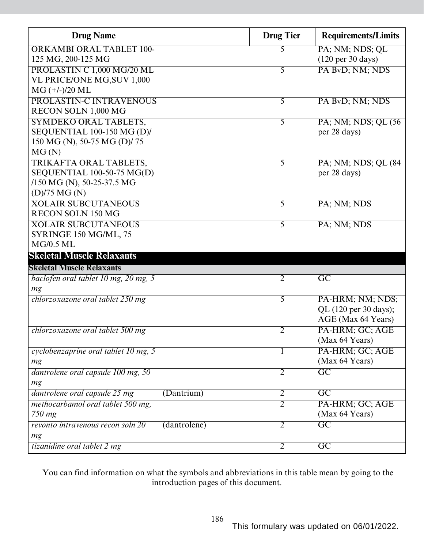| <b>Drug Name</b>                                  | <b>Drug Tier</b> | <b>Requirements/Limits</b>           |
|---------------------------------------------------|------------------|--------------------------------------|
| <b>ORKAMBI ORAL TABLET 100-</b>                   | 5                | PA; NM; NDS; QL                      |
| 125 MG, 200-125 MG                                |                  | $(120 \text{ per } 30 \text{ days})$ |
| PROLASTIN C 1,000 MG/20 ML                        | 5                | PA BvD; NM; NDS                      |
| VL PRICE/ONE MG, SUV 1,000                        |                  |                                      |
| $MG (+/-)/20 ML$                                  |                  |                                      |
| PROLASTIN-C INTRAVENOUS                           | 5                | PA BvD; NM; NDS                      |
| RECON SOLN 1,000 MG                               |                  |                                      |
| <b>SYMDEKO ORAL TABLETS,</b>                      | $\overline{5}$   | PA; NM; NDS; QL (56)                 |
| SEQUENTIAL 100-150 MG (D)/                        |                  | per 28 days)                         |
| 150 MG (N), 50-75 MG (D)/75                       |                  |                                      |
| MG(N)                                             |                  |                                      |
| TRIKAFTA ORAL TABLETS,                            | 5                | PA; NM; NDS; QL (84)                 |
| SEQUENTIAL 100-50-75 MG(D)                        |                  | per 28 days)                         |
| $/150$ MG (N), 50-25-37.5 MG                      |                  |                                      |
| $(D)/75$ MG $(N)$                                 |                  |                                      |
| <b>XOLAIR SUBCUTANEOUS</b>                        | 5                | PA; NM; NDS                          |
| <b>RECON SOLN 150 MG</b>                          |                  |                                      |
| <b>XOLAIR SUBCUTANEOUS</b>                        | 5                | PA; NM; NDS                          |
| SYRINGE 150 MG/ML, 75                             |                  |                                      |
| <b>MG/0.5 ML</b>                                  |                  |                                      |
| <b>Skeletal Muscle Relaxants</b>                  |                  |                                      |
| <b>Skeletal Muscle Relaxants</b>                  |                  |                                      |
| baclofen oral tablet 10 mg, 20 mg, 5              | $\overline{2}$   | $\overline{\rm GC}$                  |
| mg                                                |                  |                                      |
| chlorzoxazone oral tablet 250 mg                  | 5                | PA-HRM; NM; NDS;                     |
|                                                   |                  | QL (120 per 30 days);                |
|                                                   |                  | AGE (Max 64 Years)                   |
| chlorzoxazone oral tablet 500 mg                  | 2                | PA-HRM; GC; AGE                      |
|                                                   |                  | (Max 64 Years)                       |
| cyclobenzaprine oral tablet 10 mg, 5              | L                | PA-HRM; GC; AGE                      |
| mg                                                |                  | (Max 64 Years)                       |
| dantrolene oral capsule 100 mg, 50                | $\overline{2}$   | $\overline{GC}$                      |
| mg                                                |                  |                                      |
| dantrolene oral capsule 25 mg<br>(Dantrium)       | $\overline{2}$   | $\overline{GC}$                      |
| methocarbamol oral tablet 500 mg,                 | $\overline{2}$   | PA-HRM; GC; AGE                      |
| 750 mg                                            |                  | (Max 64 Years)                       |
| (dantrolene)<br>revonto intravenous recon soln 20 | $\overline{2}$   | $\overline{GC}$                      |
| mg                                                |                  |                                      |
| tizanidine oral tablet 2 mg                       | $\overline{2}$   | $\overline{GC}$                      |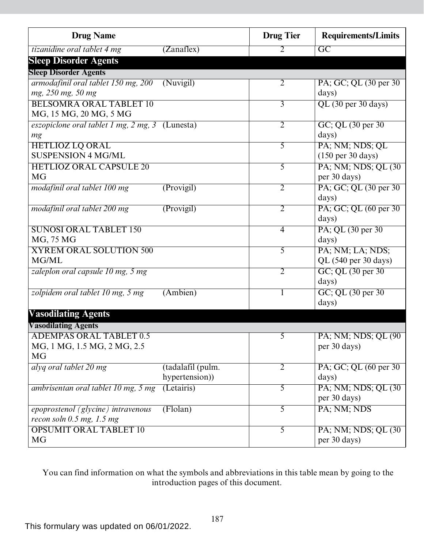| <b>Drug Name</b>                                |                   | <b>Drug Tier</b> | <b>Requirements/Limits</b>  |
|-------------------------------------------------|-------------------|------------------|-----------------------------|
| tizanidine oral tablet 4 mg                     | (Zanaflex)        | 2                | $\overline{\mathrm{GC}}$    |
| <b>Sleep Disorder Agents</b>                    |                   |                  |                             |
| <b>Sleep Disorder Agents</b>                    |                   |                  |                             |
| armodafinil oral tablet 150 mg, 200             | (Nuvigil)         | $\overline{2}$   | PA; GC; QL (30 per 30)      |
| mg, 250 mg, 50 mg                               |                   |                  | days)                       |
| <b>BELSOMRA ORAL TABLET 10</b>                  |                   | $\overline{3}$   | QL (30 per 30 days)         |
| MG, 15 MG, 20 MG, 5 MG                          |                   |                  |                             |
| eszopiclone oral tablet 1 mg, 2 mg, 3 (Lunesta) |                   | $\overline{2}$   | GC; QL (30 per 30)          |
| mg                                              |                   |                  | days)                       |
| <b>HETLIOZ LQ ORAL</b>                          |                   | $\overline{5}$   | PA; NM; NDS; QL             |
| <b>SUSPENSION 4 MG/ML</b>                       |                   |                  | (150 per 30 days)           |
| <b>HETLIOZ ORAL CAPSULE 20</b>                  |                   | 5                | PA; NM; NDS; QL (30)        |
| <b>MG</b>                                       |                   |                  | per 30 days)                |
| modafinil oral tablet 100 mg                    | (Provigil)        | $\overline{2}$   | PA; GC; QL (30 per 30)      |
|                                                 |                   |                  | days)                       |
| modafinil oral tablet 200 mg                    | (Provigil)        | $\overline{2}$   | PA; GC; QL (60 per 30)      |
|                                                 |                   |                  | days)                       |
| <b>SUNOSI ORAL TABLET 150</b>                   |                   | $\overline{4}$   | PA; QL (30 per 30)          |
| MG, 75 MG                                       |                   |                  | days)                       |
| <b>XYREM ORAL SOLUTION 500</b><br>MG/ML         |                   | 5                | PA; NM; LA; NDS;            |
|                                                 |                   |                  | QL (540 per 30 days)        |
| zaleplon oral capsule 10 mg, 5 mg               |                   | $\overline{2}$   | GC; QL (30 per 30)          |
|                                                 |                   |                  | days)                       |
| zolpidem oral tablet 10 mg, 5 mg                | (Ambien)          |                  | GC; QL (30 per 30)<br>days) |
|                                                 |                   |                  |                             |
| <b>Vasodilating Agents</b>                      |                   |                  |                             |
| <b>Vasodilating Agents</b>                      |                   |                  |                             |
| <b>ADEMPAS ORAL TABLET 0.5</b>                  |                   | 5                | PA; NM; NDS; QL (90         |
| MG, 1 MG, 1.5 MG, 2 MG, 2.5<br><b>MG</b>        |                   |                  | per 30 days)                |
| alyq oral tablet 20 mg                          | (tadalafil (pulm. | $\overline{2}$   | PA; GC; QL (60 per 30)      |
|                                                 | hypertension))    |                  | days)                       |
| ambrisentan oral tablet 10 mg, 5 mg             | (Letairis)        | 5                | PA; NM; NDS; QL (30)        |
|                                                 |                   |                  | per 30 days)                |
| epoprostenol (glycine) intravenous              | (Flolan)          | $\overline{5}$   | PA; NM; NDS                 |
| recon soln $0.5$ mg, $1.5$ mg                   |                   |                  |                             |
| <b>OPSUMIT ORAL TABLET 10</b>                   |                   | $\overline{5}$   | PA; NM; NDS; QL (30)        |
| MG                                              |                   |                  | per 30 days)                |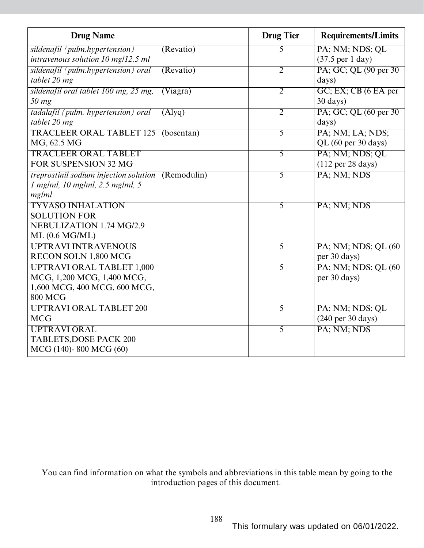| <b>Drug Name</b>                                   | <b>Drug Tier</b> | <b>Requirements/Limits</b>           |
|----------------------------------------------------|------------------|--------------------------------------|
| sildenafil (pulm.hypertension)<br>(Revatio)        | 5                | PA; NM; NDS; QL                      |
| intravenous solution 10 mg/12.5 ml                 |                  | $(37.5 \text{ per } 1 \text{ day})$  |
| sildenafil (pulm.hypertension) oral<br>(Revatio)   | $\overline{2}$   | PA; GC; QL (90 per 30)               |
| tablet 20 mg                                       |                  | days)                                |
| sildenafil oral tablet 100 mg, 25 mg,<br>(Viagra)  | $\overline{2}$   | GC; EX; CB (6 EA per                 |
| $50$ mg                                            |                  | $30 \text{ days}$ )                  |
| tadalafil (pulm. hypertension) oral<br>(Alyq)      | $\overline{2}$   | PA; GC; QL (60 per 30)               |
| tablet 20 mg                                       |                  | days)                                |
| <b>TRACLEER ORAL TABLET 125</b><br>(bosentan)      | 5                | PA; NM; LA; NDS;                     |
| MG, 62.5 MG                                        |                  | QL (60 per 30 days)                  |
| <b>TRACLEER ORAL TABLET</b>                        | 5                | PA; NM; NDS; QL                      |
| FOR SUSPENSION 32 MG                               |                  | $(112 \text{ per } 28 \text{ days})$ |
| treprostinil sodium injection solution (Remodulin) | $\overline{5}$   | PA; NM; NDS                          |
| 1 mg/ml, 10 mg/ml, 2.5 mg/ml, 5                    |                  |                                      |
| mg/ml                                              |                  |                                      |
| <b>TYVASO INHALATION</b>                           | 5                | PA; NM; NDS                          |
| <b>SOLUTION FOR</b>                                |                  |                                      |
| NEBULIZATION 1.74 MG/2.9                           |                  |                                      |
| ML (0.6 MG/ML)                                     |                  |                                      |
| <b>UPTRAVI INTRAVENOUS</b>                         | $\overline{5}$   | PA; NM; NDS; QL (60)                 |
| RECON SOLN 1,800 MCG                               |                  | per 30 days)                         |
| <b>UPTRAVI ORAL TABLET 1,000</b>                   | $\overline{5}$   | PA; NM; NDS; QL (60)                 |
| MCG, 1,200 MCG, 1,400 MCG,                         |                  | per 30 days)                         |
| 1,600 MCG, 400 MCG, 600 MCG,                       |                  |                                      |
| <b>800 MCG</b>                                     |                  |                                      |
| <b>UPTRAVI ORAL TABLET 200</b>                     | $\overline{5}$   | PA; NM; NDS; QL                      |
| <b>MCG</b>                                         |                  | $(240 \text{ per } 30 \text{ days})$ |
| <b>UPTRAVIORAL</b>                                 | $\overline{5}$   | PA; NM; NDS                          |
| <b>TABLETS, DOSE PACK 200</b>                      |                  |                                      |
| MCG (140)-800 MCG (60)                             |                  |                                      |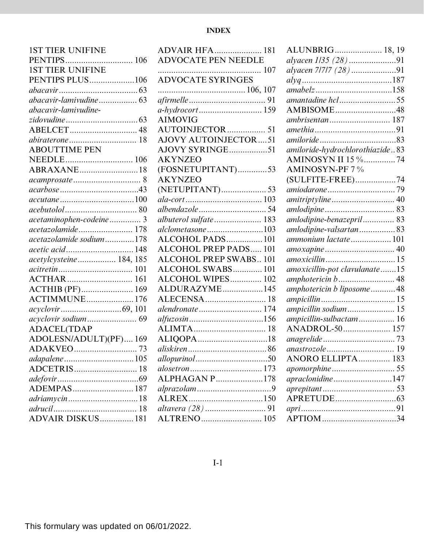## **INDEX**

| <b>1ST TIER UNIFINE</b> |
|-------------------------|
| PENTIPS 106             |
| <b>1ST TIER UNIFINE</b> |
| PENTIPS PLUS106         |
|                         |
| abacavir-lamivudine 63  |
| abacavir-lamivudine-    |
|                         |
|                         |
|                         |
| <b>ABOUTTIME PEN</b>    |
|                         |
| ABRAXANE18              |
| acamprosate  8          |
|                         |
|                         |
|                         |
| acetaminophen-codeine 3 |
| acetazolamide 178       |
| acetazolamide sodium178 |
| acetic acid 148         |
| acetylcysteine 184, 185 |
|                         |
|                         |
| ACTHIB (PF) 169         |
| <b>ACTIMMUNE 176</b>    |
|                         |
|                         |
| <b>ADACEL(TDAP</b>      |
| ADOLESN/ADULT)(PF) 169  |
|                         |
| adapalene  105          |
|                         |
|                         |
|                         |
| adriamycin18            |
| 18                      |
| ADVAIR DISKUS 181       |

| <b>ADVAIR HFA 181</b>         |
|-------------------------------|
| <b>ADVOCATE PEN NEEDLE</b>    |
|                               |
|                               |
|                               |
|                               |
|                               |
| <b>AIMOVIG</b>                |
| AUTOINJECTOR  51              |
| <b>AJOVY AUTOINJECTOR51</b>   |
| AJOVY SYRINGE51               |
| <b>AKYNZEO</b>                |
| (FOSNETUPITANT)53             |
| <b>AKYNZEO</b>                |
| (NETUPITANT) 53               |
|                               |
|                               |
| albuterol sulfate 183         |
| alclometasone103              |
| ALCOHOL PADS 101              |
| <b>ALCOHOL PREP PADS 101</b>  |
| <b>ALCOHOL PREP SWABS 101</b> |
| ALCOHOL SWABS 101             |
| ALCOHOL WIPES 102             |
| ALDURAZYME145                 |
| ALECENSA  18                  |
| alendronate 174               |
| alfuzosin156                  |
|                               |
| ALIQOPA18                     |
|                               |
|                               |
|                               |
| <b>ALPHAGAN P178</b>          |
|                               |
|                               |
|                               |
|                               |

| ALUNBRIG 18, 19                 |  |
|---------------------------------|--|
| alyacen 1/35 (28)91             |  |
| alyacen 7/7/7 (28) 91           |  |
| $\frac{a l y q \dots}{187}$     |  |
|                                 |  |
| amantadine hcl55                |  |
| AMBISOME48                      |  |
| ambrisentan 187                 |  |
|                                 |  |
|                                 |  |
| amiloride-hydrochlorothiazide83 |  |
| AMINOSYN II 15 %74              |  |
| <b>AMINOSYN-PF 7%</b>           |  |
| (SULFITE-FREE)74                |  |
|                                 |  |
| amitriptyline  40               |  |
|                                 |  |
| amlodipine-benazepril 83        |  |
| amlodipine-valsartan83          |  |
| ammonium lactate 101            |  |
|                                 |  |
|                                 |  |
| amoxicillin-pot clavulanate15   |  |
| amphotericin b 48               |  |
| amphotericin b liposome48       |  |
|                                 |  |
| ampicillin sodium 15            |  |
| ampicillin-sulbactam 16         |  |
| ANADROL-50 157                  |  |
|                                 |  |
|                                 |  |
| ANORO ELLIPTA 183               |  |
|                                 |  |
| apraclonidine147                |  |
|                                 |  |
|                                 |  |
|                                 |  |
| APTIOM34                        |  |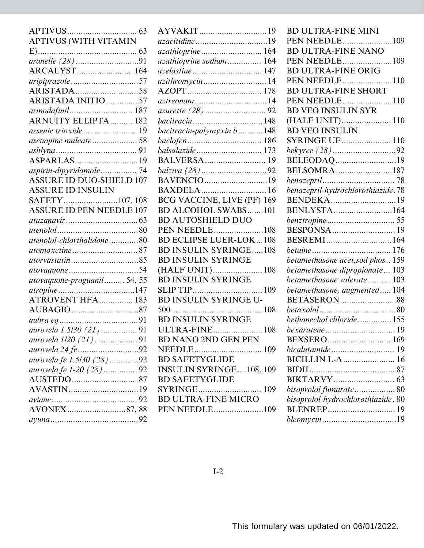|                                 |                                | <b>BD ULTRA-FINE MINI</b>          |
|---------------------------------|--------------------------------|------------------------------------|
| APTIVUS (WITH VITAMIN           |                                |                                    |
|                                 | azathioprine 164               | <b>BD ULTRA-FINE NANO</b>          |
|                                 | azathioprine sodium 164        |                                    |
|                                 | azelastine 147                 | <b>BD ULTRA-FINE ORIG</b>          |
|                                 | azithromycin 14                | PEN NEEDLE110                      |
|                                 |                                | <b>BD ULTRA-FINE SHORT</b>         |
| ARISTADA INITIO 57              |                                | PEN NEEDLE110                      |
| armodafinil 187                 |                                | <b>BD VEO INSULIN SYR</b>          |
| <b>ARNUITY ELLIPTA 182</b>      | bacitracin148                  |                                    |
| arsenic trioxide 19             | bacitracin-polymyxin b148      | <b>BD VEO INSULIN</b>              |
| asenapine maleate 58            |                                | <b>SYRINGE UF  110</b>             |
|                                 |                                | bekyree (28) 92                    |
|                                 |                                | BELEODAQ19                         |
|                                 |                                | BELSOMRA187                        |
| <b>ASSURE ID DUO-SHIELD 107</b> | BAVENCIO19                     |                                    |
| <b>ASSURE ID INSULIN</b>        |                                | benazepril-hydrochlorothiazide.78  |
| SAFETY107, 108                  | BCG VACCINE, LIVE (PF) 169     |                                    |
| <b>ASSURE ID PEN NEEDLE 107</b> | <b>BD ALCOHOL SWABS101</b>     | BENLYSTA164                        |
|                                 | <b>BD AUTOSHIELD DUO</b>       |                                    |
|                                 | <b>PEN NEEDLE108</b>           |                                    |
| atenolol-chlorthalidone80       | <b>BD ECLIPSE LUER-LOK108</b>  | BESREMI164                         |
|                                 | <b>BD INSULIN SYRINGE108</b>   |                                    |
|                                 | <b>BD INSULIN SYRINGE</b>      | betamethasone acet, sod phos 159   |
|                                 | (HALF UNIT) 108                | betamethasone dipropionate 103     |
| atovaquone-proguanil 54, 55     | <b>BD INSULIN SYRINGE</b>      | betamethasone valerate 103         |
|                                 |                                | betamethasone, augmented104        |
| ATROVENT HFA 183                | BD INSULIN SYRINGE U-          |                                    |
|                                 |                                |                                    |
|                                 | <b>BD INSULIN SYRINGE</b>      | bethanechol chloride155            |
| aurovela 1.5/30 (21)  91        | ULTRA-FINE 108                 |                                    |
|                                 | <b>BD NANO 2ND GEN PEN</b>     |                                    |
|                                 | NEEDLE                         |                                    |
| aurovela fe 1.5/30 (28)92       | <b>BD SAFETYGLIDE</b>          |                                    |
|                                 | <b>INSULIN SYRINGE108, 109</b> |                                    |
|                                 | <b>BD SAFETYGLIDE</b>          |                                    |
|                                 |                                |                                    |
|                                 | <b>BD ULTRA-FINE MICRO</b>     | bisoprolol-hydrochlorothiazide. 80 |
| AVONEX87,88                     | PEN NEEDLE109                  |                                    |
|                                 |                                |                                    |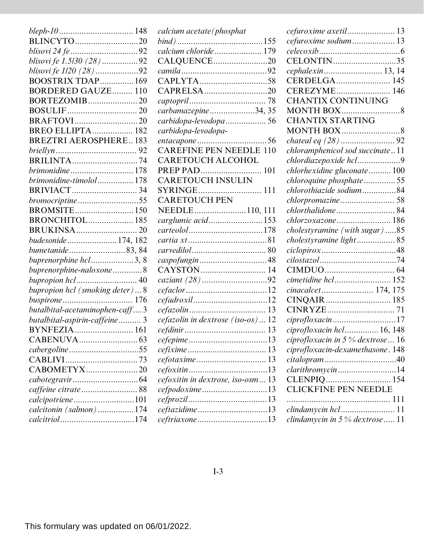| BLINCYTO20                     |
|--------------------------------|
|                                |
| blisovi fe 1.5/30 (28)92       |
| blisovi fe 1/20 (28) 92        |
| BOOSTRIX TDAP 169              |
| <b>BORDERED GAUZE 110</b>      |
| BORTEZOMIB20                   |
|                                |
|                                |
| <b>BREO ELLIPTA 182</b>        |
| <b>BREZTRI AEROSPHERE183</b>   |
|                                |
|                                |
| <i>brimonidine</i> 178         |
| brimonidine-timolol 178        |
|                                |
| bromocriptine55                |
| BROMSITE 150                   |
| <b>BRONCHITOL 185</b>          |
|                                |
| budesonide 174, 182            |
| bumetanide83,84                |
| buprenorphine hcl3, 8          |
| buprenorphine-naloxone 8       |
|                                |
| bupropion hcl (smoking deter)8 |
|                                |
|                                |
| butalbital-acetaminophen-caff3 |
| butalbital-aspirin-caffeine 3  |
| BYNFEZIA 161                   |
|                                |
| cabergoline55                  |
|                                |
| CABOMETYX20                    |
|                                |
|                                |
| calcipotriene101               |
| calcitonin (salmon)  174       |

| calcium acetate (phosphat         |
|-----------------------------------|
|                                   |
| calcium chloride 179              |
| CALQUENCE20                       |
|                                   |
| CAPLYTA58                         |
| CAPRELSA20                        |
|                                   |
| carbamazepine34, 35               |
| carbidopa-levodopa 56             |
| carbidopa-levodopa-               |
| entacapone 56                     |
| <b>CAREFINE PEN NEEDLE 110</b>    |
| CARETOUCH ALCOHOL                 |
|                                   |
| CARETOUCH INSULIN                 |
| SYRINGE 111                       |
| <b>CARETOUCH PEN</b>              |
| NEEDLE110, 111                    |
| carglumic acid153                 |
|                                   |
|                                   |
|                                   |
|                                   |
| CAYSTON 14                        |
|                                   |
|                                   |
| <i>cefadroxil</i> 12              |
|                                   |
| cefazolin in dextrose (iso-os)12  |
|                                   |
|                                   |
|                                   |
|                                   |
|                                   |
| cefoxitin in dextrose, iso-osm 13 |
| <i>cefpodoxime</i> 13             |
|                                   |
|                                   |
| <i>ceftriaxone</i> 13             |
|                                   |

| cefuroxime axetil 13                |
|-------------------------------------|
| cefuroxime sodium 13                |
|                                     |
| CELONTIN35                          |
| cephalexin 13, 14                   |
| CERDELGA 145                        |
|                                     |
| <b>CHANTIX CONTINUING</b>           |
| <b>MONTH BOX</b> 8                  |
| <b>CHANTIX STARTING</b>             |
| MONTH BOX8                          |
|                                     |
| chloramphenicol sod succinate11     |
| chlordiazepoxide hcl9               |
| chlorhexidine gluconate 100         |
| chloroquine phosphate55             |
| chlorothiazide sodium84             |
|                                     |
| <i>chlorthalidone</i> 84            |
| chlorzoxazone  186                  |
| cholestyramine (with sugar)85       |
| cholestyramine light 85             |
|                                     |
|                                     |
|                                     |
| cimetidine hcl 152                  |
| cinacalcet 174, 175                 |
|                                     |
|                                     |
|                                     |
| ciprofloxacin hcl 16, 148           |
| ciprofloxacin in 5 $\%$ dextrose 16 |
| ciprofloxacin-dexamethasone. 148    |
|                                     |
| clarithromycin14                    |
|                                     |
| <b>CLICKFINE PEN NEEDLE</b>         |
|                                     |
| clindamycin hcl 11                  |
| clindamycin in $5%$ dextrose 11     |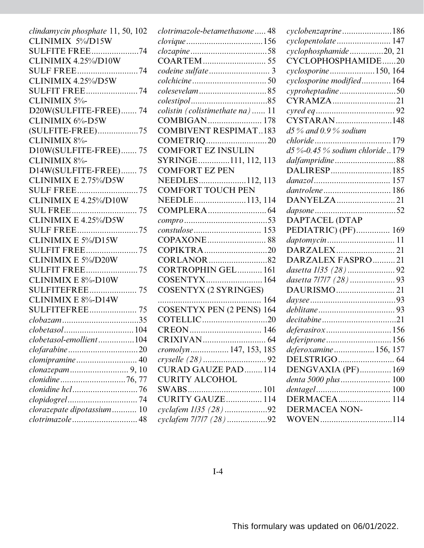| clindamycin phosphate 11, 50, 102   | clotrimazole-betamethasone 48    | cyclobenzaprine186                                                                                |
|-------------------------------------|----------------------------------|---------------------------------------------------------------------------------------------------|
| CLINIMIX 5%/D15W                    |                                  | cyclopentolate 147                                                                                |
| <b>SULFITE FREE74</b>               |                                  | cyclophosphamide20, 21                                                                            |
| CLINIMIX 4.25%/D10W                 |                                  | CYCLOPHOSPHAMIDE20                                                                                |
| <b>SULF FREE74</b>                  |                                  | cyclosporine150, 164                                                                              |
| CLINIMIX 4.25%/D5W                  |                                  | cyclosporine modified 164                                                                         |
| <b>SULFIT FREE 74</b>               |                                  | cyproheptadine50                                                                                  |
| CLINIMIX 5%-                        |                                  | CYRAMZA21                                                                                         |
| D20W(SULFITE-FREE) 74               | colistin (colistimethate na) 11  |                                                                                                   |
| CLINIMIX 6%-D5W                     |                                  | CYSTARAN148                                                                                       |
| (SULFITE-FREE)75                    | <b>COMBIVENT RESPIMAT183</b>     | $d5\%$ and 0.9% sodium                                                                            |
| CLINIMIX 8%-                        |                                  |                                                                                                   |
| D10W(SULFITE-FREE) 75               | <b>COMFORT EZ INSULIN</b>        | $d5\% -0.45\%$ sodium chloride179                                                                 |
| CLINIMIX 8%-                        | SYRINGE111, 112, 113             | dalfampridine88                                                                                   |
| D14W(SULFITE-FREE) 75               | <b>COMFORT EZ PEN</b>            |                                                                                                   |
| CLINIMIX E $2.75\%$ D5W             | NEEDLES112, 113                  |                                                                                                   |
| <b>SULF FREE75</b>                  | <b>COMFORT TOUCH PEN</b>         | dantrolene 186                                                                                    |
| CLINIMIX E $4.25\%$ D10W            |                                  |                                                                                                   |
|                                     |                                  |                                                                                                   |
| CLINIMIX E 4.25%/D5W                |                                  | DAPTACEL (DTAP                                                                                    |
| <b>SULF FREE75</b>                  |                                  | PEDIATRIC) (PF) 169                                                                               |
| CLINIMIX E $5\%$ D15W               |                                  |                                                                                                   |
| <b>SULFIT FREE75</b>                |                                  |                                                                                                   |
| CLINIMIX E 5%/D20W                  |                                  | DARZALEX FASPRO 21                                                                                |
|                                     | CORTROPHIN GEL 161               |                                                                                                   |
| CLINIMIX E $8\%$ -D $10W$           | COSENTYX 164                     |                                                                                                   |
| <b>SULFITEFREE 75</b>               | <b>COSENTYX (2 SYRINGES)</b>     |                                                                                                   |
| CLINIMIX E 8%-D14W                  |                                  |                                                                                                   |
| <b>SULFITEFREE 75</b>               | <b>COSENTYX PEN (2 PENS) 164</b> |                                                                                                   |
|                                     |                                  |                                                                                                   |
| $\label{eq:color} clobet as ol104$  |                                  | $\label{eq:deferas} deferasiro x \dots \dots \dots \dots \dots \dots \dots \dots \dots \dots 156$ |
| clobetasol-emollient104 CRIXIVAN 64 |                                  | deferiprone156                                                                                    |
|                                     | <i>cromolyn</i> 147, 153, 185    | <i>deferoxamine</i> 156, 157                                                                      |
|                                     |                                  |                                                                                                   |
|                                     | <b>CURAD GAUZE PAD114</b>        | DENGVAXIA (PF)169                                                                                 |
|                                     | <b>CURITY ALCOHOL</b>            |                                                                                                   |
|                                     |                                  |                                                                                                   |
|                                     | CURITY GAUZE 114                 | DERMACEA 114                                                                                      |
| clorazepate dipotassium 10          | cyclafem 1/35 (28)92             | <b>DERMACEA NON-</b>                                                                              |
|                                     | cyclafem 7/7/7 (28)92            |                                                                                                   |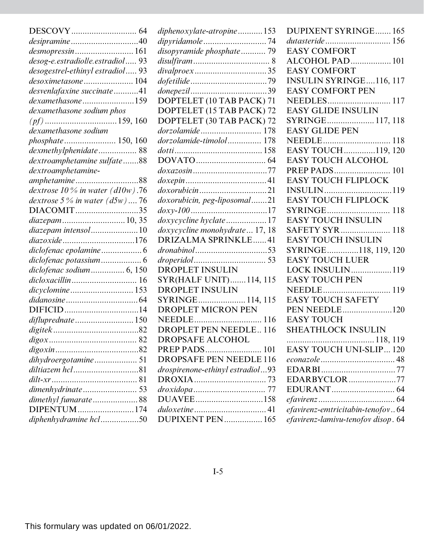|                                    | diphenoxylate-atropine153        | <b>DUPIXENT SYRINGE165</b>         |
|------------------------------------|----------------------------------|------------------------------------|
|                                    |                                  |                                    |
| desmopressin 161                   | disopyramide phosphate 79        | <b>EASY COMFORT</b>                |
| desog-e.estradiolle.estradiol 93   |                                  | ALCOHOL PAD 101                    |
| desogestrel-ethinyl estradiol 93   |                                  | <b>EASY COMFORT</b>                |
|                                    |                                  | <b>INSULIN SYRINGE116, 117</b>     |
| desvenlafaxine succinate41         |                                  | <b>EASY COMFORT PEN</b>            |
| dexamethasone159                   | DOPTELET (10 TAB PACK) 71        |                                    |
| dexamethasone sodium phos          | DOPTELET (15 TAB PACK) 72        | <b>EASY GLIDE INSULIN</b>          |
|                                    | DOPTELET (30 TAB PACK) 72        | SYRINGE 117, 118                   |
| dexamethasone sodium               | dorzolamide 178                  | <b>EASY GLIDE PEN</b>              |
| <i>phosphate</i> 150, 160          | dorzolamide-timolol 178          |                                    |
| dexmethylphenidate 88              |                                  | EASY TOUCH119, 120                 |
| dextroamphetamine sulfate88        |                                  | <b>EASY TOUCH ALCOHOL</b>          |
| dextroamphetamine-                 |                                  | PREP PADS 101                      |
|                                    |                                  | <b>EASY TOUCH FLIPLOCK</b>         |
| dextrose $10\%$ in water (d10w).76 |                                  |                                    |
| dextrose $5\%$ in water $(d5w)$ 76 | doxorubicin, peg-liposomal21     | <b>EASY TOUCH FLIPLOCK</b>         |
| DIACOMIT35                         |                                  |                                    |
|                                    | doxycycline hyclate17            | <b>EASY TOUCH INSULIN</b>          |
| diazepam intensol10                | doxycycline monohydrate  17, 18  | SAFETY SYR 118                     |
|                                    | DRIZALMA SPRINKLE41              | <b>EASY TOUCH INSULIN</b>          |
|                                    |                                  | SYRINGE118, 119, 120               |
|                                    |                                  | <b>EASY TOUCH LUER</b>             |
| diclofenac sodium 6, 150           | DROPLET INSULIN                  | LOCK INSULIN119                    |
|                                    | SYR(HALF UNIT)114, 115           | <b>EASY TOUCH PEN</b>              |
| dicyclomine 153                    | <b>DROPLET INSULIN</b>           |                                    |
|                                    | SYRINGE 114, 115                 | <b>EASY TOUCH SAFETY</b>           |
|                                    | <b>DROPLET MICRON PEN</b>        |                                    |
| difluprednate150                   |                                  | <b>EASY TOUCH</b>                  |
|                                    | <b>DROPLET PEN NEEDLE 116</b>    | <b>SHEATHLOCK INSULIN</b>          |
|                                    | DROPSAFE ALCOHOL                 |                                    |
|                                    |                                  | <b>EASY TOUCH UNI-SLIP 120</b>     |
| dihydroergotamine 51               | <b>DROPSAFE PEN NEEDLE 116</b>   |                                    |
|                                    | drospirenone-ethinyl estradiol93 |                                    |
| $dilt - xr \dots 81$               |                                  | EDARBYCLOR77                       |
|                                    |                                  |                                    |
| dimethyl fumarate88                |                                  |                                    |
| DIPENTUM174                        |                                  | efavirenz-emtricitabin-tenofov64   |
| diphenhydramine hcl50              | DUPIXENT PEN 165                 | efavirenz-lamivu-tenofov disop. 64 |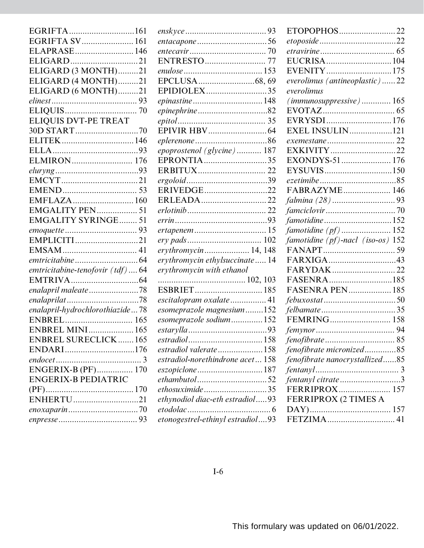| EGRIFTA161                      |
|---------------------------------|
| EGRIFTA SV 161                  |
| ELAPRASE 146                    |
|                                 |
| ELIGARD (3 MONTH)21             |
| ELIGARD (4 MONTH)21             |
| ELIGARD (6 MONTH)21             |
|                                 |
|                                 |
| <b>ELIQUIS DVT-PE TREAT</b>     |
|                                 |
|                                 |
|                                 |
| ELMIRON 176                     |
|                                 |
|                                 |
|                                 |
| EMFLAZA 160                     |
| EMGALITY PEN 51                 |
| <b>EMGALITY SYRINGE 51</b>      |
|                                 |
| EMPLICITI21                     |
|                                 |
|                                 |
| emtricitabine-tenofovir (tdf)64 |
|                                 |
| enalapril maleate78             |
| enalaprilat78                   |
| enalapril-hydrochlorothiazide78 |
|                                 |
| <b>ENBREL MINI 165</b>          |
| <b>ENBREL SURECLICK165</b>      |
| ENDARI176                       |
|                                 |
| <b>ENGERIX-B (PF) 170</b>       |
| <b>ENGERIX-B PEDIATRIC</b>      |
|                                 |
| ENHERTU21                       |
|                                 |
|                                 |
|                                 |

| EPIDIOLEX35                      |  |
|----------------------------------|--|
|                                  |  |
|                                  |  |
|                                  |  |
|                                  |  |
|                                  |  |
| epoprostenol (glycine) 187       |  |
| EPRONTIA35                       |  |
|                                  |  |
|                                  |  |
| ERIVEDGE22                       |  |
|                                  |  |
|                                  |  |
|                                  |  |
| ertapenem  15                    |  |
|                                  |  |
| erythromycin 14, 148             |  |
| erythromycin ethylsuccinate 14   |  |
| erythromycin with ethanol        |  |
|                                  |  |
| ESBRIET 185                      |  |
| escitalopram oxalate 41          |  |
| esomeprazole magnesium152        |  |
| esomeprazole sodium 152          |  |
|                                  |  |
| estradiol                        |  |
| estradiol valerate158            |  |
| estradiol-norethindrone acet 158 |  |
|                                  |  |
|                                  |  |
| ethosuximide35                   |  |
| ethynodiol diac-eth estradiol93  |  |
| etodolac                         |  |
| etonogestrel-ethinyl estradiol93 |  |

| ETOPOPHOS22                       |
|-----------------------------------|
|                                   |
|                                   |
| EUCRISA104                        |
| EVENITY175                        |
| everolimus (antineoplastic)22     |
| everolimus                        |
| $(immunosuppressive)$ 165         |
|                                   |
| EVRYSDI176                        |
| EXEL INSULIN121                   |
|                                   |
| EXKIVITY22                        |
| EXONDYS-51 176                    |
| EYSUVIS150                        |
|                                   |
| FABRAZYME 146                     |
|                                   |
|                                   |
|                                   |
| famotidine (pf)  152              |
| famotidine (pf)-nacl (iso-os) 152 |
|                                   |
| FARXIGA43                         |
|                                   |
| FASENRA185                        |
| <b>FASENRA PEN 185</b>            |
|                                   |
|                                   |
|                                   |
|                                   |
|                                   |
| fenofibrate micronized85          |
| fenofibrate nanocrystallized85    |
|                                   |
| fentanyl citrate3                 |
| FERRIPROX 157                     |
| FERRIPROX (2 TIMES A              |
|                                   |
|                                   |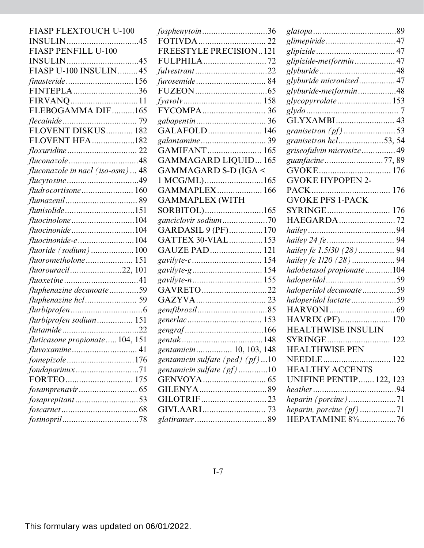| FIASP FLEXTOUCH U-100            |
|----------------------------------|
|                                  |
| <b>FIASP PENFILL U-100</b>       |
|                                  |
| FIASP U-100 INSULIN45            |
| finasteride 156                  |
| FINTEPLA36                       |
| FIRVANQ11                        |
| FLEBOGAMMA DIF165                |
|                                  |
| FLOVENT DISKUS 182               |
| <b>FLOVENT HFA182</b>            |
|                                  |
|                                  |
| fluconazole in nacl (iso-osm) 48 |
|                                  |
| fludrocortisone 160              |
|                                  |
| flunisolide151                   |
|                                  |
|                                  |
| fluocinonide-e 104               |
| $fluoride$ (sodium) 100          |
|                                  |
| fluorouracil22, 101              |
|                                  |
| fluphenazine decanoate59         |
| fluphenazine hcl 59              |
|                                  |
| flurbiprofen sodium 151          |
|                                  |
| fluticasone propionate 104, 151  |
|                                  |
|                                  |
|                                  |
|                                  |
|                                  |
| fosaprepitant53                  |
|                                  |
|                                  |

|      | fosphenytoin36                     |
|------|------------------------------------|
| 45   |                                    |
|      | FREESTYLE PRECISION121             |
| 45   | FULPHILA72                         |
| .45  |                                    |
| 156  |                                    |
| 36   |                                    |
| .11  |                                    |
| 165  |                                    |
| . 79 |                                    |
| 182  | GALAFOLD 146                       |
| 182  | galantamine  39                    |
| .22  | GAMIFANT 165                       |
| 48   | <b>GAMMAGARD LIQUID165</b>         |
| .48  | GAMMAGARD S-D (IGA <               |
| 49   | 1 MCG/ML)165                       |
| 160  | GAMMAPLEX 166                      |
| .89  | <b>GAMMAPLEX (WITH</b>             |
| 151  | SORBITOL)165                       |
| 104  |                                    |
| 104  | GARDASIL 9 (PF)170                 |
| 104  | GATTEX 30-VIAL 153                 |
| 100  | GAUZE PAD 121                      |
| 151  |                                    |
| 101  |                                    |
| . 41 |                                    |
| 59   | GAVRETO22                          |
| . 59 |                                    |
| 6    |                                    |
| 151  |                                    |
| 22   |                                    |
| 151  |                                    |
| .41  | gentamicin 10, 103, 148            |
| 176  | gentamicin sulfate (ped) $(pt)$ 10 |
| .71  | gentamicin sulfate $(pf)$ 10       |
| 175  |                                    |
| .65  |                                    |
| 53   |                                    |
| 68   |                                    |
| 78   |                                    |

| glimepiride47                                   |
|-------------------------------------------------|
|                                                 |
| glipizide-metformin 47                          |
|                                                 |
| glyburide micronized 47                         |
| glyburide-metformin48                           |
| glycopyrrolate153                               |
|                                                 |
|                                                 |
| granisetron $(pf)$ 53                           |
| granisetron hcl53, 54                           |
| griseofulvin microsize49                        |
| guanfacine77,89                                 |
|                                                 |
| <b>GVOKE HYPOPEN 2-</b>                         |
|                                                 |
| <b>GVOKE PFS 1-PACK</b>                         |
| SYRINGE 176                                     |
| HAEGARDA72                                      |
|                                                 |
|                                                 |
|                                                 |
|                                                 |
| hailey fe 1.5/30 (28)  94                       |
|                                                 |
| halobetasol propionate104                       |
|                                                 |
| haloperidol decanoate59                         |
| haloperidol lactate59                           |
| <b>HAVRIX (PF) 170</b>                          |
| <b>HEALTHWISE INSULIN</b>                       |
| SYRINGE<br>122                                  |
| <b>HEALTHWISE PEN</b>                           |
|                                                 |
| NEEDLE 122                                      |
| <b>HEALTHY ACCENTS</b>                          |
| <b>UNIFINE PENTIP 122, 123</b>                  |
|                                                 |
| heparin (porcine)71<br>heparin, porcine (pf) 71 |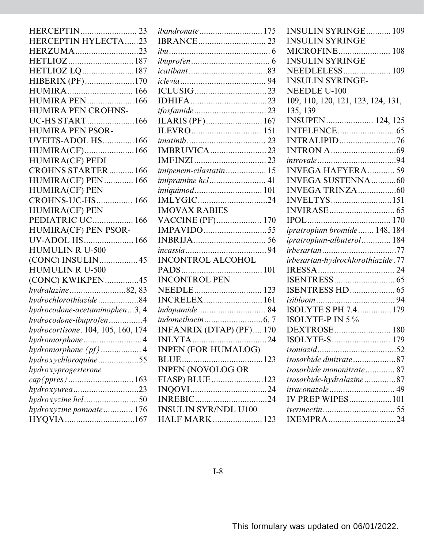| <b>HERCEPTIN 23</b>                |  |
|------------------------------------|--|
| HERCEPTIN HYLECTA23                |  |
| HERZUMA23                          |  |
|                                    |  |
| HETLIOZ LQ187                      |  |
| HIBERIX (PF)170                    |  |
| HUMIRA 166                         |  |
| <b>HUMIRA PEN166</b>               |  |
| <b>HUMIRA PEN CROHNS-</b>          |  |
| UC-HS START166                     |  |
| <b>HUMIRA PEN PSOR-</b>            |  |
| UVEITS-ADOL HS166                  |  |
| HUMIRA(CF)166                      |  |
| <b>HUMIRA(CF) PEDI</b>             |  |
| <b>CROHNS STARTER166</b>           |  |
| HUMIRA(CF) PEN 166                 |  |
| <b>HUMIRA(CF) PEN</b>              |  |
| CROHNS-UC-HS 166                   |  |
| <b>HUMIRA(CF) PEN</b>              |  |
| PEDIATRIC UC<br>$\dots$ 166        |  |
| HUMIRA(CF) PEN PSOR-               |  |
| UV-ADOL HS 166                     |  |
| <b>HUMULIN R U-500</b>             |  |
| (CONC) INSULIN45                   |  |
| <b>HUMULIN R U-500</b>             |  |
| (CONC) KWIKPEN45                   |  |
| hydralazine82, 83                  |  |
| hydrochlorothiazide84              |  |
| hydrocodone-acetaminophen3, 4      |  |
| hydrocodone-ibuprofen4             |  |
| hydrocortisone. 104, 105, 160, 174 |  |
| hydromorphone<br>. 4               |  |
| hydromorphone (pf)  4              |  |
| hydroxychloroquine55               |  |
| hydroxyprogesterone                |  |
|                                    |  |
| hydroxyurea23                      |  |
| hydroxyzine hcl50                  |  |
| hydroxyzine pamoate 176            |  |
| HYQVIA167                          |  |

| <i>ibandronate</i> 175         |
|--------------------------------|
|                                |
|                                |
|                                |
|                                |
|                                |
|                                |
|                                |
|                                |
|                                |
|                                |
|                                |
| <b>IMBRUVICA</b> 23            |
|                                |
| <i>imipenem-cilastatin</i> 15  |
| <i>imipramine hcl</i> 41       |
| <i>imiquimod</i> 101           |
| IMLYGIC24                      |
| <b>IMOVAX RABIES</b>           |
| VACCINE (PF) 170               |
|                                |
|                                |
|                                |
| <b>INCONTROL ALCOHOL</b>       |
|                                |
| <b>INCONTROL PEN</b>           |
| NEEDLE 123                     |
| <b>INCRELEX 161</b>            |
| indapamide 84                  |
|                                |
| <b>INFANRIX (DTAP) (PF)170</b> |
| INLYTA<br>.24                  |
| <b>INPEN (FOR HUMALOG)</b>     |
|                                |
|                                |
| FIASP) BLUE123                 |
|                                |
| <b>INREBIC24</b>               |
| <b>INSULIN SYR/NDL U100</b>    |
| HALF MARK 123                  |

| <b>INSULIN SYRINGE 109</b>                     |
|------------------------------------------------|
| <b>INSULIN SYRINGE</b>                         |
| <b>MICROFINE</b> 108<br><b>INSULIN SYRINGE</b> |
| <b>NEEDLELESS 109</b>                          |
| <b>INSULIN SYRINGE-</b>                        |
| <b>NEEDLE U-100</b>                            |
| 109, 110, 120, 121, 123, 124, 131,             |
| 135, 139                                       |
| <b>INSUPEN 124, 125</b>                        |
|                                                |
| <b>INTRALIPID76</b>                            |
|                                                |
|                                                |
| <b>INVEGA HAFYERA</b> 59                       |
| <b>INVEGA SUSTENNA60</b>                       |
|                                                |
| INVELTYS151                                    |
|                                                |
|                                                |
|                                                |
| ipratropium bromide 148, 184                   |
| ipratropium-albuterol 184                      |
| <i>irbesartan</i> 77                           |
| irbesartan-hydrochlorothiazide.77              |
|                                                |
|                                                |
| <b>ISENTRESS HD 65</b>                         |
|                                                |
| ISOLYTE S PH 7.4179                            |
| ISOLYTE-P IN 5 %                               |
| DEXTROSE 180                                   |
|                                                |
|                                                |
| isosorbide dinitrate87                         |
| isosorbide mononitrate 87                      |
| isosorbide-hydralazine87                       |
| <i>itraconazole</i> 49                         |
| <b>IV PREP WIPES101</b>                        |
|                                                |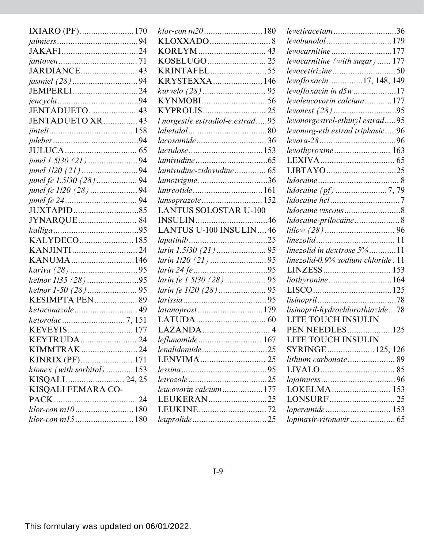| IXIARO (PF)170                        |  |
|---------------------------------------|--|
|                                       |  |
|                                       |  |
|                                       |  |
| JARDIANCE 43                          |  |
|                                       |  |
| JEMPERLI24                            |  |
|                                       |  |
| JENTADUETO43                          |  |
| JENTADUETO XR 43                      |  |
|                                       |  |
|                                       |  |
|                                       |  |
|                                       |  |
| junel 1/20 (21) 94                    |  |
| <i>junel fe 1.5/30 (28)</i> 94        |  |
|                                       |  |
|                                       |  |
|                                       |  |
|                                       |  |
|                                       |  |
| KALYDECO185                           |  |
|                                       |  |
| KANUMA146                             |  |
| kariva (28) 95                        |  |
| kelnor 1/35 (28)95                    |  |
| kelnor 1-50 (28)  95                  |  |
| KESIMPTA PEN 89                       |  |
| ketoconazole  49                      |  |
|                                       |  |
|                                       |  |
|                                       |  |
| KIMMTRAK24                            |  |
| KINRIX (PF) 171                       |  |
| kionex (with sorbitol) 153            |  |
| KISQALI  24, 25<br>KISQALI FEMARA CO- |  |
|                                       |  |
|                                       |  |
| klor-con m10180                       |  |
| klor-con m15180                       |  |

| klor-con m20180                  | lev        |
|----------------------------------|------------|
|                                  | lev        |
|                                  | lev        |
|                                  | lev        |
| <b>KRINTAFEL55</b>               | lev        |
| KRYSTEXXA 146                    | lev        |
|                                  | lev        |
|                                  | lev        |
|                                  | lev        |
| l norgestle.estradiol-e.estrad95 | lev        |
|                                  | lev        |
|                                  | lev        |
|                                  | lev        |
|                                  | LF         |
| lamivudine-zidovudine 65         | LI         |
| lamotrigine 36                   | lid        |
| lanreotide161                    | lid        |
| lansoprazole  152                | lid        |
| <b>LANTUS SOLOSTAR U-100</b>     | lid        |
|                                  | lid        |
| LANTUS U-100 INSULIN 46          | lill       |
|                                  | lin        |
|                                  | lin        |
|                                  | lin        |
|                                  | LI         |
|                                  | lio        |
|                                  | LI         |
|                                  | lis        |
| latanoprost179                   | lis        |
|                                  | LI         |
|                                  | PF         |
| <i>leflunomide</i> 167           | LI         |
| lenalidomide25                   | $S\bar{Y}$ |
|                                  | liti       |
|                                  | LI         |
|                                  | loj        |
| leucovorin calcium177            | L(         |
| LEUKERAN25                       | L(         |
|                                  | loį        |
|                                  | lop        |
|                                  |            |

| levetiracetam36                    |
|------------------------------------|
| levobunolol179                     |
| <i>levocarnitine</i> 177           |
| levocarnitine (with sugar) 177     |
|                                    |
| levofloxacin17, 148, 149           |
| $leveloxacin$ in $d5w$ 17          |
| levoleucovorin calcium177          |
| levonest (28) 95                   |
| levonorgestrel-ethinyl estrad95    |
| levonorg-eth estrad triphasic96    |
|                                    |
|                                    |
|                                    |
| LIBTAYO25                          |
|                                    |
|                                    |
|                                    |
| lidocaine viscous8                 |
| lidocaine-prilocaine 8             |
|                                    |
|                                    |
| linezolid in dextrose 5%11         |
| linezolid-0.9% sodium chloride. 11 |
|                                    |
| liothyronine164                    |
|                                    |
|                                    |
| lisinopril-hydrochlorothiazide78   |
| <b>LITE TOUCH INSULIN</b>          |
| PEN NEEDLES125                     |
| LITE TOUCH INSULIN                 |
| SYRINGE 125, 126                   |
|                                    |
|                                    |
|                                    |
| LOKELMA 153                        |
|                                    |
| loperamide 153                     |
|                                    |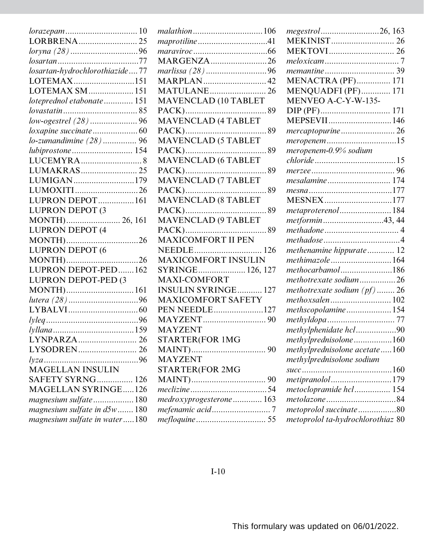| LORBRENA25                     |  |
|--------------------------------|--|
| loryna (28) 96                 |  |
|                                |  |
| losartan-hydrochlorothiazide77 |  |
| LOTEMAX151                     |  |
| LOTEMAX SM  151                |  |
| loteprednol etabonate 151      |  |
|                                |  |
| low-ogestrel (28)96            |  |
|                                |  |
| lo-zumandimine (28)  96        |  |
| lubiprostone 154               |  |
|                                |  |
| LUMAKRAS 25                    |  |
| LUMIGAN179                     |  |
| LUMOXITI26                     |  |
| LUPRON DEPOT  161              |  |
| <b>LUPRON DEPOT (3</b>         |  |
|                                |  |
| LUPRON DEPOT (4                |  |
| MONTH)26                       |  |
| LUPRON DEPOT (6                |  |
| MONTH)26                       |  |
| LUPRON DEPOT-PED162            |  |
| LUPRON DEPOT-PED (3            |  |
| MONTH)161                      |  |
| lutera (28) 96                 |  |
|                                |  |
|                                |  |
|                                |  |
|                                |  |
|                                |  |
|                                |  |
| <b>MAGELLAN INSULIN</b>        |  |
| <b>SAFETY SYRNG</b> 126        |  |
| <b>MAGELLAN SYRINGE126</b>     |  |
| magnesium sulfate180           |  |
| magnesium sulfate in d5w  180  |  |
| magnesium sulfate in water180  |  |

| <i>malathion</i> 106        |
|-----------------------------|
|                             |
|                             |
| MARGENZA26                  |
| marlissa (28) 96            |
| <b>MARPLAN42</b>            |
| <b>MATULANE 26</b>          |
| <b>MAVENCLAD (10 TABLET</b> |
|                             |
| MAVENCLAD (4 TABLET         |
| 89                          |
| MAVENCLAD (5 TABLET         |
|                             |
|                             |
| <b>PACK</b> )<br>. . 89     |
| MAVENCLAD (7 TABLET         |
| 89                          |
|                             |
|                             |
| <b>MAVENCLAD (9 TABLET</b>  |
|                             |
|                             |
|                             |
| <b>MAXICOMFORT INSULIN</b>  |
| SYRINGE 126, 127            |
| <b>MAXI-COMFORT</b>         |
| <b>INSULIN SYRINGE 127</b>  |
| <b>MAXICOMFORT SAFETY</b>   |
| PEN NEEDLE127               |
|                             |
| MAYZENT                     |
| STARTER(FOR 1MG             |
|                             |
| <b>MAYZENT</b>              |
|                             |
| <b>STARTER(FOR 2MG</b>      |
|                             |
|                             |
| medroxyprogesterone 163     |
|                             |
|                             |

| <b>MEKINIST</b> 26<br><b>MENACTRA (PF) 171</b><br><b>MENQUADFI (PF) 171</b><br>MENVEO A-C-Y-W-135-<br>MEPSEVII146<br>mercaptopurine26<br>meropenem15<br>meropenem-0.9% sodium<br>mesalamine 174<br>MESNEX177<br>metaproterenol  184<br>metformin43,44<br><i>methadose</i> 4<br>methenamine hippurate 12<br>methimazole164<br>methocarbamol186<br>methotrexate sodium26<br>methotrexate sodium $(pt)$ 26<br>methoxsalen 102<br>methscopolamine154<br>methylphenidate hcl90<br>methylprednisolone160<br>methylprednisolone acetate160<br>methylprednisolone sodium<br>metipranolol179<br>metoclopramide hcl 154<br>metoprolol succinate80<br>metoprolol ta-hydrochlorothiaz 80 |                  |
|------------------------------------------------------------------------------------------------------------------------------------------------------------------------------------------------------------------------------------------------------------------------------------------------------------------------------------------------------------------------------------------------------------------------------------------------------------------------------------------------------------------------------------------------------------------------------------------------------------------------------------------------------------------------------|------------------|
|                                                                                                                                                                                                                                                                                                                                                                                                                                                                                                                                                                                                                                                                              | megestrol26, 163 |
|                                                                                                                                                                                                                                                                                                                                                                                                                                                                                                                                                                                                                                                                              |                  |
|                                                                                                                                                                                                                                                                                                                                                                                                                                                                                                                                                                                                                                                                              |                  |
|                                                                                                                                                                                                                                                                                                                                                                                                                                                                                                                                                                                                                                                                              |                  |
|                                                                                                                                                                                                                                                                                                                                                                                                                                                                                                                                                                                                                                                                              |                  |
|                                                                                                                                                                                                                                                                                                                                                                                                                                                                                                                                                                                                                                                                              |                  |
|                                                                                                                                                                                                                                                                                                                                                                                                                                                                                                                                                                                                                                                                              |                  |
|                                                                                                                                                                                                                                                                                                                                                                                                                                                                                                                                                                                                                                                                              |                  |
|                                                                                                                                                                                                                                                                                                                                                                                                                                                                                                                                                                                                                                                                              |                  |
|                                                                                                                                                                                                                                                                                                                                                                                                                                                                                                                                                                                                                                                                              |                  |
|                                                                                                                                                                                                                                                                                                                                                                                                                                                                                                                                                                                                                                                                              |                  |
|                                                                                                                                                                                                                                                                                                                                                                                                                                                                                                                                                                                                                                                                              |                  |
|                                                                                                                                                                                                                                                                                                                                                                                                                                                                                                                                                                                                                                                                              |                  |
|                                                                                                                                                                                                                                                                                                                                                                                                                                                                                                                                                                                                                                                                              |                  |
|                                                                                                                                                                                                                                                                                                                                                                                                                                                                                                                                                                                                                                                                              |                  |
|                                                                                                                                                                                                                                                                                                                                                                                                                                                                                                                                                                                                                                                                              |                  |
|                                                                                                                                                                                                                                                                                                                                                                                                                                                                                                                                                                                                                                                                              |                  |
|                                                                                                                                                                                                                                                                                                                                                                                                                                                                                                                                                                                                                                                                              |                  |
|                                                                                                                                                                                                                                                                                                                                                                                                                                                                                                                                                                                                                                                                              |                  |
|                                                                                                                                                                                                                                                                                                                                                                                                                                                                                                                                                                                                                                                                              |                  |
|                                                                                                                                                                                                                                                                                                                                                                                                                                                                                                                                                                                                                                                                              |                  |
|                                                                                                                                                                                                                                                                                                                                                                                                                                                                                                                                                                                                                                                                              |                  |
|                                                                                                                                                                                                                                                                                                                                                                                                                                                                                                                                                                                                                                                                              |                  |
|                                                                                                                                                                                                                                                                                                                                                                                                                                                                                                                                                                                                                                                                              |                  |
|                                                                                                                                                                                                                                                                                                                                                                                                                                                                                                                                                                                                                                                                              |                  |
|                                                                                                                                                                                                                                                                                                                                                                                                                                                                                                                                                                                                                                                                              |                  |
|                                                                                                                                                                                                                                                                                                                                                                                                                                                                                                                                                                                                                                                                              |                  |
|                                                                                                                                                                                                                                                                                                                                                                                                                                                                                                                                                                                                                                                                              |                  |
|                                                                                                                                                                                                                                                                                                                                                                                                                                                                                                                                                                                                                                                                              |                  |
|                                                                                                                                                                                                                                                                                                                                                                                                                                                                                                                                                                                                                                                                              |                  |
|                                                                                                                                                                                                                                                                                                                                                                                                                                                                                                                                                                                                                                                                              |                  |
|                                                                                                                                                                                                                                                                                                                                                                                                                                                                                                                                                                                                                                                                              |                  |
|                                                                                                                                                                                                                                                                                                                                                                                                                                                                                                                                                                                                                                                                              |                  |
|                                                                                                                                                                                                                                                                                                                                                                                                                                                                                                                                                                                                                                                                              |                  |
|                                                                                                                                                                                                                                                                                                                                                                                                                                                                                                                                                                                                                                                                              |                  |
|                                                                                                                                                                                                                                                                                                                                                                                                                                                                                                                                                                                                                                                                              |                  |
|                                                                                                                                                                                                                                                                                                                                                                                                                                                                                                                                                                                                                                                                              |                  |
|                                                                                                                                                                                                                                                                                                                                                                                                                                                                                                                                                                                                                                                                              |                  |
|                                                                                                                                                                                                                                                                                                                                                                                                                                                                                                                                                                                                                                                                              |                  |
|                                                                                                                                                                                                                                                                                                                                                                                                                                                                                                                                                                                                                                                                              |                  |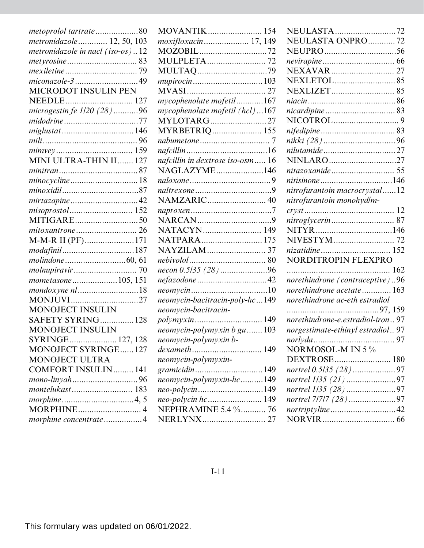| metoprolol tartrate80            |
|----------------------------------|
| metronidazole 12, 50, 103        |
| metronidazole in nacl (iso-os)12 |
|                                  |
|                                  |
| miconazole-349                   |
| MICRODOT INSULIN PEN             |
|                                  |
| microgestin fe 1/20 (28) 96      |
| <i>midodrine</i> 77              |
| miglustat146                     |
|                                  |
|                                  |
| MINI ULTRA-THIN II 127           |
|                                  |
| minocycline18                    |
|                                  |
| mirtazapine42                    |
|                                  |
|                                  |
|                                  |
| M-M-R II (PF)171                 |
| modafinil187                     |
|                                  |
|                                  |
| mometasone105, 151               |
| <i>mondoxyne nl</i> 18           |
| MONJUVI27                        |
| <b>MONOJECT INSULIN</b>          |
| SAFETY SYRING 128                |
| MONOJECT INSULIN                 |
| SYRINGE 127, 128                 |
| <b>MONOJECT SYRINGE127</b>       |
| <b>MONOJECT ULTRA</b>            |
| <b>COMFORT INSULIN 141</b>       |
| mono-linyah96                    |
|                                  |
|                                  |
|                                  |
| morphine concentrate4            |

| <b>MOVANTIK</b> 154              |
|----------------------------------|
| moxifloxacin 17, 149             |
| MOZOBIL72                        |
|                                  |
| MULTAQ79                         |
| mupirocin  103                   |
|                                  |
| mycophenolate mofetil167         |
| mycophenolate mofetil (hcl)167   |
| MYLOTARG27                       |
| <b>MYRBETRIQ 155</b>             |
|                                  |
|                                  |
| nafcillin in dextrose iso-osm 16 |
| NAGLAZYME146                     |
|                                  |
|                                  |
| NAMZARIC 40                      |
|                                  |
|                                  |
| NATACYN 149                      |
| NATPARA 175                      |
|                                  |
|                                  |
| necon 0.5/35 (28)96              |
| nefazodone 42                    |
|                                  |
| neomycin-bacitracin-poly-hc149   |
| neomycin-bacitracin-             |
|                                  |
| neomycin-polymyxin b gu 103      |
| neomycin-polymyxin b-            |
| dexameth 149                     |
| neomycin-polymyxin-              |
| gramicidin149                    |
| neomycin-polymyxin-hc149         |
| neo-polycin149                   |
|                                  |
| NEPHRAMINE 5.4 % 76              |
| NERLYNX 27                       |

| NEULASTA72                        |
|-----------------------------------|
| NEULASTA ONPRO  72                |
|                                   |
|                                   |
|                                   |
|                                   |
|                                   |
|                                   |
|                                   |
|                                   |
|                                   |
|                                   |
| nilutamide 27                     |
| NINLARO27                         |
|                                   |
| nitisinone 146                    |
| nitrofurantoin macrocrystal12     |
| nitrofurantoin monohydlm-         |
|                                   |
|                                   |
|                                   |
|                                   |
|                                   |
| NORDITROPIN FLEXPRO               |
|                                   |
| norethindrone (contraceptive)96   |
| norethindrone acetate 163         |
| norethindrone ac-eth estradiol    |
| , 97, 159<br>.                    |
| norethindrone-e.estradiol-iron97  |
| norgestimate-ethinyl estradiol 97 |
| norlyda<br>97                     |
| NORMOSOL-M IN 5 %                 |
| DEXTROSE 180                      |
| nortrel 0.5/35 (28)97             |
| nortrel 1/35 (21)97               |
| nortrel 1/35 (28)97               |
| nortrel 7/7/7 (28)97              |
| nortriptyline42                   |
|                                   |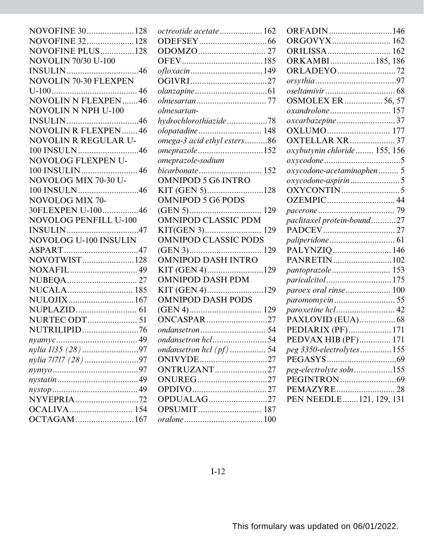| NOVOFINE 30128               |
|------------------------------|
| NOVOFINE 32128               |
| NOVOFINE PLUS128             |
| <b>NOVOLIN 70/30 U-100</b>   |
|                              |
| <b>NOVOLIN 70-30 FLEXPEN</b> |
|                              |
| <b>NOVOLIN N FLEXPEN46</b>   |
| NOVOLIN N NPH U-100          |
|                              |
| <b>NOVOLIN R FLEXPEN 46</b>  |
| NOVOLIN R REGULAR U-         |
| 100 INSULN46                 |
| NOVOLOG FLEXPEN U-           |
|                              |
| NOVOLOG MIX 70-30 U-         |
| 100 INSULN46                 |
| NOVOLOG MIX 70-              |
| 30FLEXPEN U-10046            |
| <b>NOVOLOG PENFILL U-100</b> |
|                              |
| NOVOLOG U-100 INSULIN        |
|                              |
| NOVOTWIST128                 |
|                              |
|                              |
|                              |
| NULOJIX167                   |
|                              |
| <b>NURTEC ODT</b> 51         |
| NUTRILIPID76                 |
| $\n  nyamyc \dots$           |
| nylia 1/35 (28) 97           |
| nylia 71717 (28) 97          |
|                              |
|                              |
|                              |
| NYVEPRIA72                   |
|                              |
|                              |
| OCTAGAM167                   |

| <i>octreotide acetate</i> .162 |  |
|--------------------------------|--|
|                                |  |
|                                |  |
|                                |  |
|                                |  |
|                                |  |
|                                |  |
|                                |  |
| olmesartan-                    |  |
| hydrochlorothiazide78          |  |
| olopatadine 148                |  |
| omega-3 acid ethyl esters86    |  |
| omeprazole152                  |  |
| omeprazole-sodium              |  |
| bicarbonate 152                |  |
| <b>OMNIPOD 5 G6 INTRO</b>      |  |
| KIT (GEN 5)128                 |  |
| <b>OMNIPOD 5 G6 PODS</b>       |  |
|                                |  |
| <b>OMNIPOD CLASSIC PDM</b>     |  |
| 129                            |  |
| <b>OMNIPOD CLASSIC PODS</b>    |  |
|                                |  |
| <b>OMNIPOD DASH INTRO</b>      |  |
| KIT (GEN 4)129                 |  |
| <b>OMNIPOD DASH PDM</b>        |  |
| KIT (GEN 4)129                 |  |
| <b>OMNIPOD DASH PODS</b>       |  |
|                                |  |
| <b>ONCASPAR</b> 27             |  |
|                                |  |
| ondansetron hcl54              |  |
| ondansetron hcl (pf)  54       |  |
| ONIVYDE27                      |  |
| <b>ONTRUZANT</b> 27            |  |
| ONUREG27                       |  |
|                                |  |
| OPDUALAG27                     |  |
|                                |  |
|                                |  |

| ORFADIN146                   |  |
|------------------------------|--|
| ORGOVYX 162                  |  |
| ORILISSA 162                 |  |
| ORKAMBI185, 186              |  |
| <b>ORLADEYO</b> 72           |  |
|                              |  |
|                              |  |
| <b>OSMOLEX ER</b> 56, 57     |  |
| oxandrolone 157              |  |
| <i>oxcarbazepine</i> 37      |  |
|                              |  |
| <b>OXTELLAR XR</b> 37        |  |
| oxybutynin chloride 155, 156 |  |
|                              |  |
| oxycodone-acetaminophen 5    |  |
| oxycodone-aspirin5           |  |
|                              |  |
|                              |  |
|                              |  |
| paclitaxel protein-bound27   |  |
|                              |  |
|                              |  |
| PALYNZIQ  146                |  |
| PANRETIN102                  |  |
| pantoprazole 153             |  |
| paricalcitol175              |  |
| paroex oral rinse 100        |  |
|                              |  |
| paroxetine hcl 42            |  |
| PAXLOVID (EUA) 68            |  |
| PEDIARIX (PF) 171            |  |
| PEDVAX HIB (PF) 171          |  |
| peg 3350-electrolytes155     |  |
|                              |  |
| peg-electrolyte soln155      |  |
|                              |  |
|                              |  |
| PEN NEEDLE121, 129, 131      |  |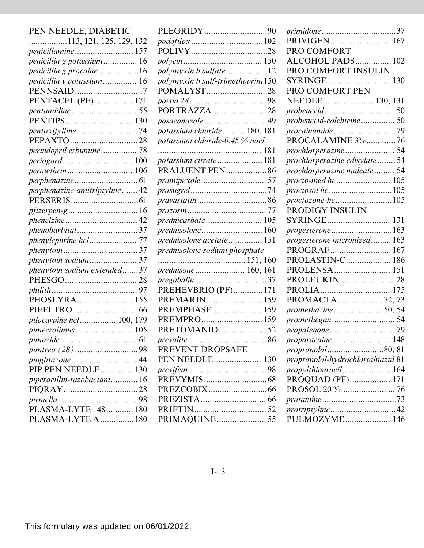| PEN NEEDLE, DIABETIC          |
|-------------------------------|
|                               |
|                               |
| penicillin g potassium 16     |
| penicillin g procaine16       |
| penicillin v potassium 16     |
|                               |
| PENTACEL (PF) 171             |
|                               |
|                               |
| pentoxifylline74              |
|                               |
| perindopril erbumine 78       |
| periogard 100                 |
|                               |
|                               |
| perphenazine-amitriptyline 42 |
|                               |
|                               |
|                               |
| phenobarbital37               |
|                               |
|                               |
| phenytoin sodium 37           |
| phenytoin sodium extended37   |
|                               |
|                               |
| PHOSLYRA155                   |
|                               |
| pilocarpine hcl 100, 179      |
| pimecrolimus105               |
|                               |
| pimtrea (28) 98               |
| pioglitazone 44               |
| PIP PEN NEEDLE130             |
| piperacillin-tazobactam16     |
|                               |
|                               |
| PLASMA-LYTE 148 180           |
| PLASMA-LYTE A180              |

| PLEGRIDY90                       |  |
|----------------------------------|--|
| podofilox 102                    |  |
|                                  |  |
|                                  |  |
| polymyxin b sulfate12            |  |
| polymyxin b sulf-trimethoprim150 |  |
| POMALYST28                       |  |
|                                  |  |
| PORTRAZZA28                      |  |
| posaconazole 49                  |  |
| potassium chloride  180, 181     |  |
| potassium chloride-0.45 % nacl   |  |
|                                  |  |
| potassium citrate181             |  |
| <b>PRALUENT PEN 86</b>           |  |
| <i>pramipexole </i> 57           |  |
|                                  |  |
| <i>pravastatin</i> 86            |  |
|                                  |  |
| prednicarbate105                 |  |
| prednisolone  160                |  |
| prednisolone acetate  151        |  |
| prednisolone sodium phosphate    |  |
|                                  |  |
| prednisone  160, 161             |  |
| pregabalin37                     |  |
| PREHEVBRIO (PF)171               |  |
| PREMARIN159                      |  |
| PREMPHASE 159                    |  |
| PREMPRO 159                      |  |
| PRETOMANID 52                    |  |
|                                  |  |
| PREVENT DROPSAFE                 |  |
| PEN NEEDLE130                    |  |
|                                  |  |
|                                  |  |
|                                  |  |
|                                  |  |
|                                  |  |
| PRIMAQUINE 55                    |  |

| primidone37                       |
|-----------------------------------|
| PRIVIGEN 167                      |
| PRO COMFORT                       |
| ALCOHOL PADS 102                  |
| PRO COMFORT INSULIN               |
|                                   |
| PRO COMFORT PEN                   |
| NEEDLE130, 131                    |
|                                   |
| probenecid-colchicine 50          |
|                                   |
| PROCALAMINE 3%76                  |
|                                   |
| prochlorperazine edisylate 54     |
| prochlorperazine maleate 54       |
| procto-med hc 105                 |
|                                   |
| proctozone-hc105                  |
| PRODIGY INSULIN                   |
|                                   |
| progesterone163                   |
| progesterone micronized 163       |
| PROGRAF 167                       |
| PROLASTIN-C 186                   |
| PROLENSA 151                      |
| PROLEUKIN28                       |
|                                   |
|                                   |
| promethazine50, 54                |
|                                   |
|                                   |
| proparacaine 148                  |
| propranolol80, 81                 |
| propranolol-hydrochlorothiazid 81 |
| propylthiouracil164               |
| PROQUAD (PF) 171                  |
|                                   |
|                                   |
| protriptyline42                   |
| PULMOZYME146                      |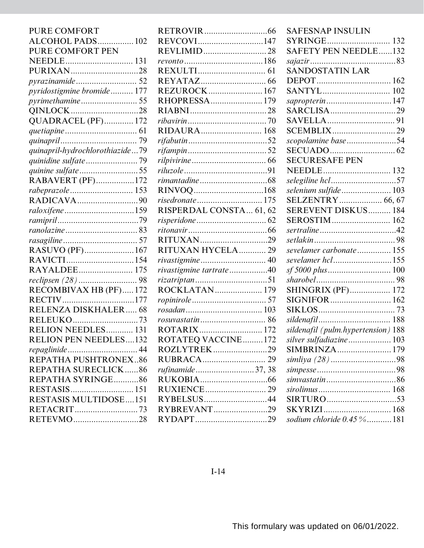| <b>PURE COMFORT</b>             | <b>RETR</b>  |
|---------------------------------|--------------|
| ALCOHOL PADS 102                | <b>REVC</b>  |
| PURE COMFORT PEN                | <b>REVL</b>  |
|                                 | revonte      |
| PURIXAN28                       | <b>REXU</b>  |
|                                 | <b>REYA</b>  |
| pyridostigmine bromide 177      | <b>REZU</b>  |
|                                 | <b>RHOF</b>  |
|                                 | <b>RIAB</b>  |
| QUADRACEL (PF) 172              | ribavir      |
|                                 | <b>RIDA</b>  |
|                                 | rifabut      |
| quinapril-hydrochlorothiazide79 | rifamp       |
|                                 | rilpivir     |
| quinine sulfate55               | riluzol      |
| RABAVERT (PF)172                | rimant       |
| rabeprazole 153                 | <b>RINV</b>  |
|                                 | risedro      |
| raloxifene159                   | <b>RISPE</b> |
|                                 | risperi      |
|                                 | ritonay      |
|                                 | <b>RITU</b>  |
| RASUVO (PF) 167                 | <b>RITU</b>  |
|                                 | rivasti      |
| RAYALDEE 175                    | rivasti      |
| reclipsen (28)  98              | rizatrij     |
| RECOMBIVAX HB (PF) 172          | <b>ROCK</b>  |
| RECTIV177                       | ropinir      |
| RELENZA DISKHALER 68            | rosada       |
| RELEUKO73                       | rosuva       |
| RELION NEEDLES 131              | ROTA         |
| <b>RELION PEN NEEDLES132</b>    | ROTA         |
|                                 | <b>ROZL</b>  |
| REPATHA PUSHTRONEX86            | <b>RUBR</b>  |
| REPATHA SURECLICK86             | rufinar      |
| REPATHA SYRINGE86               | <b>RUK</b>   |
|                                 | <b>RUXI</b>  |
| RESTASIS MULTIDOSE151           | <b>RYBE</b>  |
|                                 | <b>RYBR</b>  |
| RETEVMO28                       | RYD/         |
|                                 |              |

| REVCOVI147              |
|-------------------------|
|                         |
|                         |
|                         |
|                         |
| <b>REZUROCK 167</b>     |
| RHOPRESSA 179           |
|                         |
|                         |
|                         |
|                         |
|                         |
|                         |
|                         |
| rimantadine 68          |
|                         |
| risedronate  175        |
| RISPERDAL CONSTA 61, 62 |
| risperidone  62         |
|                         |
|                         |
| RITUXAN HYCELA 29       |
|                         |
| rivastigmine tartrate40 |
|                         |
| rizatriptan51           |
| ROCKLATAN 179           |
|                         |
|                         |
|                         |
|                         |
| ROTATEQ VACCINE172      |
| ROZLYTREK29             |
|                         |
| rufinamide 37, 38       |
|                         |
|                         |
| RYBELSUS44              |
| RYBREVANT29             |

| <b>SAFESNAP INSULIN</b>            |
|------------------------------------|
| SYRINGE 132                        |
| <b>SAFETY PEN NEEDLE132</b>        |
|                                    |
| <b>SANDOSTATIN LAR</b>             |
|                                    |
|                                    |
| <i>sapropterin</i> 147             |
|                                    |
|                                    |
| <b>SCEMBLIX29</b>                  |
| scopolamine base54                 |
|                                    |
| <b>SECURESAFE PEN</b>              |
|                                    |
| selegiline hcl57                   |
| selenium sulfide 103               |
| SELZENTRY 66, 67                   |
| SEREVENT DISKUS 184                |
| SEROSTIM 162                       |
|                                    |
| sertraline42                       |
|                                    |
| sevelamer carbonate 155            |
| sevelamer hcl155                   |
| <i>sf 5000 plus</i> 100            |
|                                    |
| <b>SHINGRIX (PF) 172</b>           |
| SIGNIFOR  162                      |
|                                    |
|                                    |
| sildenafil (pulm.hypertension) 188 |
| silver sulfadiazine  103           |
| SIMBRINZA 179                      |
|                                    |
|                                    |
|                                    |
|                                    |
| SIRTURO<br>53                      |
| sodium chloride 0.45 %181          |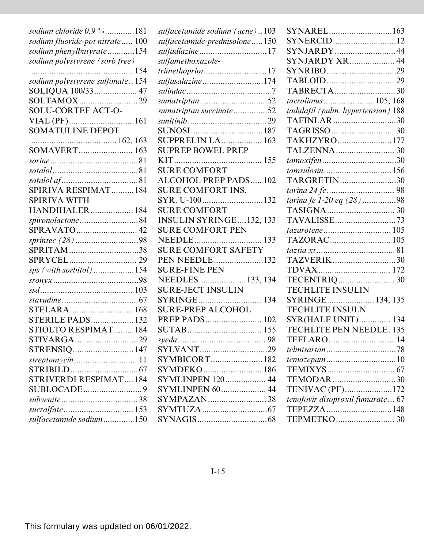| sodium chloride 0.9 %181         |
|----------------------------------|
| sodium fluoride-pot nitrate 100  |
| sodium phenylbutyrate154         |
| sodium polystyrene (sorb free)   |
| 154                              |
| sodium polystyrene sulfonate154  |
| SOLIQUA 100/33 47                |
| SOLTAMOX29                       |
| <b>SOLU-CORTEF ACT-O-</b>        |
| VIAL (PF)161<br>SOMATULINE DEPOT |
|                                  |
|                                  |
| SOMAVERT 163                     |
|                                  |
|                                  |
|                                  |
| SPIRIVA RESPIMAT184              |
| <b>SPIRIVA WITH</b>              |
| <b>HANDIHALER</b> 184            |
| spironolactone84                 |
| SPRAVATO 42                      |
|                                  |
| SPRITAM38                        |
|                                  |
| sps (with sorbitol)154           |
|                                  |
|                                  |
|                                  |
| STELARA 168                      |
| <b>STERILE PADS 132</b>          |
| STIOLTO RESPIMAT184              |
|                                  |
| STRENSIQ 147                     |
| streptomycin11                   |
|                                  |
| STRIVERDI RESPIMAT 184           |
|                                  |
|                                  |
| sucralfate 153                   |
| sulfacetamide sodium 150         |

| sulfacetamide sodium (acne)103  |
|---------------------------------|
| sulfacetamide-prednisolone  150 |
| sulfadiazine  17                |
| sulfamethoxazole-               |
| <i>trimethoprim</i> 17          |
| sulfasalazine 174               |
|                                 |
| sumatriptan52                   |
| sumatriptan succinate52         |
|                                 |
|                                 |
| <b>SUPPRELIN LA 163</b>         |
| <b>SUPREP BOWEL PREP</b>        |
| <b>KIT</b>                      |
| <b>SURE COMFORT</b>             |
| <b>ALCOHOL PREP PADS 102</b>    |
| <b>SURE COMFORT INS.</b>        |
| SYR. U-100132                   |
| <b>SURE COMFORT</b>             |
| <b>INSULIN SYRINGE132, 133</b>  |
| <b>SURE COMFORT PEN</b>         |
|                                 |
| <b>SURE COMFORT SAFETY</b>      |
| PEN NEEDLE132                   |
| SURE-FINE PEN                   |
| NEEDLES133, 134                 |
| <b>SURE-JECT INSULIN</b>        |
|                                 |
| <b>SURE-PREP ALCOHOL</b>        |
| PREP PADS 102                   |
|                                 |
|                                 |
| SYLVANT29                       |
| SYMBICORT 182                   |
|                                 |
| <b>SYMLINPEN</b> 120 44         |
| <b>SYMLINPEN 60 44</b>          |
| SYMPAZAN38                      |
|                                 |
|                                 |
|                                 |

| SYNAREL163                         |
|------------------------------------|
| SYNERCID12                         |
| SYNJARDY44                         |
| SYNJARDY XR 44                     |
| SYNRIBO29                          |
|                                    |
| TABRECTA30                         |
| tacrolimus105, 168                 |
| tadalafil (pulm. hypertension) 188 |
| TAFINLAR30                         |
|                                    |
| TAKHZYRO177                        |
|                                    |
|                                    |
| tamsulosin 156                     |
| TARGRETIN30                        |
| tarina 24 fe  98                   |
| tarina fe 1-20 eq (28)98           |
|                                    |
| TAVALISSE73                        |
|                                    |
| TAZORAC 105                        |
|                                    |
| TAZVERIK30                         |
|                                    |
|                                    |
| <b>TECHLITE INSULIN</b>            |
| SYRINGE 134, 135                   |
| <b>TECHLITE INSULN</b>             |
| <b>SYR(HALF UNIT) 134</b>          |
| TECHLITE PEN NEEDLE. 135           |
| TEFLARO14                          |
| telmisartan78                      |
| temazepam 10                       |
|                                    |
| TEMODAR30                          |
| TENIVAC (PF)172                    |
| tenofovir disoproxil fumarate 67   |
| TEPEZZA148                         |
|                                    |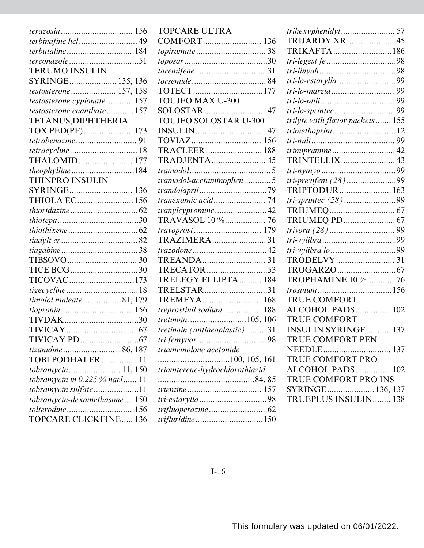| terbinafine hcl 49            |  |
|-------------------------------|--|
| <i>terbutaline</i> 184        |  |
| terconazole 51                |  |
| <b>TERUMO INSULIN</b>         |  |
| SYRINGE 135, 136              |  |
| <i>testosterone</i> 157, 158  |  |
| testosterone cypionate 157    |  |
| testosterone enanthate  157   |  |
| TETANUS, DIPHTHERIA           |  |
|                               |  |
|                               |  |
|                               |  |
| THALOMID 177                  |  |
| <i>theophylline</i> 184       |  |
| THINPRO INSULIN               |  |
| SYRINGE 136                   |  |
| THIOLA EC 156                 |  |
|                               |  |
|                               |  |
|                               |  |
|                               |  |
|                               |  |
|                               |  |
|                               |  |
| TICOVAC173                    |  |
|                               |  |
| timolol maleate81, 179        |  |
|                               |  |
| TIVDAK30                      |  |
|                               |  |
|                               |  |
| tizanidine186, 187            |  |
| TOBI PODHALER<br>11           |  |
| tobramycin 11, 150            |  |
| tobramycin in 0.225 % nacl 11 |  |
| tobramycin sulfate11          |  |
| tobramycin-dexamethasone 150  |  |
| tolterodine156                |  |
| <b>TOPCARE CLICKFINE 136</b>  |  |

| <b>TOPCARE ULTRA</b>           |
|--------------------------------|
| COMFORT 136                    |
|                                |
|                                |
| toremifene31                   |
|                                |
|                                |
| <b>TOUJEO MAX U-300</b>        |
| SOLOSTAR47                     |
| TOUJEO SOLOSTAR U-300          |
|                                |
|                                |
|                                |
| TRADJENTA 45                   |
|                                |
| tramadol-acetaminophen5        |
|                                |
|                                |
| <i>tranylcypromine</i> 42      |
| TRAVASOL 10 % 76               |
|                                |
| TRAZIMERA 31                   |
|                                |
|                                |
| TRECATOR53                     |
| TRELEGY ELLIPTA 184            |
| TRELSTAR31                     |
| TREMFYA168                     |
| treprostinil sodium188         |
| tretinoin105, 106              |
| tretinoin (antineoplastic)  31 |
| 98<br>tri femynor              |
| triamcinolone acetonide        |
|                                |
| triamterene-hydrochlorothiazid |
|                                |
|                                |
|                                |
| trifluoperazine 62             |
| trifluridine150                |

| TRIJARDY XR 45                  |
|---------------------------------|
| TRIKAFTA186                     |
| tri-legest fe 98                |
|                                 |
| tri-lo-estarylla 99             |
|                                 |
|                                 |
|                                 |
| trilyte with flavor packets 155 |
| <i>trimethoprim</i> 12          |
|                                 |
|                                 |
| TRINTELLIX 43                   |
|                                 |
| tri-previfem (28)99             |
| TRIPTODUR 163                   |
| <i>tri-sprintec</i> (28) 99     |
|                                 |
| TRIUMEQ PD 67                   |
|                                 |
|                                 |
| tri-vylibra lo 99               |
|                                 |
|                                 |
| TROPHAMINE 10 %76               |
| trospium156                     |
| TRUE COMFORT                    |
| ALCOHOL PADS 102                |
| <b>TRUE COMFORT</b>             |
| <b>INSULIN SYRINGE 137</b>      |
| TRUE COMFORT PEN                |
|                                 |
| TRUE COMFORT PRO                |
| ALCOHOL PADS 102                |
| TRUE COMFORT PRO INS            |
| SYRINGE 136, 137                |
| TRUEPLUS INSULIN 138            |
|                                 |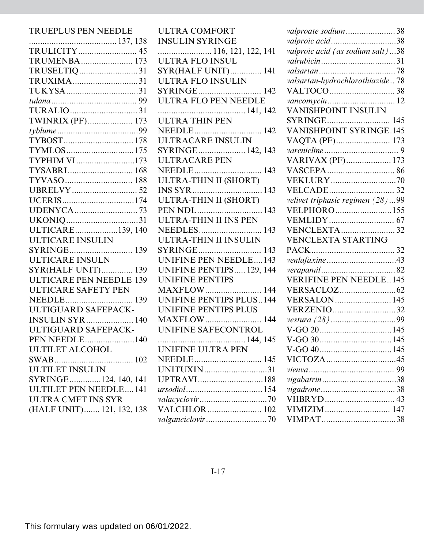## TRUEPLUS PEN NEEDLE

| TRULICITY 45                   |
|--------------------------------|
| TRUMENBA 173                   |
| TRUSELTIQ31                    |
| TRUXIMA31                      |
| TUKYSA31                       |
|                                |
| TURALIO31                      |
| TWINRIX (PF) 173               |
|                                |
|                                |
| TYMLOS175                      |
| TYPHIM VI173                   |
| TYSABRI 168                    |
|                                |
|                                |
| UCERIS174                      |
| UDENYCA73                      |
| UKONIQ31                       |
| ULTICARE139, 140               |
| <b>ULTICARE INSULIN</b>        |
|                                |
| ULTICARE INSULN                |
| <b>SYR(HALF UNIT) 139</b>      |
| <b>ULTICARE PEN NEEDLE 139</b> |
| <b>ULTICARE SAFETY PEN</b>     |
|                                |
| ULTIGUARD SAFEPACK-            |
| <b>INSULIN SYR</b> 140         |
| ULTIGUARD SAFEPACK-            |
| <b>PEN NEEDLE140</b>           |
| ULTILET ALCOHOL                |
| SWAB                           |
| <b>ULTILET INSULIN</b>         |
| SYRINGE124, 140, 141           |
| <b>ULTILET PEN NEEDLE141</b>   |
| ULTRA CMFT INS SYR             |
| (HALF UNIT) 121, 132, 138      |
|                                |

| <b>ULTRA COMFORT</b>           |
|--------------------------------|
| <b>INSULIN SYRINGE</b>         |
| 116, 121, 122, 141             |
| <b>ULTRA FLO INSUL</b>         |
| <b>SYR(HALF UNIT) 141</b>      |
| ULTRA FLO INSULIN              |
|                                |
| <b>ULTRA FLO PEN NEEDLE</b>    |
|                                |
| <b>ULTRA THIN PEN</b>          |
|                                |
| ULTRACARE INSULIN              |
| SYRINGE 142, 143               |
| <b>ULTRACARE PEN</b>           |
|                                |
| <b>ULTRA-THIN II (SHORT)</b>   |
|                                |
|                                |
|                                |
| <b>ULTRA-THIN II INS PEN</b>   |
| NEEDLES 143                    |
| ULTRA-THIN II INSULIN          |
|                                |
| <b>UNIFINE PEN NEEDLE143</b>   |
| UNIFINE PENTIPS 129, 144       |
| <b>UNIFINE PENTIPS</b>         |
| <b>MAXFLOW</b> 144             |
| <b>UNIFINE PENTIPS PLUS144</b> |
| <b>UNIFINE PENTIPS PLUS</b>    |
| <b>MAXFLOW</b> 144             |
| UNIFINE SAFECONTROL            |
| 144, 145                       |
| UNIFINE ULTRA PEN              |
| NEEDLE 145                     |
| UNITUXIN31                     |
| UPTRAVI188                     |
|                                |
|                                |
| VALCHLOR 102                   |
|                                |

| valproate sodium38               |
|----------------------------------|
| valproic acid38                  |
| valproic acid (as sodium salt)38 |
|                                  |
|                                  |
| valsartan-hydrochlorothiazide 78 |
|                                  |
|                                  |
| <b>VANISHPOINT INSULIN</b>       |
| SYRINGE<br>145                   |
| <b>VANISHPOINT SYRINGE.145</b>   |
|                                  |
|                                  |
| VARIVAX (PF) 173                 |
|                                  |
| <b>VEKLURY</b> 70                |
|                                  |
| velivet triphasic regimen (28)99 |
| VELPHORO155                      |
|                                  |
| <b>VENCLEXTA 32</b>              |
| <b>VENCLEXTA STARTING</b>        |
|                                  |
| venlafaxine43                    |
|                                  |
| <b>VERIFINE PEN NEEDLE145</b>    |
|                                  |
| <b>VERSALON 145</b>              |
| <b>VERZENIO32</b>                |
|                                  |
|                                  |
|                                  |
|                                  |
| VICTOZA45                        |
|                                  |
|                                  |
|                                  |
|                                  |
|                                  |
|                                  |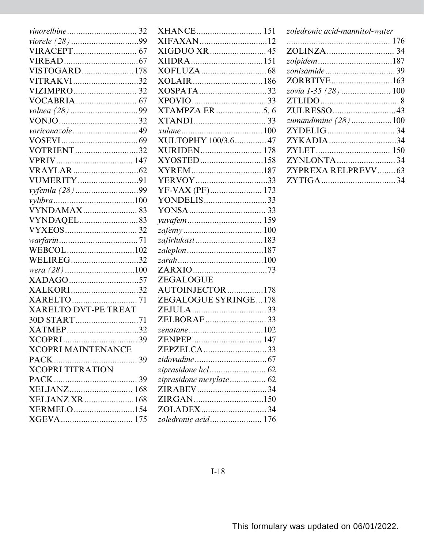| vinorelbine  32             |
|-----------------------------|
|                             |
|                             |
|                             |
| VISTOGARD 178               |
| VITRAKVI32                  |
|                             |
|                             |
|                             |
|                             |
| voriconazole49              |
|                             |
| <b>VOTRIENT</b> 32          |
|                             |
|                             |
| VUMERITY91                  |
|                             |
|                             |
| <b>VYNDAMAX 83</b>          |
|                             |
|                             |
|                             |
|                             |
| WELIREG32                   |
|                             |
|                             |
| XALKORI32                   |
|                             |
| <b>XARELTO DVT-PE TREAT</b> |
| 30D START71                 |
| XATMEP32                    |
|                             |
| <b>XCOPRI MAINTENANCE</b>   |
|                             |
| <b>XCOPRI TITRATION</b>     |
|                             |
|                             |
| XELJANZ XR  168             |
| XERMELO154                  |
|                             |

| XHANCE 151              |  |
|-------------------------|--|
| XIFAXAN12               |  |
|                         |  |
| XIIDRA151               |  |
|                         |  |
|                         |  |
| XOSPATA32               |  |
|                         |  |
| XTAMPZA ER5, 6          |  |
|                         |  |
|                         |  |
| XULTOPHY 100/3.6 47     |  |
| <b>XURIDEN 178</b>      |  |
| XYOSTED158              |  |
| XYREM187                |  |
| YERVOY33                |  |
|                         |  |
| YONDELIS33              |  |
|                         |  |
|                         |  |
|                         |  |
| zafirlukast183          |  |
|                         |  |
|                         |  |
|                         |  |
| ZEGALOGUE               |  |
| AUTOINJECTOR178         |  |
| ZEGALOGUE SYRINGE178    |  |
|                         |  |
|                         |  |
|                         |  |
| ZENPEP                  |  |
| ZEPZELCA33              |  |
|                         |  |
|                         |  |
| ziprasidone mesylate 62 |  |
| ZIRABEV34               |  |
| ZIRGAN150               |  |
| ZOLADEX34               |  |
| zoledronic acid 176     |  |

| zoledronic acid-mannitol-water |  |
|--------------------------------|--|
|                                |  |
|                                |  |
| zolpidem187                    |  |
|                                |  |
|                                |  |
|                                |  |
|                                |  |
| ZULRESSO43                     |  |
| zumandimine $(28)$ 100         |  |
|                                |  |
| ZYKADIA34                      |  |
|                                |  |
| ZYNLONTA34                     |  |
| ZYPREXA RELPREVV 63            |  |
|                                |  |
|                                |  |

 $I-18$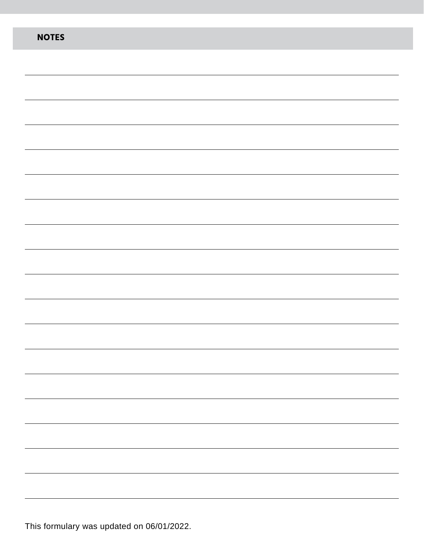| <b>NOTES</b> |
|--------------|
|              |
|              |
|              |
|              |
|              |
|              |
|              |
|              |
|              |
|              |
|              |
|              |
|              |
|              |
|              |
|              |
|              |
|              |
|              |
|              |
|              |

This formulary was updated on 06/01/2022.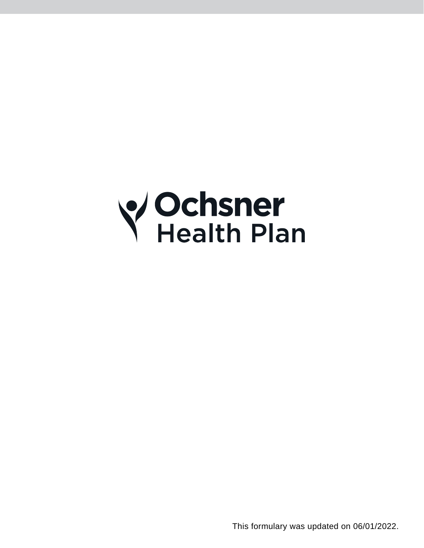

This formulary was updated on 06/01/2022.